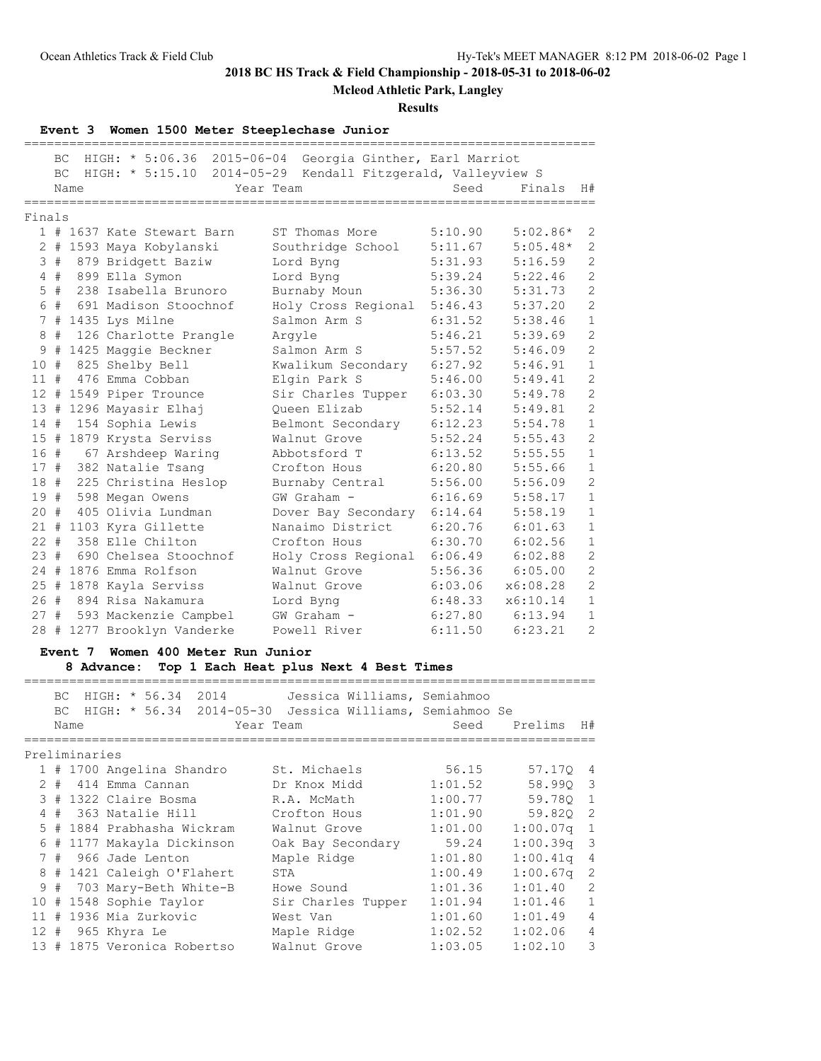**Mcleod Athletic Park, Langley**

### **Results**

**Event 3 Women 1500 Meter Steeplechase Junior**

|                 | BC.   |      | HIGH: * 5:06.36 2015-06-04 Georgia Ginther, Earl Marriot |                                             |         |            |                |
|-----------------|-------|------|----------------------------------------------------------|---------------------------------------------|---------|------------|----------------|
|                 | BC    |      | $HIGH: * 5:15.10$                                        | 2014-05-29 Kendall Fitzgerald, Valleyview S |         |            |                |
|                 |       | Name |                                                          | Year Team                                   | Seed    | Finals     | H#             |
|                 |       |      |                                                          |                                             |         |            |                |
| Finals          |       |      |                                                          |                                             |         |            |                |
|                 |       |      | 1 # 1637 Kate Stewart Barn                               | ST Thomas More                              | 5:10.90 | $5:02.86*$ | 2              |
|                 |       |      | 2 # 1593 Maya Kobylanski                                 | Southridge School                           | 5:11.67 | $5:05.48*$ | $\overline{2}$ |
| 3               | #     |      | 879 Bridgett Baziw                                       | Lord Byng                                   | 5:31.93 | 5:16.59    | $\overline{c}$ |
| 4               | #     |      | 899 Ella Symon                                           | Lord Byng                                   | 5:39.24 | 5:22.46    | $\overline{c}$ |
|                 | $5$ # |      | 238 Isabella Brunoro                                     | Burnaby Moun                                | 5:36.30 | 5:31.73    | $\overline{c}$ |
|                 |       |      | 6 # 691 Madison Stoochnof                                | Holy Cross Regional                         | 5:46.43 | 5:37.20    | $\overline{c}$ |
|                 |       |      | 7 # 1435 Lys Milne                                       | Salmon Arm S                                | 6:31.52 | 5:38.46    | $\,1\,$        |
| 8               | #     |      | 126 Charlotte Prangle                                    | Arqyle                                      | 5:46.21 | 5:39.69    | $\overline{c}$ |
| 9               | #     |      | 1425 Maggie Beckner                                      | Salmon Arm S                                | 5:57.52 | 5:46.09    | $\overline{c}$ |
| 10 <sup>°</sup> | #     |      | 825 Shelby Bell                                          | Kwalikum Secondary                          | 6:27.92 | 5:46.91    | $1\,$          |
| 11#             |       |      | 476 Emma Cobban                                          | Elgin Park S                                | 5:46.00 | 5:49.41    | $\overline{c}$ |
| 12 <sup>°</sup> | #     |      | 1549 Piper Trounce                                       | Sir Charles Tupper                          | 6:03.30 | 5:49.78    | $\overline{c}$ |
| 13              | #     |      | 1296 Mayasir Elhaj                                       | Oueen Elizab                                | 5:52.14 | 5:49.81    | $\overline{c}$ |
| 14#             |       |      | 154 Sophia Lewis                                         | Belmont Secondary                           | 6:12.23 | 5:54.78    | $\mathbf{1}$   |
|                 |       |      | 15 # 1879 Krysta Serviss                                 | Walnut Grove                                | 5:52.24 | 5:55.43    | $\overline{c}$ |
| 16#             |       |      | 67 Arshdeep Waring                                       | Abbotsford T                                | 6:13.52 | 5:55.55    | $\mathbf{1}$   |
|                 |       |      | 17 # 382 Natalie Tsang                                   | Crofton Hous                                | 6:20.80 | 5:55.66    | $\mathbf{1}$   |
| 18#             |       |      | 225 Christina Heslop                                     | Burnaby Central                             | 5:56.00 | 5:56.09    | $\overline{c}$ |
| 19#             |       |      | 598 Megan Owens                                          | GW Graham -                                 | 6:16.69 | 5:58.17    | $\mathbf{1}$   |
| 20              | #     |      | 405 Olivia Lundman                                       | Dover Bay Secondary                         | 6:14.64 | 5:58.19    | $\mathbf{1}$   |
| 21#             |       |      | 1103 Kyra Gillette                                       | Nanaimo District                            | 6:20.76 | 6:01.63    | $\mathbf{1}$   |
| $22 +$          |       |      | 358 Elle Chilton                                         | Crofton Hous                                | 6:30.70 | 6:02.56    | $\mathbf{1}$   |
| 23#             |       |      | 690 Chelsea Stoochnof                                    | Holy Cross Regional                         | 6:06.49 | 6:02.88    | $\overline{c}$ |
|                 |       |      | 24 # 1876 Emma Rolfson                                   | Walnut Grove                                | 5:56.36 | 6:05.00    | $\overline{c}$ |
|                 |       |      | 25 # 1878 Kayla Serviss                                  | Walnut Grove                                | 6:03.06 | x6:08.28   | $\overline{c}$ |
| 26#             |       |      | 894 Risa Nakamura                                        | Lord Byng                                   | 6:48.33 | x6:10.14   | $\mathbf{1}$   |
| 27#             |       |      | 593 Mackenzie Campbel                                    | GW Graham -                                 | 6:27.80 | 6:13.94    | $\mathbf{1}$   |
| 28              | #     |      | 1277 Brooklyn Vanderke                                   | Powell River                                | 6:11.50 | 6:23.21    | $\overline{c}$ |
|                 |       |      |                                                          |                                             |         |            |                |

## **Event 7 Women 400 Meter Run Junior**

**8 Advance: Top 1 Each Heat plus Next 4 Best Times**

|   | BC.<br>BC. | Name                      |  |                 | HIGH: * 56.34 2014          | Year Team          |  | Jessica Williams, Semiahmoo<br>HIGH: * 56.34 2014-05-30 Jessica Williams, Semiahmoo Se<br>Seed | Prelims  | H#                      |
|---|------------|---------------------------|--|-----------------|-----------------------------|--------------------|--|------------------------------------------------------------------------------------------------|----------|-------------------------|
|   |            | Preliminaries             |  |                 |                             |                    |  |                                                                                                |          |                         |
|   |            | 1 # 1700 Angelina Shandro |  |                 |                             | St. Michaels       |  | 56.15                                                                                          | 57.170 4 |                         |
|   | $2 +$      |                           |  | 414 Emma Cannan |                             | Dr Knox Midd       |  | 1:01.52                                                                                        | 58.990 3 |                         |
|   |            | 3 # 1322 Claire Bosma     |  |                 |                             | R.A. McMath        |  | 1:00.77                                                                                        | 59.780   | $\overline{1}$          |
|   |            | 4 # 363 Natalie Hill      |  |                 |                             | Crofton Hous       |  | 1:01.90                                                                                        | 59.820   | $\overline{2}$          |
|   |            |                           |  |                 | 5 # 1884 Prabhasha Wickram  | Walnut Grove       |  | 1:01.00                                                                                        | 1:00.07q | $\mathbf{1}$            |
|   |            |                           |  |                 | 6 # 1177 Makayla Dickinson  | Oak Bay Secondary  |  | 59.24                                                                                          | 1:00.39q | $\overline{\mathbf{3}}$ |
|   |            | 7 # 966 Jade Lenton       |  |                 |                             | Maple Ridge        |  | 1:01.80                                                                                        | 1:00.41q | $\overline{4}$          |
|   |            |                           |  |                 | 8 # 1421 Caleigh O'Flahert  | STA                |  | 1:00.49                                                                                        | 1:00.67q | 2                       |
| 9 | #          |                           |  |                 | 703 Mary-Beth White-B       | Howe Sound         |  | 1:01.36                                                                                        | 1:01.40  | 2                       |
|   |            | 10 # 1548 Sophie Taylor   |  |                 |                             | Sir Charles Tupper |  | 1:01.94                                                                                        | 1:01.46  | $\mathbf{1}$            |
|   |            | 11 # 1936 Mia Zurkovic    |  |                 |                             | West Van           |  | 1:01.60                                                                                        | 1:01.49  | 4                       |
|   |            | 12 # 965 Khyra Le         |  |                 |                             | Maple Ridge        |  | 1:02.52                                                                                        | 1:02.06  | 4                       |
|   |            |                           |  |                 | 13 # 1875 Veronica Robertso | Walnut Grove       |  | 1:03.05                                                                                        | 1:02.10  | 3                       |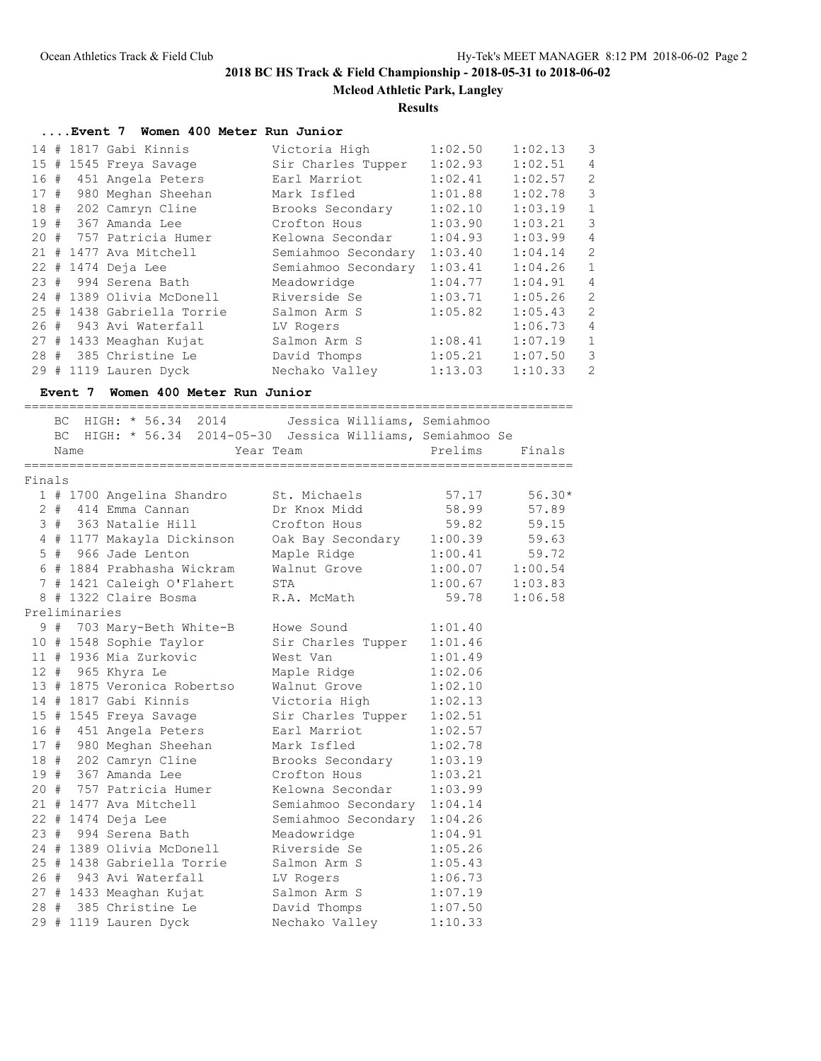**Mcleod Athletic Park, Langley**

## **Results**

|        |       | Event 7 Women 400 Meter Run Junior |                                                            |         |          |                |
|--------|-------|------------------------------------|------------------------------------------------------------|---------|----------|----------------|
|        |       | 14 # 1817 Gabi Kinnis              | Victoria High                                              | 1:02.50 | 1:02.13  | $\mathcal{E}$  |
|        |       | 15 # 1545 Freya Savage             | Sir Charles Tupper 1:02.93                                 |         | 1:02.51  | $\overline{4}$ |
|        |       | 16 # 451 Angela Peters             | Earl Marriot                                               | 1:02.41 | 1:02.57  | $\overline{c}$ |
|        |       | 17 # 980 Meghan Sheehan            | Mark Isfled                                                | 1:01.88 | 1:02.78  | 3              |
|        |       | 18 # 202 Camryn Cline              | Brooks Secondary                                           | 1:02.10 | 1:03.19  | $\overline{1}$ |
|        |       | 19 # 367 Amanda Lee                | Crofton Hous                                               | 1:03.90 | 1:03.21  | 3              |
|        |       | 20 # 757 Patricia Humer            | Kelowna Secondar                                           | 1:04.93 | 1:03.99  | $\overline{4}$ |
|        |       | 21 # 1477 Ava Mitchell             | Semiahmoo Secondary 1:03.40                                |         | 1:04.14  | $\overline{c}$ |
|        |       | 22 # 1474 Deja Lee                 | Semiahmoo Secondary 1:03.41                                |         | 1:04.26  | $\mathbf{1}$   |
|        |       | 23 # 994 Serena Bath               | Meadowridge                                                | 1:04.77 | 1:04.91  | $\overline{4}$ |
|        |       | 24 # 1389 Olivia McDonell          | Riverside Se                                               | 1:03.71 | 1:05.26  | $\overline{c}$ |
|        |       | 25 # 1438 Gabriella Torrie         | Salmon Arm S                                               | 1:05.82 | 1:05.43  | $\overline{c}$ |
|        |       | 26 # 943 Avi Waterfall             | LV Rogers                                                  |         | 1:06.73  | $\overline{4}$ |
|        |       | 27 # 1433 Meaghan Kujat            | Salmon Arm S                                               | 1:08.41 | 1:07.19  | $\mathbf{1}$   |
|        |       | 28 # 385 Christine Le              | David Thomps                                               | 1:05.21 | 1:07.50  | 3              |
|        |       | 29 # 1119 Lauren Dyck              | Nechako Valley                                             | 1:13.03 | 1:10.33  | $\overline{c}$ |
|        |       | Event 7 Women 400 Meter Run Junior |                                                            |         |          |                |
|        |       |                                    | BC HIGH: * 56.34 2014 Jessica Williams, Semiahmoo          |         |          |                |
|        |       |                                    | BC HIGH: * 56.34 2014-05-30 Jessica Williams, Semiahmoo Se |         |          |                |
|        | Name  |                                    | Year Team                                                  | Prelims | Finals   |                |
|        |       |                                    |                                                            |         |          |                |
| Finals |       |                                    |                                                            |         |          |                |
|        |       | 1 # 1700 Angelina Shandro          | St. Michaels                                               | 57.17   | $56.30*$ |                |
|        | $2 +$ | 414 Emma Cannan                    | Dr Knox Midd                                               | 58.99   | 57.89    |                |

|  |               |                       |                                                                                                                                        | 56.30 |
|--|---------------|-----------------------|----------------------------------------------------------------------------------------------------------------------------------------|-------|
|  |               |                       |                                                                                                                                        |       |
|  |               |                       |                                                                                                                                        |       |
|  |               |                       |                                                                                                                                        |       |
|  |               |                       | 5 # 966 Jade Lenton Maple Ridge 1:00.41 59.72                                                                                          |       |
|  |               |                       | 6 # 1884 Prabhasha Wickram Walnut Grove 1:00.07 1:00.54                                                                                |       |
|  |               |                       | 7 # 1421 Caleigh O'Flahert STA 1:00.67 1:03.83<br>8 # 1322 Claire Bosma R.A. McMath 59.78 1:06.58                                      |       |
|  |               |                       |                                                                                                                                        |       |
|  | Preliminaries |                       |                                                                                                                                        |       |
|  |               |                       | 9 # 703 Mary-Beth White-B Howe Sound 1:01.40                                                                                           |       |
|  |               |                       | 10 # 1548 Sophie Taylor Sir Charles Tupper 1:01.46<br>11 # 1936 Mia Zurkovic West Van 1:01.49                                          |       |
|  |               |                       |                                                                                                                                        |       |
|  |               |                       | 12 # 965 Khyra Le Maple Ridge 1:02.06<br>13 # 1875 Veronica Robertso Walnut Grove 1:02.10                                              |       |
|  |               |                       |                                                                                                                                        |       |
|  |               |                       | 14 # 1817 Gabi Kinnis Victoria High 1:02.13                                                                                            |       |
|  |               |                       | 15 # 1545 Freya Savage Sir Charles Tupper 1:02.51<br>16 # 451 Angela Peters Earl Marriot 1:02.57                                       |       |
|  |               |                       |                                                                                                                                        |       |
|  |               |                       | 17 # 980 Meghan Sheehan Mark Isfled 1:02.78                                                                                            |       |
|  |               |                       | 18 # 202 Camryn Cline Brooks Secondary 1:03.19                                                                                         |       |
|  |               |                       | 19 # 367 Amanda Lee Crofton Hous 1:03.21                                                                                               |       |
|  |               |                       | 20 # 757 Patricia Humer Kelowna Secondar 1:03.99                                                                                       |       |
|  |               |                       | 21 # 1477 Ava Mitchell Semiahmoo Secondary 1:04.14<br>22 # 1474 Deja Lee Semiahmoo Secondary 1:04.26                                   |       |
|  |               |                       |                                                                                                                                        |       |
|  |               |                       | 23 # 994 Serena Bath Meadowridge 1:04.91                                                                                               |       |
|  |               |                       | 24 # 1389 Olivia McDonell Riverside Se 1:05.26                                                                                         |       |
|  |               |                       | 25 # 1438 Gabriella Torrie Salmon Arm S 1:05.43                                                                                        |       |
|  |               |                       | 26 # 943 Avi Waterfall LV Rogers 1:06.73                                                                                               |       |
|  |               |                       |                                                                                                                                        |       |
|  |               |                       | 27 # 1433 Meaghan Kujat            Salmon Arm S            1:07.19<br>28 # 385 Christine Le             David Thomps           1:07.50 |       |
|  |               | 29 # 1119 Lauren Dyck | Nechako Valley 1:10.33                                                                                                                 |       |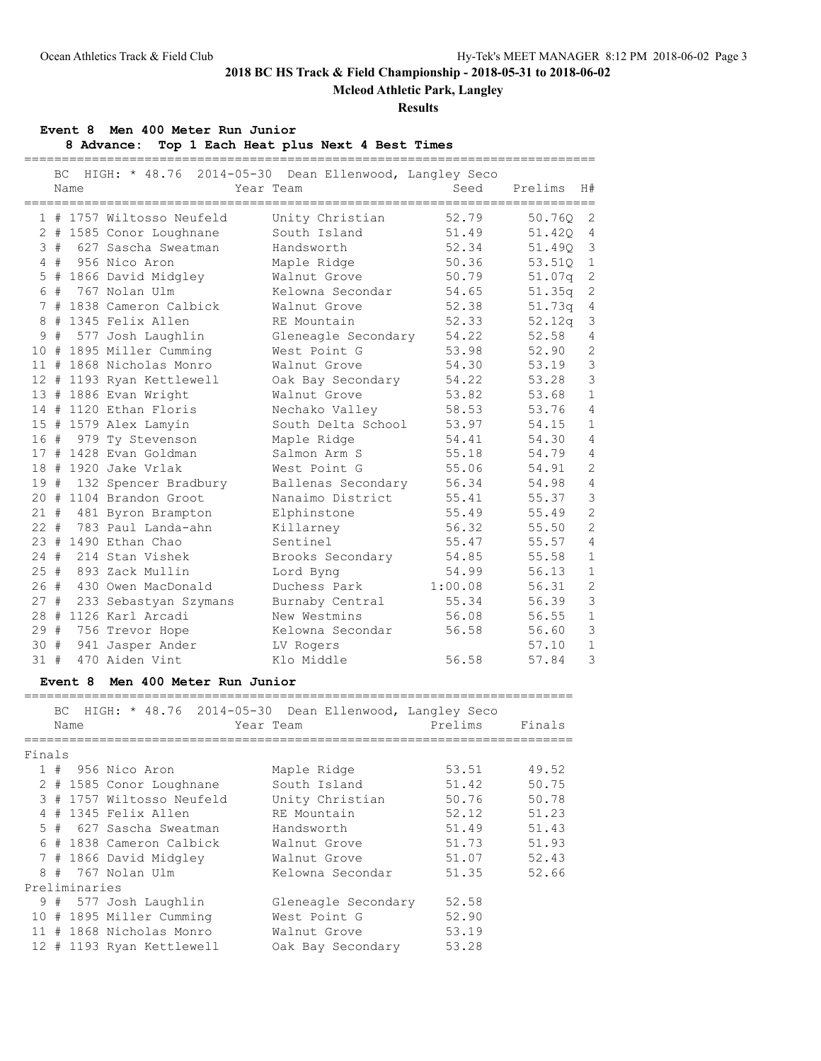## **Mcleod Athletic Park, Langley**

### **Results**

### **Event 8 Men 400 Meter Run Junior**

**8 Advance: Top 1 Each Heat plus Next 4 Best Times** ============================================================================

|        | ВC                         | HIGH: * 48.76 2014-05-30 Dean Ellenwood, Langley Seco |                                    |                |         |                |
|--------|----------------------------|-------------------------------------------------------|------------------------------------|----------------|---------|----------------|
|        | Name                       |                                                       | Year Team                          | Seed           | Prelims | H#             |
|        |                            |                                                       | ==============                     |                |         |                |
|        |                            | 1 # 1757 Wiltosso Neufeld                             | Unity Christian                    | 52.79          | 50.760  | 2              |
|        |                            | 2 # 1585 Conor Loughnane                              | South Island                       | 51.49          | 51.420  | $\overline{4}$ |
|        |                            | 3 # 627 Sascha Sweatman                               | Handsworth                         | 52.34          | 51.490  | $\mathbf{3}$   |
|        | 4#                         | 956 Nico Aron                                         | Maple Ridge                        | 50.36          | 53.51Q  | $\mathbf{1}$   |
|        |                            | 5 # 1866 David Midgley                                | Walnut Grove                       | 50.79          | 51.07q  | $\sqrt{2}$     |
|        |                            | 6 # 767 Nolan Ulm                                     | Kelowna Secondar                   | 54.65          | 51.35q  | 2              |
|        |                            | 7 # 1838 Cameron Calbick                              | Walnut Grove                       | 52.38          | 51.73q  | $\overline{4}$ |
|        |                            | 8 # 1345 Felix Allen                                  | RE Mountain                        | 52.33          | 52.12q  | $\mathcal{S}$  |
|        |                            | 9 # 577 Josh Laughlin                                 | Gleneagle Secondary                | 54.22          | 52.58   | 4              |
|        |                            | 10 # 1895 Miller Cumming                              | West Point G                       | 53.98          | 52.90   | $\mathbf{2}$   |
|        |                            | 11 # 1868 Nicholas Monro                              | Walnut Grove                       | 54.30          | 53.19   | $\mathsf 3$    |
|        |                            | 12 # 1193 Ryan Kettlewell                             | Oak Bay Secondary                  | 54.22          | 53.28   | $\mathcal{S}$  |
|        |                            | 13 # 1886 Evan Wright                                 | Walnut Grove                       | 53.82          | 53.68   | $\mathbf{1}$   |
|        |                            | 14 # 1120 Ethan Floris                                | Nechako Valley                     | 58.53          | 53.76   | $\overline{4}$ |
|        |                            | 15 # 1579 Alex Lamyin                                 | South Delta School                 | 53.97          | 54.15   | $\mathbf{1}$   |
|        |                            | 16 # 979 Ty Stevenson                                 | Maple Ridge                        | 54.41          | 54.30   | $\overline{4}$ |
|        |                            | 17 # 1428 Evan Goldman                                | Salmon Arm S                       | 55.18          | 54.79   | 4              |
|        |                            | 18 # 1920 Jake Vrlak                                  | West Point G                       | 55.06          | 54.91   | 2              |
|        |                            | 19 # 132 Spencer Bradbury                             | Ballenas Secondary                 | 56.34          | 54.98   | $\overline{4}$ |
|        |                            | 20 # 1104 Brandon Groot                               | Nanaimo District                   | 55.41          | 55.37   | $\mathsf 3$    |
|        |                            | 21 # 481 Byron Brampton                               | Elphinstone                        | 55.49          | 55.49   | $\mathbf{2}$   |
|        |                            | 22 # 783 Paul Landa-ahn                               | Killarney                          | 56.32          | 55.50   | $\overline{c}$ |
|        |                            | 23 # 1490 Ethan Chao                                  | Sentinel                           | 55.47          | 55.57   | $\overline{4}$ |
| 24#    |                            | 214 Stan Vishek                                       | Brooks Secondary                   | 54.85          | 55.58   | $\mathbf{1}$   |
| 25#    |                            | 893 Zack Mullin                                       | Lord Byng                          | 54.99          | 56.13   | $\mathbf{1}$   |
| 26#    |                            | 430 Owen MacDonald                                    | Duchess Park                       | 1:00.08        | 56.31   | $\overline{c}$ |
| 27#    |                            | 233 Sebastyan Szymans                                 | Burnaby Central                    | 55.34          | 56.39   | $\mathcal{S}$  |
|        |                            | 28 # 1126 Karl Arcadi                                 | New Westmins                       | 56.08          | 56.55   | $\mathbf{1}$   |
|        | 29 #                       | 756 Trevor Hope                                       | Kelowna Secondar                   | 56.58          | 56.60   | $\mathfrak{Z}$ |
| 30#    |                            | 941 Jasper Ander                                      | LV Rogers                          |                | 57.10   | $\mathbf{1}$   |
| 31#    |                            | 470 Aiden Vint                                        | Klo Middle                         | 56.58          | 57.84   | $\mathcal{E}$  |
|        |                            |                                                       |                                    |                |         |                |
|        |                            | Event 8 Men 400 Meter Run Junior                      |                                    |                |         |                |
|        | ВC                         | HIGH: * 48.76 2014-05-30 Dean Ellenwood, Langley Seco |                                    |                |         |                |
|        |                            |                                                       |                                    | Prelims        |         |                |
|        | Name<br>================== |                                                       | Year Team<br>===================== | ============== | Finals  |                |
| Finals |                            |                                                       |                                    |                |         |                |
|        |                            | 1 # 956 Nico Aron                                     | Maple Ridge                        | 53.51          | 49.52   |                |
|        |                            | 2 # 1585 Conor Loughnane                              | South Island                       | 51.42          | 50.75   |                |
|        |                            | 3 # 1757 Wiltosso Neufeld                             | Unity Christian                    | 50.76          | 50.78   |                |
|        |                            | 4 # 1345 Felix Allen                                  | RE Mountain                        | 52.12          | 51.23   |                |
|        |                            | 5 # 627 Sascha Sweatman                               | Handsworth                         | 51.49          | 51.43   |                |
|        |                            | 6 # 1838 Cameron Calbick                              | Walnut Grove                       | 51.73          | 51.93   |                |
|        |                            | 7 # 1866 David Midgley                                | Walnut Grove                       | 51.07          | 52.43   |                |
|        |                            | 8 # 767 Nolan Ulm                                     | Kelowna Secondar                   | 51.35          | 52.66   |                |
|        | Preliminaries              |                                                       |                                    |                |         |                |
|        |                            | 9 # 577 Josh Laughlin                                 | Gleneagle Secondary                | 52.58          |         |                |
|        |                            | 10 # 1895 Miller Cumming                              | West Point G                       | 52.90          |         |                |
|        |                            | 11 # 1868 Nicholas Monro                              | Walnut Grove                       | 53.19          |         |                |
|        |                            |                                                       |                                    |                |         |                |

12 # 1193 Ryan Kettlewell Oak Bay Secondary 53.28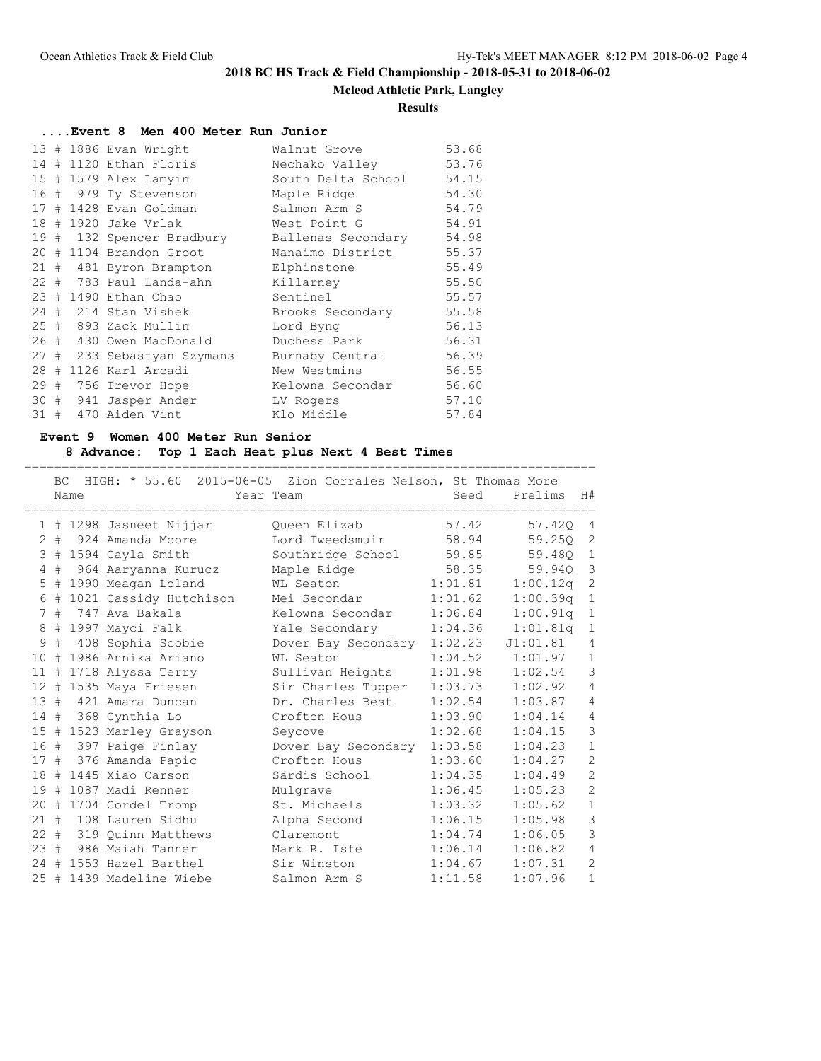### **Mcleod Athletic Park, Langley**

#### **Results**

**....Event 8 Men 400 Meter Run Junior**

|     |  | 13 # 1886 Evan Wright      | Walnut Grove       | 53.68 |
|-----|--|----------------------------|--------------------|-------|
|     |  | 14 # 1120 Ethan Floris     | Nechako Valley     | 53.76 |
|     |  | 15 # 1579 Alex Lamyin      | South Delta School | 54.15 |
|     |  | 16 # 979 Ty Stevenson      | Maple Ridge        | 54.30 |
|     |  | 17 # 1428 Evan Goldman     | Salmon Arm S       | 54.79 |
|     |  | 18 # 1920 Jake Vrlak       | West Point G       | 54.91 |
|     |  | 19 # 132 Spencer Bradbury  | Ballenas Secondary | 54.98 |
|     |  | 20 # 1104 Brandon Groot    | Nanaimo District   | 55.37 |
|     |  | 21 # 481 Byron Brampton    | Elphinstone        | 55.49 |
|     |  | 22 # 783 Paul Landa-ahn    | Killarney          | 55.50 |
|     |  | 23 # 1490 Ethan Chao       | Sentinel           | 55.57 |
|     |  | 24 # 214 Stan Vishek       | Brooks Secondary   | 55.58 |
|     |  | 25 # 893 Zack Mullin       | Lord Byng          | 56.13 |
|     |  | 26 # 430 Owen MacDonald    | Duchess Park       | 56.31 |
|     |  | 27 # 233 Sebastyan Szymans | Burnaby Central    | 56.39 |
|     |  | 28 # 1126 Karl Arcadi      | New Westmins       | 56.55 |
|     |  | 29 # 756 Trevor Hope       | Kelowna Secondar   | 56.60 |
| 30# |  | 941 Jasper Ander           | LV Rogers          | 57.10 |
| 31# |  | 470 Aiden Vint             | Klo Middle         | 57.84 |

### **Event 9 Women 400 Meter Run Senior**

#### **8 Advance: Top 1 Each Heat plus Next 4 Best Times**

============================================================================ BC HIGH: \* 55.60 2015-06-05 Zion Corrales Nelson, St Thomas More Name Year Team Seed Prelims H# ============================================================================ 1 # 1298 Jasneet Nijjar Queen Elizab 57.42 57.42Q 4 2 # 924 Amanda Moore Lord Tweedsmuir 58.94 59.25Q 2 3 # 1594 Cayla Smith Southridge School 59.85 59.48Q 1 4 # 964 Aaryanna Kurucz Maple Ridge 58.35 59.94Q 3 5 # 1990 Meagan Loland WL Seaton 1:01.81 1:00.12q 2 6 # 1021 Cassidy Hutchison Mei Secondar 1:01.62 1:00.39q 1 7 # 747 Ava Bakala Kelowna Secondar 1:06.84 1:00.91q 1 8 # 1997 Mayci Falk Yale Secondary 1:04.36 1:01.81q 1 9 # 408 Sophia Scobie Dover Bay Secondary 1:02.23 J1:01.81 4 10 # 1986 Annika Ariano WL Seaton 1:04.52 1:01.97 1 11 # 1718 Alyssa Terry Sullivan Heights 1:01.98 1:02.54 3 12 # 1535 Maya Friesen Sir Charles Tupper 1:03.73 1:02.92 4 13 # 421 Amara Duncan Dr. Charles Best 1:02.54 1:03.87 4 14 # 368 Cynthia Lo Crofton Hous 1:03.90 1:04.14 4 15 # 1523 Marley Grayson Seycove 1:02.68 1:04.15 3 16 # 397 Paige Finlay Dover Bay Secondary 1:03.58 1:04.23 1 17 # 376 Amanda Papic Crofton Hous 1:03.60 1:04.27 2 18 # 1445 Xiao Carson Sardis School 1:04.35 1:04.49 2 19 # 1087 Madi Renner Mulgrave 1:06.45 1:05.23 2 20 # 1704 Cordel Tromp St. Michaels 1:03.32 1:05.62 1 21 # 108 Lauren Sidhu Alpha Second 1:06.15 1:05.98 3 22 # 319 Quinn Matthews Claremont 1:04.74 1:06.05 3 23 # 986 Maiah Tanner Mark R. Isfe 1:06.14 1:06.82 4 24 # 1553 Hazel Barthel Sir Winston 1:04.67 1:07.31 2 25 # 1439 Madeline Wiebe Salmon Arm S 1:11.58 1:07.96 1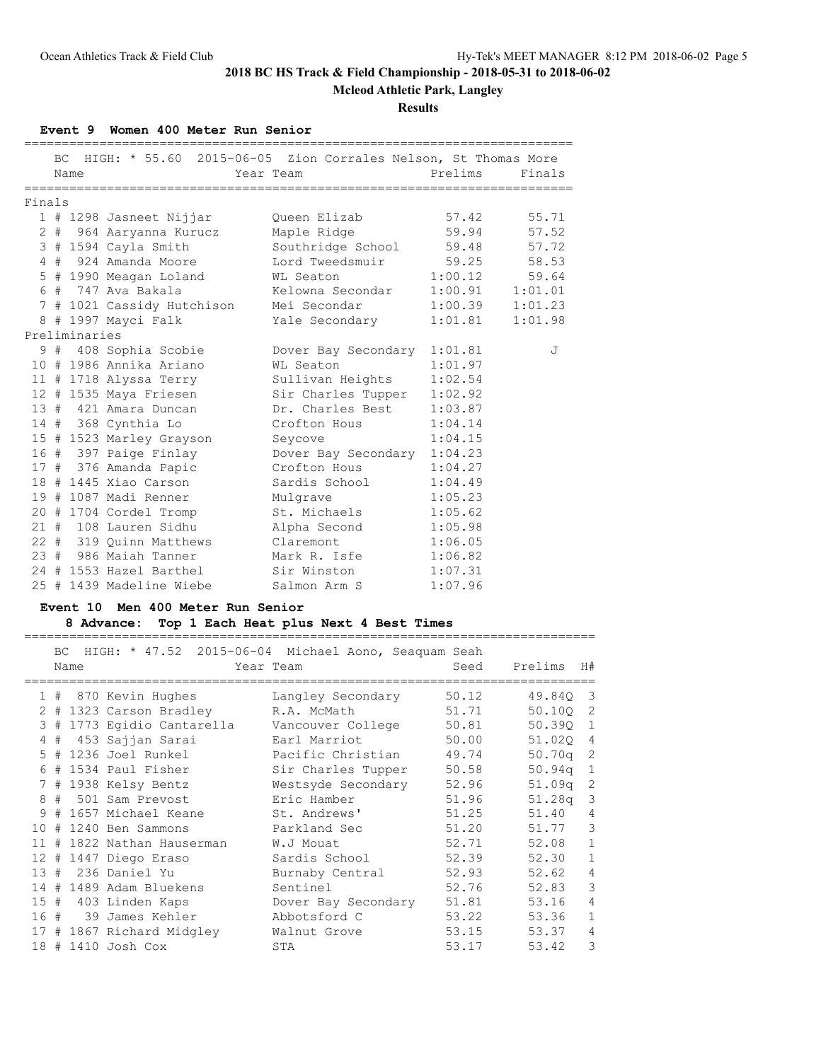**Mcleod Athletic Park, Langley**

**Results**

### **Event 9 Women 400 Meter Run Senior**

|        |               | BC HIGH: * 55.60 2015-06-05 Zion Corrales Nelson, St Thomas More |                               |                     |        |
|--------|---------------|------------------------------------------------------------------|-------------------------------|---------------------|--------|
|        | Name          |                                                                  | Year Team                     | Prelims             | Finals |
| Finals |               |                                                                  |                               |                     |        |
|        |               | 1 # 1298 Jasneet Nijjar                                          | Queen Elizab                  | 57.42 55.71         |        |
|        |               | 2 # 964 Aaryanna Kurucz                                          | Maple Ridge 59.94 57.52       |                     |        |
|        |               | 3 # 1594 Cayla Smith                                             | Southridge School 59.48 57.72 |                     |        |
|        |               | 4 # 924 Amanda Moore                                             | Lord Tweedsmuir 59.25 58.53   |                     |        |
|        |               | 5 # 1990 Meagan Loland                                           | WL Seaton 1:00.12 59.64       |                     |        |
|        |               | 6 # 747 Ava Bakala                                               | Kelowna Secondar              | $1:00.91$ $1:01.01$ |        |
|        |               |                                                                  | Mei Secondar                  |                     |        |
|        |               | 7 # 1021 Cassidy Hutchison                                       |                               | $1:00.39$ $1:01.23$ |        |
|        | Preliminaries | 8 # 1997 Mayci Falk                                              | Yale Secondary                | $1:01.81$ $1:01.98$ |        |
|        |               |                                                                  |                               |                     |        |
|        |               | 9 # 408 Sophia Scobie                                            | Dover Bay Secondary 1:01.81   |                     | J      |
|        |               | 10 # 1986 Annika Ariano                                          | WL Seaton                     | 1:01.97             |        |
|        |               | 11 # 1718 Alyssa Terry                                           | Sullivan Heights              | 1:02.54             |        |
|        |               | 12 # 1535 Maya Friesen                                           | Sir Charles Tupper 1:02.92    |                     |        |
|        |               | 13 # 421 Amara Duncan                                            | Dr. Charles Best 1:03.87      |                     |        |
|        |               | 14 # 368 Cynthia Lo                                              | Crofton Hous                  | 1:04.14             |        |
|        |               | 15 # 1523 Marley Grayson                                         | Seycove                       | 1:04.15             |        |
|        |               | 16 # 397 Paige Finlay                                            | Dover Bay Secondary 1:04.23   |                     |        |
|        |               | 17 # 376 Amanda Papic                                            | Crofton Hous                  | 1:04.27             |        |
|        |               | 18 # 1445 Xiao Carson                                            | Sardis School                 | 1:04.49             |        |
|        |               | 19 # 1087 Madi Renner                                            | Mulgrave                      | 1:05.23             |        |
|        |               | 20 # 1704 Cordel Tromp                                           | St. Michaels 1:05.62          |                     |        |
|        |               | 21 # 108 Lauren Sidhu                                            | Alpha Second                  | 1:05.98             |        |
|        |               | 22 # 319 Quinn Matthews                                          | Claremont                     | 1:06.05             |        |
|        |               | 23 # 986 Maiah Tanner                                            | Mark R. Isfe                  | 1:06.82             |        |
|        |               | 24 # 1553 Hazel Barthel                                          | Sir Winston                   | 1:07.31             |        |
|        |               | 25 # 1439 Madeline Wiebe                                         | Salmon Arm S                  | 1:07.96             |        |

### **Event 10 Men 400 Meter Run Senior**

## **8 Advance: Top 1 Each Heat plus Next 4 Best Times**

============================================================================

| BC. |      |                            | HIGH: * 47.52 2015-06-04 Michael Aono, Seaquam Seah |       |                    |                         |
|-----|------|----------------------------|-----------------------------------------------------|-------|--------------------|-------------------------|
|     | Name |                            | Year Team                                           | Seed  | Prelims H#         |                         |
|     |      | 1 # 870 Kevin Hughes       | Langley Secondary                                   | 50.12 | 49.840             | $\overline{\mathbf{3}}$ |
|     |      | 2 # 1323 Carson Bradley    | R.A. McMath                                         | 51.71 | 50.100 2           |                         |
|     |      | 3 # 1773 Egidio Cantarella | Vancouver College                                   | 50.81 | 50.390 1           |                         |
|     |      | 4 # 453 Sajjan Sarai       | Earl Marriot                                        | 50.00 | 51.020 4           |                         |
|     |      | 5 # 1236 Joel Runkel       | Pacific Christian                                   | 49.74 | $50.70q$ 2         |                         |
|     |      | $6$ # 1534 Paul Fisher     | Sir Charles Tupper                                  | 50.58 | $50.94q$ 1         |                         |
|     |      | 7 # 1938 Kelsy Bentz       | Westsyde Secondary                                  | 52.96 | 51.09 <sub>q</sub> | 2                       |
|     |      | 8 # 501 Sam Prevost        | Eric Hamber                                         | 51.96 | 51.28 <sub>q</sub> | $\mathcal{E}$           |
|     |      | 9 # 1657 Michael Keane     | St. Andrews'                                        | 51.25 | 51.40              | $\overline{4}$          |
|     |      | 10 # 1240 Ben Sammons      | Parkland Sec                                        | 51.20 | 51.77              | 3                       |
|     |      | 11 # 1822 Nathan Hauserman | W.J Mouat                                           | 52.71 | 52.08              | $\mathbf{1}$            |
|     |      | 12 # 1447 Diego Eraso      | Sardis School                                       | 52.39 | 52.30              | $\mathbf{1}$            |
|     |      | 13 # 236 Daniel Yu         | Burnaby Central                                     | 52.93 | 52.62              | $\overline{4}$          |
|     |      | 14 # 1489 Adam Bluekens    | Sentinel                                            | 52.76 | 52.83              | 3                       |
|     |      | 15 # 403 Linden Kaps       | Dover Bay Secondary                                 | 51.81 | 53.16              | $\overline{4}$          |
|     |      | 16 # 39 James Kehler       | Abbotsford C                                        | 53.22 | 53.36              | $\mathbf{1}$            |
|     |      | 17 # 1867 Richard Midgley  | Walnut Grove                                        | 53.15 | 53.37              | $\overline{4}$          |
|     |      | 18 # 1410 Josh Cox         | STA                                                 | 53.17 | 53.42              | 3                       |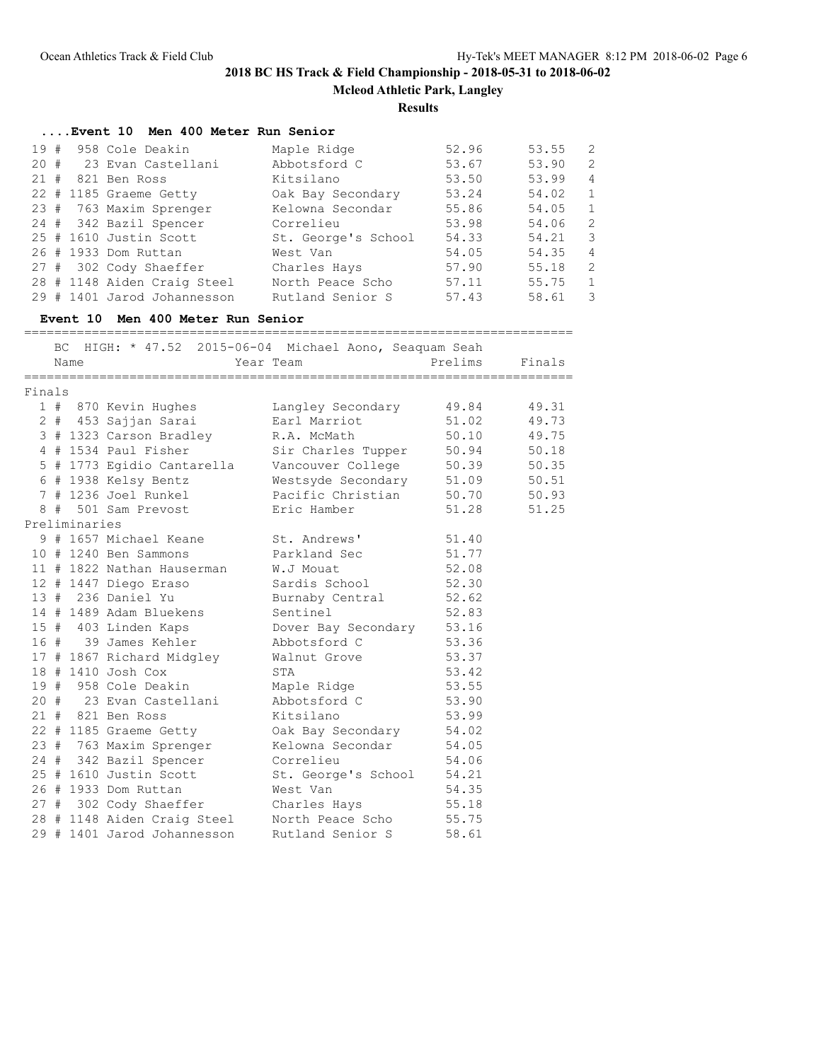**Mcleod Athletic Park, Langley**

#### **Results**

#### **....Event 10 Men 400 Meter Run Senior**

| 19# | 958 Cole Deakin             | Maple Ridge         | 52.96 | 53.55 | -2                      |
|-----|-----------------------------|---------------------|-------|-------|-------------------------|
| 20# | 23 Evan Castellani          | Abbotsford C        | 53.67 | 53.90 | 2                       |
| 21# | 821 Ben Ross                | Kitsilano           | 53.50 | 53.99 | 4                       |
|     | 22 # 1185 Graeme Getty      | Oak Bay Secondary   | 53.24 | 54.02 | $\overline{1}$          |
|     | 23 # 763 Maxim Sprenger     | Kelowna Secondar    | 55.86 | 54.05 | $\overline{1}$          |
|     | 24 # 342 Bazil Spencer      | Correlieu           | 53.98 | 54.06 | - 2                     |
|     | 25 # 1610 Justin Scott      | St. George's School | 54.33 | 54.21 | $\overline{\mathbf{3}}$ |
|     | 26 # 1933 Dom Ruttan        | West Van            | 54.05 | 54.35 | $\overline{4}$          |
|     | 27 # 302 Cody Shaeffer      | Charles Hays        | 57.90 | 55.18 | -2                      |
|     | 28 # 1148 Aiden Craig Steel | North Peace Scho    | 57.11 | 55.75 | 1                       |
|     | 29 # 1401 Jarod Johannesson | Rutland Senior S    | 57.43 | 58.61 | -3                      |

### **Event 10 Men 400 Meter Run Senior**

========================================================================= BC HIGH: \* 47.52 2015-06-04 Michael Aono, Seaquam Seah Name Tear Team Prelims Finals ========================================================================= Finals 1 # 870 Kevin Hughes Langley Secondary 49.84 49.31 2 # 453 Sajjan Sarai Earl Marriot 51.02 49.73 3 # 1323 Carson Bradley R.A. McMath 50.10 49.75 4 # 1534 Paul Fisher Sir Charles Tupper 50.94 50.18 5 # 1773 Egidio Cantarella Vancouver College 50.39 50.35 6 # 1938 Kelsy Bentz Westsyde Secondary 51.09 50.51 7 # 1236 Joel Runkel Pacific Christian 50.70 50.93 8 # 501 Sam Prevost Eric Hamber 51.28 51.25 Preliminaries 9 # 1657 Michael Keane St. Andrews' 51.40 10 # 1240 Ben Sammons Parkland Sec 51.77 11 # 1822 Nathan Hauserman W.J Mouat 52.08 12 # 1447 Diego Eraso Sardis School 52.30 13 # 236 Daniel Yu Burnaby Central 52.62 14 # 1489 Adam Bluekens Sentinel 52.83 15 # 403 Linden Kaps Dover Bay Secondary 53.16 16 # 39 James Kehler Abbotsford C 53.36 17 # 1867 Richard Midgley Walnut Grove 53.37 18 # 1410 Josh Cox STA 53.42 19 # 958 Cole Deakin Maple Ridge 53.55 20 # 23 Evan Castellani Abbotsford C 53.90 21 # 821 Ben Ross Kitsilano 53.99 22 # 1185 Graeme Getty Oak Bay Secondary 54.02 23 # 763 Maxim Sprenger Kelowna Secondar 54.05 24 # 342 Bazil Spencer Correlieu 54.06 25 # 1610 Justin Scott St. George's School 54.21 26 # 1933 Dom Ruttan West Van 54.35 27 # 302 Cody Shaeffer Charles Hays 55.18 28 # 1148 Aiden Craig Steel North Peace Scho 55.75 29 # 1401 Jarod Johannesson Rutland Senior S 58.61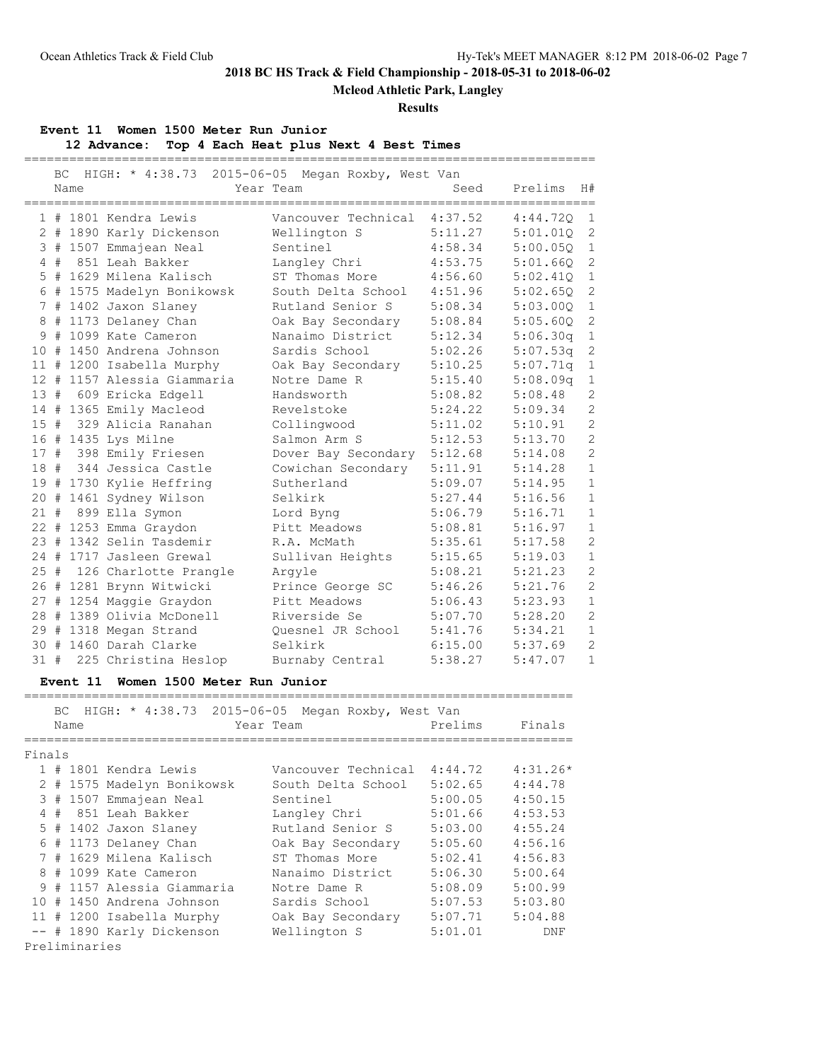# **Mcleod Athletic Park, Langley**

### **Results**

### **Event 11 Women 1500 Meter Run Junior**

**12 Advance: Top 4 Each Heat plus Next 4 Best Times**

============================================================================

|        | ВC | Name          | HIGH: * 4:38.73 2015-06-05 Megan Roxby, West Van    | Year Team           | Seed    | Prelims    | H#             |
|--------|----|---------------|-----------------------------------------------------|---------------------|---------|------------|----------------|
|        |    |               |                                                     |                     |         |            |                |
|        |    |               | 1 # 1801 Kendra Lewis                               | Vancouver Technical | 4:37.52 | 4:44.72Q   | $\mathbf{1}$   |
|        |    |               | 2 # 1890 Karly Dickenson                            | Wellington S        | 5:11.27 | 5:01.01Q   | $\mathbf{2}$   |
|        |    |               | 3 # 1507 Emmajean Neal                              | Sentinel            | 4:58.34 | 5:00.05Q   | $\mathbf{1}$   |
|        |    |               | 4 # 851 Leah Bakker                                 | Langley Chri        | 4:53.75 | 5:01.660   | 2              |
|        |    |               | 5 # 1629 Milena Kalisch                             | ST Thomas More      | 4:56.60 | 5:02.41Q   | $\mathbf 1$    |
|        |    |               | 6 # 1575 Madelyn Bonikowsk                          | South Delta School  | 4:51.96 | 5:02.65Q   | $\mathbf{2}$   |
|        |    |               | 7 # 1402 Jaxon Slaney                               | Rutland Senior S    | 5:08.34 | 5:03.000   | $\mathbf{1}$   |
|        |    |               | 8 # 1173 Delaney Chan                               | Oak Bay Secondary   | 5:08.84 | 5:05.60Q   | $\overline{2}$ |
|        |    |               | 9 # 1099 Kate Cameron                               | Nanaimo District    | 5:12.34 | 5:06.30q   | $\mathbf{1}$   |
|        |    |               | 10 # 1450 Andrena Johnson                           | Sardis School       | 5:02.26 | 5:07.53q   | $\mathbf{2}$   |
|        |    |               | 11 # 1200 Isabella Murphy                           | Oak Bay Secondary   | 5:10.25 | 5:07.71q   | $\mathbf{1}$   |
|        |    |               | 12 # 1157 Alessia Giammaria                         | Notre Dame R        | 5:15.40 | 5:08.09q   | $\mathbf{1}$   |
|        |    |               | 13 # 609 Ericka Edgell                              | Handsworth          | 5:08.82 | 5:08.48    | $\overline{c}$ |
|        |    |               | 14 # 1365 Emily Macleod                             | Revelstoke          | 5:24.22 | 5:09.34    | $\overline{2}$ |
| 15#    |    |               | 329 Alicia Ranahan                                  | Collingwood         | 5:11.02 | 5:10.91    | $\overline{c}$ |
|        |    |               | 16 # 1435 Lys Milne                                 | Salmon Arm S        | 5:12.53 | 5:13.70    | $\overline{2}$ |
|        |    |               | 17 # 398 Emily Friesen                              | Dover Bay Secondary | 5:12.68 | 5:14.08    | $\overline{2}$ |
|        |    |               | 18 # 344 Jessica Castle                             | Cowichan Secondary  | 5:11.91 | 5:14.28    | $\mathbf{1}$   |
|        |    |               | 19 # 1730 Kylie Heffring                            | Sutherland          | 5:09.07 | 5:14.95    | $\mathbf{1}$   |
|        |    |               | 20 # 1461 Sydney Wilson                             | Selkirk             | 5:27.44 | 5:16.56    | $\mathbf{1}$   |
|        |    |               | 21 # 899 Ella Symon                                 | Lord Byng           | 5:06.79 | 5:16.71    | $\mathbf{1}$   |
|        |    |               | 22 # 1253 Emma Graydon                              | Pitt Meadows        | 5:08.81 | 5:16.97    | $\mathbf{1}$   |
|        |    |               | 23 # 1342 Selin Tasdemir                            | R.A. McMath         | 5:35.61 | 5:17.58    | $\overline{2}$ |
|        |    |               | 24 # 1717 Jasleen Grewal                            | Sullivan Heights    | 5:15.65 | 5:19.03    | $\mathbf{1}$   |
|        |    |               | 25 # 126 Charlotte Prangle                          | Argyle              | 5:08.21 | 5:21.23    | $\overline{2}$ |
|        |    |               | 26 # 1281 Brynn Witwicki                            | Prince George SC    | 5:46.26 | 5:21.76    | $\overline{2}$ |
|        |    |               | 27 # 1254 Maggie Graydon                            | Pitt Meadows        | 5:06.43 | 5:23.93    | $\mathbf{1}$   |
|        |    |               | 28 # 1389 Olivia McDonell                           | Riverside Se        | 5:07.70 | 5:28.20    | $\overline{2}$ |
|        |    |               | 29 # 1318 Megan Strand                              | Quesnel JR School   | 5:41.76 | 5:34.21    | $\mathbf{1}$   |
|        |    |               | 30 # 1460 Darah Clarke                              | Selkirk             | 6:15.00 | 5:37.69    | $\overline{c}$ |
| 31 #   |    |               | 225 Christina Heslop                                | Burnaby Central     | 5:38.27 | 5:47.07    | $\mathbf{1}$   |
|        |    |               | Event 11 Women 1500 Meter Run Junior                |                     |         |            |                |
|        |    |               |                                                     |                     |         |            |                |
|        |    |               | BC HIGH: * 4:38.73 2015-06-05 Megan Roxby, West Van |                     |         |            |                |
|        |    | Name          |                                                     | Year Team           | Prelims | Finals     |                |
|        |    |               |                                                     |                     |         |            |                |
| Finals |    |               |                                                     |                     |         |            |                |
|        |    |               | 1 # 1801 Kendra Lewis                               | Vancouver Technical | 4:44.72 | $4:31.26*$ |                |
|        |    |               | 2 # 1575 Madelyn Bonikowsk                          | South Delta School  | 5:02.65 | 4:44.78    |                |
|        |    |               | 3 # 1507 Emmajean Neal                              | Sentinel            | 5:00.05 | 4:50.15    |                |
|        |    |               | 4 # 851 Leah Bakker                                 | Langley Chri        | 5:01.66 | 4:53.53    |                |
|        |    |               | 5 # 1402 Jaxon Slaney                               | Rutland Senior S    | 5:03.00 | 4:55.24    |                |
|        |    |               | 6 # 1173 Delaney Chan                               | Oak Bay Secondary   | 5:05.60 | 4:56.16    |                |
|        |    |               | 7 # 1629 Milena Kalisch                             | ST Thomas More      | 5:02.41 | 4:56.83    |                |
|        |    |               | 8 # 1099 Kate Cameron                               | Nanaimo District    | 5:06.30 | 5:00.64    |                |
|        |    |               | 9 # 1157 Alessia Giammaria                          | Notre Dame R        | 5:08.09 | 5:00.99    |                |
|        |    |               | 10 # 1450 Andrena Johnson                           | Sardis School       | 5:07.53 | 5:03.80    |                |
|        |    |               | 11 # 1200 Isabella Murphy                           | Oak Bay Secondary   | 5:07.71 | 5:04.88    |                |
|        |    |               | -- # 1890 Karly Dickenson                           | Wellington S        | 5:01.01 | DNF        |                |
|        |    | Preliminaries |                                                     |                     |         |            |                |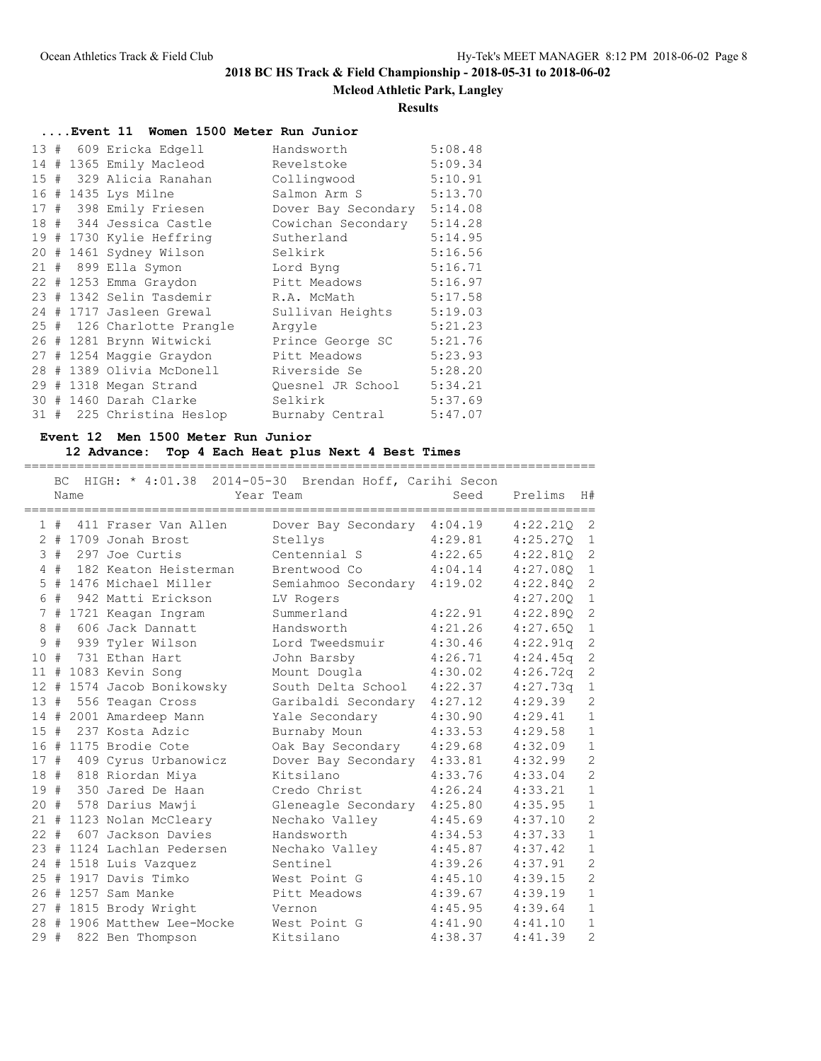# **Mcleod Athletic Park, Langley**

### **Results**

| Event 11 Women 1500 Meter Run Junior |  |  |                            |                     |         |  |  |  |  |
|--------------------------------------|--|--|----------------------------|---------------------|---------|--|--|--|--|
|                                      |  |  | 13 # 609 Ericka Edgell     | Handsworth          | 5:08.48 |  |  |  |  |
|                                      |  |  | 14 # 1365 Emily Macleod    | Revelstoke          | 5:09.34 |  |  |  |  |
|                                      |  |  | 15 # 329 Alicia Ranahan    | Collingwood         | 5:10.91 |  |  |  |  |
|                                      |  |  | 16 # 1435 Lys Milne        | Salmon Arm S        | 5:13.70 |  |  |  |  |
|                                      |  |  | 17 # 398 Emily Friesen     | Dover Bay Secondary | 5:14.08 |  |  |  |  |
|                                      |  |  | 18 # 344 Jessica Castle    | Cowichan Secondary  | 5:14.28 |  |  |  |  |
|                                      |  |  | 19 # 1730 Kylie Heffring   | Sutherland          | 5:14.95 |  |  |  |  |
|                                      |  |  | 20 # 1461 Sydney Wilson    | Selkirk             | 5:16.56 |  |  |  |  |
|                                      |  |  | 21 # 899 Ella Symon        | Lord Byng           | 5:16.71 |  |  |  |  |
|                                      |  |  | 22 # 1253 Emma Graydon     | Pitt Meadows        | 5:16.97 |  |  |  |  |
|                                      |  |  | 23 # 1342 Selin Tasdemir   | R.A. McMath         | 5:17.58 |  |  |  |  |
|                                      |  |  | 24 # 1717 Jasleen Grewal   | Sullivan Heights    | 5:19.03 |  |  |  |  |
|                                      |  |  | 25 # 126 Charlotte Prangle | Arqyle              | 5:21.23 |  |  |  |  |
|                                      |  |  | 26 # 1281 Brynn Witwicki   | Prince George SC    | 5:21.76 |  |  |  |  |
|                                      |  |  | 27 # 1254 Maggie Graydon   | Pitt Meadows        | 5:23.93 |  |  |  |  |
|                                      |  |  | 28 # 1389 Olivia McDonell  | Riverside Se        | 5:28.20 |  |  |  |  |
|                                      |  |  | 29 # 1318 Megan Strand     | Ouesnel JR School   | 5:34.21 |  |  |  |  |
|                                      |  |  | 30 # 1460 Darah Clarke     | Selkirk             | 5:37.69 |  |  |  |  |
|                                      |  |  | 31 # 225 Christina Heslop  | Burnaby Central     | 5:47.07 |  |  |  |  |

## **Event 12 Men 1500 Meter Run Junior**

## **12 Advance: Top 4 Each Heat plus Next 4 Best Times**

|              |     | Name | BC HIGH: * 4:01.38 2014-05-30 Brendan Hoff, Carihi Secon | Year Team                   | Seed    | Prelims      | H#             |
|--------------|-----|------|----------------------------------------------------------|-----------------------------|---------|--------------|----------------|
|              | 1#  |      | 411 Fraser Van Allen                                     | Dover Bay Secondary 4:04.19 |         | 4:22.210     | 2              |
|              |     |      | $2$ # 1709 Jonah Brost                                   | Stellys                     | 4:29.81 | 4:25.27Q     | $\mathbf{1}$   |
|              |     |      | $3$ # 297 Joe Curtis                                     | Centennial S                | 4:22.65 | 4:22.81Q     | $\mathbf{2}$   |
|              |     |      | 4 # 182 Keaton Heisterman                                | Brentwood Co                | 4:04.14 | 4:27.080     | $\mathbf{1}$   |
|              |     |      | 5 # 1476 Michael Miller                                  | Semiahmoo Secondary 4:19.02 |         | 4:22.840     | $\overline{2}$ |
|              | 6 # |      | 942 Matti Erickson                                       | LV Rogers                   |         | 4:27.20Q     | $\mathbf{1}$   |
|              |     |      | 7 # 1721 Keagan Ingram                                   | Summerland                  | 4:22.91 | 4:22.890     | $\mathbf{2}$   |
| 8            |     |      | # 606 Jack Dannatt                                       | Handsworth                  | 4:21.26 | 4:27.650     | $\mathbf{1}$   |
| $\mathsf 9$  | #   |      | 939 Tyler Wilson                                         | Lord Tweedsmuir             | 4:30.46 | 4:22.91q     | $\mathbf{2}$   |
| 10           | #   |      | 731 Ethan Hart                                           | John Barsby                 | 4:26.71 | 4:24.45q     | $\mathbf{2}$   |
|              |     |      | 11 # 1083 Kevin Song                                     | Mount Dougla                | 4:30.02 | $4:26.72q$ 2 |                |
|              |     |      | 12 # 1574 Jacob Bonikowsky                               | South Delta School          | 4:22.37 | 4:27.73q     | $\mathbf{1}$   |
| 13#          |     |      | 556 Teagan Cross                                         | Garibaldi Secondary 4:27.12 |         | 4:29.39      | $\mathbf{2}$   |
|              |     |      | 14 # 2001 Amardeep Mann                                  | Yale Secondary              | 4:30.90 | 4:29.41      | $\mathbf{1}$   |
| 15#          |     |      | 237 Kosta Adzic                                          | Burnaby Moun                | 4:33.53 | 4:29.58      | $\,1\,$        |
|              |     |      | 16 # 1175 Brodie Cote                                    | Oak Bay Secondary           | 4:29.68 | 4:32.09      | $\mathbf{1}$   |
| 17#          |     |      | 409 Cyrus Urbanowicz                                     | Dover Bay Secondary         | 4:33.81 | 4:32.99      | $\overline{c}$ |
|              |     |      | 18 # 818 Riordan Miya                                    | Kitsilano                   | 4:33.76 | 4:33.04      | $\overline{2}$ |
|              |     |      | 19 # 350 Jared De Haan                                   | Credo Christ                | 4:26.24 | 4:33.21      | $\,1\,$        |
|              |     |      | 20 # 578 Darius Mawji                                    | Gleneagle Secondary 4:25.80 |         | 4:35.95      | $\mathbf{1}$   |
|              |     |      | 21 # 1123 Nolan McCleary                                 | Nechako Valley              | 4:45.69 | 4:37.10      | $\overline{c}$ |
| $22^{\circ}$ |     |      | # 607 Jackson Davies                                     | Handsworth                  | 4:34.53 | 4:37.33      | $\mathbf{1}$   |
|              |     |      | 23 # 1124 Lachlan Pedersen                               | Nechako Valley              | 4:45.87 | 4:37.42      | $\mathbf{1}$   |
|              |     |      | 24 # 1518 Luis Vazquez                                   | Sentinel                    | 4:39.26 | 4:37.91      | $\mathbf{2}$   |
|              |     |      | 25 # 1917 Davis Timko                                    | West Point G                | 4:45.10 | 4:39.15      | $\overline{c}$ |
|              |     |      | 26 # 1257 Sam Manke                                      | Pitt Meadows                | 4:39.67 | 4:39.19      | $\,1\,$        |
|              |     |      | 27 # 1815 Brody Wright                                   | Vernon                      | 4:45.95 | 4:39.64      | $\mathbf{1}$   |
|              |     |      | 28 # 1906 Matthew Lee-Mocke                              | West Point G                | 4:41.90 | 4:41.10      | $\mathbf{1}$   |
| 29#          |     |      | 822 Ben Thompson                                         | Kitsilano                   | 4:38.37 | 4:41.39      | $\overline{2}$ |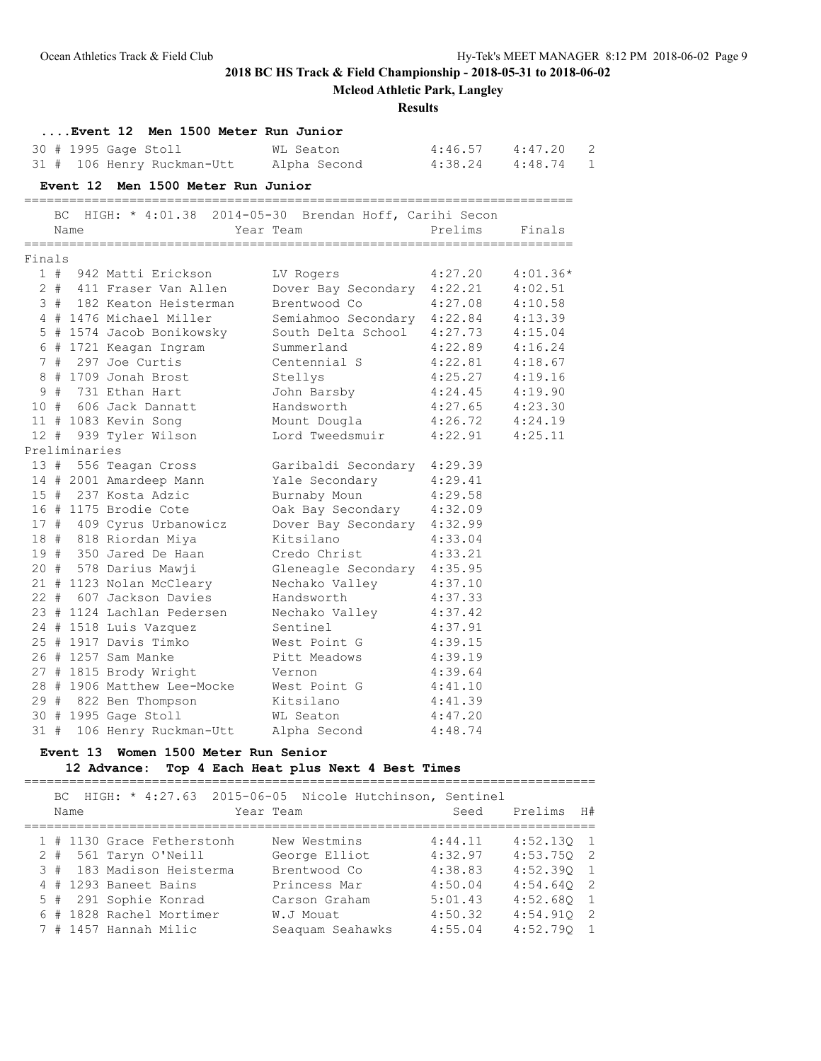|        |     |               |                                                                                | <b>Mcleod Athletic Park, Langley</b><br><b>Results</b>                                                 |                                            |         |   |  |  |
|--------|-----|---------------|--------------------------------------------------------------------------------|--------------------------------------------------------------------------------------------------------|--------------------------------------------|---------|---|--|--|
|        |     |               | Event 12 Men 1500 Meter Run Junior                                             |                                                                                                        |                                            |         |   |  |  |
|        |     |               | 30 # 1995 Gage Stoll                                                           | WL Seaton                                                                                              | $4:46.57$ $4:47.20$                        |         | 2 |  |  |
|        |     |               |                                                                                | 31 # 106 Henry Ruckman-Utt Alpha Second 4:38.24 4:48.74 1                                              |                                            |         |   |  |  |
|        |     |               | Event 12 Men 1500 Meter Run Junior                                             |                                                                                                        |                                            |         |   |  |  |
|        | BC. |               |                                                                                | HIGH: * 4:01.38 2014-05-30 Brendan Hoff, Carihi Secon                                                  |                                            |         |   |  |  |
|        |     | Name          | Year Team                                                                      |                                                                                                        | Prelims Finals                             |         |   |  |  |
| Finals |     |               |                                                                                |                                                                                                        |                                            |         |   |  |  |
|        |     |               | 1 # 942 Matti Erickson                                                         | LV Rogers 4:27.20 4:01.36*                                                                             |                                            |         |   |  |  |
|        |     |               |                                                                                |                                                                                                        |                                            | 4:02.51 |   |  |  |
|        |     |               |                                                                                | 2 # 411 Fraser Van Allen Dover Bay Secondary 4:22.21<br>3 # 182 Keaton Heisterman Brentwood Co 4:27.08 |                                            | 4:10.58 |   |  |  |
|        |     |               | 4 # 1476 Michael Miller                                                        | Semiahmoo Secondary 4:22.84                                                                            |                                            | 4:13.39 |   |  |  |
|        |     |               | 5 # 1574 Jacob Bonikowsky                                                      | South Delta School 4:27.73 4:15.04                                                                     |                                            |         |   |  |  |
|        |     |               | 5 # 1574 Jacob 2.<br>6 # 1721 Keagan Ingram Summeriano<br>- Antie Centennial S | Summerland                                                                                             | 4:22.89                                    | 4:16.24 |   |  |  |
|        |     |               |                                                                                |                                                                                                        | 4:22.81                                    | 4:18.67 |   |  |  |
|        |     |               | 8 # 1709 Jonah Brost Stellys                                                   |                                                                                                        | $4:25.27$ $4:19.16$                        |         |   |  |  |
|        |     |               | 9 # 731 Ethan Hart                                                             |                                                                                                        |                                            |         |   |  |  |
|        |     |               | 10 # 606 Jack Dannatt                                                          | John Barsby<br>Handsworth                                                                              | $4:24.45$ $4:19.90$<br>$4:27.65$ $4:23.30$ |         |   |  |  |
|        |     |               | 11 # 1083 Kevin Song                                                           | Mount Dougla 4:26.72 4:24.19                                                                           |                                            |         |   |  |  |
|        |     |               | 12 # 939 Tyler Wilson                                                          | Lord Tweedsmuir 4:22.91 4:25.11                                                                        |                                            |         |   |  |  |
|        |     | Preliminaries |                                                                                |                                                                                                        |                                            |         |   |  |  |
|        |     |               |                                                                                | 13 # 556 Teagan Cross Garibaldi Secondary 4:29.39                                                      |                                            |         |   |  |  |
|        |     |               |                                                                                | 14 # 2001 Amardeep Mann Yale Secondary 4:29.41                                                         |                                            |         |   |  |  |
|        |     |               | 15 # 237 Kosta Adzic                                                           | Burnaby Moun 4:29.58                                                                                   |                                            |         |   |  |  |
|        |     |               | 16 # 1175 Brodie Cote                                                          | Oak Bay Secondary 4:32.09                                                                              |                                            |         |   |  |  |
|        |     |               | 17 # 409 Cyrus Urbanowicz                                                      | Dover Bay Secondary 4:32.99                                                                            |                                            |         |   |  |  |
|        |     |               | 18 # 818 Riordan Miya                                                          | Kitsilano                                                                                              | 4:33.04                                    |         |   |  |  |
|        |     |               | 19 # 350 Jared De Haan                                                         | Credo Christ                                                                                           | 4:33.21                                    |         |   |  |  |
|        |     |               | 20 # 578 Darius Mawji                                                          | Gleneagle Secondary 4:35.95                                                                            |                                            |         |   |  |  |
|        |     |               |                                                                                | 21 # 1123 Nolan McCleary Mechako Valley 4:37.10                                                        |                                            |         |   |  |  |
|        |     |               | 22 # 607 Jackson Davies                                                        | Handsworth<br>4:37.33                                                                                  |                                            |         |   |  |  |
|        |     |               | 23 # 1124 Lachlan Pedersen                                                     | Nechako Valley                                                                                         | 4:37.42                                    |         |   |  |  |
|        |     |               | 24 # 1518 Luis Vazquez                                                         | Sentinel                                                                                               | 4:37.91                                    |         |   |  |  |
|        |     |               | 25 # 1917 Davis Timko                                                          | West Point G 4:39.15                                                                                   |                                            |         |   |  |  |
|        |     |               | 26 # 1257 Sam Manke                                                            | Pitt Meadows                                                                                           | 4:39.19                                    |         |   |  |  |
|        |     |               | 27 # 1815 Brody Wright                                                         | Vernon                                                                                                 | 4:39.64                                    |         |   |  |  |
|        |     |               | 28 # 1906 Matthew Lee-Mocke West Point G                                       |                                                                                                        | 4:41.10                                    |         |   |  |  |
|        |     |               | 29 # 822 Ben Thompson                                                          | Kitsilano                                                                                              | 4:41.39                                    |         |   |  |  |
|        |     |               | 30 # 1995 Gage Stoll                                                           | WL Seaton                                                                                              | 4:47.20                                    |         |   |  |  |

# 31 # 106 Henry Ruckman-Utt Alpha Second 4:48.74

# **Event 13 Women 1500 Meter Run Senior**

## **12 Advance: Top 4 Each Heat plus Next 4 Best Times**

|  | Name |  |                          | BC HIGH: * 4:27.63 2015-06-05 Nicole Hutchinson, Sentinel<br>Year Team |                  |  | Seed    | Prelims      | H# |
|--|------|--|--------------------------|------------------------------------------------------------------------|------------------|--|---------|--------------|----|
|  |      |  |                          |                                                                        |                  |  |         |              |    |
|  |      |  |                          | 1 # 1130 Grace Fetherstonh                                             | New Westmins     |  | 4:44.11 | $4:52.130$ 1 |    |
|  |      |  | $2$ # 561 Taryn O'Neill  |                                                                        | George Elliot    |  | 4:32.97 | $4:53.750$ 2 |    |
|  |      |  |                          | 3 # 183 Madison Heisterma                                              | Brentwood Co     |  | 4:38.83 | $4:52.390$ 1 |    |
|  |      |  | 4 # 1293 Baneet Bains    |                                                                        | Princess Mar     |  | 4:50.04 | $4:54.640$ 2 |    |
|  |      |  | 5 # 291 Sophie Konrad    |                                                                        | Carson Graham    |  | 5:01.43 | $4:52.680$ 1 |    |
|  |      |  | 6 # 1828 Rachel Mortimer |                                                                        | W.J Mouat        |  | 4:50.32 | $4:54.910$ 2 |    |
|  |      |  | 7 # 1457 Hannah Milic    |                                                                        | Seaguam Seahawks |  | 4:55.04 | $4:52.790$ 1 |    |
|  |      |  |                          |                                                                        |                  |  |         |              |    |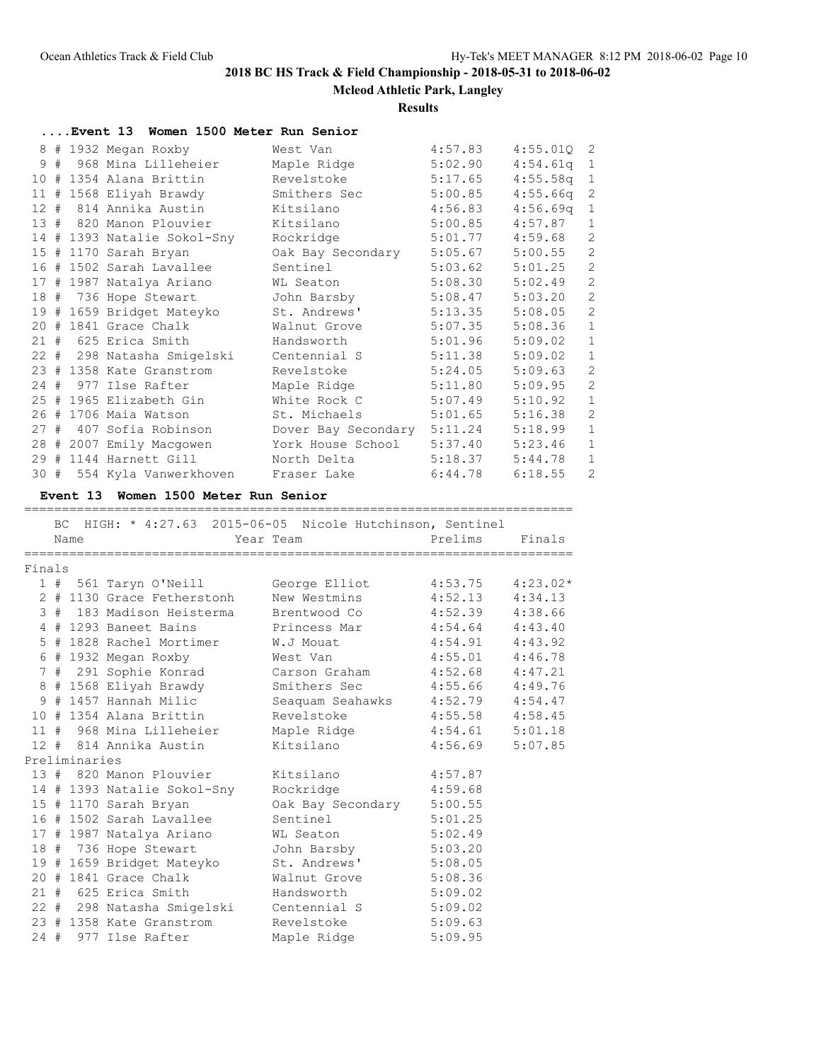### **Mcleod Athletic Park, Langley**

#### **Results**

|    | Event 13 Women 1500 Meter Run Senior |                     |         |              |                |
|----|--------------------------------------|---------------------|---------|--------------|----------------|
|    | 8 # 1932 Megan Roxby                 | West Van            | 4:57.83 | $4:55.010$ 2 |                |
| 9# | 968 Mina Lilleheier                  | Maple Ridge         | 5:02.90 | 4:54.61q     | $\mathbf{1}$   |
|    | 10 # 1354 Alana Brittin              | Revelstoke          | 5:17.65 | $4:55.58q$ 1 |                |
|    | 11 # 1568 Eliyah Brawdy              | Smithers Sec        | 5:00.85 | 4:55.66q     | 2              |
|    | 12 # 814 Annika Austin               | Kitsilano           | 4:56.83 | $4:56.69q$ 1 |                |
|    | 13 # 820 Manon Plouvier              | Kitsilano           | 5:00.85 | 4:57.87      | $\mathbf{1}$   |
|    | 14 # 1393 Natalie Sokol-Sny          | Rockridge           | 5:01.77 | 4:59.68      | 2              |
|    | 15 # 1170 Sarah Bryan                | Oak Bay Secondary   | 5:05.67 | 5:00.55      | $\sqrt{2}$     |
|    | 16 # 1502 Sarah Lavallee             | Sentinel            | 5:03.62 | 5:01.25      | $\sqrt{2}$     |
|    | 17 # 1987 Natalya Ariano             | WL Seaton           | 5:08.30 | 5:02.49      | $\mathbf{2}$   |
|    | 18 # 736 Hope Stewart                | John Barsby         | 5:08.47 | 5:03.20      | $\overline{c}$ |
|    | 19 # 1659 Bridget Mateyko            | St. Andrews'        | 5:13.35 | 5:08.05      | $\mathbf{2}$   |
|    | 20 # 1841 Grace Chalk                | Walnut Grove        | 5:07.35 | 5:08.36      | $\mathbf{1}$   |
|    | 21 # 625 Erica Smith                 | Handsworth          | 5:01.96 | 5:09.02      | $\mathbf{1}$   |
|    | 22 # 298 Natasha Smiqelski           | Centennial S        | 5:11.38 | 5:09.02      | $\mathbf{1}$   |
|    | 23 # 1358 Kate Granstrom             | Revelstoke          | 5:24.05 | 5:09.63      | 2              |
|    | 24 # 977 Ilse Rafter                 | Maple Ridge         | 5:11.80 | 5:09.95      | $\mathbf{2}$   |
|    | 25 # 1965 Elizabeth Gin              | White Rock C        | 5:07.49 | 5:10.92      | $\mathbf{1}$   |
|    | 26 # 1706 Maia Watson                | St. Michaels        | 5:01.65 | 5:16.38      | $\mathbf{2}$   |
|    | 27 # 407 Sofia Robinson              | Dover Bay Secondary | 5:11.24 | 5:18.99      | $1\,$          |
|    | 28 # 2007 Emily Macqowen             | York House School   | 5:37.40 | 5:23.46      | $\mathbf{1}$   |
|    | 29 # 1144 Harnett Gill               | North Delta         | 5:18.37 | 5:44.78      | $\mathbf{1}$   |
|    | 30 # 554 Kyla Vanwerkhoven           | Fraser Lake         | 6:44.78 | 6:18.55      | $\overline{2}$ |

### **Event 13 Women 1500 Meter Run Senior**

## ========================================================================= BC HIGH: \* 4:27.63 2015-06-05 Nicole Hutchinson, Sentinel Name Tear Team Prelims Finals ========================================================================= Finals 1 # 561 Taryn O'Neill George Elliot 4:53.75 4:23.02\* 2 # 1130 Grace Fetherstonh New Westmins 4:52.13 4:34.13 3 # 183 Madison Heisterma Brentwood Co 4:52.39 4:38.66 4 # 1293 Baneet Bains Princess Mar 4:54.64 4:43.40 5 # 1828 Rachel Mortimer W.J Mouat 4:54.91 4:43.92 6 # 1932 Megan Roxby West Van 4:55.01 4:46.78 7 # 291 Sophie Konrad Carson Graham 4:52.68 4:47.21 8 # 1568 Eliyah Brawdy Smithers Sec 4:55.66 4:49.76 9 # 1457 Hannah Milic Seaquam Seahawks 4:52.79 4:54.47 10 # 1354 Alana Brittin Revelstoke 4:55.58 4:58.45 11 # 968 Mina Lilleheier Maple Ridge 4:54.61 5:01.18 12 # 814 Annika Austin Kitsilano 4:56.69 5:07.85 Preliminaries

| Preliminaries |  |                             |                   |         |  |  |  |  |
|---------------|--|-----------------------------|-------------------|---------|--|--|--|--|
|               |  | 13 # 820 Manon Plouvier     | Kitsilano         | 4:57.87 |  |  |  |  |
|               |  |                             |                   |         |  |  |  |  |
|               |  | 14 # 1393 Natalie Sokol-Sny | Rockridge         | 4:59.68 |  |  |  |  |
|               |  | 15 # 1170 Sarah Bryan       | Oak Bay Secondary | 5:00.55 |  |  |  |  |
|               |  | 16 # 1502 Sarah Lavallee    | Sentinel          | 5:01.25 |  |  |  |  |
|               |  | 17 # 1987 Natalya Ariano    | WL Seaton         | 5:02.49 |  |  |  |  |
|               |  | 18 # 736 Hope Stewart       | John Barsby       | 5:03.20 |  |  |  |  |
|               |  | 19 # 1659 Bridget Mateyko   | St. Andrews'      | 5:08.05 |  |  |  |  |
|               |  | $20$ # 1841 Grace Chalk     | Walnut Grove      | 5:08.36 |  |  |  |  |
|               |  | 21 # 625 Erica Smith        | Handsworth        | 5:09.02 |  |  |  |  |
|               |  | 22 # 298 Natasha Smigelski  | Centennial S      | 5:09.02 |  |  |  |  |
|               |  | 23 # 1358 Kate Granstrom    | Revelstoke        | 5:09.63 |  |  |  |  |
|               |  | 24 # 977 Ilse Rafter        | Maple Ridge       | 5:09.95 |  |  |  |  |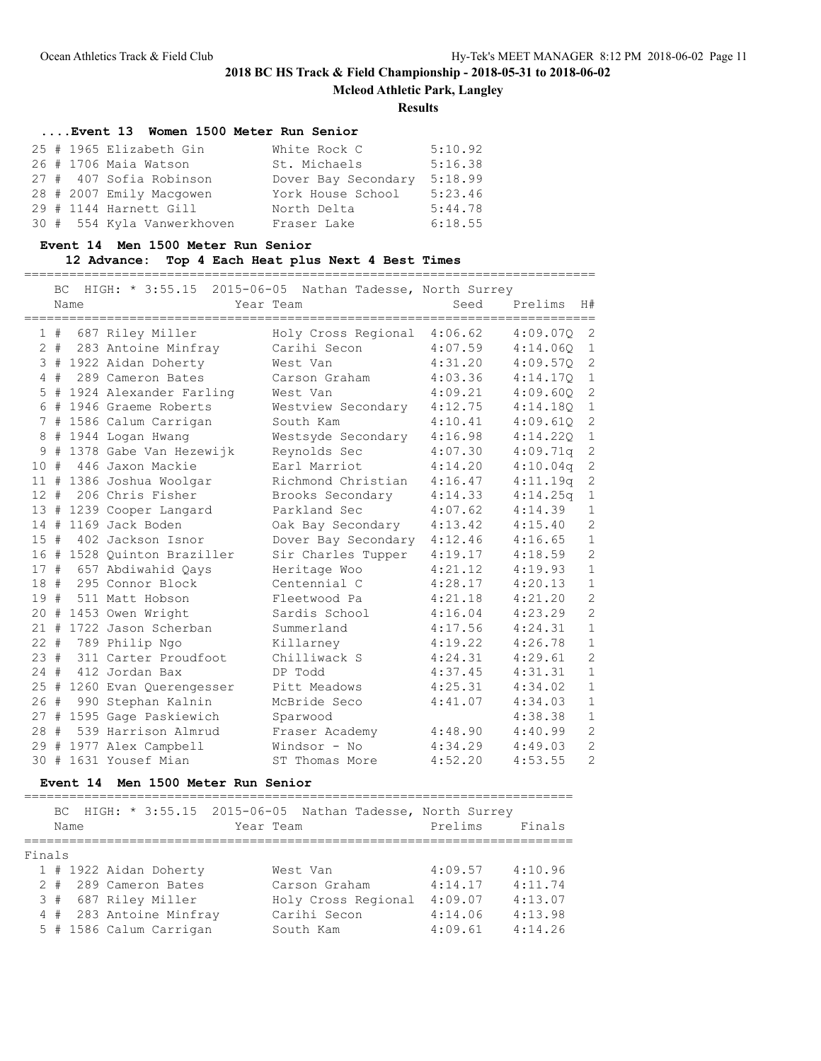**Mcleod Athletic Park, Langley**

#### **Results**

|  |                          | Event 13 Women 1500 Meter Run Senior |         |
|--|--------------------------|--------------------------------------|---------|
|  | 25 # 1965 Elizabeth Gin  | White Rock C                         | 5:10.92 |
|  | 26 # 1706 Maia Watson    | St. Michaels                         | 5:16.38 |
|  | 27 # 407 Sofia Robinson  | Dover Bay Secondary                  | 5:18.99 |
|  | 28 # 2007 Emily Macqowen | York House School                    | 5:23.46 |
|  |                          |                                      |         |

|  | 29 # 1144 Harnett Gill     | North Delta | 5:44.78 |
|--|----------------------------|-------------|---------|
|  | 30 # 554 Kyla Vanwerkhoven | Fraser Lake | 6:18.55 |

### **Event 14 Men 1500 Meter Run Senior**

### **12 Advance: Top 4 Each Heat plus Next 4 Best Times**

============================================================================

|        | ВC    | Name | HIGH: * 3:55.15 2015-06-05 Nathan Tadesse, North Surrey | Year Team           | Seed    | Prelims  | H#             |
|--------|-------|------|---------------------------------------------------------|---------------------|---------|----------|----------------|
|        | 1#    |      | 687 Riley Miller                                        | Holy Cross Regional | 4:06.62 | 4:09.07Q | $\overline{2}$ |
|        | $2 +$ |      | 283 Antoine Minfray                                     | Carihi Secon        | 4:07.59 | 4:14.060 | $\mathbf{1}$   |
|        |       |      | 3 # 1922 Aidan Doherty                                  | West Van            | 4:31.20 | 4:09.570 | 2              |
|        |       |      | 4 # 289 Cameron Bates                                   | Carson Graham       | 4:03.36 | 4:14.17Q | $\mathbf{1}$   |
|        |       |      | 5 # 1924 Alexander Farling                              | West Van            | 4:09.21 | 4:09.60Q | $\overline{c}$ |
|        |       |      | 6 # 1946 Graeme Roberts                                 | Westview Secondary  | 4:12.75 | 4:14.180 | $\mathbf{1}$   |
| 7      |       |      | # 1586 Calum Carrigan                                   | South Kam           | 4:10.41 | 4:09.61Q | $\mathbf{2}$   |
| 8      |       |      | # 1944 Logan Hwang                                      | Westsyde Secondary  | 4:16.98 | 4:14.22Q | $\mathbf{1}$   |
| 9      | #     |      | 1378 Gabe Van Hezewijk                                  | Reynolds Sec        | 4:07.30 | 4:09.71q | $\overline{c}$ |
| 10     | #     |      | 446 Jaxon Mackie                                        | Earl Marriot        | 4:14.20 | 4:10.04q | 2              |
|        |       |      | 11 # 1386 Joshua Woolgar                                | Richmond Christian  | 4:16.47 | 4:11.19q | 2              |
| $12 +$ |       |      | 206 Chris Fisher                                        | Brooks Secondary    | 4:14.33 | 4:14.25q | $\mathbf{1}$   |
|        |       |      | 13 # 1239 Cooper Langard                                | Parkland Sec        | 4:07.62 | 4:14.39  | $\mathbf{1}$   |
|        |       |      | 14 # 1169 Jack Boden                                    | Oak Bay Secondary   | 4:13.42 | 4:15.40  | $\mathbf{2}$   |
|        |       |      | 15 # 402 Jackson Isnor                                  | Dover Bay Secondary | 4:12.46 | 4:16.65  | $\mathbf{1}$   |
|        |       |      | 16 # 1528 Ouinton Braziller                             | Sir Charles Tupper  | 4:19.17 | 4:18.59  | $\overline{c}$ |
| 17#    |       |      | 657 Abdiwahid Qays                                      | Heritage Woo        | 4:21.12 | 4:19.93  | $\mathbf{1}$   |
|        |       |      | 18 # 295 Connor Block                                   | Centennial C        | 4:28.17 | 4:20.13  | $\mathbf{1}$   |
|        |       |      | 19 # 511 Matt Hobson                                    | Fleetwood Pa        | 4:21.18 | 4:21.20  | $\overline{c}$ |
|        |       |      | 20 # 1453 Owen Wright                                   | Sardis School       | 4:16.04 | 4:23.29  | $\overline{c}$ |
|        |       |      | 21 # 1722 Jason Scherban                                | Summerland          | 4:17.56 | 4:24.31  | $\mathbf{1}$   |
| $22 +$ |       |      | 789 Philip Ngo                                          | Killarney           | 4:19.22 | 4:26.78  | $\mathbf{1}$   |
|        |       |      | 23 # 311 Carter Proudfoot                               | Chilliwack S        | 4:24.31 | 4:29.61  | $\mathbf{2}$   |
| $24 +$ |       |      | 412 Jordan Bax                                          | DP Todd             | 4:37.45 | 4:31.31  | $1\,$          |
|        |       |      | 25 # 1260 Evan Querengesser                             | Pitt Meadows        | 4:25.31 | 4:34.02  | $\mathbf{1}$   |
| 26#    |       |      | 990 Stephan Kalnin                                      | McBride Seco        | 4:41.07 | 4:34.03  | $\mathbf{1}$   |
|        |       |      | 27 # 1595 Gage Paskiewich                               | Sparwood            |         | 4:38.38  | $\mathbf{1}$   |
| 28     | #     |      | 539 Harrison Almrud                                     | Fraser Academy      | 4:48.90 | 4:40.99  | $\overline{c}$ |
|        |       |      | 29 # 1977 Alex Campbell                                 | Windsor - No        | 4:34.29 | 4:49.03  | $\overline{c}$ |
|        |       |      | 30 # 1631 Yousef Mian                                   | ST Thomas More      | 4:52.20 | 4:53.55  | $\overline{2}$ |

## **Event 14 Men 1500 Meter Run Senior**

=========================================================================  $3015.06B$  Nathan  $F$ 

| Name                    | BC $HIGH: * 3:55.15 2015-06-05$ Nathan Tadesse, North Surrey<br>Year Team | Prelims | Finals  |
|-------------------------|---------------------------------------------------------------------------|---------|---------|
| Finals                  |                                                                           |         |         |
| 1 # 1922 Aidan Doherty  | West Van                                                                  | 4:09.57 | 4:10.96 |
| 2 # 289 Cameron Bates   | Carson Graham                                                             | 4:14.17 | 4:11.74 |
| 3 # 687 Riley Miller    | Holy Cross Regional                                                       | 4:09.07 | 4:13.07 |
| 4 # 283 Antoine Minfray | Carihi Secon                                                              | 4:14.06 | 4:13.98 |
| 5 # 1586 Calum Carrigan | South Kam                                                                 | 4:09.61 | 4:14.26 |
|                         |                                                                           |         |         |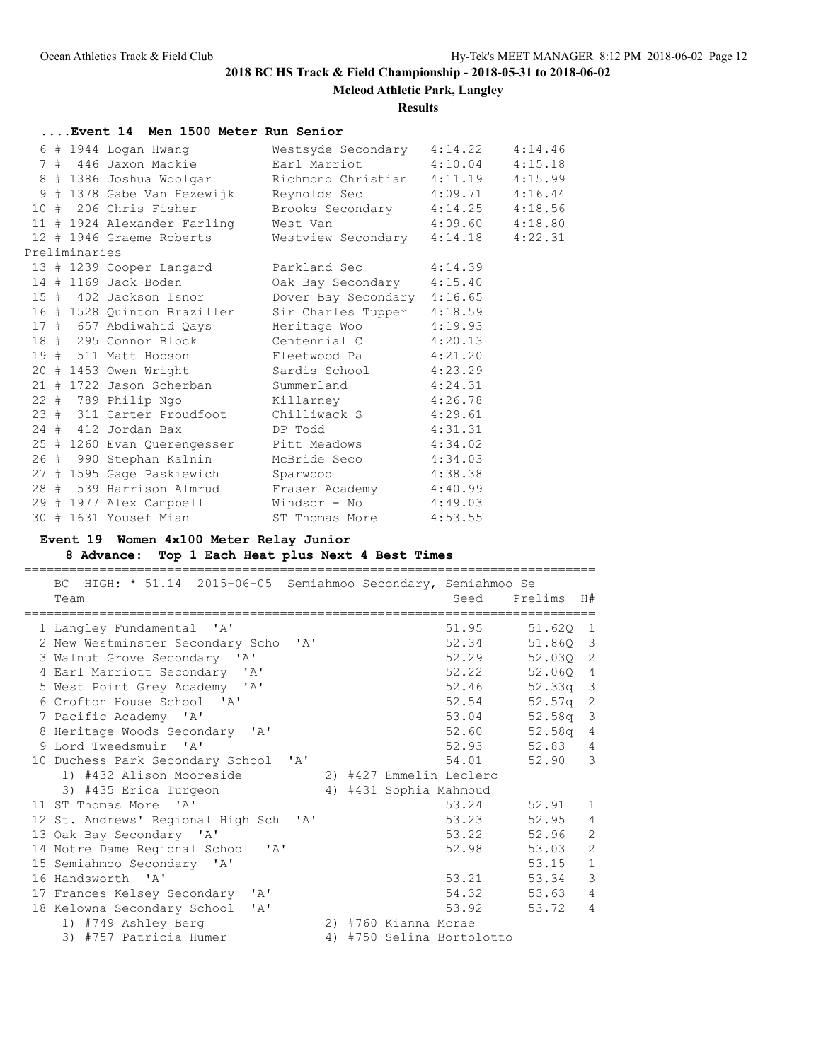# **Mcleod Athletic Park, Langley**

### **Results**

# **....Event 14 Men 1500 Meter Run Senior**

|  |               | 6 # 1944 Logan Hwang Mestsyde Secondary 4:14.22 4:14.46 |                            |         |         |
|--|---------------|---------------------------------------------------------|----------------------------|---------|---------|
|  |               | 7 # 446 Jaxon Mackie                                    | Earl Marriot 4:10.04       |         | 4:15.18 |
|  |               | 8 # 1386 Joshua Woolgar                                 | Richmond Christian 4:11.19 |         | 4:15.99 |
|  |               | 9 # 1378 Gabe Van Hezewijk Reynolds Sec 4:09.71         |                            |         | 4:16.44 |
|  |               | 10 # 206 Chris Fisher                                   | Brooks Secondary 4:14.25   |         | 4:18.56 |
|  |               | 11 # 1924 Alexander Farling                             | West Van 4:09.60           |         | 4:18.80 |
|  |               | 12 # 1946 Graeme Roberts                                | Westview Secondary 4:14.18 |         | 4:22.31 |
|  | Preliminaries |                                                         |                            |         |         |
|  |               | 13 # 1239 Cooper Langard Parkland Sec                   |                            | 4:14.39 |         |
|  |               | 14 # 1169 Jack Boden                                    | Oak Bay Secondary 4:15.40  |         |         |
|  |               | 15 # 402 Jackson Isnor Dover Bay Secondary 4:16.65      |                            |         |         |
|  |               | 16 # 1528 Quinton Braziller Sir Charles Tupper 4:18.59  |                            |         |         |
|  |               | 17 # 657 Abdiwahid Qays                                 | Heritage Woo 4:19.93       |         |         |
|  |               | 18 # 295 Connor Block Centennial C 4:20.13              |                            |         |         |
|  |               | 19 # 511 Matt Hobson Fleetwood Pa 4:21.20               |                            |         |         |
|  |               | 20 # 1453 Owen Wright Sardis School 4:23.29             |                            |         |         |
|  |               | 21 # 1722 Jason Scherban Summerland                     |                            | 4:24.31 |         |
|  |               | 22 # 789 Philip Ngo Killarney 4:26.78                   |                            |         |         |
|  |               | 23 # 311 Carter Proudfoot Chilliwack S                  |                            | 4:29.61 |         |
|  |               | 24 # 412 Jordan Bax                                     | DP Todd 4:31.31            |         |         |
|  |               | 25 # 1260 Evan Querengesser Pitt Meadows 4:34.02        |                            |         |         |
|  |               | 26 # 990 Stephan Kalnin                                 | McBride Seco               | 4:34.03 |         |
|  |               | 27 # 1595 Gage Paskiewich Sparwood                      |                            | 4:38.38 |         |
|  |               | 28 # 539 Harrison Almrud Fraser Academy 4:40.99         |                            |         |         |
|  |               | 29 # 1977 Alex Campbell Mindsor - No 4:49.03            |                            |         |         |
|  |               | 30 # 1631 Yousef Mian                                   | ST Thomas More             | 4:53.55 |         |
|  |               |                                                         |                            |         |         |

## **Event 19 Women 4x100 Meter Relay Junior**

## **8 Advance: Top 1 Each Heat plus Next 4 Best Times**

| BC HIGH: * 51.14 2015-06-05 Semiahmoo Secondary, Semiahmoo Se |  |                        |                           |            |                |
|---------------------------------------------------------------|--|------------------------|---------------------------|------------|----------------|
| Team                                                          |  |                        | Seed                      | Prelims    | H#             |
|                                                               |  |                        |                           |            |                |
| 1 Langley Fundamental 'A'                                     |  |                        | 51.95                     | 51.620     | -1             |
| 2 New Westminster Secondary Scho 'A'                          |  |                        | 52.34                     | 51.860     | $\mathcal{E}$  |
| 3 Walnut Grove Secondary 'A'                                  |  |                        | 52.29                     | 52.030 2   |                |
| 4 Earl Marriott Secondary 'A'                                 |  |                        | 52.22                     | 52.060 4   |                |
| 5 West Point Grey Academy 'A'                                 |  |                        | 52.46                     | 52.33q     | $\mathcal{E}$  |
| 6 Crofton House School 'A'                                    |  |                        | 52.54                     | $52.57q$ 2 |                |
| 7 Pacific Academy 'A'                                         |  |                        | 53.04                     | 52.58q     | $\mathcal{E}$  |
| 8 Heritage Woods Secondary 'A'                                |  |                        | 52.60                     | 52.58q     | 4              |
| 9 Lord Tweedsmuir 'A'                                         |  |                        | 52.93                     | 52.83      | $\overline{4}$ |
| 10 Duchess Park Secondary School 'A'                          |  |                        | 54.01                     | 52.90      | 3              |
| 1) #432 Alison Mooreside                                      |  |                        | 2) #427 Emmelin Leclerc   |            |                |
| 3) #435 Erica Turgeon                                         |  | 4) #431 Sophia Mahmoud |                           |            |                |
| 11 ST Thomas More<br>$\mathsf{I} \wedge \mathsf{I}$           |  |                        | 53.24                     | 52.91      | $\mathbf{1}$   |
| 12 St. Andrews' Regional High Sch 'A'                         |  |                        | 53.23                     | 52.95      | 4              |
| 13 Oak Bay Secondary 'A'                                      |  |                        | 53.22                     | 52.96      | $\mathbf{2}$   |
| 14 Notre Dame Regional School 'A'                             |  |                        | 52.98                     | 53.03      | 2              |
| 15 Semiahmoo Secondary 'A'                                    |  |                        |                           | 53.15      | $\mathbf{1}$   |
| 16 Handsworth 'A'                                             |  |                        | 53.21                     | 53.34      | $\mathcal{S}$  |
| 17 Frances Kelsey Secondary 'A'                               |  |                        | 54.32                     | 53.63      | $\overline{4}$ |
| 18 Kelowna Secondary School<br>' A'                           |  |                        | 53.92                     | 53.72      | $\overline{4}$ |
| 1) #749 Ashley Berg                                           |  | 2) #760 Kianna Mcrae   |                           |            |                |
| 3) #757 Patricia Humer                                        |  |                        | 4) #750 Selina Bortolotto |            |                |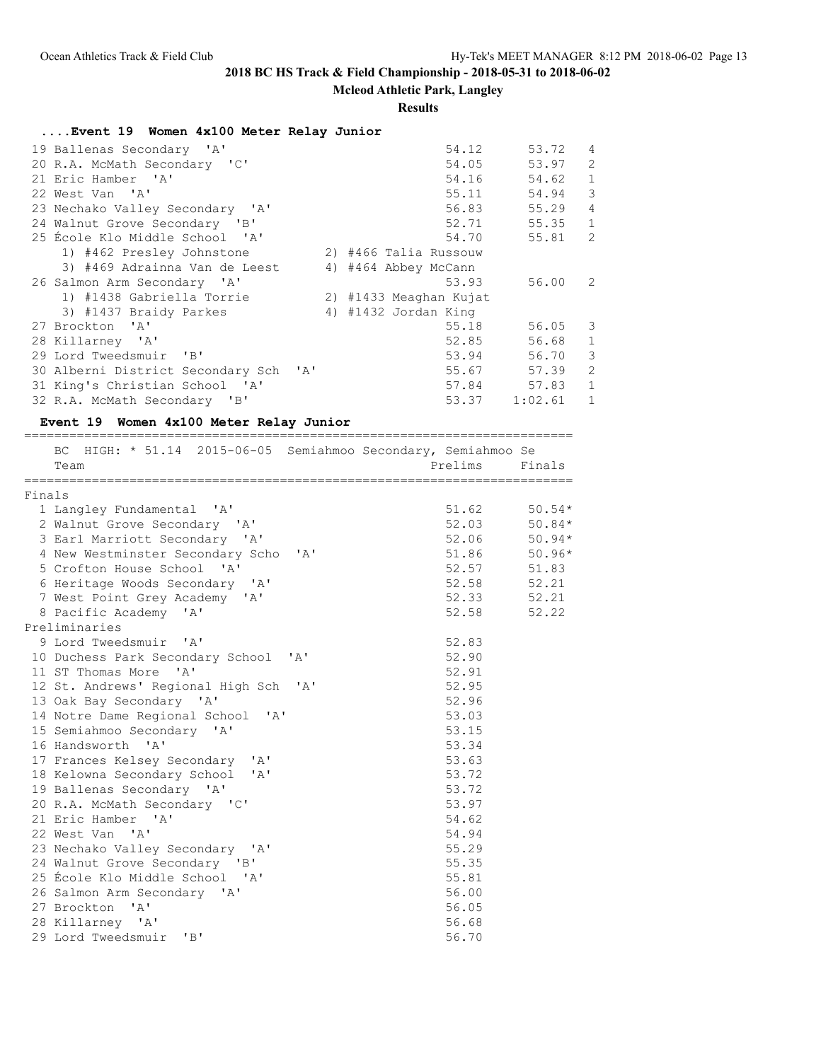# **Mcleod Athletic Park, Langley**

### **Results**

# **....Event 19 Women 4x100 Meter Relay Junior**

| 19 Ballenas Secondary 'A'             | 54.12                  | 53.72<br>4                  |
|---------------------------------------|------------------------|-----------------------------|
| 20 R.A. McMath Secondary 'C'          | 54.05                  | 53.97<br>2                  |
| 21 Eric Hamber 'A'                    | 54.16                  | $\mathbf{1}$<br>54.62       |
| 22 West Van 'A'                       | 55.11                  | 3<br>54.94                  |
| 23 Nechako Valley Secondary 'A'       | 56.83 55.29            | $\overline{4}$              |
| 24 Walnut Grove Secondary 'B'         |                        | $\mathbf{1}$<br>52.71 55.35 |
| 25 École Klo Middle School 'A'        |                        | 2<br>54.70 55.81            |
| 1) #462 Presley Johnstone             | 2) #466 Talia Russouw  |                             |
| 3) #469 Adrainna Van de Leest         | 4) #464 Abbey McCann   |                             |
| 26 Salmon Arm Secondary 'A'           | 53.93                  | 56.00 2                     |
| 1) #1438 Gabriella Torrie             | 2) #1433 Meaghan Kujat |                             |
| 3) #1437 Braidy Parkes                | 4) #1432 Jordan King   |                             |
| 27 Brockton 'A'                       | 55.18                  | $56.05$ 3                   |
| 28 Killarney 'A'                      | 52.85                  | 56.68<br>$\mathbf{1}$       |
| 29 Lord Tweedsmuir 'B'                | 53.94                  | 3<br>56.70                  |
| 30 Alberni District Secondary Sch 'A' | 55.67 57.39            | 2                           |
| 31 King's Christian School 'A'        | 57.84                  | $\mathbf{1}$<br>57.83       |
| 32 R.A. McMath Secondary 'B'          | 53.37                  | 1:02.61<br>$\mathbf{1}$     |

## **Event 19 Women 4x100 Meter Relay Junior**

|        | BC HIGH: * 51.14 2015-06-05 Semiahmoo Secondary, Semiahmoo Se<br>Team |  | Prelims          | Finals   |
|--------|-----------------------------------------------------------------------|--|------------------|----------|
| Finals |                                                                       |  |                  |          |
|        | 1 Langley Fundamental 'A'                                             |  | $51.62$ $50.54*$ |          |
|        | 2 Walnut Grove Secondary 'A'                                          |  | $52.03$ $50.84*$ |          |
|        | 3 Earl Marriott Secondary 'A'                                         |  | 52.06            | $50.94*$ |
|        | 4 New Westminster Secondary Scho 'A'                                  |  | 51.86            | $50.96*$ |
|        | 5 Crofton House School 'A'                                            |  | 52.57 51.83      |          |
|        | 6 Heritage Woods Secondary 'A'                                        |  | 52.58 52.21      |          |
|        | 7 West Point Grey Academy 'A'                                         |  | 52.33 52.21      |          |
|        | 8 Pacific Academy 'A'                                                 |  | 52.58 52.22      |          |
|        | Preliminaries                                                         |  |                  |          |
|        | 9 Lord Tweedsmuir 'A'                                                 |  | 52.83            |          |
|        | 10 Duchess Park Secondary School 'A'                                  |  | 52.90            |          |
|        | 11 ST Thomas More 'A'                                                 |  | 52.91            |          |
|        | 12 St. Andrews' Regional High Sch 'A'                                 |  | 52.95            |          |
|        | 13 Oak Bay Secondary 'A'                                              |  | 52.96            |          |
|        | 14 Notre Dame Regional School 'A'                                     |  | 53.03            |          |
|        | 15 Semiahmoo Secondary 'A'                                            |  | 53.15            |          |
|        | 16 Handsworth 'A'                                                     |  | 53.34            |          |
|        | 17 Frances Kelsey Secondary 'A'                                       |  | 53.63            |          |
|        | 18 Kelowna Secondary School 'A'                                       |  | 53.72            |          |
|        | 19 Ballenas Secondary 'A'                                             |  | 53.72            |          |
|        | 20 R.A. McMath Secondary 'C'                                          |  | 53.97            |          |
|        | 21 Eric Hamber 'A'                                                    |  | 54.62            |          |
|        | 22 West Van 'A'                                                       |  | 54.94            |          |
|        | 23 Nechako Valley Secondary 'A'                                       |  | 55.29            |          |
|        | 24 Walnut Grove Secondary 'B'                                         |  | 55.35            |          |
|        | 25 École Klo Middle School 'A'                                        |  | 55.81            |          |
|        | 26 Salmon Arm Secondary 'A'                                           |  | 56.00            |          |
|        | 27 Brockton<br>$\mathsf{A}$                                           |  | 56.05            |          |
|        | 28 Killarney 'A'                                                      |  | 56.68            |          |
|        | 29 Lord Tweedsmuir 'B'                                                |  | 56.70            |          |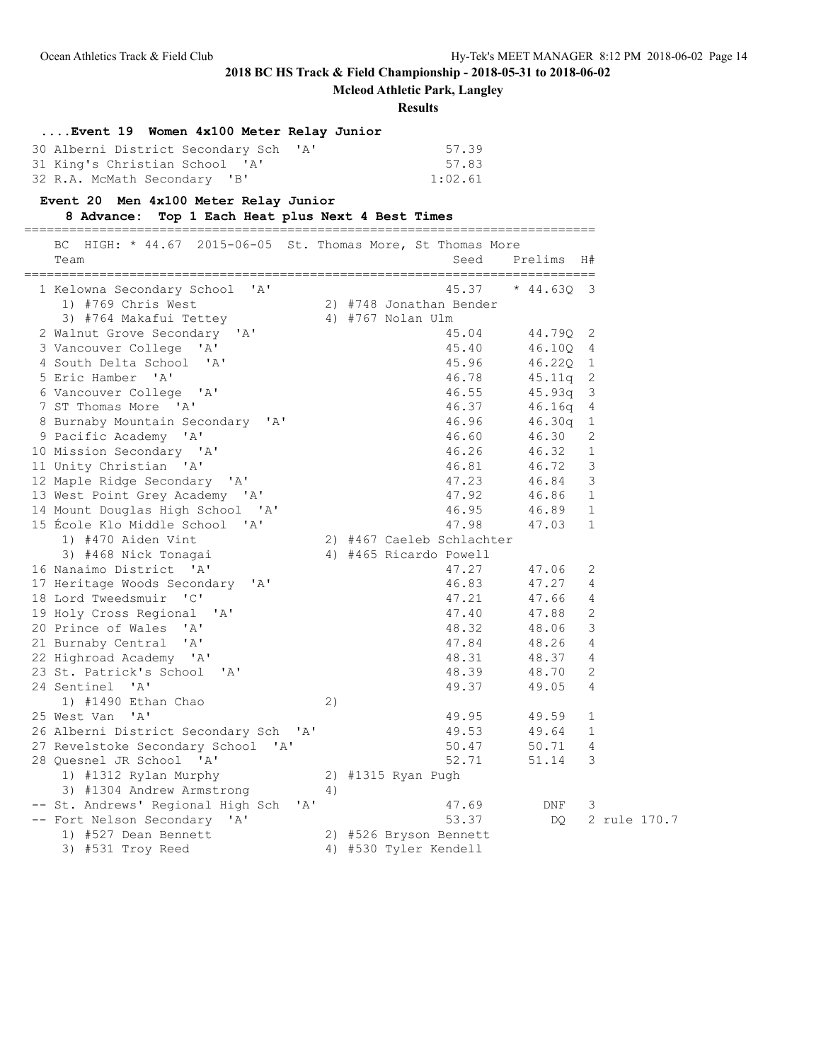**Mcleod Athletic Park, Langley**

**Results**

## **....Event 19 Women 4x100 Meter Relay Junior**

| 30 Alberni District Secondary Sch 'A' | 57.39   |
|---------------------------------------|---------|
| 31 King's Christian School 'A'        | 57.83   |
| 32 R.A. McMath Secondary 'B'          | 1:02.61 |

### **Event 20 Men 4x100 Meter Relay Junior**

**8 Advance: Top 1 Each Heat plus Next 4 Best Times**

============================================================================

| 45.37<br>$* 44.63Q 3$<br>1 Kelowna Secondary School 'A'<br>1) #769 Chris West<br>2) #748 Jonathan Bender<br>3) #764 Makafui Tettey<br>4) #767 Nolan Ulm<br>2 Walnut Grove Secondary 'A'<br>44.79Q 2<br>45.04<br>3 Vancouver College 'A'<br>45.40<br>46.10Q 4<br>4 South Delta School 'A'<br>46.22Q 1<br>45.96<br>5 Eric Hamber 'A'<br>45.11q 2<br>46.78<br>6 Vancouver College 'A'<br>46.55<br>$45.93q$ 3<br>7 ST Thomas More 'A'<br>46.37<br>$46.16q$ 4<br>8 Burnaby Mountain Secondary 'A'<br>46.96<br>$46.30q$ 1<br>9 Pacific Academy 'A'<br>46.60<br>46.30<br>2<br>10 Mission Secondary 'A'<br>46.26<br>46.32<br>$\mathbf{1}$<br>11 Unity Christian 'A'<br>$\overline{\mathbf{3}}$<br>46.81<br>46.72<br>12 Maple Ridge Secondary 'A'<br>46.84 3<br>47.23<br>13 West Point Grey Academy 'A'<br>47.92<br>46.86 1<br>46.89 1<br>14 Mount Douglas High School 'A'<br>46.95<br>15 École Klo Middle School 'A'<br>47.98<br>47.03 1<br>1) #470 Aiden Vint<br>2) #467 Caeleb Schlachter<br>3) #468 Nick Tonagai<br>4) #465 Ricardo Powell<br>16 Nanaimo District 'A'<br>47.27<br>47.06<br>2<br>17 Heritage Woods Secondary 'A'<br>46.83<br>47.27 4<br>18 Lord Tweedsmuir 'C'<br>47.21<br>47.66 4<br>19 Holy Cross Regional<br>47.40<br>47.88 2<br>' A'<br>3<br>20 Prince of Wales 'A'<br>48.32<br>48.06<br>48.26 4<br>21 Burnaby Central 'A'<br>47.84<br>22 Highroad Academy 'A'<br>48.31<br>48.37 4<br>48.39<br>23 St. Patrick's School<br>48.70<br>2<br>$^{\prime}$ A $^{\prime}$<br>24 Sentinel 'A'<br>49.37<br>49.05<br>4<br>1) #1490 Ethan Chao<br>2)<br>25 West Van 'A'<br>49.95<br>49.59<br>$\mathbf{1}$<br>49.64<br>26 Alberni District Secondary Sch 'A'<br>49.53<br>$\overline{1}$<br>27 Revelstoke Secondary School 'A'<br>50.47<br>50.71 4<br>28 Quesnel JR School 'A'<br>3<br>52.71<br>51.14<br>1) #1312 Rylan Murphy<br>2) #1315 Ryan Pugh<br>3) #1304 Andrew Armstrong<br>4)<br>-- St. Andrews' Regional High Sch<br>' A'<br>47.69<br>DNF<br>3 | BC HIGH: * 44.67 2015-06-05 St. Thomas More, St Thomas More<br>Team | Seed  | Prelims H# |              |  |
|-----------------------------------------------------------------------------------------------------------------------------------------------------------------------------------------------------------------------------------------------------------------------------------------------------------------------------------------------------------------------------------------------------------------------------------------------------------------------------------------------------------------------------------------------------------------------------------------------------------------------------------------------------------------------------------------------------------------------------------------------------------------------------------------------------------------------------------------------------------------------------------------------------------------------------------------------------------------------------------------------------------------------------------------------------------------------------------------------------------------------------------------------------------------------------------------------------------------------------------------------------------------------------------------------------------------------------------------------------------------------------------------------------------------------------------------------------------------------------------------------------------------------------------------------------------------------------------------------------------------------------------------------------------------------------------------------------------------------------------------------------------------------------------------------------------------------------------------------------------------------------------------------------------------------------------------------------------|---------------------------------------------------------------------|-------|------------|--------------|--|
|                                                                                                                                                                                                                                                                                                                                                                                                                                                                                                                                                                                                                                                                                                                                                                                                                                                                                                                                                                                                                                                                                                                                                                                                                                                                                                                                                                                                                                                                                                                                                                                                                                                                                                                                                                                                                                                                                                                                                           |                                                                     |       |            |              |  |
|                                                                                                                                                                                                                                                                                                                                                                                                                                                                                                                                                                                                                                                                                                                                                                                                                                                                                                                                                                                                                                                                                                                                                                                                                                                                                                                                                                                                                                                                                                                                                                                                                                                                                                                                                                                                                                                                                                                                                           |                                                                     |       |            |              |  |
|                                                                                                                                                                                                                                                                                                                                                                                                                                                                                                                                                                                                                                                                                                                                                                                                                                                                                                                                                                                                                                                                                                                                                                                                                                                                                                                                                                                                                                                                                                                                                                                                                                                                                                                                                                                                                                                                                                                                                           |                                                                     |       |            |              |  |
|                                                                                                                                                                                                                                                                                                                                                                                                                                                                                                                                                                                                                                                                                                                                                                                                                                                                                                                                                                                                                                                                                                                                                                                                                                                                                                                                                                                                                                                                                                                                                                                                                                                                                                                                                                                                                                                                                                                                                           |                                                                     |       |            |              |  |
|                                                                                                                                                                                                                                                                                                                                                                                                                                                                                                                                                                                                                                                                                                                                                                                                                                                                                                                                                                                                                                                                                                                                                                                                                                                                                                                                                                                                                                                                                                                                                                                                                                                                                                                                                                                                                                                                                                                                                           |                                                                     |       |            |              |  |
|                                                                                                                                                                                                                                                                                                                                                                                                                                                                                                                                                                                                                                                                                                                                                                                                                                                                                                                                                                                                                                                                                                                                                                                                                                                                                                                                                                                                                                                                                                                                                                                                                                                                                                                                                                                                                                                                                                                                                           |                                                                     |       |            |              |  |
|                                                                                                                                                                                                                                                                                                                                                                                                                                                                                                                                                                                                                                                                                                                                                                                                                                                                                                                                                                                                                                                                                                                                                                                                                                                                                                                                                                                                                                                                                                                                                                                                                                                                                                                                                                                                                                                                                                                                                           |                                                                     |       |            |              |  |
|                                                                                                                                                                                                                                                                                                                                                                                                                                                                                                                                                                                                                                                                                                                                                                                                                                                                                                                                                                                                                                                                                                                                                                                                                                                                                                                                                                                                                                                                                                                                                                                                                                                                                                                                                                                                                                                                                                                                                           |                                                                     |       |            |              |  |
|                                                                                                                                                                                                                                                                                                                                                                                                                                                                                                                                                                                                                                                                                                                                                                                                                                                                                                                                                                                                                                                                                                                                                                                                                                                                                                                                                                                                                                                                                                                                                                                                                                                                                                                                                                                                                                                                                                                                                           |                                                                     |       |            |              |  |
|                                                                                                                                                                                                                                                                                                                                                                                                                                                                                                                                                                                                                                                                                                                                                                                                                                                                                                                                                                                                                                                                                                                                                                                                                                                                                                                                                                                                                                                                                                                                                                                                                                                                                                                                                                                                                                                                                                                                                           |                                                                     |       |            |              |  |
|                                                                                                                                                                                                                                                                                                                                                                                                                                                                                                                                                                                                                                                                                                                                                                                                                                                                                                                                                                                                                                                                                                                                                                                                                                                                                                                                                                                                                                                                                                                                                                                                                                                                                                                                                                                                                                                                                                                                                           |                                                                     |       |            |              |  |
|                                                                                                                                                                                                                                                                                                                                                                                                                                                                                                                                                                                                                                                                                                                                                                                                                                                                                                                                                                                                                                                                                                                                                                                                                                                                                                                                                                                                                                                                                                                                                                                                                                                                                                                                                                                                                                                                                                                                                           |                                                                     |       |            |              |  |
|                                                                                                                                                                                                                                                                                                                                                                                                                                                                                                                                                                                                                                                                                                                                                                                                                                                                                                                                                                                                                                                                                                                                                                                                                                                                                                                                                                                                                                                                                                                                                                                                                                                                                                                                                                                                                                                                                                                                                           |                                                                     |       |            |              |  |
|                                                                                                                                                                                                                                                                                                                                                                                                                                                                                                                                                                                                                                                                                                                                                                                                                                                                                                                                                                                                                                                                                                                                                                                                                                                                                                                                                                                                                                                                                                                                                                                                                                                                                                                                                                                                                                                                                                                                                           |                                                                     |       |            |              |  |
|                                                                                                                                                                                                                                                                                                                                                                                                                                                                                                                                                                                                                                                                                                                                                                                                                                                                                                                                                                                                                                                                                                                                                                                                                                                                                                                                                                                                                                                                                                                                                                                                                                                                                                                                                                                                                                                                                                                                                           |                                                                     |       |            |              |  |
|                                                                                                                                                                                                                                                                                                                                                                                                                                                                                                                                                                                                                                                                                                                                                                                                                                                                                                                                                                                                                                                                                                                                                                                                                                                                                                                                                                                                                                                                                                                                                                                                                                                                                                                                                                                                                                                                                                                                                           |                                                                     |       |            |              |  |
|                                                                                                                                                                                                                                                                                                                                                                                                                                                                                                                                                                                                                                                                                                                                                                                                                                                                                                                                                                                                                                                                                                                                                                                                                                                                                                                                                                                                                                                                                                                                                                                                                                                                                                                                                                                                                                                                                                                                                           |                                                                     |       |            |              |  |
|                                                                                                                                                                                                                                                                                                                                                                                                                                                                                                                                                                                                                                                                                                                                                                                                                                                                                                                                                                                                                                                                                                                                                                                                                                                                                                                                                                                                                                                                                                                                                                                                                                                                                                                                                                                                                                                                                                                                                           |                                                                     |       |            |              |  |
|                                                                                                                                                                                                                                                                                                                                                                                                                                                                                                                                                                                                                                                                                                                                                                                                                                                                                                                                                                                                                                                                                                                                                                                                                                                                                                                                                                                                                                                                                                                                                                                                                                                                                                                                                                                                                                                                                                                                                           |                                                                     |       |            |              |  |
|                                                                                                                                                                                                                                                                                                                                                                                                                                                                                                                                                                                                                                                                                                                                                                                                                                                                                                                                                                                                                                                                                                                                                                                                                                                                                                                                                                                                                                                                                                                                                                                                                                                                                                                                                                                                                                                                                                                                                           |                                                                     |       |            |              |  |
|                                                                                                                                                                                                                                                                                                                                                                                                                                                                                                                                                                                                                                                                                                                                                                                                                                                                                                                                                                                                                                                                                                                                                                                                                                                                                                                                                                                                                                                                                                                                                                                                                                                                                                                                                                                                                                                                                                                                                           |                                                                     |       |            |              |  |
|                                                                                                                                                                                                                                                                                                                                                                                                                                                                                                                                                                                                                                                                                                                                                                                                                                                                                                                                                                                                                                                                                                                                                                                                                                                                                                                                                                                                                                                                                                                                                                                                                                                                                                                                                                                                                                                                                                                                                           |                                                                     |       |            |              |  |
|                                                                                                                                                                                                                                                                                                                                                                                                                                                                                                                                                                                                                                                                                                                                                                                                                                                                                                                                                                                                                                                                                                                                                                                                                                                                                                                                                                                                                                                                                                                                                                                                                                                                                                                                                                                                                                                                                                                                                           |                                                                     |       |            |              |  |
|                                                                                                                                                                                                                                                                                                                                                                                                                                                                                                                                                                                                                                                                                                                                                                                                                                                                                                                                                                                                                                                                                                                                                                                                                                                                                                                                                                                                                                                                                                                                                                                                                                                                                                                                                                                                                                                                                                                                                           |                                                                     |       |            |              |  |
|                                                                                                                                                                                                                                                                                                                                                                                                                                                                                                                                                                                                                                                                                                                                                                                                                                                                                                                                                                                                                                                                                                                                                                                                                                                                                                                                                                                                                                                                                                                                                                                                                                                                                                                                                                                                                                                                                                                                                           |                                                                     |       |            |              |  |
|                                                                                                                                                                                                                                                                                                                                                                                                                                                                                                                                                                                                                                                                                                                                                                                                                                                                                                                                                                                                                                                                                                                                                                                                                                                                                                                                                                                                                                                                                                                                                                                                                                                                                                                                                                                                                                                                                                                                                           |                                                                     |       |            |              |  |
|                                                                                                                                                                                                                                                                                                                                                                                                                                                                                                                                                                                                                                                                                                                                                                                                                                                                                                                                                                                                                                                                                                                                                                                                                                                                                                                                                                                                                                                                                                                                                                                                                                                                                                                                                                                                                                                                                                                                                           |                                                                     |       |            |              |  |
|                                                                                                                                                                                                                                                                                                                                                                                                                                                                                                                                                                                                                                                                                                                                                                                                                                                                                                                                                                                                                                                                                                                                                                                                                                                                                                                                                                                                                                                                                                                                                                                                                                                                                                                                                                                                                                                                                                                                                           |                                                                     |       |            |              |  |
|                                                                                                                                                                                                                                                                                                                                                                                                                                                                                                                                                                                                                                                                                                                                                                                                                                                                                                                                                                                                                                                                                                                                                                                                                                                                                                                                                                                                                                                                                                                                                                                                                                                                                                                                                                                                                                                                                                                                                           |                                                                     |       |            |              |  |
|                                                                                                                                                                                                                                                                                                                                                                                                                                                                                                                                                                                                                                                                                                                                                                                                                                                                                                                                                                                                                                                                                                                                                                                                                                                                                                                                                                                                                                                                                                                                                                                                                                                                                                                                                                                                                                                                                                                                                           |                                                                     |       |            |              |  |
|                                                                                                                                                                                                                                                                                                                                                                                                                                                                                                                                                                                                                                                                                                                                                                                                                                                                                                                                                                                                                                                                                                                                                                                                                                                                                                                                                                                                                                                                                                                                                                                                                                                                                                                                                                                                                                                                                                                                                           |                                                                     |       |            |              |  |
|                                                                                                                                                                                                                                                                                                                                                                                                                                                                                                                                                                                                                                                                                                                                                                                                                                                                                                                                                                                                                                                                                                                                                                                                                                                                                                                                                                                                                                                                                                                                                                                                                                                                                                                                                                                                                                                                                                                                                           |                                                                     |       |            |              |  |
|                                                                                                                                                                                                                                                                                                                                                                                                                                                                                                                                                                                                                                                                                                                                                                                                                                                                                                                                                                                                                                                                                                                                                                                                                                                                                                                                                                                                                                                                                                                                                                                                                                                                                                                                                                                                                                                                                                                                                           |                                                                     |       |            |              |  |
|                                                                                                                                                                                                                                                                                                                                                                                                                                                                                                                                                                                                                                                                                                                                                                                                                                                                                                                                                                                                                                                                                                                                                                                                                                                                                                                                                                                                                                                                                                                                                                                                                                                                                                                                                                                                                                                                                                                                                           |                                                                     |       |            |              |  |
|                                                                                                                                                                                                                                                                                                                                                                                                                                                                                                                                                                                                                                                                                                                                                                                                                                                                                                                                                                                                                                                                                                                                                                                                                                                                                                                                                                                                                                                                                                                                                                                                                                                                                                                                                                                                                                                                                                                                                           |                                                                     |       |            |              |  |
|                                                                                                                                                                                                                                                                                                                                                                                                                                                                                                                                                                                                                                                                                                                                                                                                                                                                                                                                                                                                                                                                                                                                                                                                                                                                                                                                                                                                                                                                                                                                                                                                                                                                                                                                                                                                                                                                                                                                                           |                                                                     |       |            |              |  |
|                                                                                                                                                                                                                                                                                                                                                                                                                                                                                                                                                                                                                                                                                                                                                                                                                                                                                                                                                                                                                                                                                                                                                                                                                                                                                                                                                                                                                                                                                                                                                                                                                                                                                                                                                                                                                                                                                                                                                           | -- Fort Nelson Secondary 'A'                                        | 53.37 | DO         | 2 rule 170.7 |  |
| 1) #527 Dean Bennett<br>2) #526 Bryson Bennett                                                                                                                                                                                                                                                                                                                                                                                                                                                                                                                                                                                                                                                                                                                                                                                                                                                                                                                                                                                                                                                                                                                                                                                                                                                                                                                                                                                                                                                                                                                                                                                                                                                                                                                                                                                                                                                                                                            |                                                                     |       |            |              |  |
| 3) #531 Troy Reed<br>4) #530 Tyler Kendell                                                                                                                                                                                                                                                                                                                                                                                                                                                                                                                                                                                                                                                                                                                                                                                                                                                                                                                                                                                                                                                                                                                                                                                                                                                                                                                                                                                                                                                                                                                                                                                                                                                                                                                                                                                                                                                                                                                |                                                                     |       |            |              |  |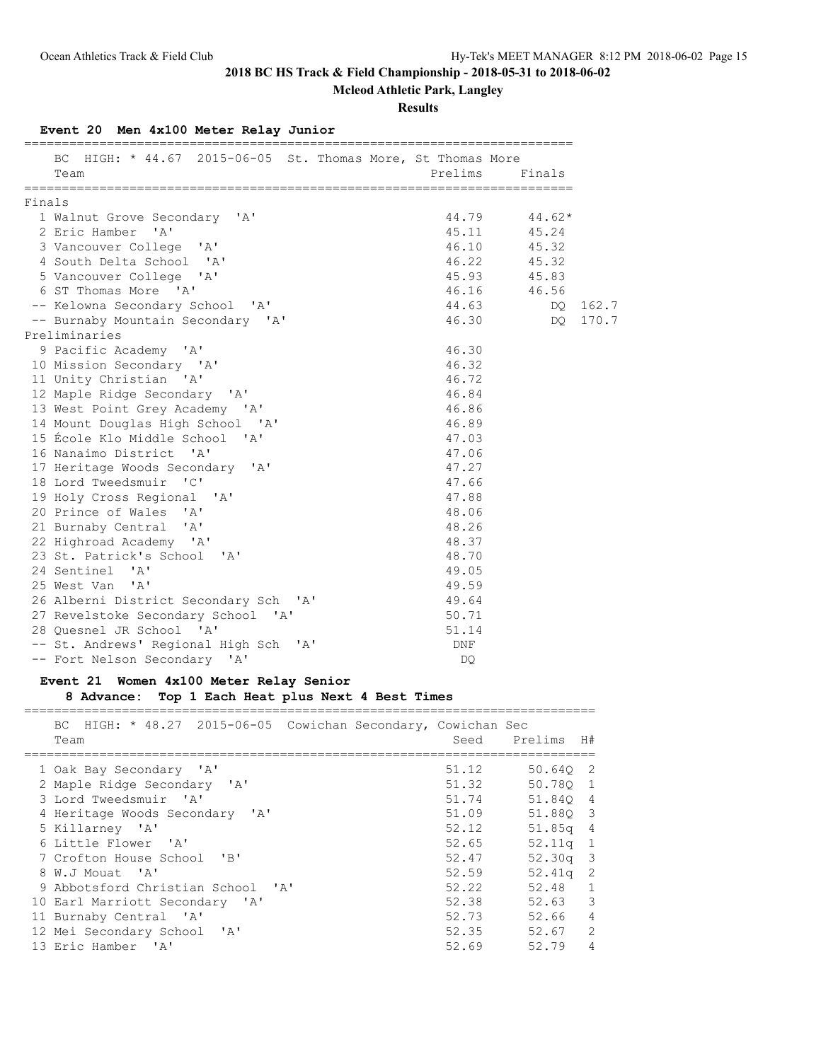**Mcleod Athletic Park, Langley**

### **Results**

## **Event 20 Men 4x100 Meter Relay Junior**

|        | BC HIGH: * 44.67 2015-06-05 St. Thomas More, St Thomas More<br>Team |       | Prelims Finals   |       |
|--------|---------------------------------------------------------------------|-------|------------------|-------|
|        |                                                                     |       |                  |       |
| Finals |                                                                     |       |                  |       |
|        | 1 Walnut Grove Secondary 'A'                                        |       | $44.79$ $44.62*$ |       |
|        | 2 Eric Hamber 'A'                                                   |       | 45.11 45.24      |       |
|        | 3 Vancouver College 'A'                                             |       | 46.10 45.32      |       |
|        | 4 South Delta School 'A'                                            |       | 46.22 45.32      |       |
|        | 5 Vancouver College 'A'                                             |       | 45.93 45.83      |       |
|        | 6 ST Thomas More 'A'                                                |       | 46.16 46.56      |       |
|        | -- Kelowna Secondary School 'A'                                     | 44.63 | DQ               | 162.7 |
|        | -- Burnaby Mountain Secondary 'A'                                   | 46.30 | DQ.              | 170.7 |
|        | Preliminaries                                                       |       |                  |       |
|        | 9 Pacific Academy 'A'                                               | 46.30 |                  |       |
|        | 10 Mission Secondary 'A'                                            | 46.32 |                  |       |
|        | 11 Unity Christian 'A'                                              | 46.72 |                  |       |
|        | 12 Maple Ridge Secondary 'A'                                        | 46.84 |                  |       |
|        | 13 West Point Grey Academy 'A'                                      | 46.86 |                  |       |
|        | 14 Mount Douglas High School 'A'                                    | 46.89 |                  |       |
|        | 15 École Klo Middle School 'A'                                      | 47.03 |                  |       |
|        | 16 Nanaimo District 'A'                                             | 47.06 |                  |       |
|        | 17 Heritage Woods Secondary 'A'                                     | 47.27 |                  |       |
|        | 18 Lord Tweedsmuir 'C'                                              | 47.66 |                  |       |
|        | 19 Holy Cross Regional 'A'                                          | 47.88 |                  |       |
|        | 20 Prince of Wales 'A'                                              | 48.06 |                  |       |
|        | 21 Burnaby Central 'A'                                              | 48.26 |                  |       |
|        | 22 Highroad Academy 'A'                                             | 48.37 |                  |       |
|        | 23 St. Patrick's School 'A'                                         | 48.70 |                  |       |
|        | 24 Sentinel 'A'                                                     | 49.05 |                  |       |
|        | 25 West Van 'A'                                                     | 49.59 |                  |       |
|        | 26 Alberni District Secondary Sch 'A'                               | 49.64 |                  |       |
|        | 27 Revelstoke Secondary School 'A'                                  | 50.71 |                  |       |
|        | 28 Quesnel JR School 'A'                                            | 51.14 |                  |       |
|        | -- St. Andrews' Regional High Sch<br>$\mathsf{A}$                   | DNF   |                  |       |
|        | -- Fort Nelson Secondary 'A'                                        | DO    |                  |       |

### **Event 21 Women 4x100 Meter Relay Senior**

**8 Advance: Top 1 Each Heat plus Next 4 Best Times**

============================================================================ BC HIGH: \* 48.27 2015-06-05 Cowichan Secondary, Cowichan Sec

| BU HIGH; ^ 40.27 ZUID-00-0D COWICHAN SECONDALY, COWICHAN SEC<br>Team | Seed  | Prelims    | H# |
|----------------------------------------------------------------------|-------|------------|----|
| 1 Oak Bay Secondary 'A'                                              | 51.12 | 50.640 2   |    |
| 2 Maple Ridge Secondary 'A'                                          | 51.32 | 50.780 1   |    |
| 3 Lord Tweedsmuir 'A'                                                | 51.74 | 51.840 4   |    |
| 4 Heritage Woods Secondary 'A'                                       | 51.09 | 51.880 3   |    |
| 5 Killarney 'A'                                                      | 52.12 | 51.85q 4   |    |
| 6 Little Flower 'A'                                                  | 52.65 | $52.11q$ 1 |    |
| 7 Crofton House School 'B'                                           | 52.47 | $52.30q$ 3 |    |
| 8 W.J Mouat 'A'                                                      | 52.59 | $52.41q$ 2 |    |
| 9 Abbotsford Christian School 'A'                                    | 52.22 | 52.48 1    |    |
| 10 Earl Marriott Secondary 'A'                                       | 52.38 | $52.63$ 3  |    |
| 11 Burnaby Central 'A'                                               | 52.73 | 52.66 4    |    |
| 12 Mei Secondary School 'A'                                          | 52.35 | 52.67      | 2  |
| 13 Eric Hamber 'A'                                                   | 52.69 | 52.79      | 4  |
|                                                                      |       |            |    |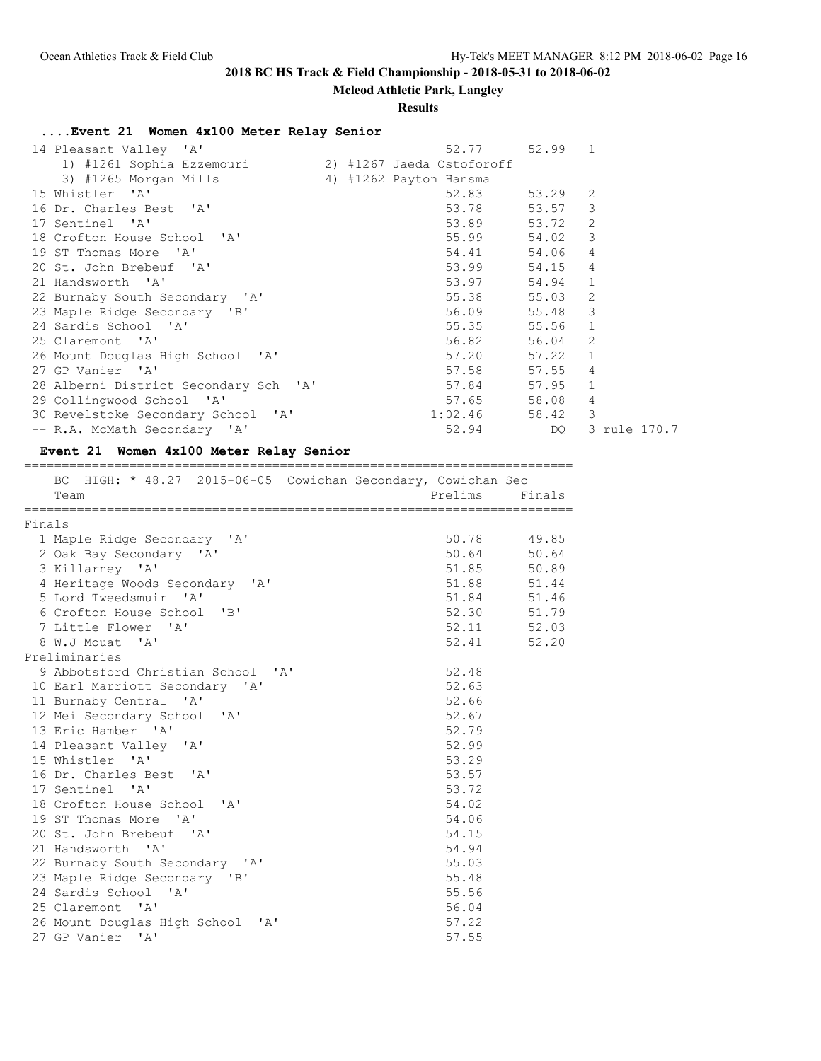### **Mcleod Athletic Park, Langley**

#### **Results**

**....Event 21 Women 4x100 Meter Relay Senior**

| 14 Pleasant Valley 'A'                               |  | 52.77                  | $52.99$ 1       |                |
|------------------------------------------------------|--|------------------------|-----------------|----------------|
| 1) #1261 Sophia Ezzemouri (2) #1267 Jaeda Ostoforoff |  |                        |                 |                |
| 3) #1265 Morgan Mills                                |  | 4) #1262 Payton Hansma |                 |                |
| 15 Whistler 'A'                                      |  | 52.83                  | 53.29           | 2              |
| 16 Dr. Charles Best 'A'                              |  | 53.78                  | 53.57 3         |                |
| 17 Sentinel 'A'                                      |  | 53.89                  | 53.72 2         |                |
| 18 Crofton House School 'A'                          |  | 55.99                  | 54.02 3         |                |
| 19 ST Thomas More 'A'                                |  | 54.41                  | 54.06           | $\overline{4}$ |
| 20 St. John Brebeuf 'A'                              |  | 53.99                  | 54.15 4         |                |
| 21 Handsworth 'A'                                    |  | 53.97                  | 54.94 1         |                |
| 22 Burnaby South Secondary 'A'                       |  | 55.38                  | 55.03           | 2              |
| 23 Maple Ridge Secondary 'B'                         |  | 56.09                  | 55.48 3         |                |
| 24 Sardis School 'A'                                 |  | 55.35                  | 55.56 1         |                |
| 25 Claremont 'A'                                     |  | 56.82                  | 56.04 2         |                |
| 26 Mount Douglas High School 'A'                     |  | 57.20                  | $57.22 \quad 1$ |                |
| 27 GP Vanier 'A'                                     |  | 57.58                  | 57.55           | $\overline{4}$ |
| 28 Alberni District Secondary Sch 'A'                |  | 57.84                  | $57.95$ 1       |                |
| 29 Collingwood School 'A'                            |  | 57.65                  | 58.08           | $\overline{4}$ |
| 30 Revelstoke Secondary School 'A'                   |  | 1:02.46                | 58.42 3         |                |
| -- R.A. McMath Secondary 'A'                         |  | 52.94                  | DQ.             | 3 rule 170.7   |

#### **Event 21 Women 4x100 Meter Relay Senior** =========================================================================

 BC HIGH: \* 48.27 2015-06-05 Cowichan Secondary, Cowichan Sec Team Prelims Finals ========================================================================= Finals 1 Maple Ridge Secondary 'A' 2 Oak Bay Secondary 'A' 3 Killarney 'A' 51.85 50.89 4 Heritage Woods Secondary 'A' 5 Lord Tweedsmuir 'A' 6 Crofton House School 'B' 7 Little Flower 'A'<br>8 W.J Mouat 'A' 8 W.J Mouat 'A' 52.41 52.20 Preliminaries 9 Abbotsford Christian School 'A' 52.48 10 Earl Marriott Secondary 'A' 52.63<br>11 Burnaby Central 'A' 52.66 11 Burnaby Central 'A' 12 Mei Secondary School 'A' 52.67 13 Eric Hamber 'A' 52.79 14 Pleasant Valley 'A' 52.99 15 Whistler 'A' 53.29 16 Dr. Charles Best 'A' 53.57 17 Sentinel 'A' 53.72 18 Crofton House School 'A' 54.02 19 ST Thomas More 'A' 54.06 20 St. John Brebeuf 'A' 54.15 21 Handsworth 'A' 54.94 22 Burnaby South Secondary 'A' 55.03 23 Maple Ridge Secondary 'B' 55.48 24 Sardis School 'A' 55.56 25 Claremont 'A' 56.04 26 Mount Douglas High School 'A' 57.22 27 GP Vanier 'A' 57.55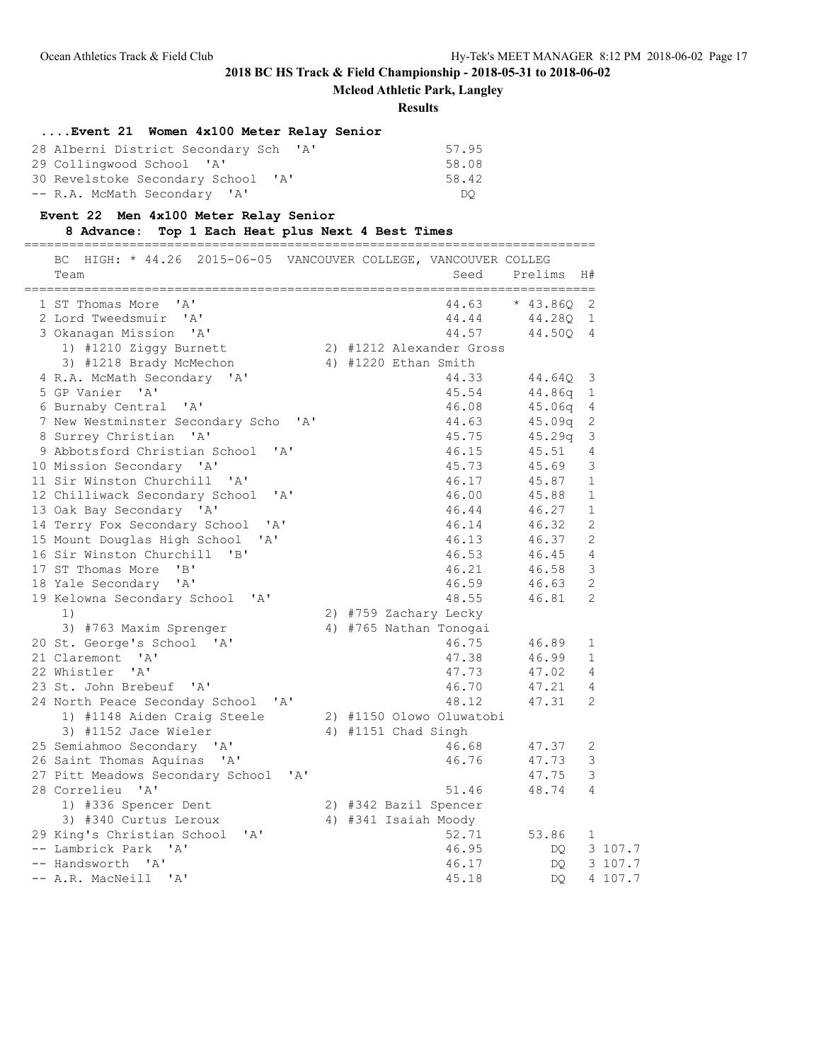**Mcleod Athletic Park, Langley**

**Results**

### **....Event 21 Women 4x100 Meter Relay Senior**

| 28 Alberni District Secondary Sch 'A'          | 57.95 |
|------------------------------------------------|-------|
| 29 Collingwood School 'A'                      | 58.08 |
| 30 Revelstoke Secondary School<br>$\mathsf{A}$ | 58.42 |
| -- R.A. McMath Secondary 'A'                   | DO    |

## **Event 22 Men 4x100 Meter Relay Senior**

### **8 Advance: Top 1 Each Heat plus Next 4 Best Times**

============================================================================ BC HIGH: \* 44.26 2015-06-05 VANCOUVER COLLEGE, VANCOUVER COLLEG Team Seed Prelims H# ============================================================================ 1 ST Thomas More 'A' 44.63 \* 43.86Q 2<br>
2 Lord Tweedsmuir 'A' 44.44 44.28Q 1<br>
3 Okanagan Mission 'A' 44.57 44.50Q 4 2 Lord Tweedsmuir 'A' 44.280 1 3 Okanagan Mission 'A' 44.57 44.50Q 4 1) #1210 Ziggy Burnett 2) #1212 Alexander Gross 3) #1218 Brady McMechon 4) #1220 Ethan Smith 4 R.A. McMath Secondary 'A' 44.33 44.64Q 3 5 GP Vanier 'A' 45.54 44.86q 1 6 Burnaby Central 'A' 46.08 45.06q 4 7 New Westminster Secondary Scho 'A' 8 Surrey Christian 'A' 45.75 45.29q 3 9 Abbotsford Christian School 'A' 46.15 45.51 4 10 Mission Secondary 'A' 45.73 45.69 3 11 Sir Winston Churchill 'A' 46.17 45.87 1 12 Chilliwack Secondary School 'A' 46.00 45.88 1 13 Oak Bay Secondary 'A' 46.44 46.27 1 14 Terry Fox Secondary School 'A' 46.14 46.32 2 15 Mount Douglas High School 'A' 46.13 46.37 2 16 Sir Winston Churchill 'B' 46.53 46.45 4 17 ST Thomas More 'B' 46.21 46.58 3 18 Yale Secondary 'A' 46.59 46.63 2 19 Kelowna Secondary School 'A' 48.55 46.81 2 1) 2) #759 Zachary Lecky <sup>1</sup>,<br>3) #763 Maxim Sprenger<br>20 St. George's School 'A' 20 St. George's School 'A' 46.75 46.89 1 21 Claremont 'A' 47.38 46.99 1 22 Whistler 'A' 47.73 47.02 4 23 St. John Brebeuf 'A' 46.70 47.21 4 24 North Peace Seconday School 'A' 48.12 47.31 2 1) #1148 Aiden Craig Steele 2) #1150 Olowo Oluwatobi 3) #1152 Jace Wieler 4) #1151 Chad Singh 25 Semiahmoo Secondary 'A' 46.68 47.37 2 26 Saint Thomas Aquinas 'A' 46.76 47.73 3 25 Semiahmoo Secondary 'A' 1101 0100 010101 46.68 47.37 2<br>
26 Saint Thomas Aquinas 'A' 46.76 47.73 3<br>
27 Pitt Meadows Secondary School 'A' 47.75 3<br>
28 Correlieu 'A' 51.46 48.74 4 28 Correlieu 'A' 51.46 48.74 4 1) #336 Spencer Dent 2) #342 Bazil Spencer 3) #340 Curtus Leroux 4) #341 Isaiah Moody 29 King's Christian School 'A' 52.71 53.86 1 -- Lambrick Park 'A' 46.95 DQ 3 107.7 -- Handsworth 'A' 46.17 DQ 3 107.7 -- A.R. MacNeill 'A' 45.18 DQ 4 107.7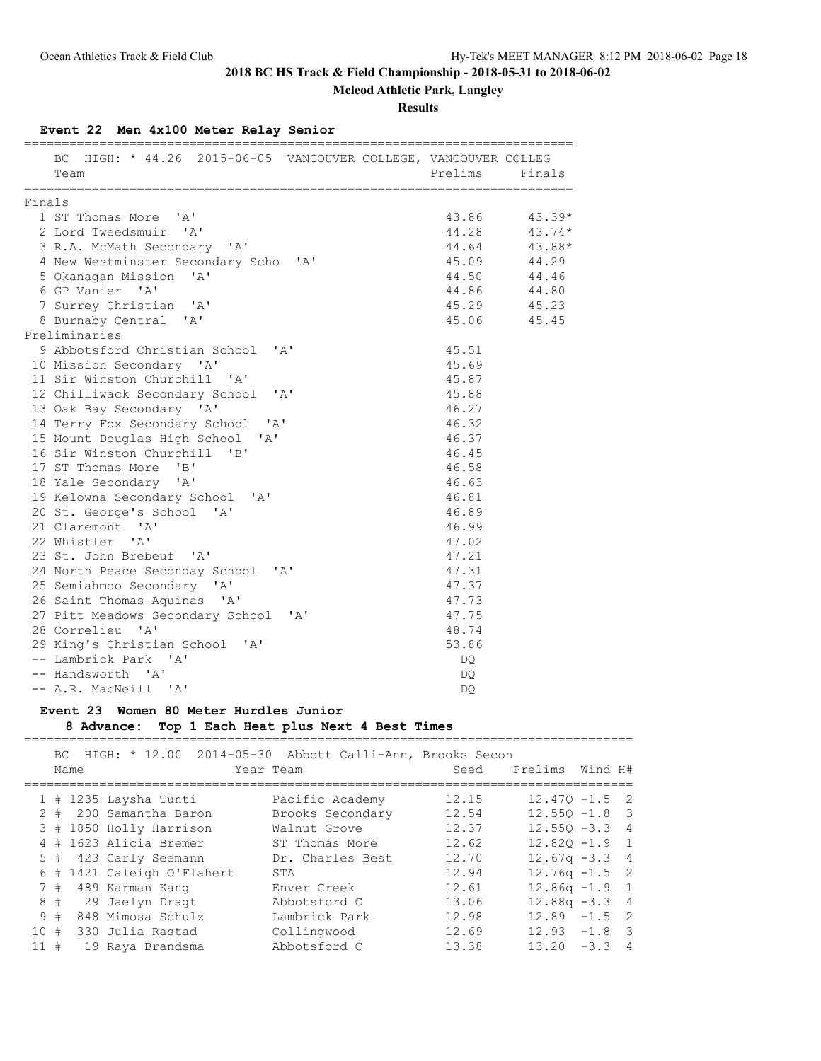**Mcleod Athletic Park, Langley**

**Results**

### **Event 22 Men 4x100 Meter Relay Senior**

|        | BC HIGH: * 44.26 2015-06-05 VANCOUVER COLLEGE, VANCOUVER COLLEG<br>Team | Prelims Finals |             |
|--------|-------------------------------------------------------------------------|----------------|-------------|
|        |                                                                         |                |             |
| Finals |                                                                         |                |             |
|        | 1 ST Thomas More 'A'                                                    | 43.86          | $43.39*$    |
|        | 2 Lord Tweedsmuir 'A'                                                   | 44.28          | $43.74*$    |
|        | 3 R.A. McMath Secondary 'A'                                             | 44.64          | 43.88*      |
|        | 4 New Westminster Secondary Scho 'A'                                    | 45.09          | 44.29       |
|        | 5 Okanagan Mission 'A'                                                  |                | 44.50 44.46 |
|        | 6 GP Vanier 'A'                                                         |                | 44.86 44.80 |
|        | 7 Surrey Christian 'A'                                                  |                | 45.29 45.23 |
|        | 8 Burnaby Central 'A'                                                   |                | 45.06 45.45 |
|        | Preliminaries                                                           |                |             |
|        | 9 Abbotsford Christian School 'A'                                       | 45.51          |             |
|        | 10 Mission Secondary 'A'                                                | 45.69          |             |
|        | 11 Sir Winston Churchill 'A'                                            | 45.87          |             |
|        | 12 Chilliwack Secondary School 'A'                                      | 45.88          |             |
|        | 13 Oak Bay Secondary 'A'                                                | 46.27          |             |
|        | 14 Terry Fox Secondary School 'A'                                       | 46.32          |             |
|        | 15 Mount Douglas High School 'A'                                        | 46.37          |             |
|        | 16 Sir Winston Churchill 'B'                                            | 46.45          |             |
|        | 17 ST Thomas More 'B'                                                   | 46.58          |             |
|        | 18 Yale Secondary 'A'                                                   | 46.63          |             |
|        | 19 Kelowna Secondary School 'A'                                         | 46.81          |             |
|        | 20 St. George's School 'A'                                              | 46.89          |             |
|        | 21 Claremont 'A'                                                        | 46.99          |             |
|        | 22 Whistler 'A'                                                         | 47.02          |             |
|        | 23 St. John Brebeuf 'A'                                                 | 47.21          |             |
|        | 24 North Peace Seconday School 'A'                                      | 47.31          |             |
|        | 25 Semiahmoo Secondary 'A'                                              | 47.37          |             |
|        | 26 Saint Thomas Aquinas 'A'                                             | 47.73          |             |
|        | 27 Pitt Meadows Secondary School 'A'                                    | 47.75          |             |
|        | 28 Correlieu 'A'                                                        | 48.74          |             |
|        | 29 King's Christian School 'A'                                          | 53.86          |             |
|        | -- Lambrick Park 'A'                                                    | DQ.            |             |
|        | -- Handsworth 'A'                                                       | DQ.            |             |
|        | -- A.R. MacNeill 'A'                                                    | <b>DO</b>      |             |

### **Event 23 Women 80 Meter Hurdles Junior**

## **8 Advance: Top 1 Each Heat plus Next 4 Best Times**

|         | BC. | Name | HIGH: * 12.00 2014-05-30   | Abbott Calli-Ann, Brooks Secon<br>Year Team | Seed  | Prelims          | Wind H# |                |
|---------|-----|------|----------------------------|---------------------------------------------|-------|------------------|---------|----------------|
|         |     |      | $1$ # 1235 Laysha Tunti    | Pacific Academy                             | 12.15 | $12.470 - 1.5$ 2 |         |                |
|         |     |      | 2 # 200 Samantha Baron     | Brooks Secondary                            | 12.54 | $12.550 - 1.8$ 3 |         |                |
|         |     |      | 3 # 1850 Holly Harrison    | Walnut Grove                                | 12.37 | $12.550 - 3.3$ 4 |         |                |
|         |     |      | # 1623 Alicia Bremer       | ST Thomas More                              | 12.62 | $12.820 - 1.9$ 1 |         |                |
|         |     |      | 5 # 423 Carly Seemann      | Dr. Charles Best                            | 12.70 | $12.67q - 3.34$  |         |                |
|         |     |      | 6 # 1421 Caleigh O'Flahert | STA                                         | 12.94 | $12.76q - 1.5$ 2 |         |                |
|         | 7#  |      | 489 Karman Kang            | Enver Creek                                 | 12.61 | $12.86q - 1.9$ 1 |         |                |
|         |     |      | 8 # 29 Jaelyn Dragt        | Abbotsford C                                | 13.06 | $12.88q - 3.34$  |         |                |
|         | 9#  |      | 848 Mimosa Schulz          | Lambrick Park                               | 12.98 | $12.89 - 1.5$ 2  |         |                |
| 10#     |     |      | 330 Julia Rastad           | Collingwood                                 | 12.69 | $12.93 - 1.8$ 3  |         |                |
| $11 \#$ |     |      | 19 Raya Brandsma           | Abbotsford C                                | 13.38 | 13.20            | $-3.3$  | $\overline{4}$ |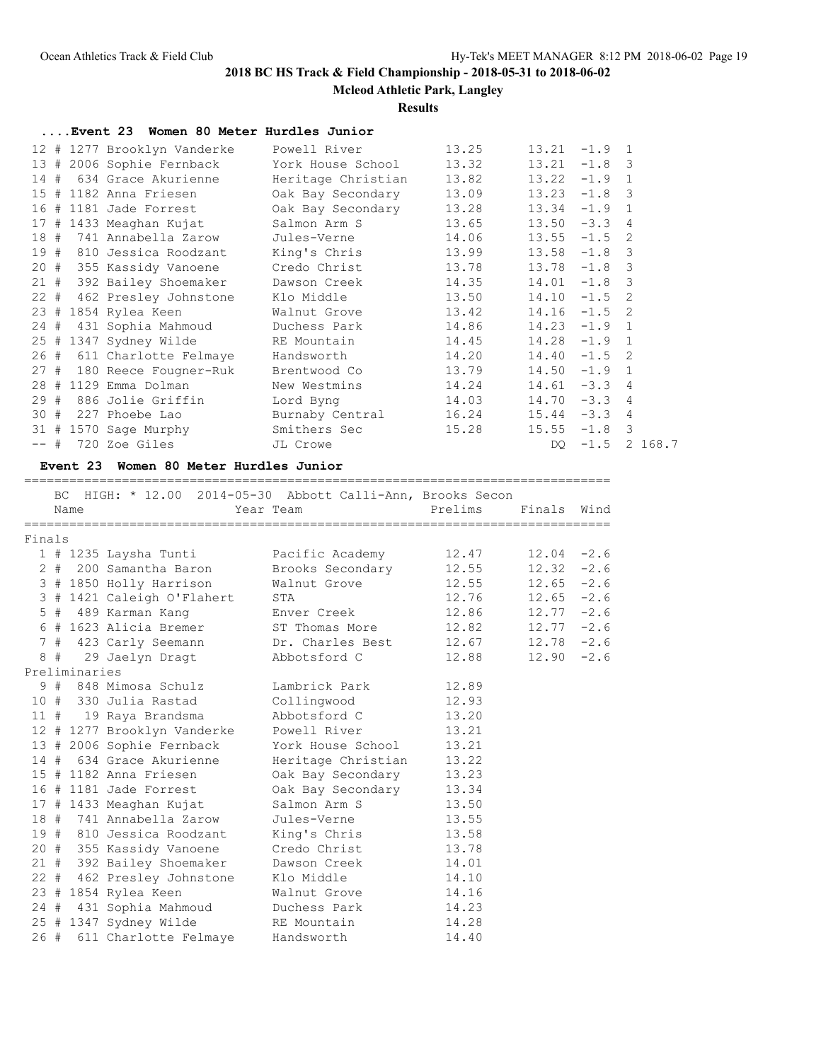**Mcleod Athletic Park, Langley**

### **Results**

|      | Event 23 Women 80 Meter Hurdles Junior |                    |       |       |          |                |
|------|----------------------------------------|--------------------|-------|-------|----------|----------------|
|      | 12 # 1277 Brooklyn Vanderke            | Powell River       | 13.25 | 13.21 | $-1.9$ 1 |                |
|      | 13 # 2006 Sophie Fernback              | York House School  | 13.32 | 13.21 | $-1.8$ 3 |                |
|      | 14 # 634 Grace Akurienne               | Heritage Christian | 13.82 | 13.22 | $-1.9$ 1 |                |
|      | 15 # 1182 Anna Friesen                 | Oak Bay Secondary  | 13.09 | 13.23 | $-1.8$ 3 |                |
|      | 16 # 1181 Jade Forrest                 | Oak Bay Secondary  | 13.28 | 13.34 | $-1.9$   | $\overline{1}$ |
|      | 17 # 1433 Meaghan Kujat                | Salmon Arm S       | 13.65 | 13.50 | $-3.3$   | $\overline{4}$ |
| 18#  | 741 Annabella Zarow                    | Jules-Verne        | 14.06 | 13.55 | $-1.5$   | 2              |
| 19#  | 810 Jessica Roodzant                   | King's Chris       | 13.99 | 13.58 | $-1.8$ 3 |                |
|      | 20 # 355 Kassidy Vanoene               | Credo Christ       | 13.78 | 13.78 | $-1.8$   | 3              |
| 21#  | 392 Bailey Shoemaker                   | Dawson Creek       | 14.35 | 14.01 | $-1.8$ 3 |                |
|      | 22 # 462 Presley Johnstone             | Klo Middle         | 13.50 | 14.10 | $-1.5$   | 2              |
|      | 23 # 1854 Rylea Keen                   | Walnut Grove       | 13.42 | 14.16 | $-1.5$   | 2              |
| 24 # | 431 Sophia Mahmoud                     | Duchess Park       | 14.86 | 14.23 | $-1.9$ 1 |                |
|      | 25 # 1347 Sydney Wilde                 | RE Mountain        | 14.45 | 14.28 | $-1.9$ 1 |                |
|      | 26 # 611 Charlotte Felmaye             | Handsworth         | 14.20 | 14.40 | $-1.5$   | 2              |
|      | 27 # 180 Reece Fougner-Ruk             | Brentwood Co       | 13.79 | 14.50 | $-1.9$   | $\overline{1}$ |
|      | 28 # 1129 Emma Dolman                  | New Westmins       | 14.24 | 14.61 | $-3.3$   | $\overline{4}$ |
| 29#  | 886 Jolie Griffin                      | Lord Byng          | 14.03 | 14.70 | $-3.3$   | 4              |
| 30#  | 227 Phoebe Lao                         | Burnaby Central    | 16.24 | 15.44 | $-3.3$ 4 |                |
|      | 31 # 1570 Sage Murphy                  | Smithers Sec       | 15.28 | 15.55 | $-1.8$ 3 |                |
|      | -- # 720 Zoe Giles                     | JL Crowe           |       | DQ —  | $-1.5$   | 2 168.7        |
|      |                                        |                    |       |       |          |                |

#### **Event 23 Women 80 Meter Hurdles Junior**

==============================================================================

|                      | BC. | Name          | HIGH: * 12.00 2014-05-30 Abbott Calli-Ann, Brooks Secon | Year Team          | Prelims | Finals        | Wind |
|----------------------|-----|---------------|---------------------------------------------------------|--------------------|---------|---------------|------|
| Finals               |     |               |                                                         |                    |         |               |      |
|                      |     |               | 1 # 1235 Laysha Tunti                                   | Pacific Academy    | 12.47   | $12.04 - 2.6$ |      |
| $\mathbf{2}^{\circ}$ |     |               | # 200 Samantha Baron                                    | Brooks Secondary   | 12.55   | $12.32 - 2.6$ |      |
|                      |     |               | 3 # 1850 Holly Harrison                                 | Walnut Grove       | 12.55   | $12.65 - 2.6$ |      |
|                      |     |               | 3 # 1421 Caleigh O'Flahert                              | STA                | 12.76   | $12.65 - 2.6$ |      |
|                      |     |               | 5 # 489 Karman Kang                                     | Enver Creek        | 12.86   | $12.77 - 2.6$ |      |
|                      |     |               | 6 # 1623 Alicia Bremer                                  | ST Thomas More     | 12.82   | $12.77 - 2.6$ |      |
|                      |     |               | 7 # 423 Carly Seemann                                   | Dr. Charles Best   | 12.67   | $12.78 - 2.6$ |      |
|                      | 8#  |               | 29 Jaelyn Dragt                                         | Abbotsford C       | 12.88   | $12.90 - 2.6$ |      |
|                      |     | Preliminaries |                                                         |                    |         |               |      |
|                      |     |               | 9 # 848 Mimosa Schulz                                   | Lambrick Park      | 12.89   |               |      |
|                      |     |               | 10 # 330 Julia Rastad                                   | Collingwood        | 12.93   |               |      |
|                      |     |               | 11 # 19 Raya Brandsma                                   | Abbotsford C       | 13.20   |               |      |
|                      |     |               | 12 # 1277 Brooklyn Vanderke                             | Powell River       | 13.21   |               |      |
|                      |     |               | 13 # 2006 Sophie Fernback                               | York House School  | 13.21   |               |      |
|                      |     |               | 14 # 634 Grace Akurienne                                | Heritage Christian | 13.22   |               |      |
|                      |     |               | 15 # 1182 Anna Friesen                                  | Oak Bay Secondary  | 13.23   |               |      |
|                      |     |               | 16 # 1181 Jade Forrest                                  | Oak Bay Secondary  | 13.34   |               |      |
|                      |     |               | 17 # 1433 Meaghan Kujat                                 | Salmon Arm S       | 13.50   |               |      |
|                      |     |               | 18 # 741 Annabella Zarow                                | Jules-Verne        | 13.55   |               |      |
|                      |     |               | 19 # 810 Jessica Roodzant                               | King's Chris       | 13.58   |               |      |
|                      |     |               | 20 # 355 Kassidy Vanoene                                | Credo Christ       | 13.78   |               |      |
|                      |     |               | 21 # 392 Bailey Shoemaker                               | Dawson Creek       | 14.01   |               |      |
|                      |     |               | 22 # 462 Presley Johnstone                              | Klo Middle         | 14.10   |               |      |
|                      |     |               | 23 # 1854 Rylea Keen                                    | Walnut Grove       | 14.16   |               |      |
|                      |     |               | 24 # 431 Sophia Mahmoud                                 | Duchess Park       | 14.23   |               |      |
|                      |     |               | 25 # 1347 Sydney Wilde                                  | RE Mountain        | 14.28   |               |      |
| 26#                  |     |               | 611 Charlotte Felmaye                                   | Handsworth         | 14.40   |               |      |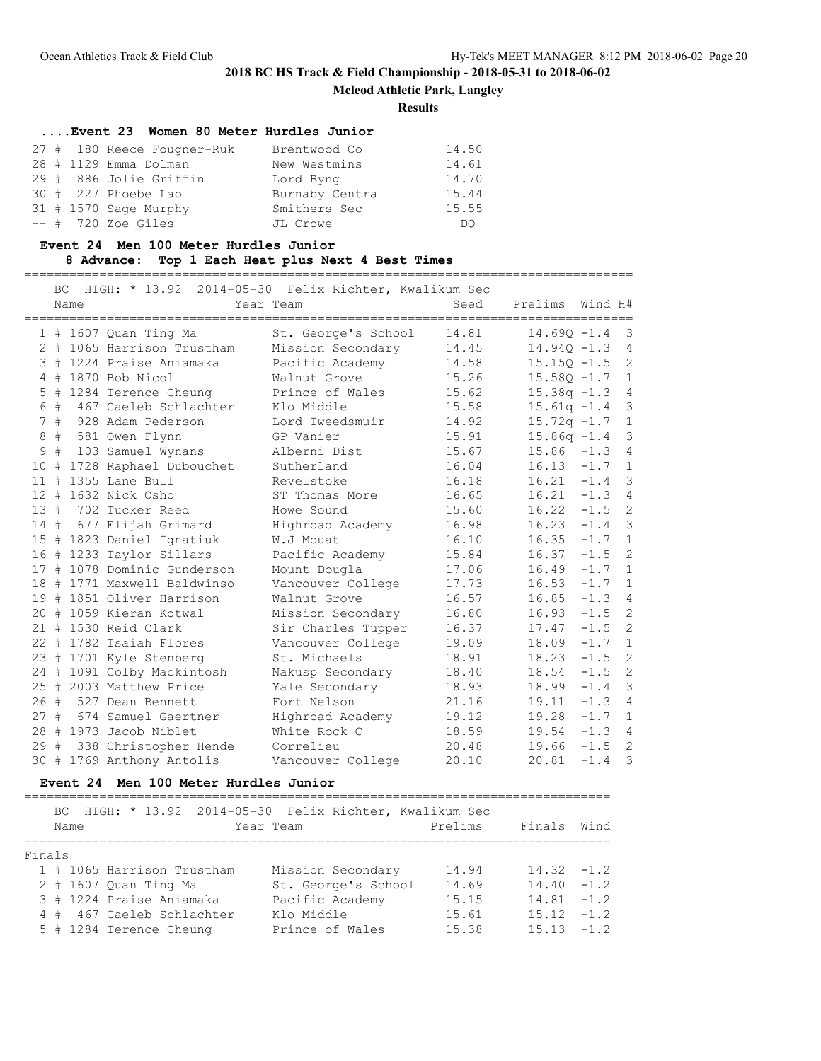**Mcleod Athletic Park, Langley**

**Results**

|  | Event 23 Women 80 Meter Hurdles Junior |                 |       |
|--|----------------------------------------|-----------------|-------|
|  | 27 # 180 Reece Fougner-Ruk             | Brentwood Co    | 14.50 |
|  | 28 # 1129 Emma Dolman                  | New Westmins    | 14.61 |
|  | 29 # 886 Jolie Griffin                 | Lord Byng       | 14.70 |
|  | 30 # 227 Phoebe Lao                    | Burnaby Central | 15.44 |
|  | $31$ # 1570 Sage Murphy                | Smithers Sec    | 15.55 |
|  | $--$ # 720 Zoe Giles                   | JL Crowe        | DO.   |

### **Event 24 Men 100 Meter Hurdles Junior**

### **8 Advance: Top 1 Each Heat plus Next 4 Best Times**

=================================================================================

|     | <b>BC</b> | Name |                             | HIGH: * 13.92 2014-05-30 Felix Richter, Kwalikum Sec<br>Year Team | Seed  | Prelims Wind H# |          |                |
|-----|-----------|------|-----------------------------|-------------------------------------------------------------------|-------|-----------------|----------|----------------|
|     |           |      | 1 # 1607 Quan Ting Ma       | St. George's School                                               | 14.81 | $14.690 - 1.4$  |          | 3              |
|     |           |      | 2 # 1065 Harrison Trustham  | Mission Secondary                                                 | 14.45 | $14.940 - 1.3$  |          | $\overline{4}$ |
|     |           |      | 3 # 1224 Praise Aniamaka    | Pacific Academy                                                   | 14.58 | $15.15Q - 1.5$  |          | $\overline{2}$ |
|     |           |      | 4 # 1870 Bob Nicol          | Walnut Grove                                                      | 15.26 | $15.58Q - 1.7$  |          | $\mathbf{1}$   |
|     |           |      | 5 # 1284 Terence Cheung     | Prince of Wales                                                   | 15.62 | $15.38q - 1.3$  |          | $\overline{4}$ |
|     | 6#        |      | 467 Caeleb Schlachter       | Klo Middle                                                        | 15.58 | $15.61q - 1.4$  |          | 3              |
|     | 7#        |      | 928 Adam Pederson           | Lord Tweedsmuir                                                   | 14.92 | $15.72q -1.7$   |          | $\mathbf{1}$   |
| 8   | #         |      | 581 Owen Flynn              | GP Vanier                                                         | 15.91 | $15.86q -1.4$   |          | $\mathcal{S}$  |
| 9   | #         |      | 103 Samuel Wynans           | Alberni Dist                                                      | 15.67 | $15.86 - 1.3$   |          | 4              |
| 10  | #         |      | 1728 Raphael Dubouchet      | Sutherland                                                        | 16.04 | $16.13 - 1.7$   |          | $\mathbf 1$    |
| 11# |           |      | 1355 Lane Bull              | Revelstoke                                                        | 16.18 | $16.21 - 1.4$   |          | $\mathcal{S}$  |
|     |           |      | 12 # 1632 Nick Osho         | ST Thomas More                                                    | 16.65 | $16.21 - 1.3$   |          | $\overline{4}$ |
| 13# |           |      | 702 Tucker Reed             | Howe Sound                                                        | 15.60 | $16.22 - 1.5$   |          | $\overline{c}$ |
| 14# |           |      | 677 Elijah Grimard          | Highroad Academy                                                  | 16.98 | $16.23 - 1.4$   |          | $\mathcal{S}$  |
|     |           |      | 15 # 1823 Daniel Ignatiuk   | W.J Mouat                                                         | 16.10 | $16.35 -1.7$    |          | $\mathbf{1}$   |
|     |           |      | 16 # 1233 Taylor Sillars    | Pacific Academy                                                   | 15.84 | 16.37           | $-1.5$   | $\overline{c}$ |
|     |           |      | 17 # 1078 Dominic Gunderson | Mount Dougla                                                      | 17.06 | 16.49           | $-1.7$   | $\mathbf{1}$   |
| 18  |           |      | # 1771 Maxwell Baldwinso    | Vancouver College                                                 | 17.73 | 16.53           | $-1.7$   | $\mathbf{1}$   |
|     |           |      | 19 # 1851 Oliver Harrison   | Walnut Grove                                                      | 16.57 | 16.85           | $-1.3$ 4 |                |
|     |           |      | 20 # 1059 Kieran Kotwal     | Mission Secondary                                                 | 16.80 | 16.93           | $-1.5$   | 2              |
|     |           |      | 21 # 1530 Reid Clark        | Sir Charles Tupper                                                | 16.37 | 17.47           | $-1.5$   | $\overline{c}$ |
|     |           |      | 22 # 1782 Isaiah Flores     | Vancouver College                                                 | 19.09 | 18.09           | $-1.7$   | $\mathbf{1}$   |
|     |           |      | 23 # 1701 Kyle Stenberg     | St. Michaels                                                      | 18.91 | 18.23           | $-1.5$   | $\overline{c}$ |
|     |           |      | 24 # 1091 Colby Mackintosh  | Nakusp Secondary                                                  | 18.40 | 18.54           | $-1.5$   | $\overline{2}$ |
|     |           |      | 25 # 2003 Matthew Price     | Yale Secondary                                                    | 18.93 | 18.99           | $-1.4$   | $\mathcal{S}$  |
| 26# |           |      | 527 Dean Bennett            | Fort Nelson                                                       | 21.16 | 19.11           | $-1.3$   | $\overline{4}$ |
| 27# |           |      | 674 Samuel Gaertner         | Highroad Academy                                                  | 19.12 | 19.28           | $-1.7$ 1 |                |
|     |           |      | 28 # 1973 Jacob Niblet      | White Rock C                                                      | 18.59 | $19.54 -1.3$    |          | $\overline{4}$ |
| 29# |           |      | 338 Christopher Hende       | Correlieu                                                         | 20.48 | 19.66           | $-1.5$   | $\overline{c}$ |
|     |           |      | 30 # 1769 Anthony Antolis   | Vancouver College                                                 | 20.10 | 20.81           | $-1.4$   | $\mathcal{S}$  |

## **Event 24 Men 100 Meter Hurdles Junior**

==============================================================================

|        |      |                            |           | BC HIGH: * 13.92 2014-05-30 Felix Richter, Kwalikum Sec |         |               |      |
|--------|------|----------------------------|-----------|---------------------------------------------------------|---------|---------------|------|
|        | Name |                            | Year Team |                                                         | Prelims | Finals        | Wind |
|        |      |                            |           |                                                         |         |               |      |
| Finals |      |                            |           |                                                         |         |               |      |
|        |      | 1 # 1065 Harrison Trustham |           | Mission Secondary                                       | 14.94   | $14.32 - 1.2$ |      |
|        |      | $2$ # 1607 Quan Ting Ma    |           | St. George's School                                     | 14.69   | $14.40 - 1.2$ |      |
|        |      | 3 # 1224 Praise Aniamaka   |           | Pacific Academy                                         | 15.15   | $14.81 - 1.2$ |      |
|        |      | 4 # 467 Caeleb Schlachter  |           | Klo Middle                                              | 15.61   | $15.12 - 1.2$ |      |
|        |      | 5 # 1284 Terence Cheung    |           | Prince of Wales                                         | 15.38   | $15.13 - 1.2$ |      |
|        |      |                            |           |                                                         |         |               |      |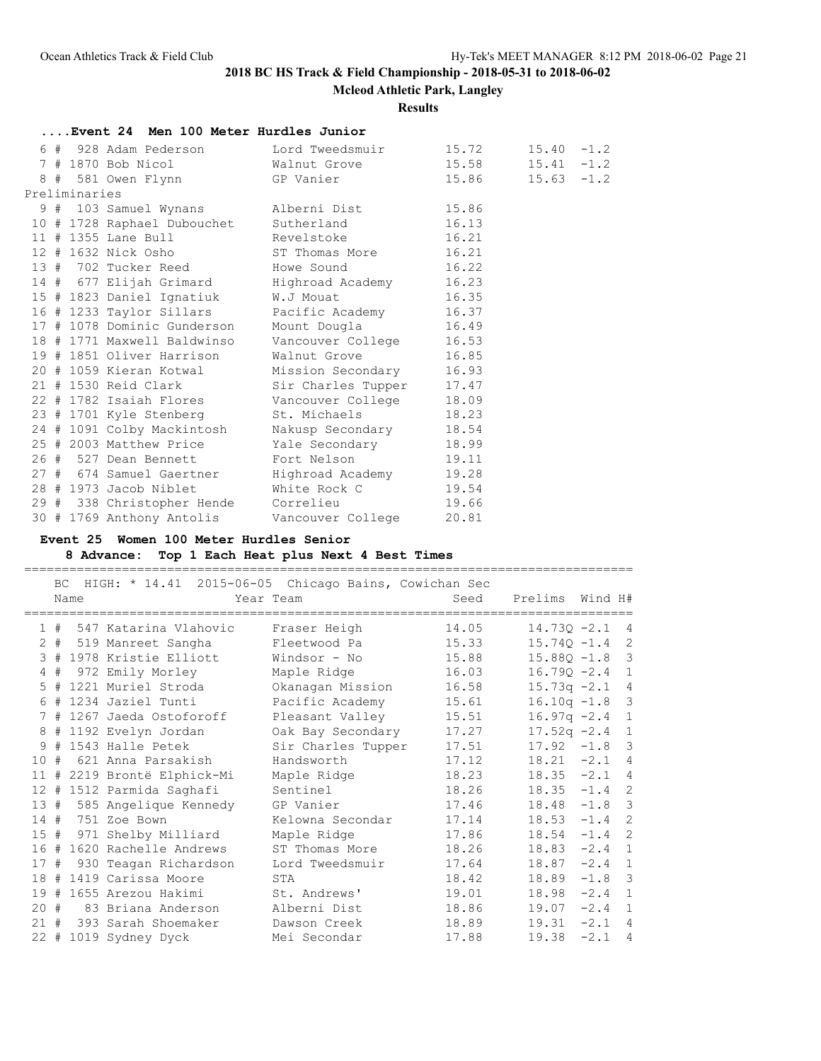**Mcleod Athletic Park, Langley**

### **Results**

|  |               |  |  | Event 24 Men 100 Meter Hurdles Junior                                                               |  |  |  |
|--|---------------|--|--|-----------------------------------------------------------------------------------------------------|--|--|--|
|  |               |  |  | 6 # 928 Adam Pederson Lord Tweedsmuir 15.72 15.40 -1.2                                              |  |  |  |
|  |               |  |  | 7 # 1870 Bob Nicol Malnut Grove 15.58 15.41 -1.2                                                    |  |  |  |
|  |               |  |  | 8 # 581 Owen Flynn GP Vanier 15.86 15.63 -1.2                                                       |  |  |  |
|  | Preliminaries |  |  |                                                                                                     |  |  |  |
|  |               |  |  | 9 # 103 Samuel Wynans Alberni Dist 15.86                                                            |  |  |  |
|  |               |  |  | 10 # 1728 Raphael Dubouchet Sutherland 16.13                                                        |  |  |  |
|  |               |  |  | 11 # 1355 Lane Bull Revelstoke 16.21                                                                |  |  |  |
|  |               |  |  | 12 # 1632 Nick Osho ST Thomas More 16.21                                                            |  |  |  |
|  |               |  |  | 13 # 702 Tucker Reed Howe Sound 16.22                                                               |  |  |  |
|  |               |  |  | 14 # 677 Elijah Grimard Mighroad Academy 16.23                                                      |  |  |  |
|  |               |  |  | 15 # 1823 Daniel Ignatiuk M.J Mouat 16.35                                                           |  |  |  |
|  |               |  |  | 16 # 1233 Taylor Sillars Pacific Academy 16.37                                                      |  |  |  |
|  |               |  |  | 17 # 1078 Dominic Gunderson Mount Dougla 16.49                                                      |  |  |  |
|  |               |  |  | 18 # 1771 Maxwell Baldwinso Vancouver College 16.53<br>19 # 1851 Oliver Harrison Malnut Grove 16.85 |  |  |  |
|  |               |  |  |                                                                                                     |  |  |  |
|  |               |  |  | 20 # 1059 Kieran Kotwal Mission Secondary 16.93                                                     |  |  |  |
|  |               |  |  | 21 # 1530 Reid Clark Sir Charles Tupper 17.47                                                       |  |  |  |
|  |               |  |  | 22 # 1782 Isaiah Flores Vancouver College 18.09                                                     |  |  |  |
|  |               |  |  | 23 # 1701 Kyle Stenberg St. Michaels 18.23                                                          |  |  |  |
|  |               |  |  | 24 # 1091 Colby Mackintosh Makusp Secondary 18.54                                                   |  |  |  |
|  |               |  |  | 25 # 2003 Matthew Price Yale Secondary 18.99                                                        |  |  |  |
|  |               |  |  | 26 # 527 Dean Bennett Fort Nelson 19.11                                                             |  |  |  |
|  |               |  |  | 27 # 674 Samuel Gaertner Highroad Academy 19.28<br>28 # 1973 Jacob Niblet Mhite Rock C 19.54        |  |  |  |
|  |               |  |  |                                                                                                     |  |  |  |
|  |               |  |  | 29 # 338 Christopher Hende Correlieu 19.66                                                          |  |  |  |
|  |               |  |  | 30 # 1769 Anthony Antolis Vancouver College 20.81                                                   |  |  |  |

# **Event 25 Women 100 Meter Hurdles Senior**

## **8 Advance: Top 1 Each Heat plus Next 4 Best Times**

|    |    | Name | BC HIGH: * 14.41 2015-06-05 Chicago Bains, Cowichan Sec | Year Team          | Seed  | Prelims Wind H#  |          |                |
|----|----|------|---------------------------------------------------------|--------------------|-------|------------------|----------|----------------|
|    |    |      | 1 # 547 Katarina Vlahovic                               | Fraser Heigh       | 14.05 | $14.730 - 2.1$   |          | $\overline{4}$ |
|    |    |      | 2 # 519 Manreet Sangha                                  | Fleetwood Pa       | 15.33 | $15.74Q - 1.4$ 2 |          |                |
|    |    |      | 3 # 1978 Kristie Elliott                                | Windsor - No       | 15.88 | $15.88Q - 1.8$ 3 |          |                |
|    | 4# |      | 972 Emily Morley                                        | Maple Ridge        | 16.03 | $16.790 - 2.4$   |          | $\mathbf{1}$   |
|    |    |      | 5 # 1221 Muriel Stroda                                  | Okanagan Mission   | 16.58 | $15.73q -2.1$    |          | 4              |
|    |    |      | 6 # 1234 Jaziel Tunti                                   | Pacific Academy    | 15.61 | $16.10q - 1.8$ 3 |          |                |
|    |    |      | 7 # 1267 Jaeda Ostoforoff                               | Pleasant Valley    | 15.51 | $16.97q -2.4$    |          | $\mathbf{1}$   |
|    |    |      | 8 # 1192 Evelyn Jordan                                  | Oak Bay Secondary  | 17.27 | $17.52q -2.4$    |          | $\mathbf{1}$   |
|    |    |      | 9 # 1543 Halle Petek                                    | Sir Charles Tupper | 17.51 | $17.92 -1.8$ 3   |          |                |
| 10 | #  |      | 621 Anna Parsakish                                      | Handsworth         | 17.12 | $18.21 -2.1$     |          | $\overline{4}$ |
|    |    |      | 11 # 2219 Brontë Elphick-Mi                             | Maple Ridge        | 18.23 | $18.35 -2.1 4$   |          |                |
|    |    |      | 12 # 1512 Parmida Saghafi                               | Sentinel           | 18.26 | $18.35 -1.4$ 2   |          |                |
|    |    |      | 13 # 585 Angelique Kennedy                              | GP Vanier          | 17.46 | $18.48 - 1.8$ 3  |          |                |
|    |    |      | 14 # 751 Zoe Bown                                       | Kelowna Secondar   | 17.14 | 18.53            | $-1.4$   | 2              |
|    |    |      | 15 # 971 Shelby Milliard                                | Maple Ridge        | 17.86 | 18.54            | $-1.4$   | 2              |
|    |    |      | 16 # 1620 Rachelle Andrews                              | ST Thomas More     | 18.26 | 18.83            | $-2.4$   | $\mathbf{1}$   |
|    |    |      | 17 # 930 Teagan Richardson                              | Lord Tweedsmuir    | 17.64 | 18.87            | $-2.4$ 1 |                |
|    |    |      | 18 # 1419 Carissa Moore                                 | STA                | 18.42 | 18.89            | $-1.8$ 3 |                |
|    |    |      | 19 # 1655 Arezou Hakimi                                 | St. Andrews'       | 19.01 | $18.98 -2.4$ 1   |          |                |
|    |    |      | 20 # 83 Briana Anderson                                 | Alberni Dist       | 18.86 | $19.07 -2.4$ 1   |          |                |
|    |    |      | 21 # 393 Sarah Shoemaker                                | Dawson Creek       | 18.89 | 19.31            | $-2.1$ 4 |                |
|    |    |      | 22 # 1019 Sydney Dyck                                   | Mei Secondar       | 17.88 | 19.38            | $-2.1$ 4 |                |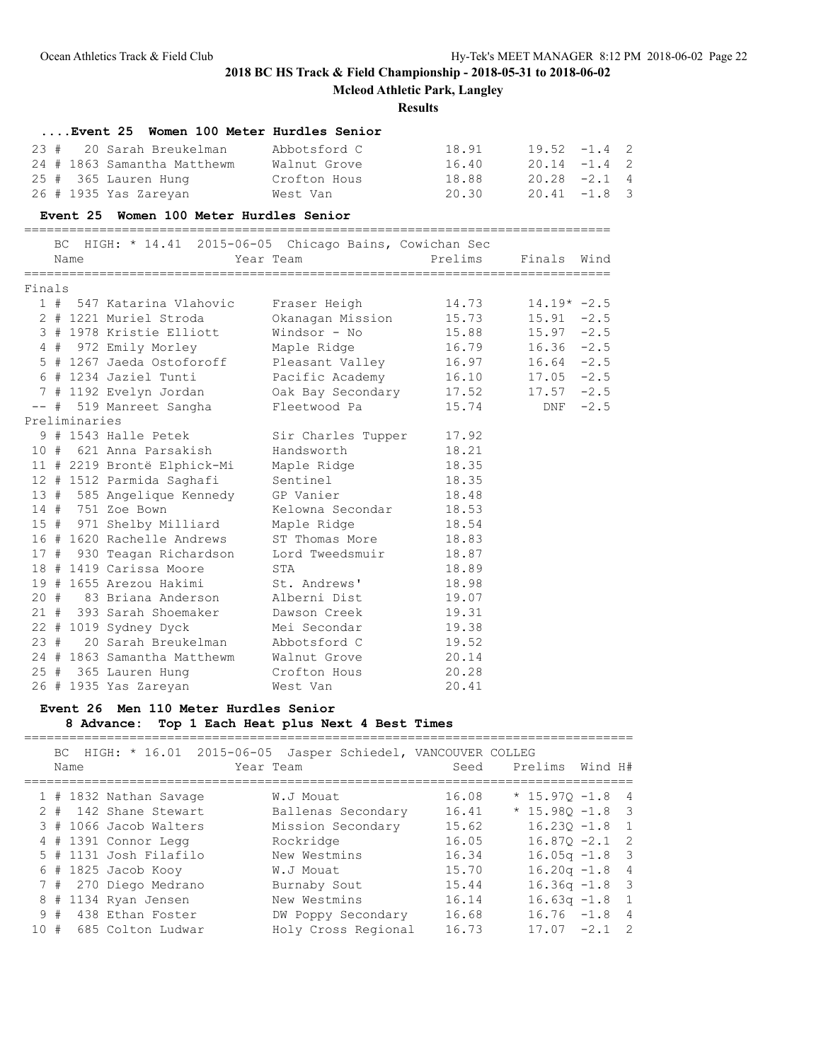**Mcleod Athletic Park, Langley**

## **Results**

|          |     |               | Event 25 Women 100 Meter Hurdles Senior                |                    |         |                |            |   |
|----------|-----|---------------|--------------------------------------------------------|--------------------|---------|----------------|------------|---|
| 23#      |     |               | 20 Sarah Breukelman                                    | Abbotsford C       | 18.91   | $19.52 -1.4$ 2 |            |   |
|          |     |               | 24 # 1863 Samantha Matthewm                            | Walnut Grove       | 16.40   | $20.14 -1.4$ 2 |            |   |
|          |     |               | 25 # 365 Lauren Hung                                   | Crofton Hous       | 18.88   | $20.28 -2.1$ 4 |            |   |
|          |     |               | 26 # 1935 Yas Zareyan                                  | West Van           | 20.30   | $20.41 -1.8$   |            | 3 |
|          |     |               | Event 25 Women 100 Meter Hurdles Senior                |                    |         |                |            |   |
|          | BC. |               | HIGH: $*$ 14.41 2015-06-05 Chicago Bains, Cowichan Sec |                    |         |                |            |   |
|          |     | Name          |                                                        | Year Team          | Prelims | Finals         | Wind       |   |
| Finals   |     |               |                                                        |                    |         |                |            |   |
|          |     |               | 1 # 547 Katarina Vlahovic                              | Fraser Heigh       | 14.73   | $14.19* -2.5$  |            |   |
|          |     |               | 2 # 1221 Muriel Stroda                                 | Okanagan Mission   | 15.73   | $15.91 - 2.5$  |            |   |
|          |     |               | 3 # 1978 Kristie Elliott                               | Windsor - No       | 15.88   | $15.97 - 2.5$  |            |   |
|          |     |               | 4 # 972 Emily Morley                                   | Maple Ridge        | 16.79   | $16.36 -2.5$   |            |   |
|          |     |               | 5 # 1267 Jaeda Ostoforoff                              | Pleasant Valley    | 16.97   | $16.64 - 2.5$  |            |   |
|          |     |               | 6 # 1234 Jaziel Tunti                                  | Pacific Academy    | 16.10   | $17.05 -2.5$   |            |   |
|          |     |               | 7 # 1192 Evelyn Jordan                                 | Oak Bay Secondary  | 17.52   | $17.57 - 2.5$  |            |   |
| $- \, -$ |     |               | # 519 Manreet Sangha                                   | Fleetwood Pa       | 15.74   |                | DNF $-2.5$ |   |
|          |     | Preliminaries |                                                        |                    |         |                |            |   |
|          |     |               | 9 # 1543 Halle Petek                                   | Sir Charles Tupper | 17.92   |                |            |   |
|          |     |               | 10 # 621 Anna Parsakish                                | Handsworth         | 18.21   |                |            |   |
|          |     |               | 11 # 2219 Brontë Elphick-Mi                            | Maple Ridge        | 18.35   |                |            |   |
|          |     |               | 12 # 1512 Parmida Saghafi                              | Sentinel           | 18.35   |                |            |   |
|          |     |               | 13 # 585 Angelique Kennedy                             | GP Vanier          | 18.48   |                |            |   |
|          |     |               | 14 # 751 Zoe Bown                                      | Kelowna Secondar   | 18.53   |                |            |   |
|          |     |               | 15 # 971 Shelby Milliard                               | Maple Ridge        | 18.54   |                |            |   |
|          |     |               | 16 # 1620 Rachelle Andrews                             | ST Thomas More     | 18.83   |                |            |   |
| 17#      |     |               | 930 Teagan Richardson                                  | Lord Tweedsmuir    | 18.87   |                |            |   |
|          |     |               | 18 # 1419 Carissa Moore                                | STA                | 18.89   |                |            |   |
|          |     |               | 19 # 1655 Arezou Hakimi                                | St. Andrews'       | 18.98   |                |            |   |
|          |     |               | 20 # 83 Briana Anderson                                | Alberni Dist       | 19.07   |                |            |   |
|          |     |               | 21 # 393 Sarah Shoemaker                               | Dawson Creek       | 19.31   |                |            |   |
|          |     |               | 22 # 1019 Sydney Dyck                                  | Mei Secondar       | 19.38   |                |            |   |
| 23#      |     |               | 20 Sarah Breukelman                                    | Abbotsford C       | 19.52   |                |            |   |
|          |     |               | 24 # 1863 Samantha Matthewm                            | Walnut Grove       | 20.14   |                |            |   |
|          |     |               | 25 # 365 Lauren Hung                                   | Crofton Hous       | 20.28   |                |            |   |
|          |     |               | 26 # 1935 Yas Zareyan                                  | West Van           | 20.41   |                |            |   |

# **Event 26 Men 110 Meter Hurdles Senior**

**8 Advance: Top 1 Each Heat plus Next 4 Best Times**

|     |        | Name | BC HIGH: * 16.01 2015-06-05 | Year Team |              | Jasper Schiedel, VANCOUVER COLLEG | Seed  | Prelims           | Wind H# |                |
|-----|--------|------|-----------------------------|-----------|--------------|-----------------------------------|-------|-------------------|---------|----------------|
|     |        |      | 1 # 1832 Nathan Savage      |           | W.J Mouat    |                                   | 16.08 | $*$ 15.970 -1.8 4 |         |                |
|     | $2 \#$ |      | 142 Shane Stewart           |           |              | Ballenas Secondary                | 16.41 | $*$ 15.980 -1.8 3 |         |                |
|     |        |      | 3 # 1066 Jacob Walters      |           |              | Mission Secondary                 | 15.62 | $16.230 - 1.8$ 1  |         |                |
|     |        |      | 4 # 1391 Connor Legg        |           | Rockridge    |                                   | 16.05 | $16.870 - 2.1$    |         | $\overline{2}$ |
|     |        |      | 5 # 1131 Josh Filafilo      |           | New Westmins |                                   | 16.34 | $16.05q - 1.8$ 3  |         |                |
|     |        |      | $6$ # 1825 Jacob Kooy       |           | W.J Mouat    |                                   | 15.70 | $16.20q - 1.8$ 4  |         |                |
|     |        |      | 7 # 270 Diego Medrano       |           | Burnaby Sout |                                   | 15.44 | $16.36q - 1.8$ 3  |         |                |
| 8   |        |      | # 1134 Ryan Jensen          |           | New Westmins |                                   | 16.14 | $16.63q - 1.8$    |         | $\overline{1}$ |
|     | 9#     |      | 438 Ethan Foster            |           |              | DW Poppy Secondary                | 16.68 | $16.76 - 1.8 4$   |         |                |
| 10# |        |      | 685 Colton Ludwar           |           |              | Holy Cross Regional               | 16.73 | 17.07             | $-2.1$  | - 2            |
|     |        |      |                             |           |              |                                   |       |                   |         |                |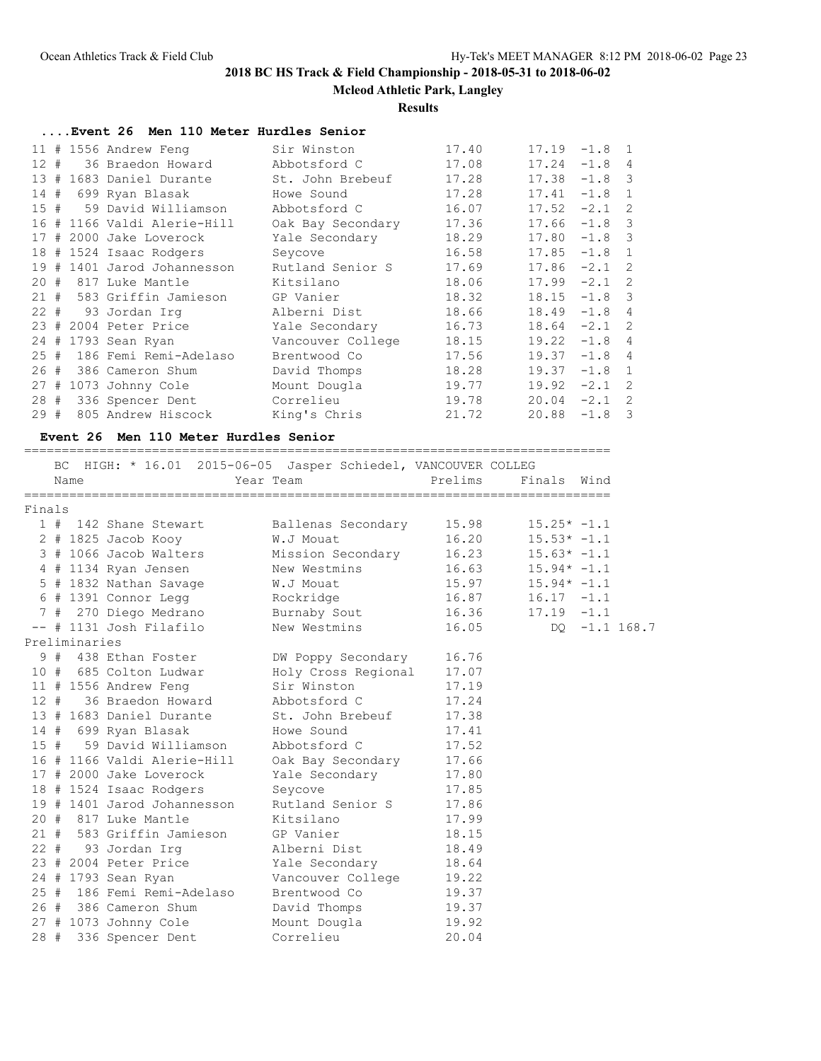**Mcleod Athletic Park, Langley**

### **Results**

# **....Event 26 Men 110 Meter Hurdles Senior**

|          |   | 11 # 1556 Andrew Feng       | Sir Winston       | 17.40 | 17.19 | $-1.8$   | $\overline{1}$             |
|----------|---|-----------------------------|-------------------|-------|-------|----------|----------------------------|
| $12 \pm$ |   | 36 Braedon Howard           | Abbotsford C      | 17.08 | 17.24 | $-1.8$   | $\overline{4}$             |
| 13#      |   | 1683 Daniel Durante         | St. John Brebeuf  | 17.28 | 17.38 | $-1.8$   | 3                          |
| 14       | # | 699 Ryan Blasak             | Howe Sound        | 17.28 | 17.41 | $-1.8$   | $\mathbf{1}$               |
| 15#      |   | 59 David Williamson         | Abbotsford C      | 16.07 | 17.52 | $-2.1$   | 2                          |
|          |   | 16 # 1166 Valdi Alerie-Hill | Oak Bay Secondary | 17.36 | 17.66 | $-1.8$   | 3                          |
| 17       |   | # 2000 Jake Loverock        | Yale Secondary    | 18.29 | 17.80 | $-1.8$ 3 |                            |
|          |   | 18 # 1524 Isaac Rodgers     | Seycove           | 16.58 | 17.85 | $-1.8$   | $\mathbf{1}$               |
| 19       | # | 1401 Jarod Johannesson      | Rutland Senior S  | 17.69 | 17.86 | $-2.1$   | $\overline{\phantom{0}}^2$ |
| 20#      |   | 817 Luke Mantle             | Kitsilano         | 18.06 | 17.99 | $-2.1$   | $\overline{\phantom{0}}^2$ |
| 21#      |   | 583 Griffin Jamieson        | GP Vanier         | 18.32 | 18.15 | $-1.8$ 3 |                            |
|          |   | 22 # 93 Jordan Irq          | Alberni Dist      | 18.66 | 18.49 | $-1.8$   | $\overline{4}$             |
| 23#      |   | 2004 Peter Price            | Yale Secondary    | 16.73 | 18.64 | $-2.1$ 2 |                            |
|          |   | 24 # 1793 Sean Ryan         | Vancouver College | 18.15 | 19.22 | $-1.8$   | $\overline{4}$             |
| 25#      |   | 186 Femi Remi-Adelaso       | Brentwood Co      | 17.56 | 19.37 | $-1.8$   | $\overline{4}$             |
| 26#      |   | 386 Cameron Shum            | David Thomps      | 18.28 | 19.37 | $-1.8$   | $\mathbf{1}$               |
|          |   | 27 # 1073 Johnny Cole       | Mount Dougla      | 19.77 | 19.92 | $-2.1$   | 2                          |
| 28#      |   | 336 Spencer Dent            | Correlieu         | 19.78 | 20.04 | $-2.1$   | 2                          |
| 29#      |   | 805 Andrew Hiscock          | King's Chris      | 21.72 | 20.88 | $-1.8$   | 3                          |

## **Event 26 Men 110 Meter Hurdles Senior**

|        | Name          | BC HIGH: * 16.01 2015-06-05 Jasper Schiedel, VANCOUVER COLLEG | Year Team and the control of the control of the control of the control of the control of the control of the co | Prelims | Finals        | Wind |               |
|--------|---------------|---------------------------------------------------------------|----------------------------------------------------------------------------------------------------------------|---------|---------------|------|---------------|
| Finals |               |                                                               |                                                                                                                |         |               |      |               |
|        |               | 1 # 142 Shane Stewart                                         | Ballenas Secondary                                                                                             | 15.98   | $15.25* -1.1$ |      |               |
|        |               | $2$ # 1825 Jacob Kooy                                         | W.J Mouat                                                                                                      | 16.20   | $15.53* -1.1$ |      |               |
|        |               | 3 # 1066 Jacob Walters                                        | Mission Secondary                                                                                              | 16.23   | $15.63* -1.1$ |      |               |
|        |               | 4 # 1134 Ryan Jensen                                          | New Westmins                                                                                                   | 16.63   | $15.94* -1.1$ |      |               |
|        |               | 5 # 1832 Nathan Savage W.J Mouat                              |                                                                                                                | 15.97   | $15.94* -1.1$ |      |               |
|        |               | 6 # 1391 Connor Legg                                          | Rockridge                                                                                                      | 16.87   | $16.17 - 1.1$ |      |               |
|        |               |                                                               |                                                                                                                | 16.36   | $17.19 - 1.1$ |      |               |
|        |               | -- # 1131 Josh Filafilo                                       | New Westmins                                                                                                   | 16.05   |               |      | DQ -1.1 168.7 |
|        | Preliminaries |                                                               |                                                                                                                |         |               |      |               |
|        |               | 9 # 438 Ethan Foster                                          | DW Poppy Secondary                                                                                             | 16.76   |               |      |               |
|        |               | 10 # 685 Colton Ludwar                                        | Holy Cross Regional                                                                                            | 17.07   |               |      |               |
|        |               | 11 # 1556 Andrew Feng                                         | Sir Winston                                                                                                    | 17.19   |               |      |               |
|        |               | 12 # 36 Braedon Howard                                        | Abbotsford C                                                                                                   | 17.24   |               |      |               |
|        |               | 13 # 1683 Daniel Durante                                      | St. John Brebeuf                                                                                               | 17.38   |               |      |               |
|        |               | 14 # 699 Ryan Blasak                                          | Howe Sound                                                                                                     | 17.41   |               |      |               |
|        |               | 15 # 59 David Williamson                                      | Abbotsford C                                                                                                   | 17.52   |               |      |               |
|        |               | 16 # 1166 Valdi Alerie-Hill                                   | Oak Bay Secondary                                                                                              | 17.66   |               |      |               |
|        |               | 17 # 2000 Jake Loverock                                       | Yale Secondary                                                                                                 | 17.80   |               |      |               |
|        |               | 18 # 1524 Isaac Rodgers                                       | Seycove                                                                                                        | 17.85   |               |      |               |
|        |               | 19 # 1401 Jarod Johannesson                                   | Rutland Senior S                                                                                               | 17.86   |               |      |               |
|        |               | 20 # 817 Luke Mantle                                          | Kitsilano                                                                                                      | 17.99   |               |      |               |
|        |               | 21 # 583 Griffin Jamieson                                     | GP Vanier                                                                                                      | 18.15   |               |      |               |
|        |               | 22 # 93 Jordan Irg                                            | Alberni Dist                                                                                                   | 18.49   |               |      |               |
|        |               | 23 # 2004 Peter Price                                         | Yale Secondary                                                                                                 | 18.64   |               |      |               |
|        |               | 24 # 1793 Sean Ryan                                           | Vancouver College                                                                                              | 19.22   |               |      |               |
|        |               | 25 # 186 Femi Remi-Adelaso                                    | Brentwood Co                                                                                                   | 19.37   |               |      |               |
|        |               | 26 # 386 Cameron Shum                                         | David Thomps                                                                                                   | 19.37   |               |      |               |
|        |               | 27 # 1073 Johnny Cole                                         | Mount Dougla                                                                                                   | 19.92   |               |      |               |
|        |               | 28 # 336 Spencer Dent                                         | Correlieu                                                                                                      | 20.04   |               |      |               |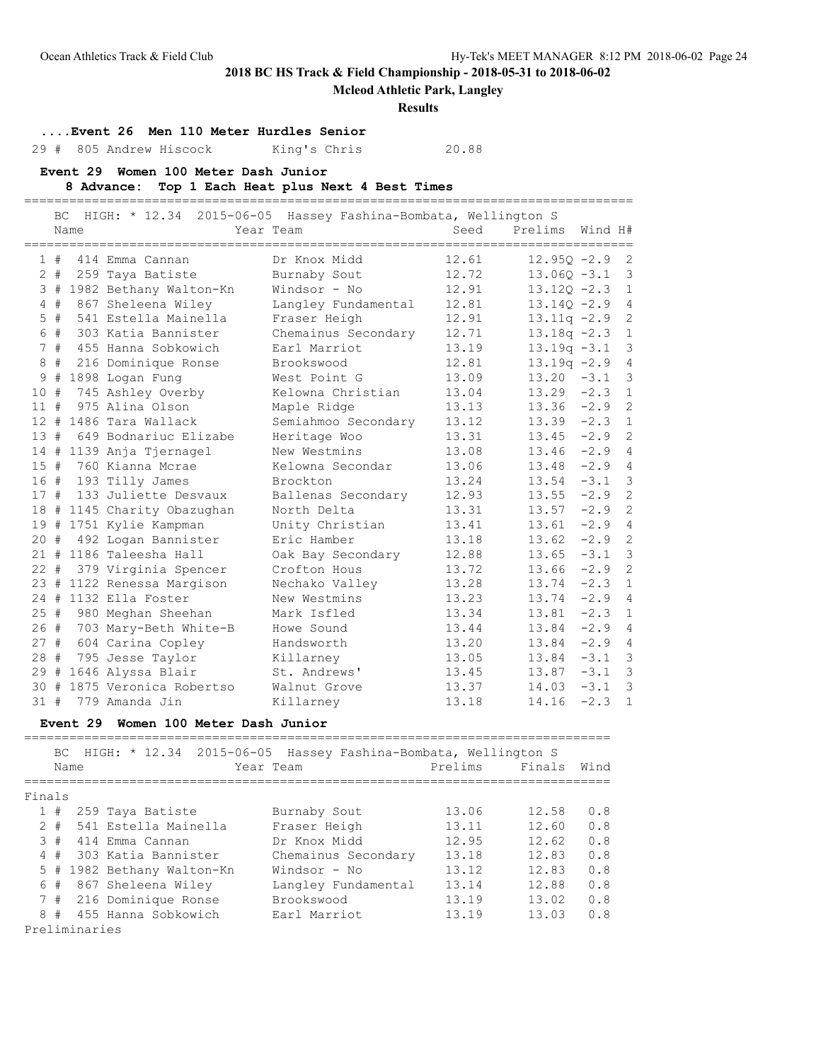**Mcleod Athletic Park, Langley**

#### **Results**

**....Event 26 Men 110 Meter Hurdles Senior**

29 # 805 Andrew Hiscock King's Chris 20.88

**Event 29 Women 100 Meter Dash Junior**

#### **8 Advance: Top 1 Each Heat plus Next 4 Best Times**

================================================================================= BC HIGH: \* 12.34 2015-06-05 Hassey Fashina-Bombata, Wellington S Name Year Team Seed Prelims Wind H# ================================================================================= 1 # 414 Emma Cannan Dr Knox Midd 12.61 12.95Q -2.9 2 2 # 259 Taya Batiste Burnaby Sout 12.72 13.06Q -3.1 3 3 # 1982 Bethany Walton-Kn Windsor - No 12.91 13.12Q -2.3 1 4 # 867 Sheleena Wiley Langley Fundamental 12.81 13.14Q -2.9 4 5 # 541 Estella Mainella Fraser Heigh 12.91 13.11q -2.9 2 6 # 303 Katia Bannister Chemainus Secondary 12.71 13.18q -2.3 1 7 # 455 Hanna Sobkowich Earl Marriot 13.19 13.19q -3.1 3 8 # 216 Dominique Ronse Brookswood 12.81 13.19q -2.9 4 9 # 1898 Logan Fung West Point G 13.09 13.20 -3.1 3 10 # 745 Ashley Overby Kelowna Christian 13.04 13.29 -2.3 1 11 # 975 Alina Olson Maple Ridge 13.13 13.36 -2.9 2 12 # 1486 Tara Wallack Semiahmoo Secondary 13.12 13.39 -2.3 1 13 # 649 Bodnariuc Elizabe Heritage Woo 13.31 13.45 -2.9 2 14 # 1139 Anja Tjernagel New Westmins 13.08 13.46 -2.9 4 15 # 760 Kianna Mcrae Kelowna Secondar 13.06 13.48 -2.9 4 16 # 193 Tilly James Brockton 13.24 13.54 -3.1 3 17 # 133 Juliette Desvaux Ballenas Secondary 12.93 13.55 -2.9 2 18 # 1145 Charity Obazughan North Delta 13.31 13.57 -2.9 2 19 # 1751 Kylie Kampman Unity Christian 13.41 13.61 -2.9 4 20 # 492 Logan Bannister Eric Hamber 13.18 13.62 -2.9 2 21 # 1186 Taleesha Hall Oak Bay Secondary 12.88 13.65 -3.1 3 22 # 379 Virginia Spencer Crofton Hous 13.72 13.66 -2.9 2 23 # 1122 Renessa Margison Nechako Valley 13.28 13.74 -2.3 1 24 # 1132 Ella Foster New Westmins 13.23 13.74 -2.9 4 25 # 980 Meghan Sheehan Mark Isfled 13.34 13.81 -2.3 1 26 # 703 Mary-Beth White-B Howe Sound 13.44 13.84 -2.9 4 27 # 604 Carina Copley Handsworth 13.20 13.84 -2.9 4 28 # 795 Jesse Taylor Killarney 13.05 13.84 -3.1 3 29 # 1646 Alyssa Blair St. Andrews' 13.45 13.87 -3.1 3 30 # 1875 Veronica Robertso Walnut Grove 13.37 14.03 -3.1 3 31 # 779 Amanda Jin Killarney 13.18 14.16 -2.3 1

#### **Event 29 Women 100 Meter Dash Junior**

==============================================================================  $BC$  HIGH:  $*$  12.34 2015-06-05 Has

|        |       | BU HIGH: ^ 12,34 ZUID-00-0D HASSEV FASNINA-BOMDATA, WEILINGTON S |                            |                     |         |        |      |  |  |  |  |
|--------|-------|------------------------------------------------------------------|----------------------------|---------------------|---------|--------|------|--|--|--|--|
|        | Name  |                                                                  |                            | Year Team           | Prelims | Finals | Wind |  |  |  |  |
| Finals |       |                                                                  |                            |                     |         |        |      |  |  |  |  |
|        | 1#    |                                                                  | 259 Taya Batiste           | Burnaby Sout        | 13.06   | 12.58  | 0.8  |  |  |  |  |
|        | $2 +$ |                                                                  | 541 Estella Mainella       | Fraser Heigh        | 13.11   | 12.60  | 0.8  |  |  |  |  |
|        | 3#    |                                                                  | 414 Emma Cannan            | Dr Knox Midd        | 12.95   | 12.62  | 0.8  |  |  |  |  |
|        | 4#    |                                                                  | 303 Katia Bannister        | Chemainus Secondary | 13.18   | 12.83  | 0.8  |  |  |  |  |
|        |       |                                                                  | 5 # 1982 Bethany Walton-Kn | Windsor - No        | 13.12   | 12.83  | 0.8  |  |  |  |  |
|        | 6#    |                                                                  | 867 Sheleena Wiley         | Langley Fundamental | 13.14   | 12.88  | 0.8  |  |  |  |  |
|        |       |                                                                  | 7 # 216 Dominique Ronse    | Brookswood          | 13.19   | 13.02  | 0.8  |  |  |  |  |
|        | 8#    |                                                                  | 455 Hanna Sobkowich        | Earl Marriot        | 13.19   | 13.03  | 0.8  |  |  |  |  |
|        |       | Preliminaries                                                    |                            |                     |         |        |      |  |  |  |  |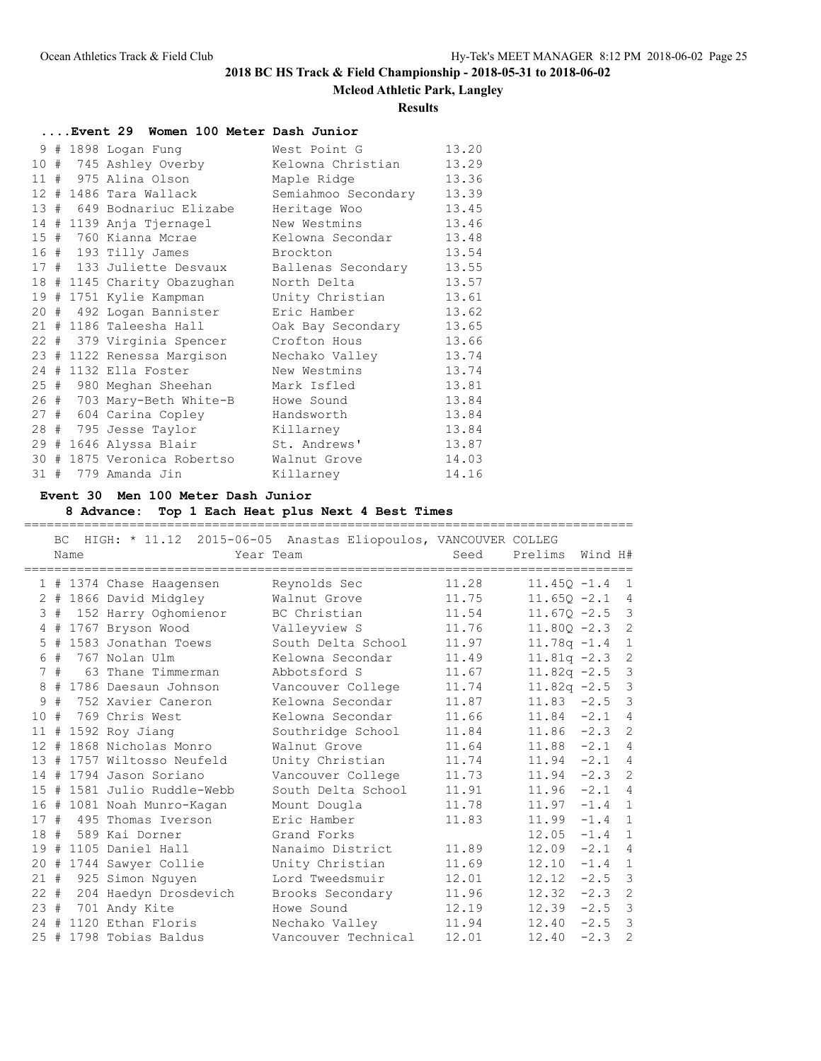### **Mcleod Athletic Park, Langley**

#### **Results**

|  |  | Event 29 Women 100 Meter Dash Junior |                     |       |
|--|--|--------------------------------------|---------------------|-------|
|  |  | 9 # 1898 Logan Fung                  | West Point G        | 13.20 |
|  |  | 10 # 745 Ashley Overby               | Kelowna Christian   | 13.29 |
|  |  | 11 # 975 Alina Olson                 | Maple Ridge         | 13.36 |
|  |  | 12 # 1486 Tara Wallack               | Semiahmoo Secondary | 13.39 |
|  |  | 13 # 649 Bodnariuc Elizabe           | Heritage Woo        | 13.45 |
|  |  | 14 # 1139 Anja Tjernagel             | New Westmins        | 13.46 |
|  |  | 15 # 760 Kianna Mcrae                | Kelowna Secondar    | 13.48 |
|  |  | 16 # 193 Tilly James                 | Brockton            | 13.54 |
|  |  | 17 # 133 Juliette Desvaux            | Ballenas Secondary  | 13.55 |
|  |  | 18 # 1145 Charity Obazughan          | North Delta         | 13.57 |
|  |  | 19 # 1751 Kylie Kampman              | Unity Christian     | 13.61 |
|  |  | 20 # 492 Logan Bannister             | Eric Hamber         | 13.62 |
|  |  | 21 # 1186 Taleesha Hall              | Oak Bay Secondary   | 13.65 |
|  |  | 22 # 379 Virginia Spencer            | Crofton Hous        | 13.66 |
|  |  | 23 # 1122 Renessa Margison           | Nechako Valley      | 13.74 |
|  |  | 24 # 1132 Ella Foster                | New Westmins        | 13.74 |
|  |  | 25 # 980 Meghan Sheehan              | Mark Isfled         | 13.81 |
|  |  | 26 # 703 Mary-Beth White-B           | Howe Sound          | 13.84 |
|  |  | 27 # 604 Carina Copley               | Handsworth          | 13.84 |
|  |  | 28 # 795 Jesse Taylor                | Killarney           | 13.84 |
|  |  | 29 # 1646 Alyssa Blair               | St. Andrews'        | 13.87 |
|  |  | 30 # 1875 Veronica Robertso          | Walnut Grove        | 14.03 |
|  |  | 31 # 779 Amanda Jin                  | Killarney           | 14.16 |

### **Event 30 Men 100 Meter Dash Junior**

### **8 Advance: Top 1 Each Heat plus Next 4 Best Times**

BC HIGH: \* 11.12 2015-06-05 Anastas Eliopoulos, VANCOUVER COLLEG Name Year Team Seed Prelims Wind H# ================================================================================= 1 # 1374 Chase Haagensen Reynolds Sec 11.28 11.45Q -1.4 1 2 # 1866 David Midgley Walnut Grove 11.75 11.65Q -2.1 4 3 # 152 Harry Oghomienor BC Christian 11.54 11.67Q -2.5 3 4 # 1767 Bryson Wood Valleyview S 11.76 11.80Q -2.3 2 5 # 1583 Jonathan Toews South Delta School 11.97 11.78q -1.4 1 6 # 767 Nolan Ulm Kelowna Secondar 11.49 11.81q -2.3 2 7 # 63 Thane Timmerman Abbotsford S 11.67 11.82q -2.5 3 8 # 1786 Daesaun Johnson Vancouver College 11.74 11.82q -2.5 3 9 # 752 Xavier Caneron Kelowna Secondar 11.87 11.83 -2.5 3 10 # 769 Chris West Kelowna Secondar 11.66 11.84 -2.1 4 11 # 1592 Roy Jiang Southridge School 11.84 11.86 -2.3 2 12 # 1868 Nicholas Monro Walnut Grove 11.64 11.88 -2.1 4 13 # 1757 Wiltosso Neufeld Unity Christian 11.74 11.94 -2.1 4 14 # 1794 Jason Soriano Vancouver College 11.73 11.94 -2.3 2 15 # 1581 Julio Ruddle-Webb South Delta School 11.91 11.96 -2.1 4 16 # 1081 Noah Munro-Kagan Mount Dougla 11.78 11.97 -1.4 1 17 # 495 Thomas Iverson Eric Hamber 11.83 11.99 -1.4 1 18 # 589 Kai Dorner Grand Forks 12.05 -1.4 1 19 # 1105 Daniel Hall Nanaimo District 11.89 12.09 -2.1 4 20 # 1744 Sawyer Collie Unity Christian 11.69 12.10 -1.4 1 21 # 925 Simon Nguyen Lord Tweedsmuir 12.01 12.12 -2.5 3 22 # 204 Haedyn Drosdevich Brooks Secondary 11.96 12.32 -2.3 2 23 # 701 Andy Kite Howe Sound 12.19 12.39 -2.5 3 24 # 1120 Ethan Floris Nechako Valley 11.94 12.40 -2.5 3 25 # 1798 Tobias Baldus Vancouver Technical 12.01 12.40 -2.3 2

=================================================================================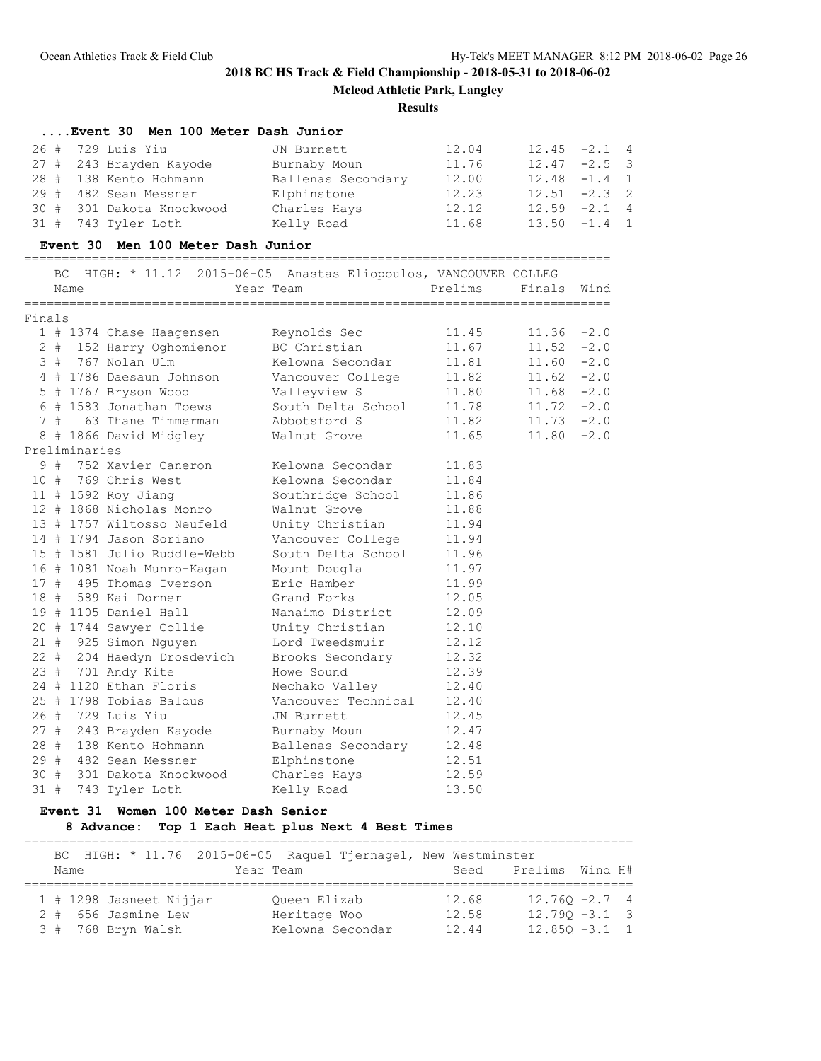=================================================================================

# **2018 BC HS Track & Field Championship - 2018-05-31 to 2018-06-02**

**Mcleod Athletic Park, Langley**

#### **Results**

### **....Event 30 Men 100 Meter Dash Junior**

| 26 # 729 Luis Yiu         |                    | 12.04 | $12.45 - 2.1 4$ |  |
|---------------------------|--------------------|-------|-----------------|--|
|                           | JN Burnett         |       |                 |  |
| 27 # 243 Brayden Kayode   | Burnaby Moun       | 11.76 | $12.47 - 2.5$ 3 |  |
| 28 # 138 Kento Hohmann    | Ballenas Secondary | 12.00 | $12.48 - 1.4$ 1 |  |
| 29 # 482 Sean Messner     | Elphinstone        | 12.23 | $12.51 - 2.3$ 2 |  |
| 30 # 301 Dakota Knockwood | Charles Hays       | 12.12 | $12.59 - 2.1$ 4 |  |
| 31 # 743 Tyler Loth       | Kelly Road         | 11.68 | $13.50 -1.4 1$  |  |

## **Event 30 Men 100 Meter Dash Junior**

============================================================================== BC HIGH: \* 11.12 2015-06-05 Anastas Eliopoulos, VANCOUVER COLLEG

|        | BC. | Name          | HIGH: * II.IZ ZUI5-06-05 Anastas EI1opoulos, VANCOUVER COLLEG | Year Team           | Prelims | Finals | Wind   |
|--------|-----|---------------|---------------------------------------------------------------|---------------------|---------|--------|--------|
|        |     |               |                                                               |                     |         |        |        |
| Finals |     |               |                                                               |                     |         |        |        |
|        |     |               | 1 # 1374 Chase Haagensen                                      | Reynolds Sec        | 11.45   | 11.36  | $-2.0$ |
|        |     |               | 2 # 152 Harry Oghomienor                                      | BC Christian        | 11.67   | 11.52  | $-2.0$ |
|        |     |               | 3 # 767 Nolan Ulm                                             | Kelowna Secondar    | 11.81   | 11.60  | $-2.0$ |
|        |     |               | 4 # 1786 Daesaun Johnson                                      | Vancouver College   | 11.82   | 11.62  | $-2.0$ |
|        |     |               | 5 # 1767 Bryson Wood                                          | Valleyview S        | 11.80   | 11.68  | $-2.0$ |
|        |     |               | 6 # 1583 Jonathan Toews                                       | South Delta School  | 11.78   | 11.72  | $-2.0$ |
|        |     |               | 7 # 63 Thane Timmerman                                        | Abbotsford S        | 11.82   | 11.73  | $-2.0$ |
|        |     |               | 8 # 1866 David Midgley                                        | Walnut Grove        | 11.65   | 11.80  | $-2.0$ |
|        |     | Preliminaries |                                                               |                     |         |        |        |
|        |     |               | 9 # 752 Xavier Caneron                                        | Kelowna Secondar    | 11.83   |        |        |
|        |     |               | 10 # 769 Chris West                                           | Kelowna Secondar    | 11.84   |        |        |
|        |     |               | 11 # 1592 Roy Jiang                                           | Southridge School   | 11.86   |        |        |
|        |     |               | 12 # 1868 Nicholas Monro                                      | Walnut Grove        | 11.88   |        |        |
|        |     |               | 13 # 1757 Wiltosso Neufeld                                    | Unity Christian     | 11.94   |        |        |
|        |     |               | 14 # 1794 Jason Soriano                                       | Vancouver College   | 11.94   |        |        |
|        |     |               | 15 # 1581 Julio Ruddle-Webb                                   | South Delta School  | 11.96   |        |        |
|        |     |               | 16 # 1081 Noah Munro-Kagan                                    | Mount Dougla        | 11.97   |        |        |
|        |     |               | 17 # 495 Thomas Iverson                                       | Eric Hamber         | 11.99   |        |        |
|        |     |               | 18 # 589 Kai Dorner                                           | Grand Forks         | 12.05   |        |        |
|        |     |               | 19 # 1105 Daniel Hall                                         | Nanaimo District    | 12.09   |        |        |
|        |     |               | 20 # 1744 Sawyer Collie                                       | Unity Christian     | 12.10   |        |        |
|        |     |               | 21 # 925 Simon Nguyen                                         | Lord Tweedsmuir     | 12.12   |        |        |
|        |     |               | 22 # 204 Haedyn Drosdevich                                    | Brooks Secondary    | 12.32   |        |        |
|        |     |               | 23 # 701 Andy Kite                                            | Howe Sound          | 12.39   |        |        |
|        |     |               | 24 # 1120 Ethan Floris                                        | Nechako Valley      | 12.40   |        |        |
|        |     |               | 25 # 1798 Tobias Baldus                                       | Vancouver Technical | 12.40   |        |        |
|        |     |               | 26 # 729 Luis Yiu                                             | JN Burnett          | 12.45   |        |        |
|        |     |               | 27 # 243 Brayden Kayode                                       | Burnaby Moun        | 12.47   |        |        |
| 28 #   |     |               | 138 Kento Hohmann                                             | Ballenas Secondary  | 12.48   |        |        |
| 29#    |     |               | 482 Sean Messner                                              | Elphinstone         | 12.51   |        |        |
|        |     |               | 30 # 301 Dakota Knockwood                                     | Charles Hays        | 12.59   |        |        |
| 31#    |     |               | 743 Tyler Loth                                                | Kelly Road          | 13.50   |        |        |

### **Event 31 Women 100 Meter Dash Senior**

## **8 Advance: Top 1 Each Heat plus Next 4 Best Times**

| Name                    | BC HIGH: * 11.76 2015-06-05 Raquel Tjernagel, New Westminster<br>Year Team |       | Seed Prelims Wind H# |                  |
|-------------------------|----------------------------------------------------------------------------|-------|----------------------|------------------|
| 1 # 1298 Jasneet Nijjar | Oueen Elizab                                                               | 12.68 |                      | $12.760 - 2.7$ 4 |
| 2 # 656 Jasmine Lew     | Heritage Woo                                                               | 12.58 |                      | $12.790 - 3.1$ 3 |
| 3 # 768 Bryn Walsh      | Kelowna Secondar                                                           | 12.44 |                      | $12.850 - 3.1$ 1 |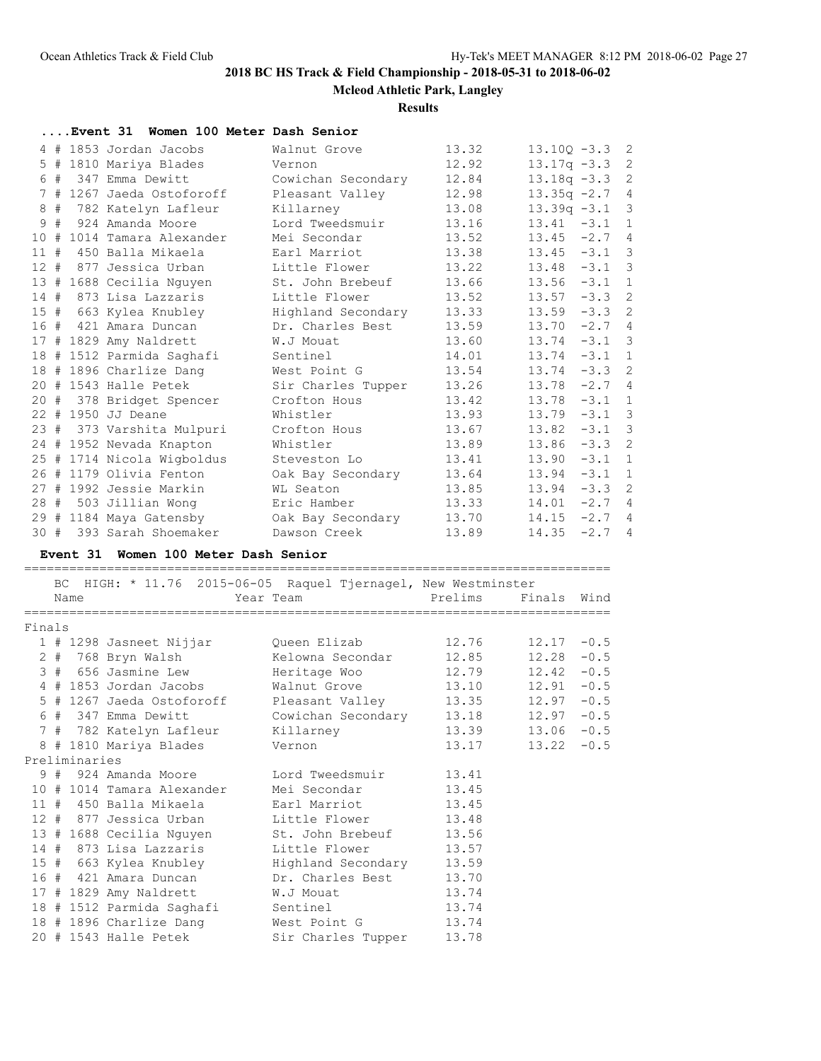**Mcleod Athletic Park, Langley**

#### **Results**

|        |    |               | Event 31 Women 100 Meter Dash Senior          |                                              |         |                |        |                |
|--------|----|---------------|-----------------------------------------------|----------------------------------------------|---------|----------------|--------|----------------|
|        |    |               | 4 # 1853 Jordan Jacobs                        | Walnut Grove                                 | 13.32   | $13.10Q - 3.3$ |        | $\overline{c}$ |
|        |    |               | 5 # 1810 Mariya Blades                        | Vernon                                       | 12.92   | $13.17q - 3.3$ |        | $\overline{c}$ |
|        | 6# |               | 347 Emma Dewitt                               | Cowichan Secondary                           | 12.84   | $13.18q - 3.3$ |        | $\overline{c}$ |
|        |    |               | 7 # 1267 Jaeda Ostoforoff                     | Pleasant Valley                              | 12.98   | $13.35q -2.7$  |        | 4              |
|        |    |               | 8 # 782 Katelyn Lafleur                       | Killarney                                    | 13.08   | $13.39q -3.1$  |        | 3              |
|        |    |               | 9 # 924 Amanda Moore                          | Lord Tweedsmuir                              | 13.16   | $13.41 - 3.1$  |        | 1              |
|        |    |               | 10 # 1014 Tamara Alexander                    | Mei Secondar                                 | 13.52   | $13.45 -2.7$   |        | 4              |
|        |    |               | 11 # 450 Balla Mikaela                        | Earl Marriot                                 | 13.38   | 13.45          | $-3.1$ | 3              |
|        |    |               | 12 # 877 Jessica Urban                        | Little Flower                                | 13.22   | $13.48 - 3.1$  |        | 3              |
|        |    |               | 13 # 1688 Cecilia Nguyen                      | St. John Brebeuf                             | 13.66   | $13.56 - 3.1$  |        | 1              |
|        |    |               | 14 # 873 Lisa Lazzaris                        | Little Flower                                | 13.52   | $13.57 - 3.3$  |        | $\overline{c}$ |
|        |    |               | 15 # 663 Kylea Knubley                        | Highland Secondary                           | 13.33   | $13.59 - 3.3$  |        | $\overline{c}$ |
|        |    |               | 16 # 421 Amara Duncan                         | Dr. Charles Best                             | 13.59   | $13.70 - 2.7$  |        | 4              |
|        |    |               | 17 # 1829 Amy Naldrett                        | W.J Mouat                                    | 13.60   | $13.74 - 3.1$  |        | 3              |
|        |    |               | 18 # 1512 Parmida Saghafi                     | Sentinel                                     | 14.01   | $13.74 - 3.1$  |        | 1              |
|        |    |               | 18 # 1896 Charlize Dang                       | West Point G                                 | 13.54   | $13.74 - 3.3$  |        | 2              |
|        |    |               | 20 # 1543 Halle Petek                         | Sir Charles Tupper                           | 13.26   | $13.78 - 2.7$  |        | $\overline{4}$ |
|        |    |               | 20 # 378 Bridget Spencer                      | Crofton Hous                                 | 13.42   | $13.78 - 3.1$  |        | 1              |
|        |    |               | 22 # 1950 JJ Deane                            | Whistler                                     | 13.93   | $13.79 - 3.1$  |        | 3              |
|        |    |               | 23 # 373 Varshita Mulpuri                     | Crofton Hous                                 | 13.67   | $13.82 - 3.1$  |        | 3              |
|        |    |               | 24 # 1952 Nevada Knapton                      | Whistler                                     | 13.89   | $13.86 - 3.3$  |        | $\overline{c}$ |
|        |    |               | 25 # 1714 Nicola Wigboldus                    | Steveston Lo                                 | 13.41   | $13.90 - 3.1$  |        | 1              |
|        |    |               | 26 # 1179 Olivia Fenton                       | Oak Bay Secondary                            | 13.64   | $13.94 - 3.1$  |        | $\mathbf{1}$   |
|        |    |               | 27 # 1992 Jessie Markin                       | WL Seaton                                    | 13.85   | $13.94 - 3.3$  |        | $\overline{c}$ |
|        |    |               | 28 # 503 Jillian Wong                         | Eric Hamber                                  | 13.33   | $14.01 - 2.7$  |        | $\overline{4}$ |
|        |    |               | 29 # 1184 Maya Gatensby                       | Oak Bay Secondary                            | 13.70   | $14.15 -2.7$   |        | 4              |
|        |    |               | 30 # 393 Sarah Shoemaker                      | Dawson Creek                                 | 13.89   | 14.35          | $-2.7$ | 4              |
|        |    |               | Event 31 Women 100 Meter Dash Senior          |                                              |         |                |        |                |
|        |    |               |                                               |                                              |         |                |        |                |
|        |    |               | BC HIGH: * 11.76                              | 2015-06-05 Raquel Tjernagel, New Westminster |         |                |        |                |
|        |    | Name          |                                               | Year Team                                    | Prelims | Finals Wind    |        |                |
|        |    |               |                                               |                                              |         |                |        |                |
| Finals |    |               |                                               | Queen Elizab                                 | 12.76   | $12.17 - 0.5$  |        |                |
|        |    |               | 1 # 1298 Jasneet Nijjar<br>2 # 768 Bryn Walsh | Kelowna Secondar                             | 12.85   | 12.28          | $-0.5$ |                |
|        |    |               | 3 # 656 Jasmine Lew                           |                                              | 12.79   | $12.42 - 0.5$  |        |                |
|        |    |               | 4 # 1853 Jordan Jacobs                        | Heritage Woo<br>Walnut Grove                 |         | $12.91 - 0.5$  |        |                |
|        |    |               |                                               |                                              | 13.10   |                |        |                |
|        |    |               | 5 # 1267 Jaeda Ostoforoff                     | Pleasant Valley                              | 13.35   | $12.97 - 0.5$  |        |                |
|        |    |               | 6 # 347 Emma Dewitt                           | Cowichan Secondary                           | 13.18   | $12.97 - 0.5$  |        |                |
|        |    |               | 7 # 782 Katelyn Lafleur                       | Killarney                                    | 13.39   | 13.06          | $-0.5$ |                |
|        |    |               | 8 # 1810 Mariya Blades                        | Vernon                                       | 13.17   | 13.22          | $-0.5$ |                |
|        |    | Preliminaries |                                               |                                              |         |                |        |                |
|        | 9# |               | 924 Amanda Moore                              | Lord Tweedsmuir                              | 13.41   |                |        |                |
|        |    |               | 10 # 1014 Tamara Alexander                    | Mei Secondar                                 | 13.45   |                |        |                |
|        |    |               | 11 # 450 Balla Mikaela                        | Earl Marriot                                 | 13.45   |                |        |                |
| $12 +$ |    |               | 877 Jessica Urban                             | Little Flower                                | 13.48   |                |        |                |

 13 # 1688 Cecilia Nguyen St. John Brebeuf 13.56 14 # 873 Lisa Lazzaris Little Flower 13.57 15 # 663 Kylea Knubley Highland Secondary 13.59 16 # 421 Amara Duncan Dr. Charles Best 13.70 17 # 1829 Amy Naldrett W.J Mouat 13.74 18 # 1512 Parmida Saghafi Sentinel 13.74 18 # 1896 Charlize Dang West Point G 13.74 20 # 1543 Halle Petek Sir Charles Tupper 13.78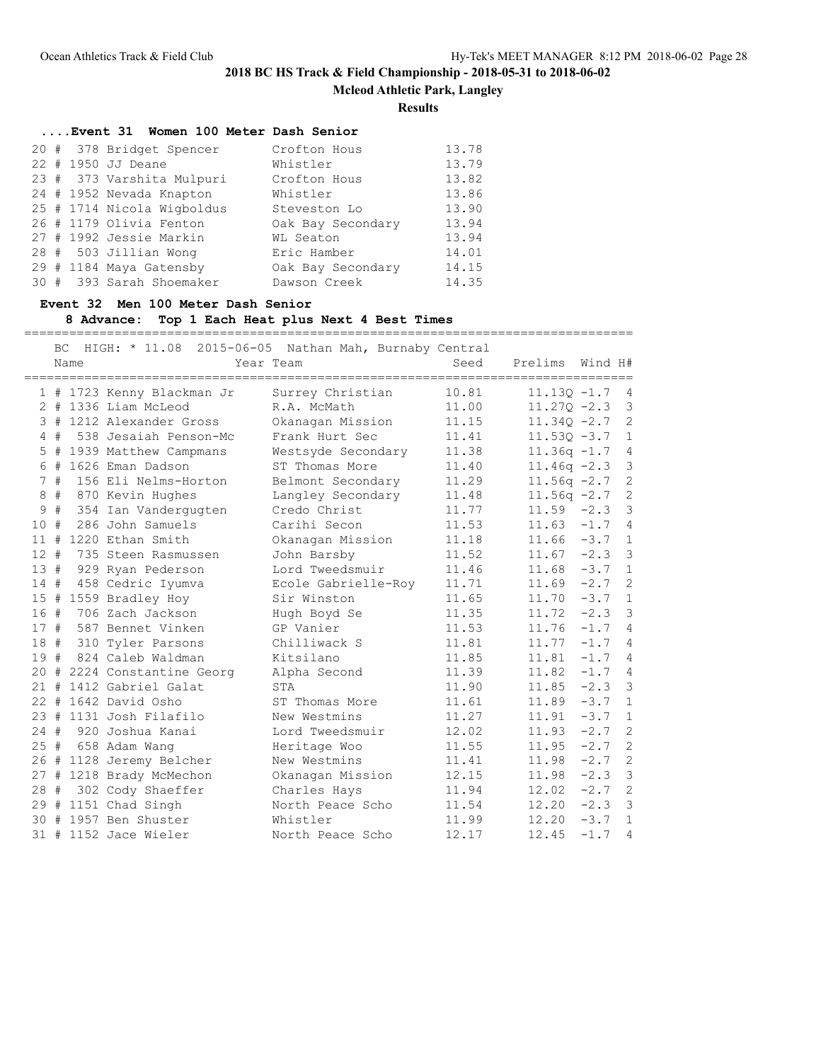**Mcleod Athletic Park, Langley**

### **Results**

|  |  | Event 31 Women 100 Meter Dash Senior |                   |       |
|--|--|--------------------------------------|-------------------|-------|
|  |  | 20 # 378 Bridget Spencer             | Crofton Hous      | 13.78 |
|  |  | 22 # 1950 JJ Deane                   | Whistler          | 13.79 |
|  |  | 23 # 373 Varshita Mulpuri            | Crofton Hous      | 13.82 |
|  |  | 24 # 1952 Nevada Knapton             | Whistler          | 13.86 |
|  |  | 25 # 1714 Nicola Wigboldus           | Steveston Lo      | 13.90 |
|  |  | 26 # 1179 Olivia Fenton              | Oak Bay Secondary | 13.94 |
|  |  | 27 # 1992 Jessie Markin              | WL Seaton         | 13.94 |
|  |  | 28 # 503 Jillian Wong                | Eric Hamber       | 14.01 |
|  |  | 29 # 1184 Maya Gatensby              | Oak Bay Secondary | 14.15 |
|  |  | 30 # 393 Sarah Shoemaker             | Dawson Creek      | 14.35 |

### **Event 32 Men 100 Meter Dash Senior**

## **8 Advance: Top 1 Each Heat plus Next 4 Best Times**

=================================================================================

|        | BC | Name |                             | HIGH: * 11.08 2015-06-05 Nathan Mah, Burnaby Central<br>Year Team | Seed  | Prelims Wind H# |                |                         |
|--------|----|------|-----------------------------|-------------------------------------------------------------------|-------|-----------------|----------------|-------------------------|
|        |    |      | 1 # 1723 Kenny Blackman Jr  | Surrey Christian                                                  | 10.81 | $11.13Q - 1.7$  |                | $\overline{4}$          |
|        |    |      | $2$ # 1336 Liam McLeod      | R.A. McMath                                                       | 11.00 | $11.270 - 2.3$  |                | $\overline{\mathbf{3}}$ |
|        |    |      | 3 # 1212 Alexander Gross    | Okanagan Mission                                                  | 11.15 | $11.34Q - 2.7$  |                | 2                       |
|        | 4# |      | 538 Jesaiah Penson-Mc       | Frank Hurt Sec                                                    | 11.41 | $11.53Q - 3.7$  |                | $\mathbf{1}$            |
| 5      |    |      | # 1939 Matthew Campmans     | Westsyde Secondary                                                | 11.38 | $11.36q - 1.7$  |                | $\overline{4}$          |
|        |    |      | 6 # 1626 Eman Dadson        | ST Thomas More                                                    | 11.40 | $11.46q -2.3$   |                | $\mathcal{S}$           |
|        | 7# |      | 156 Eli Nelms-Horton        | Belmont Secondary                                                 | 11.29 | $11.56q -2.7$   |                | 2                       |
| 8      | #  |      | 870 Kevin Hughes            | Langley Secondary                                                 | 11.48 | $11.56q -2.7$ 2 |                |                         |
| 9      | #  |      | 354 Ian Vandergugten        | Credo Christ                                                      | 11.77 | $11.59 - 2.3$   |                | $\overline{\mathbf{3}}$ |
| 10#    |    |      | 286 John Samuels            | Carihi Secon                                                      | 11.53 | $11.63 -1.7$    |                | $\overline{4}$          |
| 11#    |    |      | 1220 Ethan Smith            | Okanagan Mission                                                  | 11.18 | $11.66 - 3.7 1$ |                |                         |
| $12 +$ |    |      | 735 Steen Rasmussen         | John Barsby                                                       | 11.52 | $11.67 - 2.3$ 3 |                |                         |
| 13#    |    |      | 929 Ryan Pederson           | Lord Tweedsmuir                                                   | 11.46 | $11.68 - 3.7 1$ |                |                         |
| 14#    |    |      | 458 Cedric Iyumva           | Ecole Gabrielle-Roy                                               | 11.71 | 11.69           | $-2.7$         | $\mathbf{2}$            |
| 15#    |    |      | 1559 Bradley Hoy            | Sir Winston                                                       | 11.65 | 11.70           | $-3.7$         | $\mathbf{1}$            |
| 16#    |    |      | 706 Zach Jackson            | Hugh Boyd Se                                                      | 11.35 | 11.72           | $-2.3$ 3       |                         |
| 17#    |    |      | 587 Bennet Vinken           | GP Vanier                                                         | 11.53 | 11.76           | $-1.7$ 4       |                         |
| 18#    |    |      | 310 Tyler Parsons           | Chilliwack S                                                      | 11.81 | 11.77           | $-1.7$ 4       |                         |
| 19#    |    |      | 824 Caleb Waldman           | Kitsilano                                                         | 11.85 | 11.81           | $-1.7$ 4       |                         |
|        |    |      | 20 # 2224 Constantine Georg | Alpha Second                                                      | 11.39 | 11.82           | $-1.7$ 4       |                         |
|        |    |      | 21 # 1412 Gabriel Galat     | <b>STA</b>                                                        | 11.90 | 11.85           | $-2.3$ 3       |                         |
|        |    |      | 22 # 1642 David Osho        | ST Thomas More                                                    | 11.61 | 11.89           | $-3.7 \quad 1$ |                         |
|        |    |      | 23 # 1131 Josh Filafilo     | New Westmins                                                      | 11.27 | 11.91           | $-3.7$         | $\overline{1}$          |
| $24 +$ |    |      | 920 Joshua Kanai            | Lord Tweedsmuir                                                   | 12.02 | 11.93           | $-2.7$         | 2                       |
| 25#    |    |      | 658 Adam Wang               | Heritage Woo                                                      | 11.55 | 11.95           | $-2.7$         | 2                       |
|        |    |      | 26 # 1128 Jeremy Belcher    | New Westmins                                                      | 11.41 | 11.98           | $-2.7$         | 2                       |
|        |    |      | 27 # 1218 Brady McMechon    | Okanagan Mission                                                  | 12.15 | 11.98           | $-2.3$ 3       |                         |
|        |    |      | 28 # 302 Cody Shaeffer      | Charles Hays                                                      | 11.94 | 12.02           | $-2.7$ 2       |                         |
|        |    |      | 29 # 1151 Chad Singh        | North Peace Scho                                                  | 11.54 | 12.20           | $-2.3$ 3       |                         |
|        |    |      | 30 # 1957 Ben Shuster       | Whistler                                                          | 11.99 | 12.20           | $-3.7$ 1       |                         |
|        |    |      | 31 # 1152 Jace Wieler       | North Peace Scho                                                  | 12.17 | 12.45           | $-1.7$ 4       |                         |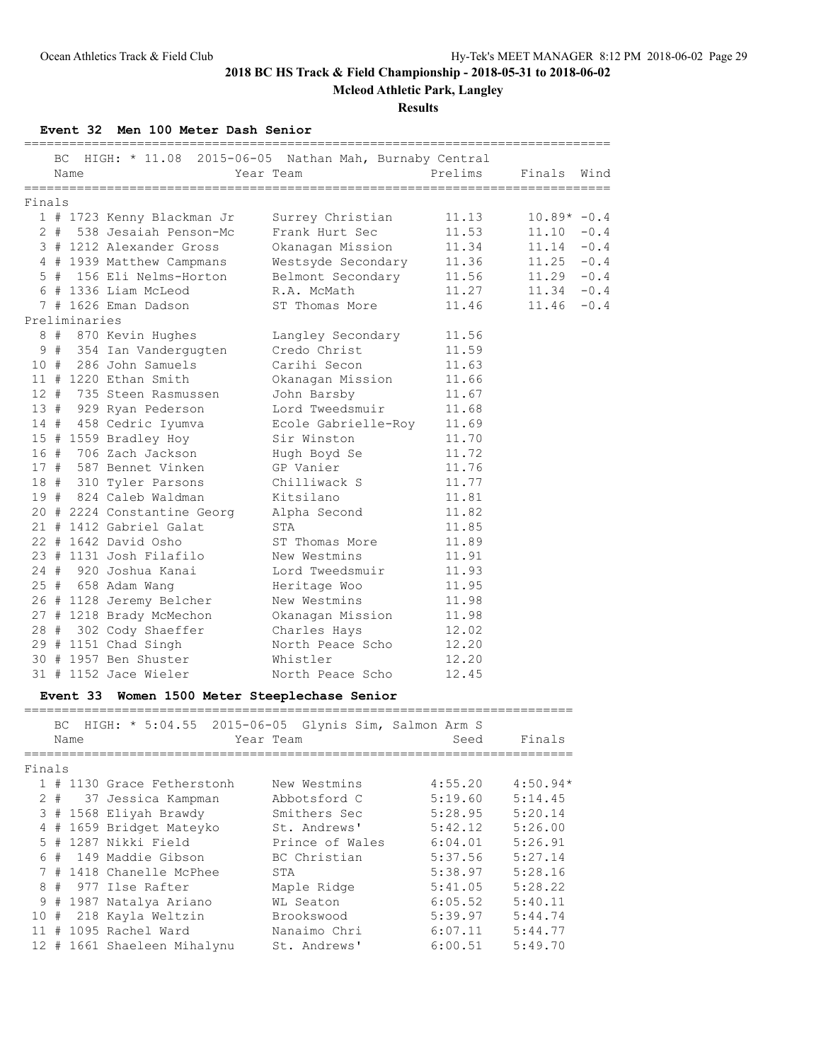**Mcleod Athletic Park, Langley**

### **Results**

## **Event 32 Men 100 Meter Dash Senior**

|        | BC                                                      |               | HIGH: * 11.08 2015-06-05 Nathan Mah, Burnaby Central |                     | Prelims                          |               |        |  |  |  |  |
|--------|---------------------------------------------------------|---------------|------------------------------------------------------|---------------------|----------------------------------|---------------|--------|--|--|--|--|
|        |                                                         | Name          |                                                      | Year Team           | ================================ | Finals        | Wind   |  |  |  |  |
| Finals |                                                         |               |                                                      |                     |                                  |               |        |  |  |  |  |
|        |                                                         |               | 1 # 1723 Kenny Blackman Jr                           | Surrey Christian    | 11.13                            | $10.89* -0.4$ |        |  |  |  |  |
|        |                                                         |               | 2 # 538 Jesaiah Penson-Mc                            | Frank Hurt Sec      | 11.53                            | 11.10         | $-0.4$ |  |  |  |  |
|        |                                                         |               | 3 # 1212 Alexander Gross                             | Okanagan Mission    | 11.34                            | 11.14         | $-0.4$ |  |  |  |  |
|        |                                                         |               | 4 # 1939 Matthew Campmans                            | Westsyde Secondary  | 11.36                            | 11.25         | $-0.4$ |  |  |  |  |
|        |                                                         |               | 5 # 156 Eli Nelms-Horton                             | Belmont Secondary   | 11.56                            | 11.29         | $-0.4$ |  |  |  |  |
|        |                                                         |               | 6 # 1336 Liam McLeod                                 | R.A. McMath         | 11.27                            | 11.34         | $-0.4$ |  |  |  |  |
|        |                                                         |               | 7 # 1626 Eman Dadson                                 | ST Thomas More      | 11.46                            | 11.46         | $-0.4$ |  |  |  |  |
|        |                                                         | Preliminaries |                                                      |                     |                                  |               |        |  |  |  |  |
|        |                                                         |               | 8 # 870 Kevin Hughes                                 | Langley Secondary   | 11.56                            |               |        |  |  |  |  |
|        |                                                         |               | 9 # 354 Ian Vandergugten                             | Credo Christ        | 11.59                            |               |        |  |  |  |  |
|        |                                                         |               | 10 # 286 John Samuels                                | Carihi Secon        | 11.63                            |               |        |  |  |  |  |
|        |                                                         |               | 11 # 1220 Ethan Smith                                | Okanagan Mission    | 11.66                            |               |        |  |  |  |  |
|        |                                                         |               | 12 # 735 Steen Rasmussen                             | John Barsby         | 11.67                            |               |        |  |  |  |  |
|        |                                                         |               | 13 # 929 Ryan Pederson                               | Lord Tweedsmuir     | 11.68                            |               |        |  |  |  |  |
|        |                                                         |               | 14 # 458 Cedric Iyumva                               | Ecole Gabrielle-Roy | 11.69                            |               |        |  |  |  |  |
|        |                                                         |               | 15 # 1559 Bradley Hoy                                | Sir Winston         | 11.70                            |               |        |  |  |  |  |
|        |                                                         |               | 16 # 706 Zach Jackson                                | Hugh Boyd Se        | 11.72                            |               |        |  |  |  |  |
|        |                                                         |               | 17 # 587 Bennet Vinken                               | GP Vanier           | 11.76                            |               |        |  |  |  |  |
|        |                                                         |               | 18 # 310 Tyler Parsons                               | Chilliwack S        | 11.77                            |               |        |  |  |  |  |
|        |                                                         |               | 19 # 824 Caleb Waldman                               | Kitsilano           | 11.81                            |               |        |  |  |  |  |
|        |                                                         |               | 20 # 2224 Constantine Georg                          | Alpha Second        | 11.82                            |               |        |  |  |  |  |
|        |                                                         |               | 21 # 1412 Gabriel Galat                              | STA                 | 11.85                            |               |        |  |  |  |  |
|        |                                                         |               | 22 # 1642 David Osho                                 | ST Thomas More      | 11.89                            |               |        |  |  |  |  |
|        |                                                         |               | 23 # 1131 Josh Filafilo                              | New Westmins        | 11.91                            |               |        |  |  |  |  |
|        |                                                         |               | 24 # 920 Joshua Kanai                                | Lord Tweedsmuir     | 11.93                            |               |        |  |  |  |  |
|        |                                                         |               | 25 # 658 Adam Wang                                   | Heritage Woo        | 11.95                            |               |        |  |  |  |  |
|        |                                                         |               | 26 # 1128 Jeremy Belcher                             | New Westmins        | 11.98                            |               |        |  |  |  |  |
|        |                                                         |               | 27 # 1218 Brady McMechon                             | Okanagan Mission    | 11.98                            |               |        |  |  |  |  |
|        |                                                         |               | 28 # 302 Cody Shaeffer                               | Charles Hays        | 12.02                            |               |        |  |  |  |  |
|        |                                                         |               | 29 # 1151 Chad Singh                                 | North Peace Scho    | 12.20                            |               |        |  |  |  |  |
|        |                                                         |               | 30 # 1957 Ben Shuster                                | Whistler            | 12.20                            |               |        |  |  |  |  |
|        |                                                         |               | 31 # 1152 Jace Wieler                                | North Peace Scho    | 12.45                            |               |        |  |  |  |  |
|        | Women 1500 Meter Steeplechase Senior<br><b>Event 33</b> |               |                                                      |                     |                                  |               |        |  |  |  |  |

=========================================================================

|        |       |      | BC HIGH: * 5:04.55 2015-06-05 Glynis Sim, Salmon Arm S |                 |         |            |
|--------|-------|------|--------------------------------------------------------|-----------------|---------|------------|
|        |       | Name |                                                        | Year Team       | Seed    | Finals     |
| Finals |       |      |                                                        |                 |         |            |
|        |       |      | 1 # 1130 Grace Fetherstonh                             | New Westmins    | 4:55.20 | $4:50.94*$ |
|        | $2 +$ |      | 37 Jessica Kampman                                     | Abbotsford C    | 5:19.60 | 5:14.45    |
|        |       |      | 3 # 1568 Eliyah Brawdy                                 | Smithers Sec    | 5:28.95 | 5:20.14    |
|        |       |      | 4 # 1659 Bridget Mateyko                               | St. Andrews'    | 5:42.12 | 5:26.00    |
|        | $5 +$ |      | 1287 Nikki Field                                       | Prince of Wales | 6:04.01 | 5:26.91    |
|        |       |      | 6 # 149 Maddie Gibson                                  | BC Christian    | 5:37.56 | 5:27.14    |
|        |       |      | 7 # 1418 Chanelle McPhee                               | STA             | 5:38.97 | 5:28.16    |
|        |       |      | 8 # 977 Ilse Rafter                                    | Maple Ridge     | 5:41.05 | 5:28.22    |
|        |       |      | 9 # 1987 Natalya Ariano                                | WL Seaton       | 6:05.52 | 5:40.11    |
|        |       |      | 10 # 218 Kayla Weltzin                                 | Brookswood      | 5:39.97 | 5:44.74    |
| 11     | #     |      | 1095 Rachel Ward                                       | Nanaimo Chri    | 6:07.11 | 5:44.77    |
|        |       |      | 12 # 1661 Shaeleen Mihalynu                            | St. Andrews'    | 6:00.51 | 5:49.70    |
|        |       |      |                                                        |                 |         |            |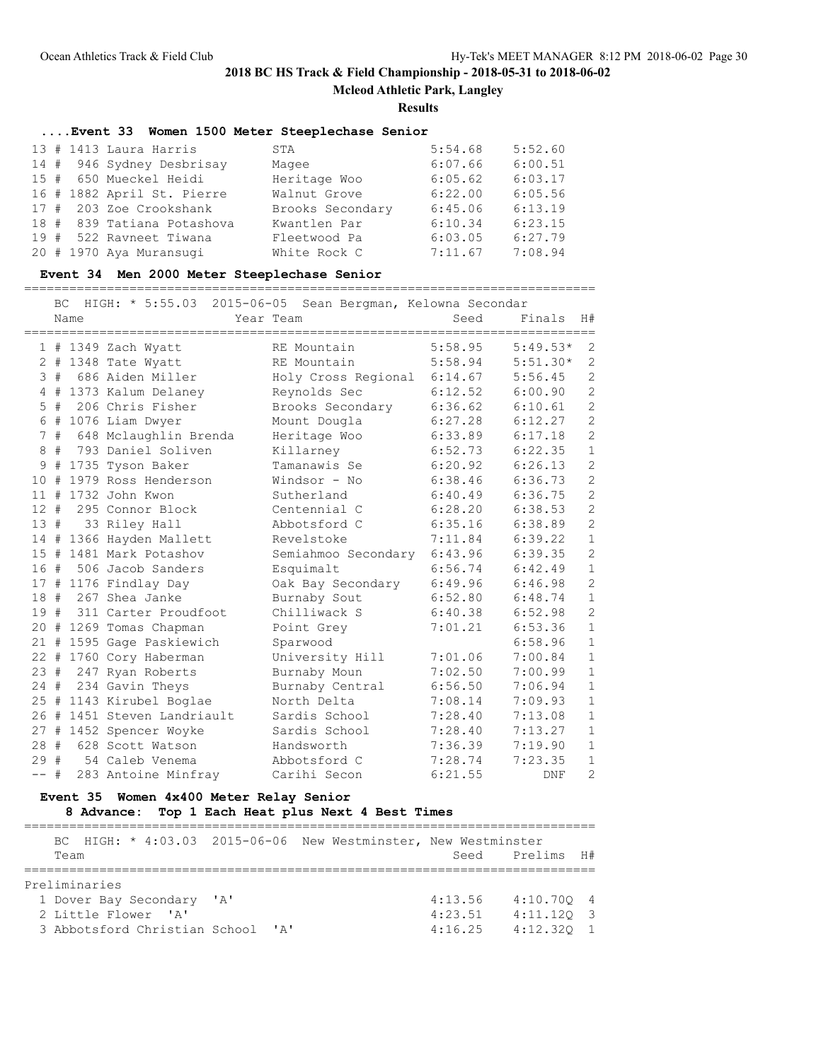**Mcleod Athletic Park, Langley**

**Results**

## **....Event 33 Women 1500 Meter Steeplechase Senior**

|  | 13 # 1413 Laura Harris     | STA              | 5:54.68 | 5:52.60 |
|--|----------------------------|------------------|---------|---------|
|  | 14 # 946 Sydney Desbrisay  | Magee            | 6:07.66 | 6:00.51 |
|  | 15 # 650 Mueckel Heidi     | Heritage Woo     | 6:05.62 | 6:03.17 |
|  | 16 # 1882 April St. Pierre | Walnut Grove     | 6:22.00 | 6:05.56 |
|  | 17 # 203 Zoe Crookshank    | Brooks Secondary | 6:45.06 | 6:13.19 |
|  | 18 # 839 Tatiana Potashova | Kwantlen Par     | 6:10.34 | 6:23.15 |
|  | 19 # 522 Ravneet Tiwana    | Fleetwood Pa     | 6:03.05 | 6:27.79 |
|  | 20 # 1970 Aya Muransuqi    | White Rock C     | 7:11.67 | 7:08.94 |

## **Event 34 Men 2000 Meter Steeplechase Senior**

============================================================================

|        | ВC    |      | HIGH: * 5:55.03 2015-06-05 Sean Bergman, Kelowna Secondar |                     |         |         |            |                |
|--------|-------|------|-----------------------------------------------------------|---------------------|---------|---------|------------|----------------|
|        |       | Name |                                                           | Year Team           |         | Seed    | Finals     | H#             |
|        |       |      | 1 # 1349 Zach Wyatt                                       | RE Mountain         | 5:58.95 |         | $5:49.53*$ | $\overline{2}$ |
|        |       |      | $2$ # 1348 Tate Wyatt                                     | RE Mountain         |         | 5:58.94 | $5:51.30*$ | $\overline{2}$ |
| 3      | #     |      | 686 Aiden Miller                                          | Holy Cross Regional |         | 6:14.67 | 5:56.45    | $\overline{2}$ |
|        |       |      | 4 # 1373 Kalum Delaney                                    | Reynolds Sec        | 6:12.52 |         | 6:00.90    | $\overline{2}$ |
|        | $5$ # |      | 206 Chris Fisher                                          | Brooks Secondary    |         | 6:36.62 | 6:10.61    | $\overline{c}$ |
|        |       |      | $6$ # 1076 Liam Dwyer                                     | Mount Dougla        |         | 6:27.28 | 6:12.27    | $\overline{c}$ |
|        | 7#    |      | 648 Mclaughlin Brenda                                     | Heritage Woo        | 6:33.89 |         | 6:17.18    | $\overline{c}$ |
| 8      | #     |      | 793 Daniel Soliven                                        | Killarney           | 6:52.73 |         | 6:22.35    | $\mathbf{1}$   |
| 9      | #     |      | 1735 Tyson Baker                                          | Tamanawis Se        | 6:20.92 |         | 6:26.13    | $\overline{c}$ |
| 10     | #     |      | 1979 Ross Henderson                                       | Windsor - No        |         | 6:38.46 | 6:36.73    | $\overline{c}$ |
| 11     | #     |      | 1732 John Kwon                                            | Sutherland          | 6:40.49 |         | 6:36.75    | $\overline{c}$ |
|        |       |      | 12 # 295 Connor Block                                     | Centennial C        | 6:28.20 |         | 6:38.53    | $\overline{c}$ |
| 13#    |       |      | 33 Riley Hall                                             | Abbotsford C        | 6:35.16 |         | 6:38.89    | $\overline{c}$ |
|        |       |      | 14 # 1366 Hayden Mallett                                  | Revelstoke          |         | 7:11.84 | 6:39.22    | $\mathbf{1}$   |
|        |       |      | 15 # 1481 Mark Potashov                                   | Semiahmoo Secondary | 6:43.96 |         | 6:39.35    | $\overline{c}$ |
|        |       |      | 16 # 506 Jacob Sanders                                    | Esquimalt           | 6:56.74 |         | 6:42.49    | $\mathbf 1$    |
|        |       |      | 17 # 1176 Findlay Day                                     | Oak Bay Secondary   |         | 6:49.96 | 6:46.98    | $\overline{c}$ |
| 18#    |       |      | 267 Shea Janke                                            | Burnaby Sout        | 6:52.80 |         | 6:48.74    | $\mathbf{1}$   |
|        |       |      | 19 # 311 Carter Proudfoot                                 | Chilliwack S        | 6:40.38 |         | 6:52.98    | $\overline{c}$ |
|        |       |      | 20 # 1269 Tomas Chapman                                   | Point Grey          | 7:01.21 |         | 6:53.36    | $\mathbf{1}$   |
|        |       |      | 21 # 1595 Gage Paskiewich                                 | Sparwood            |         |         | 6:58.96    | $\mathbf{1}$   |
|        |       |      | 22 # 1760 Cory Haberman                                   | University Hill     | 7:01.06 |         | 7:00.84    | $\mathbf{1}$   |
| 23#    |       |      | 247 Ryan Roberts                                          | Burnaby Moun        | 7:02.50 |         | 7:00.99    | $1\,$          |
| 24 #   |       |      | 234 Gavin Theys                                           | Burnaby Central     | 6:56.50 |         | 7:06.94    | $\mathbf 1$    |
|        |       |      | 25 # 1143 Kirubel Boglae                                  | North Delta         | 7:08.14 |         | 7:09.93    | $\mathbf{1}$   |
|        |       |      | 26 # 1451 Steven Landriault                               | Sardis School       | 7:28.40 |         | 7:13.08    | $\mathbf{1}$   |
|        |       |      | 27 # 1452 Spencer Woyke                                   | Sardis School       | 7:28.40 |         | 7:13.27    | $\mathbf{1}$   |
| 28 #   |       |      | 628 Scott Watson                                          | Handsworth          | 7:36.39 |         | 7:19.90    | $\mathbf{1}$   |
| 29#    |       |      | 54 Caleb Venema                                           | Abbotsford C        | 7:28.74 |         | 7:23.35    | $\mathbf{1}$   |
| $--$ # |       |      | 283 Antoine Minfray                                       | Carihi Secon        | 6:21.55 |         | DNF        | $\overline{2}$ |

## **Event 35 Women 4x400 Meter Relay Senior**

## **8 Advance: Top 1 Each Heat plus Next 4 Best Times**

|      |                     |                           |                                   |  | BC HIGH: * 4:03.03 2015-06-06 New Westminster, New Westminster |         |                 |  |
|------|---------------------|---------------------------|-----------------------------------|--|----------------------------------------------------------------|---------|-----------------|--|
| Team |                     |                           |                                   |  |                                                                |         | Seed Prelims H# |  |
|      | Preliminaries       |                           |                                   |  |                                                                |         |                 |  |
|      |                     |                           |                                   |  |                                                                |         |                 |  |
|      |                     | 1 Dover Bay Secondary 'A' |                                   |  |                                                                | 4:13.56 | 4:10.7004       |  |
|      | 2 Little Flower 'A' |                           |                                   |  |                                                                | 4:23.51 | $4:11.120$ 3    |  |
|      |                     |                           | 3 Abbotsford Christian School 'A' |  |                                                                | 4:16.25 | $4:12.320$ 1    |  |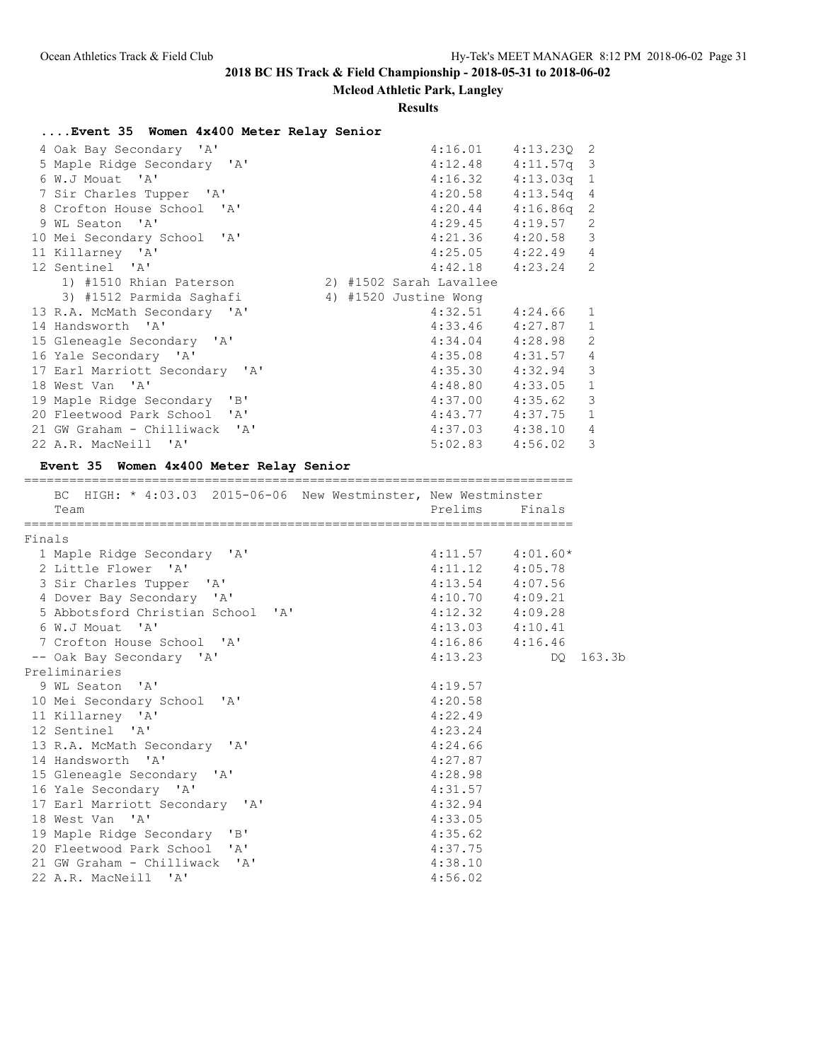# **Mcleod Athletic Park, Langley**

### **Results**

# **....Event 35 Women 4x400 Meter Relay Senior**

| 4 Oak Bay Secondary 'A'        | 4:16.01                 | $4:13.230$ 2 |                |
|--------------------------------|-------------------------|--------------|----------------|
| 5 Maple Ridge Secondary 'A'    | 4:12.48                 | $4:11.57q$ 3 |                |
| 6 W.J Mouat 'A'                | 4:16.32                 | $4:13.03q$ 1 |                |
| 7 Sir Charles Tupper 'A'       | $4:20.58$ $4:13.54q$ 4  |              |                |
| 8 Crofton House School 'A'     | 4:20.44                 | $4:16.86q$ 2 |                |
| 9 WL Seaton 'A'                | 4:29.45                 | 4:19.57 2    |                |
| 10 Mei Secondary School 'A'    | 4:21.36                 | $4:20.58$ 3  |                |
| 11 Killarney 'A'               | $4:25.05$ $4:22.49$ 4   |              |                |
| 12 Sentinel 'A'                | $4:42.18$ $4:23.24$ 2   |              |                |
| 1) #1510 Rhian Paterson        | 2) #1502 Sarah Lavallee |              |                |
| 3) #1512 Parmida Saqhafi       | 4) #1520 Justine Wong   |              |                |
| 13 R.A. McMath Secondary 'A'   | $4:32.51$ $4:24.66$ 1   |              |                |
| 14 Handsworth 'A'              | 4:33.46                 | 4:27.87      | $\mathbf{1}$   |
| 15 Gleneagle Secondary 'A'     | 4:34.04                 | 4:28.98      | $\overline{c}$ |
| 16 Yale Secondary 'A'          | $4:35.08$ $4:31.57$     |              | $\overline{4}$ |
| 17 Earl Marriott Secondary 'A' | 4:35.30                 | $4:32.94$ 3  |                |
| 18 West Van 'A'                | 4:48.80                 | $4:33.05$ 1  |                |
| 19 Maple Ridge Secondary 'B'   | 4:37.00                 | 4:35.62 3    |                |
| 20 Fleetwood Park School 'A'   | $4:43.77$ $4:37.75$ 1   |              |                |
| 21 GW Graham - Chilliwack 'A'  | 4:37.03                 | 4:38.10 4    |                |
| 22 A.R. MacNeill 'A'           | 5:02.83                 | 4:56.02 3    |                |

# **Event 35 Women 4x400 Meter Relay Senior**

|        | BC HIGH: * 4:03.03 2015-06-06 New Westminster, New Westminster |                     |                      |        |
|--------|----------------------------------------------------------------|---------------------|----------------------|--------|
|        | Team                                                           | Prelims             | Finals               |        |
| Finals | ====================                                           |                     |                      |        |
|        | 1 Maple Ridge Secondary 'A'                                    |                     | $4:11.57$ $4:01.60*$ |        |
|        | 2 Little Flower 'A'                                            | $4:11.12$ $4:05.78$ |                      |        |
|        | 3 Sir Charles Tupper 'A'                                       | $4:13.54$ $4:07.56$ |                      |        |
|        | 4 Dover Bay Secondary 'A'                                      | $4:10.70$ $4:09.21$ |                      |        |
|        | 5 Abbotsford Christian School 'A'                              | $4:12.32$ $4:09.28$ |                      |        |
|        | 6 W.J Mouat 'A'                                                | $4:13.03$ $4:10.41$ |                      |        |
|        | 7 Crofton House School 'A'                                     | $4:16.86$ $4:16.46$ |                      |        |
|        | -- Oak Bay Secondary 'A'                                       | 4:13.23             | DO                   | 163.3b |
|        | Preliminaries                                                  |                     |                      |        |
|        | 9 WL Seaton 'A'                                                | 4:19.57             |                      |        |
|        | 10 Mei Secondary School 'A'                                    | 4:20.58             |                      |        |
|        | 11 Killarney 'A'                                               | 4:22.49             |                      |        |
|        | 12 Sentinel 'A'                                                | 4:23.24             |                      |        |
|        | 13 R.A. McMath Secondary 'A'                                   | 4:24.66             |                      |        |
|        | 14 Handsworth 'A'                                              | 4:27.87             |                      |        |
|        | 15 Gleneagle Secondary 'A'                                     | 4:28.98             |                      |        |
|        | 16 Yale Secondary 'A'                                          | 4:31.57             |                      |        |
|        | 17 Earl Marriott Secondary 'A'                                 | 4:32.94             |                      |        |
|        | 18 West Van 'A'                                                | 4:33.05             |                      |        |
|        | 19 Maple Ridge Secondary 'B'                                   | 4:35.62             |                      |        |
|        | 20 Fleetwood Park School 'A'                                   | 4:37.75             |                      |        |
|        | 21 GW Graham - Chilliwack 'A'                                  | 4:38.10             |                      |        |
|        | 22 A.R. MacNeill 'A'                                           | 4:56.02             |                      |        |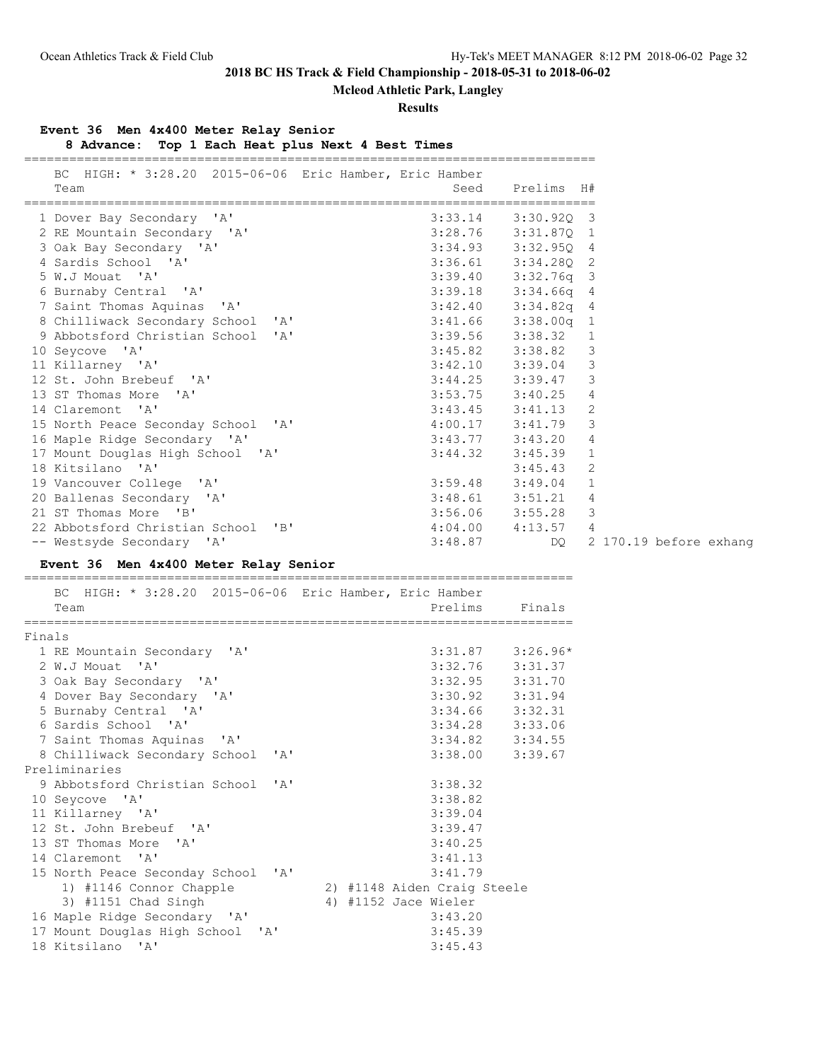# **Mcleod Athletic Park, Langley**

### **Results**

### **Event 36 Men 4x400 Meter Relay Senior**

**8 Advance: Top 1 Each Heat plus Next 4 Best Times**

| BC HIGH: * 3:28.20 2015-06-06 Eric Hamber, Eric Hamber<br>Team | Seed<br>====================================== | Prelims H#   |                        |
|----------------------------------------------------------------|------------------------------------------------|--------------|------------------------|
| 1 Dover Bay Secondary 'A'                                      | 3:33.14                                        | $3:30.920$ 3 |                        |
| 2 RE Mountain Secondary 'A'                                    | 3:28.76                                        | $3:31.87Q$ 1 |                        |
| 3 Oak Bay Secondary 'A'                                        | 3:34.93                                        | 3:32.950 4   |                        |
| 4 Sardis School 'A'                                            | 3:36.61                                        | $3:34.280$ 2 |                        |
| 5 W.J Mouat 'A'                                                | 3:39.40                                        | $3:32.76q$ 3 |                        |
| 6 Burnaby Central 'A'                                          | 3:39.18                                        | $3:34.66q$ 4 |                        |
| 7 Saint Thomas Aquinas 'A'                                     | 3:42.40                                        | $3:34.82q$ 4 |                        |
| 8 Chilliwack Secondary School 'A'                              | 3:41.66                                        | $3:38.00q$ 1 |                        |
| 9 Abbotsford Christian School 'A'                              | 3:39.56                                        | 3:38.32      | $\mathbf{1}$           |
| 10 Seycove 'A'                                                 | 3:45.82                                        | 3:38.82      | $\mathcal{E}$          |
| 11 Killarney 'A'                                               | 3:42.10                                        | 3:39.04      | 3                      |
| 12 St. John Brebeuf 'A'                                        | 3:44.25                                        | 3:39.47      | 3                      |
| 13 ST Thomas More 'A'                                          | 3:53.75                                        | 3:40.25      | 4                      |
| 14 Claremont 'A'                                               | 3:43.45                                        | 3:41.13      | 2                      |
| 15 North Peace Seconday School 'A'                             | 4:00.17                                        | 3:41.79      | 3                      |
| 16 Maple Ridge Secondary 'A'                                   | 3:43.77                                        | 3:43.20      | 4                      |
| 17 Mount Douglas High School 'A'                               | 3:44.32                                        | 3:45.39      | 1                      |
| 18 Kitsilano 'A'                                               |                                                | 3:45.43      | 2                      |
| 19 Vancouver College 'A'                                       | 3:59.48                                        | 3:49.04      | $\mathbf{1}$           |
| 20 Ballenas Secondary 'A'                                      | 3:48.61                                        | 3:51.21      | 4                      |
| 21 ST Thomas More 'B'                                          | 3:56.06                                        | 3:55.28      | 3                      |
| 22 Abbotsford Christian School 'B'                             | 4:04.00                                        | 4:13.57      | 4                      |
| -- Westsyde Secondary 'A'                                      | 3:48.87                                        | DQ.          | 2 170.19 before exhang |

**Event 36 Men 4x400 Meter Relay Senior**

=========================================================================

|        | BC HIGH: * 3:28.20 2015-06-06 Eric Hamber, Eric Hamber<br>Team |  | Prelims                     | Finals               |
|--------|----------------------------------------------------------------|--|-----------------------------|----------------------|
| Finals |                                                                |  |                             |                      |
|        | 1 RE Mountain Secondary 'A'                                    |  |                             | $3:31.87$ $3:26.96*$ |
|        | 2 W.J Mouat 'A'                                                |  |                             | $3:32.76$ $3:31.37$  |
|        | 3 Oak Bay Secondary 'A'                                        |  |                             | $3:32.95$ $3:31.70$  |
|        | 4 Dover Bay Secondary 'A'                                      |  |                             | $3:30.92$ $3:31.94$  |
|        | 5 Burnaby Central 'A'                                          |  |                             | $3:34.66$ $3:32.31$  |
|        | 6 Sardis School 'A'                                            |  |                             | 3:34.28 3:33.06      |
|        | 7 Saint Thomas Aquinas 'A'                                     |  |                             | $3:34.82$ $3:34.55$  |
|        | 8 Chilliwack Secondary School 'A'                              |  |                             | $3:38.00$ $3:39.67$  |
|        | Preliminaries                                                  |  |                             |                      |
|        | 9 Abbotsford Christian School 'A'                              |  | 3:38.32                     |                      |
|        | 10 Seycove 'A'                                                 |  | 3:38.82                     |                      |
|        | 11 Killarney 'A'                                               |  | 3:39.04                     |                      |
|        | 12 St. John Brebeuf 'A'                                        |  | 3:39.47                     |                      |
|        | 13 ST Thomas More 'A'                                          |  | 3:40.25                     |                      |
|        | 14 Claremont 'A'                                               |  | 3:41.13                     |                      |
|        | 15 North Peace Seconday School 'A'                             |  | 3:41.79                     |                      |
|        | 1) #1146 Connor Chapple                                        |  | 2) #1148 Aiden Craig Steele |                      |
|        | 3) #1151 Chad Singh                                            |  | 4) #1152 Jace Wieler        |                      |
|        | 16 Maple Ridge Secondary 'A'                                   |  | 3:43.20                     |                      |
|        | 17 Mount Douglas High School 'A'                               |  | 3:45.39                     |                      |
|        | 18 Kitsilano 'A'                                               |  | 3:45.43                     |                      |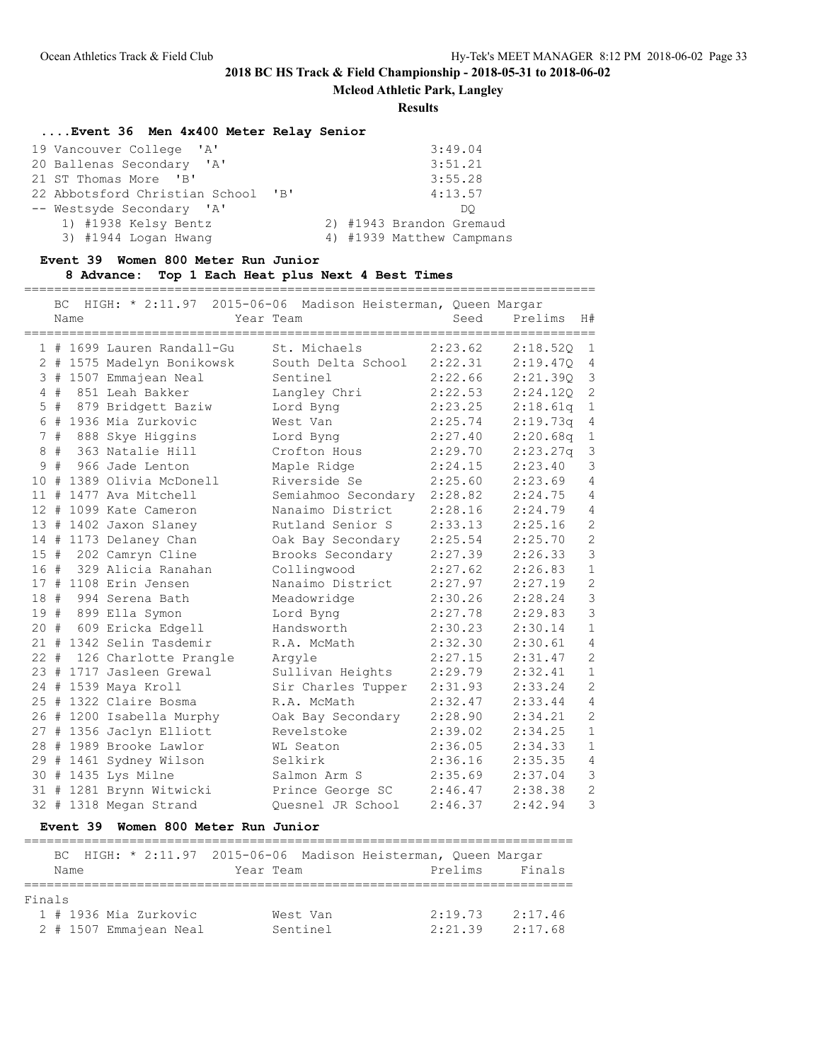============================================================================

### **2018 BC HS Track & Field Championship - 2018-05-31 to 2018-06-02**

**Mcleod Athletic Park, Langley**

**Results**

## **....Event 36 Men 4x400 Meter Relay Senior**

| 19 Vancouver College 'A'           | 3:49.04                   |  |
|------------------------------------|---------------------------|--|
| 20 Ballenas Secondary 'A'          | 3:51.21                   |  |
| 21 ST Thomas More 'B'              | 3:55.28                   |  |
| 22 Abbotsford Christian School 'B' | 4:13.57                   |  |
| -- Westsyde Secondary 'A'          | DO                        |  |
| 1) #1938 Kelsy Bentz               | 2) #1943 Brandon Gremaud  |  |
| 3) #1944 Logan Hwang               | 4) #1939 Matthew Campmans |  |

### **Event 39 Women 800 Meter Run Junior**

#### **8 Advance: Top 1 Each Heat plus Next 4 Best Times**

|        | BC.<br>Name | HIGH: * 2:11.97 2015-06-06 Madison Heisterman, Queen Margar | Year Team           | Seed    | Prelims  | H#             |
|--------|-------------|-------------------------------------------------------------|---------------------|---------|----------|----------------|
|        |             | 1 # 1699 Lauren Randall-Gu                                  | St. Michaels        | 2:23.62 | 2:18.52Q | $\mathbf{1}$   |
|        |             | 2 # 1575 Madelyn Bonikowsk                                  | South Delta School  | 2:22.31 | 2:19.47Q | 4              |
|        |             | 3 # 1507 Emmajean Neal                                      | Sentinel            | 2:22.66 | 2:21.39Q | 3              |
|        | 4#          | 851 Leah Bakker                                             | Langley Chri        | 2:22.53 | 2:24.120 | $\overline{c}$ |
|        | $5$ #       | 879 Bridgett Baziw                                          | Lord Byng           | 2:23.25 | 2:18.61q | $\mathbf{1}$   |
|        |             | 6 # 1936 Mia Zurkovic                                       | West Van            | 2:25.74 | 2:19.73q | $\overline{4}$ |
|        | 7#          | 888 Skye Higgins                                            | Lord Byng           | 2:27.40 | 2:20.68q | $1\,$          |
|        | 8#          | 363 Natalie Hill                                            | Crofton Hous        | 2:29.70 | 2:23.27q | 3              |
|        |             | 9 # 966 Jade Lenton                                         | Maple Ridge         | 2:24.15 | 2:23.40  | 3              |
|        |             | 10 # 1389 Olivia McDonell                                   | Riverside Se        | 2:25.60 | 2:23.69  | 4              |
| 11#    |             | 1477 Ava Mitchell                                           | Semiahmoo Secondary | 2:28.82 | 2:24.75  | $\overline{4}$ |
|        |             | 12 # 1099 Kate Cameron                                      | Nanaimo District    | 2:28.16 | 2:24.79  | 4              |
|        |             | 13 # 1402 Jaxon Slaney                                      | Rutland Senior S    | 2:33.13 | 2:25.16  | $\overline{c}$ |
|        |             | 14 # 1173 Delaney Chan                                      | Oak Bay Secondary   | 2:25.54 | 2:25.70  | $\overline{c}$ |
|        |             | 15 # 202 Camryn Cline                                       | Brooks Secondary    | 2:27.39 | 2:26.33  | 3              |
|        |             | 16 # 329 Alicia Ranahan                                     | Collingwood         | 2:27.62 | 2:26.83  | $\mathbf{1}$   |
|        |             | 17 # 1108 Erin Jensen                                       | Nanaimo District    | 2:27.97 | 2:27.19  | $\overline{c}$ |
|        |             | 18 # 994 Serena Bath                                        | Meadowridge         | 2:30.26 | 2:28.24  | $\overline{3}$ |
|        |             | 19 # 899 Ella Symon                                         | Lord Byng           | 2:27.78 | 2:29.83  | 3              |
|        |             | 20 # 609 Ericka Edgell                                      | Handsworth          | 2:30.23 | 2:30.14  | $\mathbf{1}$   |
|        |             | 21 # 1342 Selin Tasdemir                                    | R.A. McMath         | 2:32.30 | 2:30.61  | $\overline{4}$ |
| $22 +$ |             | 126 Charlotte Prangle                                       | Arqyle              | 2:27.15 | 2:31.47  | $\overline{c}$ |
|        |             | 23 # 1717 Jasleen Grewal                                    | Sullivan Heights    | 2:29.79 | 2:32.41  | $\mathbf{1}$   |
|        |             | 24 # 1539 Maya Kroll                                        | Sir Charles Tupper  | 2:31.93 | 2:33.24  | $\overline{c}$ |
|        |             | 25 # 1322 Claire Bosma                                      | R.A. McMath         | 2:32.47 | 2:33.44  | $\overline{4}$ |
|        |             | 26 # 1200 Isabella Murphy                                   | Oak Bay Secondary   | 2:28.90 | 2:34.21  | $\overline{c}$ |
|        |             | 27 # 1356 Jaclyn Elliott                                    | Revelstoke          | 2:39.02 | 2:34.25  | $\mathbf{1}$   |
|        |             | 28 # 1989 Brooke Lawlor                                     | WL Seaton           | 2:36.05 | 2:34.33  | $1\,$          |
|        |             | 29 # 1461 Sydney Wilson                                     | Selkirk             | 2:36.16 | 2:35.35  | $\overline{4}$ |
|        |             | 30 # 1435 Lys Milne                                         | Salmon Arm S        | 2:35.69 | 2:37.04  | 3              |
|        |             | 31 # 1281 Brynn Witwicki                                    | Prince George SC    | 2:46.47 | 2:38.38  | $\overline{c}$ |
|        |             | 32 # 1318 Megan Strand                                      | Ouesnel JR School   | 2:46.37 | 2:42.94  | 3              |

### **Event 39 Women 800 Meter Run Junior**

## ========================================================================= BC HIGH: \* 2:11.97 2015-06-06 Madison Heisterman, Queen Margar Year Team **Prelims** Finals ========================================================================= Finals 1 # 1936 Mia Zurkovic West Van 2:19.73 2:17.46 2 # 1507 Emmajean Neal Sentinel 2:21.39 2:17.68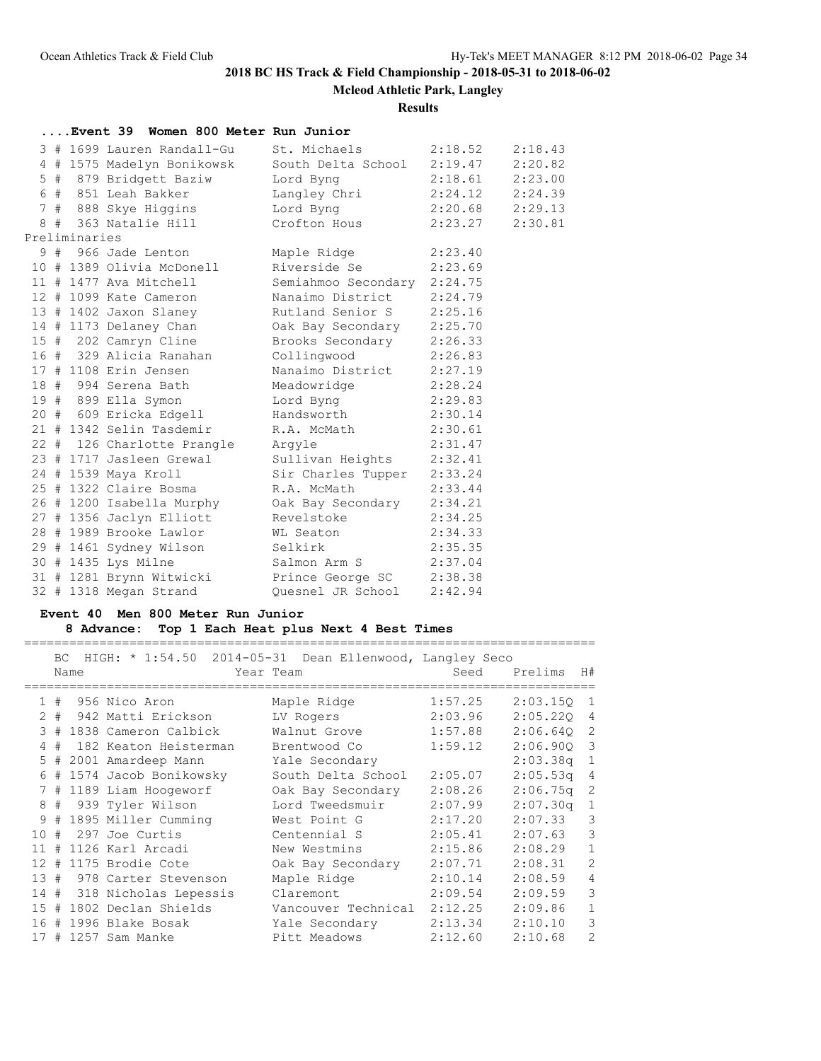**Mcleod Athletic Park, Langley**

### **Results**

|  |               | Event 39 Women 800 Meter Run Junior                                                                                          |                            |         |         |
|--|---------------|------------------------------------------------------------------------------------------------------------------------------|----------------------------|---------|---------|
|  |               | 3 # 1699 Lauren Randall-Gu                                                                                                   | St. Michaels 2:18.52       |         | 2:18.43 |
|  |               | 4 # 1575 Madelyn Bonikowsk South Delta School 2:19.47                                                                        |                            |         | 2:20.82 |
|  |               | 5 # 879 Bridgett Baziw                                                                                                       | Lord Byng 2:18.61          |         | 2:23.00 |
|  |               | 6 # 851 Leah Bakker             Langley Chri           2:24.12<br>7 # 888 Skye Higgins           Lord Byng           2:20.68 |                            |         | 2:24.39 |
|  |               |                                                                                                                              |                            |         | 2:29.13 |
|  |               | 8 # 363 Natalie Hill Crofton Hous 2:23.27                                                                                    |                            |         | 2:30.81 |
|  | Preliminaries |                                                                                                                              |                            |         |         |
|  |               | 9 # 966 Jade Lenton Maple Ridge                                                                                              |                            | 2:23.40 |         |
|  |               | 10 # 1389 Olivia McDonell Riverside Se 2:23.69                                                                               |                            |         |         |
|  |               | 11 # 1477 Ava Mitchell Semiahmoo Secondary 2:24.75                                                                           |                            |         |         |
|  |               | 12 # 1099 Kate Cameron                                                                                                       | Nanaimo District 2:24.79   |         |         |
|  |               | 13 # 1402 Jaxon Slaney Rutland Senior S 2:25.16                                                                              |                            |         |         |
|  |               |                                                                                                                              |                            |         |         |
|  |               | 14 # 1173 Delaney Chan Cak Bay Secondary 2:25.70<br>15 # 202 Camryn Cline Brooks Secondary 2:26.33                           |                            |         |         |
|  |               | 16 # 329 Alicia Ranahan Collingwood 2:26.83                                                                                  |                            |         |         |
|  |               | 10 T 323 11110-1<br>17 # 1108 Erin Jensen                                                                                    | Nanaimo District 2:27.19   |         |         |
|  |               | 18 # 994 Serena Bath Meadowridge 2:28.24                                                                                     |                            |         |         |
|  |               | 19 # 899 Ella Symon Mord Byng 2:29.83                                                                                        |                            |         |         |
|  |               | 20 # 609 Ericka Edgell Handsworth 2:30.14                                                                                    |                            |         |         |
|  |               | 21 # 1342 Selin Tasdemir R.A. McMath 2:30.61                                                                                 |                            |         |         |
|  |               | 22 # 126 Charlotte Prangle Argyle                                                                                            |                            | 2:31.47 |         |
|  |               | 23 # 1717 Jasleen Grewal Sullivan Heights 2:32.41                                                                            |                            |         |         |
|  |               | 24 # 1539 Maya Kroll                                                                                                         | Sir Charles Tupper 2:33.24 |         |         |
|  |               | 25 # 1322 Claire Bosma K.A. McMath                                                                                           |                            | 2:33.44 |         |
|  |               | 26 # 1200 Isabella Murphy Oak Bay Secondary 2:34.21                                                                          |                            |         |         |
|  |               | 27 # 1356 Jaclyn Elliott Revelstoke 2:34.25                                                                                  |                            |         |         |
|  |               | 28 # 1989 Brooke Lawlor ML Seaton 2:34.33                                                                                    |                            |         |         |
|  |               | 29 # 1461 Sydney Wilson Selkirk 2:35.35                                                                                      |                            |         |         |
|  |               | 30 # 1435 Lys Milne                                                                                                          | Salmon Arm S 2:37.04       |         |         |
|  |               | 31 # 1281 Brynn Witwicki Prince George SC 2:38.38                                                                            |                            |         |         |
|  |               | 32 # 1318 Megan Strand                                                                                                       | Quesnel JR School          | 2:42.94 |         |

## **Event 40 Men 800 Meter Run Junior**

## **8 Advance: Top 1 Each Heat plus Next 4 Best Times**

|                | BC. |      | HIGH: * 1:54.50 2014-05-31 Dean Ellenwood, Langley Seco | Year Team           | Seed    | Prelims    | H#                      |
|----------------|-----|------|---------------------------------------------------------|---------------------|---------|------------|-------------------------|
|                |     | Name |                                                         |                     |         |            |                         |
|                |     |      | $1$ # $956$ Nico Aron                                   | Maple Ridge         | 1:57.25 | 2:03.15Q   | 1                       |
|                |     |      | 2 # 942 Matti Erickson                                  | LV Rogers           | 2:03.96 | 2:05.220 4 |                         |
|                |     |      | 3 # 1838 Cameron Calbick                                | Walnut Grove        | 1:57.88 | 2:06.640   | 2                       |
| $\overline{4}$ | #   |      | 182 Keaton Heisterman                                   | Brentwood Co        | 1:59.12 | 2:06.900   | $\overline{\mathbf{3}}$ |
|                |     |      | 5 # 2001 Amardeep Mann                                  | Yale Secondary      |         | 2:03.38q   | $\overline{1}$          |
|                |     |      | 6 # 1574 Jacob Bonikowsky                               | South Delta School  | 2:05.07 | 2:05.53q   | $\overline{4}$          |
|                |     |      | 7 # 1189 Liam Hoogeworf                                 | Oak Bay Secondary   | 2:08.26 | 2:06.75q   | 2                       |
|                |     |      | 8 # 939 Tyler Wilson                                    | Lord Tweedsmuir     | 2:07.99 | 2:07.30q   | $\mathbf{1}$            |
|                |     |      | 9 # 1895 Miller Cumming                                 | West Point G        | 2:17.20 | 2:07.33    | 3                       |
| 10             |     |      | # 297 Joe Curtis                                        | Centennial S        | 2:05.41 | 2:07.63    | 3                       |
|                |     |      | 11 # 1126 Karl Arcadi                                   | New Westmins        | 2:15.86 | 2:08.29    | $\mathbf{1}$            |
|                |     |      | 12 # 1175 Brodie Cote                                   | Oak Bay Secondary   | 2:07.71 | 2:08.31    | 2                       |
|                |     |      | 13 # 978 Carter Stevenson                               | Maple Ridge         | 2:10.14 | 2:08.59    | $\overline{4}$          |
|                |     |      | 14 # 318 Nicholas Lepessis                              | Claremont           | 2:09.54 | 2:09.59    | 3                       |
|                |     |      | 15 # 1802 Declan Shields                                | Vancouver Technical | 2:12.25 | 2:09.86    | $\mathbf{1}$            |
| 16 #           |     |      | 1996 Blake Bosak                                        | Yale Secondary      | 2:13.34 | 2:10.10    | 3                       |
|                |     |      | 17 # 1257 Sam Manke                                     | Pitt Meadows        | 2:12.60 | 2:10.68    | $\overline{2}$          |

============================================================================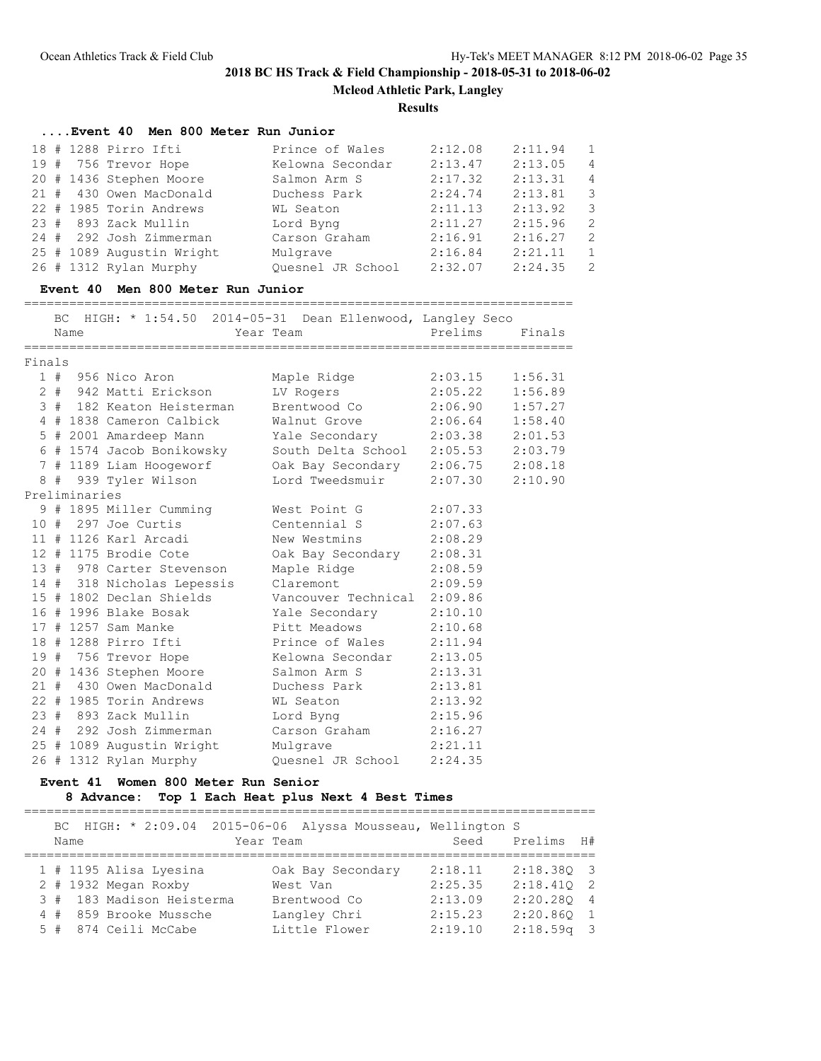**Mcleod Athletic Park, Langley**

### **Results**

## **....Event 40 Men 800 Meter Run Junior**

| 18 # 1288 Pirro Ifti      | Prince of Wales   | 2:12.08 | 2:11.94 | $\overline{1}$ |
|---------------------------|-------------------|---------|---------|----------------|
| 19 # 756 Trevor Hope      | Kelowna Secondar  | 2:13.47 | 2:13.05 | $\overline{4}$ |
| 20 # 1436 Stephen Moore   | Salmon Arm S      | 2:17.32 | 2:13.31 | $\overline{4}$ |
| 21 # 430 Owen MacDonald   | Duchess Park      | 2:24.74 |         | - 3            |
| 22 # 1985 Torin Andrews   | WL Seaton         | 2:11.13 | 2:13.92 | - 3            |
| 23 # 893 Zack Mullin      | Lord Byng         | 2:11.27 | 2:15.96 | 2              |
| 24 # 292 Josh Zimmerman   | Carson Graham     | 2:16.91 | 2:16.27 | $\overline{2}$ |
| 25 # 1089 Augustin Wright | Mulgrave          | 2:16.84 | 2:21.11 | $\overline{1}$ |
| 26 # 1312 Rylan Murphy    | Quesnel JR School | 2:32.07 | 2:24.35 | - 2            |
|                           |                   |         |         | 2:13.81        |

#### **Event 40 Men 800 Meter Run Junior**

=========================================================================

|               | BC. |      | HIGH: * 1:54.50 2014-05-31 Dean Ellenwood, Langley Seco |                                    |                     |         |
|---------------|-----|------|---------------------------------------------------------|------------------------------------|---------------------|---------|
|               |     | Name |                                                         | Year Team                          | Prelims             | Finals  |
| Finals        |     |      |                                                         |                                    |                     |         |
|               |     |      | 1 # 956 Nico Aron                                       | Maple Ridge                        | 2:03.15             | 1:56.31 |
|               |     |      | 2 # 942 Matti Erickson                                  | LV Rogers                          | $2:05.22$ $1:56.89$ |         |
|               |     |      | 3 # 182 Keaton Heisterman                               | Brentwood Co 2:06.90 1:57.27       |                     |         |
|               |     |      | 4 # 1838 Cameron Calbick                                | Walnut Grove 2:06.64 1:58.40       |                     |         |
|               |     |      | 5 # 2001 Amardeep Mann                                  | Yale Secondary 2:03.38 2:01.53     |                     |         |
|               |     |      | 6 # 1574 Jacob Bonikowsky                               | South Delta School 2:05.53 2:03.79 |                     |         |
|               |     |      | 7 # 1189 Liam Hoogeworf                                 | Oak Bay Secondary 2:06.75 2:08.18  |                     |         |
|               |     |      | 8 # 939 Tyler Wilson                                    | Lord Tweedsmuir                    | $2:07.30$ $2:10.90$ |         |
| Preliminaries |     |      |                                                         |                                    |                     |         |
|               |     |      | 9 # 1895 Miller Cumming                                 | West Point G                       | 2:07.33             |         |
|               |     |      | 10 # 297 Joe Curtis                                     | Centennial S                       | 2:07.63             |         |
|               |     |      | 11 # 1126 Karl Arcadi                                   | New Westmins                       | 2:08.29             |         |
|               |     |      | 12 # 1175 Brodie Cote                                   | Oak Bay Secondary 2:08.31          |                     |         |
|               |     |      | 13 # 978 Carter Stevenson                               | Maple Ridge                        | 2:08.59             |         |
|               |     |      | 14 # 318 Nicholas Lepessis                              | Claremont                          | 2:09.59             |         |
|               |     |      | 15 # 1802 Declan Shields                                | Vancouver Technical 2:09.86        |                     |         |
|               |     |      | 16 # 1996 Blake Bosak                                   | Yale Secondary 2:10.10             |                     |         |
|               |     |      | 17 # 1257 Sam Manke                                     | Pitt Meadows 2:10.68               |                     |         |
|               |     |      | 18 # 1288 Pirro Ifti                                    | Prince of Wales 2:11.94            |                     |         |
|               |     |      | 19 # 756 Trevor Hope                                    | Kelowna Secondar                   | 2:13.05             |         |
|               |     |      | 20 # 1436 Stephen Moore                                 | Salmon Arm S                       | 2:13.31             |         |
|               |     |      | 21 # 430 Owen MacDonald                                 | Duchess Park                       | 2:13.81             |         |
|               |     |      | 22 # 1985 Torin Andrews                                 | WL Seaton                          | 2:13.92             |         |
|               |     |      | 23 # 893 Zack Mullin                                    | Lord Byng 2:15.96                  |                     |         |
|               |     |      | 24 # 292 Josh Zimmerman                                 | Carson Graham 2:16.27              |                     |         |
|               |     |      | 25 # 1089 Augustin Wright                               | Mulgrave 2:21.11                   |                     |         |
|               |     |      | 26 # 1312 Rylan Murphy                                  | Ouesnel JR School                  | 2:24.35             |         |

### **Event 41 Women 800 Meter Run Senior**

## **8 Advance: Top 1 Each Heat plus Next 4 Best Times**

============================================================================

|  | Name | BC HIGH: * 2:09.04 2015-06-06 Alyssa Mousseau, Wellington S | Year Team |                   | Seed    | Prelims H#   |  |
|--|------|-------------------------------------------------------------|-----------|-------------------|---------|--------------|--|
|  |      | 1 # 1195 Alisa Lyesina                                      |           | Oak Bay Secondary | 2:18.11 | 2:18.380 3   |  |
|  |      | 2 # 1932 Megan Roxby                                        |           | West Van          | 2:25.35 | $2:18.410$ 2 |  |
|  |      | 3 # 183 Madison Heisterma                                   |           | Brentwood Co      | 2:13.09 | 2:20.280 4   |  |
|  |      | 4 # 859 Brooke Mussche                                      |           | Langley Chri      | 2:15.23 | 2:20.860 1   |  |
|  |      | 5 # 874 Ceili McCabe                                        |           | Little Flower     | 2:19.10 | $2:18.59q$ 3 |  |
|  |      |                                                             |           |                   |         |              |  |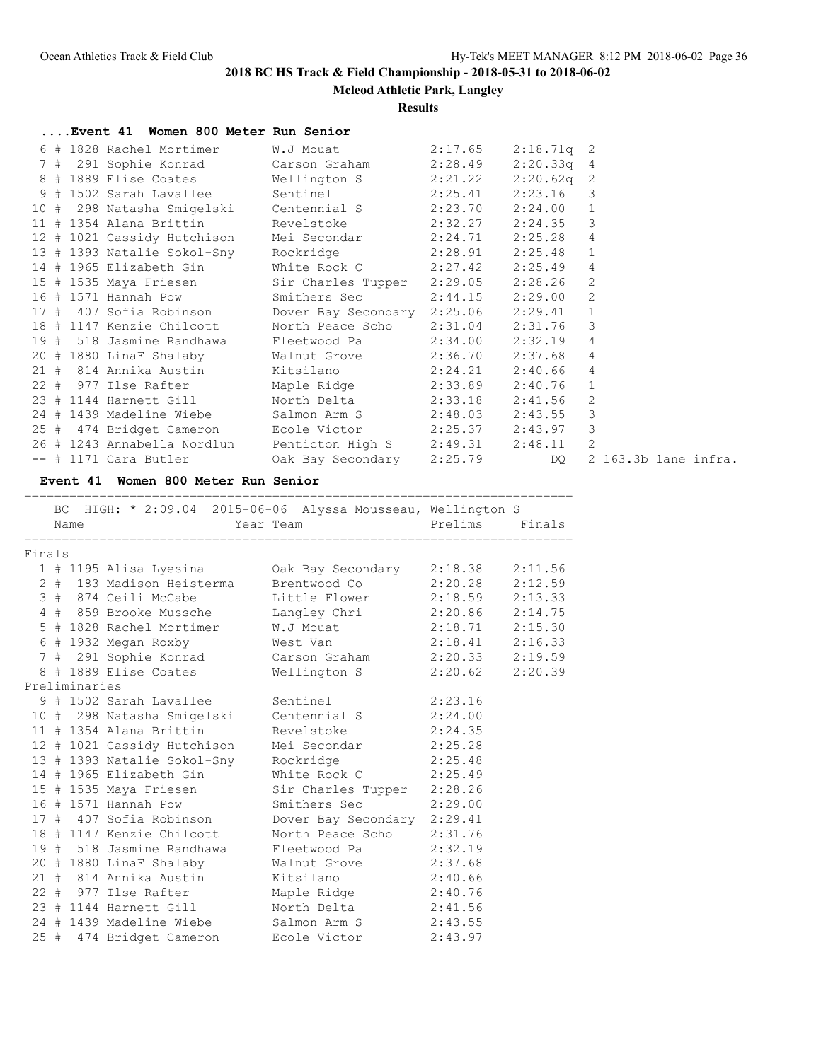**Mcleod Athletic Park, Langley**

**Results**

| Event 41 Women 800 Meter Run Senior                             |                                      |         |              |                |
|-----------------------------------------------------------------|--------------------------------------|---------|--------------|----------------|
| 6 # 1828 Rachel Mortimer                                        | W.J Mouat                            | 2:17.65 | $2:18.71q$ 2 |                |
| 7 # 291 Sophie Konrad                                           | Carson Graham                        | 2:28.49 | 2:20.33q     | 4              |
| 8 # 1889 Elise Coates                                           | Wellington S                         | 2:21.22 | 2:20.62q     | $\overline{2}$ |
| 9 # 1502 Sarah Lavallee                                         | Sentinel                             | 2:25.41 | 2:23.16      | $\mathcal{S}$  |
| 10 # 298 Natasha Smiqelski                                      | Centennial S                         | 2:23.70 | 2:24.00      | $\mathbf{1}$   |
| $11$ # 1354 Alana Brittin                                       | Revelstoke                           | 2:32.27 | 2:24.35      | $\mathcal{S}$  |
| 12 # 1021 Cassidy Hutchison                                     | Mei Secondar                         | 2:24.71 | 2:25.28      | $\overline{4}$ |
| 13 # 1393 Natalie Sokol-Sny                                     | Rockridge                            | 2:28.91 | 2:25.48      | $\mathbf{1}$   |
| 14 # 1965 Elizabeth Gin                                         | White Rock C                         | 2:27.42 | 2:25.49      | $\overline{4}$ |
| 15 # 1535 Maya Friesen                                          | Sir Charles Tupper 2:29.05           |         | 2:28.26      | $\overline{c}$ |
| 16 # 1571 Hannah Pow                                            | Smithers Sec                         | 2:44.15 | 2:29.00      | $\overline{c}$ |
| 17 # 407 Sofia Robinson                                         | Dover Bay Secondary 2:25.06          |         | 2:29.41      | $\mathbf{1}$   |
| 18 # 1147 Kenzie Chilcott                                       | North Peace Scho                     | 2:31.04 | 2:31.76      | $\mathcal{S}$  |
| 19 # 518 Jasmine Randhawa                                       | Fleetwood Pa                         | 2:34.00 | 2:32.19      | $\overline{4}$ |
| 20 # 1880 LinaF Shalaby                                         | Walnut Grove                         | 2:36.70 | 2:37.68      | 4              |
| 21 # 814 Annika Austin                                          | Kitsilano                            | 2:24.21 | 2:40.66      | $\overline{4}$ |
| 22 # 977 Ilse Rafter                                            | Maple Ridge                          | 2:33.89 | 2:40.76      | $\mathbf{1}$   |
| 23 # 1144 Harnett Gill                                          | North Delta                          | 2:33.18 | 2:41.56      | $\overline{c}$ |
| 24 # 1439 Madeline Wiebe                                        | Salmon Arm S                         | 2:48.03 | 2:43.55      | 3              |
| 25 # 474 Bridget Cameron                                        | Ecole Victor 2:25.37                 |         | 2:43.97      | 3              |
| 26 # 1243 Annabella Nordlun                                     | Penticton High S 2:49.31             |         | 2:48.11      | $\overline{c}$ |
| -- # 1171 Cara Butler                                           | Oak Bay Secondary 2:25.79            |         | DO.          | $\overline{2}$ |
| Event 41 Women 800 Meter Run Senior                             | ------------------------------------ |         |              |                |
| HIGH: * 2:09.04 2015-06-06 Alyssa Mousseau, Wellington S<br>BC. |                                      |         |              |                |

Name **Name** Year Team Prelims Finals ========================================================================= Finals 1 # 1195 Alisa Lyesina Oak Bay Secondary 2:18.38 2:11.56 2 # 183 Madison Heisterma Brentwood Co 2:20.28 2:12.59 3 # 874 Ceili McCabe Little Flower 2:18.59 2:13.33 4 # 859 Brooke Mussche Langley Chri 2:20.86 2:14.75 5 # 1828 Rachel Mortimer W.J Mouat 2:18.71 2:15.30 6 # 1932 Megan Roxby West Van 2:18.41 2:16.33 7 # 291 Sophie Konrad Carson Graham 2:20.33 2:19.59 8 # 1889 Elise Coates Wellington S 2:20.62 2:20.39 Preliminaries 9 # 1502 Sarah Lavallee Sentinel 2:23.16 10 # 298 Natasha Smigelski Centennial S 2:24.00 11 # 1354 Alana Brittin Revelstoke 2:24.35 12 # 1021 Cassidy Hutchison Mei Secondar 2:25.28 13 # 1393 Natalie Sokol-Sny Rockridge 2:25.48 14 # 1965 Elizabeth Gin White Rock C 2:25.49 15 # 1535 Maya Friesen Sir Charles Tupper 2:28.26 16 # 1571 Hannah Pow Smithers Sec 2:29.00 17 # 407 Sofia Robinson Dover Bay Secondary 2:29.41 18 # 1147 Kenzie Chilcott North Peace Scho 2:31.76 19 # 518 Jasmine Randhawa Fleetwood Pa 2:32.19 20 # 1880 LinaF Shalaby Walnut Grove 2:37.68 21 # 814 Annika Austin Kitsilano 2:40.66 22 # 977 Ilse Rafter Maple Ridge 2:40.76 23 # 1144 Harnett Gill North Delta 2:41.56 24 # 1439 Madeline Wiebe Salmon Arm S 2:43.55 25 # 474 Bridget Cameron Ecole Victor 2:43.97

2 163.3b lane infra.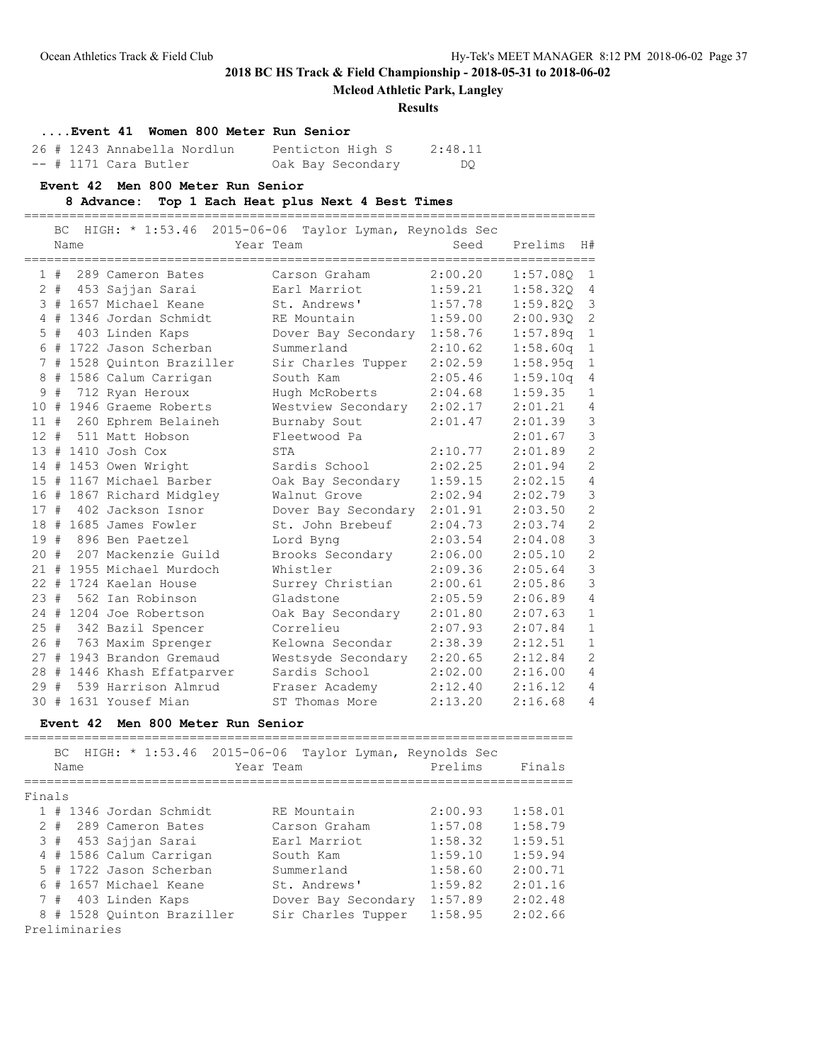### **Mcleod Athletic Park, Langley**

#### **Results**

### **....Event 41 Women 800 Meter Run Senior**

|  | 26 # 1243 Annabella Nordlun | Penticton High S  | 2:48.11 |
|--|-----------------------------|-------------------|---------|
|  | $--$ # 1171 Cara Butler     | Oak Bay Secondary | DO.     |

### **Event 42 Men 800 Meter Run Senior**

### **8 Advance: Top 1 Each Heat plus Next 4 Best Times**

============================================================================

|     | ВC    | Name | HIGH: * 1:53.46 2015-06-06  | Taylor Lyman, Reynolds Sec<br>Year Team | Seed    | Prelims  | H#             |
|-----|-------|------|-----------------------------|-----------------------------------------|---------|----------|----------------|
|     | 1#    |      | 289 Cameron Bates           | Carson Graham                           | 2:00.20 | 1:57.080 | 1              |
|     |       |      | 2 # 453 Sajjan Sarai        | Earl Marriot                            | 1:59.21 | 1:58.32Q | 4              |
|     |       |      | 3 # 1657 Michael Keane      | St. Andrews'                            | 1:57.78 | 1:59.82Q | 3              |
|     |       |      | 4 # 1346 Jordan Schmidt     | RE Mountain                             | 1:59.00 | 2:00.930 | $\overline{2}$ |
|     | $5$ # |      | 403 Linden Kaps             | Dover Bay Secondary 1:58.76             |         | 1:57.89q | $\mathbf{1}$   |
|     |       |      | 6 # 1722 Jason Scherban     | Summerland                              | 2:10.62 | 1:58.60q | $\mathbf{1}$   |
|     |       |      | 7 # 1528 Quinton Braziller  | Sir Charles Tupper                      | 2:02.59 | 1:58.95q | $1\,$          |
| 8   |       |      | # 1586 Calum Carrigan       | South Kam                               | 2:05.46 | 1:59.10q | 4              |
| 9   | #     |      | 712 Ryan Heroux             | Hugh McRoberts                          | 2:04.68 | 1:59.35  | $\mathbf{1}$   |
| 10  | #     |      | 1946 Graeme Roberts         | Westview Secondary                      | 2:02.17 | 2:01.21  | 4              |
|     |       |      | 11 # 260 Ephrem Belaineh    | Burnaby Sout                            | 2:01.47 | 2:01.39  | 3              |
|     |       |      | 12 # 511 Matt Hobson        | Fleetwood Pa                            |         | 2:01.67  | 3              |
|     |       |      | $13$ # 1410 Josh Cox        | STA                                     | 2:10.77 | 2:01.89  | $\overline{c}$ |
|     |       |      | 14 # 1453 Owen Wright       | Sardis School                           | 2:02.25 | 2:01.94  | $\overline{c}$ |
|     |       |      | 15 # 1167 Michael Barber    | Oak Bay Secondary                       | 1:59.15 | 2:02.15  | $\overline{4}$ |
|     |       |      | 16 # 1867 Richard Midgley   | Walnut Grove                            | 2:02.94 | 2:02.79  | 3              |
| 17# |       |      | 402 Jackson Isnor           | Dover Bay Secondary                     | 2:01.91 | 2:03.50  | $\overline{c}$ |
|     |       |      | 18 # 1685 James Fowler      | St. John Brebeuf                        | 2:04.73 | 2:03.74  | $\overline{c}$ |
|     |       |      | 19 # 896 Ben Paetzel        | Lord Byng                               | 2:03.54 | 2:04.08  | 3              |
|     |       |      | 20 # 207 Mackenzie Guild    | Brooks Secondary                        | 2:06.00 | 2:05.10  | $\overline{c}$ |
|     |       |      | 21 # 1955 Michael Murdoch   | Whistler                                | 2:09.36 | 2:05.64  | $\overline{3}$ |
|     |       |      | 22 # 1724 Kaelan House      | Surrey Christian                        | 2:00.61 | 2:05.86  | $\overline{3}$ |
|     |       |      | 23 # 562 Ian Robinson       | Gladstone                               | 2:05.59 | 2:06.89  | $\overline{4}$ |
|     |       |      | 24 # 1204 Joe Robertson     | Oak Bay Secondary                       | 2:01.80 | 2:07.63  | $\mathbf{1}$   |
|     | 25#   |      | 342 Bazil Spencer           | Correlieu                               | 2:07.93 | 2:07.84  | $\mathbf{1}$   |
|     |       |      | 26 # 763 Maxim Sprenger     | Kelowna Secondar                        | 2:38.39 | 2:12.51  | $\mathbf{1}$   |
|     |       |      | 27 # 1943 Brandon Gremaud   | Westsyde Secondary                      | 2:20.65 | 2:12.84  | $\overline{c}$ |
|     |       |      | 28 # 1446 Khash Effatparver | Sardis School                           | 2:02.00 | 2:16.00  | $\overline{4}$ |
| 29# |       |      | 539 Harrison Almrud         | Fraser Academy                          | 2:12.40 | 2:16.12  | $\overline{4}$ |
|     |       |      | 30 # 1631 Yousef Mian       | ST Thomas More                          | 2:13.20 | 2:16.68  | 4              |

### **Event 42 Men 800 Meter Run Senior**

|        |               |      | BC HIGH: * 1:53.46<br>2015-06-06 | Taylor Lyman, Reynolds Sec |         |         |  |  |  |
|--------|---------------|------|----------------------------------|----------------------------|---------|---------|--|--|--|
|        |               | Name |                                  | Year Team                  | Prelims | Finals  |  |  |  |
|        |               |      |                                  |                            |         |         |  |  |  |
| Finals |               |      |                                  |                            |         |         |  |  |  |
|        |               |      | 1 # 1346 Jordan Schmidt          | RE Mountain                | 2:00.93 | 1:58.01 |  |  |  |
|        |               |      | 2 # 289 Cameron Bates            | Carson Graham              | 1:57.08 | 1:58.79 |  |  |  |
|        |               |      | 3 # 453 Sajjan Sarai             | Earl Marriot               | 1:58.32 | 1:59.51 |  |  |  |
|        |               |      | 4 # 1586 Calum Carrigan          | South Kam                  | 1:59.10 | 1:59.94 |  |  |  |
|        |               |      | 5 # 1722 Jason Scherban          | Summerland                 | 1:58.60 | 2:00.71 |  |  |  |
|        |               |      | 6 # 1657 Michael Keane           | St. Andrews'               | 1:59.82 | 2:01.16 |  |  |  |
|        | 7#            |      | 403 Linden Kaps                  | Dover Bay Secondary        | 1:57.89 | 2:02.48 |  |  |  |
|        |               |      | 8 # 1528 Ouinton Braziller       | Sir Charles Tupper         | 1:58.95 | 2:02.66 |  |  |  |
|        | Preliminaries |      |                                  |                            |         |         |  |  |  |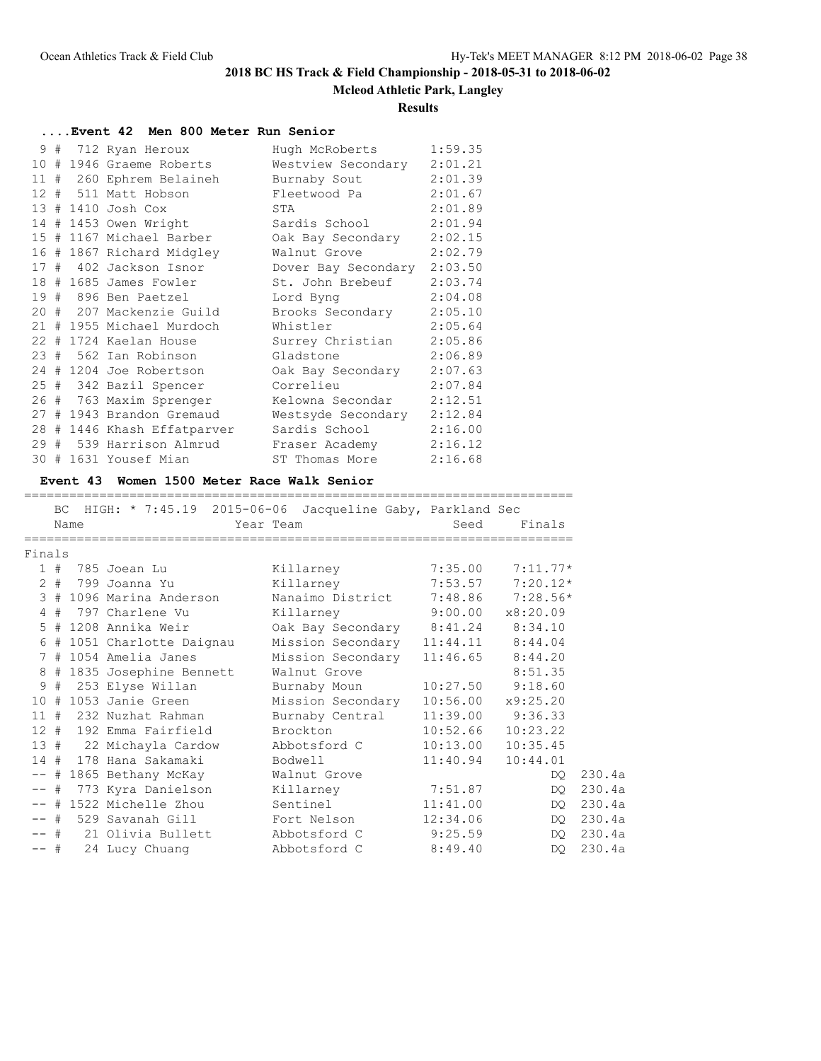### **Mcleod Athletic Park, Langley**

### **Results**

| Event 42 Men 800 Meter Run Senior |  |                             |                      |         |  |  |  |  |  |  |
|-----------------------------------|--|-----------------------------|----------------------|---------|--|--|--|--|--|--|
|                                   |  | 9 # 712 Ryan Heroux         | Hugh McRoberts       | 1:59.35 |  |  |  |  |  |  |
|                                   |  | 10 # 1946 Graeme Roberts    | Westview Secondary   | 2:01.21 |  |  |  |  |  |  |
|                                   |  | 11 # 260 Ephrem Belaineh    | Burnaby Sout         | 2:01.39 |  |  |  |  |  |  |
|                                   |  | 12 # 511 Matt Hobson        | Fleetwood Pa         | 2:01.67 |  |  |  |  |  |  |
|                                   |  | 13 # 1410 Josh Cox          | STA                  | 2:01.89 |  |  |  |  |  |  |
|                                   |  | 14 # 1453 Owen Wright       | Sardis School        | 2:01.94 |  |  |  |  |  |  |
|                                   |  | 15 # 1167 Michael Barber    | Oak Bay Secondary    | 2:02.15 |  |  |  |  |  |  |
|                                   |  | 16 # 1867 Richard Midgley   | Walnut Grove         | 2:02.79 |  |  |  |  |  |  |
|                                   |  | 17 # 402 Jackson Isnor      | Dover Bay Secondary  | 2:03.50 |  |  |  |  |  |  |
|                                   |  | 18 # 1685 James Fowler      | St. John Brebeuf     | 2:03.74 |  |  |  |  |  |  |
|                                   |  | 19 # 896 Ben Paetzel        | Lord Byng            | 2:04.08 |  |  |  |  |  |  |
|                                   |  | 20 # 207 Mackenzie Guild    | Brooks Secondary     | 2:05.10 |  |  |  |  |  |  |
|                                   |  | 21 # 1955 Michael Murdoch   | Whistler             | 2:05.64 |  |  |  |  |  |  |
|                                   |  | 22 # 1724 Kaelan House      | Surrey Christian     | 2:05.86 |  |  |  |  |  |  |
|                                   |  | 23 # 562 Ian Robinson       | Gladstone            | 2:06.89 |  |  |  |  |  |  |
|                                   |  | 24 # 1204 Joe Robertson     | Oak Bay Secondary    | 2:07.63 |  |  |  |  |  |  |
|                                   |  | 25 # 342 Bazil Spencer      | Correlieu            | 2:07.84 |  |  |  |  |  |  |
|                                   |  | 26 # 763 Maxim Sprenger     | Kelowna Secondar     | 2:12.51 |  |  |  |  |  |  |
|                                   |  | 27 # 1943 Brandon Gremaud   | Westsyde Secondary   | 2:12.84 |  |  |  |  |  |  |
|                                   |  | 28 # 1446 Khash Effatparver | Sardis School Sardis | 2:16.00 |  |  |  |  |  |  |
|                                   |  | 29 # 539 Harrison Almrud    | Fraser Academy       | 2:16.12 |  |  |  |  |  |  |
|                                   |  | 30 # 1631 Yousef Mian       | ST Thomas More       | 2:16.68 |  |  |  |  |  |  |

#### **Event 43 Women 1500 Meter Race Walk Senior**

#### ========================================================================= BC HIGH: \* 7:45.19 2015-06-06 Jacqueline Gaby, Parkland Sec

|        |      | po unan: " (:40.19 Z010-00-00 dacquerrile gaby, rafkland Sec |                                                                                                                |          |                      |        |
|--------|------|--------------------------------------------------------------|----------------------------------------------------------------------------------------------------------------|----------|----------------------|--------|
|        | Name |                                                              | Year Team and the control of the control of the control of the control of the control of the control of the co | Seed     | Finals               |        |
| Finals |      |                                                              |                                                                                                                |          |                      |        |
|        |      | 1 # 785 Joean Lu                                             | Killarney                                                                                                      |          | $7:35.00$ $7:11.77*$ |        |
|        |      | 2 # 799 Joanna Yu                                            | Killarney                                                                                                      |          | $7:53.57$ $7:20.12*$ |        |
|        |      | 3 # 1096 Marina Anderson                                     | Nanaimo District 7:48.86 7:28.56*                                                                              |          |                      |        |
|        |      | 4 # 797 Charlene Vu                                          | Killarney                                                                                                      | 9:00.00  | x8:20.09             |        |
|        |      | 5 # 1208 Annika Weir                                         | Oak Bay Secondary 8:41.24 8:34.10                                                                              |          |                      |        |
|        |      | 6 # 1051 Charlotte Daignau                                   | Mission Secondary 11:44.11 8:44.04                                                                             |          |                      |        |
|        |      | 7 # 1054 Amelia Janes                                        | Mission Secondary 11:46.65 8:44.20                                                                             |          |                      |        |
|        |      | 8 # 1835 Josephine Bennett                                   | Walnut Grove                                                                                                   |          | 8:51.35              |        |
|        |      | 9 # 253 Elyse Willan                                         | Burnaby Moun                                                                                                   |          | $10:27.50$ 9:18.60   |        |
|        |      | 10 # 1053 Janie Green Mission Secondary 10:56.00 x9:25.20    |                                                                                                                |          |                      |        |
|        |      | 11 # 232 Nuzhat Rahman                                       | Burnaby Central                                                                                                |          | $11:39.00$ $9:36.33$ |        |
|        |      | 12 # 192 Emma Fairfield                                      | Brockton                                                                                                       | 10:52.66 | 10:23.22             |        |
|        |      | 13 # 22 Michayla Cardow                                      | Abbotsford C                                                                                                   | 10:13.00 | 10:35.45             |        |
|        |      | 14 # 178 Hana Sakamaki                                       | Bodwell                                                                                                        | 11:40.94 | 10:44.01             |        |
|        |      | -- # 1865 Bethany McKay Malnut Grove                         |                                                                                                                |          | DO                   | 230.4a |
|        |      |                                                              |                                                                                                                | 7:51.87  | DQ.                  | 230.4a |
|        |      | -- # 1522 Michelle Zhou                                      | Sentinel                                                                                                       | 11:41.00 | DQ.                  | 230.4a |
|        |      | -- # 529 Savanah Gill                                        | Fort Nelson                                                                                                    | 12:34.06 | DQ.                  | 230.4a |
|        |      | -- # 21 Olivia Bullett Abbotsford C                          |                                                                                                                | 9:25.59  | DQ.                  | 230.4a |
|        |      | -- # 24 Lucy Chuang                                          | Abbotsford C                                                                                                   | 8:49.40  | DO                   | 230.4a |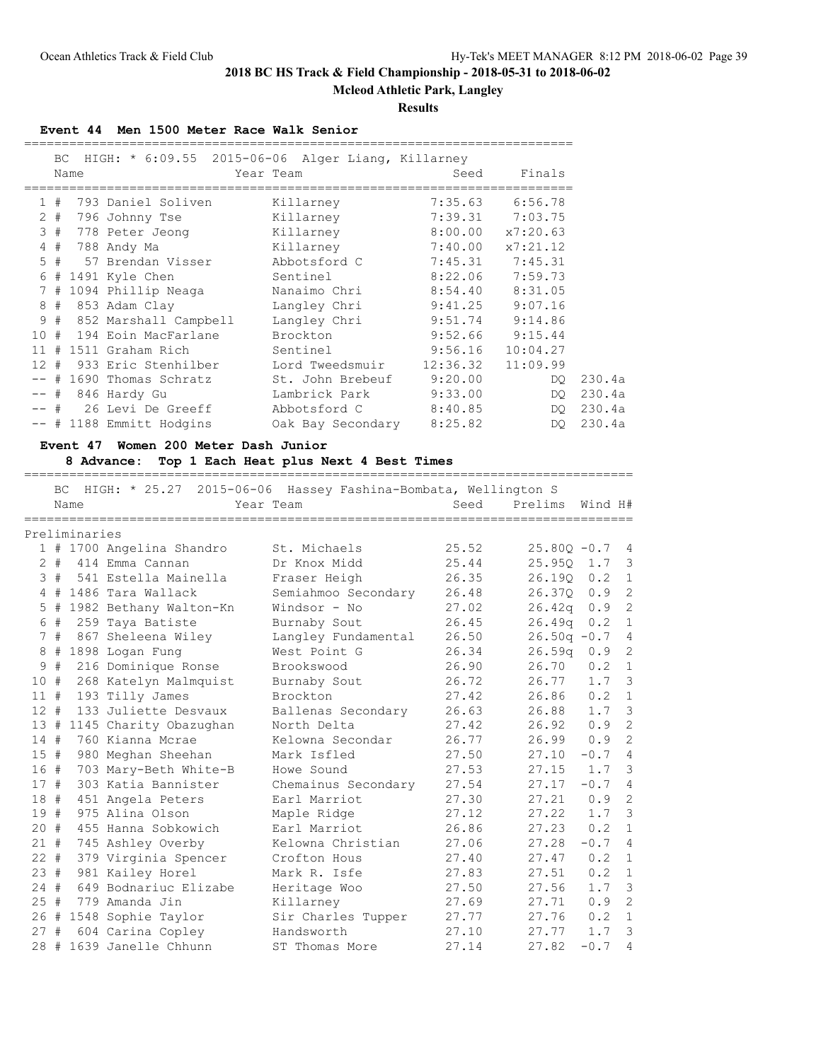**Mcleod Athletic Park, Langley**

#### **Results**

#### **Event 44 Men 1500 Meter Race Walk Senior**

| HIGH: $\star$ 6:09.55 2015-06-06 Alger Liang, Killarney<br>BC.<br>Seed<br>Year Team<br>Name<br>1#<br>793 Daniel Soliven<br>7:35.63<br>Killarney<br>$2 +$<br>7:39.31<br>796 Johnny Tse<br>Killarney<br>3<br>8:00.00<br>#<br>778 Peter Jeong<br>Killarney<br>7:40.00<br>4<br>#<br>788 Andy Ma<br>Killarney<br>5<br>7:45.31<br>#<br>57 Brendan Visser<br>Abbotsford C<br>8:22.06<br>1491 Kyle Chen<br>6<br>#<br>Sentinel<br>1094 Phillip Neaga<br>8:54.40<br>7<br>#<br>Nanaimo Chri<br>8<br>9:41.25<br>#<br>853 Adam Clay<br>Langley Chri<br>9<br>#<br>9:51.74<br>852 Marshall Campbell<br>Langley Chri<br>9:52.66<br>10<br>194 Eoin MacFarlane<br>#<br>Brockton | Finals<br>6:56.78<br>7:03.75<br>x7:20.63<br>x7:21.12 |
|---------------------------------------------------------------------------------------------------------------------------------------------------------------------------------------------------------------------------------------------------------------------------------------------------------------------------------------------------------------------------------------------------------------------------------------------------------------------------------------------------------------------------------------------------------------------------------------------------------------------------------------------------------------|------------------------------------------------------|
|                                                                                                                                                                                                                                                                                                                                                                                                                                                                                                                                                                                                                                                               |                                                      |
|                                                                                                                                                                                                                                                                                                                                                                                                                                                                                                                                                                                                                                                               |                                                      |
|                                                                                                                                                                                                                                                                                                                                                                                                                                                                                                                                                                                                                                                               |                                                      |
|                                                                                                                                                                                                                                                                                                                                                                                                                                                                                                                                                                                                                                                               |                                                      |
|                                                                                                                                                                                                                                                                                                                                                                                                                                                                                                                                                                                                                                                               |                                                      |
|                                                                                                                                                                                                                                                                                                                                                                                                                                                                                                                                                                                                                                                               |                                                      |
|                                                                                                                                                                                                                                                                                                                                                                                                                                                                                                                                                                                                                                                               |                                                      |
|                                                                                                                                                                                                                                                                                                                                                                                                                                                                                                                                                                                                                                                               | 7:45.31                                              |
|                                                                                                                                                                                                                                                                                                                                                                                                                                                                                                                                                                                                                                                               | 7:59.73                                              |
|                                                                                                                                                                                                                                                                                                                                                                                                                                                                                                                                                                                                                                                               | 8:31.05                                              |
|                                                                                                                                                                                                                                                                                                                                                                                                                                                                                                                                                                                                                                                               | 9:07.16                                              |
|                                                                                                                                                                                                                                                                                                                                                                                                                                                                                                                                                                                                                                                               | 9:14.86                                              |
|                                                                                                                                                                                                                                                                                                                                                                                                                                                                                                                                                                                                                                                               | 9:15.44                                              |
| 9:56.16<br>11<br>1511 Graham Rich<br>Sentinel<br>#                                                                                                                                                                                                                                                                                                                                                                                                                                                                                                                                                                                                            | 10:04.27                                             |
| 12:36.32<br>933 Eric Stenhilber<br>$12 \overline{ }$<br>#<br>Lord Tweedsmuir                                                                                                                                                                                                                                                                                                                                                                                                                                                                                                                                                                                  | 11:09.99                                             |
| 9:20.00<br>1690 Thomas Schratz<br>St. John Brebeuf<br>#                                                                                                                                                                                                                                                                                                                                                                                                                                                                                                                                                                                                       | DO                                                   |
| 9:33.00<br>846 Hardy Gu<br>Lambrick Park<br>#                                                                                                                                                                                                                                                                                                                                                                                                                                                                                                                                                                                                                 | DQ.                                                  |
| 8:40.85<br>26 Levi De Greeff<br>-- #<br>Abbotsford C                                                                                                                                                                                                                                                                                                                                                                                                                                                                                                                                                                                                          | DO                                                   |
| 8:25.82<br>-- # 1188 Emmitt Hodgins<br>Oak Bay Secondary                                                                                                                                                                                                                                                                                                                                                                                                                                                                                                                                                                                                      | DO.                                                  |

**Event 47 Women 200 Meter Dash Junior 8 Advance: Top 1 Each Heat plus Next 4 Best Times** ================================================================================= BC HIGH: \* 25.27 2015-06-06 Hassey Fashina-Bombata, Wellington S Name Tear Team Seed Prelims Wind H# ================================================================================= Preliminaries 1 # 1700 Angelina Shandro St. Michaels 25.52 25.80Q -0.7 4 2 # 414 Emma Cannan Dr Knox Midd 25.44 25.95Q 1.7 3 3 # 541 Estella Mainella Fraser Heigh 26.35 26.19Q 0.2 1 4 # 1486 Tara Wallack Semiahmoo Secondary 26.48 26.37Q 0.9 2 5 # 1982 Bethany Walton-Kn Windsor - No 27.02 26.42q 0.9 2 6 # 259 Taya Batiste Burnaby Sout 26.45 26.49q 0.2 1 7 # 867 Sheleena Wiley Langley Fundamental 26.50 26.50q -0.7 4 8 # 1898 Logan Fung West Point G 26.34 26.59q 0.9 2 9 # 216 Dominique Ronse Brookswood 26.90 26.70 0.2 1 10 # 268 Katelyn Malmquist Burnaby Sout 26.72 26.77 1.7 3 11 # 193 Tilly James Brockton 27.42 26.86 0.2 1 12 # 133 Juliette Desvaux Ballenas Secondary 26.63 26.88 1.7 3 13 # 1145 Charity Obazughan North Delta 27.42 26.92 0.9 2 14 # 760 Kianna Mcrae Kelowna Secondar 26.77 26.99 0.9 2 15 # 980 Meghan Sheehan Mark Isfled 27.50 27.10 -0.7 4 16 # 703 Mary-Beth White-B Howe Sound 27.53 27.15 1.7 3 17 # 303 Katia Bannister Chemainus Secondary 27.54 27.17 -0.7 4 18 # 451 Angela Peters Earl Marriot 27.30 27.21 0.9 2 19 # 975 Alina Olson Maple Ridge 27.12 27.22 1.7 3 20 # 455 Hanna Sobkowich Earl Marriot 26.86 27.23 0.2 1 21 # 745 Ashley Overby Kelowna Christian 27.06 27.28 -0.7 4

 22 # 379 Virginia Spencer Crofton Hous 27.40 27.47 0.2 1 23 # 981 Kailey Horel Mark R. Isfe 27.83 27.51 0.2 1 24 # 649 Bodnariuc Elizabe Heritage Woo 27.50 27.56 1.7 3 25 # 779 Amanda Jin Killarney 27.69 27.71 0.9 2 26 # 1548 Sophie Taylor Sir Charles Tupper 27.77 27.76 0.2 1 27 # 604 Carina Copley Handsworth 27.10 27.77 1.7 3 28 # 1639 Janelle Chhunn ST Thomas More 27.14 27.82 -0.7 4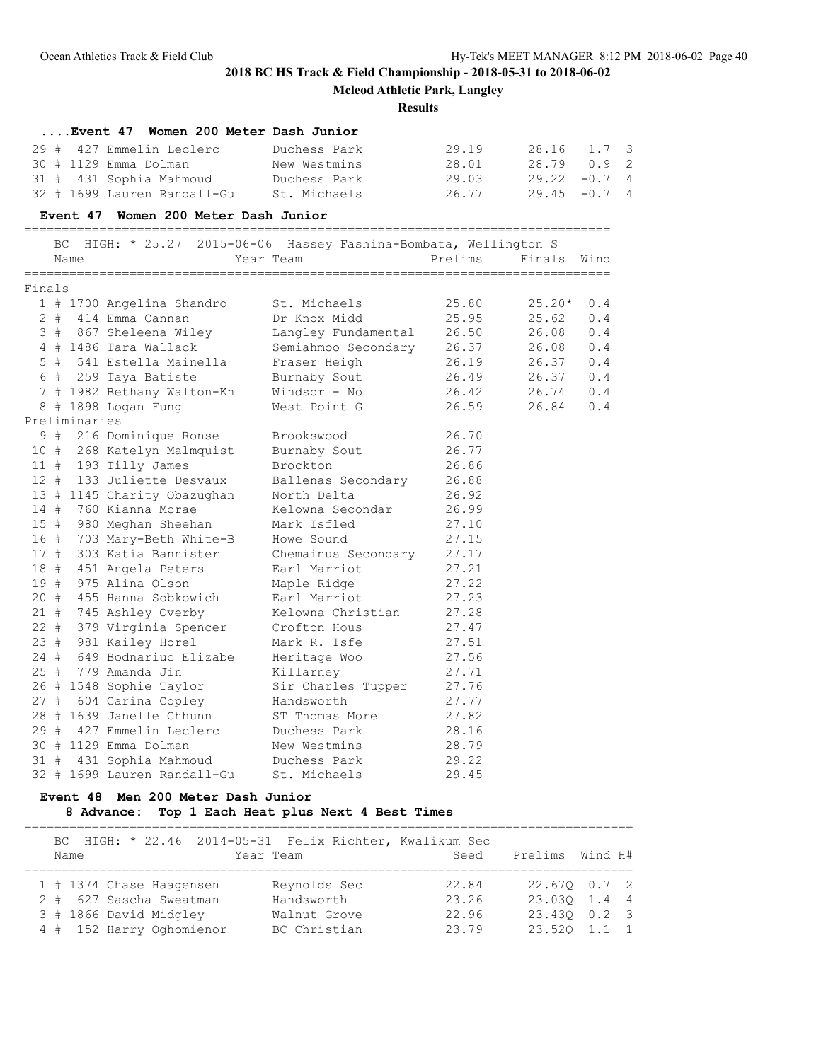**Mcleod Athletic Park, Langley**

#### **Results**

|        |    |               | Event 47 Women 200 Meter Dash Junior                                                                          |                                         |                     |                 |         |                |
|--------|----|---------------|---------------------------------------------------------------------------------------------------------------|-----------------------------------------|---------------------|-----------------|---------|----------------|
|        |    |               | 29 # 427 Emmelin Leclerc                                                                                      | Duchess Park                            | 29.19               | 28.16           | $1.7-3$ |                |
|        |    |               | 30 # 1129 Emma Dolman                                                                                         | New Westmins                            | 28.01               | 28.79 0.9       |         | $\overline{c}$ |
|        |    |               | 31 # 431 Sophia Mahmoud                                                                                       | Duchess Park                            | 29.03               | $29.22 - 0.7$ 4 |         |                |
|        |    |               | 32 # 1699 Lauren Randall-Gu                                                                                   | St. Michaels                            | 26.77               | $29.45 - 0.7$   |         | 4              |
|        |    |               | Event 47 Women 200 Meter Dash Junior                                                                          |                                         |                     |                 |         |                |
|        |    |               | BC HIGH: * 25.27 2015-06-06 Hassey Fashina-Bombata, Wellington S                                              |                                         |                     |                 |         |                |
|        |    | Name          |                                                                                                               | Year Team                               | Prelims Finals Wind |                 |         |                |
| Finals |    |               |                                                                                                               |                                         |                     |                 |         |                |
|        |    |               | 1 # 1700 Angelina Shandro St. Michaels                                                                        |                                         | 25.80               | $25.20*$        | 0.4     |                |
|        |    |               | 2 # 414 Emma Cannan                                                                                           | Dr Knox Midd                            | 25.95               | 25.62           | 0.4     |                |
|        |    |               | 3 # 867 Sheleena Wiley                                                                                        | Langley Fundamental 26.50               |                     | 26.08           | 0.4     |                |
|        |    |               | 4 # 1486 Tara Wallack                                                                                         | Semiahmoo Secondary 26.37 26.08         |                     |                 | 0.4     |                |
|        |    |               | 5 # 541 Estella Mainella                                                                                      | ella       Fraser Heigh<br>Burnaby Sout | 26.19               | 26.37 0.4       |         |                |
|        |    |               | 6 # 259 Taya Batiste                                                                                          |                                         | $26.15$ $26.37$     |                 | 0.4     |                |
|        |    |               | 7 # 1982 Bethany Walton-Kn Windsor - No                                                                       |                                         | 26.42 26.74 0.4     |                 |         |                |
|        |    |               | 8 # 1898 Logan Fung                                                                                           | West Point G                            | 26.59               | 26.84           | 0.4     |                |
|        |    | Preliminaries |                                                                                                               |                                         |                     |                 |         |                |
|        | 9# |               | 216 Dominique Ronse                                                                                           | Brookswood                              | 26.70               |                 |         |                |
|        |    |               | 10 # 268 Katelyn Malmquist                                                                                    | Burnaby Sout                            | 26.77               |                 |         |                |
|        |    |               | 11 # 193 Tilly James                                                                                          | Brockton                                | 26.86               |                 |         |                |
|        |    |               | 12 # 133 Juliette Desvaux                                                                                     | Ballenas Secondary                      | 26.88               |                 |         |                |
|        |    |               | 13 # 1145 Charity Obazughan Morth Delta                                                                       |                                         | 26.92               |                 |         |                |
|        |    |               | 14 # 760 Kianna Mcrae                                                                                         | Kelowna Secondar                        | 26.99               |                 |         |                |
| 15 #   |    |               | 980 Meghan Sheehan                                                                                            | Mark Isfled                             | 27.10               |                 |         |                |
| 16 #   |    |               | 703 Mary-Beth White-B Howe Sound<br>303 Katia Bannister Chemainus Secondary<br>451 Angela Peters Earl Marriot |                                         | 27.15               |                 |         |                |
| 17#    |    |               |                                                                                                               |                                         | 27.17               |                 |         |                |
| 18 #   |    |               | 451 Angela Peters                                                                                             |                                         | 27.21               |                 |         |                |
| 19#    |    |               | 975 Alina Olson                                                                                               |                                         | 27.22               |                 |         |                |
| 20 #   |    |               | 455 Hanna Sobkowich                                                                                           |                                         | 27.23               |                 |         |                |
| 21 #   |    |               | 745 Ashley Overby                                                                                             | Kelowna Christian                       | 27.28               |                 |         |                |
| $22 +$ |    |               | 379 Virginia Spencer Crofton Hous                                                                             |                                         | 27.47               |                 |         |                |
| 23 #   |    |               | 981 Kailey Horel                                                                                              | Mark R. Isfe                            | 27.51               |                 |         |                |
| 24#    |    |               | 649 Bodnariuc Elizabe Heritage Woo                                                                            |                                         | 27.56               |                 |         |                |
| $25 +$ |    |               | 779 Amanda Jin                                                                                                | Killarney                               | 27.71               |                 |         |                |
|        |    |               | 26 # 1548 Sophie Taylor<br>27 # 604 Carina Copley                                                             | Sir Charles Tupper                      | 27.76               |                 |         |                |
|        |    |               |                                                                                                               | Handsworth                              | 27.77               |                 |         |                |
|        |    |               | 28 # 1639 Janelle Chhunn                                                                                      | ST Thomas More                          | 27.82               |                 |         |                |
|        |    |               | 29 # 427 Emmelin Leclerc                                                                                      | Duchess Park                            | 28.16               |                 |         |                |
|        |    |               | 30 # 1129 Emma Dolman                                                                                         | New Westmins                            | 28.79               |                 |         |                |
|        |    |               | 31 # 431 Sophia Mahmoud Duchess Park                                                                          |                                         | 29.22               |                 |         |                |
|        |    |               | 32 # 1699 Lauren Randall-Gu                                                                                   | St. Michaels                            | 29.45               |                 |         |                |

## **Event 48 Men 200 Meter Dash Junior**

#### **8 Advance: Top 1 Each Heat plus Next 4 Best Times** =================================================================================

| Name |                          |  | Year Team | BC HIGH: * 22.46 2014-05-31 Felix Richter, Kwalikum Sec |  | Seed  | Prelims Wind H#            |  |
|------|--------------------------|--|-----------|---------------------------------------------------------|--|-------|----------------------------|--|
|      | 1 # 1374 Chase Haagensen |  |           | Reynolds Sec                                            |  | 22.84 | 22.670 0.7 2               |  |
|      | 2 # 627 Sascha Sweatman  |  |           | Handsworth                                              |  | 23.26 | 23.030 1.4 4               |  |
|      | 3 # 1866 David Midgley   |  |           | Walnut Grove                                            |  | 22.96 | 23.430 0.2 3               |  |
|      | 4 # 152 Harry Oghomienor |  |           | BC Christian                                            |  | 23.79 | $23.520 \quad 1.1 \quad 1$ |  |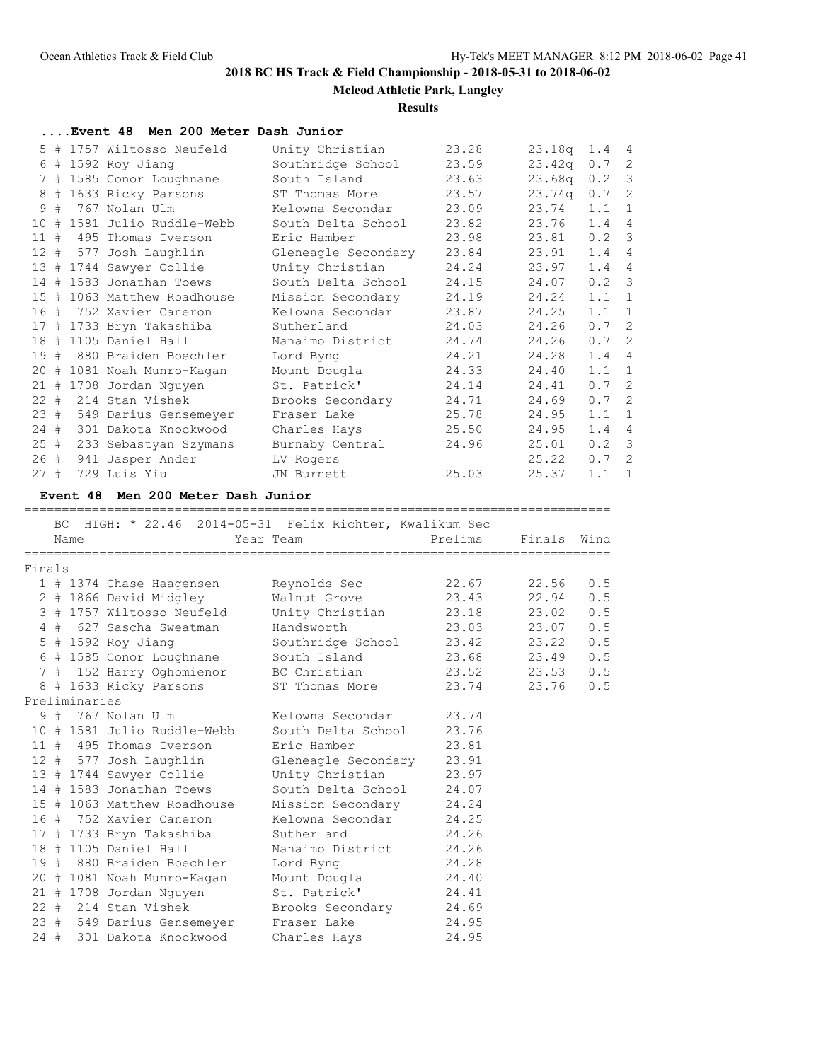**Mcleod Athletic Park, Langley**

### **Results**

**....Event 48 Men 200 Meter Dash Junior**

|                 |   | 5 # 1757 Wiltosso Neufeld  | Unity Christian     | 23.28 | 23.18q             | $1.4 \quad 4$ |                          |
|-----------------|---|----------------------------|---------------------|-------|--------------------|---------------|--------------------------|
| 6               |   | # 1592 Roy Jiang           | Southridge School   | 23.59 | 23.42q             | 0.7           | 2                        |
| 7               |   | # 1585 Conor Loughnane     | South Island        | 23.63 | 23.68 <sub>q</sub> | 0.2           | $\overline{\phantom{a}}$ |
| 8               |   | # 1633 Ricky Parsons       | ST Thomas More      | 23.57 | 23.74q             | $0.7-2$       |                          |
| 9               | # | 767 Nolan Ulm              | Kelowna Secondar    | 23.09 | 23.74              | 1.1           | $\overline{1}$           |
| 10              | # | 1581 Julio Ruddle-Webb     | South Delta School  | 23.82 | 23.76              | 1.4           | $\overline{4}$           |
| 11#             |   | 495 Thomas Iverson         | Eric Hamber         | 23.98 | 23.81              | 0.2 3         |                          |
|                 |   | 12 # 577 Josh Laughlin     | Gleneagle Secondary | 23.84 | 23.91              | 1.4           | $\overline{4}$           |
|                 |   | 13 # 1744 Sawyer Collie    | Unity Christian     | 24.24 | 23.97              | 1.4           | $\overline{4}$           |
| 14              |   | # 1583 Jonathan Toews      | South Delta School  | 24.15 | 24.07              | $0.2 \quad 3$ |                          |
| 15 <sub>1</sub> |   | # 1063 Matthew Roadhouse   | Mission Secondary   | 24.19 | 24.24              | 1.1           | $\overline{1}$           |
|                 |   | 16 # 752 Xavier Caneron    | Kelowna Secondar    | 23.87 | 24.25              | $1.1 \quad 1$ |                          |
| 17              |   | # 1733 Bryn Takashiba      | Sutherland          | 24.03 | 24.26              | 0.7           | $\overline{c}$           |
| 18              |   | # 1105 Daniel Hall         | Nanaimo District    | 24.74 | 24.26              | $0.7-2$       |                          |
| 19              |   | # 880 Braiden Boechler     | Lord Byng           | 24.21 | 24.28              | 1.4           | $\overline{4}$           |
|                 |   | 20 # 1081 Noah Munro-Kagan | Mount Dougla        | 24.33 | 24.40              | 1.1           | $\mathbf 1$              |
|                 |   | 21 # 1708 Jordan Nguyen    | St. Patrick'        | 24.14 | 24.41              | 0.7           | -2                       |
| $22 +$          |   | 214 Stan Vishek            | Brooks Secondary    | 24.71 | 24.69              | $0.7-2$       |                          |
| 23#             |   | 549 Darius Gensemeyer      | Fraser Lake         | 25.78 | 24.95              | 1.1           | $\mathbf{1}$             |
| 24#             |   | 301 Dakota Knockwood       | Charles Hays        | 25.50 | 24.95              | 1.4           | $\overline{4}$           |
| 25#             |   | 233 Sebastyan Szymans      | Burnaby Central     | 24.96 | 25.01              | $0.2 \quad 3$ |                          |
| 26 #            |   | 941 Jasper Ander           | LV Rogers           |       | 25.22              | 0.7           | -2                       |
| 27#             |   | 729 Luis Yiu               | JN Burnett          | 25.03 | 25.37              | 1.1           | $\overline{1}$           |
|                 |   |                            |                     |       |                    |               |                          |

## **Event 48 Men 200 Meter Dash Junior**

==============================================================================

|        |               |                             | BC HIGH: * 22.46 2014-05-31 Felix Richter, Kwalikum Sec                                                        |         |             |     |
|--------|---------------|-----------------------------|----------------------------------------------------------------------------------------------------------------|---------|-------------|-----|
|        | Name          |                             | Year Team                                                                                                      | Prelims | Finals Wind |     |
| Finals |               |                             |                                                                                                                |         |             |     |
|        |               |                             |                                                                                                                | 22.67   | 22.56       | 0.5 |
|        |               | 2 # 1866 David Midgley      | Walnut Grove                                                                                                   | 23.43   | 22.94       | 0.5 |
|        |               | 3 # 1757 Wiltosso Neufeld   | Unity Christian 23.18                                                                                          |         | 23.02       | 0.5 |
|        |               | 4 # 627 Sascha Sweatman     | Handsworth 23.03                                                                                               |         | 23.07       | 0.5 |
|        |               | 5 # 1592 Roy Jianq          | Southridge School 23.42                                                                                        |         | 23.22       | 0.5 |
|        |               | 6 # 1585 Conor Loughnane    | South Island 23.68                                                                                             |         | 23.49       | 0.5 |
|        |               |                             | 7 # 152 Harry Oghomienor BC Christian 23.52 23.53                                                              |         |             | 0.5 |
|        |               | 8 # 1633 Ricky Parsons      | ST Thomas More                                                                                                 | 23.74   | 23.76       | 0.5 |
|        | Preliminaries |                             |                                                                                                                |         |             |     |
|        |               | 9 # 767 Nolan Ulm           | Kelowna Secondar                                                                                               | 23.74   |             |     |
|        |               | 10 # 1581 Julio Ruddle-Webb | South Delta School                                                                                             | 23.76   |             |     |
|        |               | 11 # 495 Thomas Iverson     | Eric Hamber                                                                                                    | 23.81   |             |     |
|        |               | 12 # 577 Josh Laughlin      | Gleneagle Secondary                                                                                            | 23.91   |             |     |
|        |               |                             | 13 # 1744 Sawyer Collie Unity Christian 23.97                                                                  |         |             |     |
|        |               | 14 # 1583 Jonathan Toews    | South Delta School                                                                                             | 24.07   |             |     |
|        |               | 15 # 1063 Matthew Roadhouse | Mission Secondary                                                                                              | 24.24   |             |     |
|        |               | 16 # 752 Xavier Caneron     | Kelowna Secondar                                                                                               | 24.25   |             |     |
|        |               | 17 # 1733 Bryn Takashiba    | Sutherland                                                                                                     | 24.26   |             |     |
|        |               | 18 # 1105 Daniel Hall       | Nanaimo District                                                                                               | 24.26   |             |     |
|        |               | 19 # 880 Braiden Boechler   | Lord Byng                                                                                                      | 24.28   |             |     |
|        |               | 20 # 1081 Noah Munro-Kagan  | Mount Dougla 24.40                                                                                             |         |             |     |
|        |               | 21 # 1708 Jordan Nguyen     | St. Patrick'                                                                                                   | 24.41   |             |     |
|        |               | 22 # 214 Stan Vishek        | Brooks Secondary 24.69                                                                                         |         |             |     |
|        |               | 23 # 549 Darius Gensemeyer  | Fraser Lake the control of the season of the season of the season of the season of the season of the season of | 24.95   |             |     |
|        |               | 24 # 301 Dakota Knockwood   | Charles Hays                                                                                                   | 24.95   |             |     |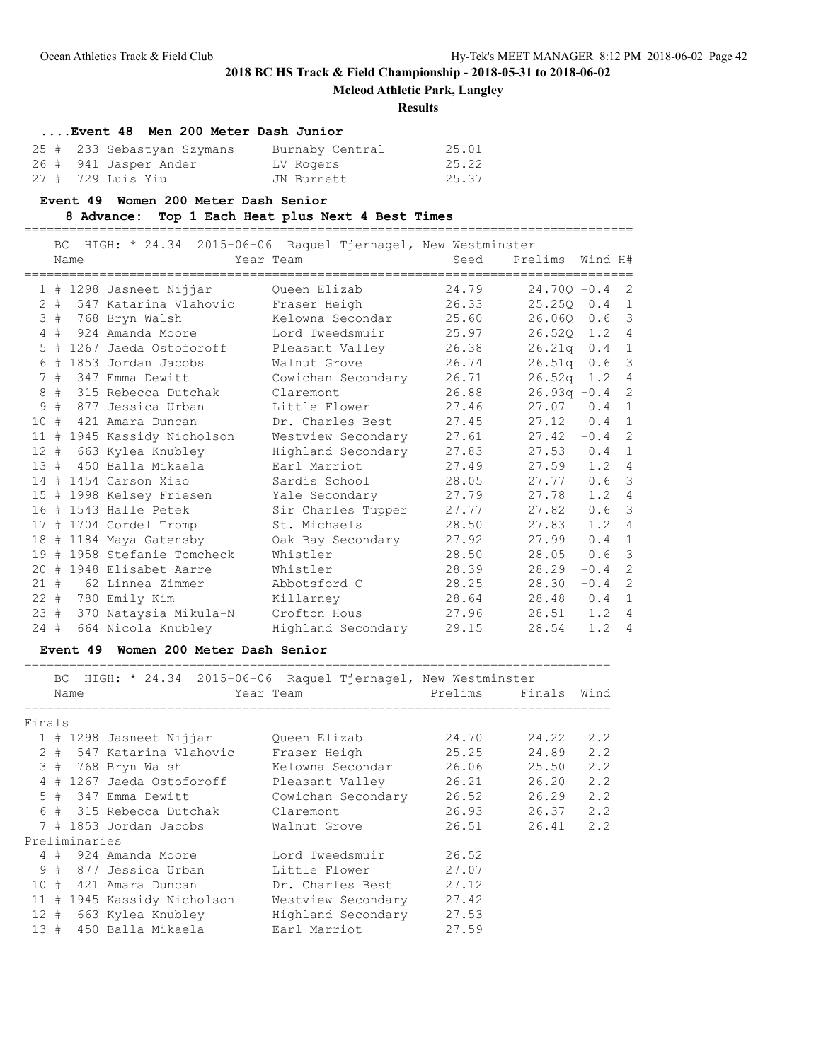**Mcleod Athletic Park, Langley**

#### **Results**

# **....Event 48 Men 200 Meter Dash Junior**

| 25 # 233 Sebastyan Szymans | Burnaby Central | 25.01 |
|----------------------------|-----------------|-------|
| 26 # 941 Jasper Ander      | LV Rogers       | 25.22 |
| 27 #  729 Luis Yiu         | JN Burnett      | 25.37 |

**Event 49 Women 200 Meter Dash Senior**

#### **8 Advance: Top 1 Each Heat plus Next 4 Best Times**

=================================================================================

|        | BC<br>Name | HIGH: * 24.34 2015-06-06 Raquel Tjernagel, New Westminster | Year Team          | Seed  | Prelims         | Wind H#       |                |
|--------|------------|------------------------------------------------------------|--------------------|-------|-----------------|---------------|----------------|
|        |            | 1 # 1298 Jasneet Nijjar                                    | Queen Elizab       | 24.79 | $24.700 - 0.4$  |               | $\overline{c}$ |
|        |            | 2 # 547 Katarina Vlahovic                                  | Fraser Heigh       | 26.33 | $25.25Q \t 0.4$ |               | $\mathbf{1}$   |
| 3#     |            | 768 Bryn Walsh                                             | Kelowna Secondar   | 25.60 | 26.060          | 0.6           | $\mathcal{E}$  |
| 4#     |            | 924 Amanda Moore                                           | Lord Tweedsmuir    | 25.97 | 26.52Q 1.2      |               | $\overline{4}$ |
|        |            | 5 # 1267 Jaeda Ostoforoff                                  | Pleasant Valley    | 26.38 | 26.21q          | 0.4           | -1             |
| 6#     |            | 1853 Jordan Jacobs                                         | Walnut Grove       | 26.74 | 26.51q          | 0.6           | $\mathcal{S}$  |
| 7#     |            | 347 Emma Dewitt                                            | Cowichan Secondary | 26.71 | 26.52q 1.2 4    |               |                |
|        |            | 8 # 315 Rebecca Dutchak                                    | Claremont          | 26.88 | $26.93q -0.4$   |               | $\overline{c}$ |
| 9#     |            | 877 Jessica Urban                                          | Little Flower      | 27.46 | 27.07           | 0.4           | $\mathbf{1}$   |
| 10#    |            | 421 Amara Duncan                                           | Dr. Charles Best   | 27.45 | 27.12           | 0.4           | $\mathbf{1}$   |
|        |            | 11 # 1945 Kassidy Nicholson                                | Westview Secondary | 27.61 | 27.42           | $-0.4$        | $\overline{c}$ |
| 12#    |            | 663 Kylea Knubley                                          | Highland Secondary | 27.83 | 27.53           | 0.4           | $\mathbf{1}$   |
| 13#    |            | 450 Balla Mikaela                                          | Earl Marriot       | 27.49 | 27.59           | $1.2$ 4       |                |
|        |            | 14 # 1454 Carson Xiao                                      | Sardis School      | 28.05 | 27.77           | $0.6-3$       |                |
|        |            | 15 # 1998 Kelsey Friesen                                   | Yale Secondary     | 27.79 | 27.78           | $1.2 \quad 4$ |                |
|        |            | 16 # 1543 Halle Petek                                      | Sir Charles Tupper | 27.77 | 27.82           | $0.6-3$       |                |
|        |            | 17 # 1704 Cordel Tromp                                     | St. Michaels       | 28.50 | 27.83           | 1.2           | $\overline{4}$ |
|        |            | 18 # 1184 Maya Gatensby                                    | Oak Bay Secondary  | 27.92 | 27.99           | 0.4           | $\mathbf{1}$   |
|        |            | 19 # 1958 Stefanie Tomcheck                                | Whistler           | 28.50 | 28.05           | 0.6           | $\mathcal{S}$  |
|        |            | 20 # 1948 Elisabet Aarre                                   | Whistler           | 28.39 | 28.29           | $-0.4$        | $\overline{c}$ |
|        |            | 21 # 62 Linnea Zimmer                                      | Abbotsford C       | 28.25 | 28.30           | $-0.4$        | $\overline{c}$ |
|        |            | 22 # 780 Emily Kim                                         | Killarney          | 28.64 | 28.48           | 0.4           | $\mathbf{1}$   |
| 23#    |            | 370 Nataysia Mikula-N                                      | Crofton Hous       | 27.96 | 28.51           | $1.2$ 4       |                |
| $24 +$ |            | 664 Nicola Knubley                                         | Highland Secondary | 29.15 | 28.54           | 1.2           | $\overline{4}$ |

#### **Event 49 Women 200 Meter Dash Senior**

============================================================================== BC HIGH: \* 24.34 2015-06-06 Raquel Tjernagel, New Westminster Name **The Year Team** Prelims Finals Wind ============================================================================== Finals 1 # 1298 Jasneet Nijjar Queen Elizab 24.70 24.22 2.2 2 # 547 Katarina Vlahovic Fraser Heigh 25.25 24.89 2.2 3 # 768 Bryn Walsh Kelowna Secondar 26.06 25.50 2.2 4 # 1267 Jaeda Ostoforoff Pleasant Valley 26.21 26.20 2.2 5 # 347 Emma Dewitt Cowichan Secondary 26.52 26.29 2.2 6 # 315 Rebecca Dutchak Claremont 26.93 26.37 2.2 7 # 1853 Jordan Jacobs Walnut Grove 26.51 26.41 2.2 Preliminaries 4 # 924 Amanda Moore Lord Tweedsmuir 26.52 9 # 877 Jessica Urban Little Flower 27.07 10 # 421 Amara Duncan Dr. Charles Best 27.12 11 # 1945 Kassidy Nicholson Westview Secondary 27.42 12 # 663 Kylea Knubley Highland Secondary 27.53 13 # 450 Balla Mikaela Earl Marriot 27.59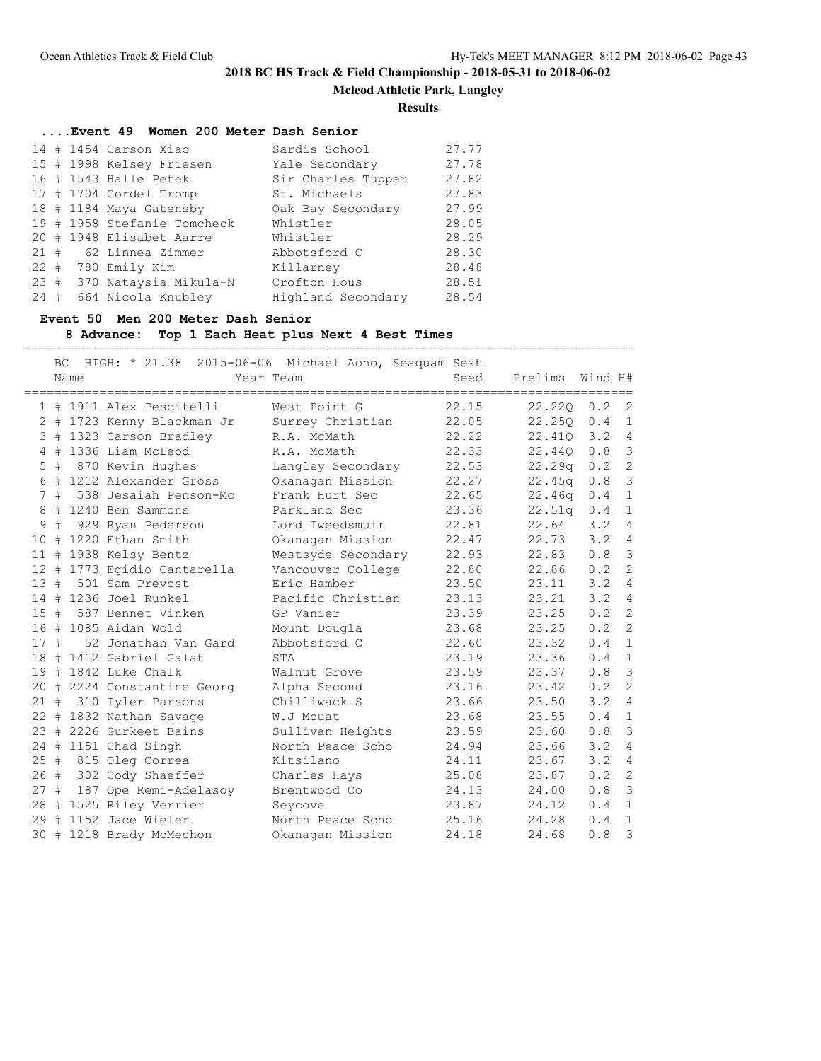**Mcleod Athletic Park, Langley**

#### **Results**

### **....Event 49 Women 200 Meter Dash Senior**

|     |  | $14$ # 1454 Carson Xiao     | Sardis School      | 27.77 |
|-----|--|-----------------------------|--------------------|-------|
|     |  | 15 # 1998 Kelsey Friesen    | Yale Secondary     | 27.78 |
|     |  | 16 # 1543 Halle Petek       | Sir Charles Tupper | 27.82 |
|     |  | 17 # 1704 Cordel Tromp      | St. Michaels       | 27.83 |
|     |  | 18 # 1184 Maya Gatensby     | Oak Bay Secondary  | 27.99 |
|     |  | 19 # 1958 Stefanie Tomcheck | Whistler           | 28.05 |
|     |  | 20 # 1948 Elisabet Aarre    | Whistler           | 28.29 |
|     |  | 21 # 62 Linnea Zimmer       | Abbotsford C       | 28.30 |
|     |  | 22 # 780 Emily Kim          | Killarney          | 28.48 |
|     |  | 23 # 370 Nataysia Mikula-N  | Crofton Hous       | 28.51 |
| 24# |  | 664 Nicola Knubley          | Highland Secondary | 28.54 |

#### **Event 50 Men 200 Meter Dash Senior**

## **8 Advance: Top 1 Each Heat plus Next 4 Best Times**

=================================================================================

|     | <b>BC</b> | Name | HIGH: * 21.38               | 2015-06-06 Michael Aono, Seaquam Seah<br>Year Team | Seed  | Prelims            | Wind H#       |                         |
|-----|-----------|------|-----------------------------|----------------------------------------------------|-------|--------------------|---------------|-------------------------|
|     |           |      |                             |                                                    |       |                    |               |                         |
|     |           |      | 1 # 1911 Alex Pescitelli    | West Point G                                       | 22.15 | $22.220 \t 0.2$    |               | $\overline{2}$          |
|     |           |      | 2 # 1723 Kenny Blackman Jr  | Surrey Christian                                   | 22.05 | 22.25Q             | 0.4           | $\overline{1}$          |
|     |           |      | 3 # 1323 Carson Bradley     | R.A. McMath                                        | 22.22 | 22.410             | 3.2           | $\overline{4}$          |
|     |           |      | 4 # 1336 Liam McLeod        | R.A. McMath                                        | 22.33 | 22.44Q             | 0.8           | $\mathcal{S}$           |
|     | $5 +$     |      | 870 Kevin Hughes            | Langley Secondary                                  | 22.53 | 22.29q             | 0.2           | 2                       |
|     |           |      | 6 # 1212 Alexander Gross    | Okanagan Mission                                   | 22.27 | 22.45q             | 0.8           | $\overline{\mathbf{3}}$ |
|     | 7#        |      | 538 Jesaiah Penson-Mc       | Frank Hurt Sec                                     | 22.65 | 22.46q             | 0.4           | $1\,$                   |
|     |           |      | 8 # 1240 Ben Sammons        | Parkland Sec                                       | 23.36 | 22.51 <sub>q</sub> | 0.4           | $1\,$                   |
| 9   | #         |      | 929 Ryan Pederson           | Lord Tweedsmuir                                    | 22.81 | 22.64              | 3.2           | $\overline{4}$          |
|     |           |      | 10 # 1220 Ethan Smith       | Okanagan Mission                                   | 22.47 | 22.73              | 3.24          |                         |
|     |           |      | 11 # 1938 Kelsy Bentz       | Westsyde Secondary                                 | 22.93 | 22.83              | 0.8           | $\mathcal{S}$           |
|     |           |      | 12 # 1773 Egidio Cantarella | Vancouver College                                  | 22.80 | 22.86              | 0.2           | 2                       |
|     |           |      | 13 # 501 Sam Prevost        | Eric Hamber                                        | 23.50 | 23.11              | 3.24          |                         |
|     |           |      | 14 # 1236 Joel Runkel       | Pacific Christian                                  | 23.13 | 23.21              | 3.2           | $\overline{4}$          |
| 15# |           |      | 587 Bennet Vinken           | GP Vanier                                          | 23.39 | 23.25              | $0.2 \quad 2$ |                         |
|     |           |      | 16 # 1085 Aidan Wold        | Mount Dougla                                       | 23.68 | 23.25              | 0.2           | $\overline{c}$          |
| 17# |           |      | 52 Jonathan Van Gard        | Abbotsford C                                       | 22.60 | 23.32              | 0.4           | $\mathbf{1}$            |
|     |           |      | 18 # 1412 Gabriel Galat     | STA                                                | 23.19 | 23.36              | 0.4           | $\mathbf{1}$            |
|     |           |      | $19$ # 1842 Luke Chalk      | Walnut Grove                                       | 23.59 | 23.37              | 0.8           | $\overline{\mathbf{3}}$ |
|     |           |      | 20 # 2224 Constantine Georg | Alpha Second                                       | 23.16 | 23.42              | $0.2 \quad 2$ |                         |
| 21# |           |      | 310 Tyler Parsons           | Chilliwack S                                       | 23.66 | 23.50              | 3.2           | $\overline{4}$          |
|     |           |      | 22 # 1832 Nathan Savage     | W.J Mouat                                          | 23.68 | 23.55              | 0.4 1         |                         |
|     |           |      | 23 # 2226 Gurkeet Bains     | Sullivan Heights                                   | 23.59 | 23.60              | 0.8           | $\overline{\mathbf{3}}$ |
|     |           |      | 24 # 1151 Chad Singh        | North Peace Scho                                   | 24.94 | 23.66              | 3.2           | $\overline{4}$          |
| 25# |           |      | 815 Oleg Correa             | Kitsilano                                          | 24.11 | 23.67              | 3.2           | $\overline{4}$          |
| 26# |           |      | 302 Cody Shaeffer           | Charles Hays                                       | 25.08 | 23.87              | 0.2           | $\overline{c}$          |
| 27# |           |      | 187 Ope Remi-Adelasoy       | Brentwood Co                                       | 24.13 | 24.00              | 0.8           | $\overline{\mathbf{3}}$ |
|     |           |      | 28 # 1525 Riley Verrier     | Seycove                                            | 23.87 | 24.12              | 0.4           | $\mathbf{1}$            |
|     |           |      | 29 # 1152 Jace Wieler       | North Peace Scho                                   | 25.16 | 24.28              | 0.4           | $\mathbf{1}$            |
| 30# |           |      | 1218 Brady McMechon         | Okanagan Mission                                   | 24.18 | 24.68              | 0.8           | 3                       |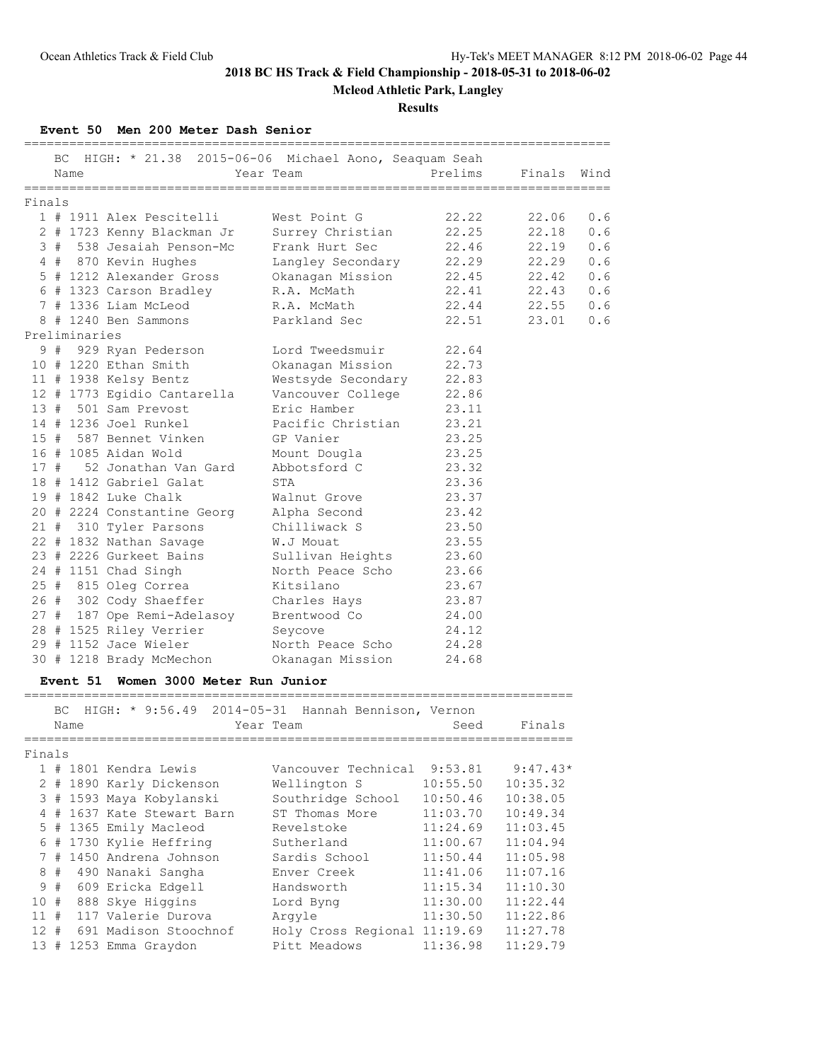**Mcleod Athletic Park, Langley**

#### **Results**

#### **Event 50 Men 200 Meter Dash Senior**

|        | BC. |                 | HIGH: * 21.38 2015-06-06 Michael Aono, Seaquam Seah   |                                  |                |            |      |
|--------|-----|-----------------|-------------------------------------------------------|----------------------------------|----------------|------------|------|
|        |     | Name            |                                                       | Year Team                        | Prelims        | Finals     | Wind |
|        |     | ===========     |                                                       |                                  |                |            |      |
| Finals |     |                 |                                                       |                                  |                |            |      |
|        |     |                 | 1 # 1911 Alex Pescitelli                              | West Point G                     | 22.22          | 22.06      | 0.6  |
|        |     |                 | 2 # 1723 Kenny Blackman Jr                            | Surrey Christian                 | 22.25          | 22.18      | 0.6  |
|        |     |                 | 3 # 538 Jesaiah Penson-Mc                             | Frank Hurt Sec                   | 22.46          | 22.19      | 0.6  |
|        |     |                 | 4 # 870 Kevin Hughes                                  | Langley Secondary                | 22.29          | 22.29      | 0.6  |
|        |     |                 | 5 # 1212 Alexander Gross                              | Okanagan Mission                 | 22.45          | 22.42      | 0.6  |
|        |     |                 | 6 # 1323 Carson Bradley                               | R.A. McMath<br>R.A. McMath       | 22.41          | 22.43      | 0.6  |
|        |     |                 | 7 # 1336 Liam McLeod                                  |                                  | 22.44          | 22.55      | 0.6  |
|        |     | Preliminaries   | 8 # 1240 Ben Sammons                                  | Parkland Sec                     | 22.51          | 23.01      | 0.6  |
|        |     |                 | 9 # 929 Ryan Pederson                                 | Lord Tweedsmuir                  | 22.64          |            |      |
|        |     |                 | 10 # 1220 Ethan Smith                                 | Okanagan Mission                 | 22.73          |            |      |
|        |     |                 |                                                       |                                  | 22.83          |            |      |
|        |     |                 | 11 # 1938 Kelsy Bentz                                 | Westsyde Secondary               | 22.86          |            |      |
|        |     |                 | 12 # 1773 Egidio Cantarella<br>13 # 501 Sam Prevost   | Vancouver College<br>Eric Hamber |                |            |      |
|        |     |                 | 14 # 1236 Joel Runkel                                 | Pacific Christian                | 23.11<br>23.21 |            |      |
|        |     |                 | 15 # 587 Bennet Vinken                                | GP Vanier                        | 23.25          |            |      |
|        |     |                 | 16 # 1085 Aidan Wold                                  |                                  |                |            |      |
|        |     |                 | 17 # 52 Jonathan Van Gard                             | Mount Dougla                     | 23.25          |            |      |
|        |     |                 |                                                       | Abbotsford C                     | 23.32<br>23.36 |            |      |
|        |     |                 | 18 # 1412 Gabriel Galat                               | STA                              |                |            |      |
|        |     |                 | 19 # 1842 Luke Chalk                                  | Walnut Grove                     | 23.37          |            |      |
|        |     |                 | 20 # 2224 Constantine Georg                           | Alpha Second                     | 23.42          |            |      |
|        |     |                 | 21 # 310 Tyler Parsons                                | Chilliwack S                     | 23.50          |            |      |
|        |     |                 | 22 # 1832 Nathan Savage                               | W.J Mouat                        | 23.55          |            |      |
|        |     |                 | 23 # 2226 Gurkeet Bains                               | Sullivan Heights                 | 23.60          |            |      |
|        |     |                 | 24 # 1151 Chad Singh                                  | North Peace Scho                 | 23.66          |            |      |
|        |     |                 | 25 # 815 Oleg Correa                                  | Kitsilano                        | 23.67          |            |      |
|        |     |                 | 26 # 302 Cody Shaeffer                                | Charles Hays                     | 23.87          |            |      |
|        |     |                 | 27 # 187 Ope Remi-Adelasoy                            | Brentwood Co                     | 24.00          |            |      |
|        |     |                 | 28 # 1525 Riley Verrier                               | Seycove                          | 24.12          |            |      |
|        |     |                 | 29 # 1152 Jace Wieler                                 | North Peace Scho                 | 24.28          |            |      |
|        |     |                 | 30 # 1218 Brady McMechon                              | Okanagan Mission                 | 24.68          |            |      |
|        |     | <b>Event 51</b> | Women 3000 Meter Run Junior                           |                                  |                |            |      |
|        |     |                 | BC HIGH: * 9:56.49 2014-05-31 Hannah Bennison, Vernon |                                  |                |            |      |
|        |     | Name            |                                                       | Year Team                        | Seed           | Finals     |      |
|        |     |                 |                                                       | . _ _ _ _ _ _ _ _ _ _ _ _        |                |            |      |
| Finals |     |                 |                                                       |                                  |                |            |      |
|        |     |                 | 1 # 1801 Kendra Lewis                                 | Vancouver Technical              | 9:53.81        | $9:47.43*$ |      |
|        |     |                 | 2 # 1890 Karly Dickenson                              | Wellington S                     | 10:55.50       | 10:35.32   |      |
|        |     |                 | 3 # 1593 Maya Kobylanski                              | Southridge School                | 10:50.46       | 10:38.05   |      |
|        |     |                 | 4 # 1637 Kate Stewart Barn                            | ST Thomas More                   | 11:03.70       | 10:49.34   |      |
|        |     |                 | 5 # 1365 Emily Macleod                                | Revelstoke                       | 11:24.69       | 11:03.45   |      |
|        |     |                 | 6 # 1730 Kylie Heffring                               | Sutherland                       | 11:00.67       | 11:04.94   |      |
|        |     |                 | 7 # 1450 Andrena Johnson                              | Sardis School                    | 11:50.44       | 11:05.98   |      |
|        | 8#  |                 | 490 Nanaki Sangha                                     | Enver Creek                      | 11:41.06       | 11:07.16   |      |
| 9      | #   |                 | 609 Ericka Edgell                                     | Handsworth                       | 11:15.34       | 11:10.30   |      |
| 10 #   |     |                 | 888 Skye Higgins                                      | Lord Byng                        | 11:30.00       | 11:22.44   |      |
| $11$ # |     |                 | 117 Valerie Durova                                    | Argyle                           | 11:30.50       | 11:22.86   |      |
| $12$ # |     |                 | 691 Madison Stoochnof                                 | Holy Cross Regional 11:19.69     |                | 11:27.78   |      |

13 # 1253 Emma Graydon Pitt Meadows 11:36.98 11:29.79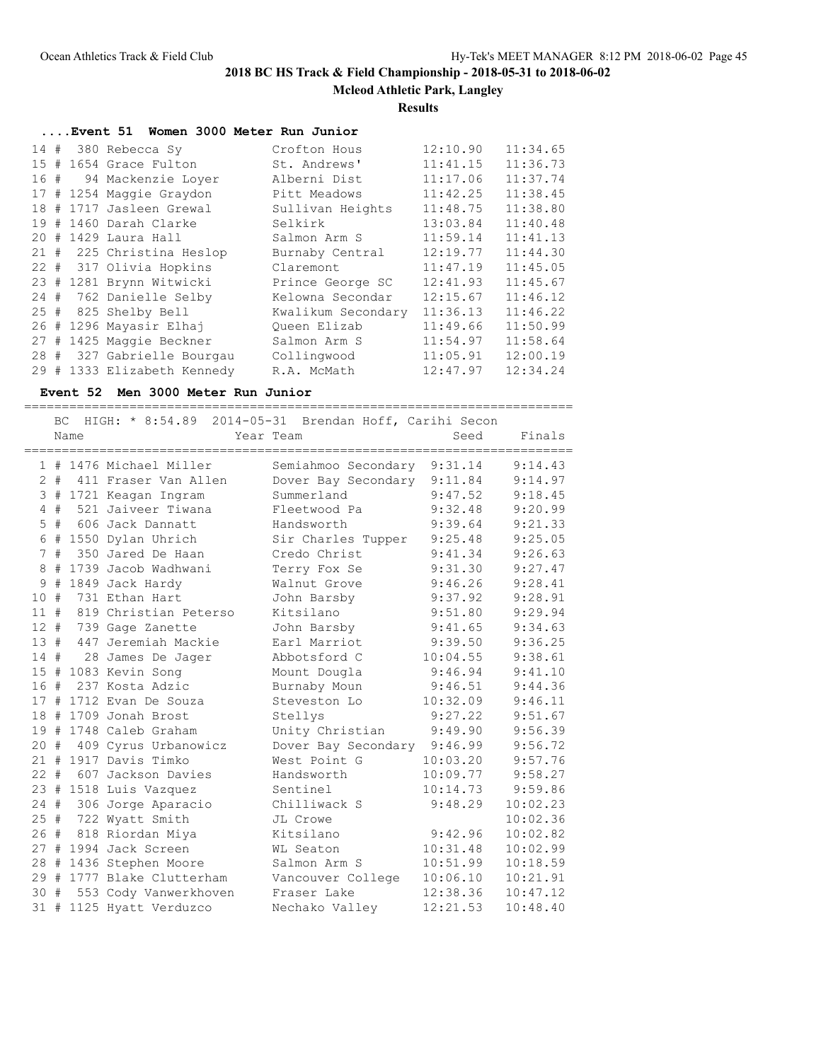**Mcleod Athletic Park, Langley**

#### **Results**

|      | Event 51 Women 3000 Meter Run Junior |                             |                    |          |          |  |  |  |
|------|--------------------------------------|-----------------------------|--------------------|----------|----------|--|--|--|
| 14 # |                                      | 380 Rebecca Sy              | Crofton Hous       | 12:10.90 | 11:34.65 |  |  |  |
| 15#  |                                      | 1654 Grace Fulton           | St. Andrews'       | 11:41.15 | 11:36.73 |  |  |  |
| 16#  |                                      | 94 Mackenzie Lover          | Alberni Dist       | 11:17.06 | 11:37.74 |  |  |  |
|      |                                      | 17 # 1254 Maggie Graydon    | Pitt Meadows       | 11:42.25 | 11:38.45 |  |  |  |
|      |                                      | 18 # 1717 Jasleen Grewal    | Sullivan Heights   | 11:48.75 | 11:38.80 |  |  |  |
|      |                                      | 19 # 1460 Darah Clarke      | Selkirk            | 13:03.84 | 11:40.48 |  |  |  |
|      |                                      | 20 # 1429 Laura Hall        | Salmon Arm S       | 11:59.14 | 11:41.13 |  |  |  |
|      |                                      | 21 # 225 Christina Heslop   | Burnaby Central    | 12:19.77 | 11:44.30 |  |  |  |
|      |                                      | 22 # 317 Olivia Hopkins     | Claremont          | 11:47.19 | 11:45.05 |  |  |  |
|      |                                      | 23 # 1281 Brynn Witwicki    | Prince George SC   | 12:41.93 | 11:45.67 |  |  |  |
|      |                                      | 24 # 762 Danielle Selby     | Kelowna Secondar   | 12:15.67 | 11:46.12 |  |  |  |
|      |                                      | 25 # 825 Shelby Bell        | Kwalikum Secondary | 11:36.13 | 11:46.22 |  |  |  |
| 26#  |                                      | 1296 Mayasir Elhaj          | Oueen Elizab       | 11:49.66 | 11:50.99 |  |  |  |
| 27#  |                                      | 1425 Maggie Beckner         | Salmon Arm S       | 11:54.97 | 11:58.64 |  |  |  |
|      |                                      | 28 # 327 Gabrielle Bourgau  | Collingwood        | 11:05.91 | 12:00.19 |  |  |  |
|      |                                      | 29 # 1333 Elizabeth Kennedy | R.A. McMath        | 12:47.97 | 12:34.24 |  |  |  |

#### **Event 52 Men 3000 Meter Run Junior**

========================================================================= BC HIGH: \* 8:54.89 2014-05-31 Brendan Hoff, Carihi Secon Name Year Team Seed Finals ========================================================================= 1 # 1476 Michael Miller Semiahmoo Secondary 9:31.14 9:14.43 2 # 411 Fraser Van Allen Dover Bay Secondary 9:11.84 9:14.97 3 # 1721 Keagan Ingram Summerland 9:47.52 9:18.45 4 # 521 Jaiveer Tiwana Fleetwood Pa 9:32.48 9:20.99 5 # 606 Jack Dannatt Handsworth 9:39.64 9:21.33 6 # 1550 Dylan Uhrich Sir Charles Tupper 9:25.48 9:25.05 7 # 350 Jared De Haan Credo Christ 9:41.34 9:26.63 8 # 1739 Jacob Wadhwani Terry Fox Se 9:31.30 9:27.47 9 # 1849 Jack Hardy Walnut Grove 9:46.26 9:28.41 10 # 731 Ethan Hart John Barsby 9:37.92 9:28.91 11 # 819 Christian Peterso Kitsilano 9:51.80 9:29.94 12 # 739 Gage Zanette John Barsby 9:41.65 9:34.63 13 # 447 Jeremiah Mackie Earl Marriot 9:39.50 9:36.25 14 # 28 James De Jager Abbotsford C 10:04.55 9:38.61 15 # 1083 Kevin Song Mount Dougla 9:46.94 9:41.10 16 # 237 Kosta Adzic Burnaby Moun 9:46.51 9:44.36 17 # 1712 Evan De Souza Steveston Lo 10:32.09 9:46.11 18 # 1709 Jonah Brost Stellys 9:27.22 9:51.67 19 # 1748 Caleb Graham Unity Christian 9:49.90 9:56.39 20 # 409 Cyrus Urbanowicz Dover Bay Secondary 9:46.99 9:56.72 21 # 1917 Davis Timko West Point G 10:03.20 9:57.76 22 # 607 Jackson Davies Handsworth 10:09.77 9:58.27 23 # 1518 Luis Vazquez Sentinel 10:14.73 9:59.86 24 # 306 Jorge Aparacio Chilliwack S 9:48.29 10:02.23 25 # 722 Wyatt Smith JL Crowe 10:02.36 26 # 818 Riordan Miya Kitsilano 9:42.96 10:02.82 27 # 1994 Jack Screen WL Seaton 10:31.48 10:02.99 28 # 1436 Stephen Moore Salmon Arm S 10:51.99 10:18.59 29 # 1777 Blake Clutterham Vancouver College 10:06.10 10:21.91 30 # 553 Cody Vanwerkhoven Fraser Lake 12:38.36 10:47.12 31 # 1125 Hyatt Verduzco Nechako Valley 12:21.53 10:48.40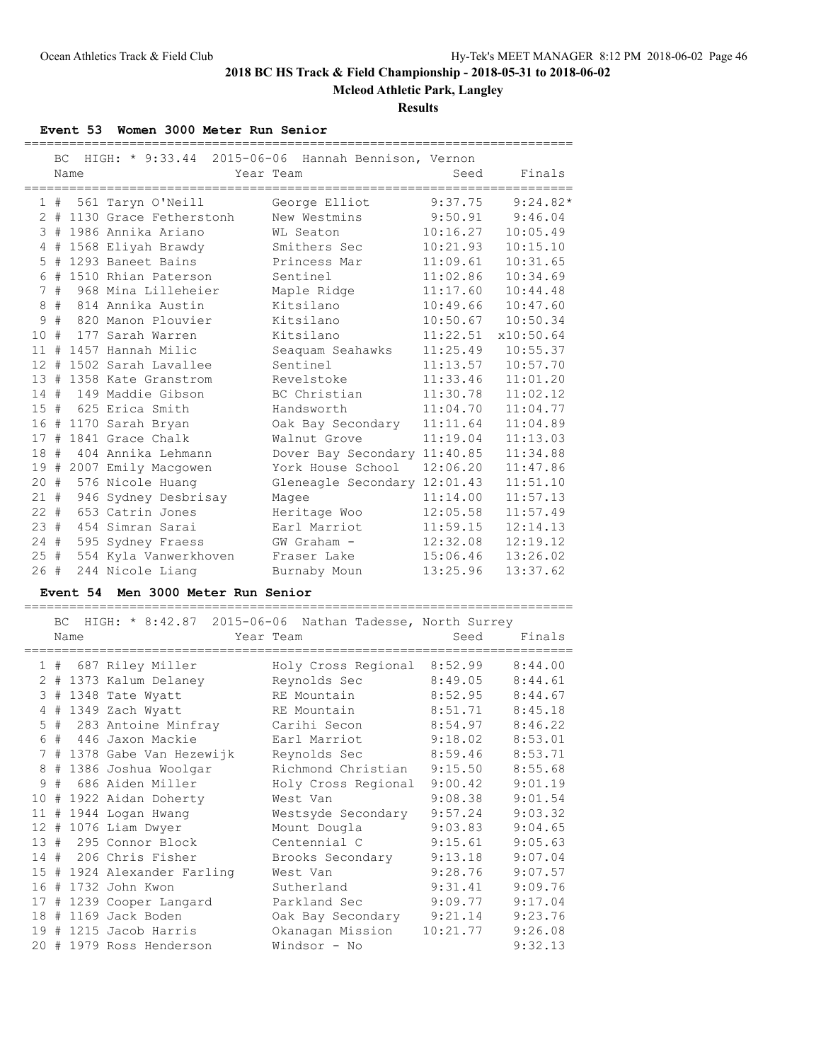**Mcleod Athletic Park, Langley**

**Results**

### **Event 53 Women 3000 Meter Run Senior**

|                      | BC. |      | HIGH: * 9:33.44 2015-06-06 Hannah Bennison, Vernon |                              |          |            |
|----------------------|-----|------|----------------------------------------------------|------------------------------|----------|------------|
|                      |     | Name |                                                    | Year Team                    | Seed     | Finals     |
|                      | 1#  |      | 561 Taryn O'Neill                                  | George Elliot                | 9:37.75  | $9:24.82*$ |
| $\mathbf{2}^{\circ}$ |     |      | # 1130 Grace Fetherstonh                           | New Westmins                 | 9:50.91  | 9:46.04    |
| 3                    |     |      | # 1986 Annika Ariano                               | WL Seaton                    | 10:16.27 | 10:05.49   |
| 4                    | #   |      | 1568 Eliyah Brawdy                                 | Smithers Sec                 | 10:21.93 | 10:15.10   |
| 5                    | #   |      | 1293 Baneet Bains                                  | Princess Mar                 | 11:09.61 | 10:31.65   |
| 6                    |     |      | # 1510 Rhian Paterson                              | Sentinel                     | 11:02.86 | 10:34.69   |
| 7                    | #   |      | 968 Mina Lilleheier                                | Maple Ridge                  | 11:17.60 | 10:44.48   |
| 8                    | #   |      | 814 Annika Austin                                  | Kitsilano                    | 10:49.66 | 10:47.60   |
| 9                    | #   |      | 820 Manon Plouvier                                 | Kitsilano                    | 10:50.67 | 10:50.34   |
| 10                   | #   |      | 177 Sarah Warren                                   | Kitsilano                    | 11:22.51 | x10:50.64  |
| 11                   | #   |      | 1457 Hannah Milic                                  | Seaquam Seahawks             | 11:25.49 | 10:55.37   |
| $12 \overline{ }$    | #   |      | 1502 Sarah Lavallee                                | Sentinel                     | 11:13.57 | 10:57.70   |
| 13                   |     |      | # 1358 Kate Granstrom                              | Revelstoke                   | 11:33.46 | 11:01.20   |
| 14#                  |     |      | 149 Maddie Gibson                                  | BC Christian                 | 11:30.78 | 11:02.12   |
| 15                   | #   |      | 625 Erica Smith                                    | Handsworth                   | 11:04.70 | 11:04.77   |
| 16                   |     |      | # 1170 Sarah Bryan                                 | Oak Bay Secondary            | 11:11.64 | 11:04.89   |
| 17                   | #   |      | 1841 Grace Chalk                                   | Walnut Grove                 | 11:19.04 | 11:13.03   |
| 18                   | #   |      | 404 Annika Lehmann                                 | Dover Bay Secondary 11:40.85 |          | 11:34.88   |
| 19                   | #   |      | 2007 Emily Macgowen                                | York House School            | 12:06.20 | 11:47.86   |
| 20                   | #   |      | 576 Nicole Huanq                                   | Gleneagle Secondary 12:01.43 |          | 11:51.10   |
| 21#                  |     |      | 946 Sydney Desbrisay                               | Magee                        | 11:14.00 | 11:57.13   |
| $22 +$               |     |      | 653 Catrin Jones                                   | Heritage Woo                 | 12:05.58 | 11:57.49   |
| 23#                  |     |      | 454 Simran Sarai                                   | Earl Marriot                 | 11:59.15 | 12:14.13   |
| 24#                  |     |      | 595 Sydney Fraess                                  | GW Graham -                  | 12:32.08 | 12:19.12   |
| 25#                  |     |      | 554 Kyla Vanwerkhoven                              | Fraser Lake                  | 15:06.46 | 13:26.02   |
| 26#                  |     |      | 244 Nicole Liang                                   | Burnaby Moun                 | 13:25.96 | 13:37.62   |

### **Event 54 Men 3000 Meter Run Senior**

========================================================================= BC HIGH: \* 8:42.87 2015-06-06 Nathan Tadesse, North Surrey

|      |    | Name |                             | Year Team                   | Seed     | Finals  |
|------|----|------|-----------------------------|-----------------------------|----------|---------|
|      | 1# |      | 687 Riley Miller            | Holy Cross Regional 8:52.99 |          | 8:44.00 |
| 2    |    |      | # 1373 Kalum Delaney        | Reynolds Sec                | 8:49.05  | 8:44.61 |
| 3    |    |      | # 1348 Tate Wyatt           | RE Mountain                 | 8:52.95  | 8:44.67 |
| 4    |    |      | # 1349 Zach Wyatt           | RE Mountain                 | 8:51.71  | 8:45.18 |
|      |    |      | 5 # 283 Antoine Minfray     | Carihi Secon                | 8:54.97  | 8:46.22 |
|      |    |      | 6 # 446 Jaxon Mackie        | Earl Marriot                | 9:18.02  | 8:53.01 |
|      |    |      | 7 # 1378 Gabe Van Hezewijk  | Reynolds Sec                | 8:59.46  | 8:53.71 |
|      | 8# |      | 1386 Joshua Woolgar         | Richmond Christian          | 9:15.50  | 8:55.68 |
|      |    |      | 9 # 686 Aiden Miller        | Holy Cross Regional         | 9:00.42  | 9:01.19 |
|      |    |      | 10 # 1922 Aidan Doherty     | West Van                    | 9:08.38  | 9:01.54 |
|      |    |      | 11 # 1944 Logan Hwang       | Westsyde Secondary          | 9:57.24  | 9:03.32 |
|      |    |      | 12 # 1076 Liam Dwyer        | Mount Dougla                | 9:03.83  | 9:04.65 |
|      |    |      | 13 # 295 Connor Block       | Centennial C                | 9:15.61  | 9:05.63 |
|      |    |      | 14 # 206 Chris Fisher       | Brooks Secondary            | 9:13.18  | 9:07.04 |
|      |    |      | 15 # 1924 Alexander Farling | West Van                    | 9:28.76  | 9:07.57 |
| 16 # |    |      | 1732 John Kwon              | Sutherland                  | 9:31.41  | 9:09.76 |
|      |    |      | 17 # 1239 Cooper Langard    | Parkland Sec                | 9:09.77  | 9:17.04 |
| 18#  |    |      | 1169 Jack Boden             | Oak Bay Secondary           | 9:21.14  | 9:23.76 |
| 19#  |    |      | 1215 Jacob Harris           | Okanagan Mission            | 10:21.77 | 9:26.08 |
|      |    |      | 20 # 1979 Ross Henderson    | Windsor - No                |          | 9:32.13 |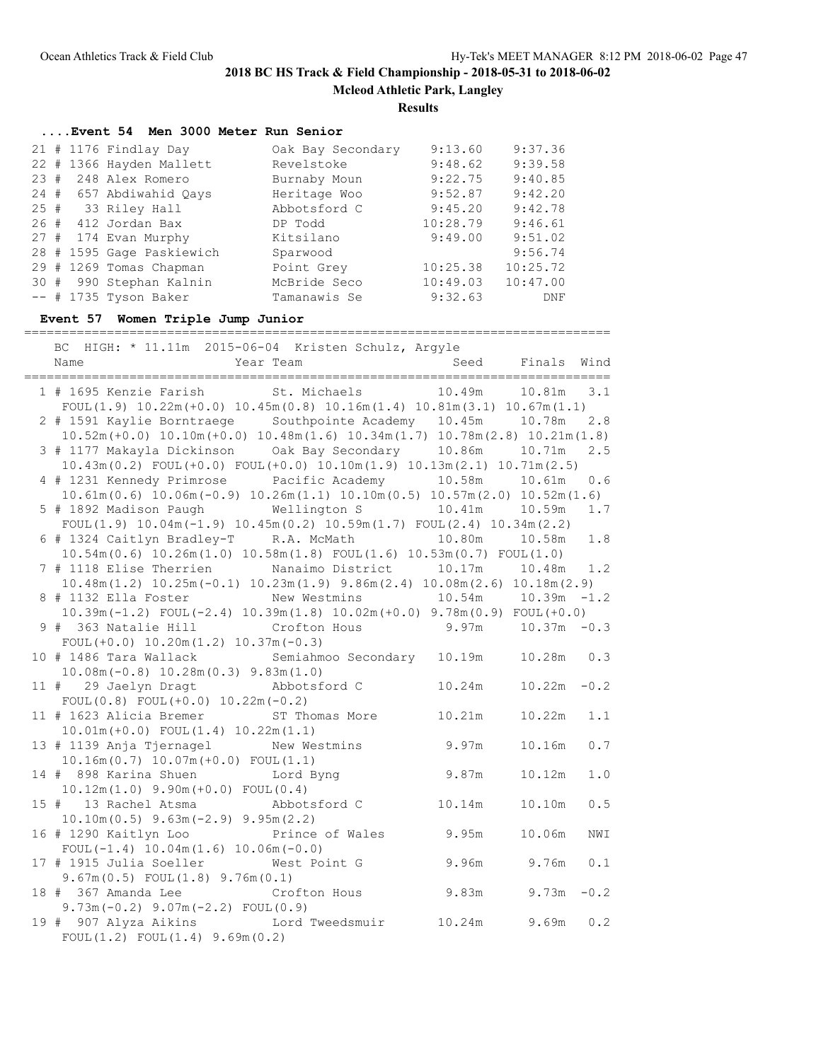**Mcleod Athletic Park, Langley**

**Results**

|     | Event 54 Men 3000 Meter Run Senior |                   |          |          |
|-----|------------------------------------|-------------------|----------|----------|
|     | $21$ # 1176 Findlay Day            | Oak Bay Secondary | 9:13.60  | 9:37.36  |
|     | 22 # 1366 Hayden Mallett           | Revelstoke        | 9:48.62  | 9:39.58  |
| 23# | 248 Alex Romero                    | Burnaby Moun      | 9:22.75  | 9:40.85  |
|     | 24 # 657 Abdiwahid Qays            | Heritage Woo      | 9:52.87  | 9:42.20  |
| 25# | 33 Riley Hall                      | Abbotsford C      | 9:45.20  | 9:42.78  |
| 26# | 412 Jordan Bax                     | DP Todd           | 10:28.79 | 9:46.61  |
|     | 27 # 174 Evan Murphy               | Kitsilano         | 9:49.00  | 9:51.02  |
|     | 28 # 1595 Gage Paskiewich          | Sparwood          |          | 9:56.74  |
| 29# | 1269 Tomas Chapman                 | Point Grey        | 10:25.38 | 10:25.72 |
|     | 30 # 990 Stephan Kalnin            | McBride Seco      | 10:49.03 | 10:47.00 |
|     | $--$ # 1735 Tyson Baker            | Tamanawis Se      | 9:32.63  | DNF      |

## **Event 57 Women Triple Jump Junior**

==============================================================================

| BC HIGH: * 11.11m 2015-06-04 Kristen Schulz, Argyle                                                                        |                                 |                 |                      |         |
|----------------------------------------------------------------------------------------------------------------------------|---------------------------------|-----------------|----------------------|---------|
| Year Team<br>Name                                                                                                          |                                 |                 | Seed Finals Wind     |         |
| 1 # 1695 Kenzie Farish St. Michaels 10.49m 10.81m                                                                          |                                 |                 | ____________________ | 3.1     |
| $FOUL(1.9) 10.22m(+0.0) 10.45m(0.8) 10.16m(1.4) 10.81m(3.1) 10.67m(1.1)$                                                   |                                 |                 |                      |         |
| 2 # 1591 Kaylie Borntraege Southpointe Academy 10.45m 10.78m                                                               |                                 |                 |                      | 2.8     |
| $10.52m (+0.0) 10.10m (+0.0) 10.48m (1.6) 10.34m (1.7) 10.78m (2.8) 10.21m (1.8)$                                          |                                 |                 |                      |         |
|                                                                                                                            |                                 |                 |                      | 2.5     |
| $10.43m(0.2)$ FOUL $(+0.0)$ FOUL $(+0.0)$ $10.10m(1.9)$ $10.13m(2.1)$ $10.71m(2.5)$                                        |                                 |                 |                      |         |
| 4 # 1231 Kennedy Primrose Pacific Academy 10.58m                                                                           |                                 |                 | 10.61m               | 0.6     |
| $10.61\text{m} (0.6) 10.06\text{m} (-0.9) 10.26\text{m} (1.1) 10.10\text{m} (0.5) 10.57\text{m} (2.0) 10.52\text{m} (1.6)$ |                                 |                 |                      |         |
| 5 # 1892 Madison Paugh<br>$FOUL(1.9) 10.04m(-1.9) 10.45m(0.2) 10.59m(1.7) FOUL(2.4) 10.34m(2.2)$                           | Wellington S                    | 10.41m   10.59m |                      | 1.7     |
| 6 # 1324 Caitlyn Bradley-T R.A. McMath                                                                                     |                                 | 10.80m          | 10.58m               | 1.8     |
| $10.54m(0.6)$ $10.26m(1.0)$ $10.58m(1.8)$ $FOUL(1.6)$ $10.53m(0.7)$ $FOUL(1.0)$                                            |                                 |                 |                      |         |
| 7 # 1118 Elise Therrien Manaimo District 10.17m 10.48m 1.2                                                                 |                                 |                 |                      |         |
| $10.48$ m $(1.2)$ $10.25$ m $(-0.1)$ $10.23$ m $(1.9)$ $9.86$ m $(2.4)$ $10.08$ m $(2.6)$ $10.18$ m $(2.9)$                |                                 |                 |                      |         |
| 8 # 1132 Ella Foster                                                                                                       | New Westmins 10.54m 10.39m -1.2 |                 |                      |         |
| $10.39$ m (-1.2) FOUL (-2.4) $10.39$ m (1.8) $10.02$ m (+0.0) $9.78$ m (0.9) FOUL (+0.0)                                   |                                 |                 |                      |         |
| 9 # 363 Natalie Hill Crofton Hous 9.97m 10.37m -0.3                                                                        |                                 |                 |                      |         |
| FOUL $(+0.0)$ 10.20m $(1.2)$ 10.37m $(-0.3)$                                                                               |                                 |                 |                      |         |
| 10 # 1486 Tara Wallack Semiahmoo Secondary 10.19m 10.28m 0.3                                                               |                                 |                 |                      |         |
| $10.08m(-0.8) 10.28m(0.3) 9.83m(1.0)$                                                                                      |                                 |                 |                      |         |
| 11 # 29 Jaelyn Dragt<br>FOUL $(0.8)$ FOUL $(+0.0)$ 10.22m $(-0.2)$                                                         | Abbotsford C                    | 10.24m          | $10.22m - 0.2$       |         |
| 11 # 1623 Alicia Bremer ST Thomas More                                                                                     |                                 | 10.21m          | 10.22m               | 1.1     |
| $10.01m (+0.0)$ FOUL $(1.4)$ $10.22m(1.1)$                                                                                 |                                 |                 |                      |         |
| 13 # 1139 Anja Tjernagel New Westmins                                                                                      |                                 | 9.97m           | 10.16m               | $0.7\,$ |
| $10.16m(0.7) 10.07m(+0.0)$ FOUL $(1.1)$                                                                                    |                                 |                 |                      |         |
| 14 # 898 Karina Shuen Lord Byng                                                                                            |                                 | 9.87m           | 10.12m               | $1.0$   |
| $10.12m(1.0)$ $9.90m(+0.0)$ $FOUL(0.4)$                                                                                    |                                 |                 |                      |         |
| 15 # 13 Rachel Atsma Mbbotsford C                                                                                          |                                 | 10.14m          | 10.10m               | 0.5     |
| $10.10m(0.5)$ 9.63m $(-2.9)$ 9.95m $(2.2)$                                                                                 |                                 |                 |                      |         |
| 16 # 1290 Kaitlyn Loo Frince of Wales 9.95m                                                                                |                                 |                 | 10.06m               | NWI     |
| FOUL $(-1.4)$ 10.04m $(1.6)$ 10.06m $(-0.0)$                                                                               |                                 | 9.96m 9.76m     |                      | 0.1     |
| 17 # 1915 Julia Soeller<br>$9.67m(0.5)$ FOUL $(1.8)$ $9.76m(0.1)$                                                          | West Point G                    |                 |                      |         |
| 18 # 367 Amanda Lee                                                                                                        | Crofton Hous                    | 9.83m           | $9.73m - 0.2$        |         |
| $9.73m(-0.2)$ $9.07m(-2.2)$ FOUL(0.9)                                                                                      |                                 |                 |                      |         |
| 19 # 907 Alyza Aikins bord Tweedsmuir                                                                                      |                                 | 10.24m          | 9.69m                | 0.2     |
| FOUL(1.2) FOUL(1.4) 9.69m(0.2)                                                                                             |                                 |                 |                      |         |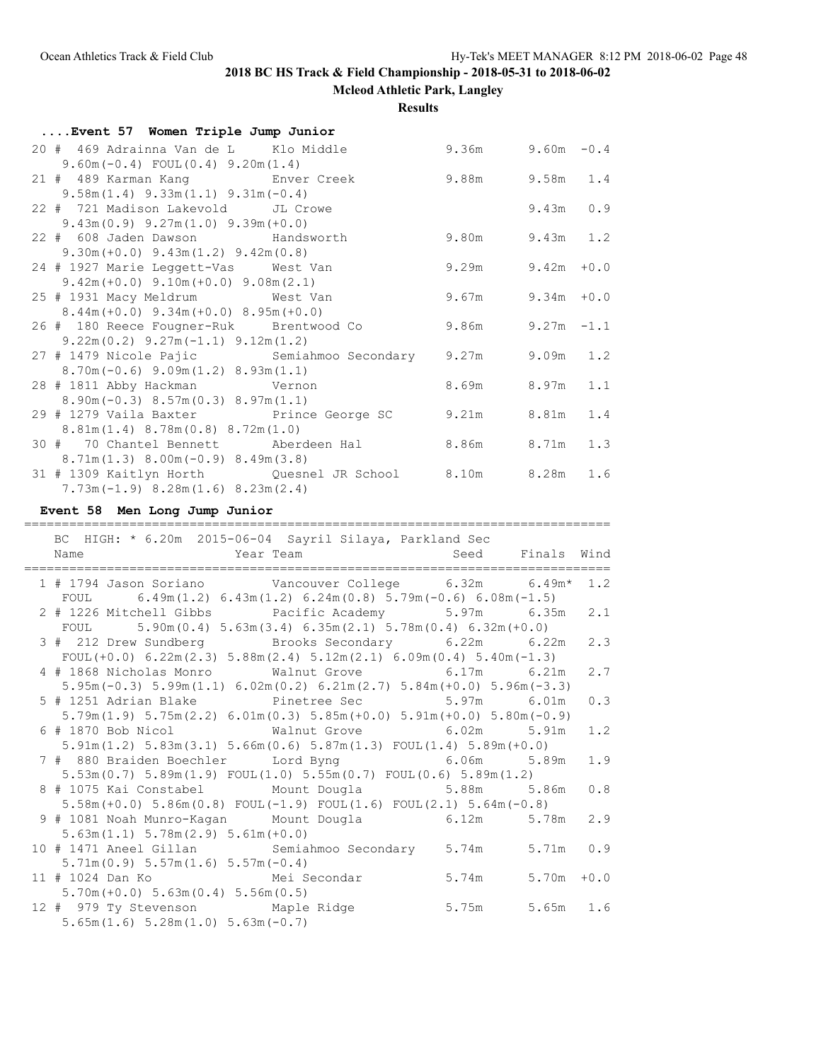**Mcleod Athletic Park, Langley**

**Results**

| Event 57 Women Triple Jump Junior                          |                        |             |  |
|------------------------------------------------------------|------------------------|-------------|--|
| 20 # 469 Adrainna Van de L Klo Middle                      | $9.36m$ $9.60m$ $-0.4$ |             |  |
| $9.60m(-0.4)$ FOUL $(0.4)$ $9.20m(1.4)$                    |                        |             |  |
| 21 # 489 Karman Kang Mang Enver Creek                      | $9.88m$ $9.58m$ $1.4$  |             |  |
| $9.58m(1.4)$ $9.33m(1.1)$ $9.31m(-0.4)$                    |                        |             |  |
| 22 # 721 Madison Lakevold JL Crowe                         |                        | $9.43m$ 0.9 |  |
| $9.43m(0.9)$ $9.27m(1.0)$ $9.39m(+0.0)$                    |                        |             |  |
| 22 # 608 Jaden Dawson Handsworth                           | 9.80m 9.43m 1.2        |             |  |
| $9.30m (+0.0)$ $9.43m (1.2)$ $9.42m (0.8)$                 |                        |             |  |
| 24 # 1927 Marie Leggett-Vas West Van                       | $9.29m$ $9.42m$ $+0.0$ |             |  |
| $9.42m (+0.0)$ $9.10m (+0.0)$ $9.08m (2.1)$                |                        |             |  |
| 25 # 1931 Macy Meldrum West Van                            | $9.67m$ $9.34m$ $+0.0$ |             |  |
| $8.44m (+0.0)$ $9.34m (+0.0)$ $8.95m (+0.0)$               |                        |             |  |
| 26 # 180 Reece Fougner-Ruk Brentwood Co 9.86m 9.27m -1.1   |                        |             |  |
| $9.22m(0.2)$ $9.27m(-1.1)$ $9.12m(1.2)$                    |                        |             |  |
| 27 # 1479 Nicole Pajic Semiahmoo Secondary 9.27m 9.09m 1.2 |                        |             |  |
| $8.70m(-0.6)$ 9.09 $m(1.2)$ 8.93 $m(1.1)$                  |                        |             |  |
| 28 # 1811 Abby Hackman Vernon                              | 8.69m 8.97m 1.1        |             |  |
| $8.90m(-0.3) 8.57m(0.3) 8.97m(1.1)$                        |                        |             |  |
| 29 # 1279 Vaila Baxter Prince George SC 9.21m 8.81m 1.4    |                        |             |  |
| $8.81m(1.4)$ $8.78m(0.8)$ $8.72m(1.0)$                     |                        |             |  |
| 30 # 70 Chantel Bennett Aberdeen Hal 8.86m 8.71m 1.3       |                        |             |  |
| $8.71m(1.3)$ $8.00m(-0.9)$ $8.49m(3.8)$                    |                        |             |  |
| 31 # 1309 Kaitlyn Horth Quesnel JR School 8.10m 8.28m 1.6  |                        |             |  |
| $7.73m(-1.9) 8.28m(1.6) 8.23m(2.4)$                        |                        |             |  |

### **Event 58 Men Long Jump Junior**

#### ============================================================================== BC HIGH: \* 6.20m 2015-06-04 Sayril Silaya, Parkland Sec

| pe intent. O.Zom zoro oo on bayrin biraya, rarkiand bee<br>Name                                                                                                 | Year Team Seed Finals Wind |               |     |
|-----------------------------------------------------------------------------------------------------------------------------------------------------------------|----------------------------|---------------|-----|
| 1 # 1794 Jason Soriano Vancouver College 6.32m 6.49m* 1.2<br>FOUL $6.49\text{m}(1.2) 6.43\text{m}(1.2) 6.24\text{m}(0.8) 5.79\text{m}(-0.6) 6.08\text{m}(-1.5)$ |                            |               |     |
| 2 # 1226 Mitchell Gibbs         Pacific Academy         5.97m       6.35m   2.1                                                                                 |                            |               |     |
| FOUL $5.90m(0.4) 5.63m(3.4) 6.35m(2.1) 5.78m(0.4) 6.32m(+0.0)$                                                                                                  |                            |               |     |
| 3 # 212 Drew Sundberg Brooks Secondary 6.22m 6.22m 2.3                                                                                                          |                            |               |     |
| FOUL $(+0.0)$ 6.22m $(2.3)$ 5.88m $(2.4)$ 5.12m $(2.1)$ 6.09m $(0.4)$ 5.40m $(-1.3)$                                                                            |                            |               |     |
| 4 # 1868 Nicholas Monro Walnut Grove 6.17m 6.21m                                                                                                                |                            |               | 2.7 |
| $5.95m(-0.3)$ $5.99m(1.1)$ $6.02m(0.2)$ $6.21m(2.7)$ $5.84m(+0.0)$ $5.96m(-3.3)$                                                                                |                            |               |     |
| 5 # 1251 Adrian Blake Pinetree Sec 5.97m 6.01m                                                                                                                  |                            |               | 0.3 |
| $5.79m(1.9)$ $5.75m(2.2)$ $6.01m(0.3)$ $5.85m(+0.0)$ $5.91m(+0.0)$ $5.80m(-0.9)$                                                                                |                            |               |     |
| 6 # 1870 Bob Nicol Walnut Grove 6.02m 5.91m                                                                                                                     |                            |               | 1.2 |
| $5.91m(1.2)$ $5.83m(3.1)$ $5.66m(0.6)$ $5.87m(1.3)$ $FOUL(1.4)$ $5.89m(+0.0)$                                                                                   |                            |               |     |
| 7 # 880 Braiden Boechler Lord Byng 6.06m 5.89m                                                                                                                  |                            |               | 1.9 |
| $5.53$ m $(0.7)$ $5.89$ m $(1.9)$ $FOUL(1.0)$ $5.55$ m $(0.7)$ $FOUL(0.6)$ $5.89$ m $(1.2)$                                                                     |                            |               |     |
| 8 # 1075 Kai Constabel Mount Dougla 5.88m 5.86m 0.8                                                                                                             |                            |               |     |
| $5.58$ m(+0.0) $5.86$ m(0.8) FOUL(-1.9) FOUL(1.6) FOUL(2.1) $5.64$ m(-0.8)                                                                                      |                            |               |     |
| 9 # 1081 Noah Munro-Kagan Mount Dougla 6.12m 5.78m 2.9                                                                                                          |                            |               |     |
| $5.63m(1.1) 5.78m(2.9) 5.61m(+0.0)$                                                                                                                             |                            |               |     |
| 10 # 1471 Aneel Gillan Semiahmoo Secondary 5.74m                                                                                                                |                            | $5.71m$ 0.9   |     |
| $5.71m(0.9) 5.57m(1.6) 5.57m(-0.4)$                                                                                                                             |                            |               |     |
| 11 # 1024 Dan Ko         Mei Secondar         5.74m                                                                                                             |                            | $5.70m + 0.0$ |     |
| $5.70m (+0.0) 5.63m (0.4) 5.56m (0.5)$                                                                                                                          |                            |               |     |
| 12 # 979 Ty Stevenson Maple Ridge 5.75m 5.65m 1.6                                                                                                               |                            |               |     |
| $5.65m(1.6) 5.28m(1.0) 5.63m(-0.7)$                                                                                                                             |                            |               |     |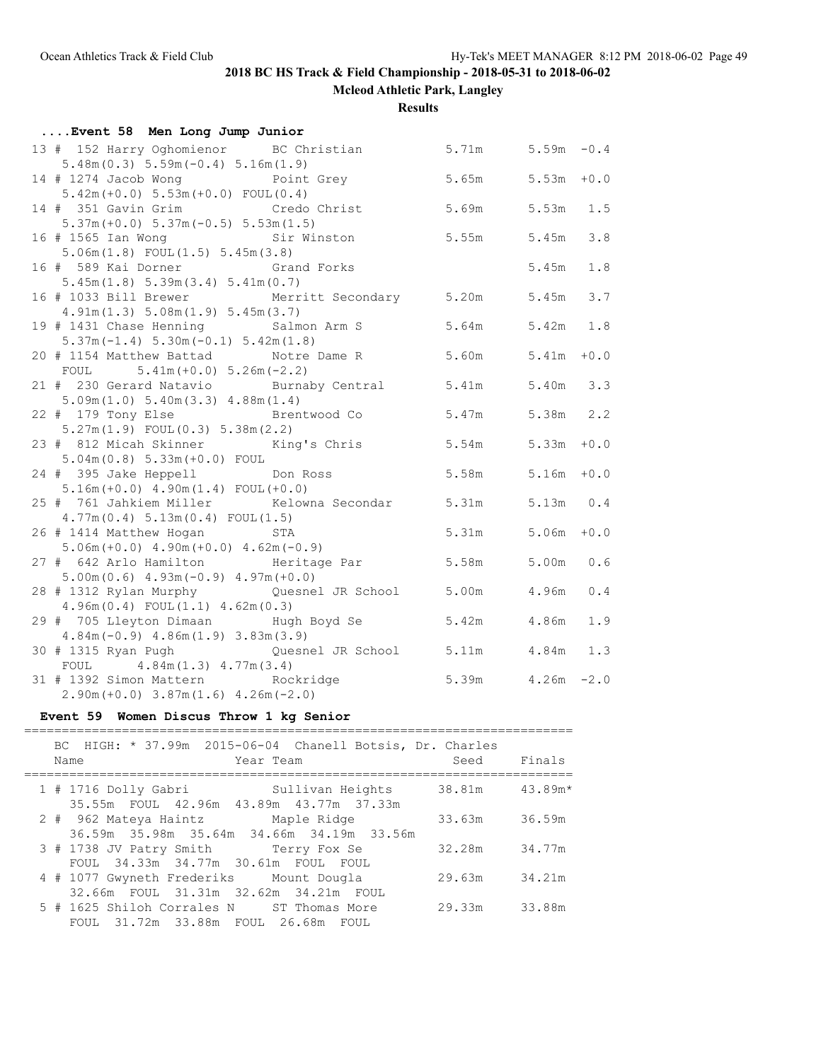**Mcleod Athletic Park, Langley**

**Results**

| Event 58 Men Long Jump Junior                            |                                    |                       |             |     |  |  |  |
|----------------------------------------------------------|------------------------------------|-----------------------|-------------|-----|--|--|--|
| 13 # 152 Harry Oghomienor BC Christian 5.71m 5.59m -0.4  |                                    |                       |             |     |  |  |  |
| $5.48m(0.3) 5.59m(-0.4) 5.16m(1.9)$                      |                                    |                       |             |     |  |  |  |
| 14 # 1274 Jacob Wong boint Grey                          |                                    | $5.65m$ $5.53m + 0.0$ |             |     |  |  |  |
| $5.42m (+0.0) 5.53m (+0.0) FOUT (0.4)$                   |                                    |                       |             |     |  |  |  |
| 14 # 351 Gavin Grim Credo Christ                         |                                    | 5.69m                 | 5.53m 1.5   |     |  |  |  |
| $5.37m (+0.0) 5.37m (-0.5) 5.53m (1.5)$                  |                                    |                       |             |     |  |  |  |
| 16 # 1565 Ian Wong Sir Winston                           |                                    | 5.55m                 | 5.45m       | 3.8 |  |  |  |
| $5.06m(1.8)$ FOUL $(1.5)$ $5.45m(3.8)$                   |                                    |                       |             |     |  |  |  |
| 16 # 589 Kai Dorner <a> Grand Forks</a>                  |                                    |                       | 5.45m       | 1.8 |  |  |  |
| 5.45m(1.8) 5.39m(3.4) 5.41m(0.7)                         |                                    |                       |             |     |  |  |  |
| 16 # 1033 Bill Brewer Merritt Secondary 5.20m 5.45m      |                                    |                       |             | 3.7 |  |  |  |
| 4.91m(1.3) 5.08m(1.9) 5.45m(3.7)                         |                                    |                       |             |     |  |  |  |
| 19 # 1431 Chase Henning Salmon Arm S 5.64m 5.42m 1.8     |                                    |                       |             |     |  |  |  |
| $5.37m(-1.4) 5.30m(-0.1) 5.42m(1.8)$                     |                                    |                       |             |     |  |  |  |
| 20 # 1154 Matthew Battad Motre Dame R 5.60m 5.41m +0.0   |                                    |                       |             |     |  |  |  |
| FOUL $5.41m (+0.0) 5.26m (-2.2)$                         |                                    |                       |             |     |  |  |  |
| 21 # 230 Gerard Natavio Burnaby Central 5.41m 5.40m 3.3  |                                    |                       |             |     |  |  |  |
| 5.09m(1.0) 5.40m(3.3) 4.88m(1.4)                         |                                    |                       |             |     |  |  |  |
| 22 # 179 Tony Else Brentwood Co 5.47m 5.38m 2.2          |                                    |                       |             |     |  |  |  |
| $5.27m(1.9)$ FOUL $(0.3)$ $5.38m(2.2)$                   |                                    |                       |             |     |  |  |  |
| 23 # 812 Micah Skinner King's Chris 5.54m 5.33m +0.0     |                                    |                       |             |     |  |  |  |
| $5.04m(0.8) 5.33m(+0.0) F0UL$                            |                                    |                       |             |     |  |  |  |
| 24 # 395 Jake Heppell                                    | $5.58m$ $5.16m$ $+0.0$<br>Don Ross |                       |             |     |  |  |  |
| $5.16m (+0.0)$ 4.90m(1.4) FOUL(+0.0)                     |                                    |                       |             |     |  |  |  |
| 25 # 761 Jahkiem Miller Kelowna Secondar 5.31m 5.13m 0.4 |                                    |                       |             |     |  |  |  |
| 4.77m(0.4) 5.13m(0.4) F0UL(1.5)                          |                                    |                       |             |     |  |  |  |
| 26 # 1414 Matthew Hogan STA                              |                                    | 5.31m 5.06m +0.0      |             |     |  |  |  |
| $5.06m (+0.0)$ 4.90m $(+0.0)$ 4.62m $(-0.9)$             |                                    |                       |             |     |  |  |  |
| 27 # 642 Arlo Hamilton Meritage Par 5.58m                |                                    |                       | $5.00m$ 0.6 |     |  |  |  |
| $5.00m(0.6)$ 4.93m( $-0.9$ ) 4.97m( $+0.0$ )             |                                    |                       |             |     |  |  |  |
| 28 # 1312 Rylan Murphy Quesnel JR School 5.00m           |                                    |                       | 4.96m       | 0.4 |  |  |  |
| $4.96m(0.4)$ FOUL $(1.1)$ $4.62m(0.3)$                   |                                    |                       |             |     |  |  |  |
| 29 # 705 Lleyton Dimaan Mugh Boyd Se 5.42m               |                                    |                       | 4.86m       | 1.9 |  |  |  |
| $4.84m(-0.9)$ $4.86m(1.9)$ $3.83m(3.9)$                  |                                    |                       |             |     |  |  |  |
| 30 # 1315 Ryan Pugh (Quesnel JR School 5.11m 4.84m 1.3   |                                    |                       |             |     |  |  |  |
| FOUL $4.84m(1.3) 4.77m(3.4)$                             |                                    |                       |             |     |  |  |  |
| 31 # 1392 Simon Mattern Rockridge                        | $5.39m$ $4.26m$ $-2.0$             |                       |             |     |  |  |  |
| $2.90m (+0.0) 3.87m (1.6) 4.26m (-2.0)$                  |                                    |                       |             |     |  |  |  |

### **Event 59 Women Discus Throw 1 kg Senior**

### ========================================================================= BC HIGH: \* 37.99m 2015-06-04 Chanell Botsis, Dr. Charles Name Team Year Team Seed Finals ========================================================================= 1 # 1716 Dolly Gabri Sullivan Heights 38.81m 43.89m\* 35.55m FOUL 42.96m 43.89m 43.77m 37.33m 2 # 962 Mateya Haintz Maple Ridge 33.63m 36.59m 36.59m 35.98m 35.64m 34.66m 34.19m 33.56m 3 # 1738 JV Patry Smith Terry Fox Se 32.28m 34.77m 1738 JV Patry Smith 194.3<br>FOUL 34.33m 34.77m 30.61m FOUL FOUL<br>Mount Dougla 4 # 1077 Gwyneth Frederiks Mount Dougla 29.63m 34.21m 32.66m FOUL 31.31m 32.62m 34.21m FOUL 5 # 1625 Shiloh Corrales N ST Thomas More 29.33m 33.88m FOUL 31.72m 33.88m FOUL 26.68m FOUL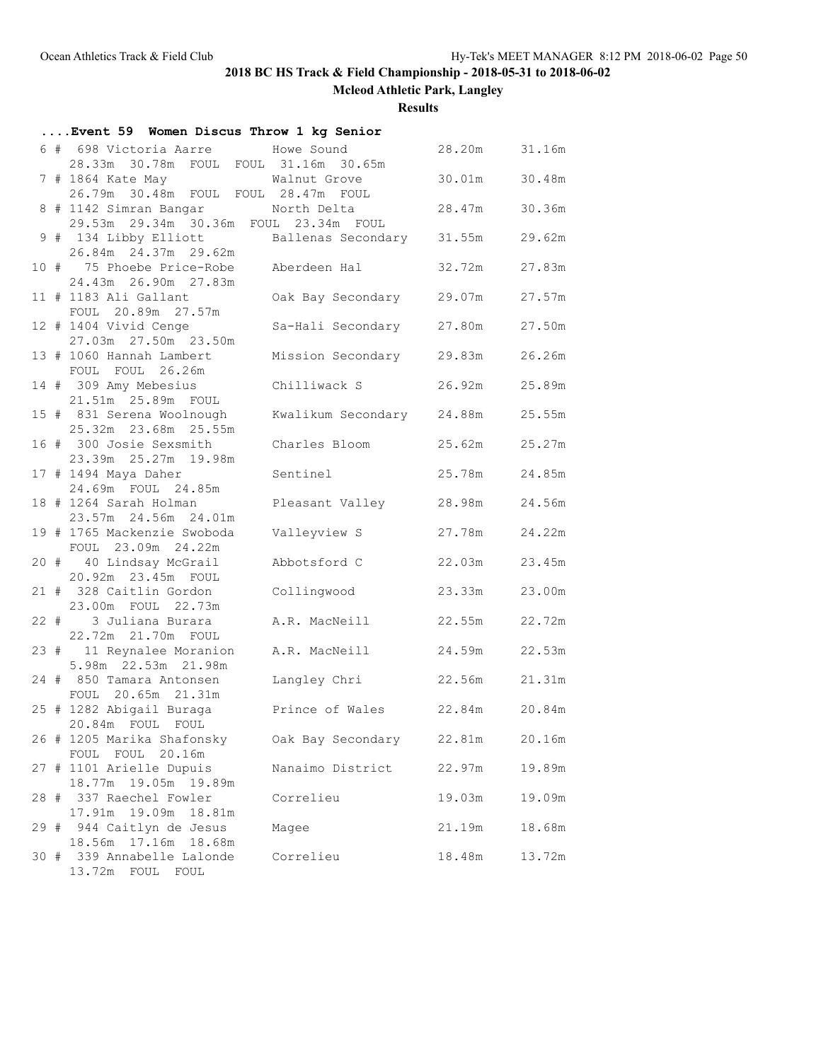**Mcleod Athletic Park, Langley**

**Results**

| Event 59 Women Discus Throw 1 kg Senior                                    |                    |        |        |
|----------------------------------------------------------------------------|--------------------|--------|--------|
| 6 # 698 Victoria Aarre Mowe Sound<br>28.33m 30.78m FOUL FOUL 31.16m 30.65m |                    | 28.20m | 31.16m |
|                                                                            |                    | 30.01m | 30.48m |
| 26.79m 30.48m FOUL FOUL 28.47m FOUL<br>8 # 1142 Simran Bangar North Delta  |                    | 28.47m | 30.36m |
| 29.53m 29.34m 30.36m FOUL 23.34m FOUL<br>9 # 134 Libby Elliott             | Ballenas Secondary | 31.55m | 29.62m |
| 26.84m 24.37m 29.62m<br>10 # 75 Phoebe Price-Robe                          | Aberdeen Hal       | 32.72m | 27.83m |
| 24.43m  26.90m  27.83m<br>11 # 1183 Ali Gallant                            | Oak Bay Secondary  | 29.07m | 27.57m |
| FOUL 20.89m 27.57m                                                         |                    |        |        |
| 12 # 1404 Vivid Cenge<br>27.03m  27.50m  23.50m                            | Sa-Hali Secondary  | 27.80m | 27.50m |
| 13 # 1060 Hannah Lambert<br>FOUL FOUL 26.26m                               | Mission Secondary  | 29.83m | 26.26m |
| 14 # 309 Amy Mebesius<br>21.51m 25.89m FOUL                                | Chilliwack S       | 26.92m | 25.89m |
| 15 # 831 Serena Woolnough<br>25.32m 23.68m 25.55m                          | Kwalikum Secondary | 24.88m | 25.55m |
| 16 # 300 Josie Sexsmith<br>23.39m 25.27m 19.98m                            | Charles Bloom      | 25.62m | 25.27m |
| 17 # 1494 Maya Daher                                                       | Sentinel           | 25.78m | 24.85m |
| 24.69m FOUL 24.85m<br>18 # 1264 Sarah Holman                               | Pleasant Valley    | 28.98m | 24.56m |
| 23.57m 24.56m 24.01m<br>19 # 1765 Mackenzie Swoboda                        | Valleyview S       | 27.78m | 24.22m |
| FOUL 23.09m 24.22m<br>20 # 40 Lindsay McGrail                              | Abbotsford C       | 22.03m | 23.45m |
| 20.92m 23.45m FOUL<br>21 # 328 Caitlin Gordon                              | Collingwood        | 23.33m | 23.00m |
| 23.00m FOUL 22.73m                                                         |                    |        | 22.72m |
| 22 # 3 Juliana Burara<br>22.72m  21.70m  FOUL                              | A.R. MacNeill      | 22.55m |        |
| 23 # 11 Reynalee Moranion<br>5.98m 22.53m 21.98m                           | A.R. MacNeill      | 24.59m | 22.53m |
| 24 # 850 Tamara Antonsen<br>FOUL 20.65m 21.31m                             | Langley Chri       | 22.56m | 21.31m |
| 25 # 1282 Abigail Buraga<br>20.84m FOUL FOUL                               | Prince of Wales    | 22.84m | 20.84m |
| 26 # 1205 Marika Shafonsky<br>FOUL FOUL 20.16m                             | Oak Bay Secondary  | 22.81m | 20.16m |
| 27 # 1101 Arielle Dupuis                                                   | Nanaimo District   | 22.97m | 19.89m |
| 18.77m 19.05m 19.89m<br>28 # 337 Raechel Fowler                            | Correlieu          | 19.03m | 19.09m |
| 17.91m 19.09m<br>18.81m<br>29 # 944 Caitlyn de Jesus                       | Magee              | 21.19m | 18.68m |
| 18.56m 17.16m 18.68m<br>30 # 339 Annabelle Lalonde<br>13.72m FOUL FOUL     | Correlieu          | 18.48m | 13.72m |
|                                                                            |                    |        |        |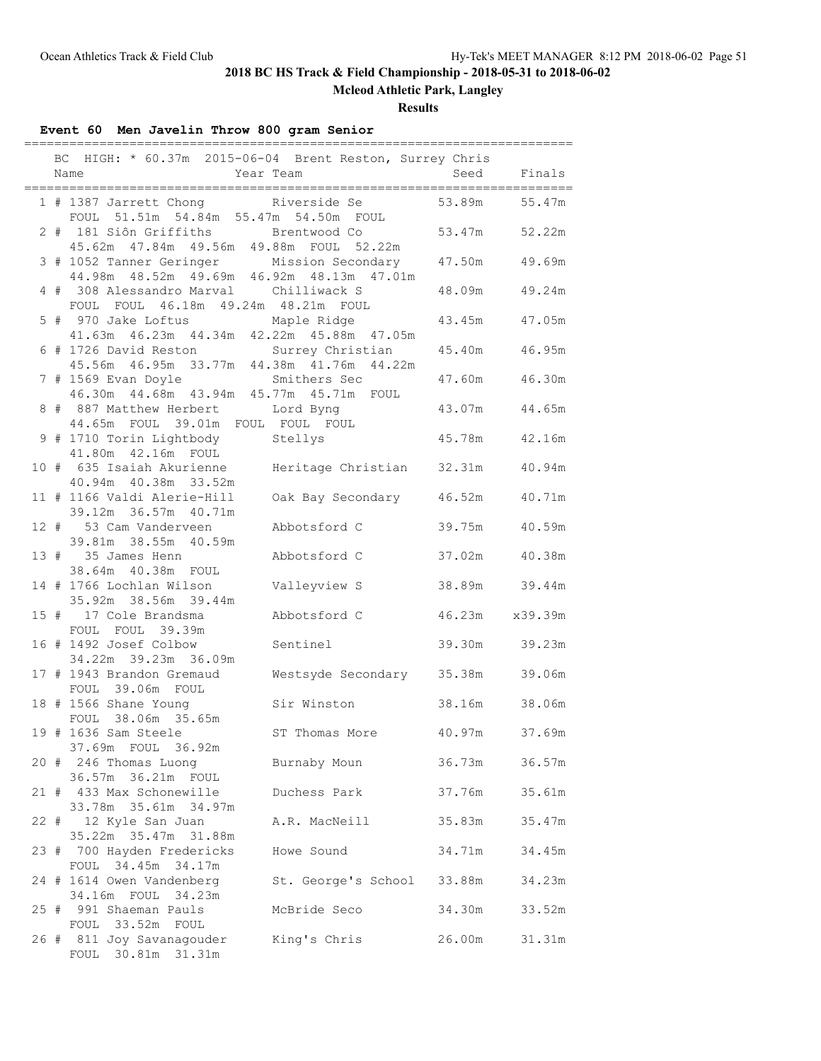**Mcleod Athletic Park, Langley**

### **Results**

## **Event 60 Men Javelin Throw 800 gram Senior**

|  | BC HIGH: * 60.37m 2015-06-04 Brent Reston, Surrey Chris<br>Year Team<br>Name                   |                           |                | Seed Finals |
|--|------------------------------------------------------------------------------------------------|---------------------------|----------------|-------------|
|  | 1 # 1387 Jarrett Chong Riverside Se<br>FOUL 51.51m 54.84m 55.47m 54.50m FOUL                   |                           | 53.89m         | 55.47m      |
|  | 2 # 181 Siôn Griffiths Brentwood Co<br>45.62m  47.84m  49.56m  49.88m  FOUL  52.22m            |                           | 53.47m 52.22m  |             |
|  | 3 # 1052 Tanner Geringer Mission Secondary 47.50m<br>44.98m 48.52m 49.69m 46.92m 48.13m 47.01m |                           |                | 49.69m      |
|  | 4 # 308 Alessandro Marval Chilliwack S<br>FOUL FOUL 46.18m 49.24m 48.21m FOUL                  |                           | 48.09m         | 49.24m      |
|  | 5 # 970 Jake Loftus Maple Ridge<br>41.63m  46.23m  44.34m  42.22m  45.88m  47.05m              |                           | 43.45m         | 47.05m      |
|  | 6 # 1726 David Reston Surrey Christian<br>45.56m  46.95m  33.77m  44.38m  41.76m  44.22m       |                           | 45.40m         | 46.95m      |
|  | 7 # 1569 Evan Doyle Smithers Sec<br>46.30m 44.68m 43.94m 45.77m 45.71m FOUL                    |                           | 47.60m         | 46.30m      |
|  | 8 # 887 Matthew Herbert Lord Byng<br>44.65m FOUL 39.01m FOUL FOUL FOUL                         |                           | 43.07m         | 44.65m      |
|  | 9 # 1710 Torin Lightbody Stellys<br>41.80m  42.16m  FOUL                                       |                           | 45.78m         | 42.16m      |
|  | 10 # 635 Isaiah Akurienne Meritage Christian 32.31m<br>40.94m  40.38m  33.52m                  |                           |                | 40.94m      |
|  | 11 # 1166 Valdi Alerie-Hill<br>39.12m 36.57m 40.71m                                            | Oak Bay Secondary 46.52m  |                | 40.71m      |
|  | 12 # 53 Cam Vanderveen<br>39.81m 38.55m 40.59m                                                 | Abbotsford C              | 39.75m         | 40.59m      |
|  | 13 # 35 James Henn<br>38.64m  40.38m  FOUL                                                     | Abbotsford C              | 37.02m         | 40.38m      |
|  | 14 # 1766 Lochlan Wilson<br>35.92m 38.56m 39.44m                                               | Valleyview S              | 38.89m 39.44m  |             |
|  | 15 # 17 Cole Brandsma<br>FOUL FOUL 39.39m                                                      | Abbotsford C              | 46.23m x39.39m |             |
|  | 16 # 1492 Josef Colbow<br>34.22m 39.23m 36.09m                                                 | Sentinel                  | 39.30m 39.23m  |             |
|  | 17 # 1943 Brandon Gremaud<br>FOUL 39.06m FOUL                                                  | Westsyde Secondary 35.38m |                | 39.06m      |
|  | 18 # 1566 Shane Young<br>FOUL 38.06m 35.65m                                                    | Sir Winston               | 38.16m         | 38.06m      |
|  | 19 # 1636 Sam Steele<br>37.69m FOUL 36.92m                                                     | ST Thomas More            | 40.97m         | 37.69m      |
|  | 20 # 246 Thomas Luong<br>36.57m 36.21m FOUL                                                    | Burnaby Moun              | 36.73m         | 36.57m      |
|  | 21 # 433 Max Schonewille<br>33.78m 35.61m 34.97m                                               | Duchess Park              | 37.76m         | 35.61m      |
|  | 22 # 12 Kyle San Juan<br>35.22m 35.47m 31.88m                                                  | A.R. MacNeill             | 35.83m         | 35.47m      |
|  | 23 # 700 Hayden Fredericks<br>FOUL 34.45m 34.17m                                               | Howe Sound                | 34.71m         | 34.45m      |
|  | 24 # 1614 Owen Vandenberg<br>34.16m FOUL<br>34.23m                                             | St. George's School       | 33.88m         | 34.23m      |
|  | 25 # 991 Shaeman Pauls<br>FOUL 33.52m FOUL                                                     | McBride Seco              | 34.30m         | 33.52m      |
|  | 26 # 811 Joy Savanagouder<br>FOUL 30.81m 31.31m                                                | King's Chris              | 26.00m         | 31.31m      |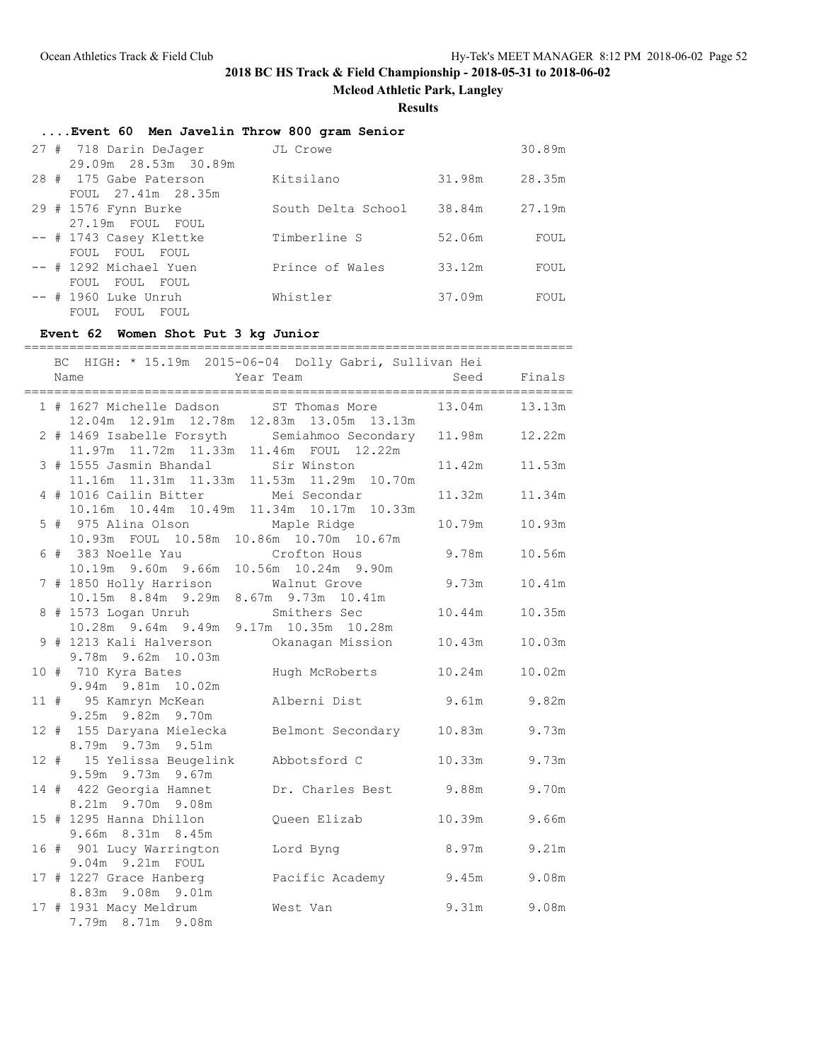**Mcleod Athletic Park, Langley**

### **Results**

### **....Event 60 Men Javelin Throw 800 gram Senior**

| 27 # 718 Darin DeJager  | JL Crowe           |        | 30.89m |
|-------------------------|--------------------|--------|--------|
| 29.09m 28.53m 30.89m    |                    |        |        |
| 28 # 175 Gabe Paterson  | Kitsilano          | 31.98m | 28.35m |
| FOUL 27.41m 28.35m      |                    |        |        |
| 29 # 1576 Fynn Burke    | South Delta School | 38.84m | 27.19m |
| 27.19m FOUL FOUL        |                    |        |        |
| -- # 1743 Casey Klettke | Timberline S       | 52.06m | FOUL   |
| FOUL FOUL FOUL          |                    |        |        |
| -- # 1292 Michael Yuen  | Prince of Wales    | 33.12m | FOUL   |
| FOUL FOUL<br>FOUL       |                    |        |        |
| $--$ # 1960 Luke Unruh  | Whistler           | 37.09m | FOUL   |
| FOUL FOUL<br>FOUL       |                    |        |        |

### **Event 62 Women Shot Put 3 kg Junior**

|  | BC HIGH: * 15.19m 2015-06-04 Dolly Gabri, Sullivan Hei<br>Name<br>Year Team               |                          | Seed   | Finals      |
|--|-------------------------------------------------------------------------------------------|--------------------------|--------|-------------|
|  | 1 # 1627 Michelle Dadson ST Thomas More<br>12.04m  12.91m  12.78m  12.83m  13.05m  13.13m |                          | 13.04m | 13.13m      |
|  | 2 # 1469 Isabelle Forsyth Semiahmoo Secondary<br>11.97m 11.72m 11.33m 11.46m FOUL 12.22m  |                          | 11.98m | 12.22m      |
|  | 3 # 1555 Jasmin Bhandal<br>11.16m  11.31m  11.33m  11.53m  11.29m  10.70m                 | Sir Winston              | 11.42m | 11.53m      |
|  | 4 # 1016 Cailin Bitter<br>10.16m  10.44m  10.49m  11.34m  10.17m  10.33m                  | Mei Secondar             | 11.32m | 11.34m      |
|  | 5 # 975 Alina Olson Maple Ridge<br>10.93m FOUL 10.58m 10.86m 10.70m 10.67m                |                          | 10.79m | 10.93m      |
|  | 6 # 383 Noelle Yau<br>10.19m 9.60m 9.66m 10.56m 10.24m 9.90m                              | Crofton Hous             | 9.78m  | 10.56m      |
|  | 7 # 1850 Holly Harrison Walnut Grove<br>10.15m 8.84m 9.29m 8.67m 9.73m 10.41m             |                          | 9.73m  | 10.41m      |
|  | 8 # 1573 Logan Unruh Smithers Sec<br>10.28m 9.64m 9.49m 9.17m 10.35m 10.28m               |                          | 10.44m | 10.35m      |
|  | 9 # 1213 Kali Halverson Okanagan Mission<br>9.78m 9.62m 10.03m                            |                          | 10.43m | 10.03m      |
|  | 10 # 710 Kyra Bates Mugh McRoberts<br>9.94m 9.81m 10.02m                                  |                          | 10.24m | 10.02m      |
|  | 11 # 95 Kamryn McKean<br>9.25m 9.82m 9.70m                                                | Alberni Dist             |        | 9.61m 9.82m |
|  | 12 # 155 Daryana Mielecka<br>8.79m 9.73m 9.51m                                            | Belmont Secondary 10.83m |        | 9.73m       |
|  | 12 # 15 Yelissa Beugelink<br>9.59m 9.73m 9.67m                                            | Abbotsford C             | 10.33m | 9.73m       |
|  | 14 # 422 Georgia Hamnet<br>8.21m 9.70m 9.08m                                              | Dr. Charles Best 9.88m   |        | 9.70m       |
|  | 15 # 1295 Hanna Dhillon<br>9.66m 8.31m 8.45m                                              | Queen Elizab             | 10.39m | 9.66m       |
|  | 16 # 901 Lucy Warrington<br>9.04m 9.21m FOUL                                              | Lord Byng                | 8.97m  | 9.21m       |
|  | 17 # 1227 Grace Hanberg<br>8.83m 9.08m 9.01m                                              | Pacific Academy          | 9.45m  | 9.08m       |
|  | 17 # 1931 Macy Meldrum<br>7.79m 8.71m 9.08m                                               | West Van                 | 9.31m  | 9.08m       |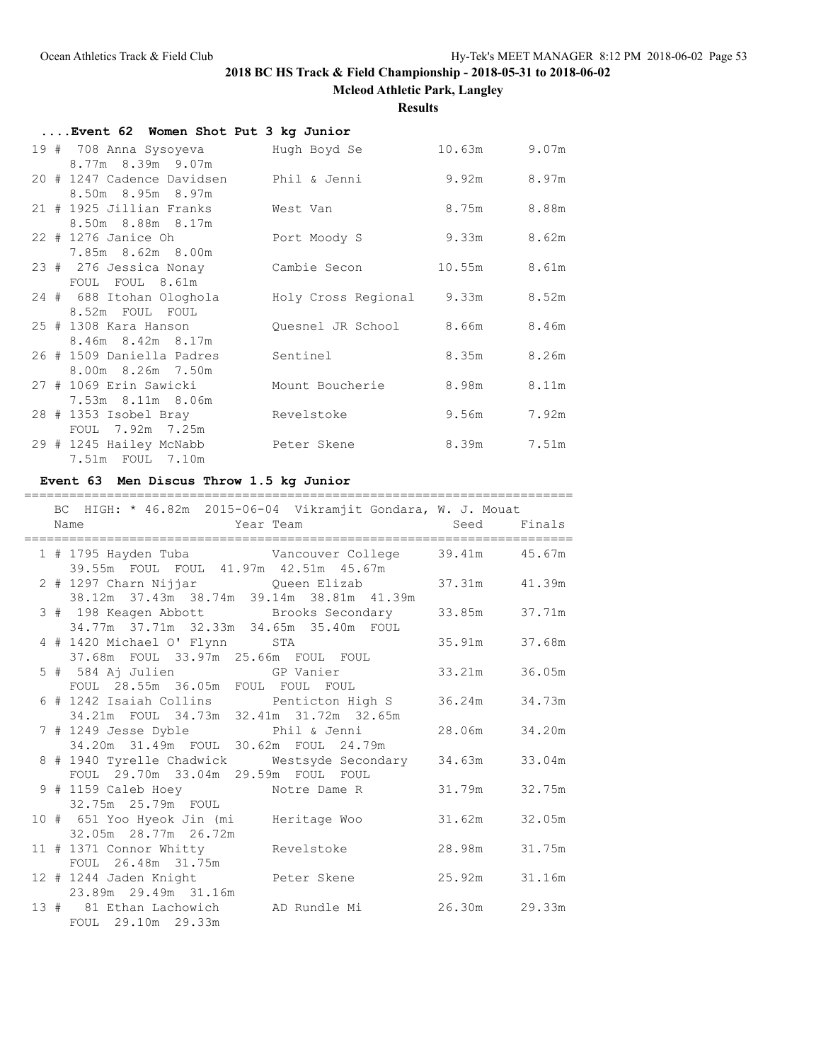**Mcleod Athletic Park, Langley**

**Results**

| Event 62 Women Shot Put 3 kg Junior                                               |                               |              |       |
|-----------------------------------------------------------------------------------|-------------------------------|--------------|-------|
| 19 # 708 Anna Sysoyeva         Hugh Boyd Se                                       |                               | 10.63m 9.07m |       |
| 8.77m 8.39m 9.07m<br>20 # 1247 Cadence Davidsen bhil & Jenni<br>8.50m 8.95m 8.97m |                               | 9.92m 8.97m  |       |
| 21 # 1925 Jillian Franks<br>8.50m 8.88m 8.17m                                     | West Van                      | 8.75m        | 8.88m |
| 22 # 1276 Janice Oh                                                               | Port Moody S                  | 9.33m        | 8.62m |
| 7.85m 8.62m 8.00m<br>23 # 276 Jessica Nonay<br>FOUL FOUL 8.61m                    | Cambie Secon                  | 10.55m 8.61m |       |
| 24 # 688 Itohan Ologhola<br>8.52m FOUL FOUL                                       | Holy Cross Regional 9.33m     |              | 8.52m |
| 25 # 1308 Kara Hanson<br>8.46m 8.42m 8.17m                                        | Quesnel JR School 8.66m 8.46m |              |       |
| 26 # 1509 Daniella Padres<br>8.00m 8.26m 7.50m                                    | Sentinel                      | 8.35m        | 8.26m |
| 27 # 1069 Erin Sawicki<br>7.53m 8.11m 8.06m                                       | Mount Boucherie               | 8.98m        | 8.11m |
| 28 # 1353 Isobel Bray<br>FOUL 7.92m 7.25m                                         | Revelstoke                    | 9.56m        | 7.92m |
| 29 # 1245 Hailey McNabb<br>7.51m FOUL 7.10m                                       | Peter Skene                   | 8.39m        | 7.51m |

#### **Event 63 Men Discus Throw 1.5 kg Junior**

### ========================================================================= BC HIGH: \* 46.82m 2015-06-04 Vikramjit Gondara, W. J. Mouat Name Year Team Seed Finals ========================================================================= 1 # 1795 Hayden Tuba Vancouver College 39.41m 45.67m 39.55m FOUL FOUL 41.97m 42.51m 45.67m 2 # 1297 Charn Nijjar Queen Elizab 38.12m 37.43m 38.74m 39.14m 38.81m 41.39m 3 # 198 Keagen Abbott Brooks Secondary 33.85m 37.71m 34.77m 37.71m 32.33m 34.65m 35.40m FOUL 4 # 1420 Michael O' Flynn STA 35.91m 37.68m 37.68m FOUL 33.97m 25.66m FOUL FOUL 5 # 584 Aj Julien GP Vanier 33.21m 36.05m FOUL 28.55m 36.05m FOUL FOUL FOUL 6 # 1242 Isaiah Collins Penticton High S 36.24m 34.73m 34.21m FOUL 34.73m 32.41m 31.72m 32.65m 7 # 1249 Jesse Dyble Phil & Jenni 28.06m 34.20m 34.20m 31.49m FOUL 30.62m FOUL 24.79m 8 # 1940 Tyrelle Chadwick Westsyde Secondary 34.63m 33.04m FOUL 29.70m 33.04m 29.59m FOUL FOUL 9 # 1159 Caleb Hoey Motre Dame R 31.79m 32.75m 32.75m 25.79m FOUL 10 # 651 Yoo Hyeok Jin (mi Heritage Woo 31.62m 32.05m 32.05m 28.77m 26.72m 11 # 1371 Connor Whitty Revelstoke 28.98m 31.75m FOUL 26.48m 31.75m 12 # 1244 Jaden Knight Peter Skene 25.92m 31.16m 23.89m 29.49m 31.16m 13 # 81 Ethan Lachowich AD Rundle Mi 26.30m 29.33m FOUL 29.10m 29.33m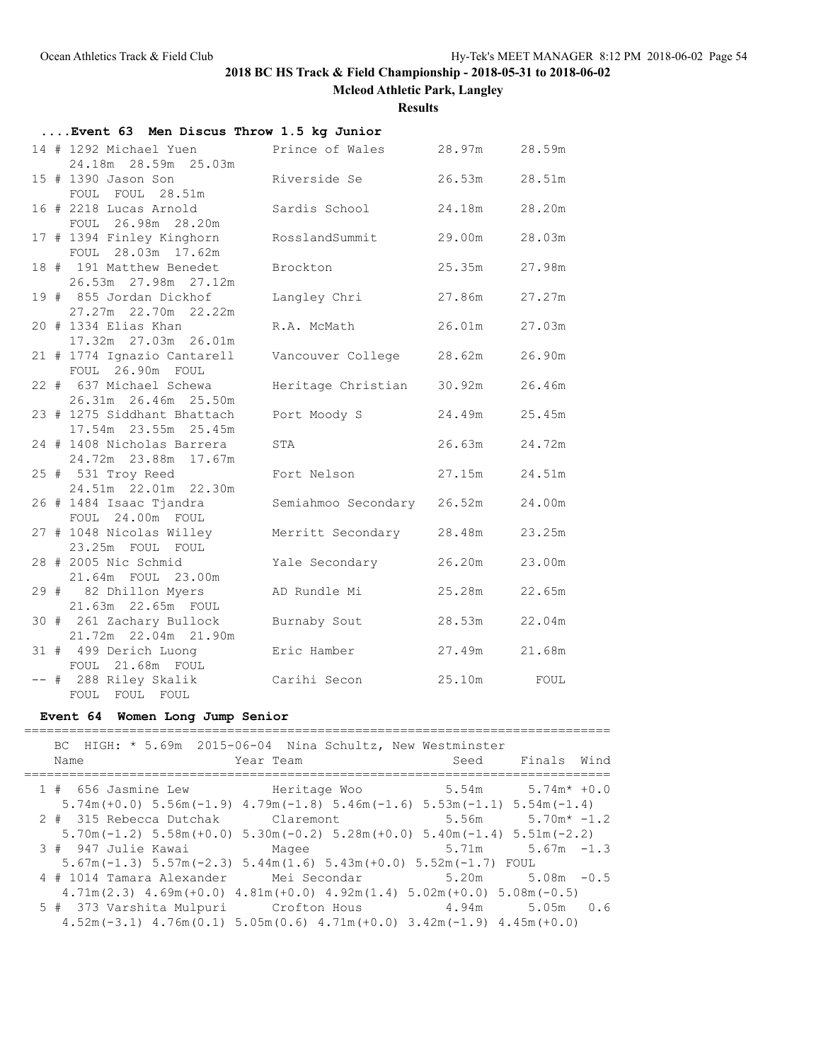**Mcleod Athletic Park, Langley**

**Results**

| Event 63 Men Discus Throw 1.5 kg Junior |                                                      |                            |               |        |  |
|-----------------------------------------|------------------------------------------------------|----------------------------|---------------|--------|--|
|                                         | 14 # 1292 Michael Yuen Prince of Wales 28.97m 28.59m |                            |               |        |  |
|                                         | 24.18m  28.59m  25.03m                               |                            |               |        |  |
|                                         | 15 # 1390 Jason Son                                  | Riverside Se               | 26.53m        | 28.51m |  |
|                                         | FOUL FOUL 28.51m                                     |                            |               |        |  |
|                                         | 16 # 2218 Lucas Arnold<br>FOUL 26.98m 28.20m         | Sardis School              | 24.18m        | 28.20m |  |
|                                         | 17 # 1394 Finley Kinghorn                            | RosslandSummit             | 29.00m        | 28.03m |  |
|                                         | FOUL 28.03m 17.62m                                   |                            |               |        |  |
|                                         | 18 # 191 Matthew Benedet                             | Brockton                   | 25.35m        | 27.98m |  |
|                                         | 26.53m 27.98m 27.12m                                 |                            |               |        |  |
|                                         | 19 # 855 Jordan Dickhof                              | Langley Chri               | 27.86m        | 27.27m |  |
|                                         | 27.27m   22.70m   22.22m                             |                            |               |        |  |
|                                         | 20 # 1334 Elias Khan                                 | R.A. McMath                | 26.01m 27.03m |        |  |
|                                         | 17.32m 27.03m 26.01m                                 |                            |               |        |  |
|                                         | 21 # 1774 Ignazio Cantarell<br>FOUL 26.90m FOUL      | Vancouver College          | 28.62m        | 26.90m |  |
|                                         | 22 # 637 Michael Schewa                              | Heritage Christian         | 30.92m        | 26.46m |  |
|                                         | 26.31m 26.46m 25.50m                                 |                            |               |        |  |
|                                         | 23 # 1275 Siddhant Bhattach                          | Port Moody S               | 24.49m        | 25.45m |  |
|                                         | 17.54m 23.55m 25.45m                                 |                            |               |        |  |
|                                         | 24 # 1408 Nicholas Barrera                           | STA                        | 26.63m        | 24.72m |  |
|                                         | 24.72m 23.88m 17.67m                                 |                            |               |        |  |
|                                         | 25 # 531 Troy Reed<br>24.51m 22.01m 22.30m           | Fort Nelson                | 27.15m        | 24.51m |  |
|                                         | 26 # 1484 Isaac Tjandra                              | Semiahmoo Secondary 26.52m |               | 24.00m |  |
|                                         | FOUL 24.00m FOUL                                     |                            |               |        |  |
|                                         | 27 # 1048 Nicolas Willey                             | Merritt Secondary 28.48m   |               | 23.25m |  |
|                                         | 23.25m FOUL FOUL                                     |                            |               |        |  |
|                                         | 28 # 2005 Nic Schmid                                 | Yale Secondary             | 26.20m        | 23.00m |  |
|                                         | 21.64m FOUL 23.00m                                   |                            |               |        |  |
|                                         | 29 # 82 Dhillon Myers<br>21.63m  22.65m  FOUL        | AD Rundle Mi               | 25.28m        | 22.65m |  |
|                                         | 30 # 261 Zachary Bullock                             | Burnaby Sout               | 28.53m        | 22.04m |  |
|                                         | 21.72m  22.04m  21.90m                               |                            |               |        |  |
|                                         | 31 # 499 Derich Luong                                | Eric Hamber                | 27.49m 21.68m |        |  |
|                                         | FOUL 21.68m FOUL                                     |                            |               |        |  |
|                                         | -- # 288 Riley Skalik Carihi Secon                   |                            | 25.10m FOUL   |        |  |
|                                         | FOUL FOUL FOUL                                       |                            |               |        |  |

## **Event 64 Women Long Jump Senior**

| BC HIGH: * 5.69m 2015-06-04 Nina Schultz, New Westminster<br>Name                                         | Year Team                                                                                                         | Seed Finals Wind       |
|-----------------------------------------------------------------------------------------------------------|-------------------------------------------------------------------------------------------------------------------|------------------------|
| 1 # 656 Jasmine Lew Heritage Woo 5.54m 5.74m* +0.0                                                        |                                                                                                                   |                        |
| $5.74$ m (+0.0) $5.56$ m (-1.9) $4.79$ m (-1.8) $5.46$ m (-1.6) $5.53$ m (-1.1) $5.54$ m (-1.4)           |                                                                                                                   |                        |
| $2 \# 315$ Rebecca Dutchak Claremont $5.56$ m $5.70$ m* $-1.2$                                            |                                                                                                                   |                        |
|                                                                                                           | $5.70$ m( $-1.2$ ) $5.58$ m( $+0.0$ ) $5.30$ m( $-0.2$ ) $5.28$ m( $+0.0$ ) $5.40$ m( $-1.4$ ) $5.51$ m( $-2.2$ ) |                        |
| 3 # 947 Julie Kawai Magee                                                                                 |                                                                                                                   | $5.71m$ $5.67m$ $-1.3$ |
|                                                                                                           | $5.67m(-1.3)$ $5.57m(-2.3)$ $5.44m(1.6)$ $5.43m(+0.0)$ $5.52m(-1.7)$ FOUL                                         |                        |
| 4 # 1014 Tamara Alexander Mei Secondar 5.20m 5.08m -0.5                                                   |                                                                                                                   |                        |
| $4.71$ m $(2.3)$ $4.69$ m $(+0.0)$ $4.81$ m $(+0.0)$ $4.92$ m $(1.4)$ $5.02$ m $(+0.0)$ $5.08$ m $(-0.5)$ |                                                                                                                   |                        |
| 5 # 373 Varshita Mulpuri Crofton Hous 4.94m 5.05m 0.6                                                     |                                                                                                                   |                        |
|                                                                                                           | $4.52$ m (-3.1) $4.76$ m (0.1) $5.05$ m (0.6) $4.71$ m (+0.0) $3.42$ m (-1.9) $4.45$ m (+0.0)                     |                        |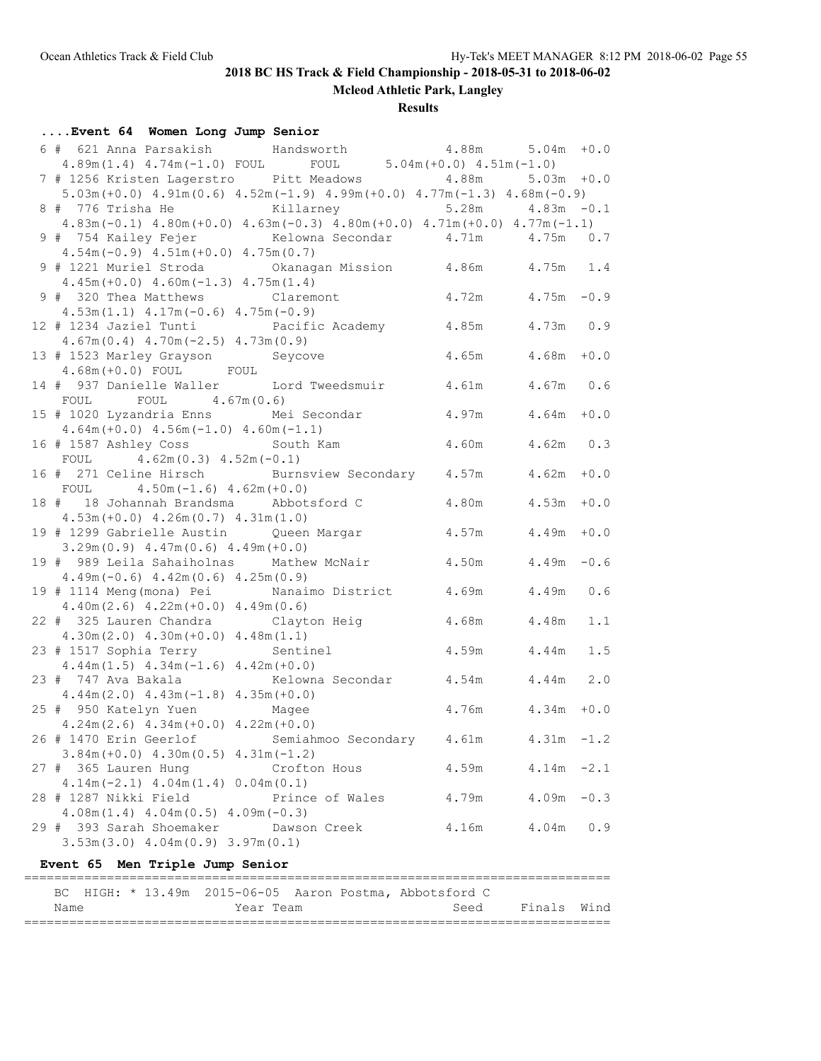**Mcleod Athletic Park, Langley**

**Results**

| 6 # 621 Anna Parsakish Mandsworth 4.88m 5.04m +0.0<br>4.89m(1.4) $4.74m(-1.0)$ FOUL FOUL 5.04m(+0.0) $4.51m(-1.0)$<br>7 # 1256 Kristen Lagerstro Pitt Meadows 4.88m<br>$5.03m + 0.0$<br>$5.03m (+0.0)$ $4.91m (0.6)$ $4.52m (-1.9)$ $4.99m (+0.0)$ $4.77m (-1.3)$ $4.68m (-0.9)$<br>8 # 776 Trisha He Killarney 5.28m 4.83m -0.1<br>$4.83m(-0.1)$ $4.80m(+0.0)$ $4.63m(-0.3)$ $4.80m(+0.0)$ $4.71m(+0.0)$ $4.77m(-1.1)$<br>9 # 754 Kailey Fejer Kelowna Secondar 4.71m 4.75m 0.7<br>$4.54m(-0.9)$ $4.51m(+0.0)$ $4.75m(0.7)$<br>9 # 1221 Muriel Stroda 6 Chanagan Mission 4.86m 4.75m 1.4<br>$4.45m (+0.0)$ $4.60m (-1.3)$ $4.75m (1.4)$<br>9 # 320 Thea Matthews Claremont 4.72m 4.75m -0.9<br>$4.53m(1.1)$ $4.17m(-0.6)$ $4.75m(-0.9)$<br>12 # 1234 Jaziel Tunti           Pacific Academy         4.85m       4.73m   0.9<br>$4.67m(0.4)$ $4.70m(-2.5)$ $4.73m(0.9)$<br>$4.65m$ $4.68m$ $+0.0$<br>13 # 1523 Marley Grayson Seycove<br>$4.68m (+0.0)$ FOUL FOUL<br>14 # 937 Danielle Waller Lord Tweedsmuir 4.61m 4.67m 0.6<br>FOUL FOUL $4.67m(0.6)$<br>15 # 1020 Lyzandria Enns Mei Secondar<br>$4.97m$ $4.64m$ $+0.0$<br>$4.64m (+0.0)$ $4.56m (-1.0)$ $4.60m (-1.1)$<br>16 # 1587 Ashley Coss South Kam<br>4.60m 4.62m 0.3<br>FOUL $4.62m(0.3) 4.52m(-0.1)$<br>16 # 271 Celine Hirsch Burnsview Secondary 4.57m 4.62m +0.0<br>FOUL $4.50m(-1.6) 4.62m(+0.0)$<br>18 # 18 Johannah Brandsma Abbotsford C<br>$4.80m$ $4.53m$ $+0.0$<br>$4.53m (+0.0) 4.26m (0.7) 4.31m (1.0)$<br>$4.57m$ $4.49m$ $+0.0$<br>19 # 1299 Gabrielle Austin Queen Margar<br>$3.29m(0.9)$ 4.47m(0.6) 4.49m(+0.0)<br>19 # 989 Leila Sahaiholnas Mathew McNair 4.50m 4.49m -0.6<br>$4.49m(-0.6)$ $4.42m(0.6)$ $4.25m(0.9)$<br>19 # 1114 Meng (mona) Pei Nanaimo District 4.69m 4.49m 0.6<br>$4.40m(2.6)$ $4.22m(+0.0)$ $4.49m(0.6)$<br>22 # 325 Lauren Chandra Clayton Heig 4.68m 4.48m<br>1.1<br>$4.30m(2.0)$ $4.30m(+0.0)$ $4.48m(1.1)$<br>23 # 1517 Sophia Terry Sentinel<br>4.59m   4.44m   1.5<br>$4.44m(1.5)$ $4.34m(-1.6)$ $4.42m(+0.0)$<br>23 # 747 Ava Bakala Kelowna Secondar 4.54m 4.44m 2.0<br>$4.44m(2.0)$ $4.43m(-1.8)$ $4.35m(+0.0)$<br>$4.76m$ $4.34m$ $+0.0$<br>25 # 950 Katelyn Yuen Magee<br>$4.24m(2.6)$ $4.34m(+0.0)$ $4.22m(+0.0)$<br>26 # 1470 Erin Geerlof Semiahmoo Secondary 4.61m<br>$4.31m - 1.2$<br>$3.84m (+0.0)$ 4.30m (0.5) 4.31m (-1.2)<br>27 # 365 Lauren Hung<br>4.59m<br>$4.14m - 2.1$<br>Crofton Hous<br>$4.14m(-2.1)$ $4.04m(1.4)$ $0.04m(0.1)$<br>28 # 1287 Nikki Field<br>4.79m<br>$4.09m - 0.3$<br>Prince of Wales<br>$4.08m(1.4)$ $4.04m(0.5)$ $4.09m(-0.3)$<br>29 # 393 Sarah Shoemaker Dawson Creek<br>4.16m<br>$4.04m$ 0.9<br>$3.53m(3.0)$ 4.04m $(0.9)$ 3.97m $(0.1)$<br>Event 65 Men Triple Jump Senior<br>====<br>BC HIGH: * 13.49m 2015-06-05 Aaron Postma, Abbotsford C<br>Year Team<br>Seed<br>Finals Wind<br>Name | Event 64 Women Long Jump Senior |  |  |
|-------------------------------------------------------------------------------------------------------------------------------------------------------------------------------------------------------------------------------------------------------------------------------------------------------------------------------------------------------------------------------------------------------------------------------------------------------------------------------------------------------------------------------------------------------------------------------------------------------------------------------------------------------------------------------------------------------------------------------------------------------------------------------------------------------------------------------------------------------------------------------------------------------------------------------------------------------------------------------------------------------------------------------------------------------------------------------------------------------------------------------------------------------------------------------------------------------------------------------------------------------------------------------------------------------------------------------------------------------------------------------------------------------------------------------------------------------------------------------------------------------------------------------------------------------------------------------------------------------------------------------------------------------------------------------------------------------------------------------------------------------------------------------------------------------------------------------------------------------------------------------------------------------------------------------------------------------------------------------------------------------------------------------------------------------------------------------------------------------------------------------------------------------------------------------------------------------------------------------------------------------------------------------------------------------------------------------------------------------------------------------------------------------------------------------------------------------------------------------------------------------------------------------------------------------------------------------------------------------------------------------------------------------------------------------------------------------------------------------------------------------------------------------------------------------------------------------------------------|---------------------------------|--|--|
|                                                                                                                                                                                                                                                                                                                                                                                                                                                                                                                                                                                                                                                                                                                                                                                                                                                                                                                                                                                                                                                                                                                                                                                                                                                                                                                                                                                                                                                                                                                                                                                                                                                                                                                                                                                                                                                                                                                                                                                                                                                                                                                                                                                                                                                                                                                                                                                                                                                                                                                                                                                                                                                                                                                                                                                                                                                 |                                 |  |  |
|                                                                                                                                                                                                                                                                                                                                                                                                                                                                                                                                                                                                                                                                                                                                                                                                                                                                                                                                                                                                                                                                                                                                                                                                                                                                                                                                                                                                                                                                                                                                                                                                                                                                                                                                                                                                                                                                                                                                                                                                                                                                                                                                                                                                                                                                                                                                                                                                                                                                                                                                                                                                                                                                                                                                                                                                                                                 |                                 |  |  |
|                                                                                                                                                                                                                                                                                                                                                                                                                                                                                                                                                                                                                                                                                                                                                                                                                                                                                                                                                                                                                                                                                                                                                                                                                                                                                                                                                                                                                                                                                                                                                                                                                                                                                                                                                                                                                                                                                                                                                                                                                                                                                                                                                                                                                                                                                                                                                                                                                                                                                                                                                                                                                                                                                                                                                                                                                                                 |                                 |  |  |
|                                                                                                                                                                                                                                                                                                                                                                                                                                                                                                                                                                                                                                                                                                                                                                                                                                                                                                                                                                                                                                                                                                                                                                                                                                                                                                                                                                                                                                                                                                                                                                                                                                                                                                                                                                                                                                                                                                                                                                                                                                                                                                                                                                                                                                                                                                                                                                                                                                                                                                                                                                                                                                                                                                                                                                                                                                                 |                                 |  |  |
|                                                                                                                                                                                                                                                                                                                                                                                                                                                                                                                                                                                                                                                                                                                                                                                                                                                                                                                                                                                                                                                                                                                                                                                                                                                                                                                                                                                                                                                                                                                                                                                                                                                                                                                                                                                                                                                                                                                                                                                                                                                                                                                                                                                                                                                                                                                                                                                                                                                                                                                                                                                                                                                                                                                                                                                                                                                 |                                 |  |  |
|                                                                                                                                                                                                                                                                                                                                                                                                                                                                                                                                                                                                                                                                                                                                                                                                                                                                                                                                                                                                                                                                                                                                                                                                                                                                                                                                                                                                                                                                                                                                                                                                                                                                                                                                                                                                                                                                                                                                                                                                                                                                                                                                                                                                                                                                                                                                                                                                                                                                                                                                                                                                                                                                                                                                                                                                                                                 |                                 |  |  |
|                                                                                                                                                                                                                                                                                                                                                                                                                                                                                                                                                                                                                                                                                                                                                                                                                                                                                                                                                                                                                                                                                                                                                                                                                                                                                                                                                                                                                                                                                                                                                                                                                                                                                                                                                                                                                                                                                                                                                                                                                                                                                                                                                                                                                                                                                                                                                                                                                                                                                                                                                                                                                                                                                                                                                                                                                                                 |                                 |  |  |
|                                                                                                                                                                                                                                                                                                                                                                                                                                                                                                                                                                                                                                                                                                                                                                                                                                                                                                                                                                                                                                                                                                                                                                                                                                                                                                                                                                                                                                                                                                                                                                                                                                                                                                                                                                                                                                                                                                                                                                                                                                                                                                                                                                                                                                                                                                                                                                                                                                                                                                                                                                                                                                                                                                                                                                                                                                                 |                                 |  |  |
|                                                                                                                                                                                                                                                                                                                                                                                                                                                                                                                                                                                                                                                                                                                                                                                                                                                                                                                                                                                                                                                                                                                                                                                                                                                                                                                                                                                                                                                                                                                                                                                                                                                                                                                                                                                                                                                                                                                                                                                                                                                                                                                                                                                                                                                                                                                                                                                                                                                                                                                                                                                                                                                                                                                                                                                                                                                 |                                 |  |  |
|                                                                                                                                                                                                                                                                                                                                                                                                                                                                                                                                                                                                                                                                                                                                                                                                                                                                                                                                                                                                                                                                                                                                                                                                                                                                                                                                                                                                                                                                                                                                                                                                                                                                                                                                                                                                                                                                                                                                                                                                                                                                                                                                                                                                                                                                                                                                                                                                                                                                                                                                                                                                                                                                                                                                                                                                                                                 |                                 |  |  |
|                                                                                                                                                                                                                                                                                                                                                                                                                                                                                                                                                                                                                                                                                                                                                                                                                                                                                                                                                                                                                                                                                                                                                                                                                                                                                                                                                                                                                                                                                                                                                                                                                                                                                                                                                                                                                                                                                                                                                                                                                                                                                                                                                                                                                                                                                                                                                                                                                                                                                                                                                                                                                                                                                                                                                                                                                                                 |                                 |  |  |
|                                                                                                                                                                                                                                                                                                                                                                                                                                                                                                                                                                                                                                                                                                                                                                                                                                                                                                                                                                                                                                                                                                                                                                                                                                                                                                                                                                                                                                                                                                                                                                                                                                                                                                                                                                                                                                                                                                                                                                                                                                                                                                                                                                                                                                                                                                                                                                                                                                                                                                                                                                                                                                                                                                                                                                                                                                                 |                                 |  |  |
|                                                                                                                                                                                                                                                                                                                                                                                                                                                                                                                                                                                                                                                                                                                                                                                                                                                                                                                                                                                                                                                                                                                                                                                                                                                                                                                                                                                                                                                                                                                                                                                                                                                                                                                                                                                                                                                                                                                                                                                                                                                                                                                                                                                                                                                                                                                                                                                                                                                                                                                                                                                                                                                                                                                                                                                                                                                 |                                 |  |  |
|                                                                                                                                                                                                                                                                                                                                                                                                                                                                                                                                                                                                                                                                                                                                                                                                                                                                                                                                                                                                                                                                                                                                                                                                                                                                                                                                                                                                                                                                                                                                                                                                                                                                                                                                                                                                                                                                                                                                                                                                                                                                                                                                                                                                                                                                                                                                                                                                                                                                                                                                                                                                                                                                                                                                                                                                                                                 |                                 |  |  |
|                                                                                                                                                                                                                                                                                                                                                                                                                                                                                                                                                                                                                                                                                                                                                                                                                                                                                                                                                                                                                                                                                                                                                                                                                                                                                                                                                                                                                                                                                                                                                                                                                                                                                                                                                                                                                                                                                                                                                                                                                                                                                                                                                                                                                                                                                                                                                                                                                                                                                                                                                                                                                                                                                                                                                                                                                                                 |                                 |  |  |
|                                                                                                                                                                                                                                                                                                                                                                                                                                                                                                                                                                                                                                                                                                                                                                                                                                                                                                                                                                                                                                                                                                                                                                                                                                                                                                                                                                                                                                                                                                                                                                                                                                                                                                                                                                                                                                                                                                                                                                                                                                                                                                                                                                                                                                                                                                                                                                                                                                                                                                                                                                                                                                                                                                                                                                                                                                                 |                                 |  |  |
|                                                                                                                                                                                                                                                                                                                                                                                                                                                                                                                                                                                                                                                                                                                                                                                                                                                                                                                                                                                                                                                                                                                                                                                                                                                                                                                                                                                                                                                                                                                                                                                                                                                                                                                                                                                                                                                                                                                                                                                                                                                                                                                                                                                                                                                                                                                                                                                                                                                                                                                                                                                                                                                                                                                                                                                                                                                 |                                 |  |  |
|                                                                                                                                                                                                                                                                                                                                                                                                                                                                                                                                                                                                                                                                                                                                                                                                                                                                                                                                                                                                                                                                                                                                                                                                                                                                                                                                                                                                                                                                                                                                                                                                                                                                                                                                                                                                                                                                                                                                                                                                                                                                                                                                                                                                                                                                                                                                                                                                                                                                                                                                                                                                                                                                                                                                                                                                                                                 |                                 |  |  |
|                                                                                                                                                                                                                                                                                                                                                                                                                                                                                                                                                                                                                                                                                                                                                                                                                                                                                                                                                                                                                                                                                                                                                                                                                                                                                                                                                                                                                                                                                                                                                                                                                                                                                                                                                                                                                                                                                                                                                                                                                                                                                                                                                                                                                                                                                                                                                                                                                                                                                                                                                                                                                                                                                                                                                                                                                                                 |                                 |  |  |
|                                                                                                                                                                                                                                                                                                                                                                                                                                                                                                                                                                                                                                                                                                                                                                                                                                                                                                                                                                                                                                                                                                                                                                                                                                                                                                                                                                                                                                                                                                                                                                                                                                                                                                                                                                                                                                                                                                                                                                                                                                                                                                                                                                                                                                                                                                                                                                                                                                                                                                                                                                                                                                                                                                                                                                                                                                                 |                                 |  |  |
|                                                                                                                                                                                                                                                                                                                                                                                                                                                                                                                                                                                                                                                                                                                                                                                                                                                                                                                                                                                                                                                                                                                                                                                                                                                                                                                                                                                                                                                                                                                                                                                                                                                                                                                                                                                                                                                                                                                                                                                                                                                                                                                                                                                                                                                                                                                                                                                                                                                                                                                                                                                                                                                                                                                                                                                                                                                 |                                 |  |  |
|                                                                                                                                                                                                                                                                                                                                                                                                                                                                                                                                                                                                                                                                                                                                                                                                                                                                                                                                                                                                                                                                                                                                                                                                                                                                                                                                                                                                                                                                                                                                                                                                                                                                                                                                                                                                                                                                                                                                                                                                                                                                                                                                                                                                                                                                                                                                                                                                                                                                                                                                                                                                                                                                                                                                                                                                                                                 |                                 |  |  |
|                                                                                                                                                                                                                                                                                                                                                                                                                                                                                                                                                                                                                                                                                                                                                                                                                                                                                                                                                                                                                                                                                                                                                                                                                                                                                                                                                                                                                                                                                                                                                                                                                                                                                                                                                                                                                                                                                                                                                                                                                                                                                                                                                                                                                                                                                                                                                                                                                                                                                                                                                                                                                                                                                                                                                                                                                                                 |                                 |  |  |
|                                                                                                                                                                                                                                                                                                                                                                                                                                                                                                                                                                                                                                                                                                                                                                                                                                                                                                                                                                                                                                                                                                                                                                                                                                                                                                                                                                                                                                                                                                                                                                                                                                                                                                                                                                                                                                                                                                                                                                                                                                                                                                                                                                                                                                                                                                                                                                                                                                                                                                                                                                                                                                                                                                                                                                                                                                                 |                                 |  |  |
|                                                                                                                                                                                                                                                                                                                                                                                                                                                                                                                                                                                                                                                                                                                                                                                                                                                                                                                                                                                                                                                                                                                                                                                                                                                                                                                                                                                                                                                                                                                                                                                                                                                                                                                                                                                                                                                                                                                                                                                                                                                                                                                                                                                                                                                                                                                                                                                                                                                                                                                                                                                                                                                                                                                                                                                                                                                 |                                 |  |  |
|                                                                                                                                                                                                                                                                                                                                                                                                                                                                                                                                                                                                                                                                                                                                                                                                                                                                                                                                                                                                                                                                                                                                                                                                                                                                                                                                                                                                                                                                                                                                                                                                                                                                                                                                                                                                                                                                                                                                                                                                                                                                                                                                                                                                                                                                                                                                                                                                                                                                                                                                                                                                                                                                                                                                                                                                                                                 |                                 |  |  |
|                                                                                                                                                                                                                                                                                                                                                                                                                                                                                                                                                                                                                                                                                                                                                                                                                                                                                                                                                                                                                                                                                                                                                                                                                                                                                                                                                                                                                                                                                                                                                                                                                                                                                                                                                                                                                                                                                                                                                                                                                                                                                                                                                                                                                                                                                                                                                                                                                                                                                                                                                                                                                                                                                                                                                                                                                                                 |                                 |  |  |
|                                                                                                                                                                                                                                                                                                                                                                                                                                                                                                                                                                                                                                                                                                                                                                                                                                                                                                                                                                                                                                                                                                                                                                                                                                                                                                                                                                                                                                                                                                                                                                                                                                                                                                                                                                                                                                                                                                                                                                                                                                                                                                                                                                                                                                                                                                                                                                                                                                                                                                                                                                                                                                                                                                                                                                                                                                                 |                                 |  |  |
|                                                                                                                                                                                                                                                                                                                                                                                                                                                                                                                                                                                                                                                                                                                                                                                                                                                                                                                                                                                                                                                                                                                                                                                                                                                                                                                                                                                                                                                                                                                                                                                                                                                                                                                                                                                                                                                                                                                                                                                                                                                                                                                                                                                                                                                                                                                                                                                                                                                                                                                                                                                                                                                                                                                                                                                                                                                 |                                 |  |  |
|                                                                                                                                                                                                                                                                                                                                                                                                                                                                                                                                                                                                                                                                                                                                                                                                                                                                                                                                                                                                                                                                                                                                                                                                                                                                                                                                                                                                                                                                                                                                                                                                                                                                                                                                                                                                                                                                                                                                                                                                                                                                                                                                                                                                                                                                                                                                                                                                                                                                                                                                                                                                                                                                                                                                                                                                                                                 |                                 |  |  |
|                                                                                                                                                                                                                                                                                                                                                                                                                                                                                                                                                                                                                                                                                                                                                                                                                                                                                                                                                                                                                                                                                                                                                                                                                                                                                                                                                                                                                                                                                                                                                                                                                                                                                                                                                                                                                                                                                                                                                                                                                                                                                                                                                                                                                                                                                                                                                                                                                                                                                                                                                                                                                                                                                                                                                                                                                                                 |                                 |  |  |
|                                                                                                                                                                                                                                                                                                                                                                                                                                                                                                                                                                                                                                                                                                                                                                                                                                                                                                                                                                                                                                                                                                                                                                                                                                                                                                                                                                                                                                                                                                                                                                                                                                                                                                                                                                                                                                                                                                                                                                                                                                                                                                                                                                                                                                                                                                                                                                                                                                                                                                                                                                                                                                                                                                                                                                                                                                                 |                                 |  |  |
|                                                                                                                                                                                                                                                                                                                                                                                                                                                                                                                                                                                                                                                                                                                                                                                                                                                                                                                                                                                                                                                                                                                                                                                                                                                                                                                                                                                                                                                                                                                                                                                                                                                                                                                                                                                                                                                                                                                                                                                                                                                                                                                                                                                                                                                                                                                                                                                                                                                                                                                                                                                                                                                                                                                                                                                                                                                 |                                 |  |  |
|                                                                                                                                                                                                                                                                                                                                                                                                                                                                                                                                                                                                                                                                                                                                                                                                                                                                                                                                                                                                                                                                                                                                                                                                                                                                                                                                                                                                                                                                                                                                                                                                                                                                                                                                                                                                                                                                                                                                                                                                                                                                                                                                                                                                                                                                                                                                                                                                                                                                                                                                                                                                                                                                                                                                                                                                                                                 |                                 |  |  |
|                                                                                                                                                                                                                                                                                                                                                                                                                                                                                                                                                                                                                                                                                                                                                                                                                                                                                                                                                                                                                                                                                                                                                                                                                                                                                                                                                                                                                                                                                                                                                                                                                                                                                                                                                                                                                                                                                                                                                                                                                                                                                                                                                                                                                                                                                                                                                                                                                                                                                                                                                                                                                                                                                                                                                                                                                                                 |                                 |  |  |
|                                                                                                                                                                                                                                                                                                                                                                                                                                                                                                                                                                                                                                                                                                                                                                                                                                                                                                                                                                                                                                                                                                                                                                                                                                                                                                                                                                                                                                                                                                                                                                                                                                                                                                                                                                                                                                                                                                                                                                                                                                                                                                                                                                                                                                                                                                                                                                                                                                                                                                                                                                                                                                                                                                                                                                                                                                                 |                                 |  |  |
|                                                                                                                                                                                                                                                                                                                                                                                                                                                                                                                                                                                                                                                                                                                                                                                                                                                                                                                                                                                                                                                                                                                                                                                                                                                                                                                                                                                                                                                                                                                                                                                                                                                                                                                                                                                                                                                                                                                                                                                                                                                                                                                                                                                                                                                                                                                                                                                                                                                                                                                                                                                                                                                                                                                                                                                                                                                 |                                 |  |  |
|                                                                                                                                                                                                                                                                                                                                                                                                                                                                                                                                                                                                                                                                                                                                                                                                                                                                                                                                                                                                                                                                                                                                                                                                                                                                                                                                                                                                                                                                                                                                                                                                                                                                                                                                                                                                                                                                                                                                                                                                                                                                                                                                                                                                                                                                                                                                                                                                                                                                                                                                                                                                                                                                                                                                                                                                                                                 |                                 |  |  |
|                                                                                                                                                                                                                                                                                                                                                                                                                                                                                                                                                                                                                                                                                                                                                                                                                                                                                                                                                                                                                                                                                                                                                                                                                                                                                                                                                                                                                                                                                                                                                                                                                                                                                                                                                                                                                                                                                                                                                                                                                                                                                                                                                                                                                                                                                                                                                                                                                                                                                                                                                                                                                                                                                                                                                                                                                                                 |                                 |  |  |
|                                                                                                                                                                                                                                                                                                                                                                                                                                                                                                                                                                                                                                                                                                                                                                                                                                                                                                                                                                                                                                                                                                                                                                                                                                                                                                                                                                                                                                                                                                                                                                                                                                                                                                                                                                                                                                                                                                                                                                                                                                                                                                                                                                                                                                                                                                                                                                                                                                                                                                                                                                                                                                                                                                                                                                                                                                                 |                                 |  |  |
|                                                                                                                                                                                                                                                                                                                                                                                                                                                                                                                                                                                                                                                                                                                                                                                                                                                                                                                                                                                                                                                                                                                                                                                                                                                                                                                                                                                                                                                                                                                                                                                                                                                                                                                                                                                                                                                                                                                                                                                                                                                                                                                                                                                                                                                                                                                                                                                                                                                                                                                                                                                                                                                                                                                                                                                                                                                 |                                 |  |  |
|                                                                                                                                                                                                                                                                                                                                                                                                                                                                                                                                                                                                                                                                                                                                                                                                                                                                                                                                                                                                                                                                                                                                                                                                                                                                                                                                                                                                                                                                                                                                                                                                                                                                                                                                                                                                                                                                                                                                                                                                                                                                                                                                                                                                                                                                                                                                                                                                                                                                                                                                                                                                                                                                                                                                                                                                                                                 |                                 |  |  |
|                                                                                                                                                                                                                                                                                                                                                                                                                                                                                                                                                                                                                                                                                                                                                                                                                                                                                                                                                                                                                                                                                                                                                                                                                                                                                                                                                                                                                                                                                                                                                                                                                                                                                                                                                                                                                                                                                                                                                                                                                                                                                                                                                                                                                                                                                                                                                                                                                                                                                                                                                                                                                                                                                                                                                                                                                                                 |                                 |  |  |
|                                                                                                                                                                                                                                                                                                                                                                                                                                                                                                                                                                                                                                                                                                                                                                                                                                                                                                                                                                                                                                                                                                                                                                                                                                                                                                                                                                                                                                                                                                                                                                                                                                                                                                                                                                                                                                                                                                                                                                                                                                                                                                                                                                                                                                                                                                                                                                                                                                                                                                                                                                                                                                                                                                                                                                                                                                                 |                                 |  |  |
|                                                                                                                                                                                                                                                                                                                                                                                                                                                                                                                                                                                                                                                                                                                                                                                                                                                                                                                                                                                                                                                                                                                                                                                                                                                                                                                                                                                                                                                                                                                                                                                                                                                                                                                                                                                                                                                                                                                                                                                                                                                                                                                                                                                                                                                                                                                                                                                                                                                                                                                                                                                                                                                                                                                                                                                                                                                 |                                 |  |  |
|                                                                                                                                                                                                                                                                                                                                                                                                                                                                                                                                                                                                                                                                                                                                                                                                                                                                                                                                                                                                                                                                                                                                                                                                                                                                                                                                                                                                                                                                                                                                                                                                                                                                                                                                                                                                                                                                                                                                                                                                                                                                                                                                                                                                                                                                                                                                                                                                                                                                                                                                                                                                                                                                                                                                                                                                                                                 |                                 |  |  |
|                                                                                                                                                                                                                                                                                                                                                                                                                                                                                                                                                                                                                                                                                                                                                                                                                                                                                                                                                                                                                                                                                                                                                                                                                                                                                                                                                                                                                                                                                                                                                                                                                                                                                                                                                                                                                                                                                                                                                                                                                                                                                                                                                                                                                                                                                                                                                                                                                                                                                                                                                                                                                                                                                                                                                                                                                                                 |                                 |  |  |
|                                                                                                                                                                                                                                                                                                                                                                                                                                                                                                                                                                                                                                                                                                                                                                                                                                                                                                                                                                                                                                                                                                                                                                                                                                                                                                                                                                                                                                                                                                                                                                                                                                                                                                                                                                                                                                                                                                                                                                                                                                                                                                                                                                                                                                                                                                                                                                                                                                                                                                                                                                                                                                                                                                                                                                                                                                                 |                                 |  |  |

==============================================================================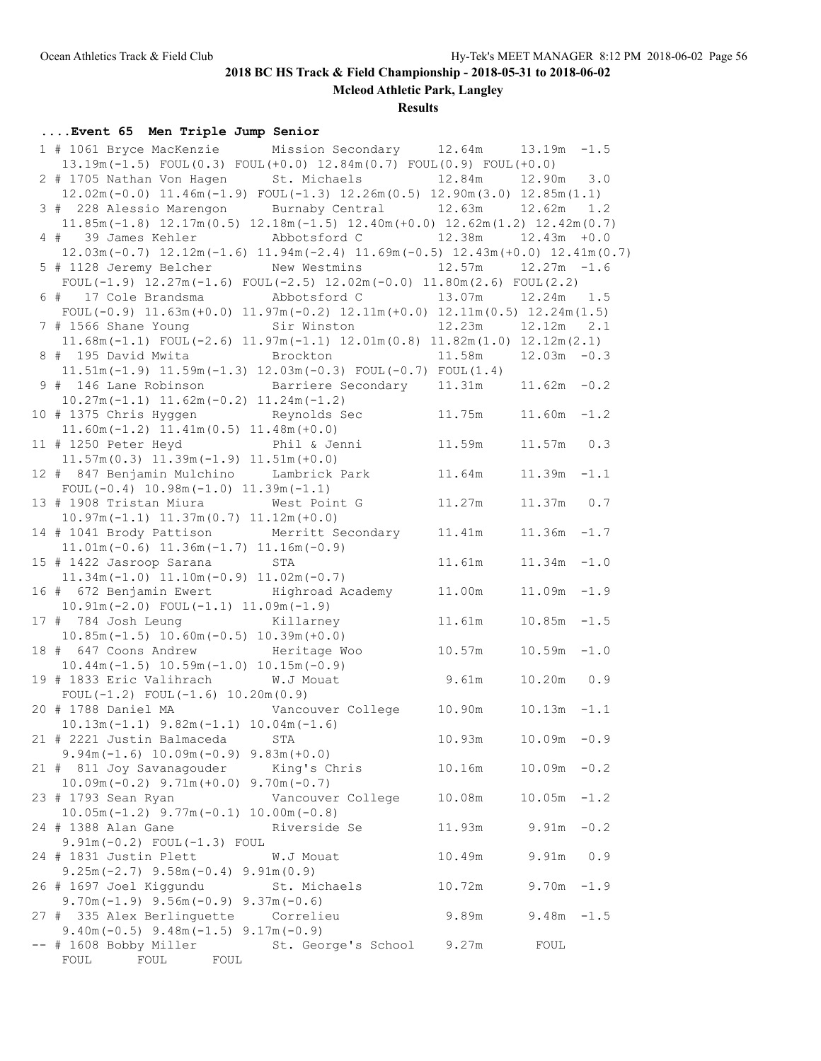**Mcleod Athletic Park, Langley**

### **Results**

## **....Event 65 Men Triple Jump Senior**

| 1 # 1061 Bryce MacKenzie Mission Secondary 12.64m                                                                                                 |                          | $13.19m - 1.5$ |        |
|---------------------------------------------------------------------------------------------------------------------------------------------------|--------------------------|----------------|--------|
| $13.19m(-1.5)$ FOUL $(0.3)$ FOUL $(+0.0)$ $12.84m(0.7)$ FOUL $(0.9)$ FOUL $(+0.0)$                                                                |                          |                |        |
| 2 # 1705 Nathan Von Hagen St. Michaels 12.84m 12.90m 3.0                                                                                          |                          |                |        |
| $12.02m(-0.0)$ $11.46m(-1.9)$ FOUL $(-1.3)$ $12.26m(0.5)$ $12.90m(3.0)$ $12.85m(1.1)$                                                             |                          |                |        |
| 3 # 228 Alessio Marengon Burnaby Central 12.63m 12.62m 1.2                                                                                        |                          |                |        |
| $11.85m(-1.8)$ $12.17m(0.5)$ $12.18m(-1.5)$ $12.40m(+0.0)$ $12.62m(1.2)$ $12.42m(0.7)$                                                            |                          |                |        |
|                                                                                                                                                   |                          |                |        |
| $12.03$ m (-0.7) $12.12$ m (-1.6) $11.94$ m (-2.4) $11.69$ m (-0.5) $12.43$ m (+0.0) $12.41$ m (0.7)                                              |                          |                |        |
| 5 # 1128 Jeremy Belcher New Westmins 12.57m 12.27m -1.6                                                                                           |                          |                |        |
| FOUL(-1.9) $12.27m(-1.6)$ FOUL(-2.5) $12.02m(-0.0)$ $11.80m(2.6)$ FOUL(2.2)                                                                       |                          |                |        |
|                                                                                                                                                   |                          |                |        |
|                                                                                                                                                   |                          |                |        |
| FOUL $(-0.9)$ 11.63m $(+0.0)$ 11.97m $(-0.2)$ 12.11m $(+0.0)$ 12.11m $(0.5)$ 12.24m $(1.5)$<br>7 # 1566 Shane Young Sir Winston 12.23m 12.12m 2.1 |                          |                |        |
|                                                                                                                                                   |                          |                |        |
| $11.68m(-1.1)$ FOUL $(-2.6)$ $11.97m(-1.1)$ $12.01m(0.8)$ $11.82m(1.0)$ $12.12m(2.1)$                                                             |                          |                |        |
| 8 # 195 David Mwita Brockton 11.58m 12.03m -0.3                                                                                                   |                          |                |        |
| $11.51m(-1.9)$ $11.59m(-1.3)$ $12.03m(-0.3)$ $FOUL(-0.7)$ $FOUL(1.4)$                                                                             |                          |                |        |
| 9 # 146 Lane Robinson Barriere Secondary 11.31m 11.62m -0.2                                                                                       |                          |                |        |
| $10.27m(-1.1)$ $11.62m(-0.2)$ $11.24m(-1.2)$                                                                                                      |                          |                |        |
| 10 # 1375 Chris Hyggen Reynolds Sec                                                                                                               | $11.75m$ $11.60m$ $-1.2$ |                |        |
| $11.60m(-1.2)$ $11.41m(0.5)$ $11.48m(+0.0)$                                                                                                       |                          |                |        |
| 11 # 1250 Peter Heyd Phil & Jenni 11.59m                                                                                                          |                          | $11.57m$ 0.3   |        |
| $11.57m(0.3)$ $11.39m(-1.9)$ $11.51m(+0.0)$                                                                                                       |                          |                |        |
| 12 # 847 Benjamin Mulchino Lambrick Park 11.64m                                                                                                   |                          | $11.39m - 1.1$ |        |
| $FOUL(-0.4) 10.98m(-1.0) 11.39m(-1.1)$                                                                                                            |                          |                |        |
| 13 # 1908 Tristan Miura West Point G 11.27m                                                                                                       |                          | 11.37m 0.7     |        |
| $10.97m(-1.1)$ $11.37m(0.7)$ $11.12m(+0.0)$                                                                                                       |                          |                |        |
| 14 # 1041 Brody Pattison Merritt Secondary 11.41m                                                                                                 |                          | $11.36m - 1.7$ |        |
| $11.01m(-0.6)$ $11.36m(-1.7)$ $11.16m(-0.9)$                                                                                                      |                          |                |        |
| 15 # 1422 Jasroop Sarana STA                                                                                                                      | 11.61m                   | $11.34m - 1.0$ |        |
| $11.34m(-1.0)$ $11.10m(-0.9)$ $11.02m(-0.7)$                                                                                                      |                          |                |        |
| 16 # 672 Benjamin Ewert Highroad Academy 11.00m                                                                                                   |                          | $11.09m - 1.9$ |        |
| $10.91m(-2.0)$ FOUL $(-1.1)$ $11.09m(-1.9)$                                                                                                       |                          |                |        |
| 17 # 784 Josh Leung Killarney 11.61m                                                                                                              |                          | $10.85m - 1.5$ |        |
| $10.85m(-1.5)$ $10.60m(-0.5)$ $10.39m(+0.0)$                                                                                                      |                          |                |        |
| 18 # 647 Coons Andrew Heritage Woo $10.57m$ 10.59m -1.0                                                                                           |                          |                |        |
|                                                                                                                                                   |                          |                |        |
| $10.44m(-1.5) 10.59m(-1.0) 10.15m(-0.9)$<br>19 # 1833 Eric Valihrach W.J Mouat 9.61m                                                              |                          | 10.20m  0.9    |        |
| FOUL $(-1.2)$ FOUL $(-1.6)$ 10.20m $(0.9)$                                                                                                        |                          |                |        |
| 20 # 1788 Daniel MA Vancouver College 10.90m                                                                                                      |                          | $10.13m - 1.1$ |        |
| $10.13m(-1.1)$ $9.82m(-1.1)$ $10.04m(-1.6)$                                                                                                       |                          |                |        |
| 21 # 2221 Justin Balmaceda STA                                                                                                                    | 10.93m                   | $10.09m - 0.9$ |        |
| $9.94m(-1.6) 10.09m(-0.9) 9.83m(+0.0)$                                                                                                            |                          |                |        |
| 21 # 811 Joy Savanagouder King's Chris                                                                                                            | 10.16m                   | $10.09m - 0.2$ |        |
| $10.09m(-0.2)$ 9.71m $(+0.0)$ 9.70m $(-0.7)$                                                                                                      |                          |                |        |
| 23 # 1793 Sean Ryan<br>Vancouver College                                                                                                          | 10.08m                   | $10.05m - 1.2$ |        |
| $10.05m(-1.2)$ 9.77m $(-0.1)$ 10.00m $(-0.8)$                                                                                                     |                          |                |        |
| 24 # 1388 Alan Gane<br>Riverside Se                                                                                                               | 11.93m                   | 9.91m          | $-0.2$ |
| $9.91m(-0.2)$ FOUL $(-1.3)$ FOUL                                                                                                                  |                          |                |        |
| 24 # 1831 Justin Plett<br>W.J Mouat                                                                                                               | 10.49m                   | 9.91m          | 0.9    |
| $9.25m(-2.7)$ $9.58m(-0.4)$ $9.91m(0.9)$                                                                                                          |                          |                |        |
| 26 # 1697 Joel Kiggundu<br>St. Michaels                                                                                                           | 10.72m                   | 9.70m          | $-1.9$ |
| $9.70m(-1.9)$ $9.56m(-0.9)$ $9.37m(-0.6)$                                                                                                         |                          |                |        |
| 27 # 335 Alex Berlinguette<br>Correlieu                                                                                                           | 9.89m                    | $9.48m - 1.5$  |        |
| $9.40m(-0.5)$ $9.48m(-1.5)$ $9.17m(-0.9)$                                                                                                         |                          |                |        |
| -- # 1608 Bobby Miller<br>St. George's School                                                                                                     | 9.27m                    | FOUL           |        |
| FOUL<br>FOUL<br>FOUL                                                                                                                              |                          |                |        |
|                                                                                                                                                   |                          |                |        |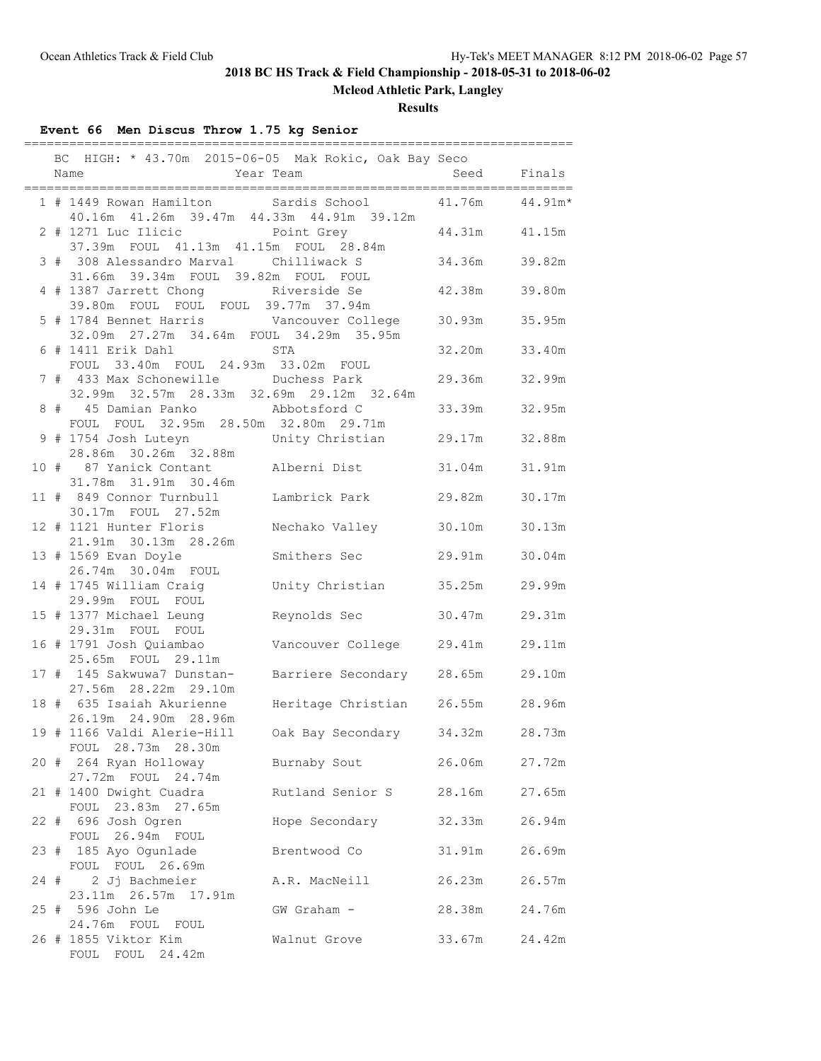**Mcleod Athletic Park, Langley**

**Results**

## **Event 66 Men Discus Throw 1.75 kg Senior**

|      | BC HIGH: * 43.70m 2015-06-05 Mak Rokic, Oak Bay Seco                                                                      |                                  |                 |        |
|------|---------------------------------------------------------------------------------------------------------------------------|----------------------------------|-----------------|--------|
|      | 1 # 1449 Rowan Hamilton Sardis School                                                                                     |                                  | 41.76m  44.91m* |        |
|      | 40.16m  41.26m  39.47m  44.33m  44.91m  39.12m<br>2 # 1271 Luc Ilicic Point Grey<br>37.39m FOUL 41.13m 41.15m FOUL 28.84m |                                  | 44.31m 41.15m   |        |
|      | 3 # 308 Alessandro Marval Chilliwack S<br>31.66m  39.34m  FOUL  39.82m  FOUL  FOUL                                        |                                  | 34.36m 39.82m   |        |
|      | 4 # 1387 Jarrett Chong<br>39.80m FOUL FOUL FOUL 39.77m 37.94m                                                             |                                  | 42.38m 39.80m   |        |
|      | 5 # 1784 Bennet Harris Vancouver College<br>32.09m  27.27m  34.64m  FOUL  34.29m  35.95m                                  |                                  | 30.93m          | 35.95m |
|      | 6 # 1411 Erik Dahl STA<br>FOUL 33.40m FOUL 24.93m 33.02m FOUL                                                             |                                  | 32.20m          | 33.40m |
|      | 7 # 433 Max Schonewille Duchess Park<br>32.99m 32.57m 28.33m 32.69m 29.12m 32.64m                                         |                                  | 29.36m 32.99m   |        |
|      | 8 # 45 Damian Panko Abbotsford C<br>FOUL FOUL 32.95m 28.50m 32.80m 29.71m                                                 |                                  | 33.39m 32.95m   |        |
|      | 9 # 1754 Josh Luteyn Christian 29.17m 32.88m<br>28.86m 30.26m 32.88m                                                      |                                  |                 |        |
|      | 10 # 87 Yanick Contant Malberni Dist                                                                                      |                                  | 31.04m          | 31.91m |
|      | 11 # 849 Connor Turnbull<br>30.17m FOUL 27.52m                                                                            | Lambrick Park                    | 29.82m          | 30.17m |
|      | 12 # 1121 Hunter Floris Nechako Valley<br>21.91m 30.13m 28.26m                                                            |                                  | 30.10m          | 30.13m |
|      | 13 # 1569 Evan Doyle<br>26.74m 30.04m FOUL                                                                                | Smithers Sec                     | 29.91m          | 30.04m |
|      | 14 # 1745 William Craig<br>29.99m FOUL FOUL                                                                               | Unity Christian                  | 35.25m          | 29.99m |
|      | 15 # 1377 Michael Leung<br>29.31m FOUL FOUL                                                                               | Reynolds Sec                     | 30.47m          | 29.31m |
|      | 16 # 1791 Josh Quiambao<br>25.65m FOUL 29.11m                                                                             | Vancouver College 29.41m 29.11m  |                 |        |
|      | 17 # 145 Sakwuwa7 Dunstan-<br>27.56m 28.22m 29.10m                                                                        | Barriere Secondary 28.65m 29.10m |                 |        |
|      | 18 # 635 Isaiah Akurienne<br>26.19m 24.90m 28.96m                                                                         | Heritage Christian 26.55m 28.96m |                 |        |
|      | 19 # 1166 Valdi Alerie-Hill<br>FOUL 28.73m 28.30m                                                                         | Oak Bay Secondary                | 34.32m 28.73m   |        |
|      | 20 # 264 Ryan Holloway<br>27.72m FOUL 24.74m                                                                              | Burnaby Sout                     | 26.06m          | 27.72m |
|      | 21 # 1400 Dwight Cuadra<br>FOUL 23.83m 27.65m                                                                             | Rutland Senior S                 | 28.16m          | 27.65m |
|      | 22 # 696 Josh Ogren<br>FOUL 26.94m FOUL                                                                                   | Hope Secondary                   | 32.33m          | 26.94m |
|      | 23 # 185 Ayo Ogunlade<br>FOUL FOUL 26.69m                                                                                 | Brentwood Co                     | 31.91m          | 26.69m |
| 24 # | 2 Jj Bachmeier<br>23.11m  26.57m  17.91m                                                                                  | A.R. MacNeill                    | 26.23m          | 26.57m |
|      | 25 # 596 John Le<br>24.76m FOUL FOUL                                                                                      | GW Graham -                      | 28.38m          | 24.76m |
|      | 26 # 1855 Viktor Kim<br>FOUL FOUL 24.42m                                                                                  | Walnut Grove                     | 33.67m          | 24.42m |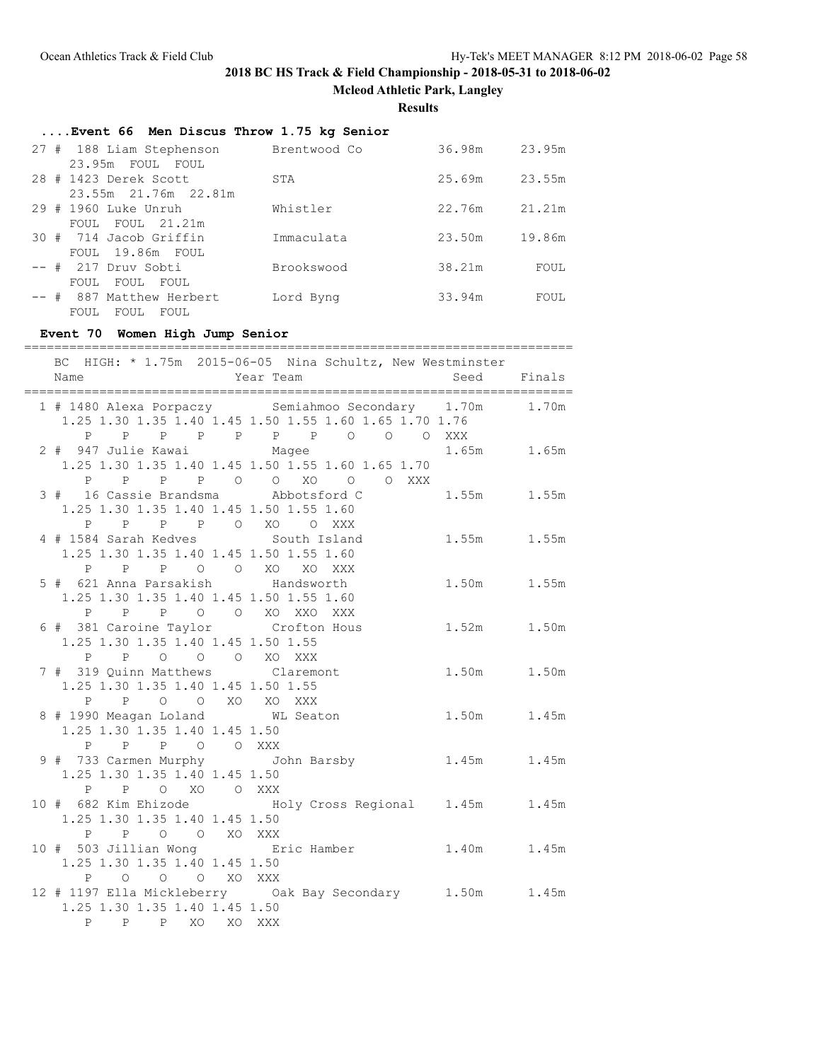**Mcleod Athletic Park, Langley**

**Results**

| Event 66 Men Discus Throw 1.75 kg Senior |              |        |        |  |  |
|------------------------------------------|--------------|--------|--------|--|--|
| 27 # 188 Liam Stephenson                 | Brentwood Co | 36.98m | 23.95m |  |  |
| 23.95m FOUL FOUL                         |              |        |        |  |  |
| 28 # 1423 Derek Scott                    | STA          | 25.69m | 23.55m |  |  |
| 23.55m 21.76m 22.81m                     |              |        |        |  |  |
| 29 # 1960 Luke Unruh                     | Whistler     | 22.76m | 21.21m |  |  |
| FOUL FOUL 21.21m                         |              |        |        |  |  |
| 30 # 714 Jacob Griffin                   | Immaculata   | 23.50m | 19.86m |  |  |
| FOUL 19.86m FOUL                         |              |        |        |  |  |
| -- # 217 Druv Sobti                      | Brookswood   | 38.21m | FOUL   |  |  |
| FOUL FOUL<br>FOUL                        |              |        |        |  |  |
| -- # 887 Matthew Herbert                 | Lord Byng    | 33.94m | FOUL   |  |  |
| FOUL<br>FOUL<br>FOUL                     |              |        |        |  |  |

**Event 70 Women High Jump Senior** ========================================================================= BC HIGH: \* 1.75m 2015-06-05 Nina Schultz, New Westminster Name Year Team Seed Finals ========================================================================= 1 # 1480 Alexa Porpaczy Semiahmoo Secondary 1.70m 1.70m 1.25 1.30 1.35 1.40 1.45 1.50 1.55 1.60 1.65 1.70 1.76 P P P P P P P O O O XXX 2 # 947 Julie Kawai Magee 1.65m 1.65m 1.25 1.30 1.35 1.40 1.45 1.50 1.55 1.60 1.65 1.70 P P P P O O XO O O XXX 3 # 16 Cassie Brandsma Abbotsford C 1.55m 1.55m 1.25 1.30 1.35 1.40 1.45 1.50 1.55 1.60 P P P P O XO O XXX 4 # 1584 Sarah Kedves South Island 1.55m 1.55m 1.25 1.30 1.35 1.40 1.45 1.50 1.55 1.60 P P P O O XO XO XXX 5 # 621 Anna Parsakish Handsworth 1.50m 1.55m 1.25 1.30 1.35 1.40 1.45 1.50 1.55 1.60 P P P O O XO XXO XXX 6 # 381 Caroine Taylor Crofton Hous 1.52m 1.50m 1.25 1.30 1.35 1.40 1.45 1.50 1.55 P P O O O XO XXX 7 # 319 Quinn Matthews Claremont 1.50m 1.50m 1.25 1.30 1.35 1.40 1.45 1.50 1.55 P P O O XO XO XXX 8 # 1990 Meagan Loland WL Seaton 1.50m 1.45m 1.25 1.30 1.35 1.40 1.45 1.50 P P P O O XXX 9 # 733 Carmen Murphy John Barsby 1.45m 1.45m 1.25 1.30 1.35 1.40 1.45 1.50 P P O XO O XXX 10 # 682 Kim Ehizode Holy Cross Regional 1.45m 1.45m 1.25 1.30 1.35 1.40 1.45 1.50 P P O O XO XXX 10 # 503 Jillian Wong Eric Hamber 1.40m 1.45m 1.25 1.30 1.35 1.40 1.45 1.50 P O O O XO XXX 12 # 1197 Ella Mickleberry Oak Bay Secondary 1.50m 1.45m 1.25 1.30 1.35 1.40 1.45 1.50 P P P XO XO XXX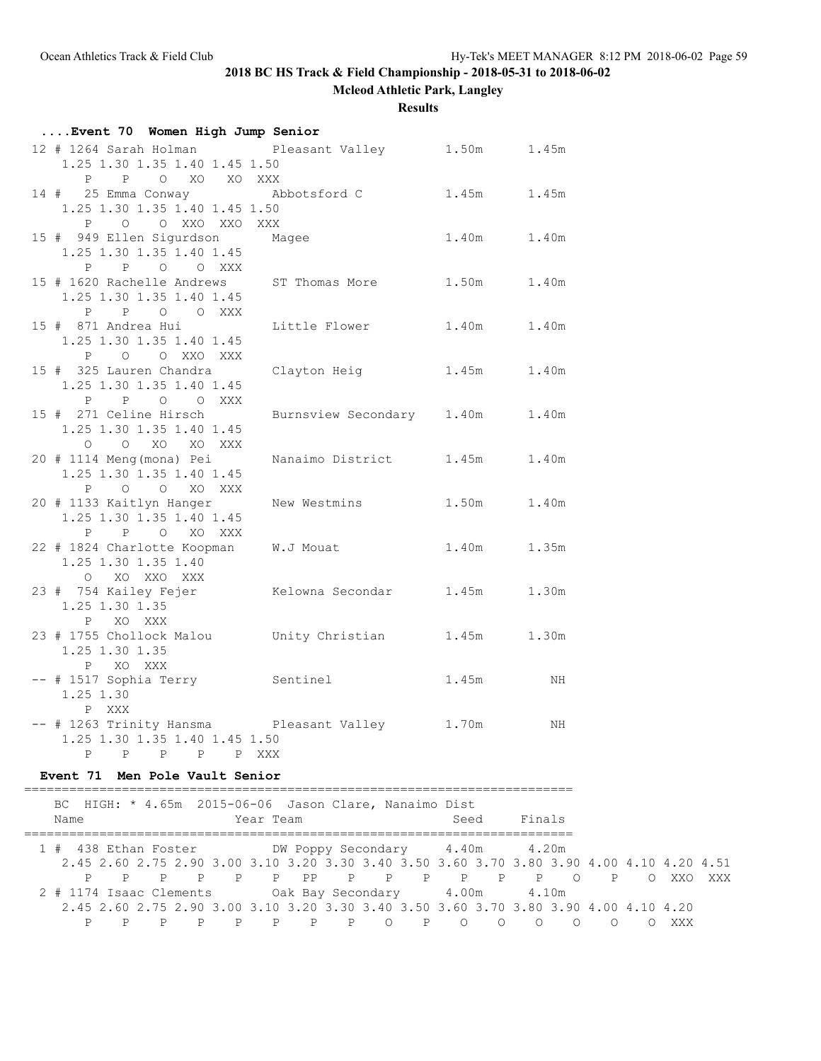**Mcleod Athletic Park, Langley**

**Results**

| Event 70 Women High Jump Senior                      |                           |             |       |  |  |
|------------------------------------------------------|---------------------------|-------------|-------|--|--|
| 12 # 1264 Sarah Holman Pleasant Valley 1.50m 1.45m   |                           |             |       |  |  |
| 1.25 1.30 1.35 1.40 1.45 1.50                        |                           |             |       |  |  |
| P P O XO XO XXX                                      |                           |             |       |  |  |
| 14 # 25 Emma Conway Abbotsford C                     |                           | 1.45m 1.45m |       |  |  |
| 1.25 1.30 1.35 1.40 1.45 1.50                        |                           |             |       |  |  |
| P O O XXO XXO XXX                                    |                           |             |       |  |  |
| 15 # 949 Ellen Sigurdson Magee                       |                           | 1.40m 1.40m |       |  |  |
| 1.25 1.30 1.35 1.40 1.45                             |                           |             |       |  |  |
| P P O O XXX                                          |                           |             |       |  |  |
| 15 # 1620 Rachelle Andrews ST Thomas More 1.50m      |                           |             | 1.40m |  |  |
| 1.25 1.30 1.35 1.40 1.45                             |                           |             |       |  |  |
| P P O O XXX                                          |                           |             |       |  |  |
| 15 # 871 Andrea Hui                                  | Little Flower 1.40m       |             | 1.40m |  |  |
| 1.25 1.30 1.35 1.40 1.45                             |                           |             |       |  |  |
| P O O XXO XXX                                        |                           |             |       |  |  |
| 15 # 325 Lauren Chandra Clayton Heig 1.45m 1.40m     |                           |             |       |  |  |
| 1.25 1.30 1.35 1.40 1.45                             |                           |             |       |  |  |
| P P O O XXX                                          |                           |             |       |  |  |
| 15 # 271 Celine Hirsch                               | Burnsview Secondary 1.40m |             | 1.40m |  |  |
| 1.25 1.30 1.35 1.40 1.45                             |                           |             |       |  |  |
| O O XO XO XXX                                        |                           |             |       |  |  |
| 20 # 1114 Meng (mona) Pei                            | Nanaimo District 1.45m    |             | 1.40m |  |  |
| 1.25 1.30 1.35 1.40 1.45                             |                           |             |       |  |  |
| P O O XO XXX                                         |                           |             |       |  |  |
| 20 # 1133 Kaitlyn Hanger                             | New Westmins              | 1.50m       | 1.40m |  |  |
| 1.25 1.30 1.35 1.40 1.45<br>P P O XO XXX             |                           |             |       |  |  |
| 22 # 1824 Charlotte Koopman W.J Mouat                |                           | 1.40m       | 1.35m |  |  |
| 1.25 1.30 1.35 1.40                                  |                           |             |       |  |  |
| O XO XXO XXX                                         |                           |             |       |  |  |
| 23 # 754 Kailey Fejer Kelowna Secondar 1.45m         |                           |             | 1.30m |  |  |
| 1.25 1.30 1.35                                       |                           |             |       |  |  |
| P XO XXX                                             |                           |             |       |  |  |
| 23 # 1755 Chollock Malou Unity Christian 1.45m 1.30m |                           |             |       |  |  |
| 1.25 1.30 1.35                                       |                           |             |       |  |  |
| P XO XXX                                             |                           |             |       |  |  |
| -- # 1517 Sophia Terry Sentinel                      |                           | 1.45m       | NH    |  |  |
| 1.25 1.30                                            |                           |             |       |  |  |
| P XXX                                                |                           |             |       |  |  |
| -- # 1263 Trinity Hansma Pleasant Valley 1.70m       |                           |             | NH    |  |  |
| 1.25 1.30 1.35 1.40 1.45 1.50                        |                           |             |       |  |  |
| P P P P P XXX                                        |                           |             |       |  |  |

### **Event 71 Men Pole Vault Senior**

========================================================================= BC HIGH: \* 4.65m 2015-06-06 Jason Clare, Nanaimo Dist Name Seed Finals (Near Team Seed Finals ========================================================================= 1 # 438 Ethan Foster DW Poppy Secondary 4.40m 4.20m 2.45 2.60 2.75 2.90 3.00 3.10 3.20 3.30 3.40 3.50 3.60 3.70 3.80 3.90 4.00 4.10 4.20 4.51 P P P P P P PP P P P P P P O P O XXO XXX 2 # 1174 Isaac Clements Oak Bay Secondary 4.00m 4.10m 2.45 2.60 2.75 2.90 3.00 3.10 3.20 3.30 3.40 3.50 3.60 3.70 3.80 3.90 4.00 4.10 4.20 P P P P P P P P O P O O O O O O XXX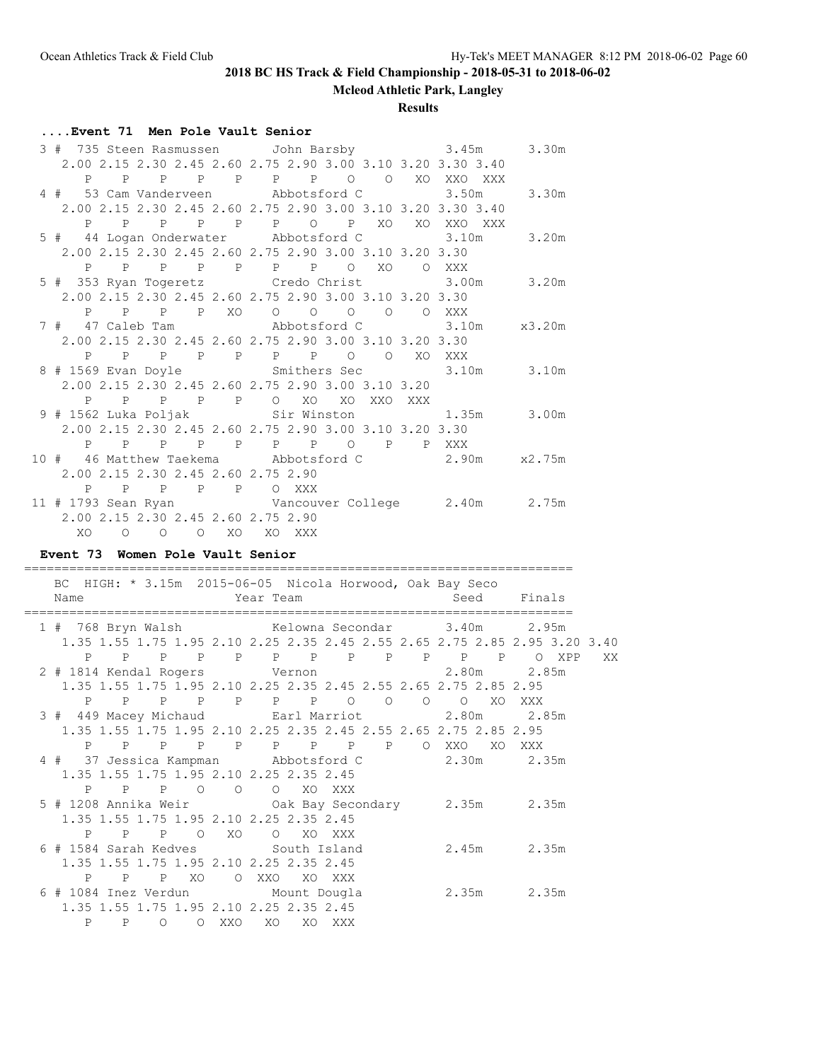**Mcleod Athletic Park, Langley**

#### **Results**

### **....Event 71 Men Pole Vault Senior**

| 3 # 735 Steen Rasmussen John Barsby 3.45m                                        |  |  |  |         |    |                                                             | 3.30m |
|----------------------------------------------------------------------------------|--|--|--|---------|----|-------------------------------------------------------------|-------|
|                                                                                  |  |  |  |         |    | 2.00 2.15 2.30 2.45 2.60 2.75 2.90 3.00 3.10 3.20 3.30 3.40 |       |
|                                                                                  |  |  |  |         |    | P P P P P P P P O O XO XXO XXX                              |       |
| 4 # 53 Cam Vanderveen Abbotsford C 3.50m                                         |  |  |  |         |    |                                                             | 3.30m |
|                                                                                  |  |  |  |         |    | 2.00 2.15 2.30 2.45 2.60 2.75 2.90 3.00 3.10 3.20 3.30 3.40 |       |
|                                                                                  |  |  |  |         |    | P P P P P P P P XO XO XXO XXX                               |       |
| 5 # 44 Logan Onderwater Abbotsford C 3.10m                                       |  |  |  |         |    |                                                             | 3.20m |
| 2.00 2.15 2.30 2.45 2.60 2.75 2.90 3.00 3.10 3.20 3.30                           |  |  |  |         |    |                                                             |       |
| P P P P P P P P O XO O XXX                                                       |  |  |  |         |    |                                                             |       |
| 5 # 353 Ryan Togeretz Credo Christ 3.00m                                         |  |  |  |         |    |                                                             | 3.20m |
| 2.00 2.15 2.30 2.45 2.60 2.75 2.90 3.00 3.10 3.20 3.30                           |  |  |  |         |    |                                                             |       |
| P P P P XO O O O O O XXX                                                         |  |  |  |         |    |                                                             |       |
|                                                                                  |  |  |  |         |    |                                                             |       |
| 2.00 2.15 2.30 2.45 2.60 2.75 2.90 3.00 3.10 3.20 3.30                           |  |  |  |         |    |                                                             |       |
| P P P P P P P O                                                                  |  |  |  | $\circ$ | XO | XXX                                                         |       |
| 8 # 1569 Evan Doyle Smithers Sec 3.10m 3.10m                                     |  |  |  |         |    |                                                             |       |
| 2.00 2.15 2.30 2.45 2.60 2.75 2.90 3.00 3.10 3.20                                |  |  |  |         |    |                                                             |       |
| P P P P P O XO XO XXO XXX                                                        |  |  |  |         |    |                                                             |       |
| 9 # 1562 Luka Poljak                 Sir Winston               1.35m       3.00m |  |  |  |         |    |                                                             |       |
| 2.00 2.15 2.30 2.45 2.60 2.75 2.90 3.00 3.10 3.20 3.30                           |  |  |  |         |    |                                                             |       |
| P P P P P P P P P XXX                                                            |  |  |  |         |    |                                                             |       |
| 10 # 46 Matthew Taekema Abbotsford C 2.90m x2.75m                                |  |  |  |         |    |                                                             |       |
| 2.00 2.15 2.30 2.45 2.60 2.75 2.90                                               |  |  |  |         |    |                                                             |       |
| P P P P P O XXX                                                                  |  |  |  |         |    |                                                             |       |
| 11 # 1793 Sean Ryan Mancouver College 2.40m 2.75m                                |  |  |  |         |    |                                                             |       |
| 2.00 2.15 2.30 2.45 2.60 2.75 2.90                                               |  |  |  |         |    |                                                             |       |
| XOOOOOXOXOXXX                                                                    |  |  |  |         |    |                                                             |       |

#### **Event 73 Women Pole Vault Senior**

========================================================================= BC HIGH: \* 3.15m 2015-06-05 Nicola Horwood, Oak Bay Seco Name Year Team Seed Finals ========================================================================= 1 # 768 Bryn Walsh Kelowna Secondar 3.40m 2.95m 1.35 1.55 1.75 1.95 2.10 2.25 2.35 2.45 2.55 2.65 2.75 2.85 2.95 3.20 3.40 P P P P P P P P P P P P O XPP XX 2 # 1814 Kendal Rogers Vernon 2.80m 2.85m 1.35 1.55 1.75 1.95 2.10 2.25 2.35 2.45 2.55 2.65 2.75 2.85 2.95 P P P P P P P O O O O XO XXX 3 # 449 Macey Michaud Earl Marriot 2.80m 2.85m 1.35 1.55 1.75 1.95 2.10 2.25 2.35 2.45 2.55 2.65 2.75 2.85 2.95 P P P P P P P P P O XXO XO XXX 4 # 37 Jessica Kampman Abbotsford C 2.30m 2.35m 1.35 1.55 1.75 1.95 2.10 2.25 2.35 2.45 P P P O O O XO XXX 5 # 1208 Annika Weir Oak Bay Secondary 2.35m 2.35m 1.35 1.55 1.75 1.95 2.10 2.25 2.35 2.45 P P P O XO O XO XXX 6 # 1584 Sarah Kedves South Island 2.45m 2.35m 1.35 1.55 1.75 1.95 2.10 2.25 2.35 2.45 P P P XO O XXO XO XXX 6 # 1084 Inez Verdun Mount Dougla 2.35m 2.35m 1.35 1.55 1.75 1.95 2.10 2.25 2.35 2.45 P P O O XXO XO XO XXX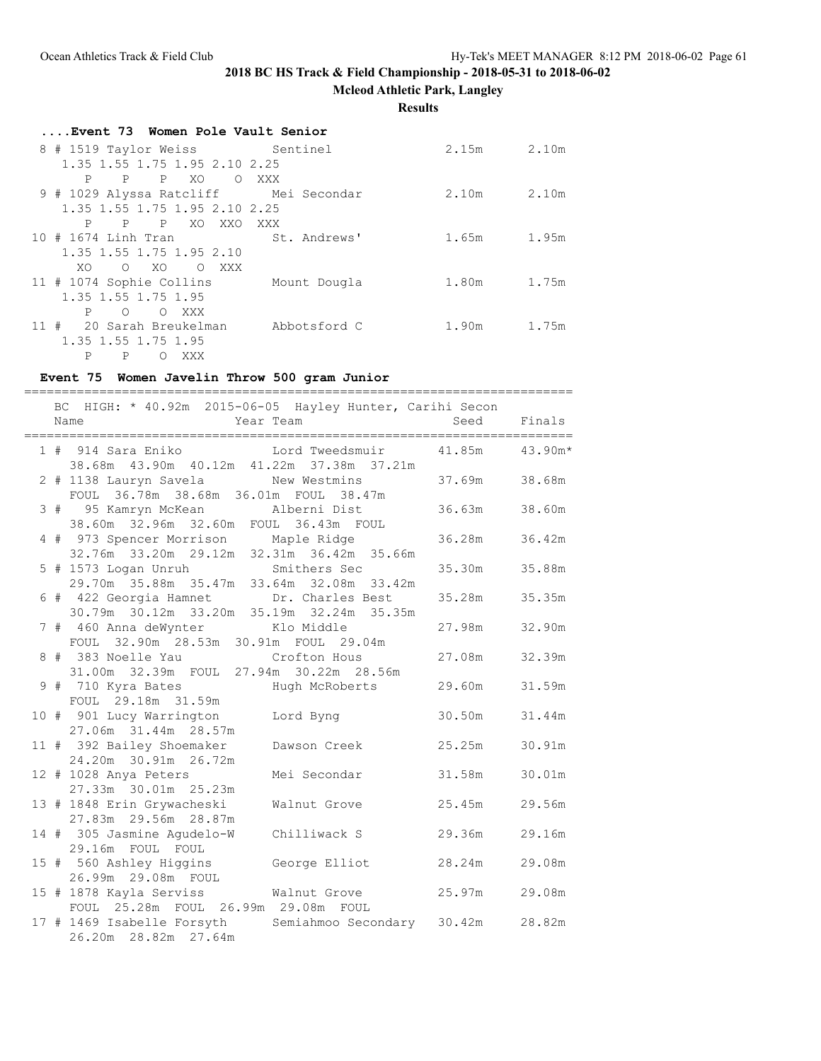**Mcleod Athletic Park, Langley**

#### **Results**

| Event 73 Women Pole Vault Senior      |              |       |       |
|---------------------------------------|--------------|-------|-------|
| 8 # 1519 Taylor Weiss Sentinel        |              | 2.15m | 2.10m |
| 1.35 1.55 1.75 1.95 2.10 2.25         |              |       |       |
| P P<br>XO.<br>P<br>$\circ$            | XXX X        |       |       |
| 9 # 1029 Alyssa Ratcliff Mei Secondar |              | 2.10m | 2.10m |
| 1.35 1.55 1.75 1.95 2.10 2.25         |              |       |       |
| XO XXO<br>P<br>$P$ $P$                | XXX          |       |       |
| 10 # 1674 Linh Tran                   | St. Andrews' | 1.65m | 1.95m |
| 1.35 1.55 1.75 1.95 2.10              |              |       |       |
| $O$ XO<br>XO.<br>O XXX                |              |       |       |
| 11 # 1074 Sophie Collins Mount Dougla |              | 1.80m | 1.75m |
| 1.35 1.55 1.75 1.95                   |              |       |       |
| P<br>$\circ$<br>$\circ$<br>XXX        |              |       |       |
| 11 # 20 Sarah Breukelman              | Abbotsford C | 1.90m | 1.75m |
| 1.35 1.55 1.75 1.95                   |              |       |       |
| P<br>P<br>∩<br>XXX                    |              |       |       |

#### **Event 75 Women Javelin Throw 500 gram Junior**

========================================================================= BC HIGH: \* 40.92m 2015-06-05 Hayley Hunter, Carihi Secon Name Year Team Seed Finals ========================================================================= 1 # 914 Sara Eniko Lord Tweedsmuir 41.85m 43.90m\* 38.68m 43.90m 40.12m 41.22m 37.38m 37.21m 2 # 1138 Lauryn Savela New Westmins 37.69m 38.68m FOUL 36.78m 38.68m 36.01m FOUL 38.47m 3 # 95 Kamryn McKean Alberni Dist 36.63m 38.60m 38.60m 32.96m 32.60m FOUL 36.43m FOUL 4 # 973 Spencer Morrison Maple Ridge 36.28m 36.42m 32.76m 33.20m 29.12m 32.31m 36.42m 35.66m 5 # 1573 Logan Unruh Smithers Sec 35.30m 35.88m 29.70m 35.88m 35.47m 33.64m 32.08m 33.42m 6 # 422 Georgia Hamnet Dr. Charles Best 35.28m 35.35m 30.79m 30.12m 33.20m 35.19m 32.24m 35.35m 7 # 460 Anna deWynter Klo Middle 27.98m 32.90m FOUL 32.90m 28.53m 30.91m FOUL 29.04m 8 # 383 Noelle Yau Crofton Hous 27.08m 32.39m 31.00m 32.39m FOUL 27.94m 30.22m 28.56m 9 # 710 Kyra Bates Mugh McRoberts 29.60m 31.59m FOUL 29.18m 31.59m 10 # 901 Lucy Warrington Lord Byng 30.50m 31.44m 27.06m 31.44m 28.57m 11 # 392 Bailey Shoemaker Dawson Creek 25.25m 30.91m 24.20m 30.91m 26.72m 12 # 1028 Anya Peters Mei Secondar 31.58m 30.01m 27.33m 30.01m 25.23m 13 # 1848 Erin Grywacheski Walnut Grove 25.45m 29.56m 27.83m 29.56m 28.87m 14 # 305 Jasmine Agudelo-W Chilliwack S 29.36m 29.16m 29.16m FOUL FOUL 15 # 560 Ashley Higgins George Elliot 28.24m 29.08m 26.99m 29.08m FOUL 15 # 1878 Kayla Serviss<br>
15 # 1878 Kayla Serviss Malnut Grove 25.97m 29.08m<br>
15 # 1878 Kayla Serviss Malnut Grove 2011 FOUL 25.28m FOUL 26.99m 29.08m FOUL 17 # 1469 Isabelle Forsyth Semiahmoo Secondary 30.42m 28.82m 26.20m 28.82m 27.64m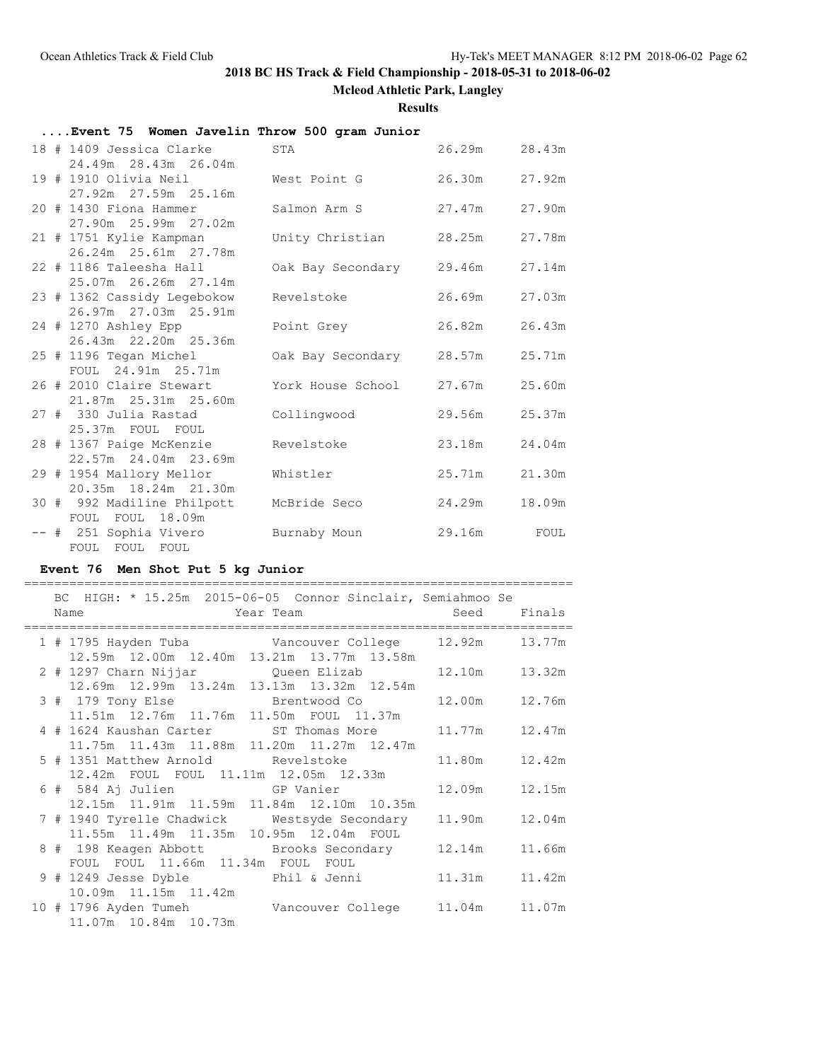**Mcleod Athletic Park, Langley**

**Results**

### **....Event 75 Women Javelin Throw 500 gram Junior**

|  | 18 # 1409 Jessica Clarke                        | STA                      | 26.29m | 28.43m |
|--|-------------------------------------------------|--------------------------|--------|--------|
|  | 24.49m 28.43m 26.04m                            |                          |        |        |
|  | 19 # 1910 Olivia Neil                           | West Point G             | 26.30m | 27.92m |
|  | 27.92m 27.59m 25.16m                            |                          |        |        |
|  | 20 # 1430 Fiona Hammer                          | Salmon Arm S             | 27.47m | 27.90m |
|  | 27.90m 25.99m 27.02m<br>21 # 1751 Kylie Kampman | Unity Christian 28.25m   |        | 27.78m |
|  | 26.24m 25.61m 27.78m                            |                          |        |        |
|  | 22 # 1186 Taleesha Hall                         | Oak Bay Secondary 29.46m |        | 27.14m |
|  | 25.07m 26.26m 27.14m                            |                          |        |        |
|  | 23 # 1362 Cassidy Legebokow                     | Revelstoke               | 26.69m | 27.03m |
|  | 26.97m 27.03m 25.91m                            |                          |        |        |
|  | 24 # 1270 Ashley Epp                            | Point Grey               | 26.82m | 26.43m |
|  | 26.43m 22.20m 25.36m                            |                          |        |        |
|  | 25 # 1196 Tegan Michel                          | Oak Bay Secondary 28.57m |        | 25.71m |
|  | FOUL 24.91m 25.71m                              |                          |        |        |
|  | 26 # 2010 Claire Stewart                        | York House School 27.67m |        | 25.60m |
|  | 21.87m 25.31m 25.60m                            |                          |        |        |
|  | 27 # 330 Julia Rastad                           | Collingwood              | 29.56m | 25.37m |
|  | 25.37m FOUL FOUL                                |                          |        |        |
|  | 28 # 1367 Paige McKenzie                        | Revelstoke               | 23.18m | 24.04m |
|  | 22.57m 24.04m 23.69m                            |                          |        |        |
|  | 29 # 1954 Mallory Mellor                        | Whistler                 | 25.71m | 21.30m |
|  | 20.35m 18.24m 21.30m                            |                          |        |        |
|  | 30 # 992 Madiline Philpott                      | McBride Seco             | 24.29m | 18.09m |
|  | FOUL FOUL 18.09m                                |                          |        |        |
|  | -- # 251 Sophia Vivero                          | Burnaby Moun             | 29.16m | FOUL   |
|  | FOUL FOUL FOUL                                  |                          |        |        |

### **Event 76 Men Shot Put 5 kg Junior**

|  | BC HIGH: * 15.25m 2015-06-05 Connor Sinclair, Semiahmoo Se |                 |        |
|--|------------------------------------------------------------|-----------------|--------|
|  | <b>Example 2</b> Seed Finals<br>Name                       |                 |        |
|  |                                                            |                 |        |
|  | 12.59m  12.00m  12.40m  13.21m  13.77m  13.58m             |                 |        |
|  | 2 # 1297 Charn Nijjar (Queen Elizab                        | 12.10m   13.32m |        |
|  | 12.69m 12.99m 13.24m 13.13m 13.32m 12.54m                  |                 |        |
|  | 3 # 179 Tony Else Brentwood Co                             | 12.00m 12.76m   |        |
|  | 11.51m  12.76m  11.76m  11.50m  FOUL  11.37m               |                 |        |
|  | 4 # 1624 Kaushan Carter ST Thomas More                     | 11.77m 12.47m   |        |
|  | 11.75m  11.43m  11.88m  11.20m  11.27m  12.47m             |                 |        |
|  | 5 # 1351 Matthew Arnold Revelstoke                         | 11.80m   12.42m |        |
|  | 12.42m FOUL FOUL 11.11m 12.05m 12.33m                      |                 |        |
|  |                                                            | 12.09m 12.15m   |        |
|  | 12.15m  11.91m  11.59m  11.84m  12.10m  10.35m             |                 |        |
|  | 7 # 1940 Tyrelle Chadwick Mestsyde Secondary               | 11.90m 12.04m   |        |
|  | 11.55m  11.49m  11.35m  10.95m  12.04m  FOUL               |                 |        |
|  | 8 # 198 Keagen Abbott Brooks Secondary                     | 12.14m          | 11.66m |
|  | FOUL FOUL 11.66m 11.34m FOUL FOUL                          |                 |        |
|  | 9 # 1249 Jesse Dyble Phil & Jenni                          | 11.31m          | 11.42m |
|  | 10.09m 11.15m 11.42m                                       |                 |        |
|  | 10 # 1796 Ayden Tumeh Vancouver College 11.04m 11.07m      |                 |        |
|  | 11.07m  10.84m  10.73m                                     |                 |        |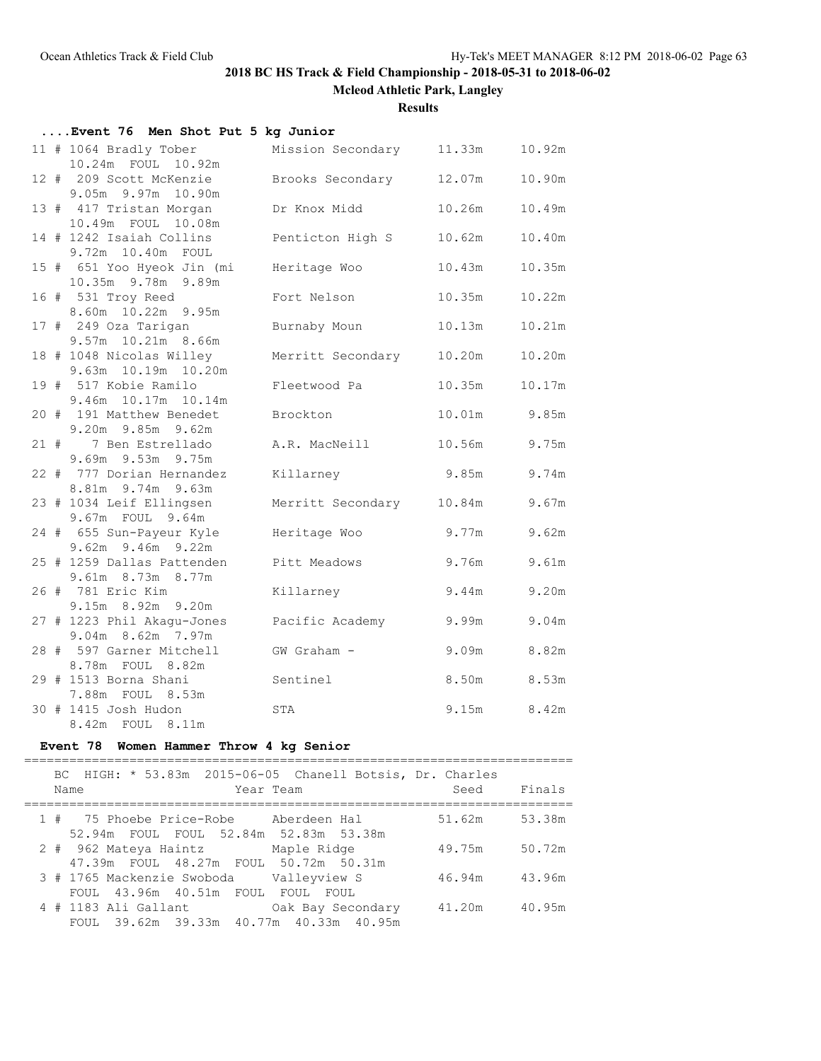**Mcleod Athletic Park, Langley**

**Results**

| Event 76 Men Shot Put 5 kg Junior                |                          |        |              |
|--------------------------------------------------|--------------------------|--------|--------------|
| 11 # 1064 Bradly Tober<br>10.24m  FOUL  10.92m   | Mission Secondary 11.33m |        | 10.92m       |
| 12 # 209 Scott McKenzie<br>9.05m 9.97m 10.90m    | Brooks Secondary 12.07m  |        | 10.90m       |
| 13 # 417 Tristan Morgan<br>10.49m FOUL 10.08m    | Dr Knox Midd             | 10.26m | 10.49m       |
| 14 # 1242 Isaiah Collins<br>9.72m 10.40m FOUL    | Penticton High S         | 10.62m | 10.40m       |
| 15 # 651 Yoo Hyeok Jin (mi<br>10.35m 9.78m 9.89m | Heritage Woo             | 10.43m | 10.35m       |
| 16 # 531 Troy Reed<br>8.60m 10.22m 9.95m         | Fort Nelson              | 10.35m | 10.22m       |
| 17 # 249 Oza Tarigan<br>9.57m 10.21m 8.66m       | Burnaby Moun             | 10.13m | 10.21m       |
| 18 # 1048 Nicolas Willey<br>9.63m 10.19m 10.20m  | Merritt Secondary 10.20m |        | 10.20m       |
| 19 # 517 Kobie Ramilo<br>9.46m 10.17m 10.14m     | Fleetwood Pa             | 10.35m | 10.17m       |
| 20 # 191 Matthew Benedet<br>9.20m 9.85m 9.62m    | Brockton                 |        | 10.01m 9.85m |
| 21 # 7 Ben Estrellado<br>9.69m 9.53m 9.75m       | A.R. MacNeill            | 10.56m | 9.75m        |
| 22 # 777 Dorian Hernandez<br>8.81m 9.74m 9.63m   | Killarney                | 9.85m  | 9.74m        |
| 23 # 1034 Leif Ellingsen<br>9.67m FOUL 9.64m     | Merritt Secondary 10.84m |        | 9.67m        |
| 24 # 655 Sun-Payeur Kyle<br>9.62m 9.46m 9.22m    | Heritage Woo             | 9.77m  | 9.62m        |
| 25 # 1259 Dallas Pattenden<br>9.61m 8.73m 8.77m  | Pitt Meadows             | 9.76m  | 9.61m        |
| 26 # 781 Eric Kim<br>9.15m 8.92m 9.20m           | Killarney                | 9.44m  | 9.20m        |
| 27 # 1223 Phil Akagu-Jones<br>9.04m 8.62m 7.97m  | Pacific Academy 9.99m    |        | 9.04m        |
| 28 # 597 Garner Mitchell<br>8.78m FOUL 8.82m     | GW Graham -              |        | 9.09m 8.82m  |
| 29 # 1513 Borna Shani<br>7.88m FOUL 8.53m        | Sentinel                 |        | 8.50m 8.53m  |
| 30 # 1415 Josh Hudon<br>8.42m FOUL 8.11m         | STA                      |        | 9.15m 8.42m  |

### **Event 78 Women Hammer Throw 4 kg Senior**

|  | Name                 |  | Year Team |                                                                              |                                                              | BC HIGH: * 53.83m 2015-06-05 Chanell Botsis, Dr. Charles<br>Seed | Finals |
|--|----------------------|--|-----------|------------------------------------------------------------------------------|--------------------------------------------------------------|------------------------------------------------------------------|--------|
|  |                      |  |           | 1 # 75 Phoebe Price-Robe     Aberdeen Hal                                    |                                                              | 51.62m                                                           | 53.38m |
|  |                      |  |           | 52.94m FOUL FOUL 52.84m 52.83m 53.38m<br>2 # 962 Mateya Haintz Maple Ridge   |                                                              | 49.75m                                                           | 50.72m |
|  |                      |  |           | 47.39m FOUL 48.27m FOUL 50.72m 50.31m                                        |                                                              |                                                                  |        |
|  |                      |  |           | 3 # 1765 Mackenzie Swoboda Valleyview S<br>FOUL 43.96m 40.51m FOUL FOUL FOUL |                                                              | 46.94m                                                           | 43.96m |
|  | 4 # 1183 Ali Gallant |  |           |                                                                              | Oak Bay Secondary<br>FOUL 39.62m 39.33m 40.77m 40.33m 40.95m | 41.20m                                                           | 40.95m |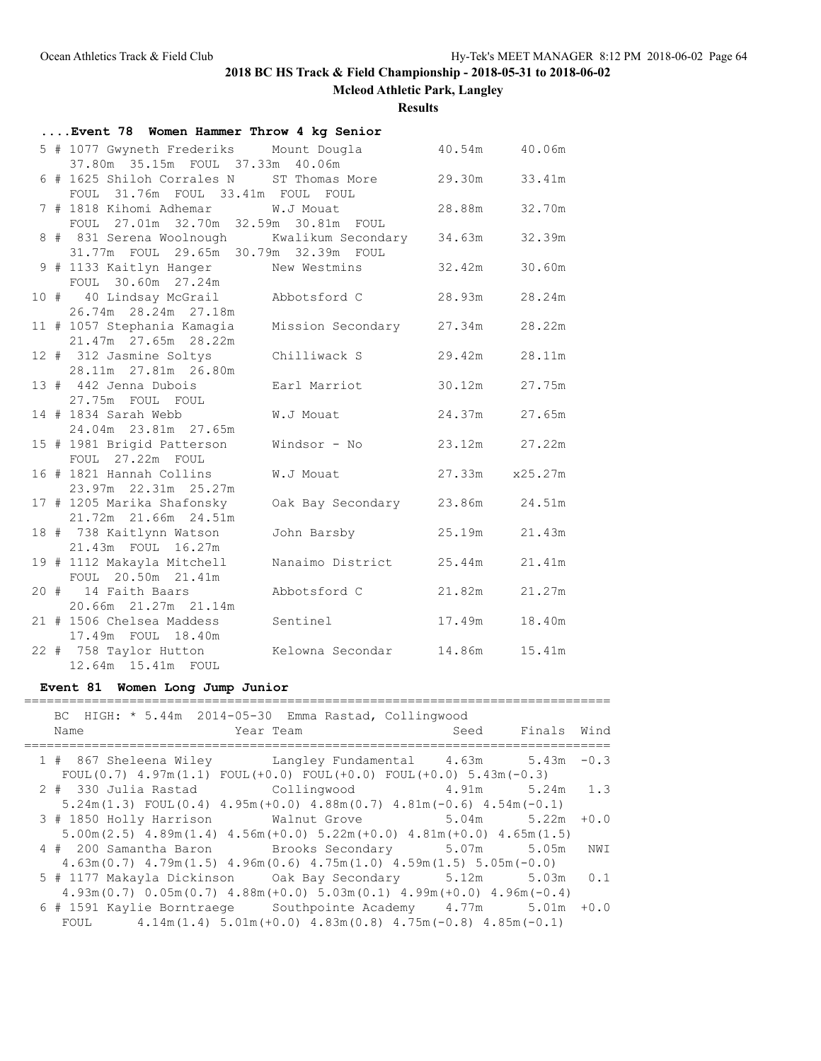**Mcleod Athletic Park, Langley**

**Results**

| Event 78 Women Hammer Throw 4 kg Senior                                              |                   |                |        |
|--------------------------------------------------------------------------------------|-------------------|----------------|--------|
| 5 # 1077 Gwyneth Frederiks Mount Dougla<br>37.80m 35.15m FOUL 37.33m 40.06m          |                   | 40.54m 40.06m  |        |
| 6 # 1625 Shiloh Corrales N ST Thomas More<br>FOUL 31.76m FOUL 33.41m FOUL            | FOUL              | 29.30m 33.41m  |        |
| 7 # 1818 Kihomi Adhemar W.J Mouat<br>FOUL 27.01m 32.70m 32.59m 30.81m FOUL           |                   | 28.88m 32.70m  |        |
| 8 # 831 Serena Woolnough Kwalikum Secondary<br>31.77m FOUL 29.65m 30.79m 32.39m FOUL |                   | 34.63m         | 32.39m |
| 9 # 1133 Kaitlyn Hanger New Westmins<br>FOUL 30.60m 27.24m                           |                   | 32.42m         | 30.60m |
| 10 # 40 Lindsay McGrail Abbotsford C<br>26.74m 28.24m 27.18m                         |                   | 28.93m         | 28.24m |
| 11 # 1057 Stephania Kamagia<br>$21.47m$ $27.65m$ $28.22m$                            | Mission Secondary | 27.34m         | 28.22m |
| 12 # 312 Jasmine Soltys<br>28.11m  27.81m  26.80m                                    | Chilliwack S      | 29.42m         | 28.11m |
| 13 # 442 Jenna Dubois<br>27.75m FOUL FOUL                                            | Earl Marriot      | 30.12m         | 27.75m |
| 14 # 1834 Sarah Webb<br>24.04m 23.81m 27.65m                                         | W.J Mouat         | 24.37m         | 27.65m |
| 15 # 1981 Brigid Patterson<br>FOUL 27.22m FOUL                                       | Windsor - No      | 23.12m 27.22m  |        |
| 16 # 1821 Hannah Collins<br>23.97m 22.31m 25.27m                                     | W.J Mouat         | 27.33m x25.27m |        |
| 17 # 1205 Marika Shafonsky<br>21.72m 21.66m 24.51m                                   | Oak Bay Secondary | 23.86m 24.51m  |        |
| 18 # 738 Kaitlynn Watson<br>21.43m FOUL 16.27m                                       | John Barsby       | 25.19m         | 21.43m |
| 19 # 1112 Makayla Mitchell<br>FOUL 20.50m 21.41m                                     | Nanaimo District  | 25.44m         | 21.41m |
| 20 # 14 Faith Baars<br>20.66m 21.27m 21.14m                                          | Abbotsford C      | 21.82m         | 21.27m |
| 21 # 1506 Chelsea Maddess                                                            | Sentinel          | 17.49m         | 18.40m |
| 17.49m FOUL 18.40m<br>22 # 758 Taylor Hutton<br>12.64m 15.41m FOUL                   | Kelowna Secondar  | 14.86m         | 15.41m |

### **Event 81 Women Long Jump Junior**

| BC HIGH: * 5.44m 2014-05-30 Emma Rastad, Collingwood<br>Year Team<br>Name                                | Seed Finals Wind |     |
|----------------------------------------------------------------------------------------------------------|------------------|-----|
|                                                                                                          |                  |     |
| 1 # 867 Sheleena Wiley Langley Fundamental 4.63m 5.43m -0.3                                              |                  |     |
| FOUL $(0.7)$ 4.97m $(1.1)$ FOUL $(+0.0)$ FOUL $(+0.0)$ FOUL $(+0.0)$ 5.43m $(-0.3)$                      |                  |     |
| 2 # 330 Julia Rastad Collingwood 4.91m 5.24m 1.3                                                         |                  |     |
| $5.24$ m $(1.3)$ FOUL $(0.4)$ $4.95$ m $(+0.0)$ $4.88$ m $(0.7)$ $4.81$ m $(-0.6)$ $4.54$ m $(-0.1)$     |                  |     |
| 3 # 1850 Holly Harrison Walnut Grove 5.04m 5.22m +0.0                                                    |                  |     |
| $5.00$ m $(2.5)$ $4.89$ m $(1.4)$ $4.56$ m $(+0.0)$ $5.22$ m $(+0.0)$ $4.81$ m $(+0.0)$ $4.65$ m $(1.5)$ |                  |     |
| 4 # 200 Samantha Baron Brooks Secondary 5.07m 5.05m                                                      |                  | NWI |
| $4.63$ m $(0.7)$ $4.79$ m $(1.5)$ $4.96$ m $(0.6)$ $4.75$ m $(1.0)$ $4.59$ m $(1.5)$ $5.05$ m $(-0.0)$   |                  |     |
|                                                                                                          |                  |     |
| $4.93$ m $(0.7)$ $0.05$ m $(0.7)$ $4.88$ m $(+0.0)$ $5.03$ m $(0.1)$ $4.99$ m $(+0.0)$ $4.96$ m $(-0.4)$ |                  |     |
| 6 # 1591 Kaylie Borntraege Southpointe Academy 4.77m 5.01m +0.0                                          |                  |     |
| FOUL $4.14m(1.4) 5.01m(+0.0) 4.83m(0.8) 4.75m(-0.8) 4.85m(-0.1)$                                         |                  |     |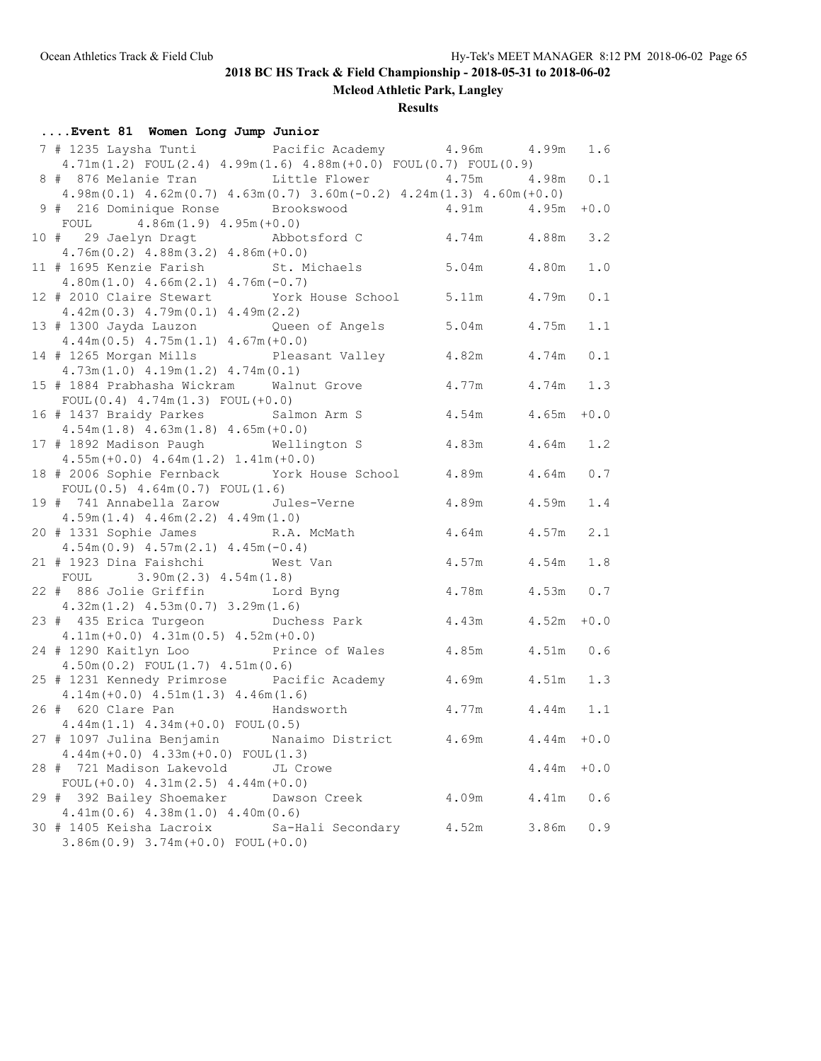**Mcleod Athletic Park, Langley**

**Results**

| Event 81 Women Long Jump Junior                                                                    |                   |             |       |             |
|----------------------------------------------------------------------------------------------------|-------------------|-------------|-------|-------------|
| 7 # 1235 Laysha Tunti           Pacific Academy         4.96m       4.99m                          |                   |             |       | 1.6         |
| $4.71m(1.2)$ FOUL $(2.4)$ $4.99m(1.6)$ $4.88m(+0.0)$ FOUL $(0.7)$ FOUL $(0.9)$                     |                   |             |       |             |
| 8 # 876 Melanie Tran bittle Flower 4.75m 4.98m                                                     |                   |             |       | 0.1         |
| $4.98m(0.1)$ $4.62m(0.7)$ $4.63m(0.7)$ $3.60m(-0.2)$ $4.24m(1.3)$ $4.60m(+0.0)$                    |                   |             |       |             |
| 9 # 216 Dominique Ronse Brookswood                                                                 | 4.91m 4.95m       |             |       | $+0.0$      |
| FOUL $4.86m(1.9) 4.95m(+0.0)$                                                                      |                   |             |       |             |
| 10 # 29 Jaelyn Dragt Abbotsford C                                                                  |                   | 4.74m 4.88m |       | 3.2         |
| $4.76m(0.2)$ $4.88m(3.2)$ $4.86m(+0.0)$                                                            |                   |             |       |             |
| 11 # 1695 Kenzie Farish St. Michaels 5.04m 4.80m                                                   |                   |             |       | 1.0         |
| $4.80m(1.0)$ $4.66m(2.1)$ $4.76m(-0.7)$                                                            |                   |             |       |             |
| 12 # 2010 Claire Stewart York House School 5.11m 4.79m                                             |                   |             |       | 0.1         |
| $4.42m(0.3)$ $4.79m(0.1)$ $4.49m(2.2)$                                                             |                   |             |       |             |
| 13 # 1300 Jayda Lauzon Queen of Angels 5.04m 4.75m                                                 |                   |             |       | 1.1         |
| $4.44m(0.5)$ $4.75m(1.1)$ $4.67m(+0.0)$                                                            |                   |             |       |             |
| 14 # 1265 Morgan Mills Pleasant Valley 4.82m                                                       |                   |             | 4.74m | 0.1         |
| $4.73m(1.0)$ $4.19m(1.2)$ $4.74m(0.1)$<br>15 # 1884 Prabhasha Wickram Walnut Grove                 |                   | 4.77m       | 4.74m | 1.3         |
| $FOUL(0.4) 4.74m(1.3) FOUL(+0.0)$                                                                  |                   |             |       |             |
| 16 # 1437 Braidy Parkes Salmon Arm S                                                               |                   | 4.54m 4.65m |       | $+0.0$      |
| $4.54m(1.8)$ $4.63m(1.8)$ $4.65m(+0.0)$                                                            |                   |             |       |             |
| 17 # 1892 Madison Paugh Wellington S                                                               |                   | 4.83m 4.64m |       | 1.2         |
| $4.55m (+0.0)$ $4.64m(1.2)$ $1.41m (+0.0)$                                                         |                   |             |       |             |
| 18 # 2006 Sophie Fernback York House School 4.89m 4.64m                                            |                   |             |       | 0.7         |
| FOUL $(0.5)$ 4.64m $(0.7)$ FOUL $(1.6)$                                                            |                   |             |       |             |
| 19 # 741 Annabella Zarow Jules-Verne                                                               |                   | 4.89m 4.59m |       | 1.4         |
| $4.59m(1.4)$ $4.46m(2.2)$ $4.49m(1.0)$                                                             |                   |             |       |             |
| 20 # 1331 Sophie James R.A. McMath                                                                 |                   | 4.64m 4.57m |       | 2.1         |
| $4.54m(0.9)$ $4.57m(2.1)$ $4.45m(-0.4)$                                                            |                   |             |       |             |
| 21 # 1923 Dina Faishchi Mest Van                                                                   |                   | 4.57m       | 4.54m | 1.8         |
| FOUL $3.90m(2.3) 4.54m(1.8)$                                                                       |                   |             |       |             |
| 22 # 886 Jolie Griffin Lord Byng                                                                   |                   | 4.78m 4.53m |       | 0.7         |
| $4.32m(1.2)$ $4.53m(0.7)$ $3.29m(1.6)$                                                             |                   |             |       |             |
| 23 # 435 Erica Turgeon Duchess Park                                                                |                   | 4.43m 4.52m |       | $\bf{+0.0}$ |
| $4.11m (+0.0) 4.31m (0.5) 4.52m (+0.0)$                                                            |                   |             |       |             |
| 24 # 1290 Kaitlyn Loo Prince of Wales 4.85m 4.51m                                                  |                   |             |       | 0.6         |
| $4.50m(0.2)$ FOUL $(1.7)$ $4.51m(0.6)$                                                             |                   |             |       |             |
| 25 # 1231 Kennedy Primrose Pacific Academy 4.69m 4.51m<br>$4.14m (+0.0)$ $4.51m(1.3)$ $4.46m(1.6)$ |                   |             |       | 1.3         |
| 26 # 620 Clare Pan Mandsworth                                                                      |                   | 4.77m 4.44m |       | 1.1         |
| $4.44m(1.1)$ $4.34m(+0.0)$ $F0UL(0.5)$                                                             |                   |             |       |             |
| 27 # 1097 Julina Benjamin                                                                          | Nanaimo District  | 4.69m       | 4.44m | $+0.0$      |
| $4.44m (+0.0) 4.33m (+0.0) FOUL (1.3)$                                                             |                   |             |       |             |
| 28 # 721 Madison Lakevold                                                                          | JL Crowe          |             | 4.44m | $+0.0$      |
| FOUL $(+0.0)$ 4.31m $(2.5)$ 4.44m $(+0.0)$                                                         |                   |             |       |             |
| 29 # 392 Bailey Shoemaker Dawson Creek                                                             |                   | 4.09m       | 4.41m | 0.6         |
| $4.41m(0.6)$ $4.38m(1.0)$ $4.40m(0.6)$                                                             |                   |             |       |             |
| 30 # 1405 Keisha Lacroix                                                                           | Sa-Hali Secondary | 4.52m       | 3.86m | $0.9$       |
| $3.86m(0.9)$ $3.74m(+0.0)$ FOUL $(+0.0)$                                                           |                   |             |       |             |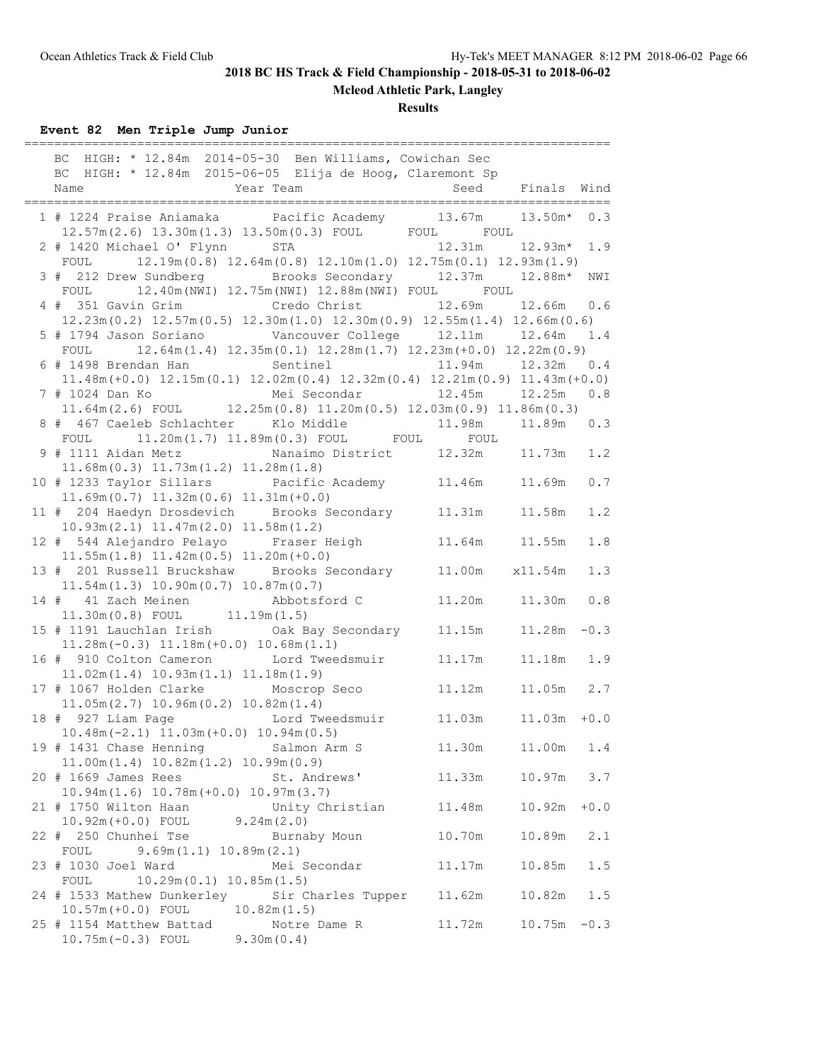**Mcleod Athletic Park, Langley**

**Results**

**Event 82 Men Triple Jump Junior**

|      |                                                                    | BC HIGH: * 12.84m 2014-05-30 Ben Williams, Cowichan Sec                                                                             |                          |               |        |
|------|--------------------------------------------------------------------|-------------------------------------------------------------------------------------------------------------------------------------|--------------------------|---------------|--------|
|      |                                                                    | BC HIGH: * 12.84m 2015-06-05 Elija de Hoog, Claremont Sp                                                                            |                          |               |        |
| Name |                                                                    | Year Team                                                                                                                           | Seed                     | Finals Wind   |        |
|      |                                                                    | 1 # 1224 Praise Aniamaka   Pacific Academy   13.67m<br>$12.57m(2.6)$ $13.30m(1.3)$ $13.50m(0.3)$ FOUL FOUL FOUL                     |                          | $13.50m* 0.3$ |        |
|      | 2 # 1420 Michael O' Flynn                                          | STA                                                                                                                                 | 12.31m                   | 12.93m*       | 1.9    |
| FOUL |                                                                    | $12.19m(0.8)$ $12.64m(0.8)$ $12.10m(1.0)$ $12.75m(0.1)$ $12.93m(1.9)$                                                               |                          |               |        |
|      |                                                                    | 3 # 212 Drew Sundberg Brooks Secondary 12.37m 12.88m*                                                                               |                          |               | NWI    |
| FOUL |                                                                    | 12.40m (NWI) 12.75m (NWI) 12.88m (NWI) FOUL FOUL                                                                                    |                          |               |        |
|      |                                                                    | 4 # 351 Gavin Grim Credo Christ                                                                                                     | 12.69m                   | $12.66m$ 0.6  |        |
|      |                                                                    | $12.23\text{m} (0.2)$ $12.57\text{m} (0.5)$ $12.30\text{m} (1.0)$ $12.30\text{m} (0.9)$ $12.55\text{m} (1.4)$ $12.66\text{m} (0.6)$ |                          |               | 1.4    |
|      |                                                                    | FOUL $12.64m(1.4) 12.35m(0.1) 12.28m(1.7) 12.23m(+0.0) 12.22m(0.9)$                                                                 |                          |               |        |
|      |                                                                    | 6 # 1498 Brendan Han Sentinel                                                                                                       | 11.94m   12.32m          |               | 0.4    |
|      |                                                                    | $11.48m (+0.0)$ $12.15m (0.1)$ $12.02m (0.4)$ $12.32m (0.4)$ $12.21m (0.9)$ $11.43m (+0.0)$                                         |                          |               |        |
|      | 7 # 1024 Dan Ko                                                    | Mei Secondar                                                                                                                        | 12.45m   12.25m          |               | 0.8    |
|      |                                                                    | 11.64m (2.6) FOUL 12.25m (0.8) $11.20$ m (0.5) $12.03$ m (0.9) $11.86$ m (0.3)                                                      |                          |               |        |
|      |                                                                    | 8 # 467 Caeleb Schlachter Klo Middle                                                                                                | 11.98m                   | 11.89m  0.3   |        |
| FOUL |                                                                    | 11.20m(1.7) 11.89m(0.3) FOUL FOUL                                                                                                   | FOUL                     |               |        |
|      |                                                                    |                                                                                                                                     |                          |               | 1.2    |
|      | $11.68m(0.3)$ $11.73m(1.2)$ $11.28m(1.8)$                          | 10 # 1233 Taylor Sillars  Pacific Academy   11.46m   11.69m                                                                         |                          |               | 0.7    |
|      | $11.69m(0.7)$ $11.32m(0.6)$ $11.31m(+0.0)$                         |                                                                                                                                     |                          |               |        |
|      |                                                                    | 11 # 204 Haedyn Drosdevich Brooks Secondary 11.31m                                                                                  |                          | 11.58m        | 1.2    |
|      | $10.93m(2.1)$ $11.47m(2.0)$ $11.58m(1.2)$                          |                                                                                                                                     |                          |               |        |
|      |                                                                    | 12 # 544 Alejandro Pelayo Fraser Heigh                                                                                              | 11.64m 11.55m            |               | 1.8    |
|      | $11.55m(1.8)$ $11.42m(0.5)$ $11.20m(+0.0)$                         |                                                                                                                                     |                          |               |        |
|      |                                                                    | 13 # 201 Russell Bruckshaw Brooks Secondary 11.00m                                                                                  |                          | x11.54m       | 1.3    |
|      | $11.54m(1.3)$ $10.90m(0.7)$ $10.87m(0.7)$                          |                                                                                                                                     |                          |               |        |
|      | 14 # 41 Zach Meinen                                                | Abbotsford C                                                                                                                        | 11.20m                   | 11.30m        | $0.8$  |
|      | $11.30m(0.8)$ FOUL $11.19m(1.5)$                                   |                                                                                                                                     |                          |               |        |
|      | $11.28m(-0.3)$ $11.18m(+0.0)$ $10.68m(1.1)$                        |                                                                                                                                     |                          | 11.28m        | $-0.3$ |
|      |                                                                    | 16 # 910 Colton Cameron Lord Tweedsmuir                                                                                             | 11.17m                   | $11.18m$ 1.9  |        |
|      | $11.02m(1.4)$ $10.93m(1.1)$ $11.18m(1.9)$                          |                                                                                                                                     |                          |               |        |
|      | 17 # 1067 Holden Clarke Moscrop Seco                               |                                                                                                                                     | 11.12m                   | 11.05m 2.7    |        |
|      | $11.05m(2.7)$ $10.96m(0.2)$ $10.82m(1.4)$                          |                                                                                                                                     |                          |               |        |
|      |                                                                    | 18 # 927 Liam Page Manuel Lord Tweedsmuir                                                                                           | $11.03m$ $11.03m$ $+0.0$ |               |        |
|      | $10.48m(-2.1)$ $11.03m(+0.0)$ $10.94m(0.5)$                        |                                                                                                                                     |                          |               |        |
|      | 19 # 1431 Chase Henning                                            | Salmon Arm S                                                                                                                        | 11.30m                   | 11.00m        | 1.4    |
|      | 11.00m(1.4) 10.82m(1.2) 10.99m(0.9)                                | St. Andrews'                                                                                                                        |                          | 10.97m        |        |
|      | 20 # 1669 James Rees<br>$10.94m(1.6)$ $10.78m(+0.0)$ $10.97m(3.7)$ |                                                                                                                                     | 11.33m                   |               | 3.7    |
|      | 21 # 1750 Wilton Haan                                              | Unity Christian                                                                                                                     | 11.48m                   | 10.92m        | $+0.0$ |
|      | $10.92m (+0.0)$ FOUL $9.24m (2.0)$                                 |                                                                                                                                     |                          |               |        |
|      | 22 # 250 Chunhei Tse                                               | Burnaby Moun                                                                                                                        | 10.70m                   | 10.89m        | 2.1    |
| FOUL | 9.69m(1.1) 10.89m(2.1)                                             |                                                                                                                                     |                          |               |        |
|      | 23 # 1030 Joel Ward                                                | Mei Secondar                                                                                                                        | 11.17m                   | 10.85m        | 1.5    |
| FOUL | 10.29m(0.1) 10.85m(1.5)                                            |                                                                                                                                     |                          |               |        |
|      |                                                                    | 24 # 1533 Mathew Dunkerley Sir Charles Tupper                                                                                       | 11.62m                   | 10.82m        | 1.5    |
|      | $10.57m (+0.0)$ FOUL<br>25 # 1154 Matthew Battad                   | 10.82m(1.5)<br>Notre Dame R                                                                                                         | 11.72m                   | 10.75m        | $-0.3$ |
|      | 10.75m (-0.3) FOUL                                                 | 9.30m(0.4)                                                                                                                          |                          |               |        |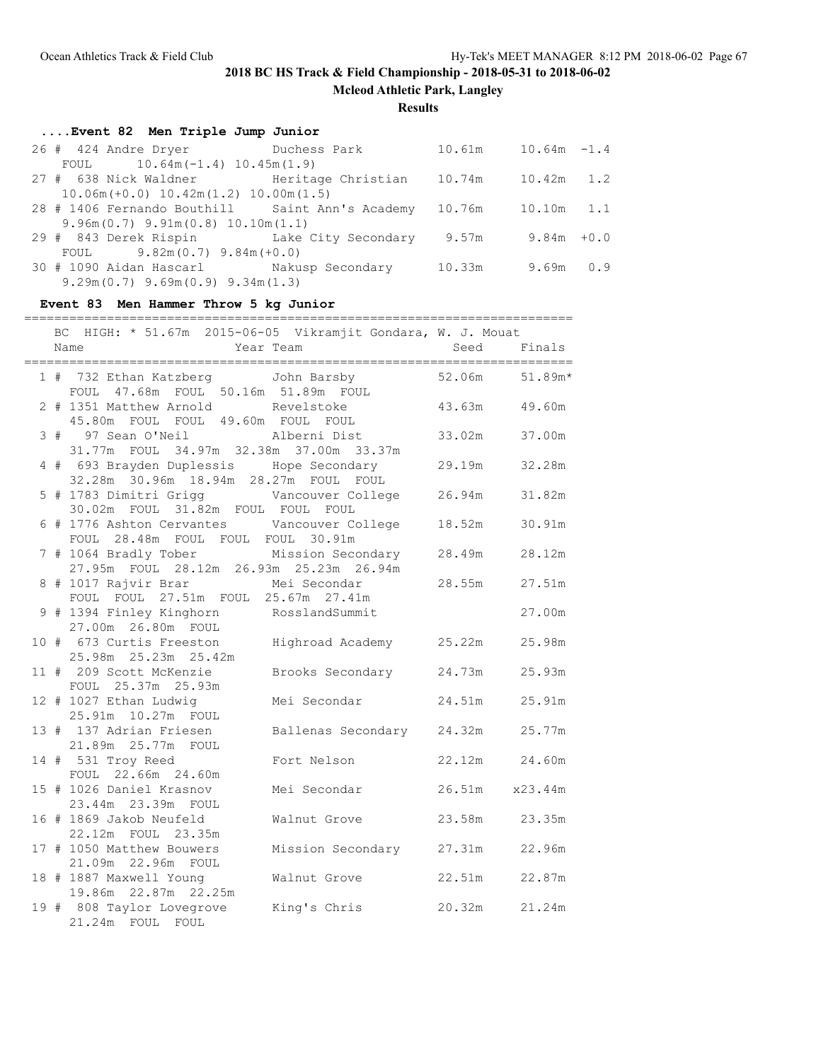**Mcleod Athletic Park, Langley**

#### **Results**

## **....Event 82 Men Triple Jump Junior**

| 26 # 424 Andre Dryer Duchess Park               |        | $10.61m$ $10.64m$ $-1.4$ |  |
|-------------------------------------------------|--------|--------------------------|--|
| FOUL $10.64m(-1.4) 10.45m(1.9)$                 |        |                          |  |
| 27 # 638 Nick Waldner Meritage Christian        |        | 10.74m   10.42m   1.2    |  |
| $10.06m (+0.0) 10.42m (1.2) 10.00m (1.5)$       |        |                          |  |
| 28 # 1406 Fernando Bouthill Saint Ann's Academy | 10.76m | 10.10m 1.1               |  |
| $9.96m(0.7)$ $9.91m(0.8)$ $10.10m(1.1)$         |        |                          |  |
| 29 # 843 Derek Rispin Lake City Secondary       | 9.57m  | $9.84m + 0.0$            |  |
| FOUL $9.82m(0.7)$ $9.84m(+0.0)$                 |        |                          |  |
| 30 # 1090 Aidan Hascarl Nakusp Secondary        | 10.33m | 9.69m 0.9                |  |
| $9.29m(0.7)$ $9.69m(0.9)$ $9.34m(1.3)$          |        |                          |  |

### **Event 83 Men Hammer Throw 5 kg Junior**

#### =========================================================================

|  | BC HIGH: * 51.67m 2015-06-05 Vikramjit Gondara, W. J. Mouat                                   |                           |                |        |
|--|-----------------------------------------------------------------------------------------------|---------------------------|----------------|--------|
|  | Year Team<br>Name                                                                             | <u>Seed</u>               |                | Finals |
|  | 1 # 732 Ethan Katzberg John Barsby 52.06m 51.89m*<br>FOUL 47.68m FOUL 50.16m 51.89m FOUL      |                           |                |        |
|  | 2 # 1351 Matthew Arnold Revelstoke<br>45.80m FOUL FOUL 49.60m FOUL FOUL                       |                           | 43.63m 49.60m  |        |
|  | 3 # 97 Sean O'Neil Malberni Dist<br>31.77m FOUL 34.97m 32.38m 37.00m 33.37m                   |                           | 33.02m         | 37.00m |
|  | 4 # 693 Brayden Duplessis Hope Secondary 29.19m<br>32.28m  30.96m  18.94m  28.27m  FOUL  FOUL |                           |                | 32.28m |
|  | 30.02m FOUL 31.82m FOUL FOUL FOUL                                                             |                           |                | 31.82m |
|  | 6 # 1776 Ashton Cervantes Vancouver College 18.52m<br>FOUL 28.48m FOUL FOUL FOUL 30.91m       |                           |                | 30.91m |
|  | 7 # 1064 Bradly Tober Mission Secondary<br>27.95m FOUL 28.12m 26.93m 25.23m 26.94m            |                           | 28.49m         | 28.12m |
|  | 8 # 1017 Rajvir Brar Mei Secondar<br>FOUL FOUL 27.51m FOUL 25.67m 27.41m                      |                           | 28.55m         | 27.51m |
|  | 9 # 1394 Finley Kinghorn RosslandSummit<br>27.00m  26.80m  FOUL                               |                           |                | 27.00m |
|  | 10 # 673 Curtis Freeston Highroad Academy 25.22m<br>25.98m  25.23m  25.42m                    |                           |                | 25.98m |
|  | 11 # 209 Scott McKenzie<br>FOUL 25.37m 25.93m                                                 | Brooks Secondary 24.73m   |                | 25.93m |
|  | 12 # 1027 Ethan Ludwig<br>25.91m 10.27m FOUL                                                  | Mei Secondar              | 24.51m         | 25.91m |
|  | 13 # 137 Adrian Friesen<br>21.89m  25.77m  FOUL                                               | Ballenas Secondary 24.32m |                | 25.77m |
|  | 14 # 531 Troy Reed<br>FOUL 22.66m 24.60m                                                      | Fort Nelson               | 22.12m 24.60m  |        |
|  | 15 # 1026 Daniel Krasnov<br>23.44m 23.39m FOUL                                                | Mei Secondar              | 26.51m x23.44m |        |
|  | 16 # 1869 Jakob Neufeld<br>22.12m FOUL 23.35m                                                 | Walnut Grove              | 23.58m 23.35m  |        |
|  | 17 # 1050 Matthew Bouwers<br>21.09m  22.96m  FOUL                                             | Mission Secondary 27.31m  |                | 22.96m |
|  | 18 # 1887 Maxwell Young<br>19.86m 22.87m 22.25m                                               | Walnut Grove              | 22.51m         | 22.87m |
|  | 19 # 808 Taylor Lovegrove King's Chris<br>21.24m FOUL FOUL                                    |                           | 20.32m 21.24m  |        |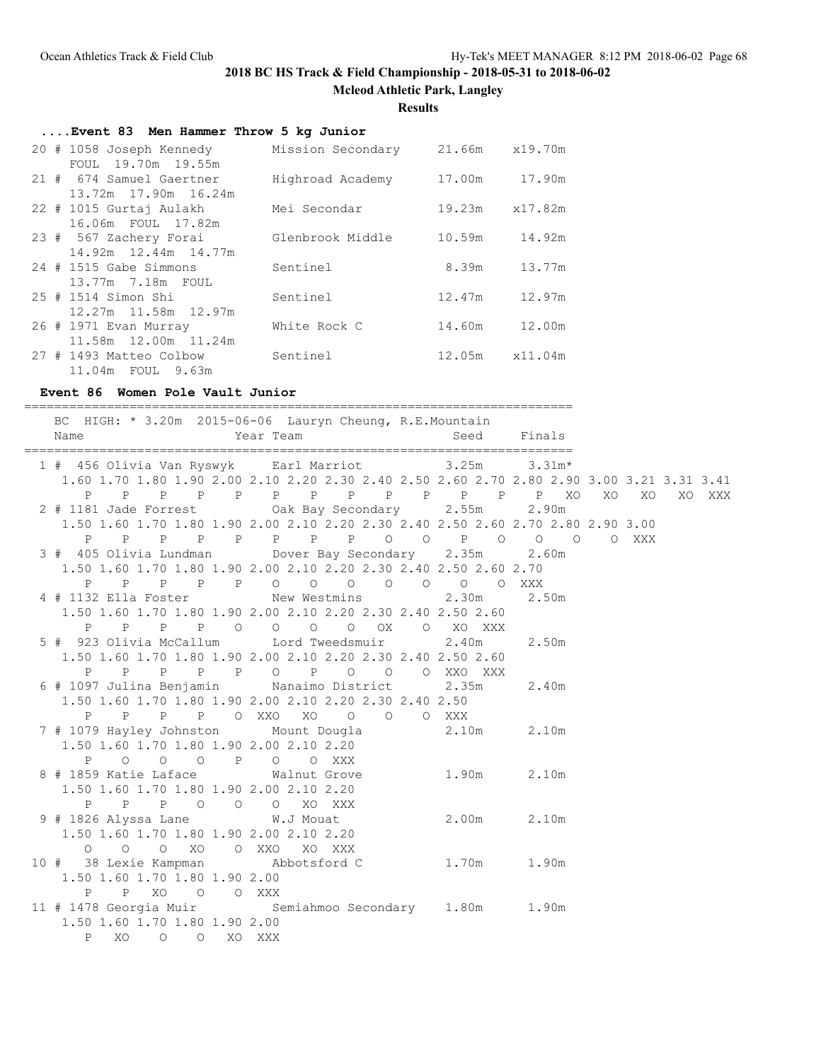**Mcleod Athletic Park, Langley**

#### **Results**

| Event 83 Men Hammer Throw 5 kg Junior                     |                  |        |                |
|-----------------------------------------------------------|------------------|--------|----------------|
| 20 # 1058 Joseph Kennedy Mission Secondary 21.66m x19.70m |                  |        |                |
| FOUL 19.70m 19.55m                                        |                  |        |                |
| 21 # 674 Samuel Gaertner                                  | Highroad Academy | 17.00m | 17.90m         |
| 13.72m 17.90m 16.24m                                      |                  |        |                |
| 22 # 1015 Gurtaj Aulakh                                   | Mei Secondar     |        | 19.23m x17.82m |
| 16.06m FOUL 17.82m                                        |                  |        |                |
| 23 # 567 Zachery Forai                                    | Glenbrook Middle | 10.59m | 14.92m         |
| 14.92m 12.44m 14.77m                                      |                  |        |                |
| 24 # 1515 Gabe Simmons                                    | Sentinel         | 8.39m  | 13.77m         |
| 13.77m 7.18m FOUL                                         |                  |        |                |
| 25 # 1514 Simon Shi                                       | Sentinel         | 12.47m | 12.97m         |
| 12.27m 11.58m 12.97m                                      |                  |        |                |
| 26 # 1971 Evan Murray                                     | White Rock C     | 14.60m | 12.00m         |
| 11.58m 12.00m 11.24m                                      |                  |        |                |
| 27 # 1493 Matteo Colbow                                   | Sentinel         |        | 12.05m x11.04m |
| 11.04m FOUL 9.63m                                         |                  |        |                |

#### **Event 86 Women Pole Vault Junior**

========================================================================= BC HIGH: \* 3.20m 2015-06-06 Lauryn Cheung, R.E.Mountain Name Year Team Seed Finals ========================================================================= 1 # 456 Olivia Van Ryswyk Earl Marriot 3.25m 3.31m\* 1.60 1.70 1.80 1.90 2.00 2.10 2.20 2.30 2.40 2.50 2.60 2.70 2.80 2.90 3.00 3.21 3.31 3.41 P P P P P P P P P P P P P XO XO XO XO XXX 2 # 1181 Jade Forrest Oak Bay Secondary 2.55m 2.90m 1.50 1.60 1.70 1.80 1.90 2.00 2.10 2.20 2.30 2.40 2.50 2.60 2.70 2.80 2.90 3.00 P P P P P P P P O O P O O O O XXX 3 # 405 Olivia Lundman Dover Bay Secondary 2.35m 2.60m 1.50 1.60 1.70 1.80 1.90 2.00 2.10 2.20 2.30 2.40 2.50 2.60 2.70 P P P P P O O O O O O O XXX 4 # 1132 Ella Foster New Westmins 2.30m 2.50m 1.50 1.60 1.70 1.80 1.90 2.00 2.10 2.20 2.30 2.40 2.50 2.60 P P P P O O O O OX O XO XXX 5 # 923 Olivia McCallum Lord Tweedsmuir 2.40m 2.50m 1.50 1.60 1.70 1.80 1.90 2.00 2.10 2.20 2.30 2.40 2.50 2.60 P P P P P O P O O O XXO XXX 6 # 1097 Julina Benjamin Nanaimo District 2.35m 2.40m 1.50 1.60 1.70 1.80 1.90 2.00 2.10 2.20 2.30 2.40 2.50 P P P P O XXO XO O O O XXX 7 # 1079 Hayley Johnston Mount Dougla 2.10m 2.10m 1.50 1.60 1.70 1.80 1.90 2.00 2.10 2.20 P O O O P O O XXX 8 # 1859 Katie Laface Walnut Grove 1.90m 2.10m 1.50 1.60 1.70 1.80 1.90 2.00 2.10 2.20 P P P O O O XO XXX<br>826 Alyssa Lane W.J Mouat 9 # 1826 Alyssa Lane W.J Mouat 2.00m 2.10m 1.50 1.60 1.70 1.80 1.90 2.00 2.10 2.20 O O O XO O XXO XO XXX 10 # 38 Lexie Kampman Abbotsford C 1.70m 1.90m 1.50 1.60 1.70 1.80 1.90 2.00 P P XO O O XXX 11 # 1478 Georgia Muir Semiahmoo Secondary 1.80m 1.90m 1.50 1.60 1.70 1.80 1.90 2.00 P XO O O XO XXX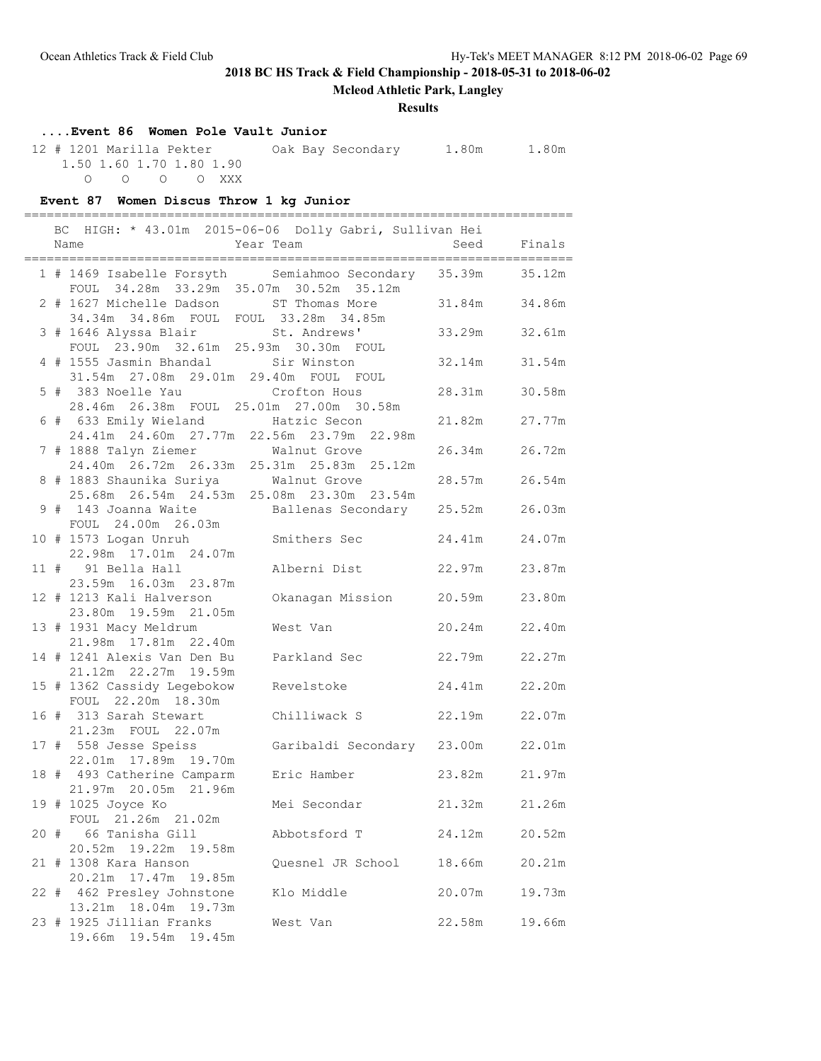**Mcleod Athletic Park, Langley**

### **Results**

## **....Event 86 Women Pole Vault Junior**

| 12 # 1201 Marilla Pekter |                          |  |  | Oak Bay Secondary | 1.80m | 1.80m |
|--------------------------|--------------------------|--|--|-------------------|-------|-------|
|                          | 1.50 1.60 1.70 1.80 1.90 |  |  |                   |       |       |
|                          | 0 0 0 0 XXX              |  |  |                   |       |       |

### **Event 87 Women Discus Throw 1 kg Junior**

|  | BC HIGH: * 43.01m 2015-06-06 Dolly Gabri, Sullivan Hei                                          |                            |        |        |
|--|-------------------------------------------------------------------------------------------------|----------------------------|--------|--------|
|  | Name                                                                                            | Year Team                  | Seed   | Finals |
|  | 1 # 1469 Isabelle Forsyth Semiahmoo Secondary 35.39m<br>FOUL 34.28m 33.29m 35.07m 30.52m 35.12m |                            |        | 35.12m |
|  | 2 # 1627 Michelle Dadson<br>34.34m 34.86m FOUL FOUL 33.28m 34.85m                               | ST Thomas More             | 31.84m | 34.86m |
|  | 3 # 1646 Alyssa Blair<br>FOUL 23.90m 32.61m 25.93m 30.30m FOUL                                  | St. Andrews'               | 33.29m | 32.61m |
|  | 4 # 1555 Jasmin Bhandal Sir Winston<br>31.54m 27.08m 29.01m 29.40m FOUL FOUL                    |                            | 32.14m | 31.54m |
|  | 5 # 383 Noelle Yau Crofton Hous<br>28.46m  26.38m  FOUL  25.01m  27.00m  30.58m                 |                            | 28.31m | 30.58m |
|  | 6 # 633 Emily Wieland Matzic Secon<br>24.41m 24.60m 27.77m 22.56m 23.79m 22.98m                 |                            | 21.82m | 27.77m |
|  | 7 # 1888 Talyn Ziemer Walnut Grove<br>24.40m 26.72m 26.33m 25.31m 25.83m 25.12m                 |                            | 26.34m | 26.72m |
|  | 8 # 1883 Shaunika Suriya Malnut Grove<br>25.68m  26.54m  24.53m  25.08m  23.30m  23.54m         |                            | 28.57m | 26.54m |
|  | 9 # 143 Joanna Waite<br>FOUL 24.00m 26.03m                                                      | Ballenas Secondary 25.52m  |        | 26.03m |
|  | 10 # 1573 Logan Unruh<br>22.98m 17.01m 24.07m                                                   | Smithers Sec               | 24.41m | 24.07m |
|  | 11 # 91 Bella Hall<br>23.59m 16.03m 23.87m                                                      | Alberni Dist               | 22.97m | 23.87m |
|  | 12 # 1213 Kali Halverson<br>23.80m 19.59m 21.05m                                                | Okanagan Mission           | 20.59m | 23.80m |
|  | 13 # 1931 Macy Meldrum<br>21.98m 17.81m 22.40m                                                  | West Van                   | 20.24m | 22.40m |
|  | 14 # 1241 Alexis Van Den Bu<br>21.12m 22.27m 19.59m                                             | Parkland Sec               | 22.79m | 22.27m |
|  | 15 # 1362 Cassidy Legebokow<br>FOUL 22.20m 18.30m                                               | Revelstoke                 | 24.41m | 22.20m |
|  | 16 # 313 Sarah Stewart<br>21.23m FOUL 22.07m                                                    | Chilliwack S               | 22.19m | 22.07m |
|  | 17 # 558 Jesse Speiss<br>22.01m  17.89m  19.70m                                                 | Garibaldi Secondary 23.00m |        | 22.01m |
|  | 18 # 493 Catherine Camparm<br>21.97m 20.05m 21.96m                                              | Eric Hamber                | 23.82m | 21.97m |
|  | 19 # 1025 Joyce Ko<br>FOUL 21.26m 21.02m                                                        | Mei Secondar               | 21.32m | 21.26m |
|  | 20 # 66 Tanisha Gill<br>20.52m 19.22m 19.58m                                                    | Abbotsford T               | 24.12m | 20.52m |
|  | 21 # 1308 Kara Hanson<br>20.21m 17.47m<br>19.85m                                                | Quesnel JR School          | 18.66m | 20.21m |
|  | 22 # 462 Presley Johnstone<br>13.21m 18.04m 19.73m                                              | Klo Middle                 | 20.07m | 19.73m |
|  | 23 # 1925 Jillian Franks<br>19.66m 19.54m 19.45m                                                | West Van                   | 22.58m | 19.66m |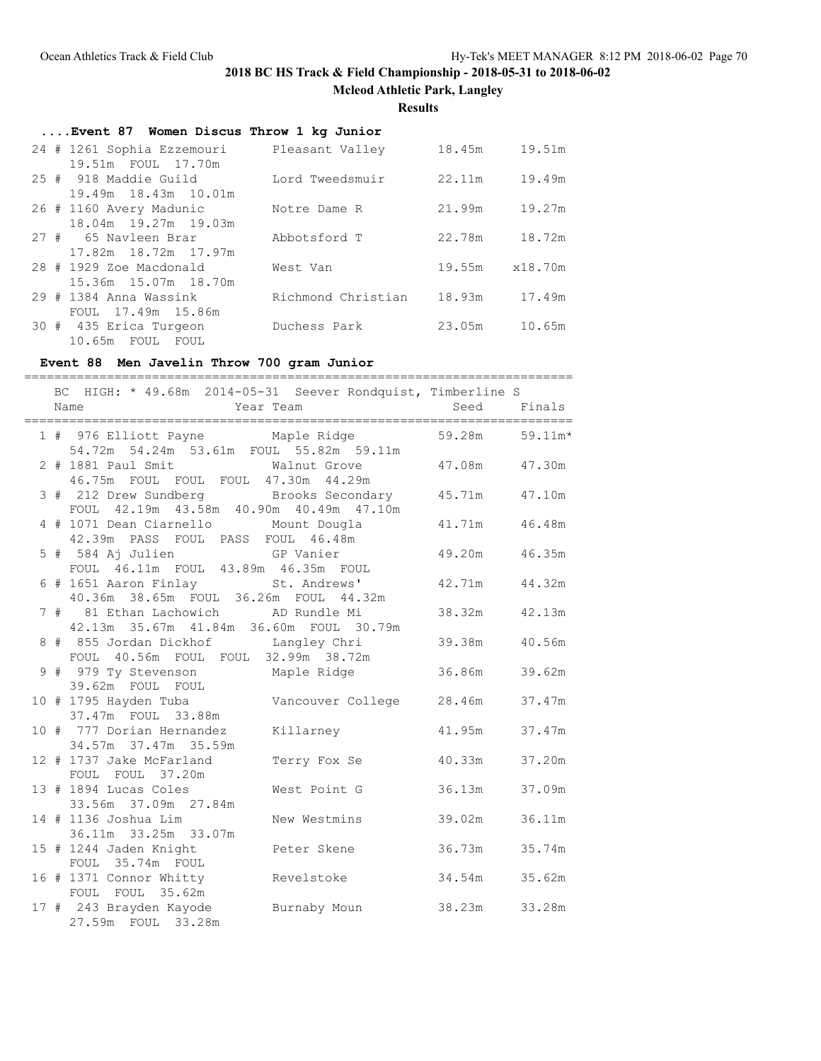**Mcleod Athletic Park, Langley**

**Results**

| Event 87 Women Discus Throw 1 kg Junior    |                                                                      |
|--------------------------------------------|----------------------------------------------------------------------|
| 24 # 1261 Sophia Ezzemouri Pleasant Valley | 18.45m 19.51m                                                        |
|                                            |                                                                      |
| Lord Tweedsmuir                            | 19.49m                                                               |
|                                            |                                                                      |
| Notre Dame R                               | 19.27m                                                               |
|                                            |                                                                      |
| Abbotsford T                               | 18.72m                                                               |
|                                            |                                                                      |
| West Van                                   | 19.55m x18.70m                                                       |
|                                            |                                                                      |
|                                            | 17.49m                                                               |
|                                            |                                                                      |
| Duchess Park                               | 10.65m                                                               |
|                                            |                                                                      |
|                                            | 22.11m<br>21.99m<br>22.78m<br>18.93m<br>Richmond Christian<br>23.05m |

## **Event 88 Men Javelin Throw 700 gram Junior**

|  | BC HIGH: * 49.68m 2014-05-31 Seever Rondquist, Timberline S                                 |              |               |        |
|--|---------------------------------------------------------------------------------------------|--------------|---------------|--------|
|  |                                                                                             |              |               |        |
|  |                                                                                             |              |               |        |
|  | 1 # 976 Elliott Payne Maple Ridge 59.28m 59.11m*<br>54.72m 54.24m 53.61m FOUL 55.82m 59.11m |              |               |        |
|  | 2 # 1881 Paul Smit Malnut Grove 47.08m 47.30m<br>46.75m FOUL FOUL FOUL 47.30m 44.29m        |              |               |        |
|  | 3 # 212 Drew Sundberg Brooks Secondary 45.71m<br>FOUL 42.19m 43.58m 40.90m 40.49m 47.10m    |              |               | 47.10m |
|  | 4 # 1071 Dean Ciarnello Mount Dougla 41.71m<br>42.39m PASS FOUL PASS FOUL 46.48m            |              |               | 46.48m |
|  | 5 # 584 Aj Julien GP Vanier<br>FOUL 46.11m FOUL 43.89m 46.35m FOUL                          |              | 49.20m        | 46.35m |
|  | 6 # 1651 Aaron Finlay St. Andrews'<br>40.36m 38.65m FOUL 36.26m FOUL 44.32m                 |              | 42.71m        | 44.32m |
|  | 7 # 81 Ethan Lachowich AD Rundle Mi<br>42.13m 35.67m 41.84m 36.60m FOUL 30.79m              |              | 38.32m        | 42.13m |
|  | 8 # 855 Jordan Dickhof Langley Chri<br>FOUL 40.56m FOUL FOUL 32.99m 38.72m                  |              | 39.38m        | 40.56m |
|  | 9 # 979 Ty Stevenson Maple Ridge<br>39.62m FOUL FOUL                                        |              | 36.86m        | 39.62m |
|  | 37.47m FOUL 33.88m                                                                          |              |               | 37.47m |
|  | 10 # 777 Dorian Hernandez Killarney<br>34.57m 37.47m 35.59m                                 |              | 41.95m        | 37.47m |
|  | 12 # 1737 Jake McFarland<br>FOUL FOUL 37.20m                                                | Terry Fox Se | 40.33m        | 37.20m |
|  | 13 # 1894 Lucas Coles<br>33.56m 37.09m 27.84m                                               | West Point G | 36.13m        | 37.09m |
|  | 14 # 1136 Joshua Lim<br>36.11m 33.25m 33.07m                                                | New Westmins | 39.02m        | 36.11m |
|  | 15 # 1244 Jaden Knight Peter Skene<br>FOUL 35.74m FOUL                                      |              | 36.73m        | 35.74m |
|  | 16 # 1371 Connor Whitty Revelstoke<br>FOUL FOUL 35.62m                                      |              | 34.54m        | 35.62m |
|  | 17 # 243 Brayden Kayode Burnaby Moun<br>27.59m FOUL 33.28m                                  |              | 38.23m 33.28m |        |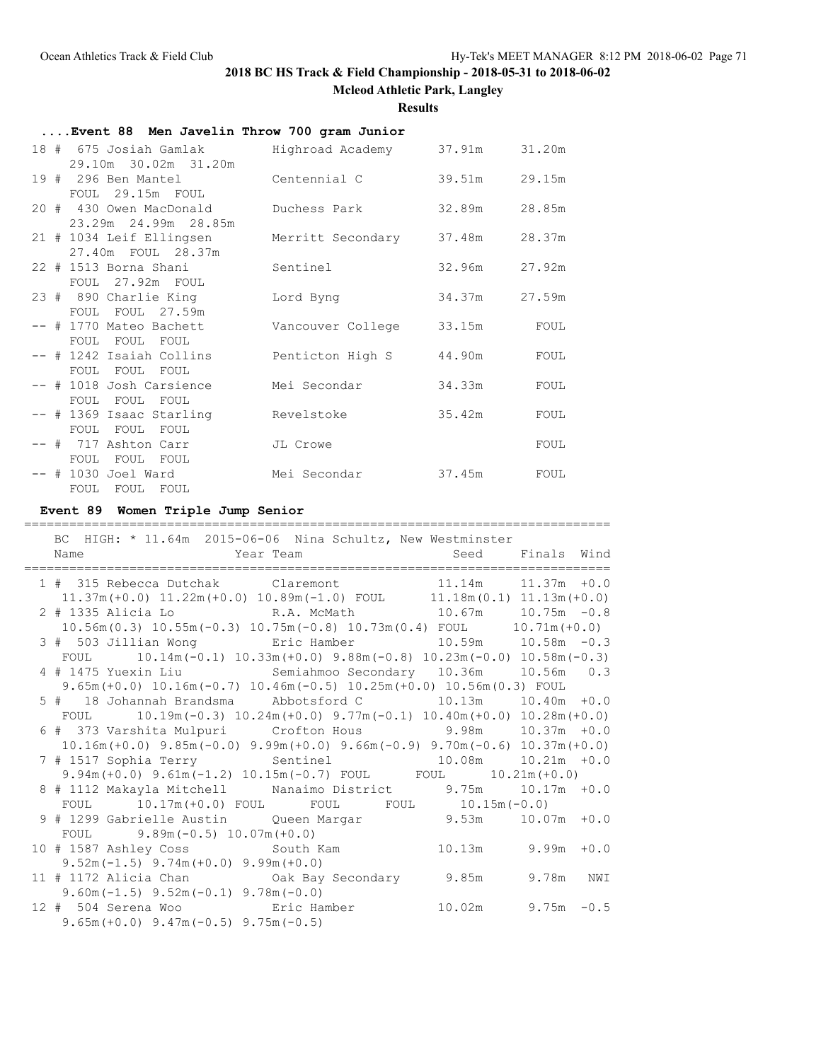**Mcleod Athletic Park, Langley**

**Results**

| Event 88 Men Javelin Throw 700 gram Junior                     |                          |        |        |
|----------------------------------------------------------------|--------------------------|--------|--------|
| 18 # 675 Josiah Gamlak           Highroad Academy       37.91m |                          |        | 31.20m |
| 29.10m 30.02m 31.20m                                           |                          |        |        |
| 19 # 296 Ben Mantel Centennial C                               |                          | 39.51m | 29.15m |
| FOUL 29.15m FOUL                                               |                          |        |        |
| 20 # 430 Owen MacDonald Duchess Park                           |                          | 32.89m | 28.85m |
| 23.29m 24.99m 28.85m                                           |                          |        | 28.37m |
| 21 # 1034 Leif Ellingsen<br>27.40m FOUL 28.37m                 | Merritt Secondary 37.48m |        |        |
| 22 # 1513 Borna Shani                                          | Sentinel                 | 32.96m | 27.92m |
| FOUL 27.92m FOUL                                               |                          |        |        |
| 23 # 890 Charlie King                                          | Lord Byng                | 34.37m | 27.59m |
| FOUL FOUL 27.59m                                               |                          |        |        |
| -- # 1770 Mateo Bachett                                        | Vancouver College 33.15m |        | FOUL   |
| FOUL FOUL FOUL                                                 |                          |        |        |
| -- # 1242 Isaiah Collins                                       | Penticton High S         | 44.90m | FOUL   |
| FOUL FOUL FOUL                                                 |                          |        |        |
| -- # 1018 Josh Carsience                                       | Mei Secondar             | 34.33m | FOUL   |
| FOUL FOUL FOUL<br>-- # 1369 Isaac Starling                     | Revelstoke               | 35.42m | FOUL   |
| FOUL FOUL FOUL                                                 |                          |        |        |
| -- # 717 Ashton Carr                                           | JL Crowe                 |        | FOUL   |
| FOUL FOUL FOUL                                                 |                          |        |        |
| $--$ # 1030 Joel Ward                                          | Mei Secondar             | 37.45m | FOUL   |
| FOUL FOUL FOUL                                                 |                          |        |        |

### **Event 89 Women Triple Jump Senior**

============================================================================== BC HIGH: \* 11.64m 2015-06-06 Nina Schultz, New Westminster Name **Seed** Finals Wind ============================================================================== 1 # 315 Rebecca Dutchak Claremont 11.14m 11.37m +0.0 11.37m(+0.0) 11.22m(+0.0) 10.89m(-1.0) FOUL 11.18m(0.1) 11.13m(+0.0) 2 # 1335 Alicia Lo R.A. McMath 10.67m 10.75m -0.8 10.56m(0.3) 10.55m(-0.3) 10.75m(-0.8) 10.73m(0.4) FOUL 10.71m(+0.0) 3 # 503 Jillian Wong Eric Hamber 10.59m 10.58m -0.3 FOUL 10.14m(-0.1) 10.33m(+0.0) 9.88m(-0.8) 10.23m(-0.0) 10.58m(-0.3) 4 # 1475 Yuexin Liu Semiahmoo Secondary 10.36m 10.56m 0.3 9.65m(+0.0) 10.16m(-0.7) 10.46m(-0.5) 10.25m(+0.0) 10.56m(0.3) FOUL 5 # 18 Johannah Brandsma Abbotsford C 10.13m 10.40m +0.0 FOUL 10.19m(-0.3) 10.24m(+0.0) 9.77m(-0.1) 10.40m(+0.0) 10.28m(+0.0) 6 # 373 Varshita Mulpuri Crofton Hous 9.98m 10.37m +0.0 10.16m(+0.0) 9.85m(-0.0) 9.99m(+0.0) 9.66m(-0.9) 9.70m(-0.6) 10.37m(+0.0) 7 # 1517 Sophia Terry Sentinel 10.08m 10.21m +0.0 9.94m(+0.0) 9.61m(-1.2) 10.15m(-0.7) FOUL FOUL 10.21m(+0.0) 8 # 1112 Makayla Mitchell Nanaimo District 9.75m 10.17m +0.0 FOUL 10.17m(+0.0) FOUL FOUL FOUL 10.15m(-0.0) 9 # 1299 Gabrielle Austin Queen Margar 9.53m 10.07m +0.0 FOUL 9.89m(-0.5) 10.07m(+0.0) 10 # 1587 Ashley Coss South Kam 10.13m 9.99m +0.0 9.52m(-1.5) 9.74m(+0.0) 9.99m(+0.0) 11 # 1172 Alicia Chan Oak Bay Secondary 9.85m 9.78m NWI 9.60m(-1.5) 9.52m(-0.1) 9.78m(-0.0) 12 # 504 Serena Woo Eric Hamber 10.02m 9.75m -0.5 9.65m(+0.0) 9.47m(-0.5) 9.75m(-0.5)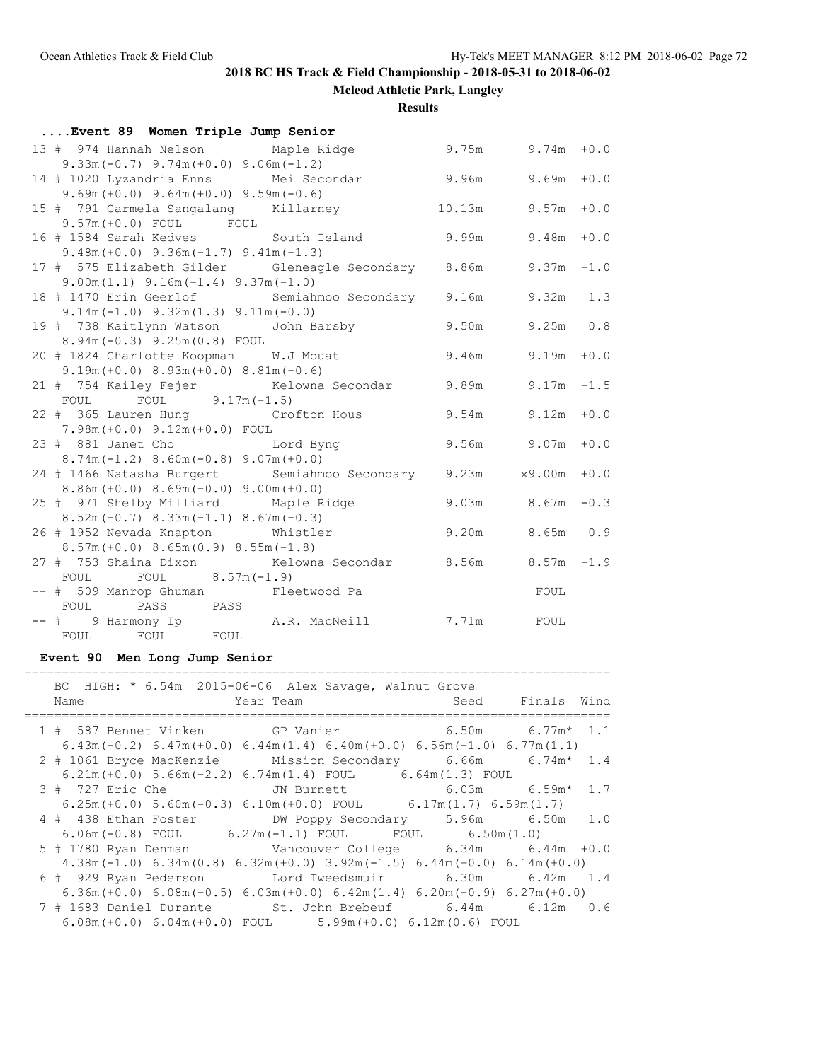**Mcleod Athletic Park, Langley**

**Results**

| Event 89 Women Triple Jump Senior |                                                                   |                        |                        |  |  |  |  |
|-----------------------------------|-------------------------------------------------------------------|------------------------|------------------------|--|--|--|--|
|                                   | 13 # 974 Hannah Nelson Maple Ridge                                | $9.75m$ $9.74m$ $+0.0$ |                        |  |  |  |  |
|                                   | $9.33m(-0.7)$ $9.74m(+0.0)$ $9.06m(-1.2)$                         |                        |                        |  |  |  |  |
|                                   | 14 # 1020 Lyzandria Enns Mei Secondar 9.96m 9.69m +0.0            |                        |                        |  |  |  |  |
|                                   | $9.69m (+0.0)$ $9.64m (+0.0)$ $9.59m (-0.6)$                      |                        |                        |  |  |  |  |
|                                   | 15 # 791 Carmela Sangalang Killarney 10.13m 9.57m +0.0            |                        |                        |  |  |  |  |
|                                   | $9.57m (+0.0)$ FOUL FOUL                                          |                        |                        |  |  |  |  |
|                                   | 16 # 1584 Sarah Kedves             South Island             9.99m |                        | $9.48m + 0.0$          |  |  |  |  |
|                                   | $9.48m (+0.0)$ $9.36m (-1.7)$ $9.41m (-1.3)$                      |                        |                        |  |  |  |  |
|                                   | 17 # 575 Elizabeth Gilder Gleneagle Secondary 8.86m 9.37m -1.0    |                        |                        |  |  |  |  |
|                                   | $9.00m(1.1)$ $9.16m(-1.4)$ $9.37m(-1.0)$                          |                        |                        |  |  |  |  |
|                                   | 18 # 1470 Erin Geerlof Semiahmoo Secondary 9.16m 9.32m 1.3        |                        |                        |  |  |  |  |
|                                   | $9.14m(-1.0)$ $9.32m(1.3)$ $9.11m(-0.0)$                          |                        |                        |  |  |  |  |
|                                   | 19 # 738 Kaitlynn Watson John Barsby 500 9.50m 9.25m 0.8          |                        |                        |  |  |  |  |
|                                   | 8.94m(-0.3) 9.25m(0.8) FOUL                                       |                        |                        |  |  |  |  |
|                                   | 20 # 1824 Charlotte Koopman W.J Mouat 9.46m 9.19m +0.0            |                        |                        |  |  |  |  |
|                                   | $9.19m (+0.0) 8.93m (+0.0) 8.81m (-0.6)$                          |                        |                        |  |  |  |  |
|                                   | 21 # 754 Kailey Fejer Kelowna Secondar 9.89m 9.17m -1.5           |                        |                        |  |  |  |  |
|                                   | FOUL FOUL $9.17m(-1.5)$                                           |                        |                        |  |  |  |  |
|                                   | 22 # 365 Lauren Hung Crofton Hous 9.54m 9.12m +0.0                |                        |                        |  |  |  |  |
|                                   | 7.98m(+0.0) 9.12m(+0.0) FOUL                                      |                        |                        |  |  |  |  |
|                                   | 23 # 881 Janet Cho Lord Byng                                      |                        | $9.56m$ $9.07m$ $+0.0$ |  |  |  |  |
|                                   | $8.74m(-1.2)$ $8.60m(-0.8)$ $9.07m(+0.0)$                         |                        |                        |  |  |  |  |
|                                   | 24 # 1466 Natasha Burgert Semiahmoo Secondary 9.23m x9.00m +0.0   |                        |                        |  |  |  |  |
|                                   | $8.86m (+0.0) 8.69m (-0.0) 9.00m (+0.0)$                          |                        |                        |  |  |  |  |
|                                   | 25 # 971 Shelby Milliard Maple Ridge 9.03m 8.67m -0.3             |                        |                        |  |  |  |  |
|                                   | $8.52m(-0.7)$ $8.33m(-1.1)$ $8.67m(-0.3)$                         | 9.20m 8.65m 0.9        |                        |  |  |  |  |
|                                   | 26 # 1952 Nevada Knapton Whistler                                 |                        |                        |  |  |  |  |
|                                   | $8.57m (+0.0) 8.65m (0.9) 8.55m (-1.8)$                           |                        |                        |  |  |  |  |
|                                   | 27 # 753 Shaina Dixon Kelowna Secondar 8.56m 8.57m -1.9<br>FOUL   |                        |                        |  |  |  |  |
|                                   | FOUL $8.57m(-1.9)$<br>-- # 509 Manrop Ghuman Fleetwood Pa         |                        |                        |  |  |  |  |
|                                   | FOUL PASS PASS                                                    |                        | FOUL                   |  |  |  |  |
|                                   |                                                                   |                        |                        |  |  |  |  |
|                                   |                                                                   |                        |                        |  |  |  |  |
|                                   |                                                                   |                        |                        |  |  |  |  |

**Event 90 Men Long Jump Senior**

#### ==============================================================================

| BC HIGH: * 6.54m 2015-06-06 Alex Savage, Walnut Grove                                          |                            |                  |  |
|------------------------------------------------------------------------------------------------|----------------------------|------------------|--|
| Name                                                                                           | <b>Example 2</b> Year Team | Seed Finals Wind |  |
| 1 # 587 Bennet Vinken GP Vanier 6.50m 6.77m* 1.1                                               |                            |                  |  |
| $6.43$ m (-0.2) $6.47$ m (+0.0) $6.44$ m (1.4) $6.40$ m (+0.0) $6.56$ m (-1.0) $6.77$ m (1.1)  |                            |                  |  |
| 2 # 1061 Bryce MacKenzie Mission Secondary 6.66m 6.74m* 1.4                                    |                            |                  |  |
| $6.21m (+0.0)$ 5.66m $(-2.2)$ 6.74m $(1.4)$ FOUL 6.64m $(1.3)$ FOUL                            |                            |                  |  |
| 3 # 727 Eric Che       JN Burnett         6.03m     6.59m* 1.7                                 |                            |                  |  |
| $6.25m (+0.0)$ $5.60m (-0.3)$ $6.10m (+0.0)$ FOUL $6.17m (1.7)$ $6.59m (1.7)$                  |                            |                  |  |
| 4 # 438 Ethan Foster DW Poppy Secondary 5.96m 6.50m 1.0                                        |                            |                  |  |
| $6.06\text{m}(-0.8)$ FOUL $6.27\text{m}(-1.1)$ FOUL FOUL $6.50\text{m}(1.0)$                   |                            |                  |  |
| 5 # 1780 Ryan Denman Vancouver College 6.34m 6.44m +0.0                                        |                            |                  |  |
| $4.38$ m (-1.0) $6.34$ m (0.8) $6.32$ m (+0.0) $3.92$ m (-1.5) $6.44$ m (+0.0) $6.14$ m (+0.0) |                            |                  |  |
| 6 # 929 Ryan Pederson Lord Tweedsmuir 6.30m 6.42m 1.4                                          |                            |                  |  |
| $6.36$ m (+0.0) $6.08$ m (-0.5) $6.03$ m (+0.0) $6.42$ m (1.4) $6.20$ m (-0.9) $6.27$ m (+0.0) |                            |                  |  |
| 7 # 1683 Daniel Durante St. John Brebeuf 6.44m 6.12m 0.6                                       |                            |                  |  |
| $6.08m (+0.0) 6.04m (+0.0) FOL$ $5.99m (+0.0) 6.12m (0.6) FOL$                                 |                            |                  |  |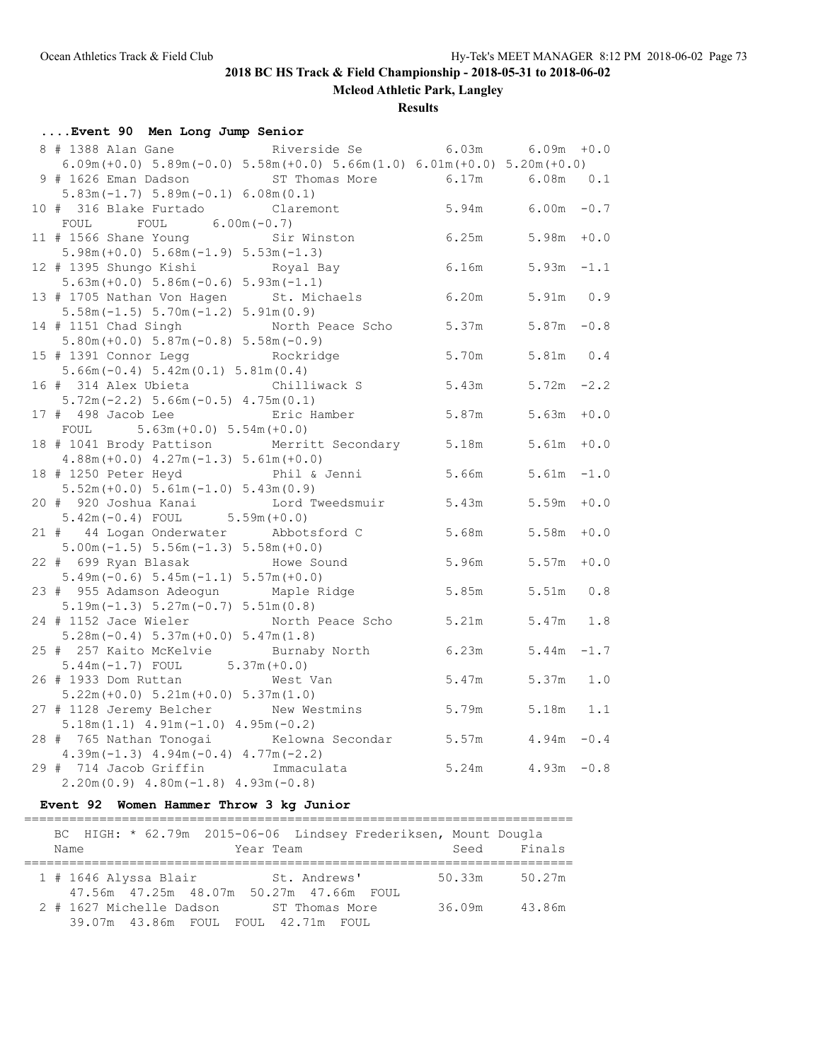**Mcleod Athletic Park, Langley**

**Results**

| Event 90 Men Long Jump Senior                                                                                  |                        |                        |        |
|----------------------------------------------------------------------------------------------------------------|------------------------|------------------------|--------|
|                                                                                                                |                        |                        |        |
| $6.09m (+0.0)$ $5.89m (-0.0)$ $5.58m (+0.0)$ $5.66m (1.0)$ $6.01m (+0.0)$ $5.20m (+0.0)$                       |                        |                        |        |
| 9 # 1626 Eman Dadson ST Thomas More 6.17m                                                                      |                        | $6.08m$ $0.1$          |        |
| $5.83m(-1.7) 5.89m(-0.1) 6.08m(0.1)$                                                                           |                        |                        |        |
| Claremont $5.94m$ $6.00m$ $-0.7$<br>10 # 316 Blake Furtado                                                     |                        |                        |        |
| FOUL<br>$6.00m(-0.7)$<br>FOUL                                                                                  |                        |                        |        |
| Sir Winston<br>11 # 1566 Shane Young                                                                           |                        | $6.25m$ $5.98m$ $+0.0$ |        |
| $5.98m (+0.0) 5.68m (-1.9) 5.53m (-1.3)$                                                                       |                        |                        |        |
| 12 # 1395 Shungo Kishi Koyal Bay                                                                               | $6.16m$ $5.93m$ $-1.1$ |                        |        |
| $5.63m (+0.0) 5.86m (-0.6) 5.93m (-1.1)$                                                                       |                        |                        |        |
| 13 # 1705 Nathan Von Hagen St. Michaels 6.20m 5.91m 0.9                                                        |                        |                        |        |
| $5.58m(-1.5) 5.70m(-1.2) 5.91m(0.9)$                                                                           |                        |                        |        |
| 14 # 1151 Chad Singh Morth Peace Scho 5.37m 5.87m -0.8                                                         |                        |                        |        |
| $5.80m (+0.0) 5.87m (-0.8) 5.58m (-0.9)$                                                                       |                        |                        |        |
| 15 # 1391 Connor Legg <a> Rockridge</a>                                                                        | 5.70m                  | 5.81m 0.4              |        |
| $5.66m(-0.4) 5.42m(0.1) 5.81m(0.4)$                                                                            |                        |                        |        |
| 16 # 314 Alex Ubieta Chilliwack S 5.43m 5.72m -2.2                                                             |                        |                        |        |
| $5.72m(-2.2) 5.66m(-0.5) 4.75m(0.1)$                                                                           |                        |                        |        |
| 17 # 498 Jacob Lee Bric Hamber                                                                                 |                        | $5.87m$ $5.63m$ $+0.0$ |        |
| $5.63m (+0.0) 5.54m (+0.0)$<br>FOUL                                                                            |                        |                        |        |
| 18 # 1041 Brody Pattison Merritt Secondary 5.18m 5.61m<br>$4.88m (+0.0)$ $4.27m (-1.3)$ $5.61m (+0.0)$         |                        |                        | $+0.0$ |
| Phil & Jenni 5.66m<br>18 # 1250 Peter Heyd                                                                     |                        | $5.61m - 1.0$          |        |
| $5.52m (+0.0) 5.61m (-1.0) 5.43m (0.9)$                                                                        |                        |                        |        |
| 20 # 920 Joshua Kanai Lord Tweedsmuir 5.43m 5.59m +0.0                                                         |                        |                        |        |
| $5.42m(-0.4)$ FOUL $5.59m(+0.0)$                                                                               |                        |                        |        |
| 21 # 44 Logan Onderwater Abbotsford C                                                                          |                        | 5.68m 5.58m            | $+0.0$ |
| $5.00m(-1.5) 5.56m(-1.3) 5.58m(+0.0)$                                                                          |                        |                        |        |
| 22 # 699 Ryan Blasak<br>Howe Sound                                                                             | 5.96m 5.57m            |                        | $+0.0$ |
| $5.49m(-0.6) 5.45m(-1.1) 5.57m(+0.0)$                                                                          |                        |                        |        |
| 23 # 955 Adamson Adeogun Maple Ridge                                                                           | 5.85m                  | $5.51m$ 0.8            |        |
| $5.19m(-1.3) 5.27m(-0.7) 5.51m(0.8)$                                                                           |                        |                        |        |
| 24 # 1152 Jace Wieler North Peace Scho 5.21m                                                                   |                        | $5.47m$ 1.8            |        |
| $5.28m(-0.4) 5.37m(+0.0) 5.47m(1.8)$                                                                           |                        |                        |        |
| 25 # 257 Kaito McKelvie Burnaby North                                                                          | 6.23m                  | $5.44m -1.7$           |        |
|                                                                                                                |                        |                        |        |
| $5.44m(-1.7)$ FOUL $5.37m(+0.0)$<br>$5.44m(-1.7)$ FOUL $5.37m(+0.0)$<br>Altan West Van<br>26 # 1933 Dom Ruttan | 5.47m                  | $5.37m$ 1.0            |        |
| $5.22m (+0.0) 5.21m (+0.0) 5.37m (1.0)$                                                                        |                        |                        |        |
| 27 # 1128 Jeremy Belcher New Westmins                                                                          |                        | 5.79m 5.18m 1.1        |        |
| $5.18m(1.1)$ $4.91m(-1.0)$ $4.95m(-0.2)$                                                                       |                        |                        |        |
| Kelowna Secondar 5.57m 4.94m -0.4<br>28 # 765 Nathan Tonogai                                                   |                        |                        |        |
| $4.39m(-1.3)$ $4.94m(-0.4)$ $4.77m(-2.2)$                                                                      |                        |                        |        |
| 29 # 714 Jacob Griffin<br>Immaculata                                                                           |                        | $5.24m$ $4.93m$ $-0.8$ |        |
| $2.20m(0.9)$ 4.80m (-1.8) 4.93m (-0.8)                                                                         |                        |                        |        |

## **Event 92 Women Hammer Throw 3 kg Junior**

|      |                          |  |           |                                              | BC HIGH: * 62.79m 2015-06-06 Lindsey Frederiksen, Mount Dougla |        |        |
|------|--------------------------|--|-----------|----------------------------------------------|----------------------------------------------------------------|--------|--------|
| Name |                          |  | Year Team |                                              |                                                                | Seed   | Finals |
|      |                          |  |           |                                              |                                                                |        |        |
|      | $1$ # 1646 Alyssa Blair  |  |           | St. Andrews'                                 |                                                                | 50.33m | 50.27m |
|      |                          |  |           | 47.56m  47.25m  48.07m  50.27m  47.66m  FOUL |                                                                |        |        |
|      | 2 # 1627 Michelle Dadson |  |           | ST Thomas More                               |                                                                | 36.09m | 43.86m |
|      |                          |  |           | 39.07m 43.86m FOUL FOUL 42.71m FOUL          |                                                                |        |        |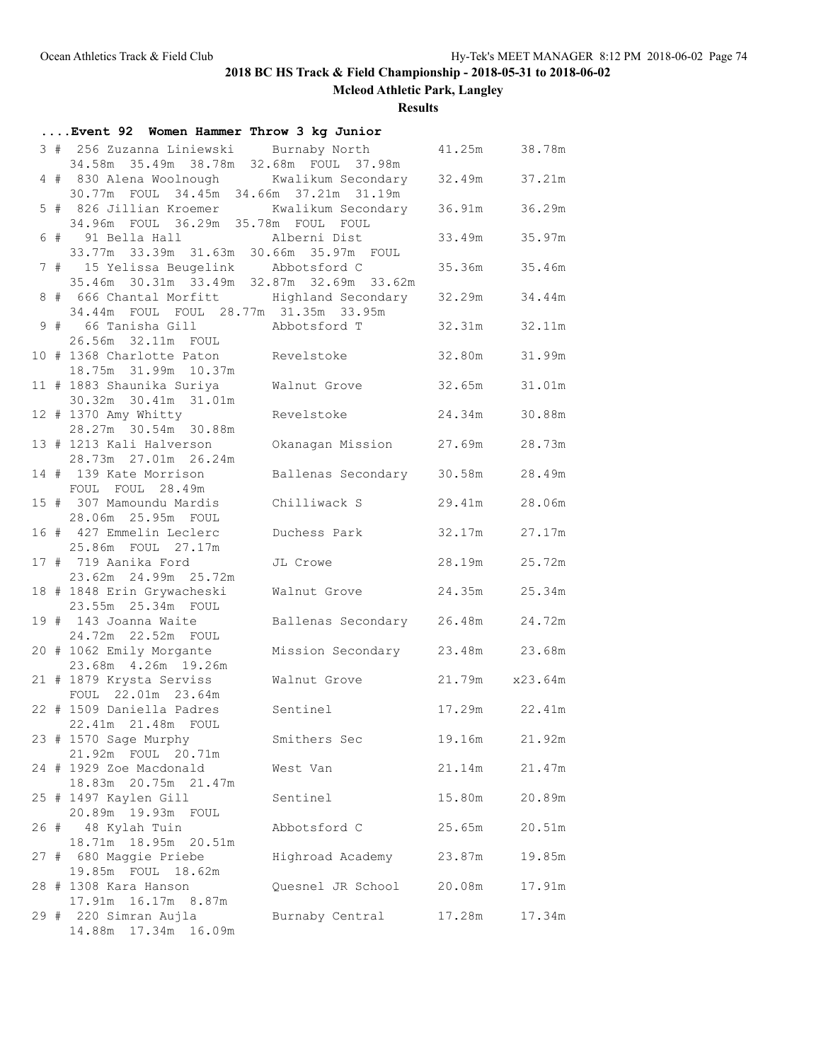**Mcleod Athletic Park, Langley**

**Results**

|  | Event 92 Women Hammer Throw 3 kg Junior                                               |                           |                |        |
|--|---------------------------------------------------------------------------------------|---------------------------|----------------|--------|
|  | 3 # 256 Zuzanna Liniewski Burnaby North<br>34.58m 35.49m 38.78m 32.68m FOUL 37.98m    |                           | 41.25m         | 38.78m |
|  | 4 # 830 Alena Woolnough Kwalikum Secondary<br>30.77m FOUL 34.45m 34.66m 37.21m 31.19m |                           | 32.49m         | 37.21m |
|  | 5 # 826 Jillian Kroemer Kwalikum Secondary<br>34.96m FOUL 36.29m 35.78m FOUL FOUL     |                           | 36.91m         | 36.29m |
|  | 6 # 91 Bella Hall Malberni Dist<br>33.77m 33.39m 31.63m 30.66m 35.97m FOUL            |                           | 33.49m         | 35.97m |
|  | 7 # 15 Yelissa Beugelink<br>35.46m 30.31m 33.49m 32.87m 32.69m 33.62m                 | Abbotsford C              | 35.36m         | 35.46m |
|  | 8 # 666 Chantal Morfitt Mighland Secondary<br>34.44m FOUL FOUL 28.77m 31.35m 33.95m   |                           | 32.29m         | 34.44m |
|  | 9 # 66 Tanisha Gill Mobotsford T<br>26.56m 32.11m FOUL                                |                           | 32.31m         | 32.11m |
|  | 10 # 1368 Charlotte Paton Revelstoke<br>18.75m 31.99m 10.37m                          |                           | 32.80m         | 31.99m |
|  | 11 # 1883 Shaunika Suriya<br>30.32m 30.41m 31.01m                                     | Walnut Grove              | 32.65m         | 31.01m |
|  | 12 # 1370 Amy Whitty<br>28.27m 30.54m 30.88m                                          | Revelstoke                | 24.34m         | 30.88m |
|  | 13 # 1213 Kali Halverson<br>28.73m  27.01m  26.24m                                    | Okanagan Mission 27.69m   |                | 28.73m |
|  | 14 # 139 Kate Morrison<br>FOUL FOUL 28.49m                                            | Ballenas Secondary        | 30.58m         | 28.49m |
|  | 15 # 307 Mamoundu Mardis<br>28.06m  25.95m  FOUL                                      | Chilliwack S              | 29.41m         | 28.06m |
|  | 16 # 427 Emmelin Leclerc<br>25.86m FOUL 27.17m                                        | Duchess Park              | 32.17m         | 27.17m |
|  | 17 # 719 Aanika Ford<br>23.62m 24.99m 25.72m                                          | JL Crowe                  | 28.19m         | 25.72m |
|  | 18 # 1848 Erin Grywacheski<br>23.55m 25.34m FOUL                                      | Walnut Grove              | 24.35m         | 25.34m |
|  | 19 # 143 Joanna Waite<br>24.72m 22.52m FOUL                                           | Ballenas Secondary 26.48m |                | 24.72m |
|  | 20 # 1062 Emily Morgante<br>23.68m  4.26m  19.26m                                     | Mission Secondary 23.48m  |                | 23.68m |
|  | 21 # 1879 Krysta Serviss<br>FOUL 22.01m 23.64m                                        | Walnut Grove              | 21.79m x23.64m |        |
|  | 22 # 1509 Daniella Padres<br>22.41m  21.48m  FOUL                                     | Sentinel                  | 17.29m 22.41m  |        |
|  | 23 # 1570 Sage Murphy<br>21.92m FOUL 20.71m                                           | Smithers Sec              | 19.16m         | 21.92m |
|  | 24 # 1929 Zoe Macdonald<br>18.83m 20.75m 21.47m                                       | West Van                  | 21.14m         | 21.47m |
|  | 25 # 1497 Kaylen Gill<br>20.89m 19.93m FOUL                                           | Sentinel                  | 15.80m         | 20.89m |
|  | 26 # 48 Kylah Tuin<br>18.71m  18.95m  20.51m                                          | Abbotsford C              | 25.65m         | 20.51m |
|  | 27 # 680 Maggie Priebe<br>19.85m FOUL 18.62m                                          | Highroad Academy          | 23.87m         | 19.85m |
|  | 28 # 1308 Kara Hanson<br>17.91m  16.17m  8.87m                                        | Quesnel JR School         | 20.08m         | 17.91m |
|  | 29 # 220 Simran Aujla<br>14.88m  17.34m  16.09m                                       | Burnaby Central           | 17.28m         | 17.34m |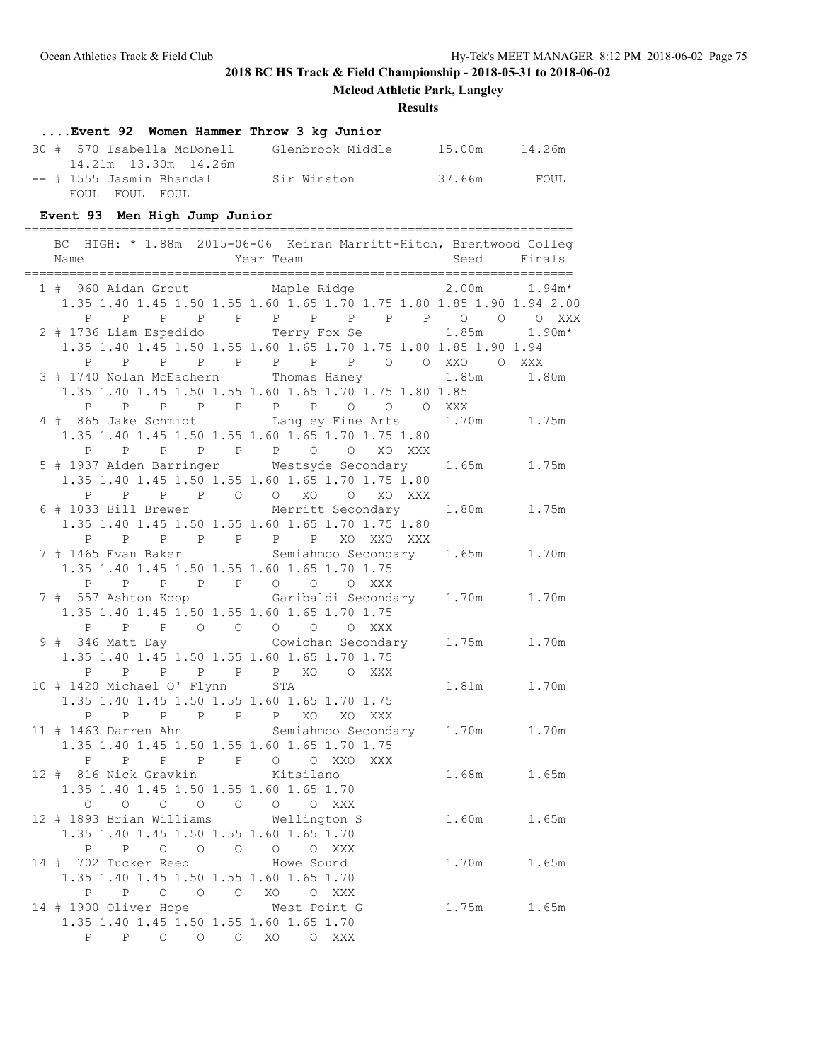**Mcleod Athletic Park, Langley**

### **Results**

# **....Event 92 Women Hammer Throw 3 kg Junior**

| 30 #  570 Isabella McDonell | Glenbrook Middle | 15.00m | 14.26m |
|-----------------------------|------------------|--------|--------|
| 14.21m 13.30m 14.26m        |                  |        |        |
| -- # 1555 Jasmin Bhandal    | Sir Winston      | 37.66m | FOUL   |
| FOUL FOUL FOUL              |                  |        |        |

## **Event 93 Men High Jump Junior**

| BC HIGH: * 1.88m 2015-06-06 Keiran Marritt-Hitch, Brentwood Colleg    |                                                                  |                |
|-----------------------------------------------------------------------|------------------------------------------------------------------|----------------|
| 1 # 960 Aidan Grout Maple Ridge 2.00m 1.94m*                          |                                                                  |                |
| 1.35 1.40 1.45 1.50 1.55 1.60 1.65 1.70 1.75 1.80 1.85 1.90 1.94 2.00 |                                                                  |                |
| P<br>P                                                                | P P P P P P P P P O O O XXX                                      |                |
| 2 # 1736 Liam Espedido Terry Fox Se 1.85m                             |                                                                  | $1.90m*$       |
|                                                                       | 1.35 1.40 1.45 1.50 1.55 1.60 1.65 1.70 1.75 1.80 1.85 1.90 1.94 |                |
|                                                                       | P P P P P P P P P O O XXO O XXX                                  |                |
| 3 # 1740 Nolan McEachern Thomas Haney 1.85m 1.80m                     |                                                                  |                |
|                                                                       | 1.35 1.40 1.45 1.50 1.55 1.60 1.65 1.70 1.75 1.80 1.85           |                |
| P<br>$P \qquad \qquad$                                                | P P P P P O O O XXX                                              |                |
| 4 # 865 Jake Schmidt Langley Fine Arts 1.70m 1.75m                    |                                                                  |                |
|                                                                       | 1.35 1.40 1.45 1.50 1.55 1.60 1.65 1.70 1.75 1.80                |                |
| P P                                                                   | P P P P O O XO XXX                                               |                |
| 5 # 1937 Aiden Barringer Mestsyde Secondary 1.65m 1.75m               | 1.35 1.40 1.45 1.50 1.55 1.60 1.65 1.70 1.75 1.80                |                |
| $P \qquad \qquad$                                                     | P P P O O XO O XO XXX                                            |                |
| 6 # 1033 Bill Brewer Merritt Secondary 1.80m 1.75m                    |                                                                  |                |
|                                                                       | 1.35 1.40 1.45 1.50 1.55 1.60 1.65 1.70 1.75 1.80                |                |
|                                                                       |                                                                  |                |
| 7 # 1465 Evan Baker Semiahmoo Secondary 1.65m 1.70m                   |                                                                  |                |
| 1.35 1.40 1.45 1.50 1.55 1.60 1.65 1.70 1.75                          |                                                                  |                |
| P                                                                     | P P P P O O O XXX                                                |                |
| 7 # 557 Ashton Koop (Garibaldi Secondary 1.70m)                       |                                                                  | 1.70m          |
| 1.35 1.40 1.45 1.50 1.55 1.60 1.65 1.70 1.75                          |                                                                  |                |
| P P P O O O O O XXX                                                   |                                                                  |                |
| 9 # 346 Matt Day Cowichan Secondary 1.75m 1.70m                       |                                                                  |                |
| 1.35 1.40 1.45 1.50 1.55 1.60 1.65 1.70 1.75                          |                                                                  |                |
| $P \qquad \qquad$                                                     | P P P P P XO O XXX                                               |                |
| 10 # 1420 Michael O' Flynn STA                                        |                                                                  | 1.70m<br>1.81m |
| 1.35 1.40 1.45 1.50 1.55 1.60 1.65 1.70 1.75                          |                                                                  |                |
| P                                                                     | P P P P P XO XO XXX                                              |                |
| 11 # 1463 Darren Ahn Semiahmoo Secondary 1.70m                        |                                                                  | 1.70m          |
| 1.35 1.40 1.45 1.50 1.55 1.60 1.65 1.70 1.75                          |                                                                  |                |
| P                                                                     | P P P P O O XXO XXX                                              |                |
| 12 # 816 Nick Gravkin Kitsilano                                       |                                                                  | 1.68m<br>1.65m |
| 1.35 1.40 1.45 1.50 1.55 1.60 1.65 1.70                               |                                                                  |                |
| $\begin{matrix} 0 & 0 & 0 & 0 & 0 & 0 & 0 & \end{matrix}$<br>$\circ$  |                                                                  |                |
| 12 # 1893 Brian Williams Mellington S                                 | 1.60m                                                            | 1.65m          |
| 1.35 1.40 1.45 1.50 1.55 1.60 1.65 1.70                               |                                                                  |                |
| P 0 0 0 0 0 XXX<br>P                                                  |                                                                  |                |
| 14 # 702 Tucker Reed Howe Sound                                       |                                                                  | 1.70m<br>1.65m |
| 1.35 1.40 1.45 1.50 1.55 1.60 1.65 1.70                               |                                                                  |                |
| $\, {\bf P}$<br>$\begin{matrix} 0 & 0 & 0 & X0 \end{matrix}$<br>P     | O XXX                                                            |                |
| 14 # 1900 Oliver Hope West Point G                                    |                                                                  | 1.65m<br>1.75m |
| 1.35 1.40 1.45 1.50 1.55 1.60 1.65 1.70                               |                                                                  |                |
| P P O O O XO O XXX                                                    |                                                                  |                |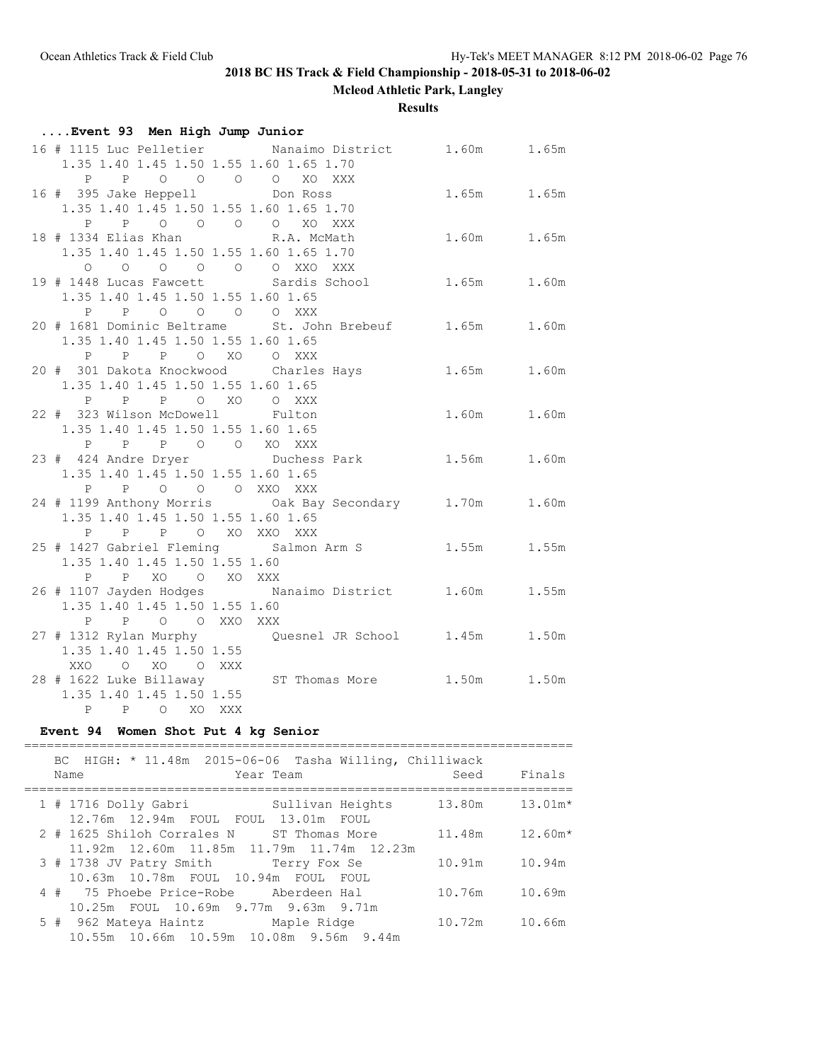**Mcleod Athletic Park, Langley**

**Results**

| Event 93 Men High Jump Junior                                     |        |             |       |
|-------------------------------------------------------------------|--------|-------------|-------|
| 16 # 1115 Luc Pelletier Manaimo District 1.60m 1.65m              |        |             |       |
| 1.35 1.40 1.45 1.50 1.55 1.60 1.65 1.70                           |        |             |       |
| P P O O O O                                                       | XO XXX |             |       |
| 16 # 395 Jake Heppell Don Ross                                    |        | 1.65m 1.65m |       |
| 1.35 1.40 1.45 1.50 1.55 1.60 1.65 1.70                           |        |             |       |
| P P O O O O XO XXX                                                |        |             |       |
| 18 # 1334 Elias Khan K.A. McMath                                  |        | 1.60m 1.65m |       |
| 1.35 1.40 1.45 1.50 1.55 1.60 1.65 1.70                           |        |             |       |
| 0 0 0 0 0 0 0 XXO XXX                                             |        |             |       |
| 19 # 1448 Lucas Fawcett Sardis School                             |        | 1.65m 1.60m |       |
| 1.35 1.40 1.45 1.50 1.55 1.60 1.65<br>P P O O O O XXX             |        |             |       |
| 20 # 1681 Dominic Beltrame 5t. John Brebeuf 1.65m 1.60m           |        |             |       |
| 1.35 1.40 1.45 1.50 1.55 1.60 1.65                                |        |             |       |
| P P P O XO O XXX                                                  |        |             |       |
| 20 # 301 Dakota Knockwood Charles Hays                            |        | 1.65m       | 1.60m |
| 1.35 1.40 1.45 1.50 1.55 1.60 1.65                                |        |             |       |
| P P O XO O XXX<br>P                                               |        |             |       |
| 22 # 323 Wilson McDowell Fulton                                   |        | 1.60m 1.60m |       |
| 1.35 1.40 1.45 1.50 1.55 1.60 1.65                                |        |             |       |
| P P P O O XO XXX                                                  |        |             |       |
| 23 # 424 Andre Dryer Duchess Park 1.56m                           |        |             | 1.60m |
| 1.35 1.40 1.45 1.50 1.55 1.60 1.65                                |        |             |       |
| P P O O O XXO XXX                                                 |        |             |       |
| 24 # 1199 Anthony Morris Oak Bay Secondary 1.70m                  |        |             | 1.60m |
| 1.35 1.40 1.45 1.50 1.55 1.60 1.65                                |        |             |       |
| P P P O XO XXO XXX                                                |        |             |       |
| 25 # 1427 Gabriel Fleming Salmon Arm S 1.55m                      |        |             | 1.55m |
| 1.35 1.40 1.45 1.50 1.55 1.60                                     |        |             |       |
| P P XO O XO XXX                                                   |        |             |       |
| 26 # 1107 Jayden Hodges Nanaimo District 1.60m                    |        |             | 1.55m |
| 1.35 1.40 1.45 1.50 1.55 1.60                                     |        |             |       |
| P P O O XXO XXX<br>27 # 1312 Rylan Murphy Cuesnel JR School 1.45m |        |             | 1.50m |
| 1.35 1.40 1.45 1.50 1.55                                          |        |             |       |
| XXO O XO O XXX                                                    |        |             |       |
| 28 # 1622 Luke Billaway ST Thomas More 1.50m 1.50m                |        |             |       |
| 1.35 1.40 1.45 1.50 1.55                                          |        |             |       |
| P P O XO XXX                                                      |        |             |       |

#### **Event 94 Women Shot Put 4 kg Senior**

========================================================================= BC HIGH: \* 11.48m 2015-06-06 Tasha Willing, Chilliwack Name Year Team Seed Finals ========================================================================= 1 # 1716 Dolly Gabri Sullivan Heights 13.80m 13.01m\* 12.76m 12.94m FOUL FOUL 13.01m FOUL 2 # 1625 Shiloh Corrales N ST Thomas More 11.48m 12.60m\* 11.92m 12.60m 11.85m 11.79m 11.74m 12.23m 3 # 1738 JV Patry Smith Terry Fox Se 10.91m 10.94m 10.63m 10.78m FOUL 10.94m FOUL FOUL 4 # 75 Phoebe Price-Robe Aberdeen Hal 10.76m 10.69m 10.25m FOUL 10.69m 9.77m 9.63m 9.71m 5 # 962 Mateya Haintz Maple Ridge 10.72m 10.66m 10.55m 10.66m 10.59m 10.08m 9.56m 9.44m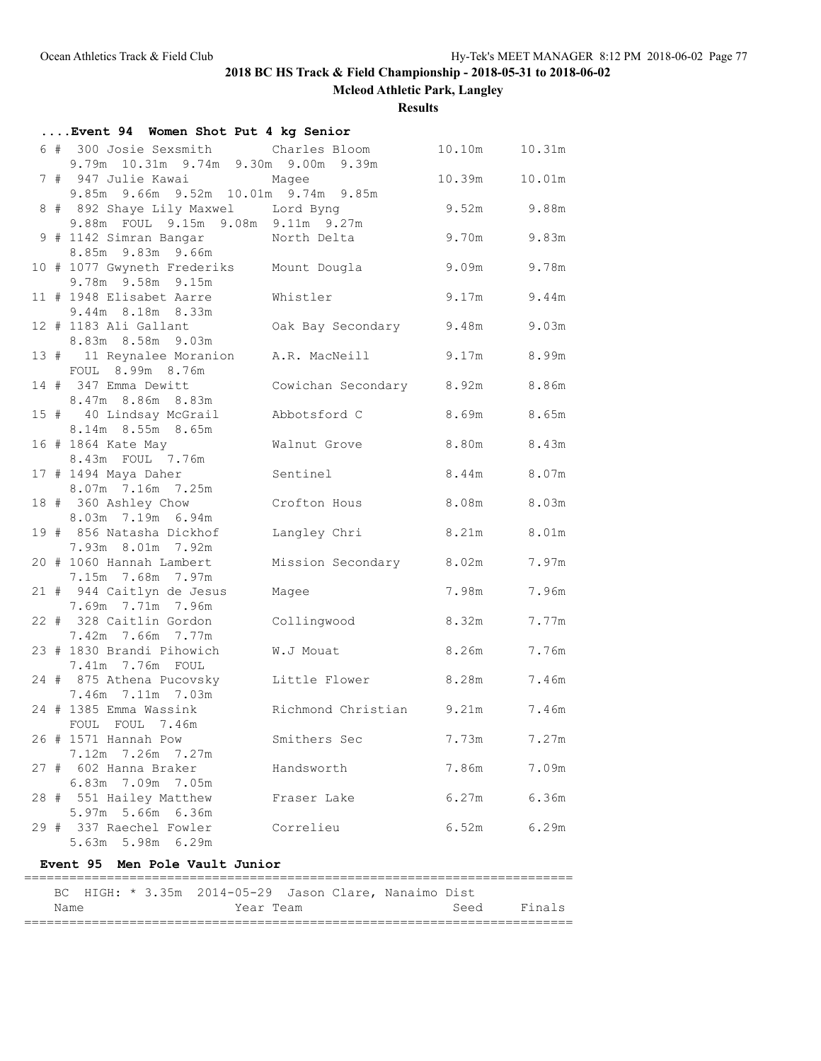**Mcleod Athletic Park, Langley**

**Results**

| Event 94 Women Shot Put 4 kg Senior                                          |                                |             |        |
|------------------------------------------------------------------------------|--------------------------------|-------------|--------|
| 6 # 300 Josie Sexsmith Charles Bloom<br>9.79m 10.31m 9.74m 9.30m 9.00m 9.39m |                                | 10.10m      | 10.31m |
| 7 # 947 Julie Kawai Magee<br>9.85m 9.66m 9.52m 10.01m 9.74m 9.85m            |                                | 10.39m      | 10.01m |
| 8 # 892 Shaye Lily Maxwel Lord Byng<br>9.88m FOUL 9.15m 9.08m 9.11m 9.27m    |                                | 9.52m 9.88m |        |
| 9 # 1142 Simran Bangar<br>8.85m 9.83m 9.66m                                  | North Delta                    | 9.70m       | 9.83m  |
| 10 # 1077 Gwyneth Frederiks Mount Dougla<br>9.78m 9.58m 9.15m                |                                | 9.09m       | 9.78m  |
| 11 # 1948 Elisabet Aarre                                                     | Whistler                       | 9.17m 9.44m |        |
| 9.44m 8.18m 8.33m<br>12 # 1183 Ali Gallant<br>8.83m 8.58m 9.03m              | Oak Bay Secondary 9.48m        |             | 9.03m  |
| 13 # 11 Reynalee Moranion<br>FOUL 8.99m 8.76m                                | A.R. MacNeill                  | 9.17m       | 8.99m  |
| 14 # 347 Emma Dewitt<br>8.47m 8.86m 8.83m                                    | Cowichan Secondary 8.92m 8.86m |             |        |
| 15 # 40 Lindsay McGrail<br>8.14m 8.55m 8.65m                                 | Abbotsford C                   | 8.69m 8.65m |        |
| 16 # 1864 Kate May<br>8.43m FOUL 7.76m                                       | Walnut Grove                   | 8.80m 8.43m |        |
| 17 # 1494 Maya Daher<br>8.07m 7.16m 7.25m                                    | Sentinel                       | 8.44m 8.07m |        |
| 18 # 360 Ashley Chow<br>8.03m 7.19m 6.94m                                    | Crofton Hous                   | 8.08m 8.03m |        |
| 19 # 856 Natasha Dickhof<br>7.93m 8.01m 7.92m                                | Langley Chri                   | 8.21m       | 8.01m  |
| 20 # 1060 Hannah Lambert<br>7.15m 7.68m 7.97m                                | Mission Secondary 8.02m        |             | 7.97m  |
| 21 # 944 Caitlyn de Jesus<br>7.69m 7.71m 7.96m                               | Magee                          | 7.98m       | 7.96m  |
| 22 # 328 Caitlin Gordon<br>7.42m 7.66m 7.77m                                 | Collingwood                    | 8.32m       | 7.77m  |
| 23 # 1830 Brandi Pihowich<br>7.41m 7.76m FOUL                                | W.J Mouat                      | 8.26m 7.76m |        |
| 24 # 875 Athena Pucovsky<br>7.46m 7.11m 7.03m                                | Little Flower                  | 8.28m       | 7.46m  |
| 24 # 1385 Emma Wassink<br>FOUL FOUL 7.46m                                    | Richmond Christian 9.21m 7.46m |             |        |
| 26 # 1571 Hannah Pow<br>7.12m 7.26m 7.27m                                    | Smithers Sec                   | 7.73m       | 7.27m  |
| 27 # 602 Hanna Braker<br>6.83m 7.09m 7.05m                                   | Handsworth                     | 7.86m       | 7.09m  |
| 28 # 551 Hailey Matthew<br>5.97m 5.66m 6.36m                                 | Fraser Lake                    | 6.27m       | 6.36m  |
| 29 # 337 Raechel Fowler<br>5.63m 5.98m 6.29m                                 | Correlieu                      | 6.52m       | 6.29m  |
| Event 95 Men Pole Vault Junior                                               |                                |             |        |
|                                                                              |                                |             |        |
| HIGH: * 3.35m 2014-05-29 Jason Clare, Nanaimo Dist<br>BС                     |                                |             |        |

Name **Seed** Finals =========================================================================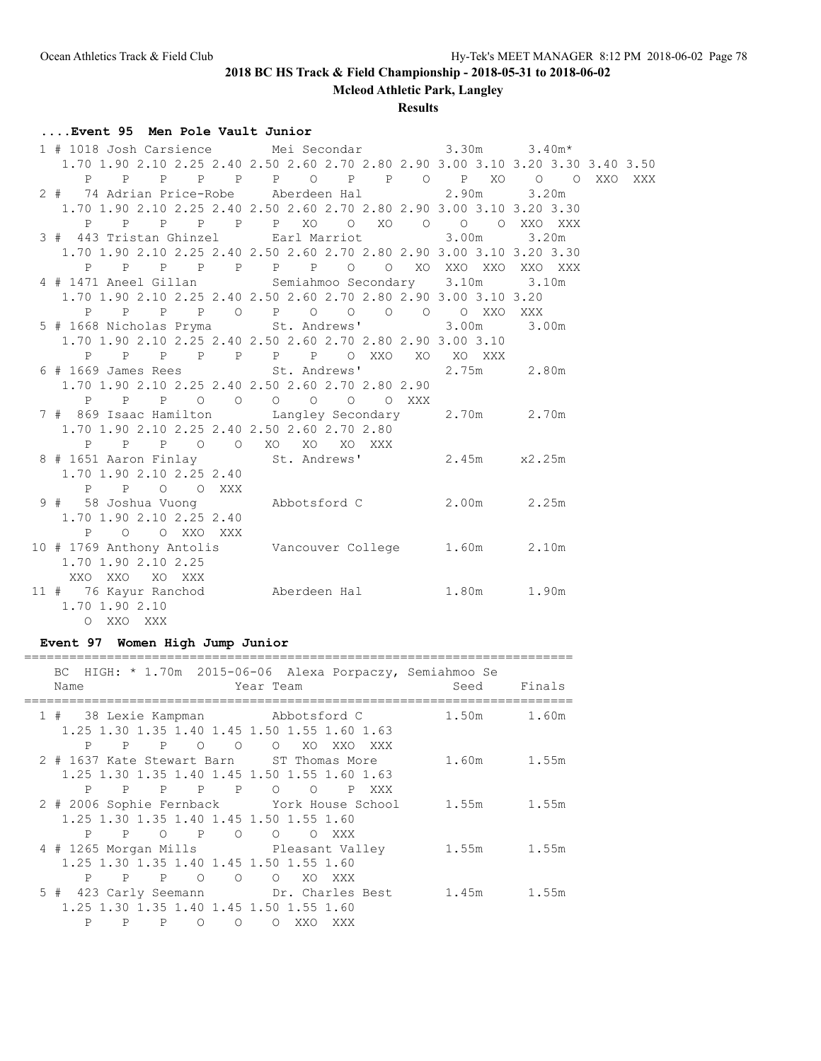**Mcleod Athletic Park, Langley**

**Results**

# **....Event 95 Men Pole Vault Junior**

| 1 # 1018 Josh Carsience Mei Secondar 3.30m 3.40m*                               |                                        |       |  |
|---------------------------------------------------------------------------------|----------------------------------------|-------|--|
| 1.70 1.90 2.10 2.25 2.40 2.50 2.60 2.70 2.80 2.90 3.00 3.10 3.20 3.30 3.40 3.50 |                                        |       |  |
|                                                                                 | P P P P P P P O P P O P XO O O XXO XXX |       |  |
| 2 # 74 Adrian Price-Robe Aberdeen Hal 2.90m 3.20m                               |                                        |       |  |
| 1.70 1.90 2.10 2.25 2.40 2.50 2.60 2.70 2.80 2.90 3.00 3.10 3.20 3.30           |                                        |       |  |
|                                                                                 | P P P P P P XO O XO O O O XXO XXX      |       |  |
| 3 # 443 Tristan Ghinzel Earl Marriot 3.00m                                      |                                        | 3.20m |  |
| 1.70 1.90 2.10 2.25 2.40 2.50 2.60 2.70 2.80 2.90 3.00 3.10 3.20 3.30           |                                        |       |  |
|                                                                                 | P P P P P P P P O O XO XXO XXO XXO XXX |       |  |
| 4 # 1471 Aneel Gillan Semiahmoo Secondary 3.10m 3.10m                           |                                        |       |  |
| 1.70 1.90 2.10 2.25 2.40 2.50 2.60 2.70 2.80 2.90 3.00 3.10 3.20                |                                        |       |  |
|                                                                                 | P P P P O P O O O O O XXO XXX          |       |  |
| 5 # 1668 Nicholas Pryma St. Andrews' 3.00m 3.00m                                |                                        |       |  |
| 1.70 1.90 2.10 2.25 2.40 2.50 2.60 2.70 2.80 2.90 3.00 3.10                     |                                        |       |  |
|                                                                                 |                                        |       |  |
| 6 # 1669 James Rees St. Andrews' 2.75m 2.80m                                    |                                        |       |  |
| 1.70 1.90 2.10 2.25 2.40 2.50 2.60 2.70 2.80 2.90                               |                                        |       |  |
|                                                                                 | P P P O O O O O O XXX                  |       |  |
| 7 # 869 Isaac Hamilton Langley Secondary 2.70m 2.70m                            |                                        |       |  |
| 1.70 1.90 2.10 2.25 2.40 2.50 2.60 2.70 2.80                                    |                                        |       |  |
| P P P O O XO XO XO XXX                                                          |                                        |       |  |
| 8 # 1651 Aaron Finlay St. Andrews' 2.45m x2.25m                                 |                                        |       |  |
| 1.70 1.90 2.10 2.25 2.40                                                        |                                        |       |  |
| P P O O XXX                                                                     |                                        |       |  |
|                                                                                 |                                        |       |  |
| 1.70 1.90 2.10 2.25 2.40                                                        |                                        |       |  |
| P O O XXO XXX                                                                   |                                        |       |  |
| 10 # 1769 Anthony Antolis Vancouver College 1.60m 2.10m                         |                                        |       |  |
| 1.70 1.90 2.10 2.25                                                             |                                        |       |  |
| XXO XXO XO XXX                                                                  |                                        |       |  |
| 11 # 76 Kayur Ranchod Aberdeen Hal 1.80m 1.90m                                  |                                        |       |  |
| 1.70 1.90 2.10                                                                  |                                        |       |  |
| O XXO XXX                                                                       |                                        |       |  |

### **Event 97 Women High Jump Junior**

| BC HIGH: * 1.70m 2015-06-06 Alexa Porpaczy, Semiahmoo Se<br>Year Team<br>Name                                                                                                               | Seed         | Finals |
|---------------------------------------------------------------------------------------------------------------------------------------------------------------------------------------------|--------------|--------|
| 1 # 38 Lexie Kampman Mbbotsford C<br>1.25 1.30 1.35 1.40 1.45 1.50 1.55 1.60 1.63<br>P<br>$\mathbf{P}$<br>$\circ$<br>$\mathbf{P}$<br>$\circ$ $\circ$<br>XO XO<br>XXO                        | 1.50m<br>XXX | 1.60m  |
| 2 # 1637 Kate Stewart Barn ST Thomas More<br>1.25 1.30 1.35 1.40 1.45 1.50 1.55 1.60 1.63<br>P<br>P P P<br>P<br>$\circ$<br>$\circ$<br>P                                                     | 1.60m<br>XXX | 1.55m  |
| 2 # 2006 Sophie Fernback York House School<br>1.25 1.30 1.35 1.40 1.45 1.50 1.55 1.60<br>P<br>$\mathbf{P}$<br>$\mathbf{P}$<br>$\circ$<br>$\overline{O}$<br>$\overline{O}$<br>$\circ$<br>XXX | 1.55m        | 1.55m  |
| 4 # 1265 Morgan Mills Pleasant Valley<br>1.25 1.30 1.35 1.40 1.45 1.50 1.55 1.60<br>P<br>$\mathbb{P}$<br>$\mathbb{P}$<br>$\circ$<br>$\circ$<br>$\Omega$<br>XO.<br>XXX                       | 1.55m        | 1.55m  |
| 5 # 423 Carly Seemann Dr. Charles Best<br>1.25 1.30 1.35 1.40 1.45 1.50 1.55 1.60<br>P<br>P<br>P<br>$\bigcirc$<br>∩<br>$\circ$<br>XXO<br>XXX                                                | 1.45m        | 1.55m  |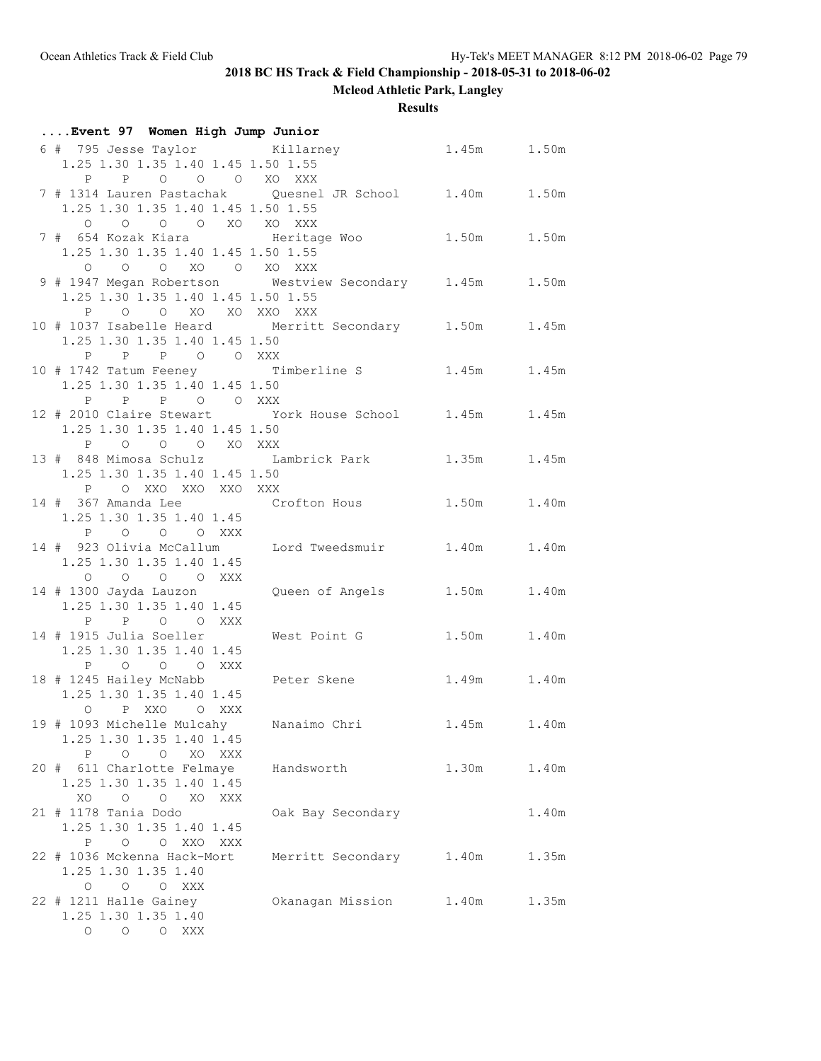**Mcleod Athletic Park, Langley**

## **Results**

| Event 97 Women High Jump Junior                          |                         |             |       |
|----------------------------------------------------------|-------------------------|-------------|-------|
| 6 # 795 Jesse Taylor Killarney                           |                         | 1.45m 1.50m |       |
| 1.25 1.30 1.35 1.40 1.45 1.50 1.55                       |                         |             |       |
| P P O O O XO XXX                                         |                         |             |       |
| 7 # 1314 Lauren Pastachak Quesnel JR School 1.40m        |                         |             | 1.50m |
| 1.25 1.30 1.35 1.40 1.45 1.50 1.55                       |                         |             |       |
|                                                          |                         |             |       |
|                                                          |                         |             | 1.50m |
|                                                          |                         |             |       |
| 1.25 1.30 1.35 1.40 1.45 1.50 1.55                       |                         |             |       |
| 0 0 0 XO 0 XO XXX                                        |                         |             |       |
| 9 # 1947 Megan Robertson Westview Secondary 1.45m 1.50m  |                         |             |       |
| 1.25 1.30 1.35 1.40 1.45 1.50 1.55                       |                         |             |       |
| P O O XO XO XXO XXX                                      |                         |             |       |
| 10 # 1037 Isabelle Heard Merritt Secondary 1.50m 1.45m   |                         |             |       |
| 1.25 1.30 1.35 1.40 1.45 1.50                            |                         |             |       |
| P P P O O XXX                                            |                         |             |       |
| 10 # 1742 Tatum Feeney Timberline S 1.45m                |                         |             | 1.45m |
| 1.25 1.30 1.35 1.40 1.45 1.50                            |                         |             |       |
| P P P O O XXX                                            |                         |             |       |
| 12 # 2010 Claire Stewart York House School 1.45m         |                         |             | 1.45m |
| 1.25 1.30 1.35 1.40 1.45 1.50                            |                         |             |       |
| P O O O XO XXX                                           |                         |             |       |
| 13 # 848 Mimosa Schulz Lambrick Park 1.35m 1.45m         |                         |             |       |
| 1.25 1.30 1.35 1.40 1.45 1.50                            |                         |             |       |
| P O XXO XXO XXO XXX                                      |                         |             |       |
| 14 # 367 Amanda Lee 6 Crofton Hous 1.50m 1.40m           |                         |             |       |
| 1.25 1.30 1.35 1.40 1.45                                 |                         |             |       |
| P O O O XXX                                              |                         |             |       |
| 14 # 923 Olivia McCallum Lord Tweedsmuir 1.40m           |                         |             | 1.40m |
| 1.25 1.30 1.35 1.40 1.45                                 |                         |             |       |
| $\begin{matrix} 0 & 0 & 0 & 0 & \text{XXX} \end{matrix}$ |                         |             |       |
| 14 # 1300 Jayda Lauzon                                   | Queen of Angels 1.50m   |             | 1.40m |
| 1.25 1.30 1.35 1.40 1.45                                 |                         |             |       |
| P P O O XXX                                              |                         |             |       |
| 14 # 1915 Julia Soeller                                  | West Point G            | 1.50m       | 1.40m |
| 1.25 1.30 1.35 1.40 1.45                                 |                         |             |       |
| P O O O XXX                                              |                         |             |       |
| 18 # 1245 Hailey McNabb                                  | Peter Skene 1.49m 1.40m |             |       |
| 1.25 1.30 1.35 1.40 1.45                                 |                         |             |       |
| O P XXO O XXX                                            |                         |             |       |
| 19 # 1093 Michelle Mulcahy                               | Nanaimo Chri            | 1.45m 1.40m |       |
| 1.25 1.30 1.35 1.40 1.45                                 |                         |             |       |
| P O O XO XXX                                             |                         |             |       |
| 20 # 611 Charlotte Felmaye                               | Handsworth              | 1.30m       | 1.40m |
|                                                          |                         |             |       |
| 1.25 1.30 1.35 1.40 1.45                                 |                         |             |       |
| XO O O XO XXX                                            |                         |             |       |
| 21 # 1178 Tania Dodo                                     | Oak Bay Secondary       |             | 1.40m |
| 1.25 1.30 1.35 1.40 1.45                                 |                         |             |       |
| P O O XXO XXX                                            |                         |             |       |
| 22 # 1036 Mckenna Hack-Mort                              | Merritt Secondary       | 1.40m       | 1.35m |
| 1.25 1.30 1.35 1.40                                      |                         |             |       |
| O O O XXX                                                |                         |             |       |
| 22 # 1211 Halle Gainey                                   | Okanagan Mission        | 1.40m       | 1.35m |
| 1.25 1.30 1.35 1.40                                      |                         |             |       |
| O O O XXX                                                |                         |             |       |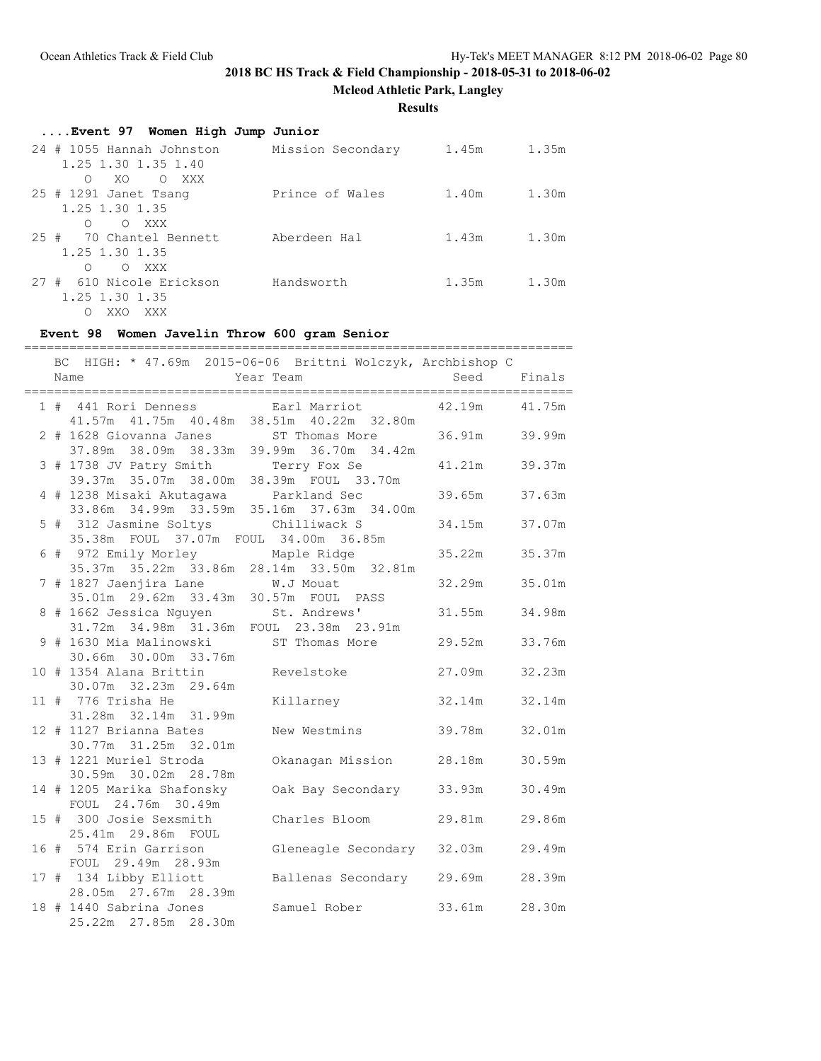**Mcleod Athletic Park, Langley**

**Results**

| Event 97 Women High Jump Junior |                   |       |       |
|---------------------------------|-------------------|-------|-------|
| 24 # 1055 Hannah Johnston       | Mission Secondary | 1.45m | 1.35m |
| 1.25 1.30 1.35 1.40             |                   |       |       |
| XO<br>O XXX<br>$\bigcap$        |                   |       |       |
| $25$ # 1291 Janet Tsang         | Prince of Wales   | 1.40m | 1.30m |
| 1.25 1.30 1.35                  |                   |       |       |
| O XXX<br>$\bigcirc$             |                   |       |       |
| 25 # 70 Chantel Bennett         | Aberdeen Hal      | 1.43m | 1.30m |
| 1.25 1.30 1.35                  |                   |       |       |
| O XXX<br>∩                      |                   |       |       |
| 27 # 610 Nicole Erickson        | Handsworth        | 1.35m | 1.30m |
| 1.25 1.30 1.35                  |                   |       |       |
| XXX<br>XXO<br>∩                 |                   |       |       |

# **Event 98 Women Javelin Throw 600 gram Senior**

|  | ===============                                                                     |                            |               |        |
|--|-------------------------------------------------------------------------------------|----------------------------|---------------|--------|
|  | BC HIGH: * 47.69m 2015-06-06 Brittni Wolczyk, Archbishop C<br>Name<br>Year Team     |                            | Seed          | Finals |
|  | 1 # 441 Rori Denness Earl Marriot<br>41.57m  41.75m  40.48m  38.51m  40.22m  32.80m |                            | 42.19m        | 41.75m |
|  | 2 # 1628 Giovanna Janes ST Thomas More<br>37.89m 38.09m 38.33m 39.99m 36.70m 34.42m |                            | 36.91m 39.99m |        |
|  | 3 # 1738 JV Patry Smith Terry Fox Se<br>39.37m 35.07m 38.00m 38.39m FOUL 33.70m     |                            | 41.21m        | 39.37m |
|  | 4 # 1238 Misaki Akutagawa Parkland Sec<br>33.86m 34.99m 33.59m 35.16m 37.63m 34.00m |                            | 39.65m        | 37.63m |
|  | 5 # 312 Jasmine Soltys<br>35.38m FOUL 37.07m FOUL 34.00m 36.85m                     | Chilliwack S               | 34.15m        | 37.07m |
|  | 6 # 972 Emily Morley Maple Ridge<br>35.37m 35.22m 33.86m 28.14m 33.50m 32.81m       |                            | 35.22m        | 35.37m |
|  | 7 # 1827 Jaenjira Lane M.J Mouat<br>35.01m  29.62m  33.43m  30.57m  FOUL  PASS      |                            | 32.29m        | 35.01m |
|  | 8 # 1662 Jessica Nguyen St. Andrews'<br>31.72m 34.98m 31.36m FOUL 23.38m 23.91m     |                            | 31.55m        | 34.98m |
|  | 9 # 1630 Mia Malinowski ST Thomas More<br>30.66m 30.00m 33.76m                      |                            | 29.52m        | 33.76m |
|  | 10 # 1354 Alana Brittin Revelstoke<br>30.07m 32.23m 29.64m                          |                            | 27.09m        | 32.23m |
|  | 11 # 776 Trisha He<br>31.28m 32.14m 31.99m                                          | Killarney                  | 32.14m        | 32.14m |
|  | 12 # 1127 Brianna Bates                                                             | New Westmins               | 39.78m        | 32.01m |
|  | 30.77m 31.25m 32.01m<br>13 # 1221 Muriel Stroda                                     | Okanagan Mission           | 28.18m        | 30.59m |
|  | 30.59m 30.02m 28.78m<br>14 # 1205 Marika Shafonsky                                  | Oak Bay Secondary 33.93m   |               | 30.49m |
|  | FOUL 24.76m 30.49m<br>15 # 300 Josie Sexsmith                                       | Charles Bloom              | 29.81m        | 29.86m |
|  | 25.41m 29.86m FOUL<br>16 # 574 Erin Garrison                                        | Gleneagle Secondary 32.03m |               | 29.49m |
|  | FOUL 29.49m 28.93m<br>17 # 134 Libby Elliott                                        | Ballenas Secondary 29.69m  |               | 28.39m |
|  | 28.05m 27.67m 28.39m<br>18 # 1440 Sabrina Jones<br>25.22m 27.85m 28.30m             | Samuel Rober               | 33.61m        | 28.30m |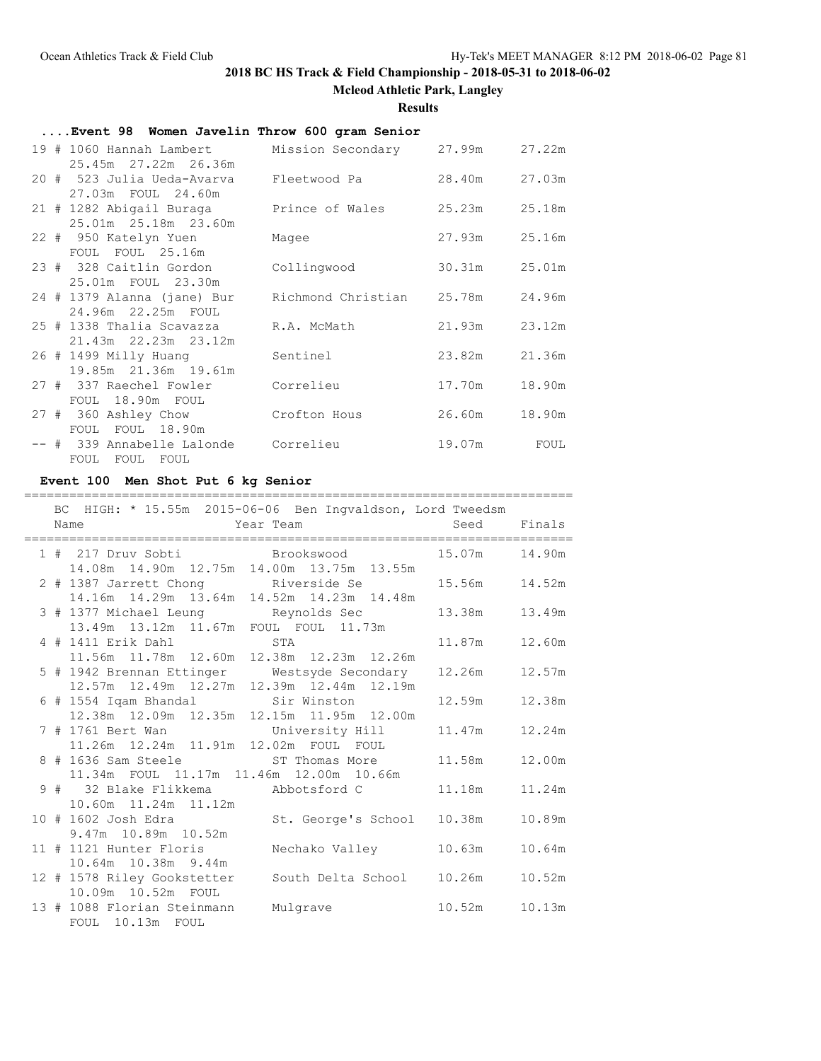**Mcleod Athletic Park, Langley**

**Results**

## **....Event 98 Women Javelin Throw 600 gram Senior**

| 19 # 1060 Hannah Lambert                         | Mission Secondary 27.99m  |        | 27.22m |
|--------------------------------------------------|---------------------------|--------|--------|
| 25.45m 27.22m 26.36m                             |                           |        |        |
| 20 # 523 Julia Ueda-Avarva<br>27.03m FOUL 24.60m | Fleetwood Pa              | 28.40m | 27.03m |
| 21 # 1282 Abigail Buraga                         | Prince of Wales           | 25.23m | 25.18m |
| 25.01m 25.18m 23.60m                             |                           |        |        |
| 22 # 950 Katelyn Yuen                            | Magee                     | 27.93m | 25.16m |
| FOUL FOUL 25.16m                                 |                           |        |        |
| 23 # 328 Caitlin Gordon                          | Collingwood               | 30.31m | 25.01m |
| 25.01m FOUL 23.30m                               |                           |        |        |
| 24 # 1379 Alanna (jane) Bur                      | Richmond Christian 25.78m |        | 24.96m |
| 24.96m 22.25m FOUL                               |                           |        |        |
| 25 # 1338 Thalia Scavazza                        | R.A. McMath               | 21.93m | 23.12m |
| 21.43m  22.23m  23.12m                           |                           |        |        |
| 26 # 1499 Milly Huanq                            | Sentinel                  | 23.82m | 21.36m |
| 19.85m 21.36m 19.61m                             |                           |        |        |
| 27 # 337 Raechel Fowler<br>FOUL 18.90m FOUL      | Correlieu                 | 17.70m | 18.90m |
| 27 # 360 Ashley Chow                             | Crofton Hous              | 26.60m | 18.90m |
| FOUL FOUL 18.90m                                 |                           |        |        |
| -- # 339 Annabelle Lalonde Correlieu             |                           | 19.07m | FOUL   |
| FOUL FOUL FOUL                                   |                           |        |        |

### **Event 100 Men Shot Put 6 kg Senior**

## =========================================================================

|  | Name                                                | BC HIGH: * 15.55m 2015-06-06 Ben Ingvaldson, Lord Tweedsm<br><b>Example 2</b> Team and the Seed Finals |               |        |
|--|-----------------------------------------------------|--------------------------------------------------------------------------------------------------------|---------------|--------|
|  |                                                     | 1 # 217 Druv Sobti Brookswood 15.07m 14.90m                                                            |               |        |
|  |                                                     | 14.08m  14.90m  12.75m  14.00m  13.75m  13.55m                                                         |               |        |
|  |                                                     | 2 # 1387 Jarrett Chong Riverside Se 15.56m 14.52m                                                      |               |        |
|  |                                                     | 14.16m  14.29m  13.64m  14.52m  14.23m  14.48m                                                         |               |        |
|  |                                                     | 3 # 1377 Michael Leung Keynolds Sec                                                                    | 13.38m 13.49m |        |
|  | 13.49m  13.12m  11.67m  FOUL  FOUL  11.73m          |                                                                                                        |               |        |
|  | 4 # 1411 Erik Dahl STA                              |                                                                                                        | 11.87m        | 12.60m |
|  | 11.56m  11.78m  12.60m  12.38m  12.23m  12.26m      |                                                                                                        |               |        |
|  |                                                     | 5 # 1942 Brennan Ettinger Mestsyde Secondary<br>12.57m 12.49m 12.27m 12.39m 12.44m 12.19m              | 12.26m        | 12.57m |
|  |                                                     |                                                                                                        |               |        |
|  | 6 # 1554 Iqam Bhandal                   Sir Winston |                                                                                                        | 12.59m        | 12.38m |
|  | 12.38m  12.09m  12.35m  12.15m  11.95m  12.00m      |                                                                                                        |               |        |
|  |                                                     | 7 # 1761 Bert Wan Man University Hill                                                                  | 11.47m        | 12.24m |
|  | 11.26m  12.24m  11.91m  12.02m  FOUL  FOUL          |                                                                                                        |               |        |
|  |                                                     | 8 # 1636 Sam Steele                 ST Thomas More                                                     | 11.58m        | 12.00m |
|  | 11.34m FOUL 11.17m 11.46m 12.00m 10.66m             |                                                                                                        |               |        |
|  |                                                     | 9 # 32 Blake Flikkema Mbbotsford C                                                                     | 11.18m        | 11.24m |
|  | 10.60m  11.24m  11.12m                              |                                                                                                        |               |        |
|  |                                                     | 10 # 1602 Josh Edra                           St. George's School     10.38m                           |               | 10.89m |
|  | 9.47m 10.89m 10.52m                                 |                                                                                                        |               |        |
|  |                                                     | 11 # 1121 Hunter Floris Mechako Valley                                                                 | 10.63m        | 10.64m |
|  | 10.64m  10.38m  9.44m                               |                                                                                                        |               |        |
|  |                                                     | 12 # 1578 Riley Gookstetter South Delta School 10.26m                                                  |               | 10.52m |
|  | 10.09m  10.52m  FOUL                                |                                                                                                        |               |        |
|  | 13 # 1088 Florian Steinmann                         | Mulgrave                                                                                               | 10.52m        | 10.13m |
|  | FOUL 10.13m FOUL                                    |                                                                                                        |               |        |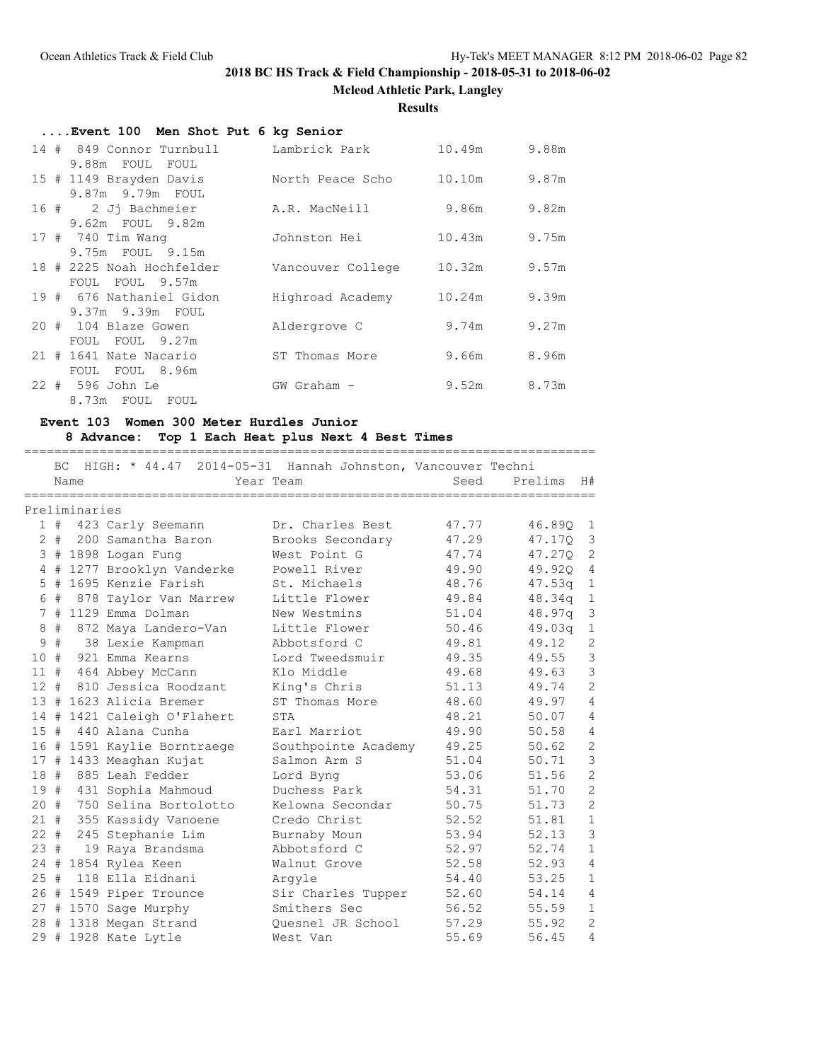**Mcleod Athletic Park, Langley**

### **Results**

| Event 100 Men Shot Put 6 kg Senior |                   |        |       |
|------------------------------------|-------------------|--------|-------|
| 14 # 849 Connor Turnbull           | Lambrick Park     | 10.49m | 9.88m |
| 9.88m FOUL FOUL                    |                   |        |       |
| 15 # 1149 Brayden Davis            | North Peace Scho  | 10.10m | 9.87m |
| 9.87m 9.79m FOUL                   |                   |        |       |
| 2 Jj Bachmeier<br>16 #             | A.R. MacNeill     | 9.86m  | 9.82m |
| 9.62m FOUL 9.82m                   |                   |        |       |
| 17 # 740 Tim Wang                  | Johnston Hei      | 10.43m | 9.75m |
| 9.75m FOUL 9.15m                   |                   |        |       |
| 18 # 2225 Noah Hochfelder          | Vancouver College | 10.32m | 9.57m |
| FOUL FOUL 9.57m                    |                   |        |       |
| 19 # 676 Nathaniel Gidon           | Highroad Academy  | 10.24m | 9.39m |
| 9.37m 9.39m FOUL                   |                   |        |       |
| 20 # 104 Blaze Gowen               | Aldergrove C      | 9.74m  | 9.27m |
| FOUL FOUL 9.27m                    |                   |        |       |
| 21 # 1641 Nate Nacario             | ST Thomas More    | 9.66m  | 8.96m |
| FOUL FOUL 8.96m                    |                   |        |       |
| 22 # 596 John Le                   | GW Graham -       | 9.52m  | 8.73m |
| 8.73m FOUL FOUL                    |                   |        |       |

## **Event 103 Women 300 Meter Hurdles Junior**

## **8 Advance: Top 1 Each Heat plus Next 4 Best Times**

| HIGH: * 44.47 2014-05-31 Hannah Johnston, Vancouver Techni<br>BC.<br>Seed<br>Prelims<br>H#<br>Name<br>Year Team<br>Preliminaries<br>1 # 423 Carly Seemann<br>Dr. Charles Best<br>47.77<br>46.890<br>$\overline{1}$<br>$2 +$<br>3<br>200 Samantha Baron<br>Brooks Secondary<br>47.29<br>47.170<br>2<br>3 # 1898 Logan Fung<br>West Point G<br>47.74<br>47.270<br>49.90<br>4<br>1277 Brooklyn Vanderke<br>Powell River<br>49.920<br>$+$<br>4<br>1695 Kenzie Farish<br>$\mathbf{1}$<br>5<br>#<br>St. Michaels<br>48.76<br>47.53q<br>#<br>49.84<br>$\mathbf{1}$<br>6<br>878 Taylor Van Marrew<br>Little Flower<br>48.34q<br>7#<br>1129 Emma Dolman<br>48.97a<br>3<br>New Westmins<br>51.04<br>#<br>8<br>Little Flower<br>50.46<br>$\mathbf{1}$<br>49.03 <sub>q</sub><br>872 Maya Landero-Van<br>$\mathbf{2}$<br>9<br>#<br>Abbotsford C<br>49.81<br>38 Lexie Kampman<br>49.12<br>$\mathcal{S}$<br>10<br>#<br>921 Emma Kearns<br>Lord Tweedsmuir<br>49.35<br>49.55<br>$\mathcal{S}$<br>11#<br>49.68<br>49.63<br>464 Abbey McCann<br>Klo Middle<br>$\overline{c}$<br>$12 +$<br>810 Jessica Roodzant<br>51.13<br>King's Chris<br>49.74<br>$\overline{4}$<br>13#<br>1623 Alicia Bremer<br>48.60<br>ST Thomas More<br>49.97<br>48.21<br>$\overline{4}$<br>1421 Caleigh O'Flahert<br>STA<br>50.07<br>14#<br>440 Alana Cunha<br>49.90<br>4<br>15#<br>Earl Marriot<br>50.58<br>$\overline{c}$<br>16 # 1591 Kaylie Borntraege<br>49.25<br>50.62<br>Southpointe Academy<br>3<br>17 # 1433 Meaghan Kujat<br>Salmon Arm S<br>51.04<br>50.71<br>$\overline{c}$<br>18#<br>885 Leah Fedder<br>53.06<br>51.56<br>Lord Byng<br>$\overline{c}$<br>19 # 431 Sophia Mahmoud<br>Duchess Park<br>54.31<br>51.70<br>$\overline{c}$<br>20 # 750 Selina Bortolotto<br>Kelowna Secondar<br>50.75<br>51.73<br>$\mathbf{1}$<br>21#<br>51.81<br>355 Kassidy Vanoene<br>Credo Christ<br>52.52<br>3<br>$22 +$<br>245 Stephanie Lim<br>Burnaby Moun<br>53.94<br>52.13<br>$\mathbf{1}$<br>23#<br>Abbotsford C<br>19 Raya Brandsma<br>52.97<br>52.74<br>$\overline{4}$<br>$24 +$<br>1854 Rylea Keen<br>52.58<br>52.93<br>Walnut Grove<br>25#<br>118 Ella Eidnani<br>53.25<br>$\mathbf{1}$<br>54.40<br>Arqyle<br>26 # 1549 Piper Trounce<br>$\overline{4}$<br>Sir Charles Tupper<br>52.60<br>54.14<br>$\mathbf{1}$<br>56.52<br>27#<br>1570 Sage Murphy<br>Smithers Sec<br>55.59<br>2<br>1318 Megan Strand<br>Ouesnel JR School<br>57.29<br>55.92<br>28# |  |                 |          |       |       |   |
|-----------------------------------------------------------------------------------------------------------------------------------------------------------------------------------------------------------------------------------------------------------------------------------------------------------------------------------------------------------------------------------------------------------------------------------------------------------------------------------------------------------------------------------------------------------------------------------------------------------------------------------------------------------------------------------------------------------------------------------------------------------------------------------------------------------------------------------------------------------------------------------------------------------------------------------------------------------------------------------------------------------------------------------------------------------------------------------------------------------------------------------------------------------------------------------------------------------------------------------------------------------------------------------------------------------------------------------------------------------------------------------------------------------------------------------------------------------------------------------------------------------------------------------------------------------------------------------------------------------------------------------------------------------------------------------------------------------------------------------------------------------------------------------------------------------------------------------------------------------------------------------------------------------------------------------------------------------------------------------------------------------------------------------------------------------------------------------------------------------------------------------------------------------------------------------------------------------------------------------------------------------------------------------------------------------------------------------------------------------------------------------------------------------------|--|-----------------|----------|-------|-------|---|
|                                                                                                                                                                                                                                                                                                                                                                                                                                                                                                                                                                                                                                                                                                                                                                                                                                                                                                                                                                                                                                                                                                                                                                                                                                                                                                                                                                                                                                                                                                                                                                                                                                                                                                                                                                                                                                                                                                                                                                                                                                                                                                                                                                                                                                                                                                                                                                                                                 |  |                 |          |       |       |   |
|                                                                                                                                                                                                                                                                                                                                                                                                                                                                                                                                                                                                                                                                                                                                                                                                                                                                                                                                                                                                                                                                                                                                                                                                                                                                                                                                                                                                                                                                                                                                                                                                                                                                                                                                                                                                                                                                                                                                                                                                                                                                                                                                                                                                                                                                                                                                                                                                                 |  |                 |          |       |       |   |
|                                                                                                                                                                                                                                                                                                                                                                                                                                                                                                                                                                                                                                                                                                                                                                                                                                                                                                                                                                                                                                                                                                                                                                                                                                                                                                                                                                                                                                                                                                                                                                                                                                                                                                                                                                                                                                                                                                                                                                                                                                                                                                                                                                                                                                                                                                                                                                                                                 |  |                 |          |       |       |   |
|                                                                                                                                                                                                                                                                                                                                                                                                                                                                                                                                                                                                                                                                                                                                                                                                                                                                                                                                                                                                                                                                                                                                                                                                                                                                                                                                                                                                                                                                                                                                                                                                                                                                                                                                                                                                                                                                                                                                                                                                                                                                                                                                                                                                                                                                                                                                                                                                                 |  |                 |          |       |       |   |
|                                                                                                                                                                                                                                                                                                                                                                                                                                                                                                                                                                                                                                                                                                                                                                                                                                                                                                                                                                                                                                                                                                                                                                                                                                                                                                                                                                                                                                                                                                                                                                                                                                                                                                                                                                                                                                                                                                                                                                                                                                                                                                                                                                                                                                                                                                                                                                                                                 |  |                 |          |       |       |   |
|                                                                                                                                                                                                                                                                                                                                                                                                                                                                                                                                                                                                                                                                                                                                                                                                                                                                                                                                                                                                                                                                                                                                                                                                                                                                                                                                                                                                                                                                                                                                                                                                                                                                                                                                                                                                                                                                                                                                                                                                                                                                                                                                                                                                                                                                                                                                                                                                                 |  |                 |          |       |       |   |
|                                                                                                                                                                                                                                                                                                                                                                                                                                                                                                                                                                                                                                                                                                                                                                                                                                                                                                                                                                                                                                                                                                                                                                                                                                                                                                                                                                                                                                                                                                                                                                                                                                                                                                                                                                                                                                                                                                                                                                                                                                                                                                                                                                                                                                                                                                                                                                                                                 |  |                 |          |       |       |   |
|                                                                                                                                                                                                                                                                                                                                                                                                                                                                                                                                                                                                                                                                                                                                                                                                                                                                                                                                                                                                                                                                                                                                                                                                                                                                                                                                                                                                                                                                                                                                                                                                                                                                                                                                                                                                                                                                                                                                                                                                                                                                                                                                                                                                                                                                                                                                                                                                                 |  |                 |          |       |       |   |
|                                                                                                                                                                                                                                                                                                                                                                                                                                                                                                                                                                                                                                                                                                                                                                                                                                                                                                                                                                                                                                                                                                                                                                                                                                                                                                                                                                                                                                                                                                                                                                                                                                                                                                                                                                                                                                                                                                                                                                                                                                                                                                                                                                                                                                                                                                                                                                                                                 |  |                 |          |       |       |   |
|                                                                                                                                                                                                                                                                                                                                                                                                                                                                                                                                                                                                                                                                                                                                                                                                                                                                                                                                                                                                                                                                                                                                                                                                                                                                                                                                                                                                                                                                                                                                                                                                                                                                                                                                                                                                                                                                                                                                                                                                                                                                                                                                                                                                                                                                                                                                                                                                                 |  |                 |          |       |       |   |
|                                                                                                                                                                                                                                                                                                                                                                                                                                                                                                                                                                                                                                                                                                                                                                                                                                                                                                                                                                                                                                                                                                                                                                                                                                                                                                                                                                                                                                                                                                                                                                                                                                                                                                                                                                                                                                                                                                                                                                                                                                                                                                                                                                                                                                                                                                                                                                                                                 |  |                 |          |       |       |   |
|                                                                                                                                                                                                                                                                                                                                                                                                                                                                                                                                                                                                                                                                                                                                                                                                                                                                                                                                                                                                                                                                                                                                                                                                                                                                                                                                                                                                                                                                                                                                                                                                                                                                                                                                                                                                                                                                                                                                                                                                                                                                                                                                                                                                                                                                                                                                                                                                                 |  |                 |          |       |       |   |
|                                                                                                                                                                                                                                                                                                                                                                                                                                                                                                                                                                                                                                                                                                                                                                                                                                                                                                                                                                                                                                                                                                                                                                                                                                                                                                                                                                                                                                                                                                                                                                                                                                                                                                                                                                                                                                                                                                                                                                                                                                                                                                                                                                                                                                                                                                                                                                                                                 |  |                 |          |       |       |   |
|                                                                                                                                                                                                                                                                                                                                                                                                                                                                                                                                                                                                                                                                                                                                                                                                                                                                                                                                                                                                                                                                                                                                                                                                                                                                                                                                                                                                                                                                                                                                                                                                                                                                                                                                                                                                                                                                                                                                                                                                                                                                                                                                                                                                                                                                                                                                                                                                                 |  |                 |          |       |       |   |
|                                                                                                                                                                                                                                                                                                                                                                                                                                                                                                                                                                                                                                                                                                                                                                                                                                                                                                                                                                                                                                                                                                                                                                                                                                                                                                                                                                                                                                                                                                                                                                                                                                                                                                                                                                                                                                                                                                                                                                                                                                                                                                                                                                                                                                                                                                                                                                                                                 |  |                 |          |       |       |   |
|                                                                                                                                                                                                                                                                                                                                                                                                                                                                                                                                                                                                                                                                                                                                                                                                                                                                                                                                                                                                                                                                                                                                                                                                                                                                                                                                                                                                                                                                                                                                                                                                                                                                                                                                                                                                                                                                                                                                                                                                                                                                                                                                                                                                                                                                                                                                                                                                                 |  |                 |          |       |       |   |
|                                                                                                                                                                                                                                                                                                                                                                                                                                                                                                                                                                                                                                                                                                                                                                                                                                                                                                                                                                                                                                                                                                                                                                                                                                                                                                                                                                                                                                                                                                                                                                                                                                                                                                                                                                                                                                                                                                                                                                                                                                                                                                                                                                                                                                                                                                                                                                                                                 |  |                 |          |       |       |   |
|                                                                                                                                                                                                                                                                                                                                                                                                                                                                                                                                                                                                                                                                                                                                                                                                                                                                                                                                                                                                                                                                                                                                                                                                                                                                                                                                                                                                                                                                                                                                                                                                                                                                                                                                                                                                                                                                                                                                                                                                                                                                                                                                                                                                                                                                                                                                                                                                                 |  |                 |          |       |       |   |
|                                                                                                                                                                                                                                                                                                                                                                                                                                                                                                                                                                                                                                                                                                                                                                                                                                                                                                                                                                                                                                                                                                                                                                                                                                                                                                                                                                                                                                                                                                                                                                                                                                                                                                                                                                                                                                                                                                                                                                                                                                                                                                                                                                                                                                                                                                                                                                                                                 |  |                 |          |       |       |   |
|                                                                                                                                                                                                                                                                                                                                                                                                                                                                                                                                                                                                                                                                                                                                                                                                                                                                                                                                                                                                                                                                                                                                                                                                                                                                                                                                                                                                                                                                                                                                                                                                                                                                                                                                                                                                                                                                                                                                                                                                                                                                                                                                                                                                                                                                                                                                                                                                                 |  |                 |          |       |       |   |
|                                                                                                                                                                                                                                                                                                                                                                                                                                                                                                                                                                                                                                                                                                                                                                                                                                                                                                                                                                                                                                                                                                                                                                                                                                                                                                                                                                                                                                                                                                                                                                                                                                                                                                                                                                                                                                                                                                                                                                                                                                                                                                                                                                                                                                                                                                                                                                                                                 |  |                 |          |       |       |   |
|                                                                                                                                                                                                                                                                                                                                                                                                                                                                                                                                                                                                                                                                                                                                                                                                                                                                                                                                                                                                                                                                                                                                                                                                                                                                                                                                                                                                                                                                                                                                                                                                                                                                                                                                                                                                                                                                                                                                                                                                                                                                                                                                                                                                                                                                                                                                                                                                                 |  |                 |          |       |       |   |
|                                                                                                                                                                                                                                                                                                                                                                                                                                                                                                                                                                                                                                                                                                                                                                                                                                                                                                                                                                                                                                                                                                                                                                                                                                                                                                                                                                                                                                                                                                                                                                                                                                                                                                                                                                                                                                                                                                                                                                                                                                                                                                                                                                                                                                                                                                                                                                                                                 |  |                 |          |       |       |   |
|                                                                                                                                                                                                                                                                                                                                                                                                                                                                                                                                                                                                                                                                                                                                                                                                                                                                                                                                                                                                                                                                                                                                                                                                                                                                                                                                                                                                                                                                                                                                                                                                                                                                                                                                                                                                                                                                                                                                                                                                                                                                                                                                                                                                                                                                                                                                                                                                                 |  |                 |          |       |       |   |
|                                                                                                                                                                                                                                                                                                                                                                                                                                                                                                                                                                                                                                                                                                                                                                                                                                                                                                                                                                                                                                                                                                                                                                                                                                                                                                                                                                                                                                                                                                                                                                                                                                                                                                                                                                                                                                                                                                                                                                                                                                                                                                                                                                                                                                                                                                                                                                                                                 |  |                 |          |       |       |   |
|                                                                                                                                                                                                                                                                                                                                                                                                                                                                                                                                                                                                                                                                                                                                                                                                                                                                                                                                                                                                                                                                                                                                                                                                                                                                                                                                                                                                                                                                                                                                                                                                                                                                                                                                                                                                                                                                                                                                                                                                                                                                                                                                                                                                                                                                                                                                                                                                                 |  |                 |          |       |       |   |
|                                                                                                                                                                                                                                                                                                                                                                                                                                                                                                                                                                                                                                                                                                                                                                                                                                                                                                                                                                                                                                                                                                                                                                                                                                                                                                                                                                                                                                                                                                                                                                                                                                                                                                                                                                                                                                                                                                                                                                                                                                                                                                                                                                                                                                                                                                                                                                                                                 |  |                 |          |       |       |   |
|                                                                                                                                                                                                                                                                                                                                                                                                                                                                                                                                                                                                                                                                                                                                                                                                                                                                                                                                                                                                                                                                                                                                                                                                                                                                                                                                                                                                                                                                                                                                                                                                                                                                                                                                                                                                                                                                                                                                                                                                                                                                                                                                                                                                                                                                                                                                                                                                                 |  |                 |          |       |       |   |
|                                                                                                                                                                                                                                                                                                                                                                                                                                                                                                                                                                                                                                                                                                                                                                                                                                                                                                                                                                                                                                                                                                                                                                                                                                                                                                                                                                                                                                                                                                                                                                                                                                                                                                                                                                                                                                                                                                                                                                                                                                                                                                                                                                                                                                                                                                                                                                                                                 |  |                 |          |       |       |   |
|                                                                                                                                                                                                                                                                                                                                                                                                                                                                                                                                                                                                                                                                                                                                                                                                                                                                                                                                                                                                                                                                                                                                                                                                                                                                                                                                                                                                                                                                                                                                                                                                                                                                                                                                                                                                                                                                                                                                                                                                                                                                                                                                                                                                                                                                                                                                                                                                                 |  |                 |          |       |       |   |
|                                                                                                                                                                                                                                                                                                                                                                                                                                                                                                                                                                                                                                                                                                                                                                                                                                                                                                                                                                                                                                                                                                                                                                                                                                                                                                                                                                                                                                                                                                                                                                                                                                                                                                                                                                                                                                                                                                                                                                                                                                                                                                                                                                                                                                                                                                                                                                                                                 |  |                 |          |       |       |   |
|                                                                                                                                                                                                                                                                                                                                                                                                                                                                                                                                                                                                                                                                                                                                                                                                                                                                                                                                                                                                                                                                                                                                                                                                                                                                                                                                                                                                                                                                                                                                                                                                                                                                                                                                                                                                                                                                                                                                                                                                                                                                                                                                                                                                                                                                                                                                                                                                                 |  |                 |          |       |       |   |
| 29#                                                                                                                                                                                                                                                                                                                                                                                                                                                                                                                                                                                                                                                                                                                                                                                                                                                                                                                                                                                                                                                                                                                                                                                                                                                                                                                                                                                                                                                                                                                                                                                                                                                                                                                                                                                                                                                                                                                                                                                                                                                                                                                                                                                                                                                                                                                                                                                                             |  | 1928 Kate Lytle | West Van | 55.69 | 56.45 | 4 |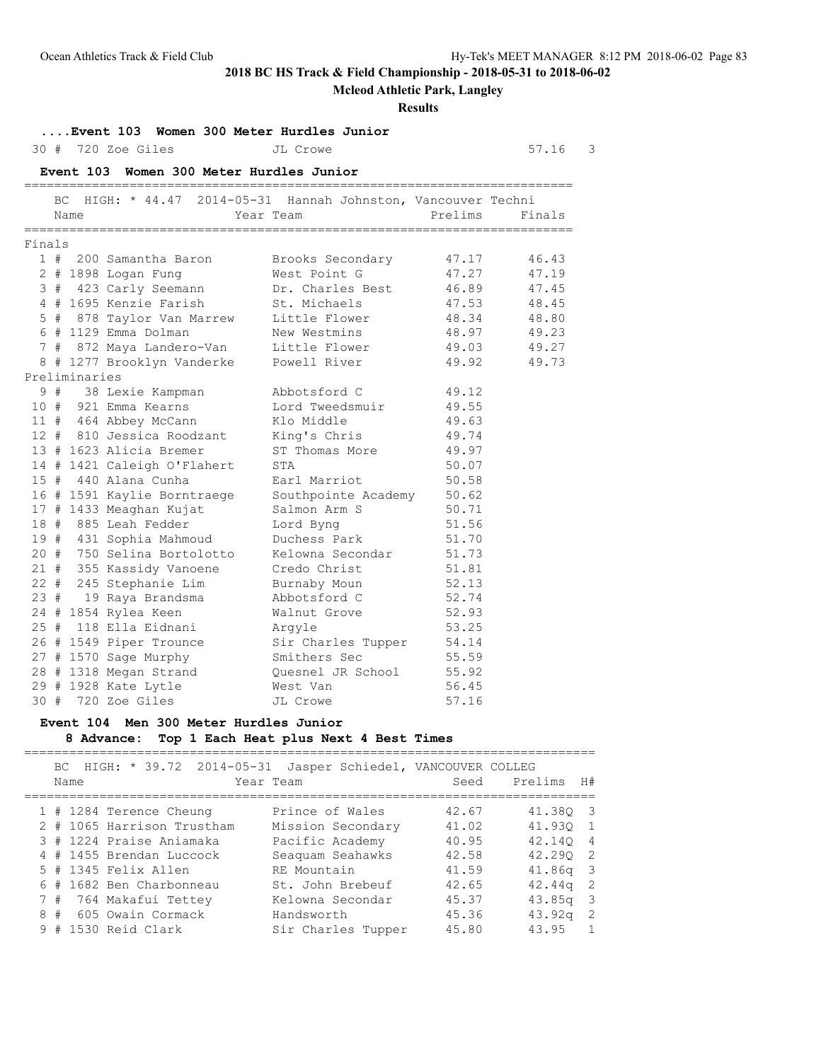**Mcleod Athletic Park, Langley**

### **Results**

## **....Event 103 Women 300 Meter Hurdles Junior**

30 # 720 Zoe Giles JL Crowe 57.16 3

|        |     |               | Event 103 Women 300 Meter Hurdles Junior                   |                     |         |        |
|--------|-----|---------------|------------------------------------------------------------|---------------------|---------|--------|
|        | BC. | Name          | HIGH: * 44.47 2014-05-31 Hannah Johnston, Vancouver Techni | Year Team           | Prelims | Finals |
| Finals |     |               |                                                            |                     |         |        |
|        |     |               | 1 # 200 Samantha Baron                                     | Brooks Secondary    | 47.17   | 46.43  |
|        |     |               | 2 # 1898 Logan Fung                                        | West Point G        | 47.27   | 47.19  |
|        |     |               | 3 # 423 Carly Seemann                                      | Dr. Charles Best    | 46.89   | 47.45  |
|        |     |               | 4 # 1695 Kenzie Farish                                     | St. Michaels        | 47.53   | 48.45  |
|        |     |               | 5 # 878 Taylor Van Marrew                                  | Little Flower       | 48.34   | 48.80  |
|        |     |               | 6 # 1129 Emma Dolman                                       | New Westmins        | 48.97   | 49.23  |
|        |     |               | 7 # 872 Maya Landero-Van                                   | Little Flower       | 49.03   | 49.27  |
|        |     |               | 8 # 1277 Brooklyn Vanderke                                 | Powell River        | 49.92   | 49.73  |
|        |     | Preliminaries |                                                            |                     |         |        |
|        |     |               | 9 # 38 Lexie Kampman                                       | Abbotsford C        | 49.12   |        |
|        |     |               | 10 # 921 Emma Kearns                                       | Lord Tweedsmuir     | 49.55   |        |
|        |     |               | 11 # 464 Abbey McCann                                      | Klo Middle          | 49.63   |        |
|        |     |               | 12 # 810 Jessica Roodzant                                  | King's Chris        | 49.74   |        |
|        |     |               | 13 # 1623 Alicia Bremer                                    | ST Thomas More      | 49.97   |        |
|        |     |               | 14 # 1421 Caleigh O'Flahert                                | STA                 | 50.07   |        |
|        |     |               | 15 # 440 Alana Cunha                                       | Earl Marriot        | 50.58   |        |
|        |     |               | 16 # 1591 Kaylie Borntraege                                | Southpointe Academy | 50.62   |        |
|        |     |               | 17 # 1433 Meaghan Kujat                                    | Salmon Arm S        | 50.71   |        |
|        |     |               | 18 # 885 Leah Fedder                                       | Lord Byng           | 51.56   |        |
|        |     |               | 19 # 431 Sophia Mahmoud                                    | Duchess Park        | 51.70   |        |
|        |     |               | 20 # 750 Selina Bortolotto                                 | Kelowna Secondar    | 51.73   |        |
|        |     |               | 21 # 355 Kassidy Vanoene                                   | Credo Christ        | 51.81   |        |
|        |     |               | 22 # 245 Stephanie Lim                                     | Burnaby Moun        | 52.13   |        |
|        |     | 23#           | 19 Raya Brandsma                                           | Abbotsford C        | 52.74   |        |
|        |     |               | 24 # 1854 Rylea Keen                                       | Walnut Grove        | 52.93   |        |
|        |     |               | 25 # 118 Ella Eidnani                                      | Arqyle              | 53.25   |        |
|        |     |               | 26 # 1549 Piper Trounce                                    | Sir Charles Tupper  | 54.14   |        |
|        |     |               | 27 # 1570 Sage Murphy                                      | Smithers Sec        | 55.59   |        |
|        |     |               | 28 # 1318 Megan Strand                                     | Quesnel JR School   | 55.92   |        |
|        |     |               | 29 # 1928 Kate Lytle                                       | West Van            | 56.45   |        |
| 30#    |     |               | 720 Zoe Giles                                              | JL Crowe            | 57.16   |        |

### **Event 104 Men 300 Meter Hurdles Junior 8 Advance: Top 1 Each Heat plus Next 4 Best Times**

|    |      |                                                                                                                                                                                                                                         | Seed      | H#<br>Prelims            |                                                               |
|----|------|-----------------------------------------------------------------------------------------------------------------------------------------------------------------------------------------------------------------------------------------|-----------|--------------------------|---------------------------------------------------------------|
|    |      | Prince of Wales                                                                                                                                                                                                                         | 42.67     | 41.380 3                 |                                                               |
|    |      | Mission Secondary                                                                                                                                                                                                                       | 41.02     | 41.930 1                 |                                                               |
|    |      | Pacific Academy                                                                                                                                                                                                                         | 40.95     | 42.140 4                 |                                                               |
|    |      | Seaguam Seahawks                                                                                                                                                                                                                        | 42.58     | 42.290 2                 |                                                               |
|    |      | RE Mountain                                                                                                                                                                                                                             | 41.59     | $41.86q$ 3               |                                                               |
|    |      | St. John Brebeuf                                                                                                                                                                                                                        | 42.65     | 42.44q<br>$\overline{2}$ |                                                               |
|    |      | Kelowna Secondar                                                                                                                                                                                                                        | 45.37     | $43.85q$ 3               |                                                               |
|    |      | Handsworth                                                                                                                                                                                                                              | 45.36     | $43.92q$ 2               |                                                               |
|    |      | Sir Charles Tupper                                                                                                                                                                                                                      | 45.80     | $\sqrt{1}$<br>43.95      |                                                               |
| 8# | Name | 1 # 1284 Terence Cheung<br>2 # 1065 Harrison Trustham<br>3 # 1224 Praise Aniamaka<br>4 # 1455 Brendan Luccock<br>5 # 1345 Felix Allen<br>6 # 1682 Ben Charbonneau<br>7 # 764 Makafui Tettey<br>605 Owain Cormack<br>9 # 1530 Reid Clark | Year Team |                          | BC HIGH: * 39.72 2014-05-31 Jasper Schiedel, VANCOUVER COLLEG |

============================================================================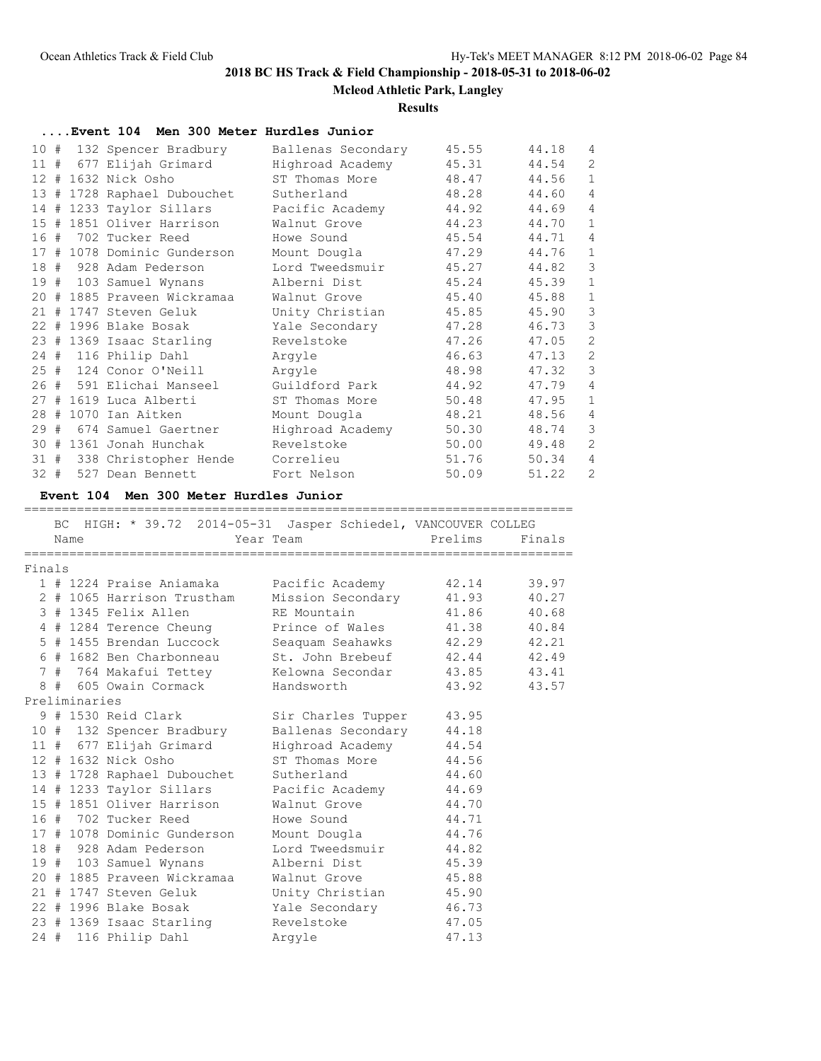### **Mcleod Athletic Park, Langley**

#### **Results**

**....Event 104 Men 300 Meter Hurdles Junior**

| 10 #   |   | 132 Spencer Bradbury        | Ballenas Secondary | 45.55 | 44.18 | 4              |
|--------|---|-----------------------------|--------------------|-------|-------|----------------|
|        |   | 11 # 677 Elijah Grimard     | Highroad Academy   | 45.31 | 44.54 | 2              |
|        |   | 12 # 1632 Nick Osho         | ST Thomas More     | 48.47 | 44.56 | $\mathbf{1}$   |
|        |   | 13 # 1728 Raphael Dubouchet | Sutherland         | 48.28 | 44.60 | 4              |
|        |   | 14 # 1233 Taylor Sillars    | Pacific Academy    | 44.92 | 44.69 | $\overline{4}$ |
| 15     | # | 1851 Oliver Harrison        | Walnut Grove       | 44.23 | 44.70 | $\mathbf{1}$   |
| 16     | # | 702 Tucker Reed             | Howe Sound         | 45.54 | 44.71 | $\overline{4}$ |
|        |   | 17 # 1078 Dominic Gunderson | Mount Dougla       | 47.29 | 44.76 | $\mathbf{1}$   |
| 18#    |   | 928 Adam Pederson           | Lord Tweedsmuir    | 45.27 | 44.82 | 3              |
|        |   | 19 # 103 Samuel Wynans      | Alberni Dist       | 45.24 | 45.39 | $\mathbf{1}$   |
|        |   | 20 # 1885 Praveen Wickramaa | Walnut Grove       | 45.40 | 45.88 | $\mathbf{1}$   |
|        |   | 21 # 1747 Steven Geluk      | Unity Christian    | 45.85 | 45.90 | 3              |
| 22     |   | # 1996 Blake Bosak          | Yale Secondary     | 47.28 | 46.73 | 3              |
|        |   | 23 # 1369 Isaac Starling    | Revelstoke         | 47.26 | 47.05 | $\overline{2}$ |
|        |   | 24 # 116 Philip Dahl        | Arqyle             | 46.63 | 47.13 | 2              |
|        |   | 25 # 124 Conor O'Neill      | Arqyle             | 48.98 | 47.32 | 3              |
| 26     |   | # 591 Elichai Manseel       | Guildford Park     | 44.92 | 47.79 | $\overline{4}$ |
|        |   | 27 # 1619 Luca Alberti      | ST Thomas More     | 50.48 | 47.95 | $\mathbf{1}$   |
| 28     | # | 1070 Ian Aitken             | Mount Dougla       | 48.21 | 48.56 | 4              |
| 29     | # | 674 Samuel Gaertner         | Highroad Academy   | 50.30 | 48.74 | 3              |
| 30     |   | # 1361 Jonah Hunchak        | Revelstoke         | 50.00 | 49.48 | $\overline{2}$ |
| 31#    |   | 338 Christopher Hende       | Correlieu          | 51.76 | 50.34 | $\overline{4}$ |
| $32 +$ |   | 527 Dean Bennett            | Fort Nelson        | 50.09 | 51.22 | 2              |

### **Event 104 Men 300 Meter Hurdles Junior**

BC HIGH: \* 39.72 2014-05-31 Jasper Schiedel, VANCOUVER COLLEG Name Team Year Team Prelims Finals ========================================================================= Finals 1 # 1224 Praise Aniamaka Pacific Academy 42.14 39.97 2 # 1065 Harrison Trustham Mission Secondary 41.93 40.27 3 # 1345 Felix Allen RE Mountain 41.86 40.68 4 # 1284 Terence Cheung Prince of Wales 41.38 40.84 5 # 1455 Brendan Luccock Seaquam Seahawks 42.29 42.21 6 # 1682 Ben Charbonneau St. John Brebeuf 42.44 42.49 7 # 764 Makafui Tettey Kelowna Secondar 43.85 43.41 8 # 605 Owain Cormack Handsworth 43.92 43.57 Preliminaries 9 # 1530 Reid Clark Sir Charles Tupper 43.95 10 # 132 Spencer Bradbury Ballenas Secondary 44.18 11 # 677 Elijah Grimard Highroad Academy 44.54 12 # 1632 Nick Osho ST Thomas More 44.56 13 # 1728 Raphael Dubouchet Sutherland 44.60 14 # 1233 Taylor Sillars Pacific Academy 44.69 15 # 1851 Oliver Harrison Walnut Grove 44.70 16 # 702 Tucker Reed Howe Sound 44.71 17 # 1078 Dominic Gunderson Mount Dougla 44.76 18 # 928 Adam Pederson Lord Tweedsmuir 44.82 19 # 103 Samuel Wynans Alberni Dist 45.39 20 # 1885 Praveen Wickramaa Walnut Grove 45.88 21 # 1747 Steven Geluk Unity Christian 45.90 22 # 1996 Blake Bosak Yale Secondary 46.73 23 # 1369 Isaac Starling Revelstoke 47.05

24 # 116 Philip Dahl Argyle 47.13

=========================================================================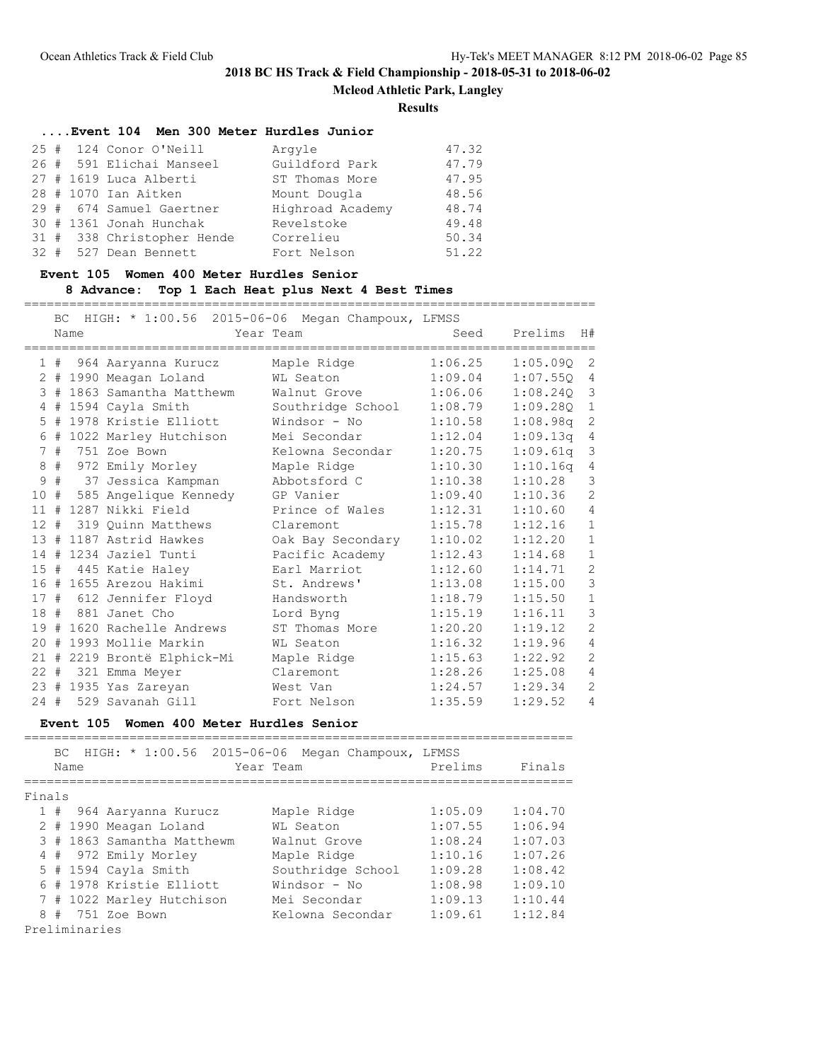**Mcleod Athletic Park, Langley**

**Results**

| Event 104 Men 300 Meter Hurdles Junior |                  |       |
|----------------------------------------|------------------|-------|
| 25 # 124 Conor O'Neill                 | Arqyle           | 47.32 |
| 26 # 591 Elichai Manseel               | Guildford Park   | 47.79 |
| $27$ # 1619 Luca Alberti               | ST Thomas More   | 47.95 |
| 28 # 1070 Ian Aitken                   | Mount Dougla     | 48.56 |
| 29 # 674 Samuel Gaertner               | Highroad Academy | 48.74 |
| 30 # 1361 Jonah Hunchak                | Revelstoke       | 49.48 |
| 31 # 338 Christopher Hende             | Correlieu        | 50.34 |
| 32 # 527 Dean Bennett                  | Fort Nelson      | 51.22 |

### **Event 105 Women 400 Meter Hurdles Senior**

## **8 Advance: Top 1 Each Heat plus Next 4 Best Times**

============================================================================

|                 | <b>BC</b> | Name | HIGH: * 1:00.56 2015-06-06 Megan Champoux, LFMSS | Year Team         | Seed    | Prelims  | H#             |
|-----------------|-----------|------|--------------------------------------------------|-------------------|---------|----------|----------------|
|                 |           |      | 1 # 964 Aaryanna Kurucz                          | Maple Ridge       | 1:06.25 | 1:05.09Q | 2              |
|                 |           |      | 2 # 1990 Meagan Loland                           | WL Seaton         | 1:09.04 | 1:07.550 | 4              |
|                 |           |      | 3 # 1863 Samantha Matthewm                       | Walnut Grove      | 1:06.06 | 1:08.240 | 3              |
| 4               |           |      | # 1594 Cayla Smith                               | Southridge School | 1:08.79 | 1:09.280 | $\mathbf{1}$   |
| 5               |           |      | # 1978 Kristie Elliott                           | Windsor - No      | 1:10.58 | 1:08.98q | 2              |
| 6               |           |      | # 1022 Marley Hutchison                          | Mei Secondar      | 1:12.04 | 1:09.13q | 4              |
| $7\phantom{.0}$ | #         |      | 751 Zoe Bown                                     | Kelowna Secondar  | 1:20.75 | 1:09.61q | 3              |
|                 |           |      | 8 # 972 Emily Morley                             | Maple Ridge       | 1:10.30 | 1:10.16q | 4              |
| $\mathsf 9$     |           |      | # 37 Jessica Kampman                             | Abbotsford C      | 1:10.38 | 1:10.28  | 3              |
| 10              | #         |      | 585 Angelique Kennedy                            | GP Vanier         | 1:09.40 | 1:10.36  | 2              |
|                 |           |      | 11 # 1287 Nikki Field                            | Prince of Wales   | 1:12.31 | 1:10.60  | $\overline{4}$ |
| 12#             |           |      | 319 Ouinn Matthews                               | Claremont         | 1:15.78 | 1:12.16  | $\mathbf{1}$   |
|                 |           |      | 13 # 1187 Astrid Hawkes                          | Oak Bay Secondary | 1:10.02 | 1:12.20  | $\mathbf{1}$   |
| 14              |           |      | # 1234 Jaziel Tunti                              | Pacific Academy   | 1:12.43 | 1:14.68  | $\mathbf{1}$   |
|                 |           |      | 15 # 445 Katie Haley                             | Earl Marriot      | 1:12.60 | 1:14.71  | 2              |
|                 |           |      | 16 # 1655 Arezou Hakimi                          | St. Andrews'      | 1:13.08 | 1:15.00  | 3              |
|                 |           |      | 17 # 612 Jennifer Floyd                          | Handsworth        | 1:18.79 | 1:15.50  | $\mathbf{1}$   |
|                 |           |      | 18 # 881 Janet Cho                               | Lord Byng         | 1:15.19 | 1:16.11  | 3              |
|                 |           |      | 19 # 1620 Rachelle Andrews                       | ST Thomas More    | 1:20.20 | 1:19.12  | 2              |
|                 |           |      | 20 # 1993 Mollie Markin                          | WL Seaton         | 1:16.32 | 1:19.96  | $\overline{4}$ |
|                 |           |      | 21 # 2219 Brontë Elphick-Mi                      | Maple Ridge       | 1:15.63 | 1:22.92  | 2              |
|                 |           |      | 22 # 321 Emma Meyer                              | Claremont         | 1:28.26 | 1:25.08  | 4              |
|                 |           |      | 23 # 1935 Yas Zareyan                            | West Van          | 1:24.57 | 1:29.34  | 2              |
| $24 +$          |           |      | 529 Savanah Gill                                 | Fort Nelson       | 1:35.59 | 1:29.52  | $\overline{4}$ |

# **Event 105 Women 400 Meter Hurdles Senior**

|        |               | Name | BC HIGH: * 1:00.56 2015-06-06 | Megan Champoux, LFMSS<br>Year Team | Prelims | Finals  |
|--------|---------------|------|-------------------------------|------------------------------------|---------|---------|
|        |               |      |                               |                                    |         |         |
| Finals |               |      |                               |                                    |         |         |
|        |               |      | 1 # 964 Aaryanna Kurucz       | Maple Ridge                        | 1:05.09 | 1:04.70 |
|        |               |      | 2 # 1990 Meagan Loland        | WL Seaton                          | 1:07.55 | 1:06.94 |
|        |               |      | 3 # 1863 Samantha Matthewm    | Walnut Grove                       | 1:08.24 | 1:07.03 |
|        |               |      | 4 # 972 Emily Morley          | Maple Ridge                        | 1:10.16 | 1:07.26 |
|        |               |      | $5$ # 1594 Cayla Smith        | Southridge School                  | 1:09.28 | 1:08.42 |
|        |               |      | 6 # 1978 Kristie Elliott      | Windsor - No                       | 1:08.98 | 1:09.10 |
|        |               |      | 7 # 1022 Marley Hutchison     | Mei Secondar                       | 1:09.13 | 1:10.44 |
|        | 8#            |      | 751 Zoe Bown                  | Kelowna Secondar                   | 1:09.61 | 1:12.84 |
|        | Preliminaries |      |                               |                                    |         |         |

=========================================================================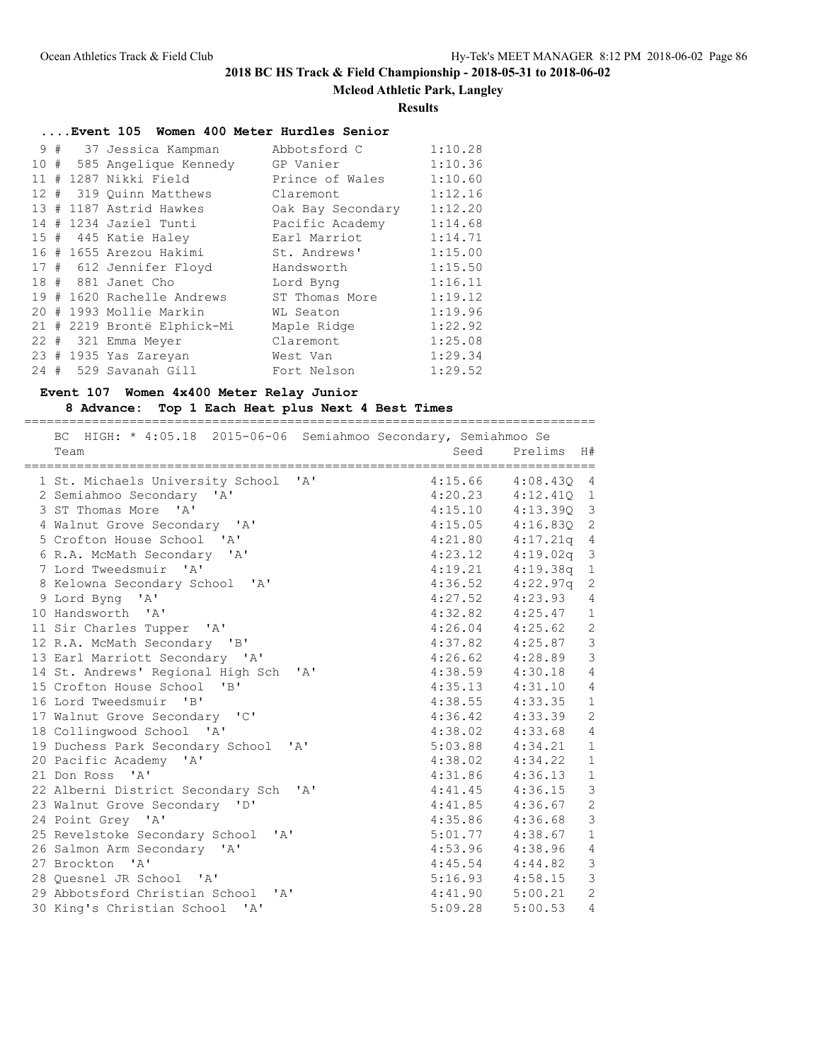**Mcleod Athletic Park, Langley**

### **Results**

|  |  | Event 105 Women 400 Meter Hurdles Senior |                   |         |
|--|--|------------------------------------------|-------------------|---------|
|  |  | 9 # 37 Jessica Kampman                   | Abbotsford C      | 1:10.28 |
|  |  | 10 # 585 Angelique Kennedy               | GP Vanier         | 1:10.36 |
|  |  | 11 # 1287 Nikki Field                    | Prince of Wales   | 1:10.60 |
|  |  | 12 # 319 Ouinn Matthews                  | Claremont         | 1:12.16 |
|  |  | 13 # 1187 Astrid Hawkes                  | Oak Bay Secondary | 1:12.20 |
|  |  | 14 # 1234 Jaziel Tunti                   | Pacific Academy   | 1:14.68 |
|  |  | 15 # 445 Katie Haley                     | Earl Marriot      | 1:14.71 |
|  |  | 16 # 1655 Arezou Hakimi                  | St. Andrews'      | 1:15.00 |
|  |  | 17 # 612 Jennifer Floyd                  | Handsworth        | 1:15.50 |
|  |  | 18 # 881 Janet Cho                       | Lord Byng         | 1:16.11 |
|  |  | 19 # 1620 Rachelle Andrews               | ST Thomas More    | 1:19.12 |
|  |  | 20 # 1993 Mollie Markin                  | WL Seaton         | 1:19.96 |
|  |  | 21 # 2219 Brontë Elphick-Mi              | Maple Ridge       | 1:22.92 |
|  |  | 22 # 321 Emma Meyer                      | Claremont         | 1:25.08 |
|  |  | 23 # 1935 Yas Zareyan                    | West Van          | 1:29.34 |
|  |  | 24 # 529 Savanah Gill                    | Fort Nelson       | 1:29.52 |
|  |  |                                          |                   |         |

### **Event 107 Women 4x400 Meter Relay Junior**

## **8 Advance: Top 1 Each Heat plus Next 4 Best Times**

| BC HIGH: * 4:05.18 2015-06-06 Semiahmoo Secondary, Semiahmoo Se |                        |              |                |
|-----------------------------------------------------------------|------------------------|--------------|----------------|
| Team                                                            | Seed                   | Prelims      | H#             |
| 1 St. Michaels University School 'A'                            | 4:15.66 4:08.430 4     |              |                |
| 2 Semiahmoo Secondary 'A'                                       | $4:20.23$ $4:12.41Q$ 1 |              |                |
| 3 ST Thomas More 'A'                                            | $4:15.10$ $4:13.39Q$   |              | 3              |
| 4 Walnut Grove Secondary 'A'                                    | 4:15.05                | 4:16.830 2   |                |
| 5 Crofton House School 'A'                                      | 4:21.80                | 4:17.21q 4   |                |
| 6 R.A. McMath Secondary 'A'                                     | 4:23.12                | $4:19.02q$ 3 |                |
| 7 Lord Tweedsmuir 'A'                                           | $4:19.21$ $4:19.38q$ 1 |              |                |
| 8 Kelowna Secondary School 'A'                                  | $4:36.52$ $4:22.97q$   |              | $\overline{c}$ |
| 9 Lord Byng 'A'                                                 | $4:27.52$ $4:23.93$    |              | $\overline{4}$ |
| 10 Handsworth 'A'                                               | $4:32.82$ $4:25.47$ 1  |              |                |
| 11 Sir Charles Tupper 'A'                                       | $4:26.04$ $4:25.62$ 2  |              |                |
| 12 R.A. McMath Secondary 'B'                                    | $4:37.82$ $4:25.87$    |              | $\mathfrak{Z}$ |
| 13 Earl Marriott Secondary 'A'                                  | $4:26.62$ $4:28.89$    |              | $\mathfrak{Z}$ |
| 14 St. Andrews' Regional High Sch 'A'                           | $4:38.59$ $4:30.18$    |              | $\overline{4}$ |
| 15 Crofton House School 'B'                                     | $4:35.13$ $4:31.10$    |              | $\overline{4}$ |
| 16 Lord Tweedsmuir 'B'                                          | $4:38.55$ $4:33.35$ 1  |              |                |
| 17 Walnut Grove Secondary 'C'                                   | $4:36.42$ $4:33.39$    |              | 2              |
| 18 Collingwood School 'A'                                       | $4:38.02$ $4:33.68$    |              | $\overline{4}$ |
| 19 Duchess Park Secondary School<br>$\mathbf{A}$                | $5:03.88$ $4:34.21$    |              | $\mathbf{1}$   |
| 20 Pacific Academy 'A'                                          | $4:38.02$ $4:34.22$    |              | $\mathbf{1}$   |
| 21 Don Ross 'A'                                                 | $4:31.86$ $4:36.13$    |              | $1\,$          |
| 22 Alberni District Secondary Sch 'A'                           | $4:41.45$ $4:36.15$    |              | $\mathcal{S}$  |
| 23 Walnut Grove Secondary 'D'                                   | $4:41.85$ $4:36.67$    |              | $\sqrt{2}$     |
| 24 Point Grey 'A'                                               | $4:35.86$ $4:36.68$    |              | $\mathcal{S}$  |
| 25 Revelstoke Secondary School 'A'                              | $5:01.77$ $4:38.67$    |              | $\mathbf{1}$   |
| 26 Salmon Arm Secondary 'A'                                     | $4:53.96$ $4:38.96$    |              | $\overline{4}$ |
| 27 Brockton 'A'                                                 | $4:45.54$ $4:44.82$    |              | $\mathcal{S}$  |
| 28 Ouesnel JR School 'A'                                        | $5:16.93$ $4:58.15$    |              | $\mathcal{S}$  |
| 29 Abbotsford Christian School<br>$\mathsf{A}$                  | $4:41.90$ $5:00.21$    |              | $\overline{c}$ |
| 30 King's Christian School 'A'                                  | 5:09.28                | 5:00.53      | $\overline{4}$ |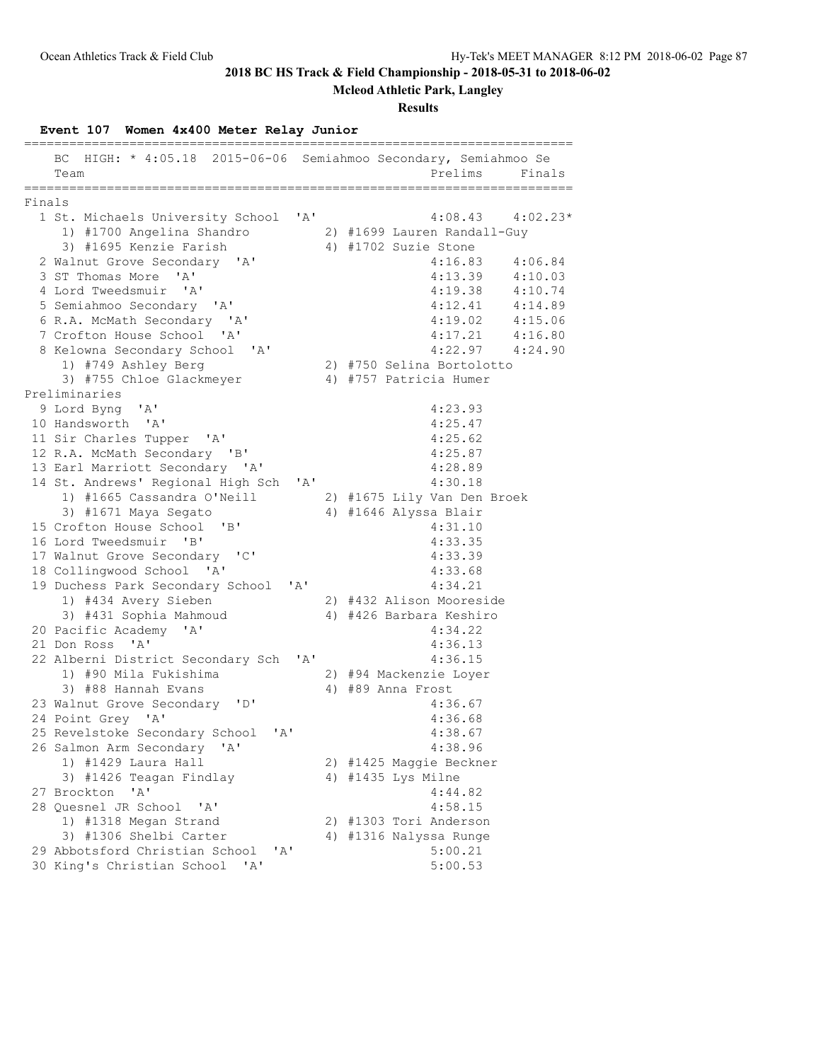**Mcleod Athletic Park, Langley**

## **Results**

# **Event 107 Women 4x400 Meter Relay Junior**

|        | HIGH: * 4:05.18 2015-06-06 Semiahmoo Secondary, Semiahmoo Se<br>ВC<br>Team | Prelims<br>Finals           |
|--------|----------------------------------------------------------------------------|-----------------------------|
|        | ______________                                                             |                             |
| Finals |                                                                            |                             |
|        | 1 St. Michaels University School 'A'                                       | $4:08.43$ $4:02.23*$        |
|        | 1) #1700 Angelina Shandro                                                  | 2) #1699 Lauren Randall-Guy |
|        | 3) #1695 Kenzie Farish                                                     | 4) #1702 Suzie Stone        |
|        | 2 Walnut Grove Secondary 'A'                                               | 4:16.83<br>4:06.84          |
|        | 3 ST Thomas More 'A'                                                       | 4:13.39<br>4:10.03          |
|        | 4 Lord Tweedsmuir 'A'                                                      | 4:19.38<br>4:10.74          |
|        | 5 Semiahmoo Secondary 'A'                                                  | 4:14.89<br>4:12.41          |
|        | 6 R.A. McMath Secondary 'A'                                                | $4:19.02$ $4:15.06$         |
|        | 7 Crofton House School 'A'                                                 | $4:17.21$ $4:16.80$         |
|        | 8 Kelowna Secondary School 'A'                                             | $4:22.97$ $4:24.90$         |
|        | 1) #749 Ashley Berg                                                        | 2) #750 Selina Bortolotto   |
|        | 3) #755 Chloe Glackmeyer                                                   | 4) #757 Patricia Humer      |
|        | Preliminaries                                                              |                             |
|        | 9 Lord Byng 'A'                                                            | 4:23.93                     |
|        | 10 Handsworth 'A'                                                          | 4:25.47                     |
|        | 11 Sir Charles Tupper 'A'                                                  | 4:25.62                     |
|        | 12 R.A. McMath Secondary 'B'                                               | 4:25.87                     |
|        | 13 Earl Marriott Secondary 'A'                                             | 4:28.89                     |
|        | 14 St. Andrews' Regional High Sch 'A'                                      | 4:30.18                     |
|        | 1) #1665 Cassandra O'Neill                                                 | 2) #1675 Lily Van Den Broek |
|        | 3) #1671 Maya Segato                                                       | 4) #1646 Alyssa Blair       |
|        | 15 Crofton House School 'B'                                                | 4:31.10                     |
|        | 16 Lord Tweedsmuir 'B'                                                     | 4:33.35                     |
|        | 17 Walnut Grove Secondary 'C'                                              | 4:33.39                     |
|        | 18 Collingwood School 'A'                                                  | 4:33.68                     |
|        | 19 Duchess Park Secondary School<br>'A'                                    | 4:34.21                     |
|        | 1) #434 Avery Sieben                                                       | 2) #432 Alison Mooreside    |
|        | 3) #431 Sophia Mahmoud                                                     | 4) #426 Barbara Keshiro     |
|        | 20 Pacific Academy 'A'                                                     | 4:34.22                     |
|        | 21 Don Ross 'A'                                                            | 4:36.13<br>4:36.15          |
|        | 22 Alberni District Secondary Sch 'A'                                      |                             |
|        | 1) #90 Mila Fukishima                                                      | 2) #94 Mackenzie Loyer      |
|        | 3) #88 Hannah Evans                                                        | 4) #89 Anna Frost           |
|        | 23 Walnut Grove Secondary 'D'                                              | 4:36.67                     |
|        | 24 Point Grey 'A'                                                          | 4:36.68                     |
|        | 25 Revelstoke Secondary School<br>' A'                                     | 4:38.67                     |
|        | 26 Salmon Arm Secondary<br>$\mathsf{A}$                                    | 4:38.96                     |
|        | 1) #1429 Laura Hall                                                        | 2) #1425 Maggie Beckner     |
|        | 3) #1426 Teagan Findlay                                                    | 4) #1435 Lys Milne          |
|        | 'A'<br>27 Brockton                                                         | 4:44.82                     |
|        | 28 Quesnel JR School<br>$\mathsf{A}$                                       | 4:58.15                     |
|        | 1) #1318 Megan Strand                                                      | 2) #1303 Tori Anderson      |
|        | 3) #1306 Shelbi Carter                                                     | 4) #1316 Nalyssa Runge      |
|        | 29 Abbotsford Christian School<br>"A"                                      | 5:00.21                     |
|        | 30 King's Christian School<br>'A'                                          | 5:00.53                     |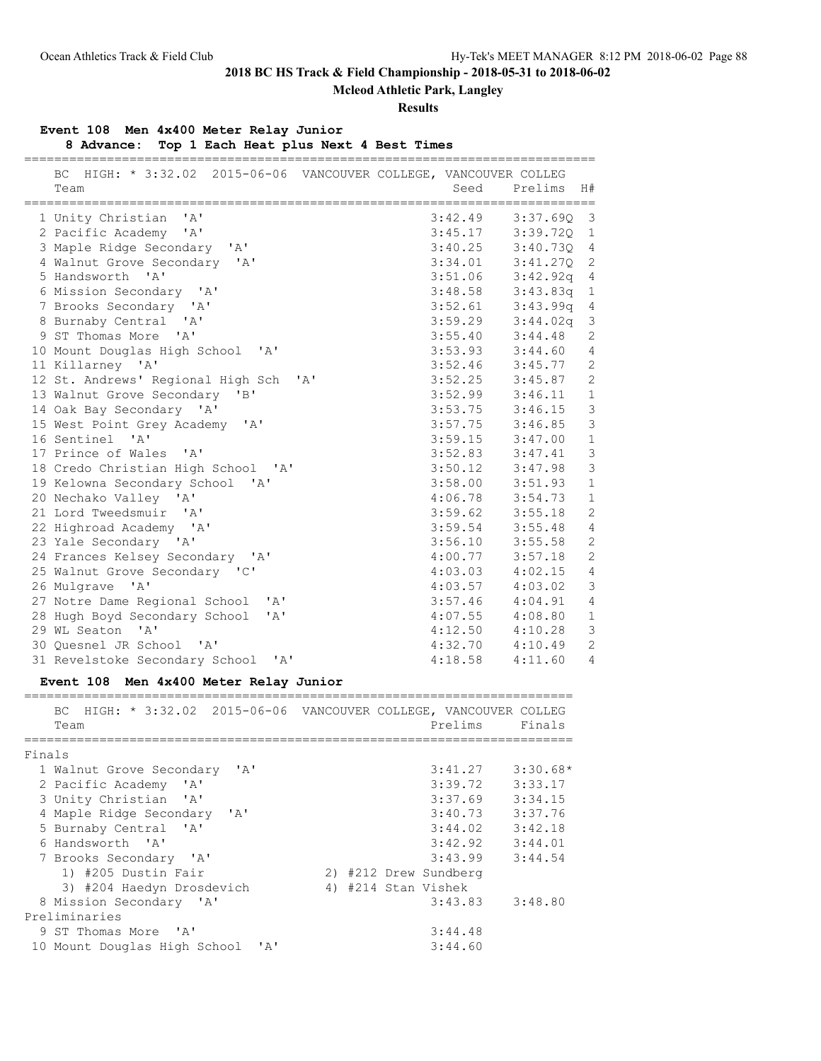**Mcleod Athletic Park, Langley**

### **Results**

## **Event 108 Men 4x400 Meter Relay Junior**

**8 Advance: Top 1 Each Heat plus Next 4 Best Times**

| BC HIGH: * 3:32.02 2015-06-06 VANCOUVER COLLEGE, VANCOUVER COLLEG |                      |              |                |
|-------------------------------------------------------------------|----------------------|--------------|----------------|
| Team                                                              | Seed                 | Prelims      | H#             |
| 1 Unity Christian<br>$\mathsf{A}$                                 | 3:42.49              | $3:37.690$ 3 |                |
| 2 Pacific Academy 'A'                                             | $3:45.17$ $3:39.72Q$ |              | $\mathbf{1}$   |
| 3 Maple Ridge Secondary 'A'                                       | 3:40.25              | 3:40.730 4   |                |
| 4 Walnut Grove Secondary 'A'                                      | 3:34.01              | $3:41.270$ 2 |                |
| 5 Handsworth<br>$\mathsf{I} \wedge \mathsf{I}$                    | 3:51.06              | $3:42.92q$ 4 |                |
| 6 Mission Secondary 'A'                                           | 3:48.58              | $3:43.83q$ 1 |                |
| 7 Brooks Secondary 'A'                                            | 3:52.61              | $3:43.99q$ 4 |                |
| 8 Burnaby Central 'A'                                             | $3:59.29$ $3:44.02q$ |              | $\mathcal{S}$  |
| 9 ST Thomas More 'A'                                              | 3:55.40              | 3:44.48      | $\overline{c}$ |
| 10 Mount Douglas High School 'A'                                  | 3:53.93              | 3:44.60      | $\overline{4}$ |
| 11 Killarney 'A'                                                  | 3:52.46              | 3:45.77      | $\mathbf{2}$   |
| 12 St. Andrews' Regional High Sch 'A'                             | 3:52.25              | 3:45.87      | $\overline{c}$ |
| 13 Walnut Grove Secondary 'B'                                     | 3:52.99              | 3:46.11      | $\mathbf{1}$   |
| 14 Oak Bay Secondary 'A'                                          | 3:53.75              | 3:46.15      | $\mathbf{3}$   |
| 15 West Point Grey Academy 'A'                                    | 3:57.75              | 3:46.85      | $\mathcal{S}$  |
| 16 Sentinel 'A'                                                   | 3:59.15              | 3:47.00      | $\mathbf{1}$   |
| 17 Prince of Wales 'A'                                            | 3:52.83              | 3:47.41      | $\mathcal{S}$  |
| 18 Credo Christian High School 'A'                                | 3:50.12              | 3:47.98      | $\mathfrak{Z}$ |
| 19 Kelowna Secondary School 'A'                                   | 3:58.00              | 3:51.93      | $\mathbf{1}$   |
| 20 Nechako Valley 'A'                                             | 4:06.78              | 3:54.73      | $\mathbf{1}$   |
| 21 Lord Tweedsmuir 'A'                                            | 3:59.62              | 3:55.18      | 2              |
| 22 Highroad Academy 'A'                                           | 3:59.54              | 3:55.48      | $\overline{4}$ |
| 23 Yale Secondary 'A'                                             | 3:56.10              | 3:55.58      | $\overline{c}$ |
| 24 Frances Kelsey Secondary 'A'                                   | 4:00.77              | 3:57.18      | $\overline{c}$ |
| 25 Walnut Grove Secondary 'C'                                     | 4:03.03              | 4:02.15      | $\overline{4}$ |
| 26 Mulgrave<br>$^{\prime}$ A $^{\prime}$                          | 4:03.57              | 4:03.02      | $\mathcal{S}$  |
| 27 Notre Dame Regional School<br>' A'                             | 3:57.46              | 4:04.91      | 4              |
| 28 Hugh Boyd Secondary School<br>' A'                             | 4:07.55              | 4:08.80      | $\mathbf 1$    |
| 29 WL Seaton<br>$\mathsf{A}$                                      | 4:12.50              | 4:10.28      | 3              |
| 30 Quesnel JR School<br>$^{\prime}$ A $^{\prime}$                 | 4:32.70              | 4:10.49      | 2              |
| 31 Revelstoke Secondary School 'A'                                | 4:18.58              | 4:11.60      | 4              |

### **Event 108 Men 4x400 Meter Relay Junior**

| BC HIGH: * 3:32.02 2015-06-06 VANCOUVER COLLEGE, VANCOUVER COLLEG |                        |            |
|-------------------------------------------------------------------|------------------------|------------|
| Team                                                              | Prelims                | Finals     |
| Finals                                                            |                        |            |
| 1 Walnut Grove Secondary 'A'                                      | 3:41.27                | $3:30.68*$ |
| 2 Pacific Academy<br>$^{\prime}$ A $^{\prime}$                    | 3:39.72                | 3:33.17    |
| 3 Unity Christian 'A'                                             | 3:37.69                | 3:34.15    |
| 4 Maple Ridge Secondary 'A'                                       | 3:40.73                | 3:37.76    |
| 5 Burnaby Central 'A'                                             | 3:44.02                | 3:42.18    |
| 6 Handsworth 'A'                                                  | 3:42.92                | 3:44.01    |
| 7 Brooks Secondary 'A'                                            | 3:43.99                | 3:44.54    |
| 1) #205 Dustin Fair                                               | 2) #212 Drew Sundberg  |            |
| 3) #204 Haedyn Drosdevich                                         | #214 Stan Vishek<br>4) |            |
| 8 Mission Secondary 'A'                                           | 3:43.83                | 3:48.80    |
| Preliminaries                                                     |                        |            |
| 9 ST Thomas More 'A'                                              | 3:44.48                |            |
| ' A'<br>10 Mount Douglas High School                              | 3:44.60                |            |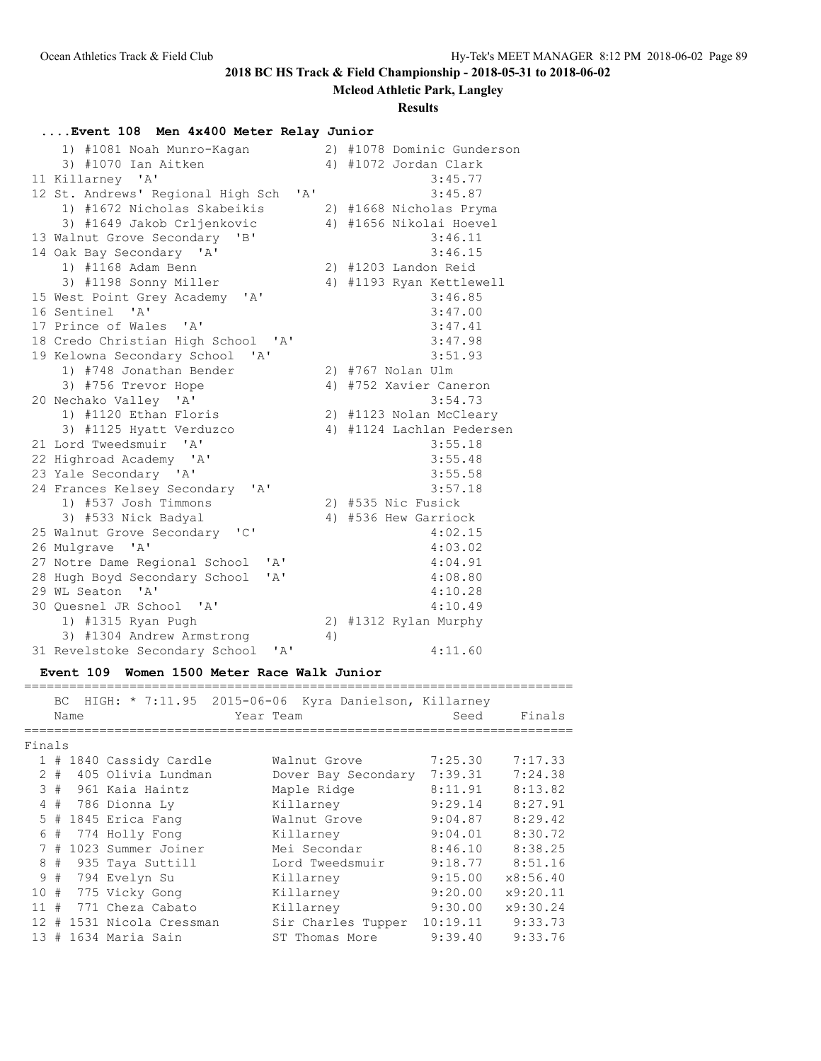**Mcleod Athletic Park, Langley**

#### **Results**

### **....Event 108 Men 4x400 Meter Relay Junior**

| 1) #1081 Noah Munro-Kagan                                                            |    | 2) #1078 Dominic Gunderson |
|--------------------------------------------------------------------------------------|----|----------------------------|
| 3) #1070 Ian Aitken                                                                  |    | 4) #1072 Jordan Clark      |
| 11 Killarney 'A'                                                                     |    | 3:45.77                    |
| $^{\prime}$ A <sup><math>^{\prime}</math></sup><br>12 St. Andrews' Regional High Sch |    | 3:45.87                    |
| 1) #1672 Nicholas Skabeikis                                                          |    | 2) #1668 Nicholas Pryma    |
| 3) #1649 Jakob Crljenkovic                                                           |    | 4) #1656 Nikolai Hoevel    |
| 13 Walnut Grove Secondary<br>"B"                                                     |    | 3:46.11                    |
| 14 Oak Bay Secondary 'A'                                                             |    | 3:46.15                    |
| 1) #1168 Adam Benn                                                                   |    | 2) #1203 Landon Reid       |
| 3) #1198 Sonny Miller                                                                |    | 4) #1193 Ryan Kettlewell   |
| 15 West Point Grey Academy 'A'                                                       |    | 3:46.85                    |
| 16 Sentinel 'A'                                                                      |    | 3:47.00                    |
| 17 Prince of Wales 'A'                                                               |    | 3:47.41                    |
| 18 Credo Christian High School 'A'                                                   |    | 3:47.98                    |
| 19 Kelowna Secondary School<br>$^{\prime}$ A $^{\prime}$                             |    | 3:51.93                    |
| 1) #748 Jonathan Bender                                                              |    | 2) #767 Nolan Ulm          |
| 3) #756 Trevor Hope                                                                  |    | 4) #752 Xavier Caneron     |
| 20 Nechako Valley 'A'                                                                |    | 3:54.73                    |
| 1) #1120 Ethan Floris                                                                |    | 2) #1123 Nolan McCleary    |
| 3) #1125 Hyatt Verduzco                                                              |    | 4) #1124 Lachlan Pedersen  |
| 21 Lord Tweedsmuir 'A'                                                               |    | 3:55.18                    |
| 22 Highroad Academy 'A'                                                              |    | 3:55.48                    |
| 23 Yale Secondary 'A'                                                                |    | 3:55.58                    |
| 24 Frances Kelsey Secondary 'A'                                                      |    | 3:57.18                    |
| 1) #537 Josh Timmons                                                                 |    | 2) #535 Nic Fusick         |
| 3) #533 Nick Badyal                                                                  |    | 4) #536 Hew Garriock       |
| 25 Walnut Grove Secondary 'C'                                                        |    | 4:02.15                    |
| 26 Mulgrave 'A'                                                                      |    | 4:03.02                    |
| 27 Notre Dame Regional School<br>' A'                                                |    | 4:04.91                    |
| 28 Hugh Boyd Secondary School<br>' A'                                                |    | 4:08.80                    |
| 29 WL Seaton 'A'                                                                     |    | 4:10.28                    |
| 30 Quesnel JR School 'A'                                                             |    | 4:10.49                    |
| 1) #1315 Ryan Pugh                                                                   |    | 2) #1312 Rylan Murphy      |
| 3) #1304 Andrew Armstrong                                                            | 4) |                            |
| 31 Revelstoke Secondary School<br>'A'                                                |    | 4:11.60                    |

### **Event 109 Women 1500 Meter Race Walk Junior**

 BC HIGH: \* 7:11.95 2015-06-06 Kyra Danielson, Killarney Name Tear Team Seed Finals ========================================================================= Finals 1 # 1840 Cassidy Cardle Walnut Grove 7:25.30 7:17.33 2 # 405 Olivia Lundman Dover Bay Secondary 7:39.31 7:24.38 3 # 961 Kaia Haintz Maple Ridge 8:11.91 8:13.82 4 # 786 Dionna Ly Killarney 9:29.14 8:27.91 5 # 1845 Erica Fang Walnut Grove 9:04.87 8:29.42 6 # 774 Holly Fong Killarney 9:04.01 8:30.72 7 # 1023 Summer Joiner Mei Secondar 8:46.10 8:38.25 8 # 935 Taya Suttill Lord Tweedsmuir 9:18.77 8:51.16 9 # 794 Evelyn Su Killarney 9:15.00 x8:56.40 10 # 775 Vicky Gong Killarney 9:20.00 x9:20.11 11 # 771 Cheza Cabato Killarney 9:30.00 x9:30.24 12 # 1531 Nicola Cressman Sir Charles Tupper 10:19.11 9:33.73 13 # 1634 Maria Sain ST Thomas More 9:39.40 9:33.76

=========================================================================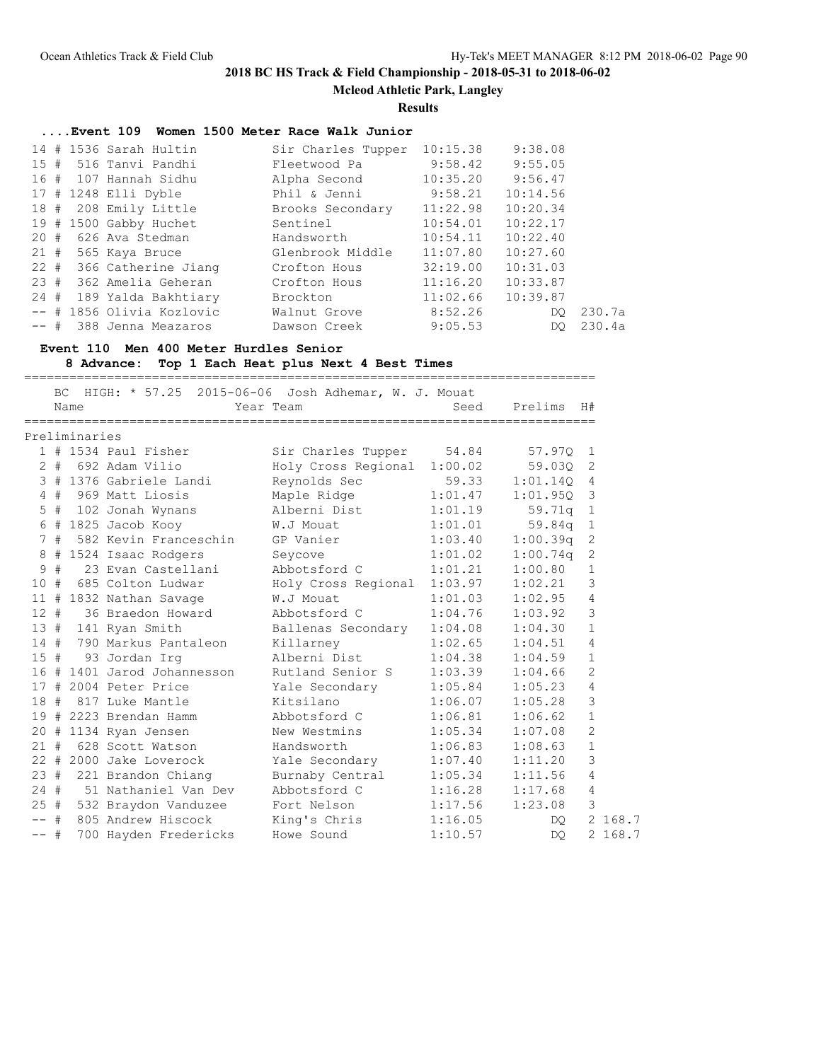**Mcleod Athletic Park, Langley**

**Results**

# **....Event 109 Women 1500 Meter Race Walk Junior**

|         |  | 14 # 1536 Sarah Hultin    | Sir Charles Tupper | 10:15.38             | 9:38.08  |        |
|---------|--|---------------------------|--------------------|----------------------|----------|--------|
|         |  |                           |                    |                      |          |        |
|         |  | 15 # 516 Tanvi Pandhi     | Fleetwood Pa       | 9:58.42              | 9:55.05  |        |
| 16 #    |  | 107 Hannah Sidhu          | Alpha Second       | 10:35.20             | 9:56.47  |        |
|         |  | 17 # 1248 Elli Dyble      | Phil & Jenni       | $9:58.21$ $10:14.56$ |          |        |
|         |  | 18 # 208 Emily Little     | Brooks Secondary   | 11:22.98             | 10:20.34 |        |
|         |  | 19 # 1500 Gabby Huchet    | Sentinel           | 10:54.01             | 10:22.17 |        |
| 20#     |  | 626 Ava Stedman           | Handsworth         | 10:54.11             | 10:22.40 |        |
|         |  | 21 # 565 Kaya Bruce       | Glenbrook Middle   | 11:07.80             | 10:27.60 |        |
| $22 \#$ |  | 366 Catherine Jiang       | Crofton Hous       | 32:19.00             | 10:31.03 |        |
| 23#     |  | 362 Amelia Geheran        | Crofton Hous       | 11:16.20             | 10:33.87 |        |
| 24#     |  | 189 Yalda Bakhtiary       | Brockton           | 11:02.66             | 10:39.87 |        |
|         |  | -- # 1856 Olivia Kozlovic | Walnut Grove       | 8:52.26              | DO.      | 230.7a |
| $--$ #  |  | 388 Jenna Meazaros        | Dawson Creek       | 9:05.53              | DO.      | 230.4a |

## **Event 110 Men 400 Meter Hurdles Senior**

**8 Advance: Top 1 Each Heat plus Next 4 Best Times**

|              |    |               |                         |                                                                    |         | --------------------------- |                |         |
|--------------|----|---------------|-------------------------|--------------------------------------------------------------------|---------|-----------------------------|----------------|---------|
|              |    | Name          |                         | BC HIGH: * 57.25 2015-06-06 Josh Adhemar, W. J. Mouat<br>Year Team | Seed    | Prelims                     | H#             |         |
|              |    |               |                         |                                                                    |         |                             |                |         |
|              |    | Preliminaries |                         |                                                                    |         |                             |                |         |
|              |    |               | $1$ # 1534 Paul Fisher  | Sir Charles Tupper                                                 | 54.84   | 57.970                      | 1              |         |
| $\mathbf{2}$ | #  |               | 692 Adam Vilio          | Holy Cross Regional                                                | 1:00.02 | 59.030                      | 2              |         |
|              |    |               | 3 # 1376 Gabriele Landi | Reynolds Sec                                                       | 59.33   | 1:01.140                    | 4              |         |
|              | 4# |               | 969 Matt Liosis         | Maple Ridge                                                        | 1:01.47 | 1:01.950                    | 3              |         |
| 5            | #  |               | 102 Jonah Wynans        | Alberni Dist                                                       | 1:01.19 | 59.71q                      | $\mathbf{1}$   |         |
|              |    |               | $6$ # 1825 Jacob Kooy   | W.J Mouat                                                          | 1:01.01 | 59.84q                      | $\mathbf{1}$   |         |
|              | 7# |               | 582 Kevin Franceschin   | GP Vanier                                                          | 1:03.40 | 1:00.39q                    | $\mathbf{2}$   |         |
| 8            |    |               | # 1524 Isaac Rodgers    | Seycove                                                            | 1:01.02 | 1:00.74q                    | 2              |         |
| 9            | #  |               | 23 Evan Castellani      | Abbotsford C                                                       | 1:01.21 | 1:00.80                     | $\mathbf{1}$   |         |
| 10#          |    |               | 685 Colton Ludwar       | Holy Cross Regional                                                | 1:03.97 | 1:02.21                     | 3              |         |
| 11           | #  |               | 1832 Nathan Savage      | W.J Mouat                                                          | 1:01.03 | 1:02.95                     | $\overline{4}$ |         |
| $12 \pm$     |    |               | 36 Braedon Howard       | Abbotsford C                                                       | 1:04.76 | 1:03.92                     | 3              |         |
| 13#          |    |               | 141 Ryan Smith          | Ballenas Secondary                                                 | 1:04.08 | 1:04.30                     | $\mathbf{1}$   |         |
| 14#          |    |               | 790 Markus Pantaleon    | Killarney                                                          | 1:02.65 | 1:04.51                     | 4              |         |
| 15#          |    |               | 93 Jordan Irq           | Alberni Dist                                                       | 1:04.38 | 1:04.59                     | $\mathbf{1}$   |         |
| 16           | #  |               | 1401 Jarod Johannesson  | Rutland Senior S                                                   | 1:03.39 | 1:04.66                     | $\overline{2}$ |         |
| 17           | #  |               | 2004 Peter Price        | Yale Secondary                                                     | 1:05.84 | 1:05.23                     | 4              |         |
| 18#          |    |               | 817 Luke Mantle         | Kitsilano                                                          | 1:06.07 | 1:05.28                     | 3              |         |
| 19           |    |               | # 2223 Brendan Hamm     | Abbotsford C                                                       | 1:06.81 | 1:06.62                     | $\mathbf{1}$   |         |
| 20#          |    |               | 1134 Ryan Jensen        | New Westmins                                                       | 1:05.34 | 1:07.08                     | 2              |         |
| 21#          |    |               | 628 Scott Watson        | Handsworth                                                         | 1:06.83 | 1:08.63                     | $\mathbf{1}$   |         |
|              |    |               | 22 # 2000 Jake Loverock | Yale Secondary                                                     | 1:07.40 | 1:11.20                     | 3              |         |
| 23#          |    |               | 221 Brandon Chiang      | Burnaby Central                                                    | 1:05.34 | 1:11.56                     | $\overline{4}$ |         |
| $24 +$       |    |               | 51 Nathaniel Van Dev    | Abbotsford C                                                       | 1:16.28 | 1:17.68                     | 4              |         |
| 25#          |    |               | 532 Braydon Vanduzee    | Fort Nelson                                                        | 1:17.56 | 1:23.08                     | 3              |         |
| $--$ #       |    |               | 805 Andrew Hiscock      | King's Chris                                                       | 1:16.05 | DO                          |                | 2 168.7 |
| $--$ #       |    |               | 700 Hayden Fredericks   | Howe Sound                                                         | 1:10.57 | DQ.                         |                | 2 168.7 |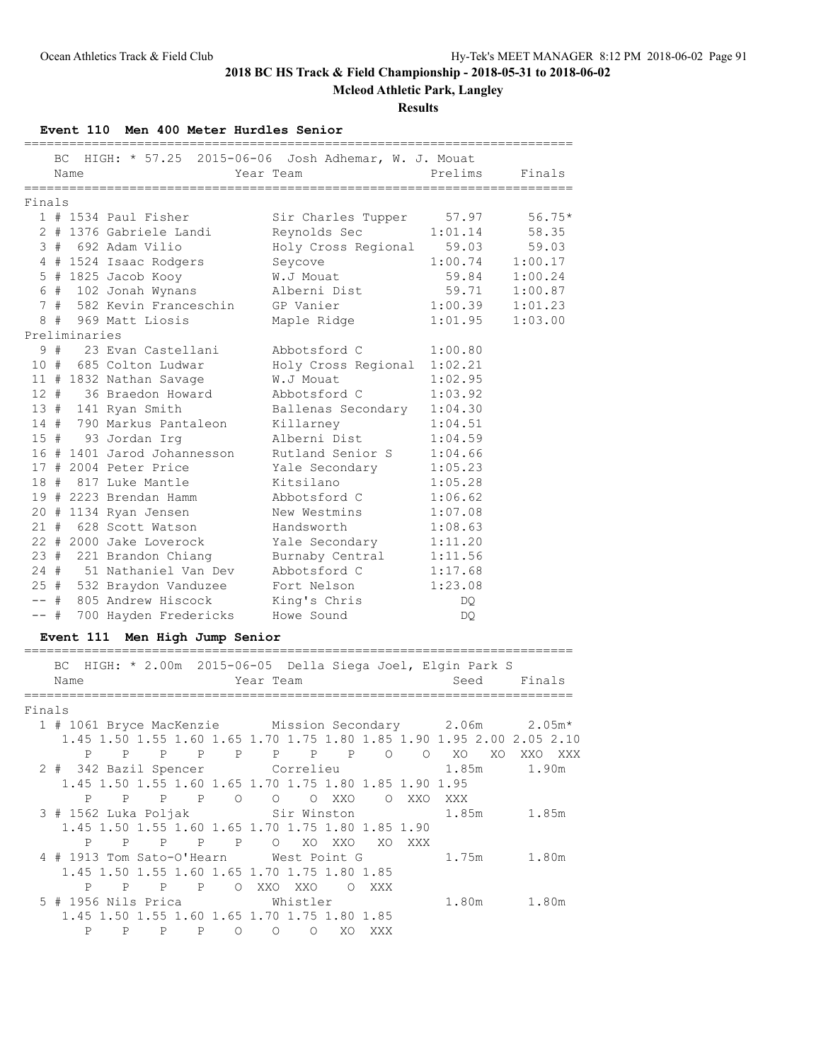**Mcleod Athletic Park, Langley**

**Results**

#### **Event 110 Men 400 Meter Hurdles Senior**

|        | Name          | BC HIGH: * 57.25 2015-06-06 Josh Adhemar, W. J. Mouat | Year Team                  | Prelims | Finals              |
|--------|---------------|-------------------------------------------------------|----------------------------|---------|---------------------|
|        |               |                                                       |                            |         |                     |
| Finals |               |                                                       |                            |         |                     |
|        |               | $1$ # 1534 Paul Fisher                                | Sir Charles Tupper 57.97   |         | $56.75*$            |
|        |               | 2 # 1376 Gabriele Landi                               | Reynolds Sec               |         | $1:01.14$ 58.35     |
|        |               | 3 # 692 Adam Vilio                                    | Holy Cross Regional        | 59.03   | 59.03               |
|        |               | 4 # 1524 Isaac Rodgers                                | Seycove                    |         | $1:00.74$ $1:00.17$ |
|        |               | $5$ # 1825 Jacob Kooy                                 | W.J Mouat                  |         | 59.84 1:00.24       |
|        |               | 6 # 102 Jonah Wynans                                  | Alberni Dist               |         | 59.71 1:00.87       |
|        |               | 7 # 582 Kevin Franceschin GP Vanier                   |                            |         | $1:00.39$ $1:01.23$ |
|        |               | 8 # 969 Matt Liosis                                   | Maple Ridge                | 1:01.95 | 1:03.00             |
|        | Preliminaries |                                                       |                            |         |                     |
|        |               | 9 # 23 Evan Castellani                                | Abbotsford C               | 1:00.80 |                     |
|        |               | 10 # 685 Colton Ludwar                                | Holy Cross Regional        | 1:02.21 |                     |
|        |               | 11 # 1832 Nathan Savage                               | W.J Mouat                  | 1:02.95 |                     |
|        |               | 12 # 36 Braedon Howard                                | Abbotsford C               | 1:03.92 |                     |
|        |               | 13 # 141 Ryan Smith                                   | Ballenas Secondary 1:04.30 |         |                     |
|        |               | 14 # 790 Markus Pantaleon                             | Killarney                  | 1:04.51 |                     |
|        |               | 15 # 93 Jordan Irg                                    | Alberni Dist               | 1:04.59 |                     |
|        |               | 16 # 1401 Jarod Johannesson                           | Rutland Senior S           | 1:04.66 |                     |
|        |               | 17 # 2004 Peter Price                                 | Yale Secondary             | 1:05.23 |                     |
|        |               | 18 # 817 Luke Mantle                                  | Kitsilano                  | 1:05.28 |                     |
|        |               | 19 # 2223 Brendan Hamm                                | Abbotsford C               | 1:06.62 |                     |
|        |               | 20 # 1134 Ryan Jensen                                 | New Westmins               | 1:07.08 |                     |
|        |               | 21 # 628 Scott Watson                                 | Handsworth                 | 1:08.63 |                     |
|        |               | 22 # 2000 Jake Loverock                               | Yale Secondary             | 1:11.20 |                     |
|        |               | 23 # 221 Brandon Chiang                               | Burnaby Central            | 1:11.56 |                     |
| 24#    |               | 51 Nathaniel Van Dev                                  | Abbotsford C               | 1:17.68 |                     |
|        |               | 25 # 532 Braydon Vanduzee                             | Fort Nelson                | 1:23.08 |                     |
| $--$ # |               | 805 Andrew Hiscock                                    | King's Chris               | DQ.     |                     |
| $--$ # |               | 700 Hayden Fredericks                                 | Howe Sound                 | DQ.     |                     |

### **Event 111 Men High Jump Senior**

### ========================================================================= BC HIGH: \* 2.00m 2015-06-05 Della Siega Joel, Elgin Park S Name Year Team Seed Finals ========================================================================= Finals 1 # 1061 Bryce MacKenzie Mission Secondary 2.06m 2.05m\* 1.45 1.50 1.55 1.60 1.65 1.70 1.75 1.80 1.85 1.90 1.95 2.00 2.05 2.10 P P P P P P P P O O XO XO XXO XXX 2 # 342 Bazil Spencer Correlieu 1.85m 1.90m 1.45 1.50 1.55 1.60 1.65 1.70 1.75 1.80 1.85 1.90 1.95 P P P P O O O XXO O XXO XXX 3 # 1562 Luka Poljak Sir Winston 1.85m 1.85m 1.45 1.50 1.55 1.60 1.65 1.70 1.75 1.80 1.85 1.90 P P P P P O XO XXO XO XXX 4 # 1913 Tom Sato-O'Hearn West Point G 1.75m 1.80m 1.45 1.50 1.55 1.60 1.65 1.70 1.75 1.80 1.85 P P P P O XXO XXO O XXX 5 # 1956 Nils Prica Whistler 1.80m 1.80m 1.45 1.50 1.55 1.60 1.65 1.70 1.75 1.80 1.85 P P P P O O O XO XXX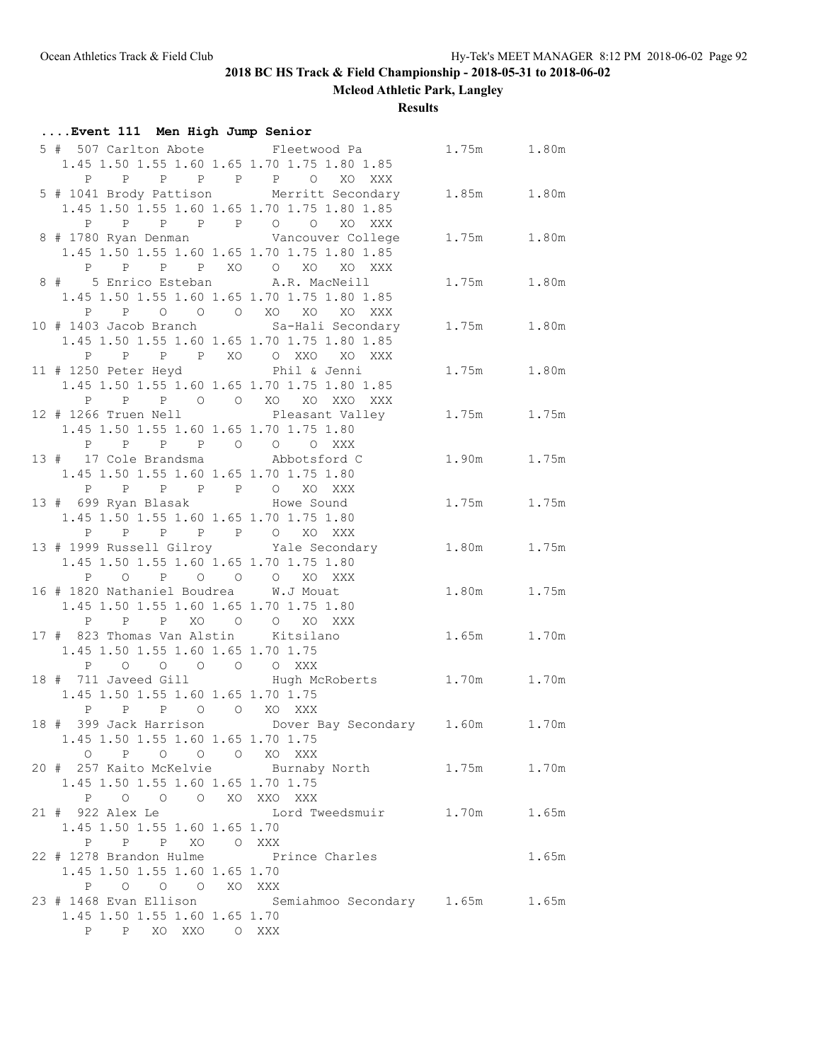**Mcleod Athletic Park, Langley**

**Results**

| Event 111 Men High Jump Senior                                                                                                                       |                    |             |             |
|------------------------------------------------------------------------------------------------------------------------------------------------------|--------------------|-------------|-------------|
| 5 # 507 Carlton Abote Fleetwood Pa                                                                                                                   |                    |             | 1.75m 1.80m |
| 1.45 1.50 1.55 1.60 1.65 1.70 1.75 1.80 1.85                                                                                                         |                    |             |             |
| $P \qquad \qquad$                                                                                                                                    | P P P P P O XO XXX |             |             |
| 5 # 1041 Brody Pattison Merritt Secondary                                                                                                            |                    | 1.85m 1.80m |             |
| 1.45 1.50 1.55 1.60 1.65 1.70 1.75 1.80 1.85                                                                                                         |                    |             |             |
|                                                                                                                                                      |                    |             |             |
|                                                                                                                                                      |                    |             | 1.75m 1.80m |
| 8 # 1780 Ryan Denman Mancouver College<br>1.45 1.50 1.55 1.60 1.65 1.70 1.75 1.80 1.85                                                               |                    |             |             |
| P P P XO O XO                                                                                                                                        |                    |             |             |
| P<br>8 # 5 Enrico Esteban A.R. MacNeill                                                                                                              | XO XXX             |             |             |
|                                                                                                                                                      |                    | 1.75m       | 1.80m       |
| 1.45 1.50 1.55 1.60 1.65 1.70 1.75 1.80 1.85                                                                                                         |                    |             |             |
| P P O O O XO XO XO XXX                                                                                                                               |                    |             |             |
| 10 # 1403 Jacob Branch Sa-Hali Secondary                                                                                                             |                    |             | 1.75m 1.80m |
| 1.45 1.50 1.55 1.60 1.65 1.70 1.75 1.80 1.85                                                                                                         |                    |             |             |
| P P P P XO O XXO XO XXX                                                                                                                              |                    |             |             |
| 11 # 1250 Peter Heyd Phil & Jenni                                                                                                                    |                    |             | 1.75m 1.80m |
| 1.45 1.50 1.55 1.60 1.65 1.70 1.75 1.80 1.85                                                                                                         |                    |             |             |
| P P P O O XO XO XXO XXX                                                                                                                              |                    |             |             |
| 12 # 1266 Truen Nell Pleasant Valley                                                                                                                 |                    |             | 1.75m 1.75m |
| 1.45 1.50 1.55 1.60 1.65 1.70 1.75 1.80                                                                                                              |                    |             |             |
| P P P P O O O XXX                                                                                                                                    |                    |             |             |
| 13 # 17 Cole Brandsma Mbbotsford C                                                                                                                   |                    | 1.90m 1.75m |             |
| 1.45 1.50 1.55 1.60 1.65 1.70 1.75 1.80                                                                                                              |                    |             |             |
| P P P P P P O XO XXX                                                                                                                                 |                    |             |             |
| 13 # 699 Ryan Blasak Mowe Sound                                                                                                                      |                    |             | 1.75m 1.75m |
| 1.45 1.50 1.55 1.60 1.65 1.70 1.75 1.80                                                                                                              |                    |             |             |
| P P P P O XO XXX<br>$P \qquad \qquad$                                                                                                                |                    |             |             |
| 13 # 1999 Russell Gilroy Yale Secondary 1.80m 1.75m                                                                                                  |                    |             |             |
| 1.45 1.50 1.55 1.60 1.65 1.70 1.75 1.80                                                                                                              |                    |             |             |
| $\begin{array}{cccccccccccccc} \texttt{P} & \texttt{O} & \texttt{P} & \texttt{O} & \texttt{O} & \texttt{O} & \texttt{XO} & \texttt{XXX} \end{array}$ |                    |             |             |
| 16 # 1820 Nathaniel Boudrea W.J Mouat                                                                                                                |                    |             | 1.80m 1.75m |
| 1.45 1.50 1.55 1.60 1.65 1.70 1.75 1.80                                                                                                              |                    |             |             |
| P P P XO O O XO XXX                                                                                                                                  |                    |             |             |
| 17 # 823 Thomas Van Alstin Kitsilano                                                                                                                 |                    | 1.65m       | 1.70m       |
| 1.45 1.50 1.55 1.60 1.65 1.70 1.75                                                                                                                   |                    |             |             |
| 0 0 0 0 XXX<br>P<br>$\overline{O}$                                                                                                                   |                    |             |             |
| 18 # 711 Javeed Gill Mugh McRoberts 1.70m 1.70m                                                                                                      |                    |             |             |
| 1.45 1.50 1.55 1.60 1.65 1.70 1.75                                                                                                                   |                    |             |             |
| P P O O XO XXX<br>$\mathbf{P}$                                                                                                                       |                    |             |             |
| 18 # 399 Jack Harrison Dover Bay Secondary 1.60m 1.70m                                                                                               |                    |             |             |
| 1.45 1.50 1.55 1.60 1.65 1.70 1.75                                                                                                                   |                    |             |             |
| O P O O O XO XXX                                                                                                                                     |                    |             |             |
| 20 # 257 Kaito McKelvie Burnaby North 1.75m 1.70m                                                                                                    |                    |             |             |
| 1.45 1.50 1.55 1.60 1.65 1.70 1.75                                                                                                                   |                    |             |             |
| P O O O XO XXO XXX                                                                                                                                   |                    |             |             |
| 21 # 922 Alex Le         Lord Tweedsmuir     1.70m     1.65m                                                                                         |                    |             |             |
| 1.45 1.50 1.55 1.60 1.65 1.70                                                                                                                        |                    |             |             |
| P P P XO O XXX                                                                                                                                       |                    |             |             |
| 22 # 1278 Brandon Hulme Prince Charles                                                                                                               |                    |             | 1.65m       |
| 1.45 1.50 1.55 1.60 1.65 1.70                                                                                                                        |                    |             |             |
| P O O O XO XXX                                                                                                                                       |                    |             |             |
| 23 # 1468 Evan Ellison Semiahmoo Secondary 1.65m 1.65m                                                                                               |                    |             |             |
| 1.45 1.50 1.55 1.60 1.65 1.70                                                                                                                        |                    |             |             |
| P P XO XXO O XXX                                                                                                                                     |                    |             |             |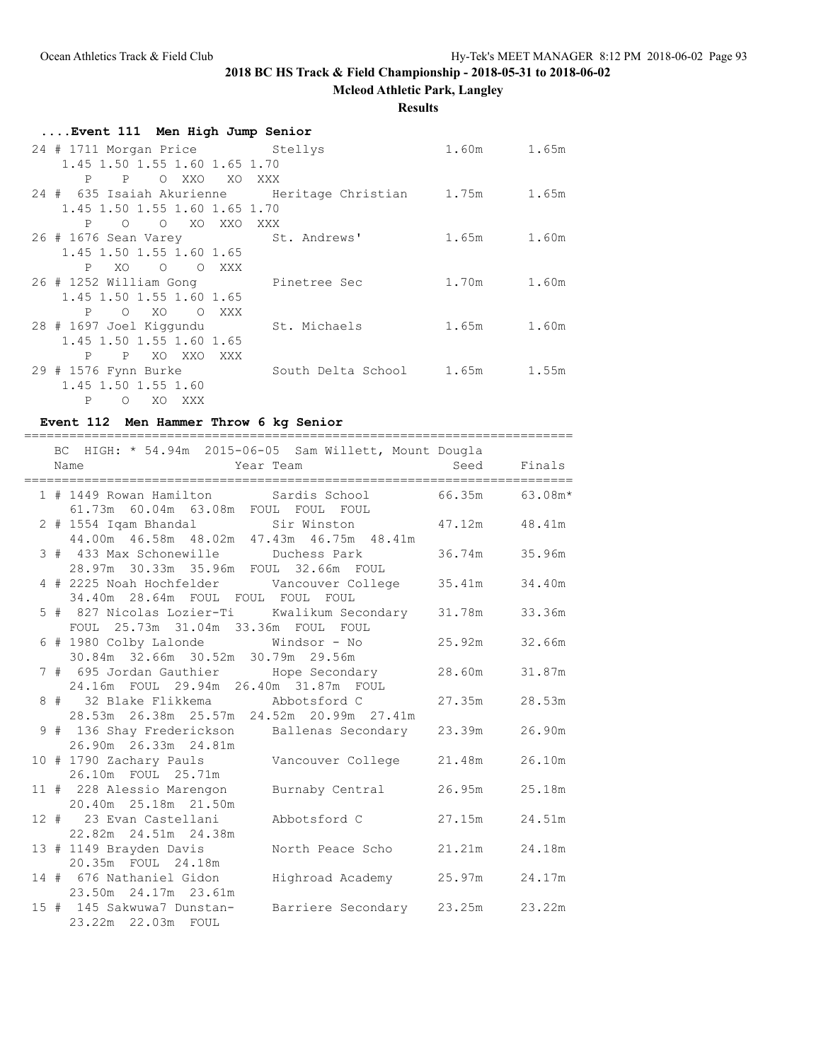**Mcleod Athletic Park, Langley**

### **Results**

| Event 111 Men High Jump Senior                           |                                |             |  |
|----------------------------------------------------------|--------------------------------|-------------|--|
| 24 # 1711 Morgan Price Stellys                           |                                | 1.60m 1.65m |  |
| 1.45 1.50 1.55 1.60 1.65 1.70                            |                                |             |  |
| P P O XXO XO XXX                                         |                                |             |  |
| 24 # 635 Isaiah Akurienne Meritage Christian 1.75m 1.65m |                                |             |  |
| 1.45 1.50 1.55 1.60 1.65 1.70                            |                                |             |  |
| P O O XO XXO                                             | XXX                            |             |  |
| 26 # 1676 Sean Varey St. Andrews'                        |                                | 1.65m 1.60m |  |
| 1.45 1.50 1.55 1.60 1.65                                 |                                |             |  |
| XO<br>$P \Box$<br>O OXXX                                 |                                |             |  |
| 26 # 1252 William Gong               Pinetree Sec        |                                | 1.70m 1.60m |  |
| 1.45 1.50 1.55 1.60 1.65                                 |                                |             |  |
| P O XO O XXX                                             |                                |             |  |
| 28 # 1697 Joel Kiggundu                                  | St. Michaels                   | 1.65m 1.60m |  |
| 1.45 1.50 1.55 1.60 1.65                                 |                                |             |  |
| P P XO XXO<br>XXX                                        |                                |             |  |
| 29 # 1576 Fynn Burke                                     | South Delta School 1.65m 1.55m |             |  |
| 1.45 1.50 1.55 1.60                                      |                                |             |  |
| P<br>$\circ$<br>XO<br>XXX                                |                                |             |  |

## **Event 112 Men Hammer Throw 6 kg Senior**

=========================================================================

|  | BC HIGH: * 54.94m 2015-06-05 Sam Willett, Mount Dougla<br>Year Team<br>Name                       | Seed Finals |        |
|--|---------------------------------------------------------------------------------------------------|-------------|--------|
|  | 1 # 1449 Rowan Hamilton Sardis School 66.35m 63.08m*<br>61.73m  60.04m  63.08m  FOUL  FOUL  FOUL  |             |        |
|  | 2 # 1554 Iqam Bhandal Sir Winston 47.12m 48.41m<br>44.00m  46.58m  48.02m  47.43m  46.75m  48.41m |             |        |
|  | 3 # 433 Max Schonewille Duchess Park 36.74m 35.96m<br>28.97m 30.33m 35.96m FOUL 32.66m FOUL       |             |        |
|  | 4 # 2225 Noah Hochfelder Vancouver College 35.41m 34.40m<br>34.40m 28.64m FOUL FOUL FOUL FOUL     |             |        |
|  | 5 # 827 Nicolas Lozier-Ti Kwalikum Secondary 31.78m<br>FOUL 25.73m 31.04m 33.36m FOUL FOUL        |             | 33.36m |
|  | 6 # 1980 Colby Lalonde Windsor - No $25.92m$ 32.66m<br>30.84m 32.66m 30.52m 30.79m 29.56m         |             |        |
|  | 7 # 695 Jordan Gauthier Hope Secondary 28.60m 31.87m<br>24.16m FOUL 29.94m 26.40m 31.87m FOUL     |             |        |
|  | 8 # 32 Blake Flikkema Mbbotsford C<br>28.53m  26.38m  25.57m  24.52m  20.99m  27.41m              | 27.35m      | 28.53m |
|  | 9 # 136 Shay Frederickson Ballenas Secondary 23.39m<br>26.90m 26.33m 24.81m                       |             | 26.90m |
|  | 10 # 1790 Zachary Pauls Vancouver College 21.48m<br>26.10m FOUL 25.71m                            |             | 26.10m |
|  | 11 # 228 Alessio Marengon Burnaby Central<br>20.40m 25.18m 21.50m                                 | 26.95m      | 25.18m |
|  | 12 # 23 Evan Castellani Abbotsford C<br>22.82m 24.51m 24.38m                                      | 27.15m      | 24.51m |
|  | 13 # 1149 Brayden Davis<br>North Peace Scho 21.21m<br>20.35m FOUL 24.18m                          |             | 24.18m |
|  | 14 # 676 Nathaniel Gidon Mighroad Academy 25.97m<br>23.50m  24.17m  23.61m                        |             | 24.17m |
|  | 15 # 145 Sakwuwa7 Dunstan- Barriere Secondary 23.25m<br>23.22m  22.03m  FOUL                      |             | 23.22m |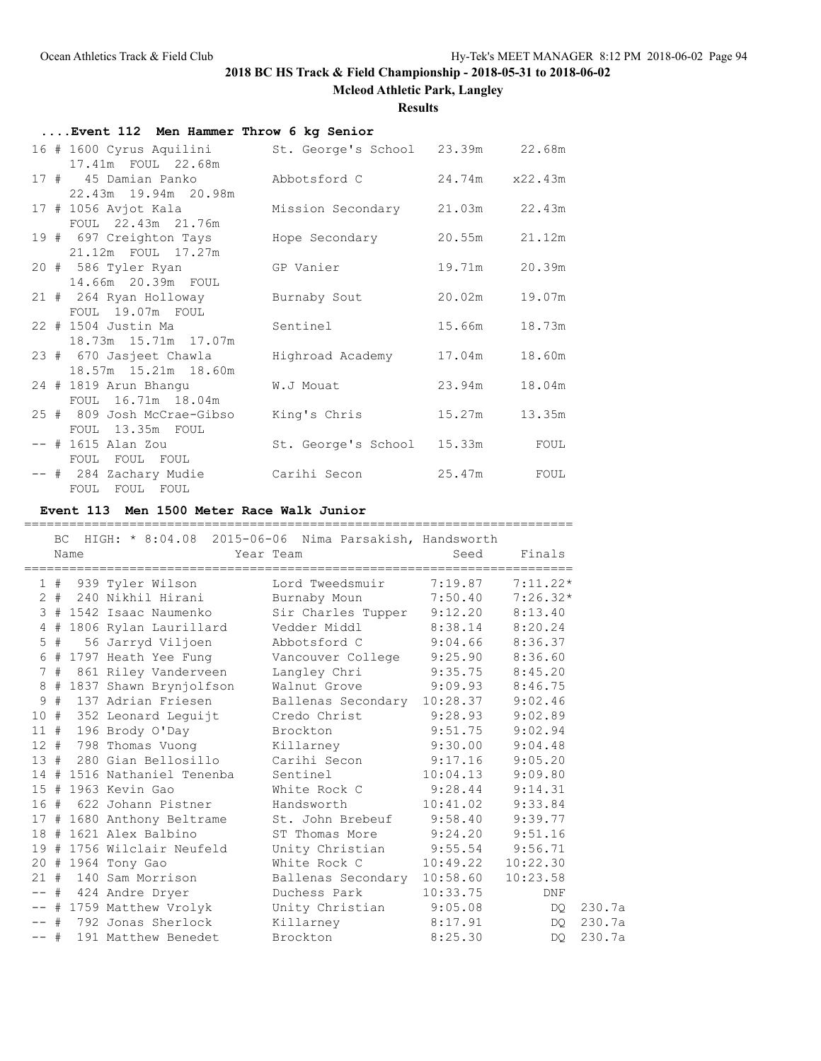**Mcleod Athletic Park, Langley**

**Results**

| Event 112 Men Hammer Throw 6 kg Senior                                           |                                 |        |                |
|----------------------------------------------------------------------------------|---------------------------------|--------|----------------|
| 16 # 1600 Cyrus Aquilini St. George's School 23.39m 22.68m<br>17.41m FOUL 22.68m |                                 |        |                |
| 17 # 45 Damian Panko Abbotsford C<br>22.43m 19.94m 20.98m                        |                                 |        | 24.74m x22.43m |
| 17 # 1056 Avjot Kala<br>FOUL 22.43m 21.76m                                       | Mission Secondary 21.03m 22.43m |        |                |
| 19 # 697 Creighton Tays<br>21.12m FOUL 17.27m                                    | Hope Secondary                  | 20.55m | 21.12m         |
| 20 # 586 Tyler Ryan<br>14.66m 20.39m FOUL                                        | GP Vanier                       | 19.71m | 20.39m         |
| 21 # 264 Ryan Holloway<br>FOUL 19.07m FOUL                                       | Burnaby Sout                    | 20.02m | 19.07m         |
| 22 # 1504 Justin Ma<br>18.73m  15.71m  17.07m                                    | Sentinel                        | 15.66m | 18.73m         |
| 23 # 670 Jasjeet Chawla<br>18.57m 15.21m 18.60m                                  | Highroad Academy                | 17.04m | 18.60m         |
| 24 # 1819 Arun Bhangu<br>FOUL 16.71m 18.04m                                      | W.J Mouat                       | 23.94m | 18.04m         |
| 25 # 809 Josh McCrae-Gibso<br>FOUL 13.35m FOUL                                   | King's Chris                    | 15.27m | 13.35m         |
| -- # 1615 Alan Zou<br>FOUL FOUL FOUL                                             | St. George's School 15.33m      |        | FOUL           |
| -- # 284 Zachary Mudie<br>FOUL FOUL FOUL                                         | Carihi Secon                    | 25.47m | FOUL           |

## **Event 113 Men 1500 Meter Race Walk Junior**

|        |       | Name | =========================<br>BC HIGH: * 8:04.08 2015-06-06 Nima Parsakish, Handsworth | Year Team                           | -------------------------<br>Seed | Finals   |        |
|--------|-------|------|---------------------------------------------------------------------------------------|-------------------------------------|-----------------------------------|----------|--------|
|        |       |      | 1 # 939 Tyler Wilson Lord Tweedsmuir 7:19.87 7:11.22*                                 |                                     |                                   |          |        |
|        |       |      | 2 # 240 Nikhil Hirani                                                                 | Burnaby Moun 7:50.40 7:26.32*       |                                   |          |        |
|        |       |      | 3 # 1542 Isaac Naumenko Sir Charles Tupper 9:12.20 8:13.40                            |                                     |                                   |          |        |
|        |       |      | 4 # 1806 Rylan Laurillard Vedder Middl 8:38.14 8:20.24                                |                                     |                                   |          |        |
|        | $5$ # |      | 56 Jarryd Viljoen Abbotsford C 9:04.66 8:36.37                                        |                                     |                                   |          |        |
|        |       |      |                                                                                       |                                     |                                   |          |        |
|        |       |      | 7 # 861 Riley Vanderveen Langley Chri 9:35.75 8:45.20                                 |                                     |                                   |          |        |
|        |       |      | 8 # 1837 Shawn Brynjolfson Walnut Grove 9:09.93 8:46.75                               |                                     |                                   |          |        |
|        | 9#    |      | 137 Adrian Friesen                                                                    | Ballenas Secondary 10:28.37 9:02.46 |                                   |          |        |
|        |       |      | 10 # 352 Leonard Leguijt Credo Christ 9:28.93 9:02.89                                 |                                     |                                   |          |        |
|        |       |      | 11 # 196 Brody O'Day Brockton 9:51.75 9:02.94                                         |                                     |                                   |          |        |
|        |       |      | 12 # 798 Thomas Vuong Killarney                                                       |                                     | $9:30.00$ $9:04.48$               |          |        |
|        |       |      | 13 # 280 Gian Bellosillo Carihi Secon                                                 |                                     | $9:17.16$ $9:05.20$               |          |        |
|        |       |      | 14 # 1516 Nathaniel Tenenba Sentinel                                                  |                                     | $10:04.13$ 9:09.80                |          |        |
|        |       |      | 15 # 1963 Kevin Gao                                                                   | White Rock C 9:28.44 9:14.31        |                                   |          |        |
|        |       |      |                                                                                       |                                     | $10:41.02$ $9:33.84$              |          |        |
|        |       |      | 17 # 1680 Anthony Beltrame 5t. John Brebeuf 9:58.40 9:39.77                           |                                     |                                   |          |        |
|        |       |      | 18 # 1621 Alex Balbino                                                                | ST Thomas More 9:24.20 9:51.16      |                                   |          |        |
|        |       |      | 19 # 1756 Wilclair Neufeld Unity Christian 9:55.54 9:56.71                            |                                     |                                   |          |        |
|        |       |      | 20 # 1964 Tony Gao                                                                    | White Rock C                        | 10:49.22                          | 10:22.30 |        |
|        |       |      | 21 # 140 Sam Morrison Ballenas Secondary 10:58.60                                     |                                     |                                   | 10:23.58 |        |
|        |       |      | -- # 424 Andre Dryer                                                                  | Duchess Park                        | 10:33.75                          | DNF      |        |
|        |       |      | -- # 1759 Matthew Vrolyk Unity Christian 9:05.08                                      |                                     |                                   | DQ.      | 230.7a |
|        |       |      | -- # 792 Jonas Sherlock Killarney                                                     |                                     | 8:17.91                           | DQ.      | 230.7a |
| $--$ # |       |      | 191 Matthew Benedet                                                                   | Brockton                            | 8:25.30                           | DO       | 230.7a |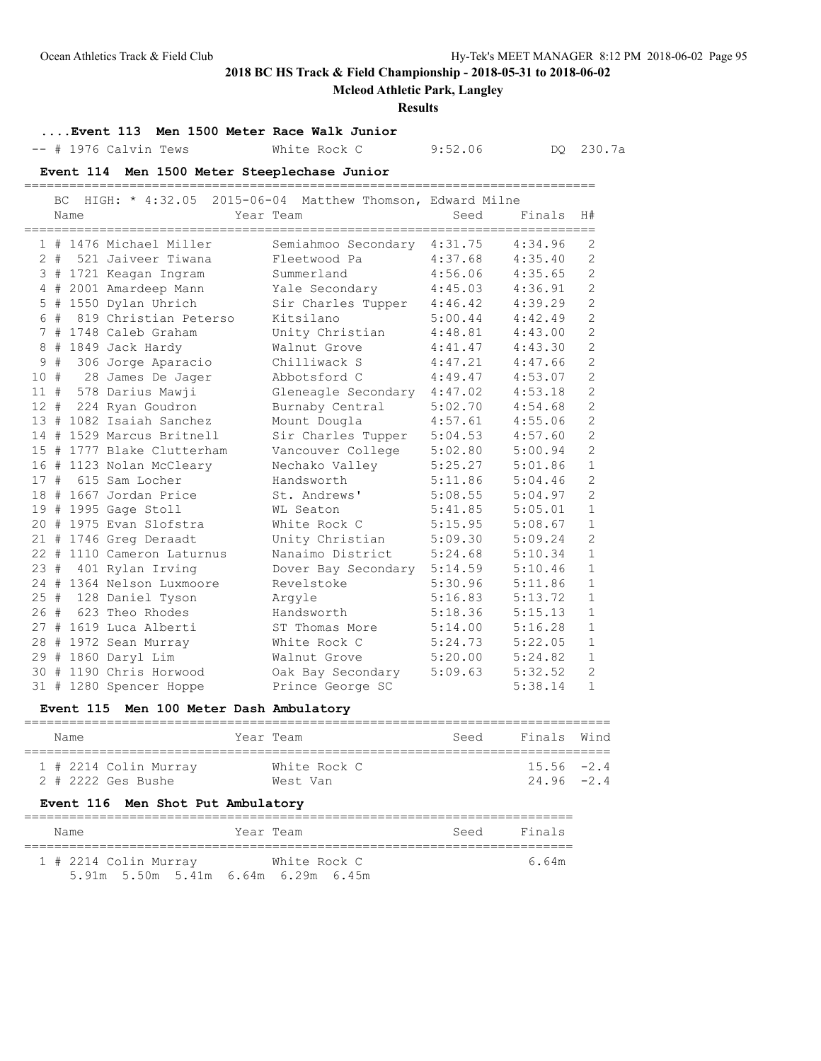## **Mcleod Athletic Park, Langley**

#### **Results**

## **....Event 113 Men 1500 Meter Race Walk Junior**

-- # 1976 Calvin Tews White Rock C 9:52.06 DQ 230.7a

#### **Event 114 Men 1500 Meter Steeplechase Junior** ============================================================================

|        | BC. | Name | HIGH: $*$ 4:32.05 2015-06-04 Matthew Thomson, Edward Milne | Year Team                   | Seed    | Finals  | H#             |
|--------|-----|------|------------------------------------------------------------|-----------------------------|---------|---------|----------------|
|        |     |      | 1 # 1476 Michael Miller                                    | Semiahmoo Secondary 4:31.75 |         | 4:34.96 | 2              |
|        |     |      | 2 # 521 Jaiveer Tiwana                                     | Fleetwood Pa                | 4:37.68 | 4:35.40 | 2              |
|        |     |      | 3 # 1721 Keagan Ingram                                     | Summerland                  | 4:56.06 | 4:35.65 | $\overline{c}$ |
|        |     |      | 4 # 2001 Amardeep Mann                                     | Yale Secondary              | 4:45.03 | 4:36.91 | $\overline{c}$ |
|        |     |      | 5 # 1550 Dylan Uhrich                                      | Sir Charles Tupper          | 4:46.42 | 4:39.29 | $\mathbf{2}$   |
|        | 6 # |      | 819 Christian Peterso                                      | Kitsilano                   | 5:00.44 | 4:42.49 | $\mathbf{2}$   |
|        |     |      | 7 # 1748 Caleb Graham                                      | Unity Christian             | 4:48.81 | 4:43.00 | $\overline{2}$ |
|        |     |      | 8 # 1849 Jack Hardy                                        | Walnut Grove                | 4:41.47 | 4:43.30 | $\overline{c}$ |
| 9      | #   |      | 306 Jorge Aparacio                                         | Chilliwack S                | 4:47.21 | 4:47.66 | $\overline{c}$ |
| 10#    |     |      | 28 James De Jager                                          | Abbotsford C                | 4:49.47 | 4:53.07 | $\overline{c}$ |
|        |     |      | 11 # 578 Darius Mawji                                      | Gleneagle Secondary 4:47.02 |         | 4:53.18 | $\overline{c}$ |
| $12 +$ |     |      | 224 Ryan Goudron                                           | Burnaby Central             | 5:02.70 | 4:54.68 | $\overline{c}$ |
|        |     |      | 13 # 1082 Isaiah Sanchez                                   | Mount Dougla                | 4:57.61 | 4:55.06 | $\overline{c}$ |
|        |     |      | 14 # 1529 Marcus Britnell                                  | Sir Charles Tupper          | 5:04.53 | 4:57.60 | $\overline{c}$ |
|        |     |      | 15 # 1777 Blake Clutterham                                 | Vancouver College           | 5:02.80 | 5:00.94 | $\mathbf{2}$   |
|        |     |      | 16 # 1123 Nolan McCleary                                   | Nechako Valley              | 5:25.27 | 5:01.86 | $\mathbf{1}$   |
| 17#    |     |      | 615 Sam Locher                                             | Handsworth                  | 5:11.86 | 5:04.46 | $\overline{2}$ |
|        |     |      | 18 # 1667 Jordan Price                                     | St. Andrews'                | 5:08.55 | 5:04.97 | $\overline{c}$ |
|        |     |      | 19 # 1995 Gage Stoll                                       | WL Seaton                   | 5:41.85 | 5:05.01 | $\mathbf{1}$   |
|        |     |      | 20 # 1975 Evan Slofstra                                    | White Rock C                | 5:15.95 | 5:08.67 | $\mathbf{1}$   |
|        |     |      | 21 # 1746 Greg Deraadt                                     | Unity Christian             | 5:09.30 | 5:09.24 | $\overline{c}$ |
|        |     |      | 22 # 1110 Cameron Laturnus                                 | Nanaimo District            | 5:24.68 | 5:10.34 | $\mathbf{1}$   |
| 23#    |     |      | 401 Rylan Irving                                           | Dover Bay Secondary 5:14.59 |         | 5:10.46 | $\mathbf{1}$   |
|        |     |      | 24 # 1364 Nelson Luxmoore                                  | Revelstoke                  | 5:30.96 | 5:11.86 | $\mathbf{1}$   |
| 25#    |     |      | 128 Daniel Tyson                                           | Arqyle                      | 5:16.83 | 5:13.72 | $\mathbf{1}$   |
|        |     |      | 26 # 623 Theo Rhodes                                       | Handsworth                  | 5:18.36 | 5:15.13 | $\mathbf{1}$   |
|        |     |      | 27 # 1619 Luca Alberti                                     | ST Thomas More              | 5:14.00 | 5:16.28 | $\mathbf{1}$   |
|        |     |      | 28 # 1972 Sean Murray                                      | White Rock C                | 5:24.73 | 5:22.05 | $1\,$          |
|        |     |      | 29 # 1860 Daryl Lim                                        | Walnut Grove                | 5:20.00 | 5:24.82 | $\mathbf{1}$   |
|        |     |      | 30 # 1190 Chris Horwood                                    | Oak Bay Secondary           | 5:09.63 | 5:32.52 | $\overline{2}$ |
|        |     |      | 31 # 1280 Spencer Hoppe                                    | Prince George SC            |         | 5:38.14 | $\mathbf{1}$   |

### **Event 115 Men 100 Meter Dash Ambulatory**

| Name |                         | Year Team    | Seed | Finals Wind   |  |  |  |  |  |  |
|------|-------------------------|--------------|------|---------------|--|--|--|--|--|--|
|      | $1$ # 2214 Colin Murray | White Rock C |      | $15.56 - 2.4$ |  |  |  |  |  |  |
|      | 2 # 2222 Ges Bushe      | West Van     |      | $24.96 - 2.4$ |  |  |  |  |  |  |

### **Event 116 Men Shot Put Ambulatory**

| Name |                                     |  | Year Team    | Seed | Finals |  |  |  |  |
|------|-------------------------------------|--|--------------|------|--------|--|--|--|--|
|      | 1 # 2214 Colin Murray               |  | White Rock C |      | 6.64m  |  |  |  |  |
|      | 5.91m 5.50m 5.41m 6.64m 6.29m 6.45m |  |              |      |        |  |  |  |  |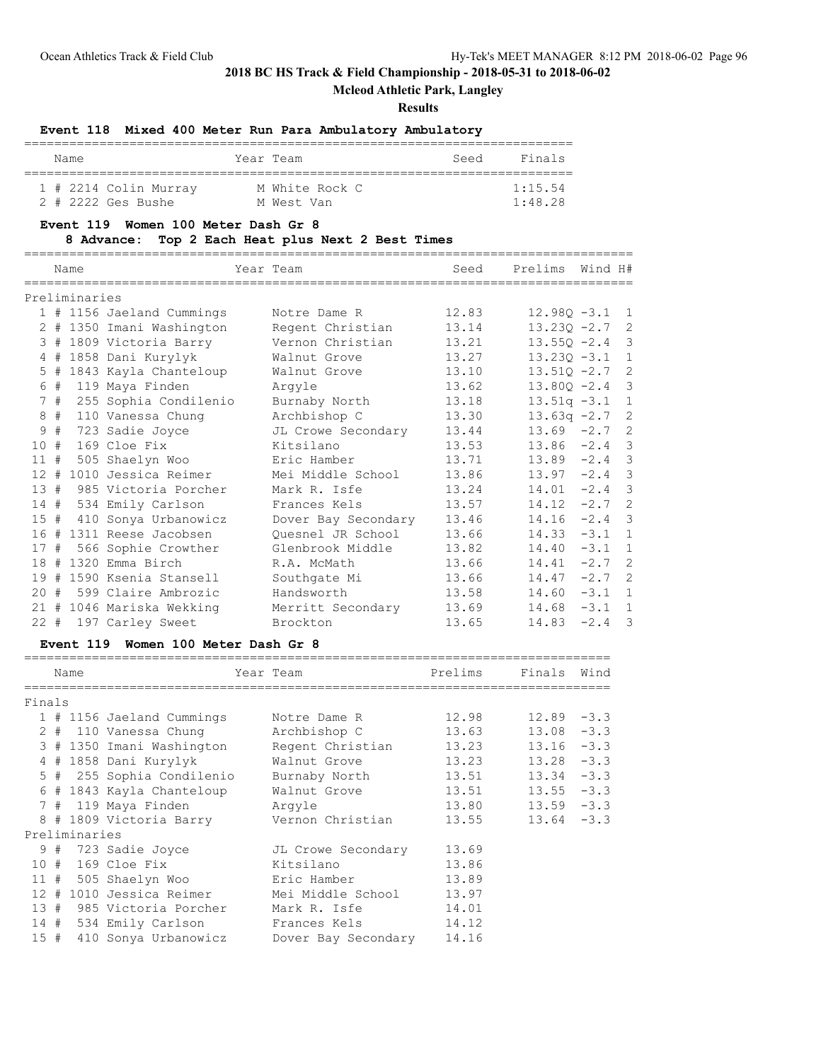## **Mcleod Athletic Park, Langley**

### **Results**

### **Event 118 Mixed 400 Meter Run Para Ambulatory Ambulatory**

|  | Name |                       |  | Year Team      | Seed | Finals          |  |  |
|--|------|-----------------------|--|----------------|------|-----------------|--|--|
|  |      |                       |  |                |      |                 |  |  |
|  |      | 1 # 2214 Colin Murray |  | M White Rock C |      | 1:15.54         |  |  |
|  |      | 2 # 2222 Ges Bushe    |  | M West Van     |      | $1 \cdot 48$ 28 |  |  |

### **Event 119 Women 100 Meter Dash Gr 8**

### **8 Advance: Top 2 Each Heat plus Next 2 Best Times**

|     |    | Name          |                           | Year Team           | Seed  | Prelims<br>======================= | Wind H#  |              |
|-----|----|---------------|---------------------------|---------------------|-------|------------------------------------|----------|--------------|
|     |    | Preliminaries |                           |                     |       |                                    |          |              |
|     |    |               | 1 # 1156 Jaeland Cummings | Notre Dame R        | 12.83 | $12.980 - 3.1$ 1                   |          |              |
|     |    |               | 2 # 1350 Imani Washington | Regent Christian    | 13.14 | $13.230 -2.7$ 2                    |          |              |
|     |    |               | 3 # 1809 Victoria Barry   | Vernon Christian    | 13.21 | $13.55Q -2.4$ 3                    |          |              |
|     |    |               | 4 # 1858 Dani Kurylyk     | Walnut Grove        | 13.27 | $13.230 - 3.1$                     |          | $\mathbf{1}$ |
|     |    |               | 5 # 1843 Kayla Chanteloup | Walnut Grove        | 13.10 | $13.510 - 2.7$                     |          | 2            |
|     | 6# |               | 119 Maya Finden           | Arqyle              | 13.62 | $13.80Q - 2.4$ 3                   |          |              |
|     | 7# |               | 255 Sophia Condilenio     | Burnaby North       | 13.18 | $13.51q - 3.1$ 1                   |          |              |
|     | 8# |               | 110 Vanessa Chung         | Archbishop C        | 13.30 | $13.63q -2.7$ 2                    |          |              |
| 9   | #  |               | 723 Sadie Joyce           | JL Crowe Secondary  | 13.44 | $13.69 -2.7$ 2                     |          |              |
| 10# |    |               | 169 Cloe Fix              | Kitsilano           | 13.53 | $13.86 -2.4$ 3                     |          |              |
| 11# |    |               | 505 Shaelyn Woo           | Eric Hamber         | 13.71 | $13.89 -2.4$ 3                     |          |              |
|     |    |               | 12 # 1010 Jessica Reimer  | Mei Middle School   | 13.86 | $13.97 -2.4$ 3                     |          |              |
| 13# |    |               | 985 Victoria Porcher      | Mark R. Isfe        | 13.24 | $14.01 -2.4$ 3                     |          |              |
| 14# |    |               | 534 Emily Carlson         | Frances Kels        | 13.57 | $14.12 -2.7$ 2                     |          |              |
| 15# |    |               | 410 Sonya Urbanowicz      | Dover Bay Secondary | 13.46 | $14.16 -2.4$ 3                     |          |              |
|     |    |               | 16 # 1311 Reese Jacobsen  | Ouesnel JR School   | 13.66 | $14.33 - 3.1$ 1                    |          |              |
| 17# |    |               | 566 Sophie Crowther       | Glenbrook Middle    | 13.82 | $14.40 -3.1$ 1                     |          |              |
|     |    |               | 18 # 1320 Emma Birch      | R.A. McMath         | 13.66 | 14.41                              | $-2.7$ 2 |              |
|     |    |               | 19 # 1590 Ksenia Stansell | Southgate Mi        | 13.66 | $14.47 -2.7$ 2                     |          |              |
|     |    |               | 20 # 599 Claire Ambrozic  | Handsworth          | 13.58 | $14.60 -3.1 1$                     |          |              |
|     |    |               | 21 # 1046 Mariska Wekking | Merritt Secondary   | 13.69 | 14.68                              | $-3.1$ 1 |              |
|     |    |               | 22 # 197 Carley Sweet     | Brockton            | 13.65 | 14.83                              | $-2.4$ 3 |              |

### **Event 119 Women 100 Meter Dash Gr 8**

|        |  | Name          |                           |  | Year Team                                | Prelims | Finals        | Wind |  |
|--------|--|---------------|---------------------------|--|------------------------------------------|---------|---------------|------|--|
| Finals |  |               |                           |  |                                          |         |               |      |  |
|        |  |               | 1 # 1156 Jaeland Cummings |  | Notre Dame R                             | 12.98   | $12.89 - 3.3$ |      |  |
|        |  |               | 2 # 110 Vanessa Chung     |  | Archbishop C                             | 13.63   | $13.08 - 3.3$ |      |  |
|        |  |               | 3 # 1350 Imani Washington |  | Regent Christian                         | 13.23   | $13.16 - 3.3$ |      |  |
|        |  |               | 4 # 1858 Dani Kurylyk     |  | Walnut Grove                             | 13.23   | $13.28 - 3.3$ |      |  |
|        |  |               | 5 # 255 Sophia Condilenio |  | Burnaby North                            | 13.51   | $13.34 - 3.3$ |      |  |
|        |  |               | 6 # 1843 Kayla Chanteloup |  | Walnut Grove                             | 13.51   | $13.55 - 3.3$ |      |  |
|        |  |               | 7 # 119 Maya Finden       |  | Arqyle                                   | 13.80   | $13.59 - 3.3$ |      |  |
|        |  |               |                           |  | 8 # 1809 Victoria Barry Sernon Christian | 13.55   | $13.64 - 3.3$ |      |  |
|        |  | Preliminaries |                           |  |                                          |         |               |      |  |
|        |  |               | 9 # 723 Sadie Joyce       |  | JL Crowe Secondary                       | 13.69   |               |      |  |
|        |  |               | 10 # 169 Cloe Fix         |  | Kitsilano                                | 13.86   |               |      |  |
|        |  |               | 11 # 505 Shaelyn Woo      |  | Eric Hamber                              | 13.89   |               |      |  |
|        |  |               | 12 # 1010 Jessica Reimer  |  | Mei Middle School                        | 13.97   |               |      |  |
|        |  |               | 13 # 985 Victoria Porcher |  | Mark R. Isfe                             | 14.01   |               |      |  |
|        |  |               | 14 # 534 Emily Carlson    |  | Frances Kels                             | 14.12   |               |      |  |
|        |  |               | 15 # 410 Sonya Urbanowicz |  | Dover Bay Secondary                      | 14.16   |               |      |  |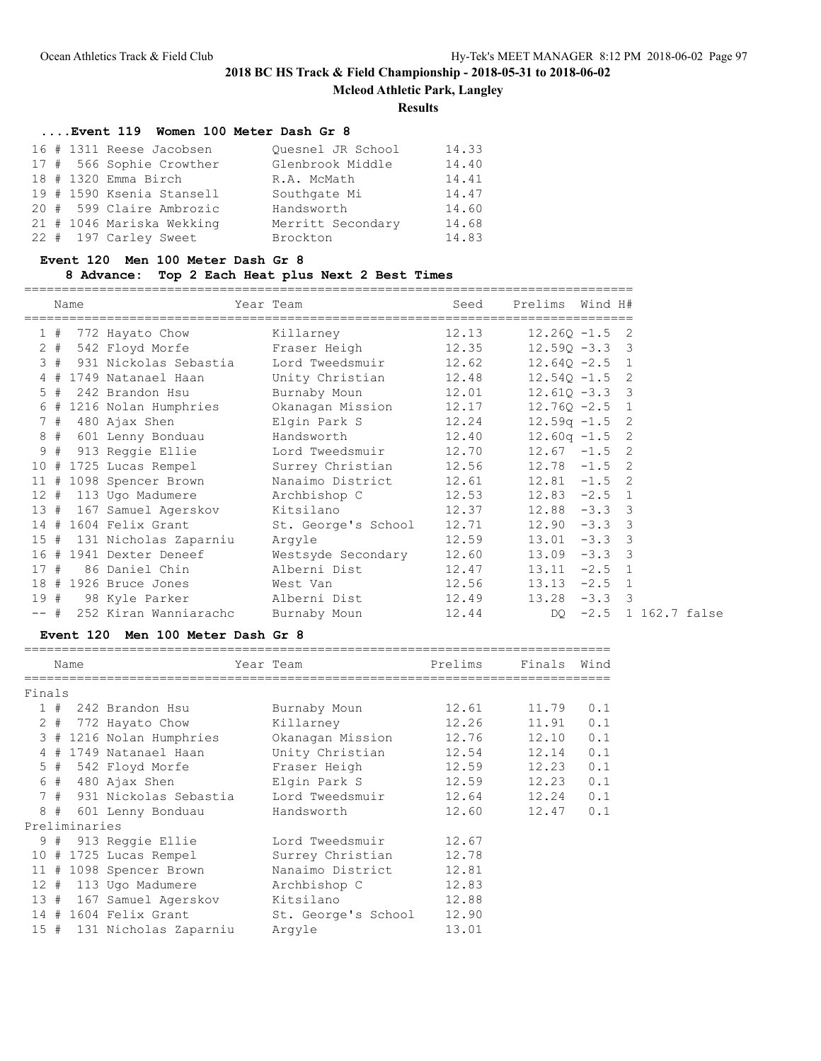**Mcleod Athletic Park, Langley**

### **Results**

# **....Event 119 Women 100 Meter Dash Gr 8**

|  | 16 # 1311 Reese Jacobsen  | Quesnel JR School | 14.33 |
|--|---------------------------|-------------------|-------|
|  | 17 # 566 Sophie Crowther  | Glenbrook Middle  | 14.40 |
|  | 18 # 1320 Emma Birch      | R.A. McMath       | 14.41 |
|  | 19 # 1590 Ksenia Stansell | Southgate Mi      | 14.47 |
|  | 20 # 599 Claire Ambrozic  | Handsworth        | 14.60 |
|  | 21 # 1046 Mariska Wekking | Merritt Secondary | 14.68 |
|  | 22 # 197 Carley Sweet     | Brockton          | 14.83 |

## **Event 120 Men 100 Meter Dash Gr 8**

## **8 Advance: Top 2 Each Heat plus Next 2 Best Times**

|     |    | Name |                                                                | Year Team                | Seed  | Prelims Wind H#  |                       |  |
|-----|----|------|----------------------------------------------------------------|--------------------------|-------|------------------|-----------------------|--|
|     | 1# |      | 772 Hayato Chow Killarney 12.13                                |                          |       | $12.26Q - 1.5$ 2 |                       |  |
|     |    |      | 2 # 542 Floyd Morfe     Fraser Heigh         12.35             |                          |       | $12.590 - 3.3$ 3 |                       |  |
|     |    |      | 3 # 931 Nickolas Sebastia Lord Tweedsmuir 12.62 12.64Q -2.5 1  |                          |       |                  |                       |  |
|     |    |      | 4 # 1749 Natanael Haan Unity Christian 12.48 12.540 -1.5 2     |                          |       |                  |                       |  |
|     | 5# |      | 242 Brandon Hsu                                                | Burnaby Moun 12.01       |       | $12.610 - 3.3$ 3 |                       |  |
|     |    |      | 6 # 1216 Nolan Humphries Okanagan Mission 12.17                |                          |       | $12.76Q - 2.5$ 1 |                       |  |
|     | 7# |      |                                                                |                          |       | $12.59q - 1.5$ 2 |                       |  |
|     |    |      | 8 # 601 Lenny Bonduau                                          | Handsworth 12.40         |       | $12.60q - 1.5$ 2 |                       |  |
|     | 9# |      | 913 Reggie Ellie               Lord Tweedsmuir           12.70 |                          |       | $12.67 - 1.5$ 2  |                       |  |
|     |    |      | 10 # 1725 Lucas Rempel Surrey Christian 12.56                  |                          |       | $12.78 - 1.5$ 2  |                       |  |
|     |    |      | 11 # 1098 Spencer Brown                                        | Nanaimo District 12.61   |       | $12.81 - 1.5$ 2  |                       |  |
|     |    |      | 12 # 113 Ugo Madumere Archbishop C 12.53                       |                          |       | $12.83 - 2.5$ 1  |                       |  |
|     |    |      | 13 # 167 Samuel Agerskov Kitsilano 12.37                       |                          |       | $12.88 - 3.3$ 3  |                       |  |
|     |    |      | 14 # 1604 Felix Grant St. George's School 12.71                |                          |       | $12.90 -3.3$ 3   |                       |  |
| 15  |    |      | # 131 Nicholas Zaparniu                                        | Arqyle                   | 12.59 | $13.01 - 3.3$ 3  |                       |  |
|     |    |      | 16 # 1941 Dexter Deneef                                        | Westsyde Secondary 12.60 |       | $13.09 - 3.3$ 3  |                       |  |
| 17  | #  |      | 86 Daniel Chin                                                 | Alberni Dist 12.47       |       | $13.11 -2.5$ 1   |                       |  |
|     |    |      | 18 # 1926 Bruce Jones West Van 12.56                           |                          |       | $13.13 -2.5$ 1   |                       |  |
| 19# |    |      |                                                                |                          |       | $13.28 - 3.3$ 3  |                       |  |
|     |    |      | -- # 252 Kiran Wanniarachc                                     | Burnaby Moun 12.44       |       |                  | DO -2.5 1 162.7 false |  |

## **Event 120 Men 100 Meter Dash Gr 8**

|     | Name          |                           |  | Year Team           | Prelims | Finals | Wind |  |  |  |
|-----|---------------|---------------------------|--|---------------------|---------|--------|------|--|--|--|
|     |               |                           |  |                     |         |        |      |  |  |  |
|     | Finals        |                           |  |                     |         |        |      |  |  |  |
|     |               | $1$ # 242 Brandon Hsu     |  | Burnaby Moun        | 12.61   | 11.79  | 0.1  |  |  |  |
|     |               | 2 # 772 Hayato Chow       |  | Killarney           | 12.26   | 11.91  | 0.1  |  |  |  |
|     |               | 3 # 1216 Nolan Humphries  |  | Okanagan Mission    | 12.76   | 12.10  | 0.1  |  |  |  |
|     |               | 4 # 1749 Natanael Haan    |  | Unity Christian     | 12.54   | 12.14  | 0.1  |  |  |  |
|     |               | 5 # 542 Floyd Morfe       |  | Fraser Heigh        | 12.59   | 12.23  | 0.1  |  |  |  |
|     |               | 6 # 480 Ajax Shen         |  | Elgin Park S        | 12.59   | 12.23  | 0.1  |  |  |  |
|     |               | 7 # 931 Nickolas Sebastia |  | Lord Tweedsmuir     | 12.64   | 12.24  | 0.1  |  |  |  |
|     |               | 8 # 601 Lenny Bonduau     |  | Handsworth          | 12.60   | 12.47  | 0.1  |  |  |  |
|     | Preliminaries |                           |  |                     |         |        |      |  |  |  |
|     |               | 9 # 913 Reggie Ellie      |  | Lord Tweedsmuir     | 12.67   |        |      |  |  |  |
|     |               | $10$ # 1725 Lucas Rempel  |  | Surrey Christian    | 12.78   |        |      |  |  |  |
|     |               | 11 # 1098 Spencer Brown   |  | Nanaimo District    | 12.81   |        |      |  |  |  |
|     |               | 12 # 113 Ugo Madumere     |  | Archbishop C        | 12.83   |        |      |  |  |  |
|     |               | 13 # 167 Samuel Agerskov  |  | Kitsilano           | 12.88   |        |      |  |  |  |
|     |               | $14$ # 1604 Felix Grant   |  | St. George's School | 12.90   |        |      |  |  |  |
| 15# |               | 131 Nicholas Zaparniu     |  | Arqyle              | 13.01   |        |      |  |  |  |
|     |               |                           |  |                     |         |        |      |  |  |  |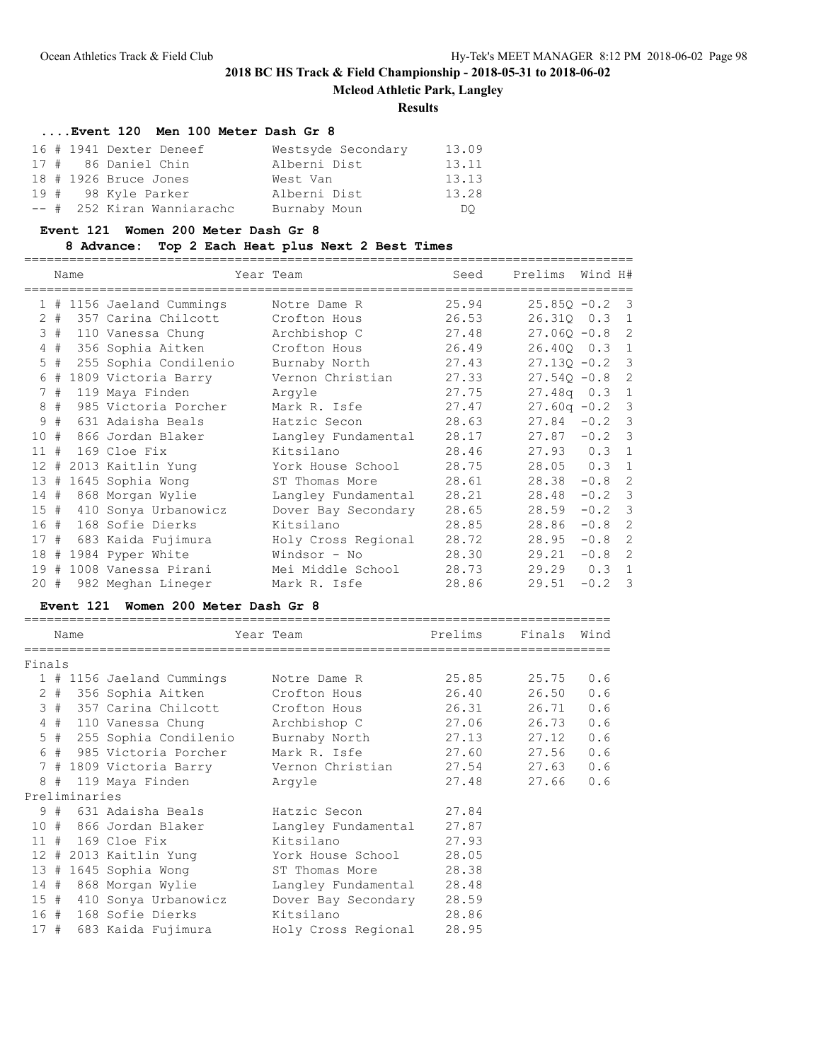**Mcleod Athletic Park, Langley**

#### **Results**

==============================================================================

### **....Event 120 Men 100 Meter Dash Gr 8**

|  | 16 # 1941 Dexter Deneef    | Westsyde Secondary | 13.09 |
|--|----------------------------|--------------------|-------|
|  | 17 # 86 Daniel Chin        | Alberni Dist       | 13.11 |
|  | 18 # 1926 Bruce Jones      | West Van           | 13.13 |
|  | 19 # 98 Kyle Parker        | Alberni Dist       | 13.28 |
|  | -- # 252 Kiran Wanniarachc | Burnaby Moun       | DO.   |

#### **Event 121 Women 200 Meter Dash Gr 8**

### **8 Advance: Top 2 Each Heat plus Next 2 Best Times**

================================================================================= Name Year Team Seed Prelims Wind H# ================================================================================= 1 # 1156 Jaeland Cummings Notre Dame R 25.94 25.85Q -0.2 3 2 # 357 Carina Chilcott Crofton Hous 26.53 26.31Q 0.3 1 3 # 110 Vanessa Chung Archbishop C 27.48 27.06Q -0.8 2 4 # 356 Sophia Aitken Crofton Hous 26.49 26.40Q 0.3 1 5 # 255 Sophia Condilenio Burnaby North 27.43 27.13Q -0.2 3 6 # 1809 Victoria Barry Vernon Christian 27.33 27.54Q -0.8 2 7 # 119 Maya Finden Argyle 27.75 27.48q 0.3 1 8 # 985 Victoria Porcher Mark R. Isfe 27.47 27.60q -0.2 3 9 # 631 Adaisha Beals Hatzic Secon 28.63 27.84 -0.2 3 10 # 866 Jordan Blaker Langley Fundamental 28.17 27.87 -0.2 3 11 # 169 Cloe Fix Kitsilano 28.46 27.93 0.3 1 12 # 2013 Kaitlin Yung York House School 28.75 28.05 0.3 1 13 # 1645 Sophia Wong ST Thomas More 28.61 28.38 -0.8 2 14 # 868 Morgan Wylie Langley Fundamental 28.21 28.48 -0.2 3 15 # 410 Sonya Urbanowicz Dover Bay Secondary 28.65 28.59 -0.2 3 16 # 168 Sofie Dierks Kitsilano 28.85 28.86 -0.8 2 17 # 683 Kaida Fujimura Holy Cross Regional 28.72 28.95 -0.8 2 18 # 1984 Pyper White Windsor - No 28.30 29.21 -0.8 2 19 # 1008 Vanessa Pirani Mei Middle School 28.73 29.29 0.3 1 20 # 982 Meghan Lineger Mark R. Isfe 28.86 29.51 -0.2 3

#### **Event 121 Women 200 Meter Dash Gr 8**

|        | Name |               |                                        | Year Team           | Prelims | Finals | Wind |
|--------|------|---------------|----------------------------------------|---------------------|---------|--------|------|
| Finals |      |               |                                        |                     |         |        |      |
|        |      |               | 1 # 1156 Jaeland Cummings              | Notre Dame R        | 25.85   | 25.75  | 0.6  |
|        |      |               | 2 # 356 Sophia Aitken                  | Crofton Hous        | 26.40   | 26.50  | 0.6  |
|        |      |               | 3 # 357 Carina Chilcott 6 Crofton Hous |                     | 26.31   | 26.71  | 0.6  |
|        |      |               | 4 # 110 Vanessa Chung                  | Archbishop C        | 27.06   | 26.73  | 0.6  |
|        |      |               | 5 # 255 Sophia Condilenio              | Burnaby North       | 27.13   | 27.12  | 0.6  |
|        |      |               | 6 # 985 Victoria Porcher               | Mark R. Isfe        | 27.60   | 27.56  | 0.6  |
|        |      |               |                                        |                     |         | 27.63  | 0.6  |
|        |      |               | 8 # 119 Maya Finden                    | Arqyle              | 27.48   | 27.66  | 0.6  |
|        |      | Preliminaries |                                        |                     |         |        |      |
|        |      |               | 9 #  631 Adaisha Beals                 | Hatzic Secon        | 27.84   |        |      |
|        |      |               | 10 # 866 Jordan Blaker                 | Langley Fundamental | 27.87   |        |      |
|        |      |               | $11$ # 169 Cloe Fix                    | Kitsilano           | 27.93   |        |      |
|        |      |               | 12 # 2013 Kaitlin Yung                 | York House School   | 28.05   |        |      |
|        |      |               | 13 # 1645 Sophia Wong                  | ST Thomas More      | 28.38   |        |      |
|        |      |               | 14 # 868 Morgan Wylie                  | Langley Fundamental | 28.48   |        |      |
|        |      |               | 15 # 410 Sonya Urbanowicz              | Dover Bay Secondary | 28.59   |        |      |
|        |      |               | 16 # 168 Sofie Dierks                  | Kitsilano           | 28.86   |        |      |
|        |      |               | 17 # 683 Kaida Fujimura                | Holy Cross Regional | 28.95   |        |      |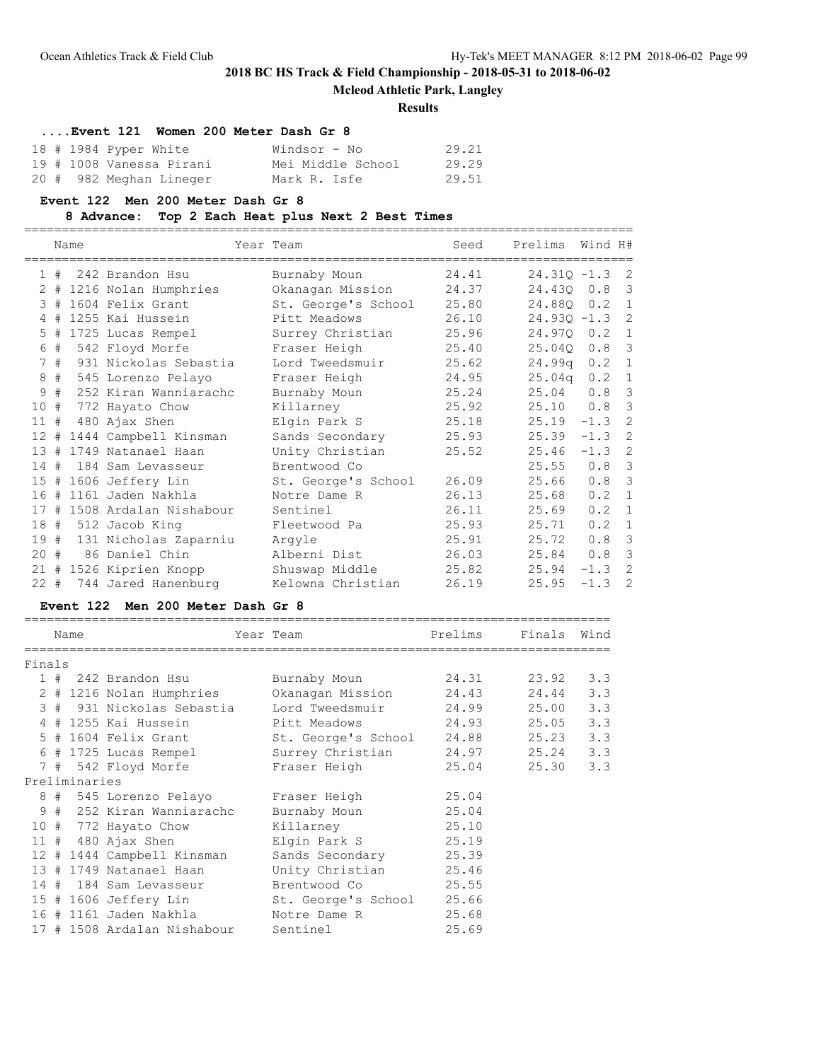## **Mcleod Athletic Park, Langley**

### **Results**

| Event 121 Women 200 Meter Dash Gr 8 |                   |       |
|-------------------------------------|-------------------|-------|
| $18$ # 1984 Pyper White             | Windsor - No      | 29.21 |
| 19 # 1008 Vanessa Pirani            | Mei Middle School | 29.29 |
| 20 # 982 Meghan Lineger             | Mark R. Isfe      | 29.51 |

#### **Event 122 Men 200 Meter Dash Gr 8**

### **8 Advance: Top 2 Each Heat plus Next 2 Best Times**

=================================================================================

|        |    | Name |                             | Year Team           | Seed  | Prelims          | Wind H#          |                |
|--------|----|------|-----------------------------|---------------------|-------|------------------|------------------|----------------|
|        |    |      | $1$ # 242 Brandon Hsu       | Burnaby Moun        | 24.41 | $24.310 - 1.3$ 2 |                  |                |
|        |    |      | 2 # 1216 Nolan Humphries    | Okanagan Mission    | 24.37 | 24.430 0.8 3     |                  |                |
|        |    |      | 3 # 1604 Felix Grant        | St. George's School | 25.80 | 24.880 0.2 1     |                  |                |
|        |    |      | 4 # 1255 Kai Hussein        | Pitt Meadows        | 26.10 | $24.93Q - 1.3$ 2 |                  |                |
|        |    |      | 5 # 1725 Lucas Rempel       | Surrey Christian    | 25.96 | 24.970 0.2 1     |                  |                |
|        |    |      | 6 # 542 Floyd Morfe         | Fraser Heigh        | 25.40 | 25.040           | $0.8-3$          |                |
|        | 7# |      | 931 Nickolas Sebastia       | Lord Tweedsmuir     | 25.62 | $24.99q$ 0.2     |                  | $\mathbf{1}$   |
|        |    |      | 8 # 545 Lorenzo Pelayo      | Fraser Heigh        | 24.95 | 25.04q           | $0.2 \quad 1$    |                |
|        | 9# |      | 252 Kiran Wanniarachc       | Burnaby Moun        | 25.24 | 25.04            | 0.8              | $\overline{3}$ |
| 10#    |    |      | 772 Hayato Chow             | Killarney           | 25.92 | 25.10 0.8 3      |                  |                |
| 11#    |    |      | 480 Ajax Shen               | Elgin Park S        | 25.18 | $25.19 - 1.3$    |                  | -2             |
|        |    |      | 12 # 1444 Campbell Kinsman  | Sands Secondary     | 25.93 | 25.39            | $-1.3$ 2         |                |
|        |    |      | 13 # 1749 Natanael Haan     | Unity Christian     | 25.52 | 25.46            | $-1.3$ 2         |                |
|        |    |      | 14 # 184 Sam Levasseur      | Brentwood Co        |       | 25.55            | 0.8              | $\overline{3}$ |
|        |    |      | 15 # 1606 Jeffery Lin       | St. George's School | 26.09 | 25.66            | 0.8 <sup>3</sup> |                |
|        |    |      | 16 # 1161 Jaden Nakhla      | Notre Dame R        | 26.13 | 25.68            | 0.2              | $\mathbf{1}$   |
|        |    |      | 17 # 1508 Ardalan Nishabour | Sentinel            | 26.11 | 25.69            | $0.2 \quad 1$    |                |
|        |    |      | 18 # 512 Jacob King         | Fleetwood Pa        | 25.93 | 25.71            | $0.2 \quad 1$    |                |
|        |    |      | 19 # 131 Nicholas Zaparniu  | Arqyle              | 25.91 | 25.72            | $0.8-3$          |                |
| $20 +$ |    |      | 86 Daniel Chin              | Alberni Dist        | 26.03 | 25.84            | 0.8              | $\overline{3}$ |
|        |    |      | 21 # 1526 Kiprien Knopp     | Shuswap Middle      | 25.82 | 25.94            | $-1.3$           | $\overline{c}$ |
|        |    |      | 22 # 744 Jared Hanenburg    | Kelowna Christian   | 26.19 | 25.95            | $-1.3$ 2         |                |

### **Event 122 Men 200 Meter Dash Gr 8**

|        | Name          |                                                 | Year Team                                      | Prelims | Finals Wind |     |
|--------|---------------|-------------------------------------------------|------------------------------------------------|---------|-------------|-----|
| Finals |               |                                                 |                                                |         |             |     |
|        |               |                                                 | 1 # 242 Brandon Hsu               Burnaby Moun | 24.31   | 23.92       | 3.3 |
|        |               | 2 # 1216 Nolan Humphries                        | Okanagan Mission                               | 24.43   | 24.44       | 3.3 |
|        |               | 3 # 931 Nickolas Sebastia                       | Lord Tweedsmuir 24.99                          |         | 25.00       | 3.3 |
|        |               | 4 # 1255 Kai Hussein               Pitt Meadows |                                                | 24.93   | 25.05       | 3.3 |
|        |               | 5 # 1604 Felix Grant                            | St. George's School 24.88                      |         | 25.23       | 3.3 |
|        |               | 6 # 1725 Lucas Rempel                           | Surrey Christian                               | 24.97   | 25.24       | 3.3 |
|        |               | 7 # 542 Floyd Morfe                             | Fraser Heigh                                   | 25.04   | 25.30       | 3.3 |
|        | Preliminaries |                                                 |                                                |         |             |     |
|        |               | 8 # 545 Lorenzo Pelayo                          | Fraser Heigh                                   | 25.04   |             |     |
|        |               | 9 # 252 Kiran Wanniarachc                       | Burnaby Moun                                   | 25.04   |             |     |
|        |               | 10 # 772 Hayato Chow                            | 25.10<br>Killarney                             |         |             |     |
|        |               | $11$ # 480 Ajax Shen                            | Elgin Park S                                   | 25.19   |             |     |
|        |               | 12 # 1444 Campbell Kinsman                      | Sands Secondary                                | 25.39   |             |     |
|        |               | 13 # 1749 Natanael Haan                         | Unity Christian 25.46                          |         |             |     |
|        |               | 14 # 184 Sam Levasseur                          | Brentwood Co                                   | 25.55   |             |     |
|        |               | 15 # 1606 Jeffery Lin                           | St. George's School                            | 25.66   |             |     |
|        |               | 16 # 1161 Jaden Nakhla                          | Notre Dame R                                   | 25.68   |             |     |
|        |               | 17 # 1508 Ardalan Nishabour                     | Sentinel                                       | 25.69   |             |     |
|        |               |                                                 |                                                |         |             |     |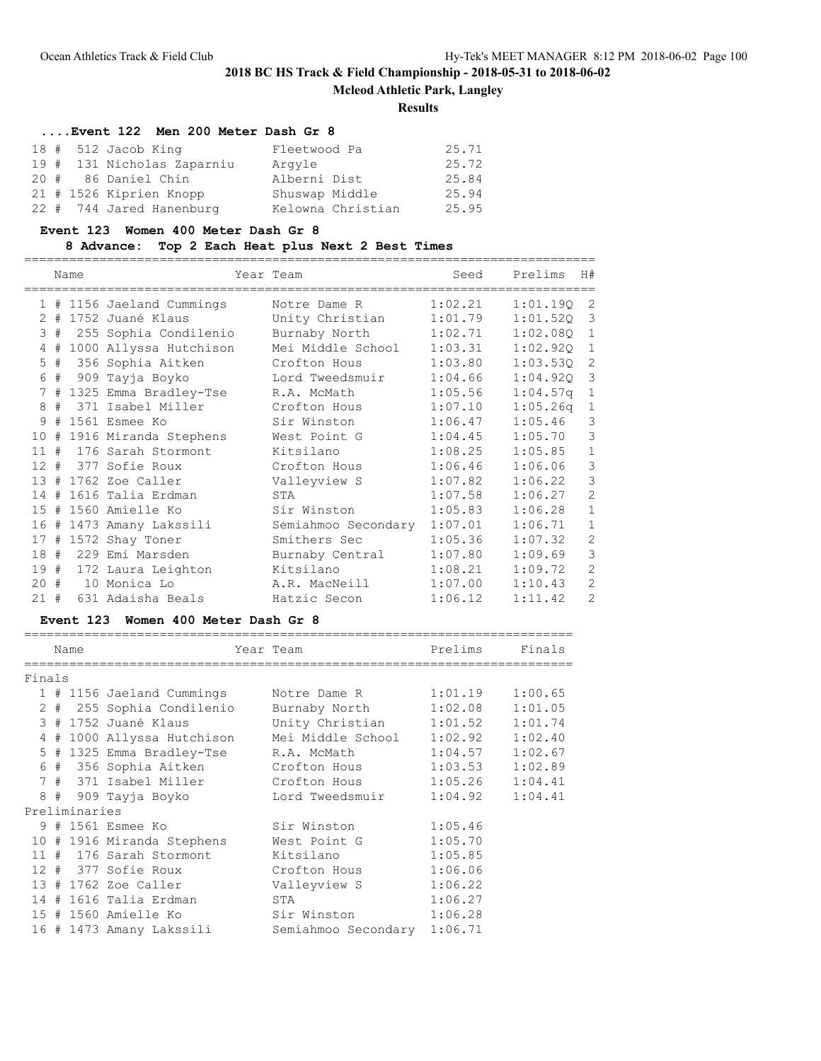**Mcleod Athletic Park, Langley**

### **Results**

### **....Event 122 Men 200 Meter Dash Gr 8**

|  | $18$ # 512 Jacob King      | Fleetwood Pa      | 25.71 |
|--|----------------------------|-------------------|-------|
|  | 19 # 131 Nicholas Zaparniu | Arqyle            | 25.72 |
|  | 20 # 86 Daniel Chin        | Alberni Dist      | 25.84 |
|  | 21 # 1526 Kiprien Knopp    | Shuswap Middle    | 25.94 |
|  | 22 # 744 Jared Hanenburg   | Kelowna Christian | 25.95 |

#### **Event 123 Women 400 Meter Dash Gr 8**

## **8 Advance: Top 2 Each Heat plus Next 2 Best Times**

============================================================================

|        |       | Name |                            | Year Team           | Seed    | Prelims  | H#                      |
|--------|-------|------|----------------------------|---------------------|---------|----------|-------------------------|
|        |       |      | 1 # 1156 Jaeland Cummings  | Notre Dame R        | 1:02.21 | 1:01.19Q | -2                      |
|        |       |      | 2 # 1752 Juané Klaus       | Unity Christian     | 1:01.79 | 1:01.520 | $\overline{3}$          |
|        | 3#    |      | 255 Sophia Condilenio      | Burnaby North       | 1:02.71 | 1:02.080 | $\mathbf{1}$            |
| 4      | #     |      | 1000 Allyssa Hutchison     | Mei Middle School   | 1:03.31 | 1:02.92Q | $\mathbf{1}$            |
|        | $5$ # |      | 356 Sophia Aitken          | Crofton Hous        | 1:03.80 | 1:03.530 | -2                      |
| 6      |       |      | # 909 Tayja Boyko          | Lord Tweedsmuir     | 1:04.66 | 1:04.92Q | $\overline{\mathbf{3}}$ |
|        |       |      | 7 # 1325 Emma Bradley-Tse  | R.A. McMath         | 1:05.56 | 1:04.57q | $\mathbf{1}$            |
|        |       |      | 8 # 371 Isabel Miller      | Crofton Hous        | 1:07.10 | 1:05.26q | $\mathbf{1}$            |
| 9      |       |      | # 1561 Esmee Ko            | Sir Winston         | 1:06.47 | 1:05.46  | 3                       |
|        |       |      | 10 # 1916 Miranda Stephens | West Point G        | 1:04.45 | 1:05.70  | $\mathfrak{Z}$          |
|        |       |      | 11 # 176 Sarah Stormont    | Kitsilano           | 1:08.25 | 1:05.85  | $\mathbf{1}$            |
|        |       |      | 12 # 377 Sofie Roux        | Crofton Hous        | 1:06.46 | 1:06.06  | $\mathcal{S}$           |
|        |       |      | 13 # 1762 Zoe Caller       | Valleyview S        | 1:07.82 | 1:06.22  | $\mathfrak{Z}$          |
| 14#    |       |      | 1616 Talia Erdman          | STA                 | 1:07.58 | 1:06.27  | 2                       |
|        |       |      | 15 # 1560 Amielle Ko       | Sir Winston         | 1:05.83 | 1:06.28  | $\mathbf{1}$            |
|        |       |      | 16 # 1473 Amany Lakssili   | Semiahmoo Secondary | 1:07.01 | 1:06.71  | $\mathbf{1}$            |
|        |       |      | 17 # 1572 Shay Toner       | Smithers Sec        | 1:05.36 | 1:07.32  | $\mathbf{2}$            |
| 18 #   |       |      | 229 Emi Marsden            | Burnaby Central     | 1:07.80 | 1:09.69  | $\mathsf 3$             |
|        |       |      | 19 # 172 Laura Leighton    | Kitsilano           | 1:08.21 | 1:09.72  | $\overline{c}$          |
|        |       |      | 20 # 10 Monica Lo          | A.R. MacNeill       | 1:07.00 | 1:10.43  | $\mathbf{2}$            |
| $21 +$ |       |      | 631 Adaisha Beals          | Hatzic Secon        | 1:06.12 | 1:11.42  | $\overline{2}$          |

### **Event 123 Women 400 Meter Dash Gr 8**

|        |  | Name          |                            |  | Year Team                    | Prelims | Finals  |  |
|--------|--|---------------|----------------------------|--|------------------------------|---------|---------|--|
| Finals |  |               |                            |  |                              |         |         |  |
|        |  |               | 1 # 1156 Jaeland Cummings  |  | Notre Dame R                 | 1:01.19 | 1:00.65 |  |
|        |  |               | 2 # 255 Sophia Condilenio  |  | Burnaby North 1:02.08        |         | 1:01.05 |  |
|        |  |               | 3 # 1752 Juané Klaus       |  | Unity Christian 1:01.52      |         | 1:01.74 |  |
|        |  |               | 4 # 1000 Allyssa Hutchison |  | Mei Middle School            | 1:02.92 | 1:02.40 |  |
|        |  |               | 5 # 1325 Emma Bradley-Tse  |  | R.A. McMath                  | 1:04.57 | 1:02.67 |  |
|        |  |               | 6 # 356 Sophia Aitken      |  | Crofton Hous                 | 1:03.53 | 1:02.89 |  |
|        |  |               | 7 # 371 Isabel Miller      |  | Crofton Hous 1:05.26 1:04.41 |         |         |  |
|        |  |               | 8 # 909 Tayja Boyko        |  | Lord Tweedsmuir              | 1:04.92 | 1:04.41 |  |
|        |  | Preliminaries |                            |  |                              |         |         |  |
|        |  |               | 9 # 1561 Esmee Ko          |  | Sir Winston                  | 1:05.46 |         |  |
|        |  |               | 10 # 1916 Miranda Stephens |  | West Point G                 | 1:05.70 |         |  |
|        |  |               | 11 # 176 Sarah Stormont    |  | Kitsilano                    | 1:05.85 |         |  |
|        |  |               | 12 # 377 Sofie Roux        |  | Crofton Hous                 | 1:06.06 |         |  |
|        |  |               | 13 # 1762 Zoe Caller       |  | Valleyview S                 | 1:06.22 |         |  |
|        |  |               | 14 # 1616 Talia Erdman     |  | STA                          | 1:06.27 |         |  |
|        |  |               | 15 # 1560 Amielle Ko       |  | Sir Winston 1:06.28          |         |         |  |
|        |  |               | 16 # 1473 Amany Lakssili   |  | Semiahmoo Secondary 1:06.71  |         |         |  |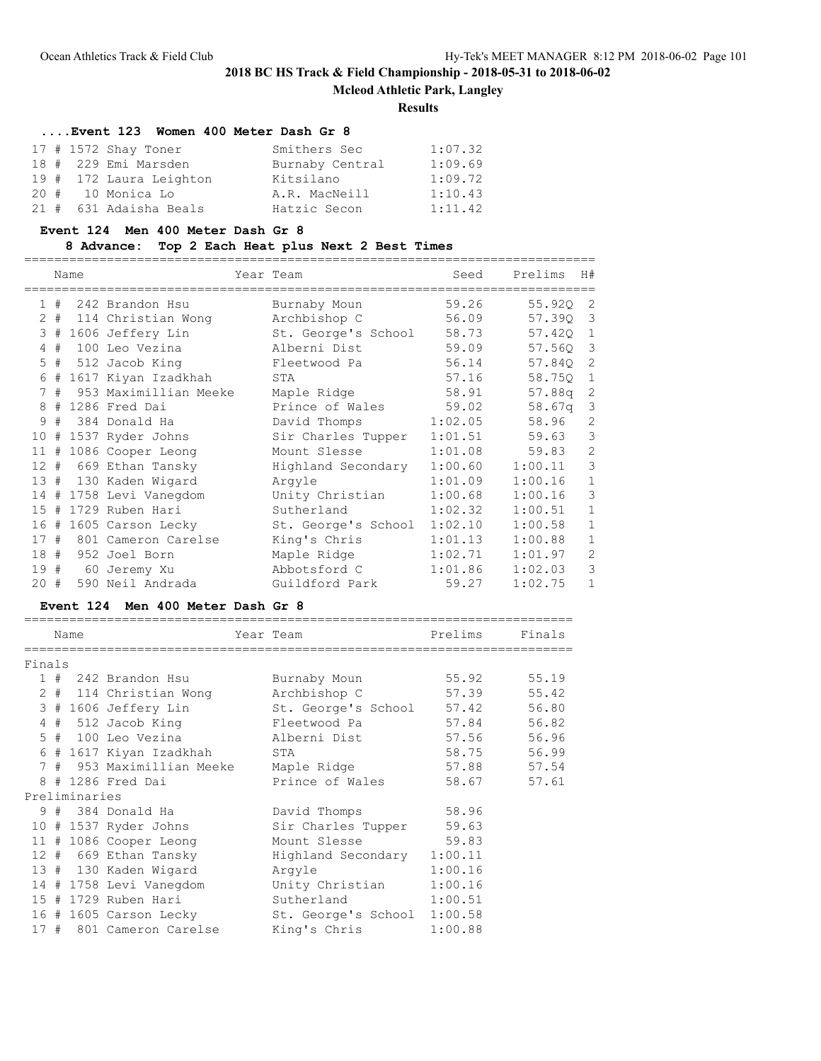**Mcleod Athletic Park, Langley**

### **Results**

# **....Event 123 Women 400 Meter Dash Gr 8**

|  | $17$ # $1572$ Shay Toner | Smithers Sec    | 1:07.32 |
|--|--------------------------|-----------------|---------|
|  | 18 # 229 Emi Marsden     | Burnaby Central | 1:09.69 |
|  | 19 # 172 Laura Leighton  | Kitsilano       | 1:09.72 |
|  | 20 # 10 Monica Lo        | A.R. MacNeill   | 1:10.43 |
|  | 21 # 631 Adaisha Beals   | Hatzic Secon    | 1:11.42 |

#### **Event 124 Men 400 Meter Dash Gr 8**

## **8 Advance: Top 2 Each Heat plus Next 2 Best Times**

============================================================================

|     |    | Name |                          | Year Team           | Seed    | Prelims | H#             |
|-----|----|------|--------------------------|---------------------|---------|---------|----------------|
|     |    |      | 1 # 242 Brandon Hsu      | Burnaby Moun        | 59.26   | 55.92Q  | -2             |
|     |    |      | 2 # 114 Christian Wong   | Archbishop C        | 56.09   | 57.390  | 3              |
|     |    |      | 3 # 1606 Jeffery Lin     | St. George's School | 58.73   | 57.420  | $\sqrt{1}$     |
|     |    |      | 4 # 100 Leo Vezina       | Alberni Dist        | 59.09   | 57.560  | $\mathbf{3}$   |
|     |    |      | 5 # 512 Jacob King       | Fleetwood Pa        | 56.14   | 57.840  | 2              |
|     |    |      | 6 # 1617 Kiyan Izadkhah  | STA                 | 57.16   | 58.750  | $\mathbf{1}$   |
|     | 7# |      | 953 Maximillian Meeke    | Maple Ridge         | 58.91   | 57.88q  | 2              |
|     |    |      | 8 # 1286 Fred Dai        | Prince of Wales     | 59.02   | 58.67q  | 3              |
| 9   | #  |      | 384 Donald Ha            | David Thomps        | 1:02.05 | 58.96   | $\overline{c}$ |
|     |    |      | 10 # 1537 Ryder Johns    | Sir Charles Tupper  | 1:01.51 | 59.63   | 3              |
|     |    |      | 11 # 1086 Cooper Leong   | Mount Slesse        | 1:01.08 | 59.83   | $\overline{c}$ |
|     |    |      | 12 # 669 Ethan Tansky    | Highland Secondary  | 1:00.60 | 1:00.11 | 3              |
|     |    |      | 13 # 130 Kaden Wigard    | Arqyle              | 1:01.09 | 1:00.16 | $\mathbf{1}$   |
|     |    |      | 14 # 1758 Levi Vanegdom  | Unity Christian     | 1:00.68 | 1:00.16 | 3              |
| 15# |    |      | 1729 Ruben Hari          | Sutherland          | 1:02.32 | 1:00.51 | $\mathbf{1}$   |
|     |    |      | 16 # 1605 Carson Lecky   | St. George's School | 1:02.10 | 1:00.58 | $\mathbf{1}$   |
|     |    |      | 17 # 801 Cameron Carelse | King's Chris        | 1:01.13 | 1:00.88 | $\mathbf{1}$   |
|     |    |      | 18 # 952 Joel Born       | Maple Ridge         | 1:02.71 | 1:01.97 | $\overline{c}$ |
|     |    |      | 19 # 60 Jeremy Xu        | Abbotsford C        | 1:01.86 | 1:02.03 | 3              |
| 20# |    |      | 590 Neil Andrada         | Guildford Park      | 59.27   | 1:02.75 | $\mathbf{1}$   |

### **Event 124 Men 400 Meter Dash Gr 8**

|        |  | Name          |                           |  | Year Team                   | Prelims | Finals      |
|--------|--|---------------|---------------------------|--|-----------------------------|---------|-------------|
|        |  |               |                           |  |                             |         |             |
| Finals |  |               |                           |  |                             |         |             |
|        |  |               | 1 # 242 Brandon Hsu       |  | Burnaby Moun                | 55.92   | 55.19       |
|        |  |               | 2 # 114 Christian Wong    |  | Archbishop C                | 57.39   | 55.42       |
|        |  |               | 3 # 1606 Jeffery Lin      |  | St. George's School 57.42   |         | 56.80       |
|        |  |               | 4 # 512 Jacob King        |  | Fleetwood Pa                |         | 57.84 56.82 |
|        |  |               | 5 # 100 Leo Vezina        |  | Alberni Dist                |         | 57.56 56.96 |
|        |  |               | 6 # 1617 Kiyan Izadkhah   |  | STA                         | 58.75   | 56.99       |
|        |  |               | 7 # 953 Maximillian Meeke |  | Maple Ridge                 |         | 57.88 57.54 |
|        |  |               | 8 # 1286 Fred Dai         |  | Prince of Wales             |         | 58.67 57.61 |
|        |  | Preliminaries |                           |  |                             |         |             |
|        |  |               | 9 # 384 Donald Ha         |  | David Thomps                | 58.96   |             |
|        |  |               | 10 # 1537 Ryder Johns     |  | Sir Charles Tupper 59.63    |         |             |
|        |  |               | 11 # 1086 Cooper Leong    |  | Mount Slesse                | 59.83   |             |
|        |  |               | 12 # 669 Ethan Tansky     |  | Highland Secondary 1:00.11  |         |             |
|        |  |               | 13 # 130 Kaden Wigard     |  | Arqyle                      | 1:00.16 |             |
|        |  |               | 14 # 1758 Levi Vanegdom   |  | Unity Christian             | 1:00.16 |             |
|        |  |               | 15 # 1729 Ruben Hari      |  | Sutherland                  | 1:00.51 |             |
|        |  |               | 16 # 1605 Carson Lecky    |  | St. George's School 1:00.58 |         |             |
|        |  |               | 17 # 801 Cameron Carelse  |  | King's Chris                | 1:00.88 |             |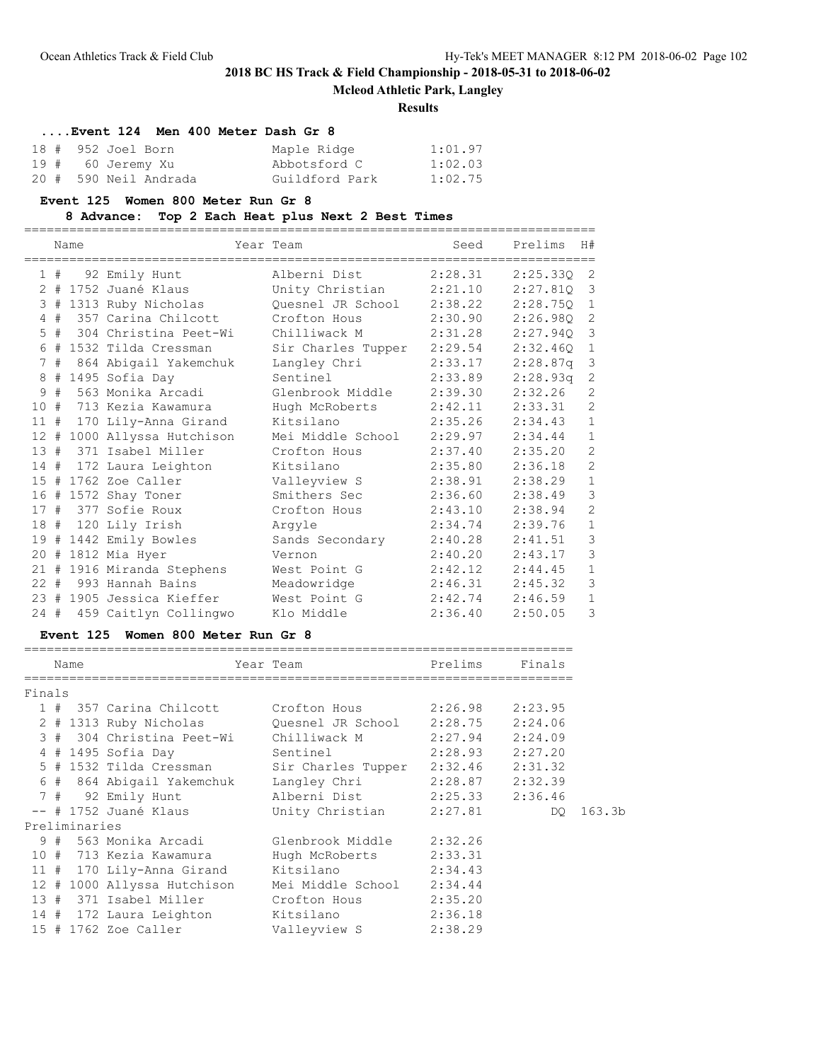**Mcleod Athletic Park, Langley**

### **Results**

| Event 124 Men 400 Meter Dash Gr 8 |                |         |
|-----------------------------------|----------------|---------|
| 18 # 952 Joel Born                | Maple Ridge    | 1:01.97 |
| 19 # 60 Jeremy Xu                 | Abbotsford C   | 1:02.03 |
| 20 # 590 Neil Andrada             | Guildford Park | 1:02.75 |

#### **Event 125 Women 800 Meter Run Gr 8**

**8 Advance: Top 2 Each Heat plus Next 2 Best Times**

|        |    | Name |                            | Year Team          | Seed    | Prelims    | H#             |
|--------|----|------|----------------------------|--------------------|---------|------------|----------------|
|        | 1# |      | 92 Emily Hunt              | Alberni Dist       | 2:28.31 | 2:25.330 2 |                |
|        |    |      | 2 # 1752 Juané Klaus       | Unity Christian    | 2:21.10 | 2:27.810   | 3              |
|        |    |      | 3 # 1313 Ruby Nicholas     | Ouesnel JR School  | 2:38.22 | 2:28.750   | $\mathbf{1}$   |
|        |    |      | 4 # 357 Carina Chilcott    | Crofton Hous       | 2:30.90 | 2:26.980   | $\overline{c}$ |
|        |    |      | 5 # 304 Christina Peet-Wi  | Chilliwack M       | 2:31.28 | 2:27.940   | 3              |
| 6      | #  |      | 1532 Tilda Cressman        | Sir Charles Tupper | 2:29.54 | 2:32.460   | $\mathbf 1$    |
| 7      | #  |      | 864 Abigail Yakemchuk      | Langley Chri       | 2:33.17 | 2:28.87q   | $\mathcal{S}$  |
| 8      |    |      | # 1495 Sofia Day           | Sentinel           | 2:33.89 | 2:28.93q   | $\mathbf{2}$   |
| 9      |    |      | # 563 Monika Arcadi        | Glenbrook Middle   | 2:39.30 | 2:32.26    | $\overline{c}$ |
| 10     |    |      | # 713 Kezia Kawamura       | Hugh McRoberts     | 2:42.11 | 2:33.31    | $\overline{c}$ |
|        |    |      | 11 # 170 Lily-Anna Girand  | Kitsilano          | 2:35.26 | 2:34.43    | $\mathbf{1}$   |
| $12 +$ |    |      | 1000 Allyssa Hutchison     | Mei Middle School  | 2:29.97 | 2:34.44    | $\mathbf 1$    |
|        |    |      | 13 # 371 Isabel Miller     | Crofton Hous       | 2:37.40 | 2:35.20    | $\overline{c}$ |
|        |    |      | 14 # 172 Laura Leighton    | Kitsilano          | 2:35.80 | 2:36.18    | $\overline{c}$ |
|        |    |      | 15 # 1762 Zoe Caller       | Valleyview S       | 2:38.91 | 2:38.29    | $\mathbf{1}$   |
|        |    |      | 16 # 1572 Shay Toner       | Smithers Sec       | 2:36.60 | 2:38.49    | 3              |
|        |    |      | 17 # 377 Sofie Roux        | Crofton Hous       | 2:43.10 | 2:38.94    | $\overline{c}$ |
|        |    |      | 18 # 120 Lily Irish        | Arqyle             | 2:34.74 | 2:39.76    | $\mathbf{1}$   |
|        |    |      | 19 # 1442 Emily Bowles     | Sands Secondary    | 2:40.28 | 2:41.51    | 3              |
|        |    |      | 20 # 1812 Mia Hyer         | Vernon             | 2:40.20 | 2:43.17    | 3              |
|        |    |      | 21 # 1916 Miranda Stephens | West Point G       | 2:42.12 | 2:44.45    | $\mathbf{1}$   |
|        |    |      | 22 # 993 Hannah Bains      | Meadowridge        | 2:46.31 | 2:45.32    | 3              |
|        |    |      | 23 # 1905 Jessica Kieffer  | West Point G       | 2:42.74 | 2:46.59    | $\mathbf{1}$   |
| $24 +$ |    |      | 459 Caitlyn Collingwo      | Klo Middle         | 2:36.40 | 2:50.05    | 3              |

## **Event 125 Women 800 Meter Run Gr 8**

|        |  | Name          |                                                        | Year Team               | Prelims             | Finals  |  |  |  |  |
|--------|--|---------------|--------------------------------------------------------|-------------------------|---------------------|---------|--|--|--|--|
|        |  |               |                                                        |                         |                     |         |  |  |  |  |
| Finals |  |               |                                                        |                         |                     |         |  |  |  |  |
|        |  |               | 1 # 357 Carina Chilcott                                | Crofton Hous            | 2:26.98 2:23.95     |         |  |  |  |  |
|        |  |               | 2 # 1313 Ruby Nicholas         Quesnel JR School       |                         | 2:28.75             | 2:24.06 |  |  |  |  |
|        |  |               | 3 # 304 Christina Peet-Wi Chilliwack M                 |                         | 2:27.94             | 2:24.09 |  |  |  |  |
|        |  |               | 4 # 1495 Sofia Day                                     | Sentinel                | $2:28.93$ $2:27.20$ |         |  |  |  |  |
|        |  |               | 5 # 1532 Tilda Cressman Sir Charles Tupper             |                         | $2:32.46$ $2:31.32$ |         |  |  |  |  |
|        |  |               | 6 # 864 Abigail Yakemchuk Langley Chri 2:28.87 2:32.39 |                         |                     |         |  |  |  |  |
|        |  |               | 7 # 92 Emily Hunt                                      |                         |                     |         |  |  |  |  |
|        |  |               | $--$ # 1752 Juané Klaus                                | Unity Christian 2:27.81 |                     | DO      |  |  |  |  |
|        |  | Preliminaries |                                                        |                         |                     |         |  |  |  |  |
|        |  |               | 9 # 563 Monika Arcadi                                  | Glenbrook Middle        | 2:32.26             |         |  |  |  |  |
|        |  |               | 10 # 713 Kezia Kawamura                                | Hugh McRoberts          | 2:33.31             |         |  |  |  |  |
|        |  |               | 11 # 170 Lily-Anna Girand Kitsilano                    |                         | 2:34.43             |         |  |  |  |  |
|        |  |               | 12 # 1000 Allyssa Hutchison                            | Mei Middle School       | 2:34.44             |         |  |  |  |  |
|        |  |               | 13 # 371 Isabel Miller Crofton Hous                    |                         | 2:35.20             |         |  |  |  |  |
|        |  |               | 14 # 172 Laura Leighton Kitsilano                      |                         | 2:36.18             |         |  |  |  |  |
|        |  |               | 15 # 1762 Zoe Caller                                   | Valleyview S            | 2:38.29             |         |  |  |  |  |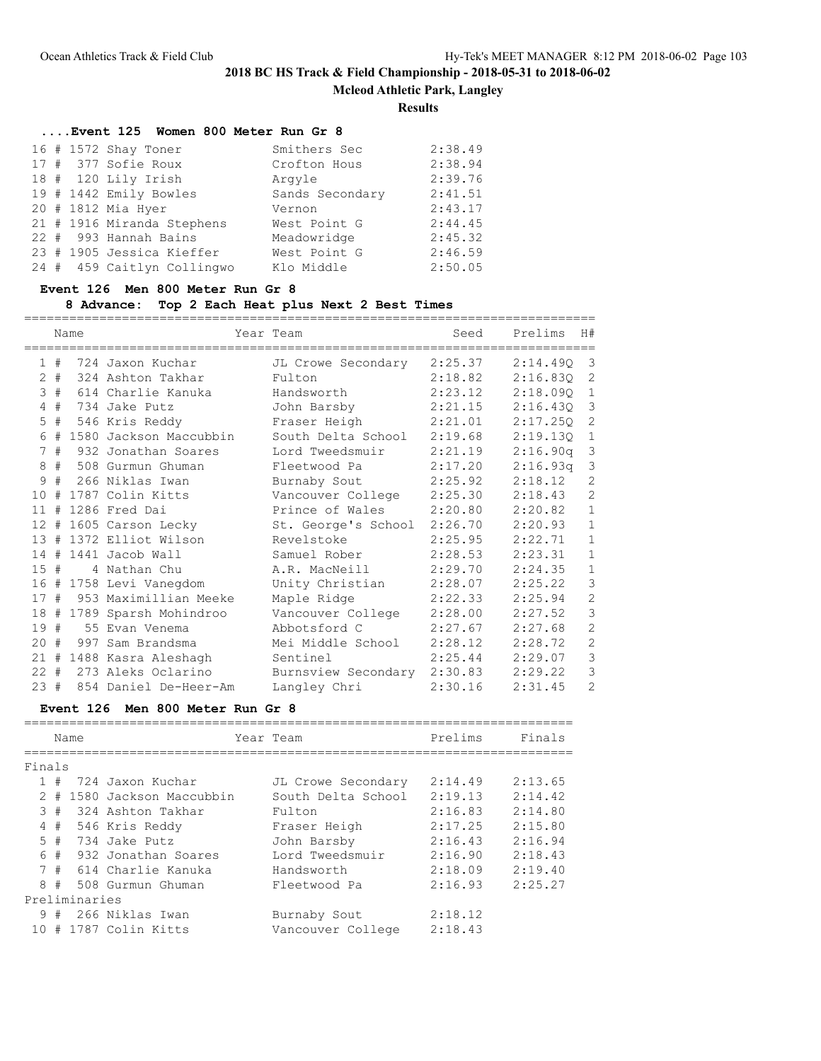**Mcleod Athletic Park, Langley**

**Results**

| Event 125 Women 800 Meter Run Gr 8 |                 |         |
|------------------------------------|-----------------|---------|
| 16 # 1572 Shay Toner               | Smithers Sec    | 2:38.49 |
| 17 # 377 Sofie Roux                | Crofton Hous    | 2:38.94 |
| 18 # 120 Lily Irish                | Arqyle          | 2:39.76 |
| 19 # 1442 Emily Bowles             | Sands Secondary | 2:41.51 |
| 20 # 1812 Mia Hyer                 | Vernon          | 2:43.17 |
| 21 # 1916 Miranda Stephens         | West Point G    | 2:44.45 |
| 22 # 993 Hannah Bains              | Meadowridge     | 2:45.32 |
| 23 # 1905 Jessica Kieffer          | West Point G    | 2:46.59 |
| 24 # 459 Caitlyn Collingwo         | Klo Middle      | 2:50.05 |

# **Event 126 Men 800 Meter Run Gr 8**

## **8 Advance: Top 2 Each Heat plus Next 2 Best Times**

|     | Name  |  |                            | Year Team                   |         | Seed Prelims | H#             |
|-----|-------|--|----------------------------|-----------------------------|---------|--------------|----------------|
|     | 1#    |  | 724 Jaxon Kuchar           | JL Crowe Secondary 2:25.37  |         | 2:14.490     | $\overline{3}$ |
|     | $2 +$ |  | 324 Ashton Takhar          | Fulton                      | 2:18.82 | 2:16.83Q     | 2              |
| 3   | #     |  | 614 Charlie Kanuka         | Handsworth                  | 2:23.12 | 2:18.090     | 1              |
| 4   | #     |  | 734 Jake Putz              | John Barsby                 | 2:21.15 | 2:16.430     | 3              |
| 5   | #     |  | 546 Kris Reddy             | Fraser Heigh                | 2:21.01 | 2:17.250     | 2              |
| 6   | #     |  | 1580 Jackson Maccubbin     | South Delta School          | 2:19.68 | 2:19.130     | $\mathbf{1}$   |
| 7   | #     |  | 932 Jonathan Soares        | Lord Tweedsmuir             | 2:21.19 | 2:16.90q     | 3              |
| 8   | #     |  | 508 Gurmun Ghuman          | Fleetwood Pa                | 2:17.20 | 2:16.93q     | $\mathcal{S}$  |
| 9   | #     |  | 266 Niklas Iwan            | Burnaby Sout                | 2:25.92 | 2:18.12      | $\overline{2}$ |
| 10  | #     |  | 1787 Colin Kitts           | Vancouver College           | 2:25.30 | 2:18.43      | $\overline{2}$ |
| 11  | #     |  | 1286 Fred Dai              | Prince of Wales             | 2:20.80 | 2:20.82      | $\mathbf{1}$   |
| 12  | #     |  | 1605 Carson Lecky          | St. George's School 2:26.70 |         | 2:20.93      | $\mathbf{1}$   |
| 13  | #     |  | 1372 Elliot Wilson         | Revelstoke                  | 2:25.95 | 2:22.71      | $\mathbf{1}$   |
| 14# |       |  | 1441 Jacob Wall            | Samuel Rober                | 2:28.53 | 2:23.31      | $\mathbf{1}$   |
| 15# |       |  | 4 Nathan Chu               | A.R. MacNeill               | 2:29.70 | 2:24.35      | $\mathbf{1}$   |
|     |       |  | 16 # 1758 Levi Vanegdom    | Unity Christian             | 2:28.07 | 2:25.22      | 3              |
| 17# |       |  | 953 Maximillian Meeke      | Maple Ridge                 | 2:22.33 | 2:25.94      | $\overline{c}$ |
|     |       |  | 18 # 1789 Sparsh Mohindroo | Vancouver College           | 2:28.00 | 2:27.52      | $\mathcal{S}$  |
| 19# |       |  | 55 Evan Venema             | Abbotsford C                | 2:27.67 | 2:27.68      | $\mathbf{2}$   |
| 20  | #     |  | 997 Sam Brandsma           | Mei Middle School           | 2:28.12 | 2:28.72      | $\overline{2}$ |
|     |       |  | 21 # 1488 Kasra Aleshagh   | Sentinel                    | 2:25.44 | 2:29.07      | $\mathcal{S}$  |
|     |       |  | 22 # 273 Aleks Oclarino    | Burnsview Secondary 2:30.83 |         | 2:29.22      | 3              |
| 23# |       |  | 854 Daniel De-Heer-Am      | Langley Chri                | 2:30.16 | 2:31.45      | $\overline{2}$ |

## **Event 126 Men 800 Meter Run Gr 8**

|             |    | Name          |                        |  | Year Team          | Prelims | Finals  |  |  |  |  |  |
|-------------|----|---------------|------------------------|--|--------------------|---------|---------|--|--|--|--|--|
|             |    |               |                        |  |                    |         |         |  |  |  |  |  |
| Finals      |    |               |                        |  |                    |         |         |  |  |  |  |  |
|             | 1# |               | 724 Jaxon Kuchar       |  | JL Crowe Secondary | 2:14.49 | 2:13.65 |  |  |  |  |  |
| 2           | #  |               | 1580 Jackson Maccubbin |  | South Delta School | 2:19.13 | 2:14.42 |  |  |  |  |  |
|             | 3# |               | 324 Ashton Takhar      |  | Fulton             | 2:16.83 | 2:14.80 |  |  |  |  |  |
| 4           | #  |               | 546 Kris Reddy         |  | Fraser Heigh       | 2:17.25 | 2:15.80 |  |  |  |  |  |
| $5 -$       | #  |               | 734 Jake Putz          |  | John Barsby        | 2:16.43 | 2:16.94 |  |  |  |  |  |
| 6           | #  |               | 932 Jonathan Soares    |  | Lord Tweedsmuir    | 2:16.90 | 2:18.43 |  |  |  |  |  |
| $7^{\circ}$ | #  |               | 614 Charlie Kanuka     |  | Handsworth         | 2:18.09 | 2:19.40 |  |  |  |  |  |
| 8           | #  |               | 508 Gurmun Ghuman      |  | Fleetwood Pa       | 2:16.93 | 2:25.27 |  |  |  |  |  |
|             |    | Preliminaries |                        |  |                    |         |         |  |  |  |  |  |
| 9           | #  |               | 266 Niklas Iwan        |  | Burnaby Sout       | 2:18.12 |         |  |  |  |  |  |
|             |    |               | 10 # 1787 Colin Kitts  |  | Vancouver College  | 2:18.43 |         |  |  |  |  |  |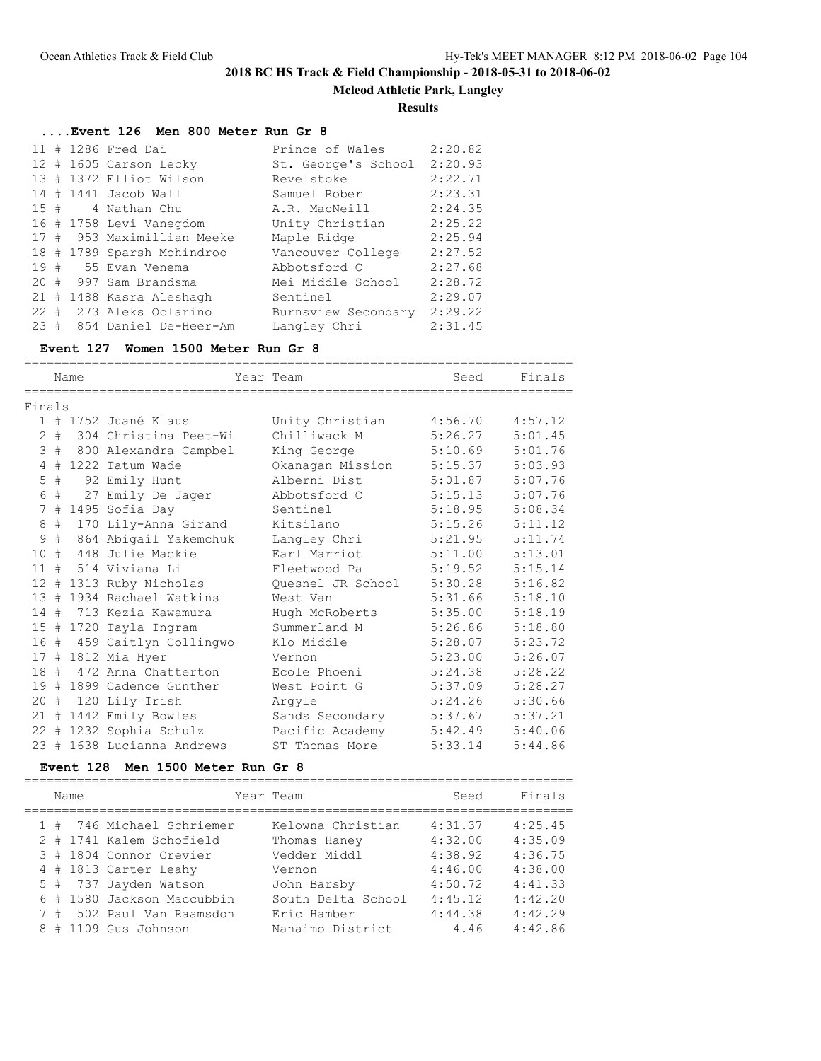**Mcleod Athletic Park, Langley**

### **Results**

# **....Event 126 Men 800 Meter Run Gr 8**

|          |   | 11 # 1286 Fred Dai         | Prince of Wales     | 2:20.82 |
|----------|---|----------------------------|---------------------|---------|
|          |   | 12 # 1605 Carson Lecky     | St. George's School | 2:20.93 |
|          |   | 13 # 1372 Elliot Wilson    | Revelstoke          | 2:22.71 |
|          |   | 14 # 1441 Jacob Wall       | Samuel Rober        | 2:23.31 |
|          |   | 15 # 4 Nathan Chu          | A.R. MacNeill       | 2:24.35 |
|          |   | 16 # 1758 Levi Vanegdom    | Unity Christian     | 2:25.22 |
|          |   | 17 # 953 Maximillian Meeke | Maple Ridge         | 2:25.94 |
|          |   | 18 # 1789 Sparsh Mohindroo | Vancouver College   | 2:27.52 |
|          |   | 19 # 55 Evan Venema        | Abbotsford C        | 2:27.68 |
| $20 -$   | # | 997 Sam Brandsma           | Mei Middle School   | 2:28.72 |
|          |   | 21 # 1488 Kasra Aleshagh   | Sentinel            | 2:29.07 |
|          |   | 22 # 273 Aleks Oclarino    | Burnsview Secondary | 2:29.22 |
| $23 \pm$ |   | 854 Daniel De-Heer-Am      | Langley Chri        | 2:31.45 |

### **Event 127 Women 1500 Meter Run Gr 8**

|                   |   | Name |                            | Year Team         | Seed    | Finals  |
|-------------------|---|------|----------------------------|-------------------|---------|---------|
| Finals            |   |      |                            |                   |         |         |
|                   |   |      | 1 # 1752 Juané Klaus       | Unity Christian   | 4:56.70 | 4:57.12 |
| $\mathfrak{D}$    | # |      | 304 Christina Peet-Wi      | Chilliwack M      | 5:26.27 | 5:01.45 |
| 3                 | # |      | 800 Alexandra Campbel      | King George       | 5:10.69 | 5:01.76 |
| 4                 | # |      | 1222 Tatum Wade            | Okanagan Mission  | 5:15.37 | 5:03.93 |
| 5                 | # |      | 92 Emily Hunt              | Alberni Dist      | 5:01.87 | 5:07.76 |
| 6                 | # |      | 27 Emily De Jager          | Abbotsford C      | 5:15.13 | 5:07.76 |
| 7                 | # |      | 1495 Sofia Day             | Sentinel          | 5:18.95 | 5:08.34 |
| 8                 | # |      | 170 Lily-Anna Girand       | Kitsilano         | 5:15.26 | 5:11.12 |
| 9                 | # |      | 864 Abigail Yakemchuk      | Langley Chri      | 5:21.95 | 5:11.74 |
| 10                | # |      | 448 Julie Mackie           | Earl Marriot      | 5:11.00 | 5:13.01 |
| 11                | # |      | 514 Viviana Li             | Fleetwood Pa      | 5:19.52 | 5:15.14 |
| $12 \overline{ }$ |   |      | # 1313 Ruby Nicholas       | Ouesnel JR School | 5:30.28 | 5:16.82 |
| 13 <sup>°</sup>   | # |      | 1934 Rachael Watkins       | West Van          | 5:31.66 | 5:18.10 |
| 14                | # |      | 713 Kezia Kawamura         | Hugh McRoberts    | 5:35.00 | 5:18.19 |
|                   |   |      | 15 # 1720 Tayla Ingram     | Summerland M      | 5:26.86 | 5:18.80 |
| 16                | # |      | 459 Caitlyn Collingwo      | Klo Middle        | 5:28.07 | 5:23.72 |
| 17#               |   |      | 1812 Mia Hyer              | Vernon            | 5:23.00 | 5:26.07 |
| 18#               |   |      | 472 Anna Chatterton        | Ecole Phoeni      | 5:24.38 | 5:28.22 |
| 19#               |   |      | 1899 Cadence Gunther       | West Point G      | 5:37.09 | 5:28.27 |
| 20                | # |      | 120 Lily Irish             | Arqyle            | 5:24.26 | 5:30.66 |
| 21                | # |      | 1442 Emily Bowles          | Sands Secondary   | 5:37.67 | 5:37.21 |
|                   |   |      | 22 # 1232 Sophia Schulz    | Pacific Academy   | 5:42.49 | 5:40.06 |
|                   |   |      | 23 # 1638 Lucianna Andrews | ST Thomas More    | 5:33.14 | 5:44.86 |

### **Event 128 Men 1500 Meter Run Gr 8**

|   | Name |                            | Year Team          | Seed    | Finals  |
|---|------|----------------------------|--------------------|---------|---------|
|   |      | 1 # 746 Michael Schriemer  | Kelowna Christian  | 4:31.37 | 4:25.45 |
|   |      | 2 # 1741 Kalem Schofield   | Thomas Haney       | 4:32.00 | 4:35.09 |
|   |      | 3 # 1804 Connor Crevier    | Vedder Middl       | 4:38.92 | 4:36.75 |
|   |      | 4 # 1813 Carter Leahy      | Vernon             | 4:46.00 | 4:38.00 |
|   |      | 5 # 737 Jayden Watson      | John Barsby        | 4:50.72 | 4:41.33 |
|   |      | 6 # 1580 Jackson Maccubbin | South Delta School | 4:45.12 | 4:42.20 |
|   |      | 7 # 502 Paul Van Raamsdon  | Eric Hamber        | 4:44.38 | 4:42.29 |
| 8 |      | # 1109 Gus Johnson         | Nanaimo District   | 4.46    | 4:42.86 |
|   |      |                            |                    |         |         |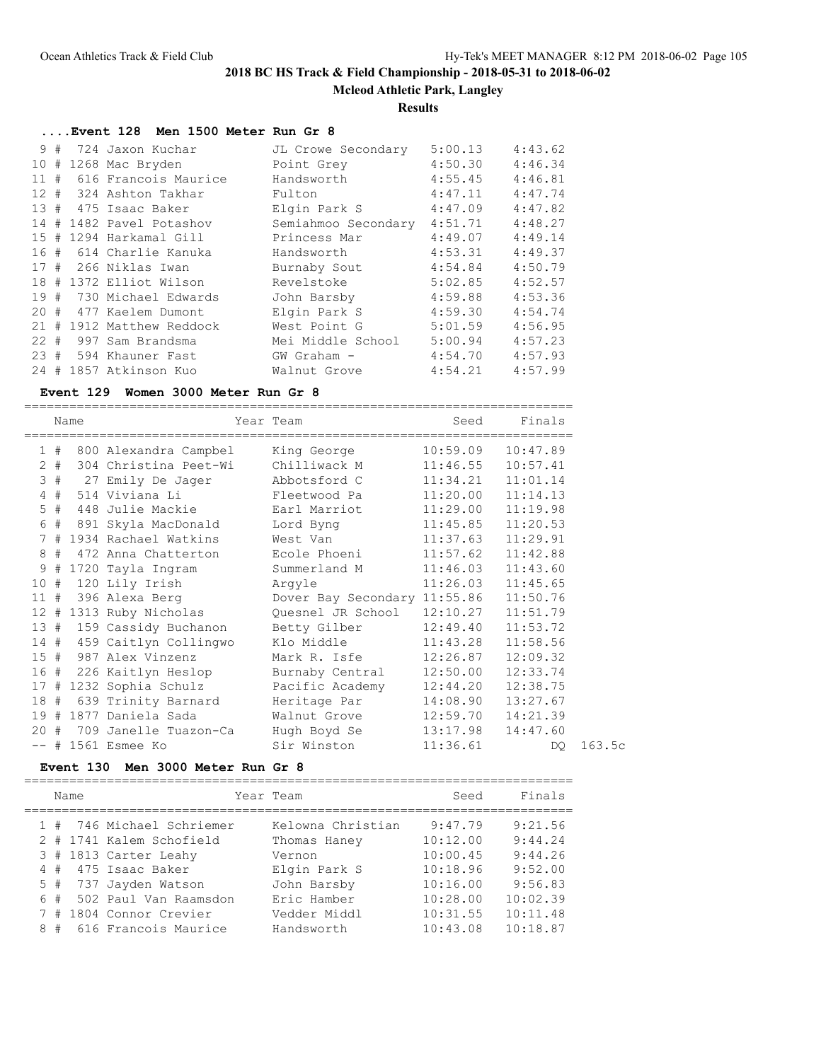**Mcleod Athletic Park, Langley**

### **Results**

# **....Event 128 Men 1500 Meter Run Gr 8**

|                 | 9#  | 724 Jaxon Kuchar         | JL Crowe Secondary  | 5:00.13 | 4:43.62 |
|-----------------|-----|--------------------------|---------------------|---------|---------|
| 10              | #   | 1268 Mac Bryden          | Point Grey          | 4:50.30 | 4:46.34 |
|                 | 11# | 616 Francois Maurice     | Handsworth          | 4:55.45 | 4:46.81 |
|                 |     | 12 # 324 Ashton Takhar   | Fulton              | 4:47.11 | 4:47.74 |
|                 | 13# | 475 Isaac Baker          | Elgin Park S        | 4:47.09 | 4:47.82 |
|                 | 14# | 1482 Pavel Potashov      | Semiahmoo Secondary | 4:51.71 | 4:48.27 |
| 15 <sub>1</sub> | #   | 1294 Harkamal Gill       | Princess Mar        | 4:49.07 | 4:49.14 |
|                 |     | 16 # 614 Charlie Kanuka  | Handsworth          | 4:53.31 | 4:49.37 |
|                 |     | 17 # 266 Niklas Iwan     | Burnaby Sout        | 4:54.84 | 4:50.79 |
|                 |     | 18 # 1372 Elliot Wilson  | Revelstoke          | 5:02.85 | 4:52.57 |
|                 |     | 19 # 730 Michael Edwards | John Barsby         | 4:59.88 | 4:53.36 |
|                 |     | 20 # 477 Kaelem Dumont   | Elgin Park S        | 4:59.30 | 4:54.74 |
|                 | 21# | 1912 Matthew Reddock     | West Point G        | 5:01.59 | 4:56.95 |
|                 |     | 22 # 997 Sam Brandsma    | Mei Middle School   | 5:00.94 | 4:57.23 |
|                 |     | 23 # 594 Khauner Fast    | GW Graham -         | 4:54.70 | 4:57.93 |
|                 |     | 24 # 1857 Atkinson Kuo   | Walnut Grove        | 4:54.21 | 4:57.99 |

### **Event 129 Women 3000 Meter Run Gr 8**

|        | Name |                                        | Year Team                                          | Seed     | Finals   |
|--------|------|----------------------------------------|----------------------------------------------------|----------|----------|
| 1#     |      | 800 Alexandra Campbel                  | King George                                        | 10:59.09 | 10:47.89 |
| $2 +$  |      | 304 Christina Peet-Wi     Chilliwack M |                                                    | 11:46.55 | 10:57.41 |
|        |      | 3 # 27 Emily De Jager Abbotsford C     |                                                    | 11:34.21 | 11:01.14 |
| $4$ #  |      | 514 Viviana Li                         | Fleetwood Pa                                       | 11:20.00 | 11:14.13 |
| $5$ #  |      |                                        |                                                    | 11:29.00 | 11:19.98 |
| 6 #    |      | 891 Skyla MacDonald                    | Lord Byng                                          | 11:45.85 | 11:20.53 |
|        |      | 7 # 1934 Rachael Watkins               | West Van                                           | 11:37.63 | 11:29.91 |
| 8#     |      | 472 Anna Chatterton                    | Ecole Phoeni                                       | 11:57.62 | 11:42.88 |
| 9#     |      | 1720 Tayla Ingram                      | Summerland M                                       | 11:46.03 | 11:43.60 |
| 10#    |      | 120 Lily Irish                         | Arqyle                                             | 11:26.03 | 11:45.65 |
| 11#    |      | 396 Alexa Berg                         | Dover Bay Secondary 11:55.86                       |          | 11:50.76 |
|        |      |                                        | 12 # 1313 Ruby Nicholas Quesnel JR School 12:10.27 |          | 11:51.79 |
| 13#    |      |                                        | 159 Cassidy Buchanon Betty Gilber                  | 12:49.40 | 11:53.72 |
|        |      |                                        | 14 # 459 Caitlyn Collingwo Klo Middle              | 11:43.28 | 11:58.56 |
| 15#    |      | 987 Alex Vinzenz                       | Mark R. Isfe                                       | 12:26.87 | 12:09.32 |
|        |      | 16 # 226 Kaitlyn Heslop                | Burnaby Central                                    | 12:50.00 | 12:33.74 |
|        |      | 17 # 1232 Sophia Schulz                | Pacific Academy                                    | 12:44.20 | 12:38.75 |
| 18#    |      | 639 Trinity Barnard                    | Heritage Par                                       | 14:08.90 | 13:27.67 |
| 19#    |      |                                        | 1877 Daniela Sada             Walnut Grove         | 12:59.70 | 14:21.39 |
| $20 +$ |      | 709 Janelle Tuazon-Ca     Hugh Boyd Se |                                                    | 13:17.98 | 14:47.60 |
|        |      | $--$ # 1561 Esmee Ko                   | Sir Winston                                        | 11:36.61 | DQ.      |

### **Event 130 Men 3000 Meter Run Gr 8**

|   |    | Name |                           | Year Team         | Seed     | Finals   |
|---|----|------|---------------------------|-------------------|----------|----------|
|   |    |      | 1 # 746 Michael Schriemer | Kelowna Christian | 9:47.79  | 9:21.56  |
|   |    |      | 2 # 1741 Kalem Schofield  | Thomas Haney      | 10:12.00 | 9:44.24  |
|   |    |      | 3 # 1813 Carter Leahy     | Vernon            | 10:00.45 | 9:44.26  |
|   | 4# |      | 475 Isaac Baker           | Elgin Park S      | 10:18.96 | 9:52.00  |
|   |    |      | 5 # 737 Jayden Watson     | John Barsby       | 10:16.00 | 9:56.83  |
|   | 6# |      | 502 Paul Van Raamsdon     | Eric Hamber       | 10:28.00 | 10:02.39 |
|   | 7# |      | 1804 Connor Crevier       | Vedder Middl      | 10:31.55 | 10:11.48 |
| 8 | #  |      | 616 Francois Maurice      | Handsworth        | 10:43.08 | 10:18.87 |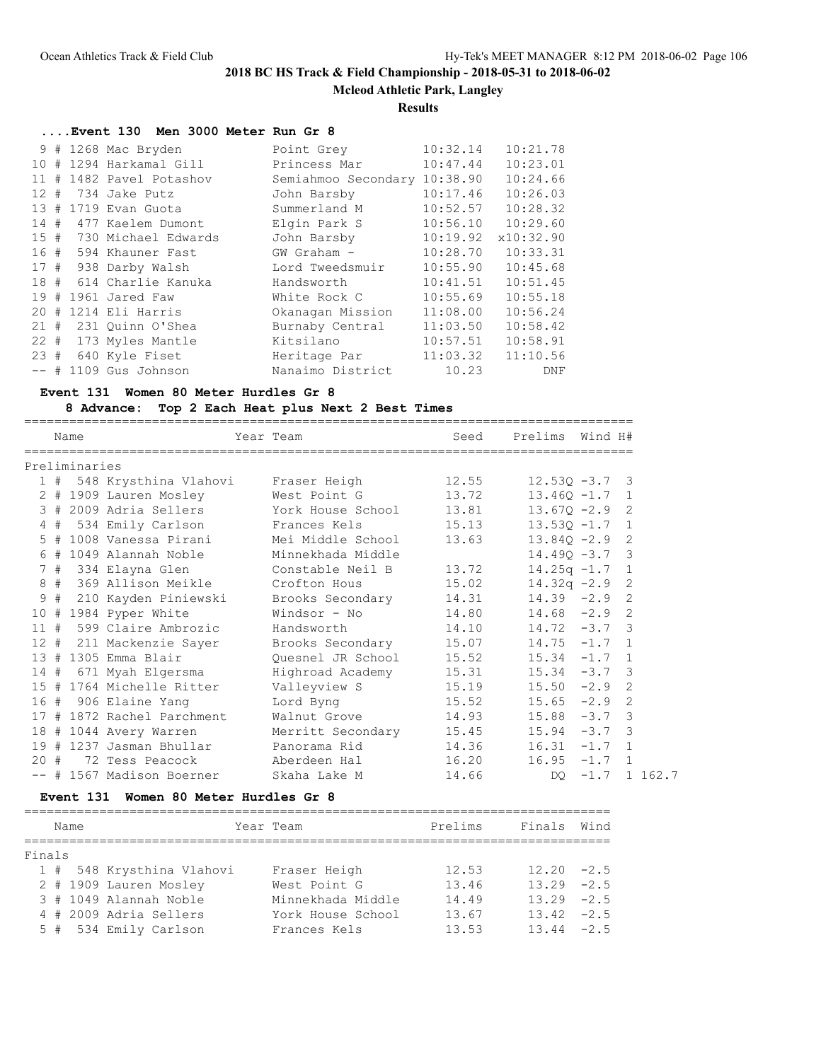**Mcleod Athletic Park, Langley**

### **Results**

# **....Event 130 Men 3000 Meter Run Gr 8**

|          |   | 9 # 1268 Mac Bryden      | Point Grey          | 10:32.14 | 10:21.78  |
|----------|---|--------------------------|---------------------|----------|-----------|
| 10#      |   | 1294 Harkamal Gill       | Princess Mar        | 10:47.44 | 10:23.01  |
|          |   | 11 # 1482 Pavel Potashov | Semiahmoo Secondary | 10:38.90 | 10:24.66  |
| $12 \pm$ |   | 734 Jake Putz            | John Barsby         | 10:17.46 | 10:26.03  |
|          |   | 13 # 1719 Evan Guota     | Summerland M        | 10:52.57 | 10:28.32  |
|          |   | 14 # 477 Kaelem Dumont   | Elgin Park S        | 10:56.10 | 10:29.60  |
|          |   | 15 # 730 Michael Edwards | John Barsby         | 10:19.92 | x10:32.90 |
|          |   | 16 # 594 Khauner Fast    | $GW$ Graham $-$     | 10:28.70 | 10:33.31  |
|          |   | 17 # 938 Darby Walsh     | Lord Tweedsmuir     | 10:55.90 | 10:45.68  |
|          |   | 18 # 614 Charlie Kanuka  | Handsworth          | 10:41.51 | 10:51.45  |
| 19#      |   | 1961 Jared Faw           | White Rock C        | 10:55.69 | 10:55.18  |
| $20 -$   | # | 1214 Eli Harris          | Okanagan Mission    | 11:08.00 | 10:56.24  |
|          |   | 21 # 231 Quinn O'Shea    | Burnaby Central     | 11:03.50 | 10:58.42  |
|          |   | 22 # 173 Myles Mantle    | Kitsilano           | 10:57.51 | 10:58.91  |
|          |   | 23 # 640 Kyle Fiset      | Heritage Par        | 11:03.32 | 11:10.56  |
|          |   | $--$ # 1109 Gus Johnson  | Nanaimo District    | 10.23    | DNF       |
|          |   |                          |                     |          |           |

### **Event 131 Women 80 Meter Hurdles Gr 8**

## **8 Advance: Top 2 Each Heat plus Next 2 Best Times**

|     | Name          |                            | Year Team                                  | Seed  | Prelims Wind H#  |                |               |
|-----|---------------|----------------------------|--------------------------------------------|-------|------------------|----------------|---------------|
|     |               |                            |                                            |       |                  |                |               |
|     | Preliminaries |                            |                                            |       |                  |                |               |
|     |               |                            | 1 # 548 Krysthina Vlahovi     Fraser Heigh | 12.55 | $12.530 - 3.7$ 3 |                |               |
|     |               | 2 # 1909 Lauren Mosley     | West Point G                               | 13.72 | $13.460 - 1.7$ 1 |                |               |
|     |               | 3 # 2009 Adria Sellers     | York House School                          | 13.81 | $13.67Q - 2.9$ 2 |                |               |
|     |               | 4 # 534 Emily Carlson      | Frances Kels                               | 15.13 | $13.530 - 1.7$ 1 |                |               |
|     |               | 5 # 1008 Vanessa Pirani    | Mei Middle School                          | 13.63 | $13.84Q - 2.9$   |                | 2             |
|     |               | 6 # 1049 Alannah Noble     | Minnekhada Middle                          |       | $14.49Q - 3.7$ 3 |                |               |
|     |               | 7 # 334 Elayna Glen        | Constable Neil B                           | 13.72 | $14.25q -1.7$ 1  |                |               |
|     |               | 8 # 369 Allison Meikle     | Crofton Hous                               | 15.02 | $14.32q -2.9$ 2  |                |               |
|     |               | 9 # 210 Kayden Piniewski   | Brooks Secondary                           | 14.31 | $14.39 -2.9$ 2   |                |               |
|     |               | $10$ # 1984 Pyper White    | Windsor - No                               | 14.80 | $14.68 - 2.9$    |                | 2             |
|     |               | 11 # 599 Claire Ambrozic   | Handsworth                                 | 14.10 | $14.72 - 3.7$ 3  |                |               |
|     |               | 12 # 211 Mackenzie Sayer   | Brooks Secondary                           | 15.07 | $14.75 - 1.7 1$  |                |               |
|     |               | 13 # 1305 Emma Blair       | Quesnel JR School                          | 15.52 | $15.34 -1.7$ 1   |                |               |
|     |               | 14 # 671 Myah Elgersma     | Highroad Academy                           | 15.31 | 15.34            | $-3.7$ 3       |               |
|     |               | 15 # 1764 Michelle Ritter  | Valleyview S                               | 15.19 | 15.50            | $-2.9$ 2       |               |
|     |               | 16 # 906 Elaine Yang       | Lord Byng                                  | 15.52 | 15.65            | $-2.9$         | $\mathcal{L}$ |
|     |               | 17 # 1872 Rachel Parchment | Walnut Grove                               | 14.93 | 15.88            | $-3.7$ 3       |               |
|     |               | 18 # 1044 Avery Warren     | Merritt Secondary                          | 15.45 | 15.94            | $-3.7$ 3       |               |
|     |               | 19 # 1237 Jasman Bhullar   | Panorama Rid                               | 14.36 | 16.31            | $-1.7$ 1       |               |
| 20# |               | 72 Tess Peacock            | Aberdeen Hal                               | 16.20 | 16.95            | $-1.7 \quad 1$ |               |
|     |               | -- # 1567 Madison Boerner  | Skaha Lake M                               | 14.66 | DQ.              | $-1.7$ 1 162.7 |               |

## **Event 131 Women 80 Meter Hurdles Gr 8**

|        | Name |                           | Year Team         | Prelims | Finals        | Wind |
|--------|------|---------------------------|-------------------|---------|---------------|------|
|        |      |                           |                   |         |               |      |
| Finals |      |                           |                   |         |               |      |
|        |      | 1 # 548 Krysthina Vlahovi | Fraser Heigh      | 12.53   | $12.20 - 2.5$ |      |
|        |      | 2 # 1909 Lauren Mosley    | West Point G      | 13.46   | $13.29 - 2.5$ |      |
|        |      | 3 # 1049 Alannah Noble    | Minnekhada Middle | 14.49   | $13.29 - 2.5$ |      |
|        |      | 4 # 2009 Adria Sellers    | York House School | 13.67   | $13.42 - 2.5$ |      |
|        |      | 5 # 534 Emily Carlson     | Frances Kels      | 13.53   | $13.44 - 2.5$ |      |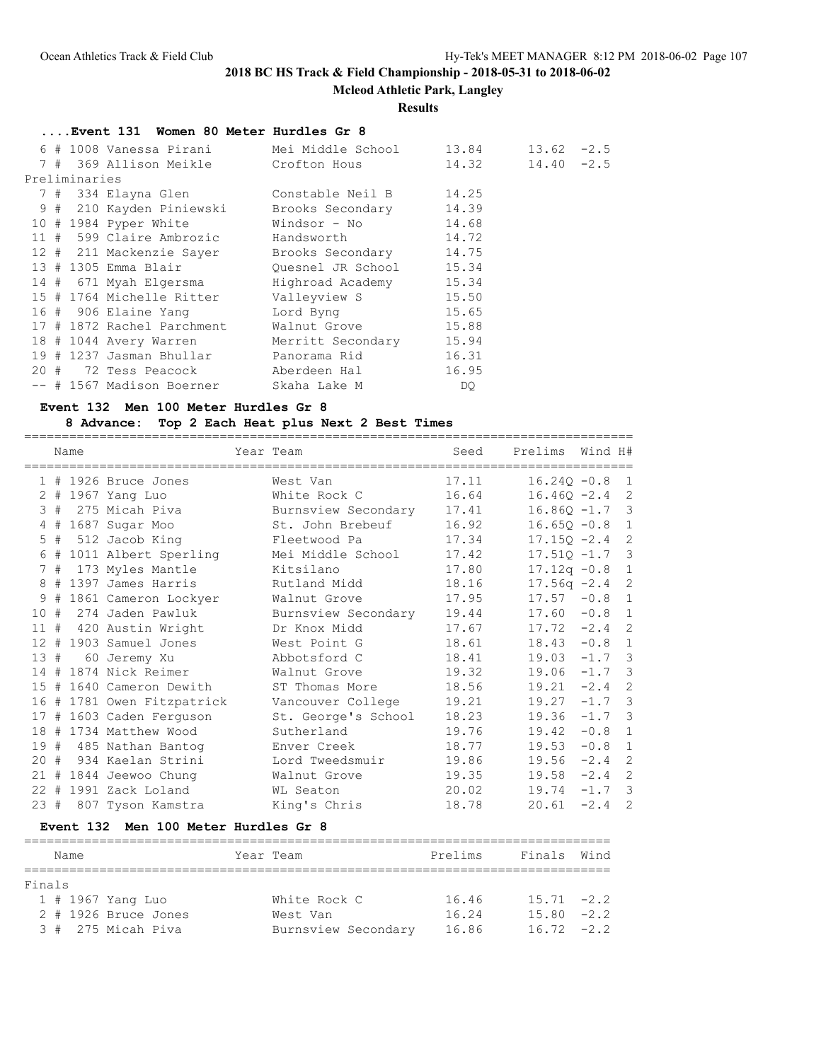**Mcleod Athletic Park, Langley**

#### **Results**

|  |               | Event 131 Women 80 Meter Hurdles Gr 8                        |                         |                        |               |  |
|--|---------------|--------------------------------------------------------------|-------------------------|------------------------|---------------|--|
|  |               | 6 # 1008 Vanessa Pirani Mei Middle School 13.84              |                         |                        | $13.62 - 2.5$ |  |
|  |               | 7 # 369 Allison Meikle Crofton Hous                          |                         | $14.32$ $14.40$ $-2.5$ |               |  |
|  | Preliminaries |                                                              |                         |                        |               |  |
|  |               | 7 # 334 Elayna Glen             Constable Neil B       14.25 |                         |                        |               |  |
|  |               | 9 # 210 Kayden Piniewski Brooks Secondary 14.39              |                         |                        |               |  |
|  |               | $10$ # 1984 Pyper White                                      | $Windows - No$ 14.68    |                        |               |  |
|  |               | 11 # 599 Claire Ambrozic Mandsworth 14.72                    |                         |                        |               |  |
|  |               | 12 # 211 Mackenzie Sayer Brooks Secondary 14.75              |                         |                        |               |  |
|  |               | 13 # 1305 Emma Blair                                         | Quesnel JR School 15.34 |                        |               |  |
|  |               | 14 # 671 Myah Elgersma                                       | Highroad Academy 15.34  |                        |               |  |
|  |               | 15 # 1764 Michelle Ritter                                    | Valleyview S 15.50      |                        |               |  |
|  |               | 16 # 906 Elaine Yang                                         | Lord Byng 15.65         |                        |               |  |
|  |               | 17 # 1872 Rachel Parchment                                   | Walnut Grove            | 15.88                  |               |  |
|  |               | 18 # 1044 Avery Warren                                       | Merritt Secondary 15.94 |                        |               |  |
|  |               | 19 # 1237 Jasman Bhullar           Panorama Rid              |                         | 16.31                  |               |  |
|  |               | 20 # 72 Tess Peacock                Aberdeen Hal             |                         | 16.95                  |               |  |
|  |               | -- # 1567 Madison Boerner                                    | Skaha Lake M            | DQ.                    |               |  |

#### **Event 132 Men 100 Meter Hurdles Gr 8**

#### **8 Advance: Top 2 Each Heat plus Next 2 Best Times**

================================================================================= Name Year Team Seed Prelims Wind H# ================================================================================= 1 # 1926 Bruce Jones West Van 17.11 16.24Q -0.8 1 2 # 1967 Yang Luo White Rock C 16.64 16.46Q -2.4 2 3 # 275 Micah Piva Burnsview Secondary 17.41 16.86Q -1.7 3 4 # 1687 Sugar Moo St. John Brebeuf 16.92 16.65Q -0.8 1 5 # 512 Jacob King Fleetwood Pa 17.34 17.15Q -2.4 2 6 # 1011 Albert Sperling Mei Middle School 17.42 17.51Q -1.7 3 7 # 173 Myles Mantle Kitsilano 17.80 17.12q -0.8 1 8 # 1397 James Harris Rutland Midd 18.16 17.56q -2.4 2 9 # 1861 Cameron Lockyer Walnut Grove 17.95 17.57 -0.8 1 10 # 274 Jaden Pawluk Burnsview Secondary 19.44 17.60 -0.8 1 11 # 420 Austin Wright Dr Knox Midd 17.67 17.72 -2.4 2 12 # 1903 Samuel Jones West Point G 18.61 18.43 -0.8 1 13 # 60 Jeremy Xu Abbotsford C 18.41 19.03 -1.7 3 14 # 1874 Nick Reimer Walnut Grove 19.32 19.06 -1.7 3 15 # 1640 Cameron Dewith ST Thomas More 18.56 19.21 -2.4 2 16 # 1781 Owen Fitzpatrick Vancouver College 19.21 19.27 -1.7 3 17 # 1603 Caden Ferguson St. George's School 18.23 19.36 -1.7 3 18 # 1734 Matthew Wood Sutherland 19.76 19.42 -0.8 1 19 # 485 Nathan Bantog Enver Creek 18.77 19.53 -0.8 1 20 # 934 Kaelan Strini Lord Tweedsmuir 19.86 19.56 -2.4 2 21 # 1844 Jeewoo Chung Walnut Grove 19.35 19.58 -2.4 2 22 # 1991 Zack Loland WL Seaton 20.02 19.74 -1.7 3 23 # 807 Tyson Kamstra King's Chris 18.78 20.61 -2.4 2

#### **Event 132 Men 100 Meter Hurdles Gr 8**

| Name   |  |                                                                   |                     | Prelims   | Finals Wind   |  |  |  |  |  |
|--------|--|-------------------------------------------------------------------|---------------------|-----------|---------------|--|--|--|--|--|
|        |  |                                                                   |                     |           |               |  |  |  |  |  |
| Finals |  |                                                                   |                     |           |               |  |  |  |  |  |
|        |  |                                                                   | White Rock C        | 16.46     | $15.71 -2.2$  |  |  |  |  |  |
|        |  |                                                                   | West Van            | 16.24     | $15.80 -2.2$  |  |  |  |  |  |
|        |  |                                                                   | Burnsview Secondary | 16.86     | $16.72 - 2.2$ |  |  |  |  |  |
|        |  | 1 # 1967 Yang Luo<br>$2$ # 1926 Bruce Jones<br>3 # 275 Micah Piva |                     | Year Team |               |  |  |  |  |  |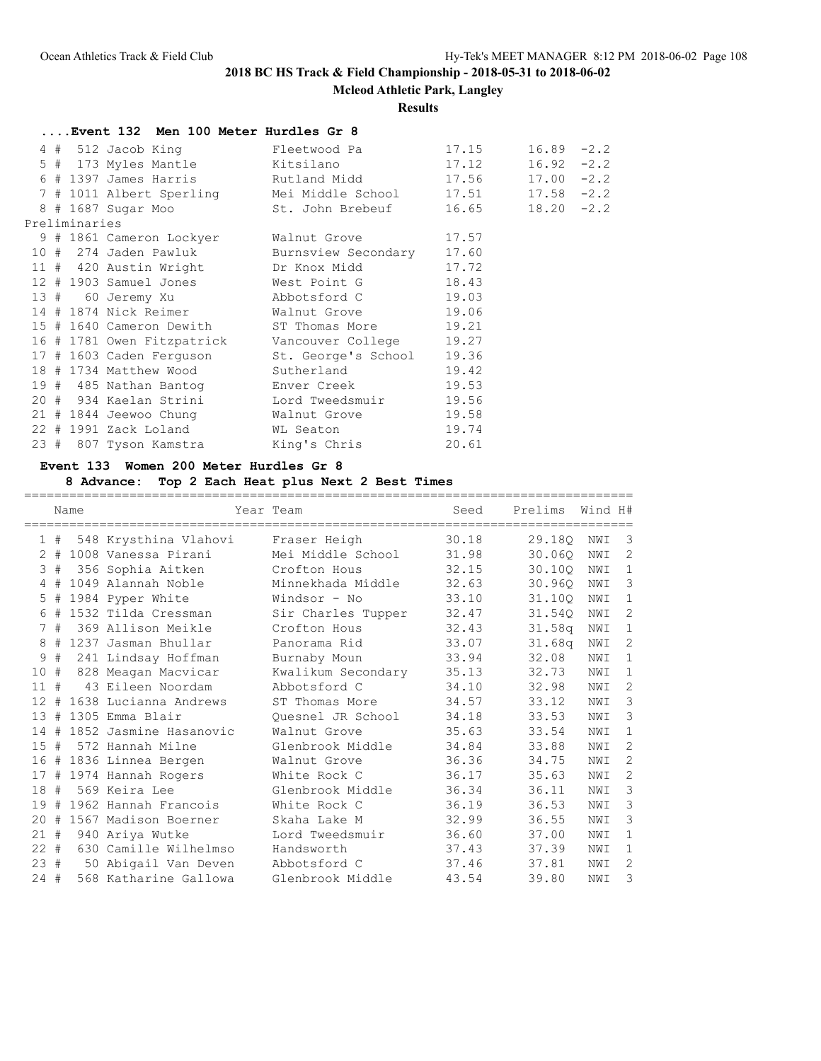**Mcleod Athletic Park, Langley**

### **Results**

|  |               | Event 132 Men 100 Meter Hurdles Gr 8 |                                                                  |       |               |  |
|--|---------------|--------------------------------------|------------------------------------------------------------------|-------|---------------|--|
|  |               |                                      | 4 # 512 Jacob King             Fleetwood Pa               17.15  |       | $16.89 - 2.2$ |  |
|  |               |                                      |                                                                  |       | $16.92 - 2.2$ |  |
|  |               |                                      | 6 # 1397 James Harris           Rutland Midd               17.56 |       | $17.00 - 2.2$ |  |
|  |               |                                      | 7 # 1011 Albert Sperling Mei Middle School 17.51 17.58 -2.2      |       |               |  |
|  |               |                                      | 8 # 1687 Sugar Moo St. John Brebeuf 16.65 18.20 -2.2             |       |               |  |
|  | Preliminaries |                                      |                                                                  |       |               |  |
|  |               |                                      | 9 # 1861 Cameron Lockyer Malnut Grove 17.57                      |       |               |  |
|  |               |                                      | 10 # 274 Jaden Pawluk Burnsview Secondary 17.60                  |       |               |  |
|  |               |                                      | 11 # 420 Austin Wright Dr Knox Midd 17.72                        |       |               |  |
|  |               |                                      | 12 # 1903 Samuel Jones West Point G 18.43                        |       |               |  |
|  |               |                                      | 13 # 60 Jeremy Xu    Abbotsford C    19.03                       |       |               |  |
|  |               |                                      | 14 # 1874 Nick Reimer Walnut Grove 19.06                         |       |               |  |
|  |               |                                      | 15 # 1640 Cameron Dewith ST Thomas More 19.21                    |       |               |  |
|  |               |                                      | 16 # 1781 Owen Fitzpatrick Vancouver College 19.27               |       |               |  |
|  |               |                                      | 17 # 1603 Caden Ferguson St. George's School 19.36               |       |               |  |
|  |               |                                      | 18 # 1734 Matthew Wood Sutherland 19.42                          |       |               |  |
|  |               |                                      | 19 # 485 Nathan Bantog Bnver Creek 19.53                         |       |               |  |
|  |               |                                      | 20 # 934 Kaelan Strini Lord Tweedsmuir 19.56                     |       |               |  |
|  |               |                                      | 21 # 1844 Jeewoo Chung [21] Malnut Grove [29.58]                 |       |               |  |
|  |               |                                      | 22 # 1991 Zack Loland WL Seaton                                  | 19.74 |               |  |
|  |               |                                      | 23 # 807 Tyson Kamstra King's Chris 20.61                        |       |               |  |

## **Event 133 Women 200 Meter Hurdles Gr 8**

## **8 Advance: Top 2 Each Heat plus Next 2 Best Times**

|                |   | Name |                        | Year Team          | Seed  | Prelims            | Wind H# |                |
|----------------|---|------|------------------------|--------------------|-------|--------------------|---------|----------------|
| $\mathbf{1}$   | # |      | 548 Krysthina Vlahovi  | Fraser Heigh       | 30.18 | 29.180             | NWI     | 3              |
| $\overline{2}$ | # |      | 1008 Vanessa Pirani    | Mei Middle School  | 31.98 | 30.060             | NWI     | 2              |
| 3              | # |      | 356 Sophia Aitken      | Crofton Hous       | 32.15 | 30.10Q             | NWI     | $\mathbf{1}$   |
| 4              | # |      | 1049 Alannah Noble     | Minnekhada Middle  | 32.63 | 30.960             | NWI     | 3              |
| 5              | # |      | 1984 Pyper White       | Windsor - No       | 33.10 | 31.10Q             | NWI     | $\mathbf{1}$   |
| 6              | # |      | 1532 Tilda Cressman    | Sir Charles Tupper | 32.47 | 31.540             | NWI     | 2              |
| 7              | # |      | 369 Allison Meikle     | Crofton Hous       | 32.43 | 31.58 <sub>q</sub> | NWI     | $\mathbf{1}$   |
| 8              | # |      | 1237 Jasman Bhullar    | Panorama Rid       | 33.07 | 31.68 <sub>q</sub> | NWI     | $\overline{2}$ |
| 9              | # |      | 241 Lindsay Hoffman    | Burnaby Moun       | 33.94 | 32.08              | NWI     | $\mathbf{1}$   |
| 10             | # |      | 828 Meagan Macvicar    | Kwalikum Secondary | 35.13 | 32.73              | NWI     | $\mathbf{1}$   |
| 11             | # |      | 43 Eileen Noordam      | Abbotsford C       | 34.10 | 32.98              | NWI     | $\overline{2}$ |
| 12             | # |      | 1638 Lucianna Andrews  | ST Thomas More     | 34.57 | 33.12              | NWI     | $\mathbf{3}$   |
| 13             | # |      | 1305 Emma Blair        | Ouesnel JR School  | 34.18 | 33.53              | NWI     | 3              |
| 14             | # |      | 1852 Jasmine Hasanovic | Walnut Grove       | 35.63 | 33.54              | NWI     | $\mathbf{1}$   |
| 15             | # |      | 572 Hannah Milne       | Glenbrook Middle   | 34.84 | 33.88              | NWI     | 2              |
| 16             |   |      | # 1836 Linnea Bergen   | Walnut Grove       | 36.36 | 34.75              | NWI     | $\overline{2}$ |
| 17             | # |      | 1974 Hannah Rogers     | White Rock C       | 36.17 | 35.63              | NWI     | $\mathbf{2}$   |
| 18             | # |      | 569 Keira Lee          | Glenbrook Middle   | 36.34 | 36.11              | NWI     | 3              |
| 19             | # |      | 1962 Hannah Francois   | White Rock C       | 36.19 | 36.53              | NWI     | 3              |
| 20             | # |      | 1567 Madison Boerner   | Skaha Lake M       | 32.99 | 36.55              | NWI     | 3              |
| 21             | # |      | 940 Ariya Wutke        | Lord Tweedsmuir    | 36.60 | 37.00              | NWI     | $\mathbf{1}$   |
| $22 +$         |   |      | 630 Camille Wilhelmso  | Handsworth         | 37.43 | 37.39              | NWI     | $\mathbf{1}$   |
| 23#            |   |      | 50 Abigail Van Deven   | Abbotsford C       | 37.46 | 37.81              | NWI     | 2              |
| $24 +$         |   |      | 568 Katharine Gallowa  | Glenbrook Middle   | 43.54 | 39.80              | NWI     | 3              |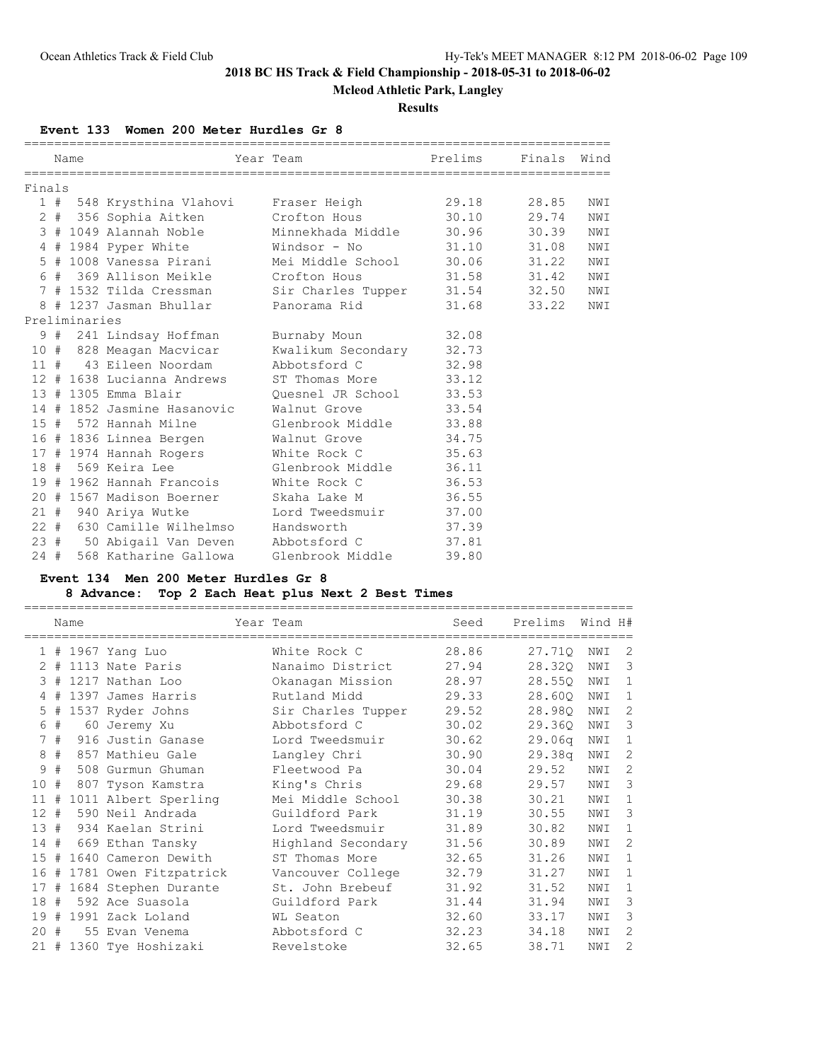# **Mcleod Athletic Park, Langley**

### **Results**

**Event 133 Women 200 Meter Hurdles Gr 8**

|        | Name          |                                     | Year Team                                         | Prelims | Finals Wind |     |
|--------|---------------|-------------------------------------|---------------------------------------------------|---------|-------------|-----|
| Finals |               |                                     |                                                   |         |             |     |
|        |               |                                     | 1 # 548 Krysthina Vlahovi     Fraser Heigh        | 29.18   | 28.85       | NWI |
|        |               |                                     |                                                   | 30.10   | 29.74       | NWI |
|        |               |                                     | 3 # 1049 Alannah Noble       Minnekhada Middle    | 30.96   | 30.39       | NWI |
|        |               |                                     | 4 # 1984 Pyper White                 Windsor - No | 31.10   | 31.08       | NWI |
|        |               |                                     | 5 # 1008 Vanessa Pirani Mei Middle School 30.06   |         | 31.22       | NWI |
|        |               | 6 # 369 Allison Meikle Crofton Hous |                                                   | 31.58   | 31.42       | NWI |
|        |               |                                     | 7 # 1532 Tilda Cressman Sir Charles Tupper        | 31.54   | 32.50       | NWI |
|        |               | 8 # 1237 Jasman Bhullar             | Panorama Rid                                      | 31.68   | 33.22       | NWI |
|        | Preliminaries |                                     |                                                   |         |             |     |
|        |               | 9 # 241 Lindsay Hoffman             | Burnaby Moun                                      | 32.08   |             |     |
|        |               | 10 # 828 Meagan Macvicar            | Kwalikum Secondary                                | 32.73   |             |     |
|        |               | 11 # 43 Eileen Noordam              | Abbotsford C                                      | 32.98   |             |     |
|        |               | 12 # 1638 Lucianna Andrews          | ST Thomas More                                    | 33.12   |             |     |
|        |               | 13 # 1305 Emma Blair                | Quesnel JR School                                 | 33.53   |             |     |
|        |               |                                     | 14 # 1852 Jasmine Hasanovic Walnut Grove          | 33.54   |             |     |
|        |               | 15 # 572 Hannah Milne               | Glenbrook Middle                                  | 33.88   |             |     |
|        |               |                                     | 16 # 1836 Linnea Bergen Malnut Grove              | 34.75   |             |     |
|        |               |                                     | 17 # 1974 Hannah Rogers White Rock C              | 35.63   |             |     |
|        |               | 18 # 569 Keira Lee                  | Glenbrook Middle                                  | 36.11   |             |     |
|        |               |                                     | 19 # 1962 Hannah Francois Mhite Rock C            | 36.53   |             |     |
|        |               | 20 # 1567 Madison Boerner           | Skaha Lake M                                      | 36.55   |             |     |
|        |               | 21 # 940 Ariya Wutke                | Lord Tweedsmuir                                   | 37.00   |             |     |
|        |               | 22 # 630 Camille Wilhelmso          | Handsworth                                        | 37.39   |             |     |
|        |               |                                     | 23 # 50 Abigail Van Deven Abbotsford C            | 37.81   |             |     |
| 24#    |               | 568 Katharine Gallowa               | Glenbrook Middle                                  | 39.80   |             |     |

### **Event 134 Men 200 Meter Hurdles Gr 8**

## **8 Advance: Top 2 Each Heat plus Next 2 Best Times**

|                   |    | Name |                       | Year Team          | Seed  | Prelims | Wind H# |                |
|-------------------|----|------|-----------------------|--------------------|-------|---------|---------|----------------|
|                   | 1# |      | 1967 Yang Luo         | White Rock C       | 28.86 | 27.710  | NWI     | 2              |
| 2                 | #  |      | 1113 Nate Paris       | Nanaimo District   | 27.94 | 28.320  | NWI     | 3              |
| 3                 | #  |      | 1217 Nathan Loo       | Okanagan Mission   | 28.97 | 28.550  | NWI     | $\mathbf{1}$   |
| 4                 | #  |      | 1397 James Harris     | Rutland Midd       | 29.33 | 28.600  | NWI     | $\mathbf{1}$   |
| 5                 | #  |      | 1537 Ryder Johns      | Sir Charles Tupper | 29.52 | 28.98Q  | NWI     | 2              |
| 6                 | #  |      | 60 Jeremy Xu          | Abbotsford C       | 30.02 | 29.360  | NWI     | 3              |
| 7                 | #  |      | 916 Justin Ganase     | Lord Tweedsmuir    | 30.62 | 29.06q  | NWI     | $\mathbf{1}$   |
| 8                 | #  |      | 857 Mathieu Gale      | Langley Chri       | 30.90 | 29.38q  | NWI     | $\overline{2}$ |
| 9                 | #  |      | 508 Gurmun Ghuman     | Fleetwood Pa       | 30.04 | 29.52   | NWI     | 2              |
| 10                | #  |      | 807 Tyson Kamstra     | King's Chris       | 29.68 | 29.57   | NWI     | 3              |
| 11                | #  |      | 1011 Albert Sperling  | Mei Middle School  | 30.38 | 30.21   | NWI     | $\mathbf{1}$   |
| $12 \overline{ }$ | #  |      | 590 Neil Andrada      | Guildford Park     | 31.19 | 30.55   | NWI     | 3              |
| 13                | #  |      | 934 Kaelan Strini     | Lord Tweedsmuir    | 31.89 | 30.82   | NWI     | $\mathbf{1}$   |
| 14#               |    |      | 669 Ethan Tansky      | Highland Secondary | 31.56 | 30.89   | NWI     | 2              |
| 15                | #  |      | 1640 Cameron Dewith   | ST Thomas More     | 32.65 | 31.26   | NWI     | $\mathbf{1}$   |
| 16                | #  |      | 1781 Owen Fitzpatrick | Vancouver College  | 32.79 | 31.27   | NWI     | $\mathbf{1}$   |
| 17                | #  |      | 1684 Stephen Durante  | St. John Brebeuf   | 31.92 | 31.52   | NWI     | 1              |
| 18                | #  |      | 592 Ace Suasola       | Guildford Park     | 31.44 | 31.94   | NWI     | 3              |
| 19                | #  |      | 1991 Zack Loland      | WL Seaton          | 32.60 | 33.17   | NWI     | 3              |
| $20^{\circ}$      | #  |      | 55 Evan Venema        | Abbotsford C       | 32.23 | 34.18   | NWI     | 2              |
| $21 +$            |    |      | 1360 Tye Hoshizaki    | Revelstoke         | 32.65 | 38.71   | NWI     | $\overline{2}$ |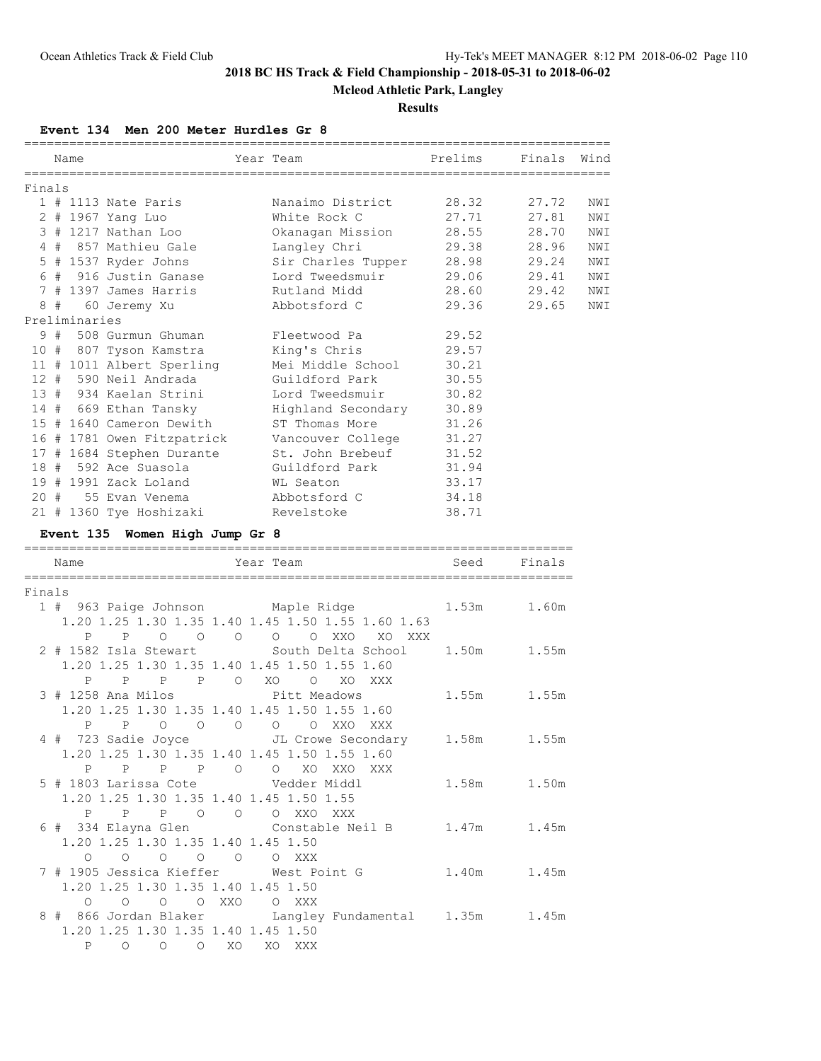## **Mcleod Athletic Park, Langley**

### **Results**

**Event 134 Men 200 Meter Hurdles Gr 8**

|        |    |                   |                                                                                                                            |         | :=========<br>===========                                                                                   |         | ========================= |      |
|--------|----|-------------------|----------------------------------------------------------------------------------------------------------------------------|---------|-------------------------------------------------------------------------------------------------------------|---------|---------------------------|------|
|        |    | Name              |                                                                                                                            |         | Year Team                                                                                                   | Prelims | Finals                    | Wind |
|        |    |                   |                                                                                                                            |         |                                                                                                             |         |                           |      |
| Finals |    |                   |                                                                                                                            |         |                                                                                                             |         |                           |      |
|        |    |                   | $1$ # 1113 Nate Paris                                                                                                      |         | Nanaimo District                                                                                            | 28.32   | 27.72                     | NWI  |
|        |    |                   | 2 # 1967 Yang Luo                                                                                                          |         | White Rock C                                                                                                | 27.71   | 27.81                     | NWI  |
|        |    |                   | 3 # 1217 Nathan Loo                                                                                                        |         | Okanagan Mission                                                                                            | 28.55   | 28.70                     | NWI  |
|        |    |                   | 4 # 857 Mathieu Gale                                                                                                       |         | Langley Chri                                                                                                | 29.38   | 28.96                     | NWI  |
|        |    |                   | 5 # 1537 Ryder Johns                                                                                                       |         | Sir Charles Tupper                                                                                          | 28.98   | 29.24                     | NWI  |
|        |    |                   | 6 # 916 Justin Ganase                                                                                                      |         | Lord Tweedsmuir                                                                                             | 29.06   | 29.41                     | NWI  |
|        |    |                   | 7 # 1397 James Harris                                                                                                      |         | Rutland Midd                                                                                                | 28.60   | 29.42                     | NWI  |
|        | 8# |                   | 60 Jeremy Xu                                                                                                               |         | Abbotsford C                                                                                                | 29.36   | 29.65                     | NWI  |
|        |    | Preliminaries     |                                                                                                                            |         |                                                                                                             |         |                           |      |
|        |    |                   | 9 # 508 Gurmun Ghuman                                                                                                      |         | Fleetwood Pa                                                                                                | 29.52   |                           |      |
|        |    |                   | 10 # 807 Tyson Kamstra                                                                                                     |         | King's Chris                                                                                                | 29.57   |                           |      |
|        |    |                   | 11 # 1011 Albert Sperling                                                                                                  |         | Mei Middle School                                                                                           | 30.21   |                           |      |
|        |    |                   | 12 # 590 Neil Andrada                                                                                                      |         | Guildford Park                                                                                              | 30.55   |                           |      |
|        |    |                   | 13 # 934 Kaelan Strini                                                                                                     |         | Lord Tweedsmuir                                                                                             | 30.82   |                           |      |
|        |    |                   | 14 # 669 Ethan Tansky                                                                                                      |         | Highland Secondary                                                                                          | 30.89   |                           |      |
|        |    |                   | 15 # 1640 Cameron Dewith                                                                                                   |         | ST Thomas More                                                                                              | 31.26   |                           |      |
|        |    |                   | 16 # 1781 Owen Fitzpatrick                                                                                                 |         | Vancouver College                                                                                           | 31.27   |                           |      |
|        |    |                   | 17 # 1684 Stephen Durante                                                                                                  |         | St. John Brebeuf                                                                                            | 31.52   |                           |      |
|        |    |                   | 18 # 592 Ace Suasola                                                                                                       |         | Guildford Park                                                                                              | 31.94   |                           |      |
|        |    |                   | 19 # 1991 Zack Loland                                                                                                      |         | WL Seaton                                                                                                   | 33.17   |                           |      |
|        |    |                   | 20 # 55 Evan Venema                                                                                                        |         | Abbotsford C                                                                                                | 34.18   |                           |      |
|        |    |                   | 21 # 1360 Tye Hoshizaki                                                                                                    |         | Revelstoke                                                                                                  | 38.71   |                           |      |
|        |    |                   |                                                                                                                            |         |                                                                                                             |         |                           |      |
|        |    |                   | Event 135 Women High Jump Gr 8                                                                                             |         |                                                                                                             |         |                           |      |
|        |    | Name              |                                                                                                                            |         | Year Team                                                                                                   | Seed    | Finals                    |      |
|        |    |                   |                                                                                                                            |         |                                                                                                             |         |                           |      |
| Finals |    |                   |                                                                                                                            |         |                                                                                                             |         |                           |      |
|        |    | $P \qquad \qquad$ | $\mathbb{P}$                                                                                                               |         | 1 # 963 Paige Johnson Maple Ridge<br>1.20 1.25 1.30 1.35 1.40 1.45 1.50 1.55 1.60 1.63<br>O O XXO<br>XO XXX | 1.53m   | 1.60m                     |      |
|        |    | P                 | 2 # 1582 Isla Stewart<br>1.20 1.25 1.30 1.35 1.40 1.45 1.50 1.55 1.60<br>$\mathbf{P}$<br>$\mathbf{P}$<br>$P \qquad \qquad$ | $\circ$ | South Delta School<br>XO<br>$\circ$<br>XO<br>XXX                                                            | 1.50m   | 1.55m                     |      |
|        |    | P                 | 3 # 1258 Ana Milos<br>1.20 1.25 1.30 1.35 1.40 1.45 1.50 1.55 1.60<br>$\mathbf{P}$<br>$\overline{O}$                       |         | Pitt Meadows<br>O O O O XXO XXX                                                                             | 1.55m   | 1.55m                     |      |
|        |    |                   | 1.20 1.25 1.30 1.35 1.40 1.45 1.50 1.55 1.60                                                                               |         | 4 # 723 Sadie Joyce JL Crowe Secondary                                                                      | 1.58m   | 1.55m                     |      |
|        |    |                   | P P P P O O XO XXO XXX<br>5 # 1803 Larissa Cote Vedder Middl<br>1.20 1.25 1.30 1.35 1.40 1.45 1.50 1.55                    |         |                                                                                                             | 1.58m   | 1.50m                     |      |
|        |    |                   | P P P O O O XXO XXX<br>1.20 1.25 1.30 1.35 1.40 1.45 1.50<br>0 0 0 0 0 0 XXX                                               |         | 6 # 334 Elayna Glen Constable Neil B 1.47m 1.45m                                                            |         |                           |      |

8 # 866 Jordan Blaker Langley Fundamental 1.35m 1.45m

 1.20 1.25 1.30 1.35 1.40 1.45 1.50 P O O O XO XO XXX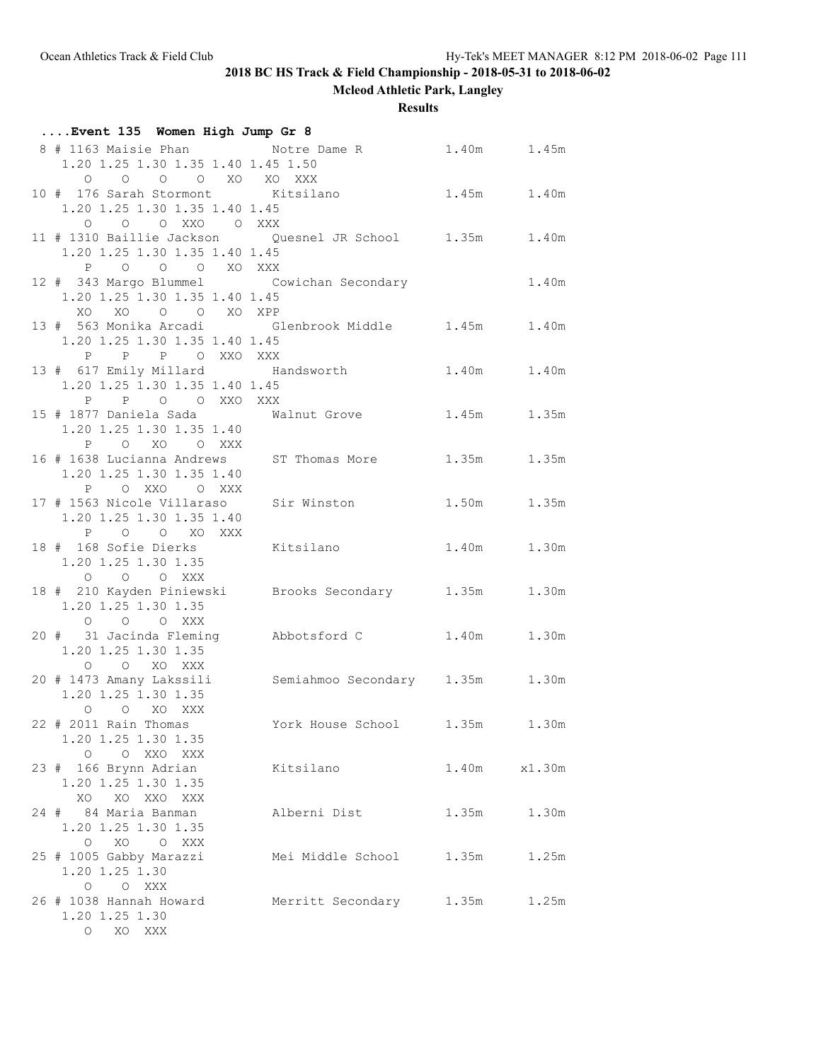**Mcleod Athletic Park, Langley**

## **Results**

| Event 135 Women High Jump Gr 8                                                                                    |                                 |       |              |
|-------------------------------------------------------------------------------------------------------------------|---------------------------------|-------|--------------|
| 8 # 1163 Maisie Phan $\blacksquare$ Notre Dame R 1.40m $\blacksquare$ 1.45m<br>1.20 1.25 1.30 1.35 1.40 1.45 1.50 |                                 |       |              |
| O O O O XO XO XXX<br>10 # 176 Sarah Stormont Kitsilano<br>1.20 1.25 1.30 1.35 1.40 1.45                           | 1.45m 1.40m                     |       |              |
| O O O XXO O XXX<br>11 # 1310 Baillie Jackson  Quesnel JR School  1.35m  1.40m<br>1.20 1.25 1.30 1.35 1.40 1.45    |                                 |       |              |
| P O O O XO XXX<br>12 # 343 Margo Blummel Cowichan Secondary<br>1.20 1.25 1.30 1.35 1.40 1.45                      |                                 |       | 1.40m        |
| XO XO O O XO XPP<br>13 # 563 Monika Arcadi 61enbrook Middle 1.45m 1.40m<br>1.20 1.25 1.30 1.35 1.40 1.45          |                                 |       |              |
| P P P O XXO XXX<br>13 # 617 Emily Millard Handsworth 1.40m 1.40m<br>1.20 1.25 1.30 1.35 1.40 1.45                 |                                 |       |              |
| P P O O XXO XXX<br>15 # 1877 Daniela Sada Malnut Grove 1.45m 1.35m<br>1.20 1.25 1.30 1.35 1.40                    |                                 |       |              |
| P O XO O XXX<br>16 # 1638 Lucianna Andrews ST Thomas More 1.35m 1.35m<br>1.20 1.25 1.30 1.35 1.40                 |                                 |       |              |
| P OXXO OXXX<br>17 # 1563 Nicole Villaraso Sir Winston 1.50m 1.35m<br>1.20 1.25 1.30 1.35 1.40                     |                                 |       |              |
| P O O XO XXX<br>18 # 168 Sofie Dierks Kitsilano<br>1.20 1.25 1.30 1.35                                            |                                 |       | 1.40m 1.30m  |
| O O O XXX<br>18 # 210 Kayden Piniewski Brooks Secondary 1.35m 1.30m<br>1.20 1.25 1.30 1.35                        |                                 |       |              |
| O O O XXX<br>20 # 31 Jacinda Fleming Mbbotsford C 1.40m 1.30m<br>1.20 1.25 1.30 1.35                              |                                 |       |              |
| O O XO XXX<br>20 # 1473 Amany Lakssili<br>1.20 1.25 1.30 1.35                                                     | Semiahmoo Secondary 1.35m 1.30m |       |              |
| O O XO XXX<br>22 # 2011 Rain Thomas<br>1.20 1.25 1.30 1.35                                                        | York House School 1.35m 1.30m   |       |              |
| O O XXO XXX<br>23 # 166 Brynn Adrian<br>1.20 1.25 1.30 1.35                                                       | Kitsilano                       |       | 1.40m x1.30m |
| XO XO XXO XXX<br>24 # 84 Maria Banman<br>1.20 1.25 1.30 1.35                                                      | Alberni Dist                    | 1.35m | 1.30m        |
| O XO O XXX<br>25 # 1005 Gabby Marazzi<br>1.20 1.25 1.30                                                           | Mei Middle School 1.35m         |       | 1.25m        |
| O O XXX<br>26 # 1038 Hannah Howard<br>1.20 1.25 1.30<br>O XO XXX                                                  | Merritt Secondary 1.35m         |       | 1.25m        |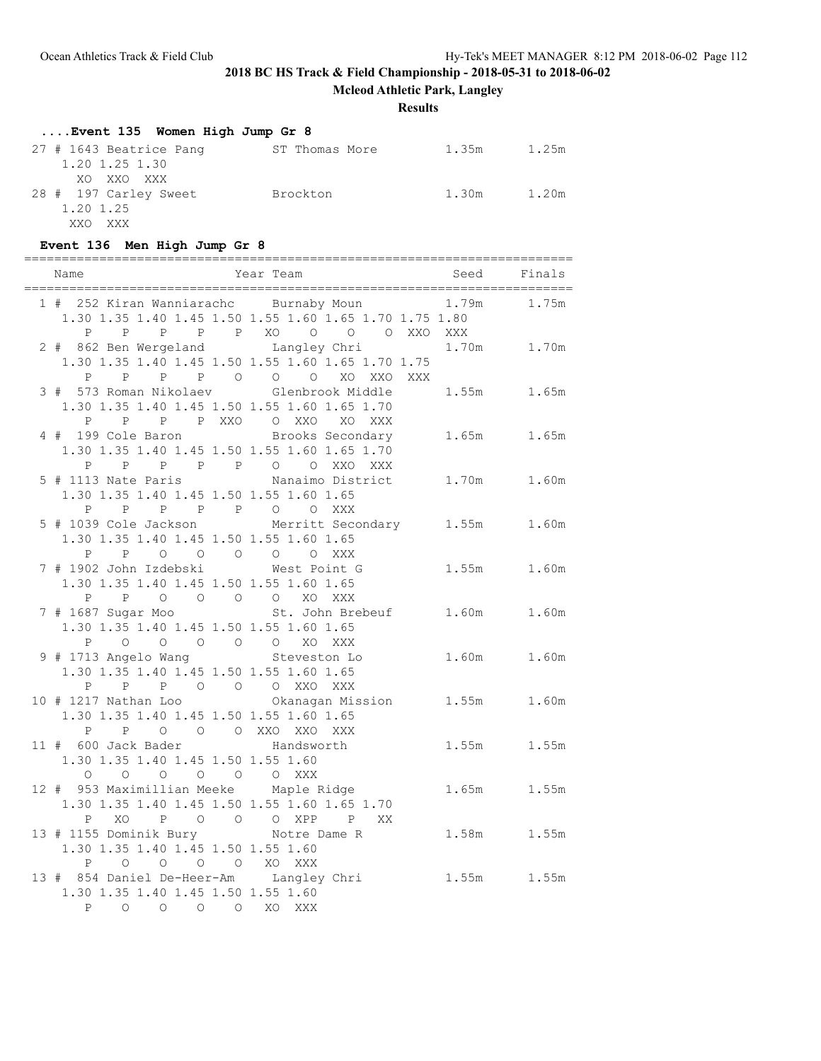**Mcleod Athletic Park, Langley**

### **Results**

# **....Event 135 Women High Jump Gr 8**

| 27 # 1643 Beatrice Pang | ST Thomas More | 1.35m | 1.25m |
|-------------------------|----------------|-------|-------|
| 1.20 1.25 1.30          |                |       |       |
| XO XXO XXX              |                |       |       |
| 28 # 197 Carley Sweet   | Brockton       | 1.30m | 1.20m |
| 1.20 1.25               |                |       |       |
| XXO XXX                 |                |       |       |

## **Event 136 Men High Jump Gr 8**

=========================================================================

| Year Team<br>Name                                                                          | Seed Finals                  |                 |
|--------------------------------------------------------------------------------------------|------------------------------|-----------------|
| ====================================<br>1 # 252 Kiran Wanniarachc Burnaby Moun 1.79m 1.75m |                              |                 |
| 1.30 1.35 1.40 1.45 1.50 1.55 1.60 1.65 1.70 1.75 1.80                                     |                              |                 |
|                                                                                            | P P P P P XO O O O XXO XXX   |                 |
| 2 # 862 Ben Wergeland Langley Chri                                                         |                              | $1.70m$ $1.70m$ |
| 1.30 1.35 1.40 1.45 1.50 1.55 1.60 1.65 1.70 1.75                                          |                              |                 |
| P P P P O O O XO XXO XXX<br>3 # 573 Roman Nikolaev     Glenbrook Middle                    |                              |                 |
|                                                                                            |                              | 1.55m 1.65m     |
| 1.30 1.35 1.40 1.45 1.50 1.55 1.60 1.65 1.70                                               |                              |                 |
| P P P P XXO O XXO XO XXX<br>4 # 199 Cole Baron Brooks Secondary                            |                              |                 |
|                                                                                            |                              | 1.65m 1.65m     |
| 1.30 1.35 1.40 1.45 1.50 1.55 1.60 1.65 1.70                                               |                              |                 |
| P P P P P P O O XXO XXX<br>5 # 1113 Nate Paris                                             | Nanaimo District 1.70m 1.60m |                 |
| 1.30 1.35 1.40 1.45 1.50 1.55 1.60 1.65                                                    |                              |                 |
| P P P P P P O O XXX                                                                        |                              |                 |
| 5 # 1039 Cole Jackson Merritt Secondary 1.55m 1.60m                                        |                              |                 |
| 1.30 1.35 1.40 1.45 1.50 1.55 1.60 1.65                                                    |                              |                 |
| P P O O O O O XXX                                                                          |                              |                 |
| 7 # 1902 John Izdebski Mest Point G                                                        |                              | 1.55m 1.60m     |
| 1.30 1.35 1.40 1.45 1.50 1.55 1.60 1.65                                                    |                              |                 |
| P P O O O O XO XXX                                                                         |                              |                 |
| 7 # 1687 Sugar Moo St. John Brebeuf 1.60m 1.60m                                            |                              |                 |
| 1.30 1.35 1.40 1.45 1.50 1.55 1.60 1.65                                                    |                              |                 |
| $\begin{matrix} 0 & 0 & 0 & 0 \end{matrix}$<br>$P$ 0                                       | XO XXX                       |                 |
| 9 # 1713 Angelo Wang Steveston Lo                                                          |                              | 1.60m 1.60m     |
| 1.30 1.35 1.40 1.45 1.50 1.55 1.60 1.65                                                    |                              |                 |
| P P P O O O XXO XXX                                                                        |                              |                 |
| 1.30 1.35 1.40 1.45 1.50 1.55 1.60 1.65                                                    |                              |                 |
| P P O O O XXO XXO XXX                                                                      |                              |                 |
| 11 # 600 Jack Bader Mandsworth                                                             |                              | 1.55m 1.55m     |
| 1.30 1.35 1.40 1.45 1.50 1.55 1.60                                                         |                              |                 |
| 0 0 0 0 0 0 XXX                                                                            |                              |                 |
| 12 # 953 Maximillian Meeke Maple Ridge                                                     |                              | 1.65m 1.55m     |
| 1.30 1.35 1.40 1.45 1.50 1.55 1.60 1.65 1.70                                               |                              |                 |
| P XO P O O O XPP P XX                                                                      |                              |                 |
| 13 # 1155 Dominik Bury Notre Dame R                                                        |                              | 1.58m 1.55m     |
| 1.30 1.35 1.40 1.45 1.50 1.55 1.60                                                         |                              |                 |
| O O O O XO XXX<br>$\mathsf{P}$                                                             |                              |                 |
| 13 # 854 Daniel De-Heer-Am Langley Chri                                                    |                              | 1.55m 1.55m     |
| 1.30 1.35 1.40 1.45 1.50 1.55 1.60                                                         |                              |                 |
| P O O O O XO XXX                                                                           |                              |                 |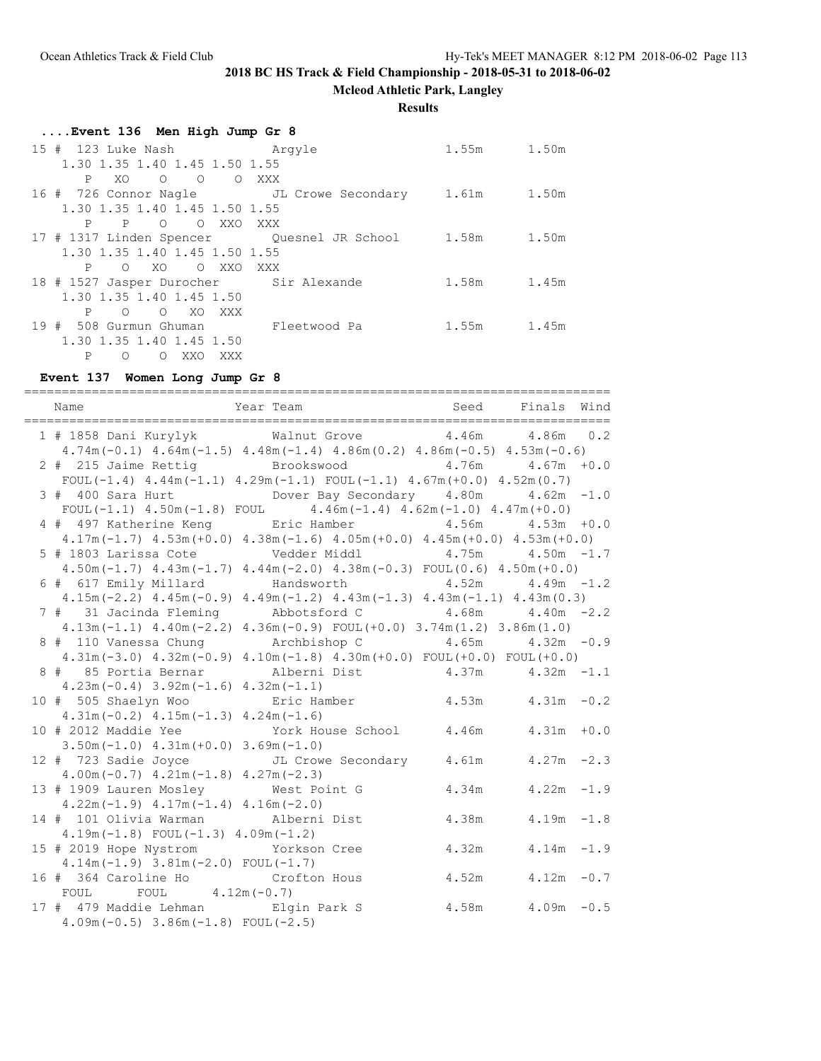**Mcleod Athletic Park, Langley**

**Results**

### **....Event 136 Men High Jump Gr 8**

| 15 # 123 Luke Nash Manayle                           |              | 1.55m 1.50m |       |
|------------------------------------------------------|--------------|-------------|-------|
| 1.30 1.35 1.40 1.45 1.50 1.55                        |              |             |       |
| $XO$ 0 0<br>P –                                      | O XXX        |             |       |
| 16 # 726 Connor Nagle JL Crowe Secondary 1.61m 1.50m |              |             |       |
| 1.30 1.35 1.40 1.45 1.50 1.55                        |              |             |       |
| OOXXOXXX<br>P<br>$\mathbf{P}$                        |              |             |       |
| 17 # 1317 Linden Spencer Quesnel JR School           |              | 1.58m       | 1.50m |
| 1.30 1.35 1.40 1.45 1.50 1.55                        |              |             |       |
| O XXO XXX<br>XO.<br>P<br>$\circ$                     |              |             |       |
| 18 # 1527 Jasper Durocher Sir Alexande               |              | 1.58m       | 1.45m |
| 1.30 1.35 1.40 1.45 1.50                             |              |             |       |
| O XO XXX<br>P<br>$\circ$                             |              |             |       |
| 19 # 508 Gurmun Ghuman                               | Fleetwood Pa | 1.55m       | 1.45m |
| 1.30 1.35 1.40 1.45 1.50                             |              |             |       |
| P<br>XXO<br>$\Omega$<br>$\circ$<br>XXX               |              |             |       |

#### **Event 137 Women Long Jump Gr 8**

============================================================================== Name Tear Team Seed Finals Wind ============================================================================== 1 # 1858 Dani Kurylyk Walnut Grove 4.46m 4.86m 0.2 4.74m(-0.1) 4.64m(-1.5) 4.48m(-1.4) 4.86m(0.2) 4.86m(-0.5) 4.53m(-0.6) 2 # 215 Jaime Rettig Brookswood 4.76m 4.67m +0.0 FOUL(-1.4)  $4.44m(-1.1)$   $4.29m(-1.1)$  FOUL(-1.1)  $4.67m(+0.0)$   $4.52m(0.7)$  3 # 400 Sara Hurt Dover Bay Secondary 4.80m 4.62m -1.0 FOUL(-1.1)  $4.50m(-1.8)$  FOUL  $4.46m(-1.4)$   $4.62m(-1.0)$   $4.47m(+0.0)$  4 # 497 Katherine Keng Eric Hamber 4.56m 4.53m +0.0 4.17m(-1.7) 4.53m(+0.0) 4.38m(-1.6) 4.05m(+0.0) 4.45m(+0.0) 4.53m(+0.0) 5 # 1803 Larissa Cote Vedder Middl 4.75m 4.50m -1.7 4.50m(-1.7) 4.43m(-1.7) 4.44m(-2.0) 4.38m(-0.3) FOUL(0.6) 4.50m(+0.0) 6 # 617 Emily Millard Handsworth 4.52m 4.49m -1.2 4.15m(-2.2) 4.45m(-0.9) 4.49m(-1.2) 4.43m(-1.3) 4.43m(-1.1) 4.43m(0.3) 7 # 31 Jacinda Fleming Abbotsford C 4.68m 4.40m -2.2 4.13m(-1.1) 4.40m(-2.2) 4.36m(-0.9) FOUL(+0.0) 3.74m(1.2) 3.86m(1.0) 8 # 110 Vanessa Chung Archbishop C 4.65m 4.32m -0.9 4.31m(-3.0) 4.32m(-0.9) 4.10m(-1.8) 4.30m(+0.0) FOUL(+0.0) FOUL(+0.0) 8 # 85 Portia Bernar Alberni Dist 4.37m 4.32m -1.1 4.23m(-0.4) 3.92m(-1.6) 4.32m(-1.1) 10 # 505 Shaelyn Woo Eric Hamber 4.53m 4.31m -0.2 4.31m(-0.2) 4.15m(-1.3) 4.24m(-1.6) 10 # 2012 Maddie Yee York House School 4.46m 4.31m +0.0 3.50m(-1.0) 4.31m(+0.0) 3.69m(-1.0) 12 # 723 Sadie Joyce JL Crowe Secondary 4.61m 4.27m -2.3 4.00m(-0.7) 4.21m(-1.8) 4.27m(-2.3) 13 # 1909 Lauren Mosley West Point G 4.34m 4.22m -1.9 4.22m(-1.9) 4.17m(-1.4) 4.16m(-2.0) 14 # 101 Olivia Warman Alberni Dist 4.38m 4.19m -1.8 4.19m(-1.8) FOUL(-1.3) 4.09m(-1.2) 15 # 2019 Hope Nystrom Yorkson Cree 4.32m 4.14m -1.9 4.14m(-1.9) 3.81m(-2.0) FOUL(-1.7) 16 # 364 Caroline Ho Crofton Hous 4.52m 4.12m -0.7 FOUL FOUL  $4.12m(-0.7)$  17 # 479 Maddie Lehman Elgin Park S 4.58m 4.09m -0.5 4.09m(-0.5) 3.86m(-1.8) FOUL(-2.5)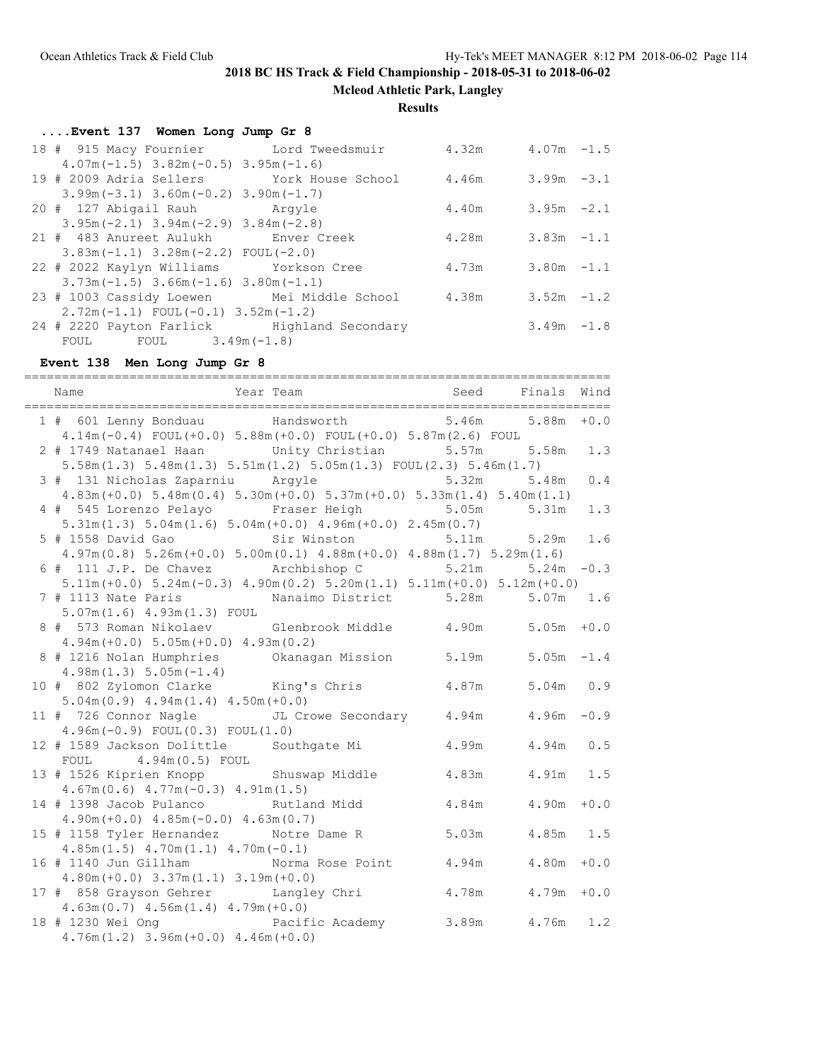**Mcleod Athletic Park, Langley**

**Results**

| Event 137 Women Long Jump Gr 8                              |                        |               |  |
|-------------------------------------------------------------|------------------------|---------------|--|
| 18 # 915 Macy Fournier Lord Tweedsmuir 4.32m 4.07m -1.5     |                        |               |  |
| $4.07m(-1.5)$ $3.82m(-0.5)$ $3.95m(-1.6)$                   |                        |               |  |
| 19 # 2009 Adria Sellers Tork House School 4.46m 3.99m -3.1  |                        |               |  |
| $3.99m(-3.1)$ $3.60m(-0.2)$ $3.90m(-1.7)$                   |                        |               |  |
| 20 # 127 Abigail Rauh Mandyle                               | $4.40m$ $3.95m$ $-2.1$ |               |  |
| $3.95m(-2.1)$ $3.94m(-2.9)$ $3.84m(-2.8)$                   |                        |               |  |
| 21 # 483 Anureet Aulukh blower Creek                        | $4.28m$ $3.83m$ $-1.1$ |               |  |
| $3.83m(-1.1)$ $3.28m(-2.2)$ FOUL $(-2.0)$                   |                        |               |  |
| 22 # 2022 Kaylyn Williams Yorkson Cree                      | $4.73m$ $3.80m$ $-1.1$ |               |  |
| $3.73m(-1.5)$ $3.66m(-1.6)$ $3.80m(-1.1)$                   |                        |               |  |
| 23 # 1003 Cassidy Loewen Mei Middle School 4.38m 3.52m -1.2 |                        |               |  |
| $2.72m(-1.1)$ FOUL $(-0.1)$ 3.52m $(-1.2)$                  |                        |               |  |
| 24 # 2220 Payton Farlick Highland Secondary                 |                        | $3.49m - 1.8$ |  |
| FOUL FOUL $3.49m(-1.8)$                                     |                        |               |  |

# **Event 138 Men Long Jump Gr 8**

| 1 # 601 Lenny Bonduau Mandsworth 5.46m 5.88m +0.0<br>$4.14m(-0.4)$ FOUL $(+0.0)$ 5.88 $m(+0.0)$ FOUL $(+0.0)$ 5.87 $m(2.6)$ FOUL                       |                 |             |        |
|--------------------------------------------------------------------------------------------------------------------------------------------------------|-----------------|-------------|--------|
| 2 # 1749 Natanael Haan Unity Christian 5.57m 5.58m<br>$5.58$ m $(1.3)$ $5.48$ m $(1.3)$ $5.51$ m $(1.2)$ $5.05$ m $(1.3)$ $FOUL(2.3)$ $5.46$ m $(1.7)$ |                 |             | 1.3    |
| 3 # 131 Nicholas Zaparniu Argyle 5.32m 5.48m<br>$4.83m (+0.0)$ $5.48m (0.4)$ $5.30m (+0.0)$ $5.37m (+0.0)$ $5.33m (1.4)$ $5.40m (1.1)$                 |                 |             | $0.4$  |
| 4 # 545 Lorenzo Pelayo Fraser Heigh 5.05m<br>$5.31m(1.3)$ $5.04m(1.6)$ $5.04m(+0.0)$ $4.96m(+0.0)$ $2.45m(0.7)$                                        |                 | 5.31m       | 1.3    |
| 5 # 1558 David Gao               Sir Winston<br>$4.97m(0.8)$ $5.26m(+0.0)$ $5.00m(0.1)$ $4.88m(+0.0)$ $4.88m(1.7)$ $5.29m(1.6)$                        |                 | 5.11m 5.29m | 1.6    |
| 6 # 111 J.P. De Chavez Archbishop C 5.21m<br>$5.11m (+0.0)$ $5.24m (-0.3)$ $4.90m (0.2)$ $5.20m (1.1)$ $5.11m (+0.0)$ $5.12m (+0.0)$                   |                 | 5.24m       | $-0.3$ |
| 7 # 1113 Nate Paris Manaimo District 5.28m<br>$5.07m(1.6)$ 4.93 $m(1.3)$ FOUL                                                                          |                 | $5.07m$ 1.6 |        |
| 8 # 573 Roman Nikolaev Glenbrook Middle $4.90m$ 5.05m +0.0<br>$4.94m (+0.0) 5.05m (+0.0) 4.93m (0.2)$                                                  |                 |             |        |
| 8 # 1216 Nolan Humphries 6 Okanagan Mission 5.19m 5.05m -1.4<br>$4.98m(1.3) 5.05m(-1.4)$                                                               |                 |             |        |
| 10 # 802 Zylomon Clarke King's Chris<br>$5.04m(0.9)$ 4.94m $(1.4)$ 4.50m $(+0.0)$                                                                      | 4.87m 5.04m 0.9 |             |        |
| 11 # 726 Connor Nagle JL Crowe Secondary 4.94m 4.96m -0.9<br>$4.96m(-0.9) FOUT(0.3) FOUT(1.0)$                                                         |                 |             |        |
| 12 # 1589 Jackson Dolittle Southgate Mi 4.99m<br>$FOUL$ 4.94m (0.5) FOUL                                                                               |                 | 4.94m       | 0.5    |
| $4.67m(0.6)$ $4.77m(-0.3)$ $4.91m(1.5)$                                                                                                                |                 | $4.91m$ 1.5 |        |
| 14 # 1398 Jacob Pulanco Rutland Midd<br>$4.90m (+0.0)$ $4.85m (-0.0)$ $4.63m (0.7)$                                                                    | 4.84m           | 4.90m       | $+0.0$ |
| 15 # 1158 Tyler Hernandez Notre Dame R<br>$4.85m(1.5)$ $4.70m(1.1)$ $4.70m(-0.1)$                                                                      | 5.03m           | 4.85m 1.5   |        |
| 16 # 1140 Jun Gillham Norma Rose Point 4.94m<br>$4.80m (+0.0)$ $3.37m (1.1)$ $3.19m (+0.0)$                                                            |                 | 4.80m       | $+0.0$ |
| 17 # 858 Grayson Gehrer Langley Chri<br>$4.63m(0.7)$ $4.56m(1.4)$ $4.79m(+0.0)$                                                                        |                 | 4.78m 4.79m | $+0.0$ |
| 18 # 1230 Wei Ong           Pacific Academy       3.89m       4.76m   1.2<br>$4.76m(1.2)$ 3.96m (+0.0) 4.46m (+0.0)                                    |                 |             |        |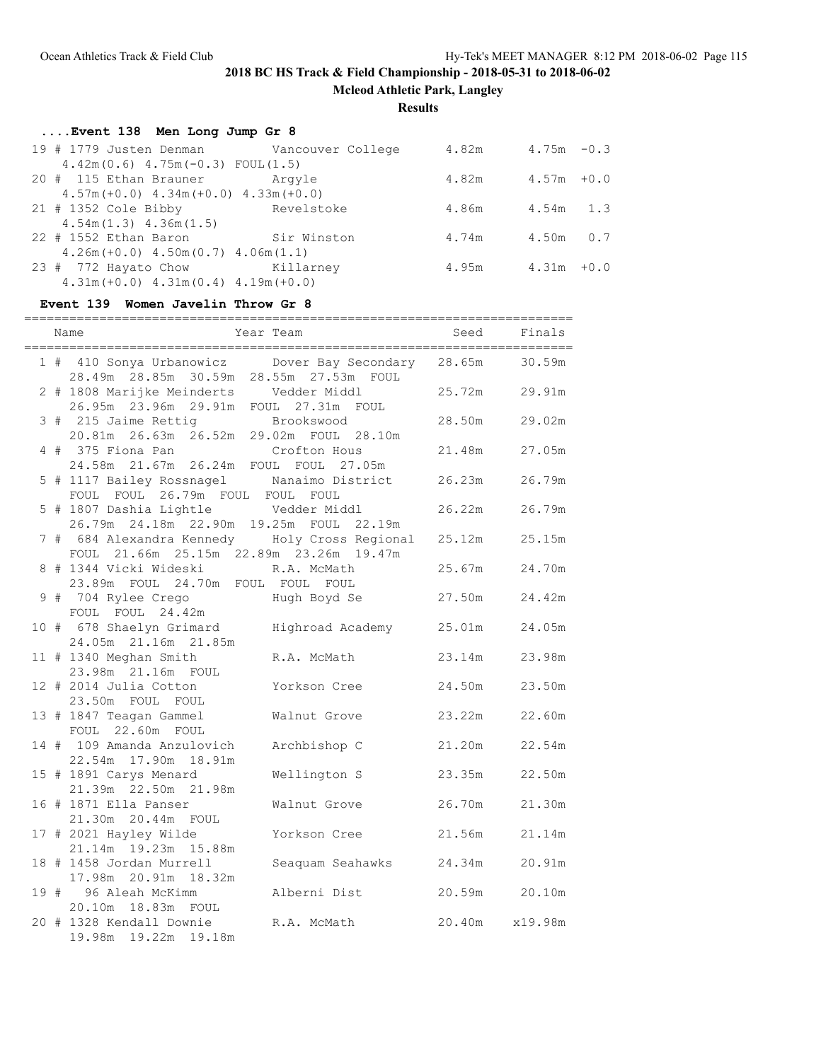**Mcleod Athletic Park, Langley**

**Results**

## **....Event 138 Men Long Jump Gr 8** 19 # 1779 Justen Denman Vancouver College 4.82m 4.75m -0.3 4.42m(0.6) 4.75m(-0.3) FOUL(1.5) 20 # 115 Ethan Brauner Argyle 4.82m 4.57m +0.0 4.57m(+0.0) 4.34m(+0.0) 4.33m(+0.0) 21 # 1352 Cole Bibby Revelstoke 4.86m 4.54m 1.3

| $4.54m(1.3)$ $4.36m(1.5)$                   |             |       |               |  |
|---------------------------------------------|-------------|-------|---------------|--|
| $22$ # 1552 Ethan Baron                     | Sir Winston | 4.74m | 4.50m 0.7     |  |
| $4.26m (+0.0)$ $4.50m (0.7)$ $4.06m (1.1)$  |             |       |               |  |
| 23 # 772 Hayato Chow Killarney              |             | 4.95m | $4.31m + 0.0$ |  |
| $4.31m (+0.0)$ $4.31m (0.4)$ $4.19m (+0.0)$ |             |       |               |  |

#### **Event 139 Women Javelin Throw Gr 8**

|  | Name                                                                                                  | Year Team        | Seed           | Finals |
|--|-------------------------------------------------------------------------------------------------------|------------------|----------------|--------|
|  | 1 # 410 Sonya Urbanowicz bover Bay Secondary 28.65m 30.59m<br>28.49m 28.85m 30.59m 28.55m 27.53m FOUL |                  |                |        |
|  | 2 # 1808 Marijke Meinderts Vedder Middl<br>26.95m  23.96m  29.91m  FOUL  27.31m  FOUL                 |                  | 25.72m         | 29.91m |
|  | 3 # 215 Jaime Rettig<br>20.81m 26.63m 26.52m 29.02m FOUL 28.10m                                       |                  | 28.50m         | 29.02m |
|  | 4 # 375 Fiona Pan Crofton Hous<br>24.58m 21.67m 26.24m FOUL FOUL 27.05m                               |                  | 21.48m         | 27.05m |
|  | 5 # 1117 Bailey Rossnagel Manaimo District<br>FOUL FOUL 26.79m FOUL FOUL FOUL                         |                  | 26.23m         | 26.79m |
|  | 5 # 1807 Dashia Lightle Vedder Middl<br>26.79m  24.18m  22.90m  19.25m  FOUL  22.19m                  |                  | 26.22m         | 26.79m |
|  | 7 # 684 Alexandra Kennedy Holy Cross Regional<br>FOUL 21.66m 25.15m 22.89m 23.26m 19.47m              |                  | 25.12m         | 25.15m |
|  | 8 # 1344 Vicki Wideski R.A. McMath<br>23.89m FOUL 24.70m FOUL FOUL FOUL                               |                  | 25.67m         | 24.70m |
|  |                                                                                                       |                  | 27.50m         | 24.42m |
|  | 10 # 678 Shaelyn Grimard Highroad Academy 25.01m<br>24.05m 21.16m 21.85m                              |                  |                | 24.05m |
|  | 11 # 1340 Meghan Smith<br>23.98m  21.16m  FOUL                                                        | R.A. McMath      | 23.14m         | 23.98m |
|  | 12 # 2014 Julia Cotton<br>23.50m FOUL FOUL                                                            | Yorkson Cree     | 24.50m         | 23.50m |
|  | 13 # 1847 Teagan Gammel<br>FOUL 22.60m FOUL                                                           | Walnut Grove     | 23.22m         | 22.60m |
|  | 14 # 109 Amanda Anzulovich<br>22.54m 17.90m 18.91m                                                    | Archbishop C     | 21.20m         | 22.54m |
|  | 15 # 1891 Carys Menard<br>21.39m  22.50m  21.98m                                                      | Wellington S     | 23.35m         | 22.50m |
|  | 16 # 1871 Ella Panser<br>21.30m  20.44m  FOUL                                                         | Walnut Grove     | 26.70m         | 21.30m |
|  | 17 # 2021 Hayley Wilde<br>21.14m  19.23m  15.88m                                                      | Yorkson Cree     | 21.56m         | 21.14m |
|  | 18 # 1458 Jordan Murrell<br>17.98m 20.91m 18.32m                                                      | Seaquam Seahawks | 24.34m         | 20.91m |
|  | 19 # 96 Aleah McKimm<br>20.10m  18.83m  FOUL                                                          | Alberni Dist     | 20.59m 20.10m  |        |
|  | 20 # 1328 Kendall Downie<br>19.98m 19.22m 19.18m                                                      | R.A. McMath      | 20.40m x19.98m |        |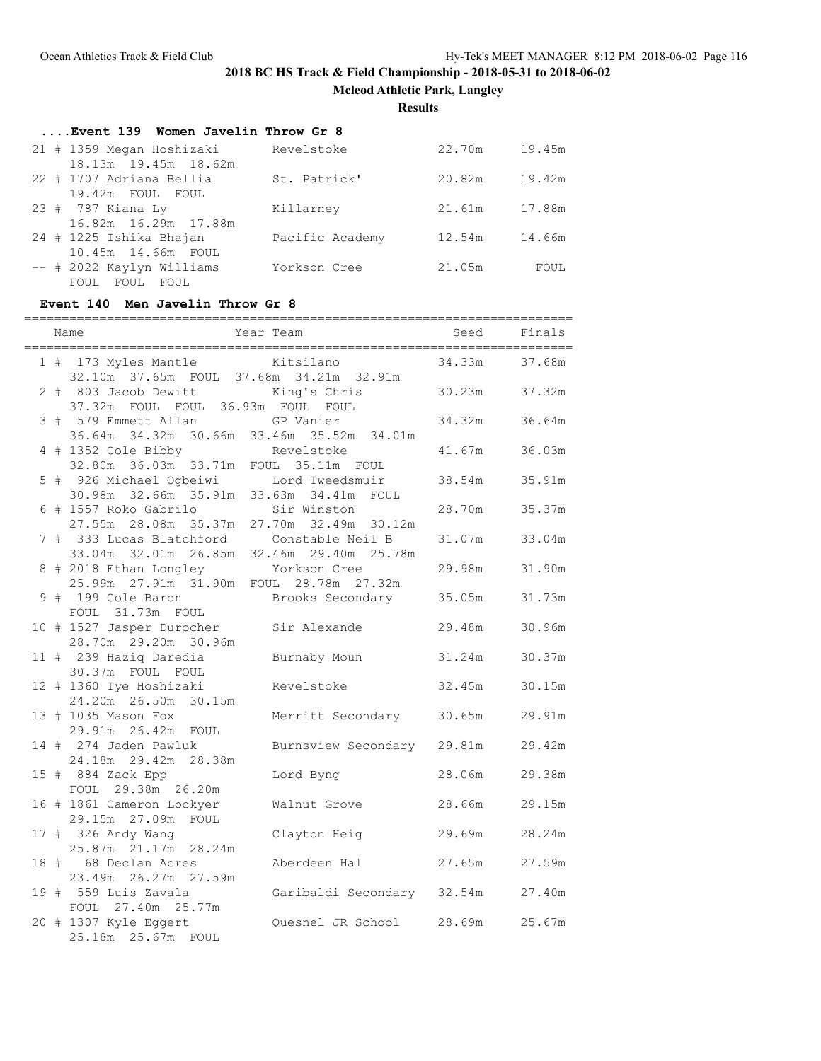**Mcleod Athletic Park, Langley**

### **Results**

| Event 139 Women Javelin Throw Gr 8 |                 |        |        |
|------------------------------------|-----------------|--------|--------|
| 21 # 1359 Megan Hoshizaki          | Revelstoke      | 22.70m | 19.45m |
| 18.13m 19.45m 18.62m               |                 |        |        |
| 22 # 1707 Adriana Bellia           | St. Patrick'    | 20.82m | 19.42m |
| 19.42m FOUL FOUL                   |                 |        |        |
| 23 # 787 Kiana Ly                  | Killarney       | 21.61m | 17.88m |
| 16.82m 16.29m 17.88m               |                 |        |        |
| 24 # 1225 Ishika Bhajan            | Pacific Academy | 12.54m | 14.66m |
| 10.45m 14.66m FOUL                 |                 |        |        |
| -- # 2022 Kaylyn Williams          | Yorkson Cree    | 21.05m | FOUL   |
| FOUL<br>FOUL<br>FOUL               |                 |        |        |

## **Event 140 Men Javelin Throw Gr 8**

| 1 # 173 Myles Mantle Kitsilano                               |                                                | 34.33m        | 37.68m |
|--------------------------------------------------------------|------------------------------------------------|---------------|--------|
|                                                              | 32.10m 37.65m FOUL 37.68m 34.21m 32.91m        |               |        |
| 2 # 803 Jacob Dewitt                                         | King's Chris                                   | 30.23m 37.32m |        |
| 37.32m FOUL FOUL 36.93m FOUL FOUL                            |                                                |               |        |
| 3 # 579 Emmett Allan GP Vanier                               |                                                | 34.32m        | 36.64m |
|                                                              | 36.64m 34.32m 30.66m 33.46m 35.52m 34.01m      |               |        |
| 4 # 1352 Cole Bibby<br>32.80m 36.03m 33.71m FOUL 35.11m FOUL |                                                | 41.67m        | 36.03m |
|                                                              |                                                |               |        |
| 5 # 926 Michael Ogbeiwi Lord Tweedsmuir                      |                                                | 38.54m        | 35.91m |
| 30.98m 32.66m 35.91m 33.63m 34.41m FOUL                      |                                                |               |        |
| 6 # 1557 Roko Gabrilo                                        | Sir Winston                                    | 28.70m        | 35.37m |
|                                                              | 27.55m  28.08m  35.37m  27.70m  32.49m  30.12m |               |        |
| 7 # 333 Lucas Blatchford Constable Neil B                    |                                                | 31.07m        | 33.04m |
|                                                              | 33.04m 32.01m 26.85m 32.46m 29.40m 25.78m      |               |        |
| 8 # 2018 Ethan Longley Yorkson Cree                          |                                                | 29.98m        | 31.90m |
| 25.99m  27.91m  31.90m  FOUL  28.78m  27.32m                 |                                                |               |        |
| 9 # 199 Cole Baron                                           | Brooks Secondary 35.05m                        |               | 31.73m |
| FOUL 31.73m FOUL                                             |                                                |               |        |
| 10 # 1527 Jasper Durocher<br>28.70m  29.20m  30.96m          | Sir Alexande                                   | 29.48m        | 30.96m |
| 11 # 239 Haziq Daredia                                       | Burnaby Moun                                   | 31.24m        | 30.37m |
| 30.37m FOUL FOUL                                             |                                                |               |        |
| 12 # 1360 Tye Hoshizaki                                      | Revelstoke                                     | 32.45m        | 30.15m |
| 24.20m 26.50m 30.15m                                         |                                                |               |        |
| 13 # 1035 Mason Fox                                          | Merritt Secondary 30.65m                       |               | 29.91m |
| 29.91m  26.42m  FOUL                                         |                                                |               |        |
| 14 # 274 Jaden Pawluk                                        | Burnsview Secondary 29.81m                     |               | 29.42m |
| 24.18m 29.42m 28.38m                                         |                                                |               |        |
| 15 # 884 Zack Epp                                            | Lord Byng                                      | 28.06m        | 29.38m |
| FOUL 29.38m 26.20m                                           |                                                |               |        |
| 16 # 1861 Cameron Lockyer                                    | Walnut Grove                                   | 28.66m        | 29.15m |
| 29.15m 27.09m FOUL                                           |                                                |               |        |
| 17 # 326 Andy Wang                                           | Clayton Heig                                   | 29.69m        | 28.24m |
| 25.87m 21.17m 28.24m                                         |                                                |               |        |
| 18 # 68 Declan Acres                                         | Aberdeen Hal                                   | 27.65m        | 27.59m |
| 23.49m 26.27m 27.59m                                         |                                                |               |        |
| 19 # 559 Luis Zavala                                         | Garibaldi Secondary 32.54m                     |               | 27.40m |
| FOUL 27.40m 25.77m                                           |                                                |               |        |
| 20 # 1307 Kyle Eggert                                        | Quesnel JR School 28.69m                       |               | 25.67m |
| 25.18m 25.67m FOUL                                           |                                                |               |        |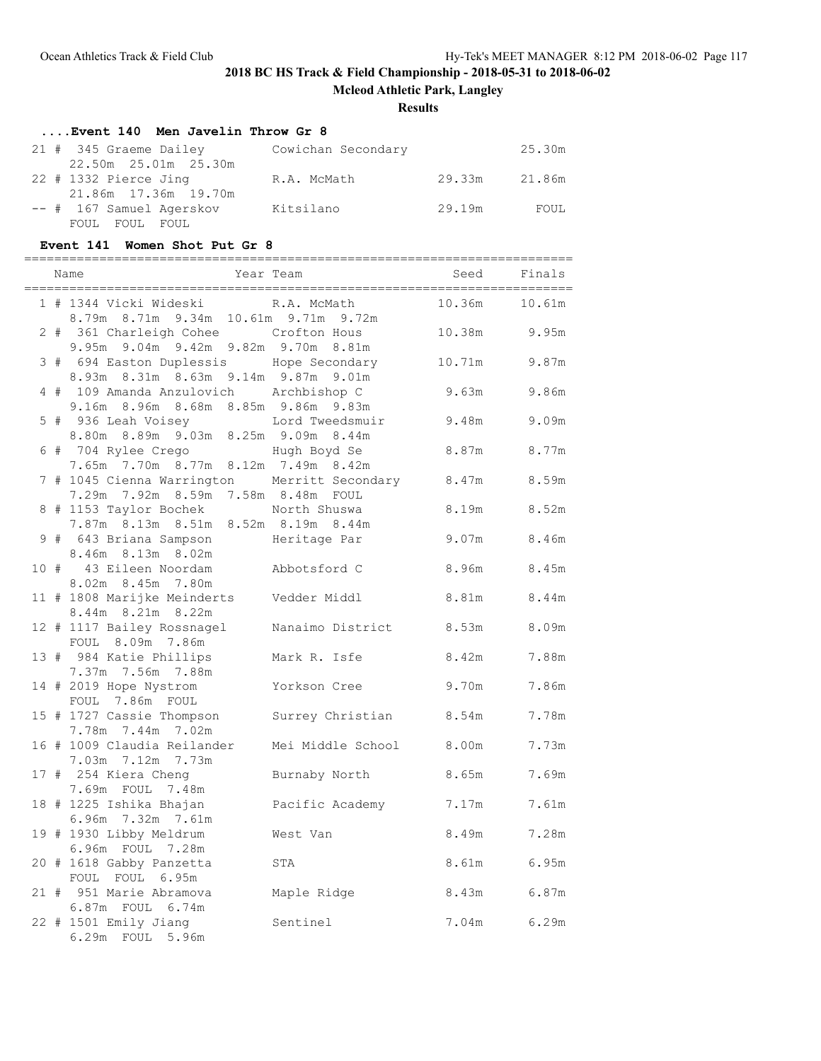**Mcleod Athletic Park, Langley**

### **Results**

# **....Event 140 Men Javelin Throw Gr 8**

| 21 # 345 Graeme Dailey   | Cowichan Secondary |        | 25.30m |
|--------------------------|--------------------|--------|--------|
| 22.50m 25.01m 25.30m     |                    |        |        |
| 22 # 1332 Pierce Jing    | R.A. McMath        | 29.33m | 21.86m |
| 21.86m 17.36m 19.70m     |                    |        |        |
| -- # 167 Samuel Agerskov | Kitsilano          | 29.19m | FOUL   |
| FOUL FOUL FOUL           |                    |        |        |

### **Event 141 Women Shot Put Gr 8**

|  | , ____________________________<br>Name                                                   | Year Team                   | _______________________________<br>Seed | Finals         |
|--|------------------------------------------------------------------------------------------|-----------------------------|-----------------------------------------|----------------|
|  | 1 # 1344 Vicki Wideski<br>8.79m 8.71m 9.34m 10.61m 9.71m 9.72m                           | R.A. McMath                 | 10.36m                                  | 10.61m         |
|  | 2 # 361 Charleigh Cohee Crofton Hous<br>9.95m 9.04m 9.42m 9.82m 9.70m 8.81m              |                             |                                         | 10.38m 9.95m   |
|  | 3 # 694 Easton Duplessis Hope Secondary<br>8.93m 8.31m 8.63m 9.14m 9.87m 9.01m           |                             | 10.71m                                  | 9.87m          |
|  | 4 # 109 Amanda Anzulovich Archbishop C<br>9.16m 8.96m 8.68m 8.85m 9.86m 9.83m            |                             | 9.63m                                   | 9.86m          |
|  | 5 # 936 Leah Voisey  Lord Tweedsmuir<br>8.80m 8.89m 9.03m 8.25m 9.09m 8.44m              |                             | 9.48m                                   | 9.09m          |
|  | 6 # 704 Rylee Crego<br>7.65m 7.70m 8.77m 8.12m 7.49m 8.42m                               | Hugh Boyd Se                |                                         | 8.87m 8.77m    |
|  | 7 # 1045 Cienna Warrington Merritt Secondary 8.47m<br>7.29m 7.92m 8.59m 7.58m 8.48m FOUL |                             |                                         | 8.59m          |
|  | 8 # 1153 Taylor Bochek North Shuswa<br>7.87m 8.13m 8.51m 8.52m 8.19m 8.44m               |                             | 8.19m                                   | 8.52m          |
|  | 9 # 643 Briana Sampson<br>8.46m 8.13m 8.02m                                              | Heritage Par                |                                         | 9.07m 8.46m    |
|  | 10 # 43 Eileen Noordam<br>8.02m 8.45m 7.80m                                              | Abbotsford C                |                                         | 8.96m 8.45m    |
|  | 11 # 1808 Marijke Meinderts Vedder Middl<br>8.44m 8.21m 8.22m                            |                             | 8.81m                                   | 8.44m          |
|  | 12 # 1117 Bailey Rossnagel<br>FOUL 8.09m 7.86m                                           | Nanaimo District            | 8.53m                                   | 8.09m          |
|  | 13 # 984 Katie Phillips<br>7.37m 7.56m 7.88m                                             | Mark R. Isfe                | 8.42m                                   | 7.88m          |
|  | 14 # 2019 Hope Nystrom<br>FOUL 7.86m FOUL                                                | Yorkson Cree                | 9.70m                                   | 7.86m          |
|  | 15 # 1727 Cassie Thompson<br>7.78m 7.44m 7.02m                                           | Surrey Christian 8.54m      |                                         | 7.78m          |
|  | 16 # 1009 Claudia Reilander<br>7.03m 7.12m 7.73m                                         | Mei Middle School 8.00m     |                                         | 7.73m<br>7.69m |
|  | 17 # 254 Kiera Cheng<br>7.69m FOUL 7.48m<br>18 # 1225 Ishika Bhajan                      | Burnaby North               | 8.65m<br>7.17m                          | 7.61m          |
|  | 6.96m 7.32m 7.61m<br>19 # 1930 Libby Meldrum                                             | Pacific Academy<br>West Van | 8.49m                                   | 7.28m          |
|  | 6.96m FOUL 7.28m<br>20 # 1618 Gabby Panzetta                                             | STA                         | 8.61m                                   | 6.95m          |
|  | FOUL FOUL 6.95m<br>21 # 951 Marie Abramova                                               | Maple Ridge                 | 8.43m                                   | 6.87m          |
|  | 6.87m FOUL 6.74m<br>22 # 1501 Emily Jiang                                                | Sentinel                    |                                         | 7.04m 6.29m    |
|  | 6.29m FOUL 5.96m                                                                         |                             |                                         |                |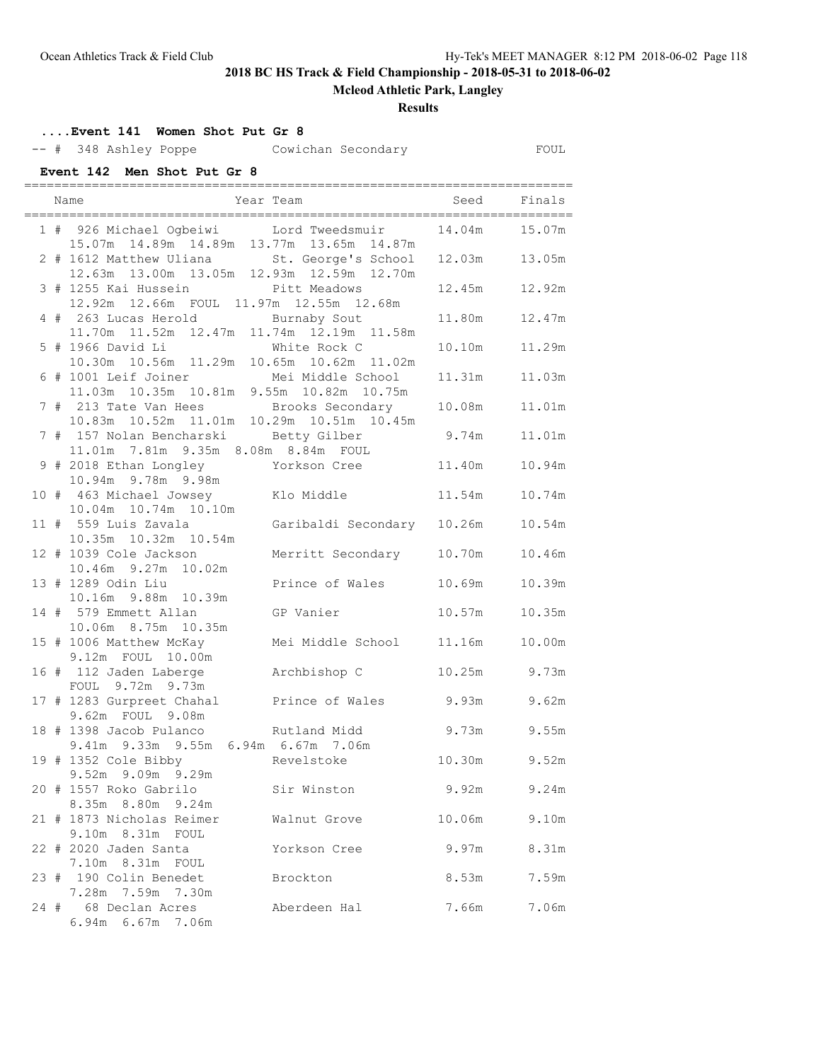7.10m 8.31m FOUL

7.28m 7.59m 7.30m

6.94m 6.67m 7.06m

### **2018 BC HS Track & Field Championship - 2018-05-31 to 2018-06-02**

### **Mcleod Athletic Park, Langley**

#### **Results**

## **....Event 141 Women Shot Put Gr 8** -- # 348 Ashley Poppe Cowichan Secondary FOUL **Event 142 Men Shot Put Gr 8** ========================================================================= Name Year Team Seed Finals ========================================================================= 1 # 926 Michael Ogbeiwi Lord Tweedsmuir 14.04m 15.07m 15.07m 14.89m 14.89m 13.77m 13.65m 14.87m 2 # 1612 Matthew Uliana St. George's School 12.03m 13.05m 12.63m 13.00m 13.05m 12.93m 12.59m 12.70m 3 # 1255 Kai Hussein Pitt Meadows 12.45m 12.92m 12.92m 12.66m FOUL 11.97m 12.55m 12.68m 4 # 263 Lucas Herold Burnaby Sout 11.80m 12.47m 11.70m 11.52m 12.47m 11.74m 12.19m 11.58m 5 # 1966 David Li White Rock C 10.10m 11.29m 10.30m 10.56m 11.29m 10.65m 10.62m 11.02m 6 # 1001 Leif Joiner Mei Middle School 11.31m 11.03m 11.03m 10.35m 10.81m 9.55m 10.82m 10.75m 7 # 213 Tate Van Hees Brooks Secondary 10.08m 11.01m 10.83m 10.52m 11.01m 10.29m 10.51m 10.45m 7 # 157 Nolan Bencharski Betty Gilber 9.74m 11.01m 11.01m 7.81m 9.35m 8.08m 8.84m FOUL 9 # 2018 Ethan Longley Yorkson Cree 11.40m 10.94m 10.94m 9.78m 9.98m 10 # 463 Michael Jowsey Klo Middle 11.54m 10.74m 10.04m 10.74m 10.10m 11 # 559 Luis Zavala Garibaldi Secondary 10.26m 10.54m 10.35m 10.32m 10.54m 12 # 1039 Cole Jackson Merritt Secondary 10.70m 10.46m 10.46m 9.27m 10.02m 13 # 1289 Odin Liu Prince of Wales 10.69m 10.39m 10.16m 9.88m 10.39m 14 # 579 Emmett Allan GP Vanier 10.57m 10.35m 10.06m 8.75m 10.35m 15 # 1006 Matthew McKay Mei Middle School 11.16m 10.00m 9.12m FOUL 10.00m 16 # 112 Jaden Laberge Archbishop C 10.25m 9.73m FOUL 9.72m 9.73m 17 # 1283 Gurpreet Chahal Prince of Wales 9.93m 9.62m 9.62m FOUL 9.08m 18 # 1398 Jacob Pulanco Rutland Midd 9.73m 9.55m 9.41m 9.33m 9.55m 6.94m 6.67m 7.06m 19 # 1352 Cole Bibby Revelstoke 10.30m 9.52m 9.52m 9.09m 9.29m 20 # 1557 Roko Gabrilo Sir Winston 9.92m 9.24m 8.35m 8.80m 9.24m 21 # 1873 Nicholas Reimer Walnut Grove 10.06m 9.10m 9.10m 8.31m FOUL 22 # 2020 Jaden Santa Yorkson Cree 9.97m 8.31m

23 # 190 Colin Benedet Brockton 8.53m 7.59m

24 # 68 Declan Acres Aberdeen Hal 7.66m 7.06m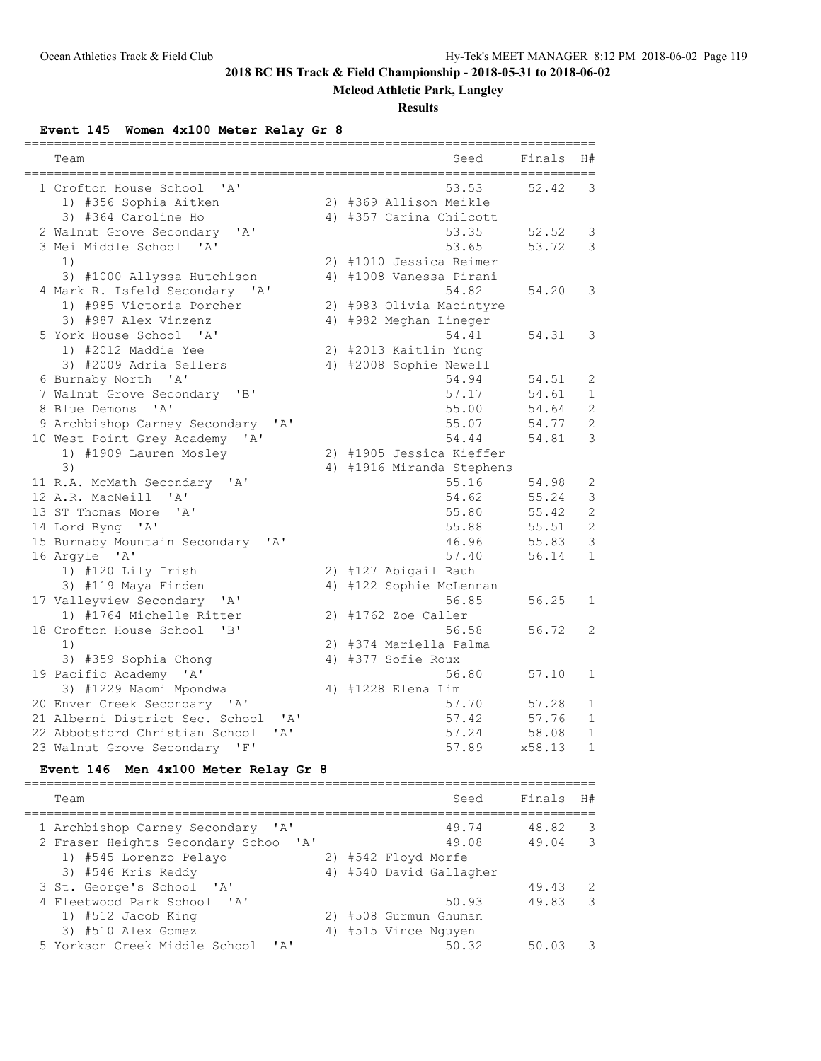## **Mcleod Athletic Park, Langley**

### **Results**

### **Event 145 Women 4x100 Meter Relay Gr 8**

| 53.53<br>52.42<br>3<br>1 Crofton House School<br>$\mathsf{A}$<br>1) #356 Sophia Aitken<br>2) #369 Allison Meikle<br>3) #364 Caroline Ho<br>4) #357 Carina Chilcott<br>' A'<br>2 Walnut Grove Secondary<br>53.35<br>52.52<br>3<br>3 Mei Middle School<br>53.65<br>53.72<br>3<br>' A'<br>1)<br>2) #1010 Jessica Reimer<br>3) #1000 Allyssa Hutchison<br>4) #1008 Vanessa Pirani<br>4 Mark R. Isfeld Secondary 'A'<br>54.82<br>54.20<br>3<br>1) #985 Victoria Porcher<br>2) #983 Olivia Macintyre<br>3) #987 Alex Vinzenz<br>4) #982 Meghan Lineger<br>5 York House School<br>' A'<br>54.41<br>3<br>54.31<br>1) #2012 Maddie Yee<br>2) #2013 Kaitlin Yung<br>3) #2009 Adria Sellers<br>4) #2008 Sophie Newell<br>6 Burnaby North 'A'<br>54.94<br>2<br>54.51<br>7 Walnut Grove Secondary<br>"B"<br>57.17<br>54.61<br>$\mathbf 1$<br>$\mathsf{A}$<br>$\overline{2}$<br>8 Blue Demons<br>55.00<br>54.64<br>$\mathbf{2}$<br>9 Archbishop Carney Secondary<br>' A'<br>55.07<br>54.77<br>3<br>10 West Point Grey Academy<br>54.44<br>54.81<br>' A '<br>2) #1905 Jessica Kieffer<br>1) #1909 Lauren Mosley<br>3)<br>4) #1916 Miranda Stephens<br>55.16<br>54.98<br>2<br>11 R.A. McMath Secondary<br>$\mathsf{A}$<br>12 A.R. MacNeill<br>54.62<br>55.24<br>3<br>' A'<br>$\overline{c}$<br>' A'<br>55.80<br>13 ST Thomas More<br>55.42<br>$\overline{2}$<br>14 Lord Byng 'A'<br>55.88<br>55.51<br>3<br>15 Burnaby Mountain Secondary 'A'<br>46.96<br>55.83<br>16 Argyle 'A'<br>57.40<br>$\mathbf{1}$<br>56.14<br>1) #120 Lily Irish<br>2) #127 Abigail Rauh<br>3) #119 Maya Finden<br>4) #122 Sophie McLennan<br>17 Valleyview Secondary<br>' A'<br>56.85<br>56.25<br>1<br>1) #1764 Michelle Ritter<br>#1762 Zoe Caller<br>2) |
|-------------------------------------------------------------------------------------------------------------------------------------------------------------------------------------------------------------------------------------------------------------------------------------------------------------------------------------------------------------------------------------------------------------------------------------------------------------------------------------------------------------------------------------------------------------------------------------------------------------------------------------------------------------------------------------------------------------------------------------------------------------------------------------------------------------------------------------------------------------------------------------------------------------------------------------------------------------------------------------------------------------------------------------------------------------------------------------------------------------------------------------------------------------------------------------------------------------------------------------------------------------------------------------------------------------------------------------------------------------------------------------------------------------------------------------------------------------------------------------------------------------------------------------------------------------------------------------------------------------------------------------------------------------------------------------------------------------------|
|                                                                                                                                                                                                                                                                                                                                                                                                                                                                                                                                                                                                                                                                                                                                                                                                                                                                                                                                                                                                                                                                                                                                                                                                                                                                                                                                                                                                                                                                                                                                                                                                                                                                                                                   |
|                                                                                                                                                                                                                                                                                                                                                                                                                                                                                                                                                                                                                                                                                                                                                                                                                                                                                                                                                                                                                                                                                                                                                                                                                                                                                                                                                                                                                                                                                                                                                                                                                                                                                                                   |
|                                                                                                                                                                                                                                                                                                                                                                                                                                                                                                                                                                                                                                                                                                                                                                                                                                                                                                                                                                                                                                                                                                                                                                                                                                                                                                                                                                                                                                                                                                                                                                                                                                                                                                                   |
|                                                                                                                                                                                                                                                                                                                                                                                                                                                                                                                                                                                                                                                                                                                                                                                                                                                                                                                                                                                                                                                                                                                                                                                                                                                                                                                                                                                                                                                                                                                                                                                                                                                                                                                   |
|                                                                                                                                                                                                                                                                                                                                                                                                                                                                                                                                                                                                                                                                                                                                                                                                                                                                                                                                                                                                                                                                                                                                                                                                                                                                                                                                                                                                                                                                                                                                                                                                                                                                                                                   |
|                                                                                                                                                                                                                                                                                                                                                                                                                                                                                                                                                                                                                                                                                                                                                                                                                                                                                                                                                                                                                                                                                                                                                                                                                                                                                                                                                                                                                                                                                                                                                                                                                                                                                                                   |
|                                                                                                                                                                                                                                                                                                                                                                                                                                                                                                                                                                                                                                                                                                                                                                                                                                                                                                                                                                                                                                                                                                                                                                                                                                                                                                                                                                                                                                                                                                                                                                                                                                                                                                                   |
|                                                                                                                                                                                                                                                                                                                                                                                                                                                                                                                                                                                                                                                                                                                                                                                                                                                                                                                                                                                                                                                                                                                                                                                                                                                                                                                                                                                                                                                                                                                                                                                                                                                                                                                   |
|                                                                                                                                                                                                                                                                                                                                                                                                                                                                                                                                                                                                                                                                                                                                                                                                                                                                                                                                                                                                                                                                                                                                                                                                                                                                                                                                                                                                                                                                                                                                                                                                                                                                                                                   |
|                                                                                                                                                                                                                                                                                                                                                                                                                                                                                                                                                                                                                                                                                                                                                                                                                                                                                                                                                                                                                                                                                                                                                                                                                                                                                                                                                                                                                                                                                                                                                                                                                                                                                                                   |
|                                                                                                                                                                                                                                                                                                                                                                                                                                                                                                                                                                                                                                                                                                                                                                                                                                                                                                                                                                                                                                                                                                                                                                                                                                                                                                                                                                                                                                                                                                                                                                                                                                                                                                                   |
|                                                                                                                                                                                                                                                                                                                                                                                                                                                                                                                                                                                                                                                                                                                                                                                                                                                                                                                                                                                                                                                                                                                                                                                                                                                                                                                                                                                                                                                                                                                                                                                                                                                                                                                   |
|                                                                                                                                                                                                                                                                                                                                                                                                                                                                                                                                                                                                                                                                                                                                                                                                                                                                                                                                                                                                                                                                                                                                                                                                                                                                                                                                                                                                                                                                                                                                                                                                                                                                                                                   |
|                                                                                                                                                                                                                                                                                                                                                                                                                                                                                                                                                                                                                                                                                                                                                                                                                                                                                                                                                                                                                                                                                                                                                                                                                                                                                                                                                                                                                                                                                                                                                                                                                                                                                                                   |
|                                                                                                                                                                                                                                                                                                                                                                                                                                                                                                                                                                                                                                                                                                                                                                                                                                                                                                                                                                                                                                                                                                                                                                                                                                                                                                                                                                                                                                                                                                                                                                                                                                                                                                                   |
|                                                                                                                                                                                                                                                                                                                                                                                                                                                                                                                                                                                                                                                                                                                                                                                                                                                                                                                                                                                                                                                                                                                                                                                                                                                                                                                                                                                                                                                                                                                                                                                                                                                                                                                   |
|                                                                                                                                                                                                                                                                                                                                                                                                                                                                                                                                                                                                                                                                                                                                                                                                                                                                                                                                                                                                                                                                                                                                                                                                                                                                                                                                                                                                                                                                                                                                                                                                                                                                                                                   |
|                                                                                                                                                                                                                                                                                                                                                                                                                                                                                                                                                                                                                                                                                                                                                                                                                                                                                                                                                                                                                                                                                                                                                                                                                                                                                                                                                                                                                                                                                                                                                                                                                                                                                                                   |
|                                                                                                                                                                                                                                                                                                                                                                                                                                                                                                                                                                                                                                                                                                                                                                                                                                                                                                                                                                                                                                                                                                                                                                                                                                                                                                                                                                                                                                                                                                                                                                                                                                                                                                                   |
|                                                                                                                                                                                                                                                                                                                                                                                                                                                                                                                                                                                                                                                                                                                                                                                                                                                                                                                                                                                                                                                                                                                                                                                                                                                                                                                                                                                                                                                                                                                                                                                                                                                                                                                   |
|                                                                                                                                                                                                                                                                                                                                                                                                                                                                                                                                                                                                                                                                                                                                                                                                                                                                                                                                                                                                                                                                                                                                                                                                                                                                                                                                                                                                                                                                                                                                                                                                                                                                                                                   |
|                                                                                                                                                                                                                                                                                                                                                                                                                                                                                                                                                                                                                                                                                                                                                                                                                                                                                                                                                                                                                                                                                                                                                                                                                                                                                                                                                                                                                                                                                                                                                                                                                                                                                                                   |
|                                                                                                                                                                                                                                                                                                                                                                                                                                                                                                                                                                                                                                                                                                                                                                                                                                                                                                                                                                                                                                                                                                                                                                                                                                                                                                                                                                                                                                                                                                                                                                                                                                                                                                                   |
|                                                                                                                                                                                                                                                                                                                                                                                                                                                                                                                                                                                                                                                                                                                                                                                                                                                                                                                                                                                                                                                                                                                                                                                                                                                                                                                                                                                                                                                                                                                                                                                                                                                                                                                   |
|                                                                                                                                                                                                                                                                                                                                                                                                                                                                                                                                                                                                                                                                                                                                                                                                                                                                                                                                                                                                                                                                                                                                                                                                                                                                                                                                                                                                                                                                                                                                                                                                                                                                                                                   |
|                                                                                                                                                                                                                                                                                                                                                                                                                                                                                                                                                                                                                                                                                                                                                                                                                                                                                                                                                                                                                                                                                                                                                                                                                                                                                                                                                                                                                                                                                                                                                                                                                                                                                                                   |
|                                                                                                                                                                                                                                                                                                                                                                                                                                                                                                                                                                                                                                                                                                                                                                                                                                                                                                                                                                                                                                                                                                                                                                                                                                                                                                                                                                                                                                                                                                                                                                                                                                                                                                                   |
|                                                                                                                                                                                                                                                                                                                                                                                                                                                                                                                                                                                                                                                                                                                                                                                                                                                                                                                                                                                                                                                                                                                                                                                                                                                                                                                                                                                                                                                                                                                                                                                                                                                                                                                   |
|                                                                                                                                                                                                                                                                                                                                                                                                                                                                                                                                                                                                                                                                                                                                                                                                                                                                                                                                                                                                                                                                                                                                                                                                                                                                                                                                                                                                                                                                                                                                                                                                                                                                                                                   |
|                                                                                                                                                                                                                                                                                                                                                                                                                                                                                                                                                                                                                                                                                                                                                                                                                                                                                                                                                                                                                                                                                                                                                                                                                                                                                                                                                                                                                                                                                                                                                                                                                                                                                                                   |
| 18 Crofton House School<br>"B"<br>56.58<br>56.72<br>2                                                                                                                                                                                                                                                                                                                                                                                                                                                                                                                                                                                                                                                                                                                                                                                                                                                                                                                                                                                                                                                                                                                                                                                                                                                                                                                                                                                                                                                                                                                                                                                                                                                             |
| 2) #374 Mariella Palma<br>1)                                                                                                                                                                                                                                                                                                                                                                                                                                                                                                                                                                                                                                                                                                                                                                                                                                                                                                                                                                                                                                                                                                                                                                                                                                                                                                                                                                                                                                                                                                                                                                                                                                                                                      |
| 4) #377 Sofie Roux<br>3) #359 Sophia Chong                                                                                                                                                                                                                                                                                                                                                                                                                                                                                                                                                                                                                                                                                                                                                                                                                                                                                                                                                                                                                                                                                                                                                                                                                                                                                                                                                                                                                                                                                                                                                                                                                                                                        |
| 19 Pacific Academy<br>$^{\prime}$ A $^{\prime}$<br>56.80<br>57.10<br>1                                                                                                                                                                                                                                                                                                                                                                                                                                                                                                                                                                                                                                                                                                                                                                                                                                                                                                                                                                                                                                                                                                                                                                                                                                                                                                                                                                                                                                                                                                                                                                                                                                            |
| 3) #1229 Naomi Mpondwa<br>4) #1228 Elena Lim                                                                                                                                                                                                                                                                                                                                                                                                                                                                                                                                                                                                                                                                                                                                                                                                                                                                                                                                                                                                                                                                                                                                                                                                                                                                                                                                                                                                                                                                                                                                                                                                                                                                      |
| 20 Enver Creek Secondary 'A'<br>57.70<br>57.28<br>1                                                                                                                                                                                                                                                                                                                                                                                                                                                                                                                                                                                                                                                                                                                                                                                                                                                                                                                                                                                                                                                                                                                                                                                                                                                                                                                                                                                                                                                                                                                                                                                                                                                               |
| 21 Alberni District Sec. School<br>' A'<br>57.42<br>57.76<br>$\mathbf{1}$                                                                                                                                                                                                                                                                                                                                                                                                                                                                                                                                                                                                                                                                                                                                                                                                                                                                                                                                                                                                                                                                                                                                                                                                                                                                                                                                                                                                                                                                                                                                                                                                                                         |
| 22 Abbotsford Christian School<br>'A'<br>57.24<br>$\mathbf{1}$<br>58.08                                                                                                                                                                                                                                                                                                                                                                                                                                                                                                                                                                                                                                                                                                                                                                                                                                                                                                                                                                                                                                                                                                                                                                                                                                                                                                                                                                                                                                                                                                                                                                                                                                           |
| 23 Walnut Grove Secondary 'F'<br>57.89<br>x58.13<br>$\mathbf{1}$                                                                                                                                                                                                                                                                                                                                                                                                                                                                                                                                                                                                                                                                                                                                                                                                                                                                                                                                                                                                                                                                                                                                                                                                                                                                                                                                                                                                                                                                                                                                                                                                                                                  |
| Event 146 Men 4x100 Meter Relay Gr 8                                                                                                                                                                                                                                                                                                                                                                                                                                                                                                                                                                                                                                                                                                                                                                                                                                                                                                                                                                                                                                                                                                                                                                                                                                                                                                                                                                                                                                                                                                                                                                                                                                                                              |
| Finals<br>H#<br>Team<br>Seed                                                                                                                                                                                                                                                                                                                                                                                                                                                                                                                                                                                                                                                                                                                                                                                                                                                                                                                                                                                                                                                                                                                                                                                                                                                                                                                                                                                                                                                                                                                                                                                                                                                                                      |
| 1 Archbishop Carney Secondary 'A'<br>49.74<br>48.82<br>3                                                                                                                                                                                                                                                                                                                                                                                                                                                                                                                                                                                                                                                                                                                                                                                                                                                                                                                                                                                                                                                                                                                                                                                                                                                                                                                                                                                                                                                                                                                                                                                                                                                          |
| 49.08<br>49.04<br>$\overline{\mathbf{3}}$<br>2 Fraser Heights Secondary Schoo<br>'A'                                                                                                                                                                                                                                                                                                                                                                                                                                                                                                                                                                                                                                                                                                                                                                                                                                                                                                                                                                                                                                                                                                                                                                                                                                                                                                                                                                                                                                                                                                                                                                                                                              |
| 1) #545 Lorenzo Pelayo<br>2) #542 Floyd Morfe                                                                                                                                                                                                                                                                                                                                                                                                                                                                                                                                                                                                                                                                                                                                                                                                                                                                                                                                                                                                                                                                                                                                                                                                                                                                                                                                                                                                                                                                                                                                                                                                                                                                     |
| 3) #546 Kris Reddy<br>4) #540 David Gallagher                                                                                                                                                                                                                                                                                                                                                                                                                                                                                                                                                                                                                                                                                                                                                                                                                                                                                                                                                                                                                                                                                                                                                                                                                                                                                                                                                                                                                                                                                                                                                                                                                                                                     |

 3 St. George's School 'A' 49.43 2 4 Fleetwood Park School 'A' 50.93 49.83 3

4) #515 Vince Nguyen<br>50.32 50.03 3

1) #512 Jacob King 2) #508 Gurmun Ghuman

5 Yorkson Creek Middle School 'A'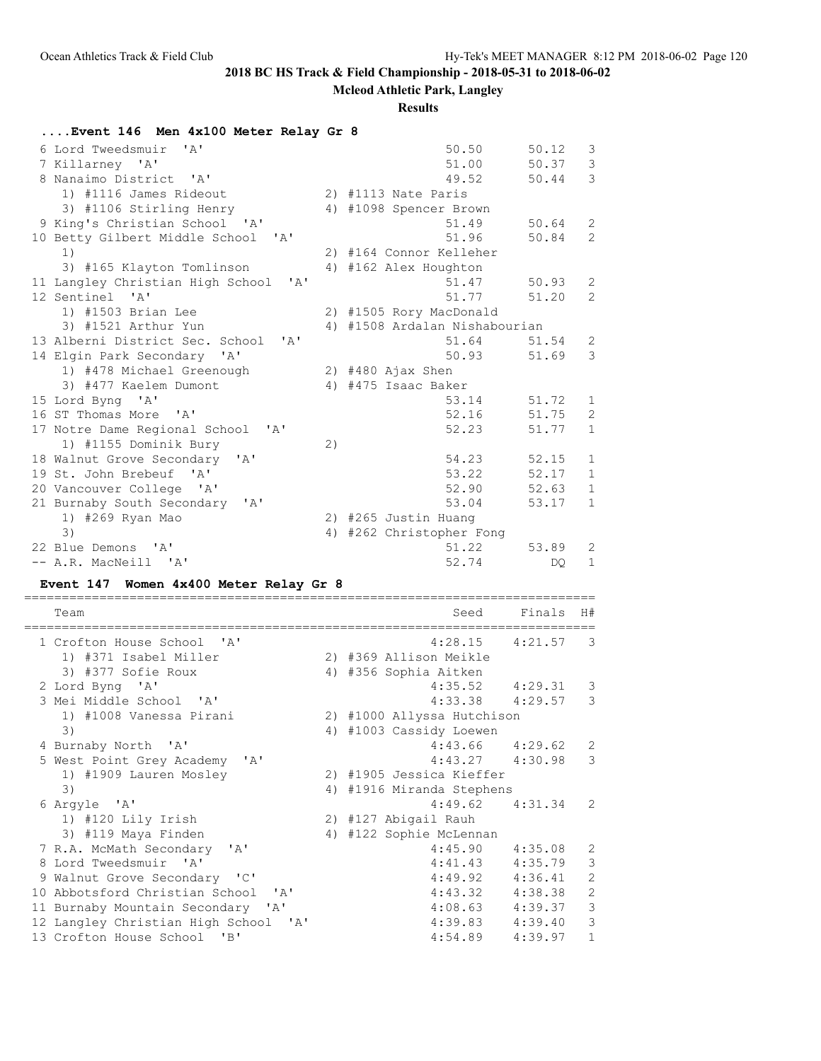### **Mcleod Athletic Park, Langley**

### **Results**

| Event 146 Men 4x100 Meter Relay Gr 8     |    |                               |       |              |
|------------------------------------------|----|-------------------------------|-------|--------------|
| 6 Lord Tweedsmuir 'A'                    |    | 50.50                         | 50.12 | 3            |
| 7 Killarney 'A'                          |    | 51.00                         | 50.37 | 3            |
| 8 Nanaimo District 'A'                   |    | 49.52                         | 50.44 | 3            |
| 1) #1116 James Rideout                   |    | 2) #1113 Nate Paris           |       |              |
| 3) #1106 Stirling Henry                  |    | 4) #1098 Spencer Brown        |       |              |
| 9 King's Christian School 'A'            |    | 51.49                         | 50.64 | 2            |
| 10 Betty Gilbert Middle School 'A'       |    | 51.96                         | 50.84 | 2            |
| 1)                                       |    | 2) #164 Connor Kelleher       |       |              |
| 3) #165 Klayton Tomlinson                |    | 4) #162 Alex Houghton         |       |              |
| 11 Langley Christian High School<br>' A' |    | 51.47                         | 50.93 | 2            |
| 12 Sentinel 'A'                          |    | 51.77                         | 51.20 | 2            |
| 1) #1503 Brian Lee                       |    | 2) #1505 Rory MacDonald       |       |              |
| 3) #1521 Arthur Yun                      |    | 4) #1508 Ardalan Nishabourian |       |              |
| 13 Alberni District Sec. School 'A'      |    | 51.64                         | 51.54 | 2            |
| 14 Elgin Park Secondary 'A'              |    | 50.93                         | 51.69 | 3            |
| 1) #478 Michael Greenough                |    | $2)$ #480 Ajax Shen           |       |              |
| 3) #477 Kaelem Dumont                    |    | 4) #475 Isaac Baker           |       |              |
| 15 Lord Byng 'A'                         |    | 53.14                         | 51.72 | 1            |
| 16 ST Thomas More 'A'                    |    | 52.16                         | 51.75 | 2            |
| 17 Notre Dame Regional School 'A'        |    | 52.23                         | 51.77 | $\mathbf{1}$ |
| 1) #1155 Dominik Bury                    | 2) |                               |       |              |
| 18 Walnut Grove Secondary 'A'            |    | 54.23                         | 52.15 | $\mathbf{1}$ |
| 19 St. John Brebeuf 'A'                  |    | 53.22                         | 52.17 | $\mathbf{1}$ |
| 20 Vancouver College 'A'                 |    | 52.90                         | 52.63 | $\mathbf{1}$ |
| 21 Burnaby South Secondary 'A'           |    | 53.04                         | 53.17 | $\mathbf{1}$ |
| 1) #269 Ryan Mao                         |    | 2) #265 Justin Huang          |       |              |
| 3)                                       |    | 4) #262 Christopher Fong      |       |              |
| 22 Blue Demons<br>$\mathsf{A}$           |    | 51.22                         | 53.89 | 2            |
| -- A.R. MacNeill 'A'                     |    | 52.74                         | DO.   | $\mathbf{1}$ |

### **Event 147 Women 4x400 Meter Relay Gr 8**

Team Seed Finals H# ============================================================================ 1 Crofton House School 'A' 4:28.15 4:21.57 3 1) #371 Isabel Miller 2) #369 Allison Meikle 3) #377 Sofie Roux 4) #356 Sophia Aitken 2 Lord Byng 'A' 4:35.52 4:29.31 3 3 Mei Middle School 'A' 4:33.38 4:29.57 3 1) #1008 Vanessa Pirani 2) #1000 Allyssa Hutchison 3) 4) #1003 Cassidy Loewen 4 Burnaby North 'A' 4:43.66 4:29.62 2 5 West Point Grey Academy 'A' 4:43.27 4:30.98 3 1) #1909 Lauren Mosley 2) #1905 Jessica Kieffer 3) 4) #1916 Miranda Stephens 6 Argyle 'A' 4:49.62 4:31.34 2 1) #120 Lily Irish 2) #127 Abigail Rauh 3) #119 Maya Finden 4) #122 Sophie McLennan 7 R.A. McMath Secondary 'A' 4:45.90 4:35.08 2 9 Valnut Grove Secondary 'A' 4:45.90 4:35.08 2<br>
8 Lord Tweedsmuir 'A' 4:41.43 4:35.79 3<br>
9 Walnut Grove Secondary 'C' 4:49.92 4:36.41 2<br>
0 Abbotsford Christian School 'A' 4:43.32 4:38.38 2 9 Walnut Grove Secondary 'C' 4:49.92 4:36.41 2 10 Abbotsford Christian School 'A' 4:43.32 4:38.38 2 11 Burnaby Mountain Secondary 'A' 4:08.63 4:39.37 3 12 Langley Christian High School 'A' 4:39.83 4:39.40 3 13 Crofton House School 'B' 4:54.89 4:39.97 1

============================================================================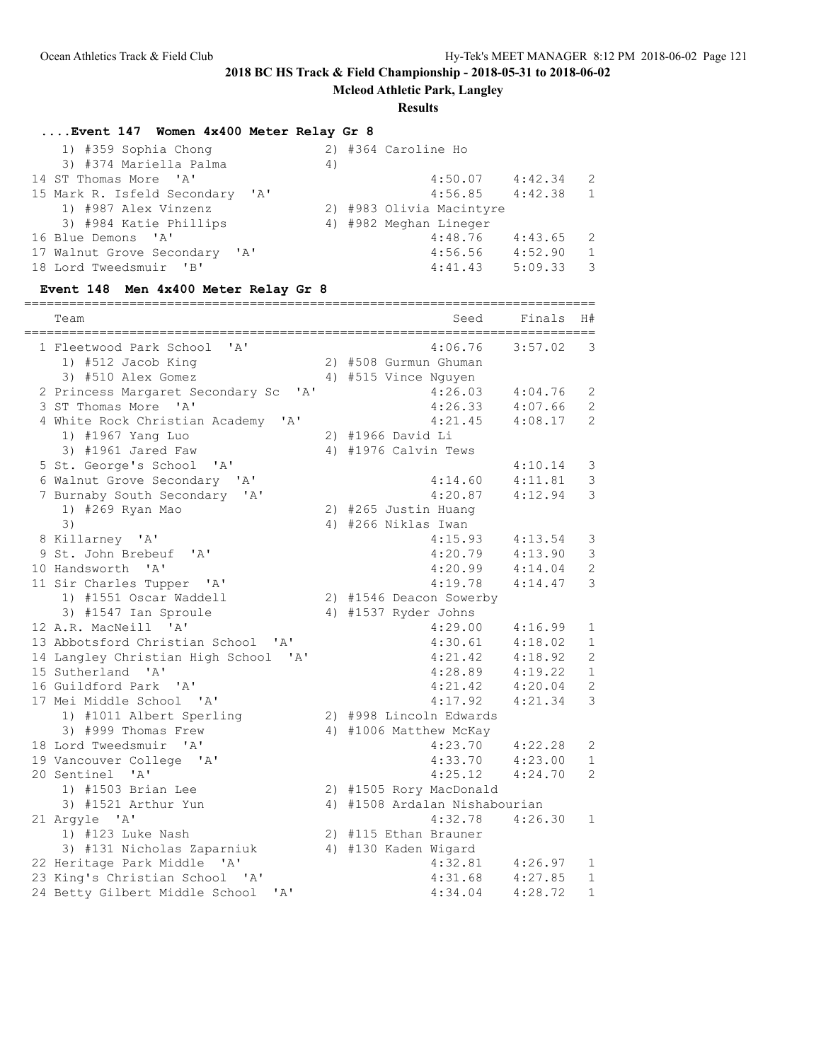**Mcleod Athletic Park, Langley**

#### **Results**

### **....Event 147 Women 4x400 Meter Relay Gr 8**

| 1) #359 Sophia Chong            | 2) #364 Caroline Ho                  |
|---------------------------------|--------------------------------------|
| 3) #374 Mariella Palma          | 4)                                   |
| 14 ST Thomas More 'A'           | 4:42.34<br>4:50.07<br>$\overline{2}$ |
| 15 Mark R. Isfeld Secondary 'A' | 4:42.38<br>4:56.85<br>$\overline{1}$ |
| 1) #987 Alex Vinzenz            | 2) #983 Olivia Macintyre             |
| 3) #984 Katie Phillips          | 4) #982 Meghan Lineger               |
| 16 Blue Demons 'A'              | 4:48.76<br>4:43.65<br>$\overline{2}$ |
| 17 Walnut Grove Secondary 'A'   | 4:52.90<br>4:56.56<br>$\overline{1}$ |
| 18 Lord Tweedsmuir 'B'          | 5:09.33<br>$\overline{3}$<br>4:41.43 |

#### **Event 148 Men 4x400 Meter Relay Gr 8**

============================================================================ Team Seed Finals H# ============================================================================ 1 Fleetwood Park School 'A' 4:06.76 3:57.02 3 1) #512 Jacob King 2) #508 Gurmun Ghuman 3) #510 Alex Gomez 4) #515 Vince Nguyen 2 Princess Margaret Secondary Sc 'A' 4:26.03 4:04.76 2 3 ST Thomas More 'A' 4:26.33 4:07.66 2 4 White Rock Christian Academy 'A' 4:21.45 4:08.17 2 1) #1967 Yang Luo 2) #1966 David Li 3) #1961 Jared Faw 4) #1976 Calvin Tews 5 St. George's School 'A' 4:10.14 3 6 Walnut Grove Secondary 'A' 4:14.60 4:11.81 3 7 Burnaby South Secondary 'A' 4:20.87<br>1) #269 Ryan Mao 4:20.87<br>2) #265 Justin Huang 1) #269 Ryan Mao 2) #265 Justin Huang 3) 4) #266 Niklas Iwan 8 Killarney 'A' 4:15.93 4:13.54 3<br>9 St. John Brebeuf 'A' 4:20.79 4:13.90 3 9 St. John Brebeuf 'A' 10 Handsworth 'A' 4:20.99 4:14.04 2 11 Sir Charles Tupper 'A' 4:19.78 4:14.47 3 1) #1551 Oscar Waddell 2) #1546 Deacon Sowerby 3) #1547 Ian Sproule 4) #1537 Ryder Johns 12 A.R. MacNeill 'A' 4:29.00 4:16.99 1 13 Abbotsford Christian School 'A' 4:30.61 4:18.02 1 14 Langley Christian High School 'A'<br>15 Sutherland 'A' 15 Sutherland 'A' 4:28.89 4:19.22 1 16 Guildford Park 'A' 4:21.42 4:20.04 2 17 Mei Middle School 'A' 4:17.92 4:21.34 3 1) #1011 Albert Sperling 2) #998 Lincoln Edwards 3) #999 Thomas Frew 4) #1006 Matthew McKay 18 Lord Tweedsmuir 'A' 4:23.70 4:22.28 2 19 Vancouver College 'A' 4:33.70 4:23.00 1 20 Sentinel 'A' 4:25.12 4:24.70 2 1) #1503 Brian Lee 2) #1505 Rory MacDonald 3) #1521 Arthur Yun 4) #1508 Ardalan Nishabourian 21 Argyle 'A' 4:32.78 4:26.30 1 1) #123 Luke Nash 2) #115 Ethan Brauner 3) #131 Nicholas Zaparniuk 4) #130 Kaden Wigard 22 Heritage Park Middle 'A' 4:32.81 4:26.97 1 23 King's Christian School 'A' 4:31.68 4:27.85 1 24 Betty Gilbert Middle School 'A' 4:34.04 4:28.72 1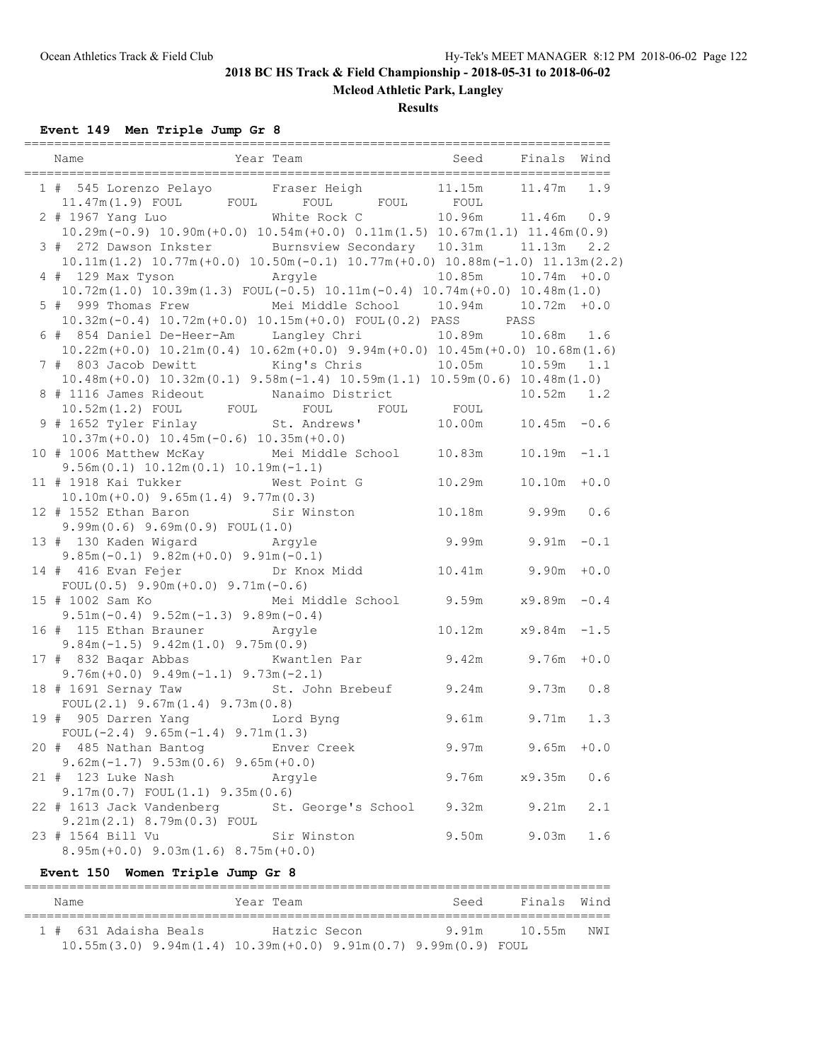# **Mcleod Athletic Park, Langley**

### **Results**

**Event 149 Men Triple Jump Gr 8**

| 1 # 545 Lorenzo Pelayo Fraser Heigh 11.15m<br>11.47m(1.9) FOUL FOUL FOUL FOUL FOUL FOUL                                                                           |                          |                          | $11.47m$ 1.9   |        |
|-------------------------------------------------------------------------------------------------------------------------------------------------------------------|--------------------------|--------------------------|----------------|--------|
| 2 # 1967 Yang Luo Mhite Rock C 10.96m 11.46m 0.9                                                                                                                  |                          |                          |                |        |
| $10.29$ m (-0.9) $10.90$ m (+0.0) $10.54$ m (+0.0) $0.11$ m (1.5) $10.67$ m (1.1) $11.46$ m (0.9)<br>3 # 272 Dawson Inkster Burnsview Secondary 10.31m 11.13m 2.2 |                          |                          |                |        |
| $10.11m(1.2)$ $10.77m(+0.0)$ $10.50m(-0.1)$ $10.77m(+0.0)$ $10.88m(-1.0)$ $11.13m(2.2)$                                                                           |                          |                          |                |        |
| 4 # 129 Max Tyson Argyle                                                                                                                                          |                          | $10.85m$ $10.74m$ $+0.0$ |                |        |
| $10.72m(1.0)$ $10.39m(1.3)$ $FOUL(-0.5)$ $10.11m(-0.4)$ $10.74m(+0.0)$ $10.48m(1.0)$                                                                              |                          |                          |                |        |
| 5 # 999 Thomas Frew Mei Middle School 10.94m 10.72m +0.0<br>$10.32m(-0.4)$ $10.72m(+0.0)$ $10.15m(+0.0)$ $F0UL(0.2)$ PASS PASS                                    |                          |                          |                |        |
| 6 # 854 Daniel De-Heer-Am Langley Chri 10.89m 10.68m 1.6                                                                                                          |                          |                          |                |        |
| $10.22m (+0.0)$ $10.21m (0.4)$ $10.62m (+0.0)$ $9.94m (+0.0)$ $10.45m (+0.0)$ $10.68m (1.6)$                                                                      |                          |                          |                |        |
| 7 # 803 Jacob Dewitt King's Chris 10.05m 10.59m 1.1                                                                                                               |                          |                          |                |        |
| $10.48m (+0.0)$ $10.32m (0.1)$ $9.58m (-1.4)$ $10.59m (1.1)$ $10.59m (0.6)$ $10.48m (1.0)$                                                                        |                          |                          |                |        |
|                                                                                                                                                                   |                          |                          |                |        |
|                                                                                                                                                                   |                          |                          |                |        |
| 10.48m(T0.0) 10.52m(0.1) 5.52m(0.1) 5.52m(0.1) 5.52m(1.2) FOUL<br>10.52m(1.2) FOUL FOUL FOUL FOUL FOUL<br>9 # 1652 Tyler Finlay 5t. Andrews' 10.00m 10.45m -0.6   |                          |                          |                |        |
| $10.37m (+0.0) 10.45m (-0.6) 10.35m (+0.0)$<br>10 # 1006 Matthew McKay                                                                                            | Mei Middle School 10.83m |                          | $10.19m - 1.1$ |        |
| $9.56m(0.1) 10.12m(0.1) 10.19m(-1.1)$                                                                                                                             |                          |                          |                |        |
| 11 # 1918 Kai Tukker Mest Point G 10.29m                                                                                                                          |                          |                          | $10.10m + 0.0$ |        |
| $10.10m (+0.0)$ 9.65 $m(1.4)$ 9.77 $m(0.3)$                                                                                                                       |                          |                          |                |        |
| 12 # 1552 Ethan Baron Sir Winston 10.18m 9.99m 0.6                                                                                                                |                          |                          |                |        |
| 9.99m(0.6) 9.69m(0.9) FOUL(1.0)                                                                                                                                   |                          |                          |                |        |
| 13 # 130 Kaden Wigard Argyle                                                                                                                                      |                          | 9.99m 9.91m              |                | $-0.1$ |
| $9.85m(-0.1)$ $9.82m(+0.0)$ $9.91m(-0.1)$                                                                                                                         |                          |                          |                |        |
| 14 # 416 Evan Fejer br Knox Midd 10.41m 9.90m<br>FOUL $(0.5)$ 9.90m $(+0.0)$ 9.71m $(-0.6)$                                                                       |                          |                          |                | $+0.0$ |
| 15 # 1002 Sam Ko Mei Middle School 9.59m x9.89m -0.4                                                                                                              |                          |                          |                |        |
| $9.51m(-0.4)$ $9.52m(-1.3)$ $9.89m(-0.4)$                                                                                                                         |                          |                          |                |        |
| 16 # 115 Ethan Brauner Argyle                                                                                                                                     | 10.12m                   |                          | x9.84m         | $-1.5$ |
| $9.84m(-1.5)$ $9.42m(1.0)$ $9.75m(0.9)$                                                                                                                           |                          |                          |                |        |
| 17 # 832 Baqar Abbas Kwantlen Par 9.42m 9.76m +0.0                                                                                                                |                          |                          |                |        |
| $9.76m (+0.0)$ $9.49m (-1.1)$ $9.73m (-2.1)$<br>18 # 1691 Sernay Taw St. John Brebeuf 9.24m 9.73m 0.8                                                             |                          |                          |                |        |
| FOUL $(2.1)$ 9.67m $(1.4)$ 9.73m $(0.8)$                                                                                                                          |                          |                          |                |        |
| 19 # 905 Darren Yang Manus Lord Byng                                                                                                                              |                          | 9.61m 9.71m 1.3          |                |        |
| FOUL $(-2.4)$ 9.65m $(-1.4)$ 9.71m $(1.3)$                                                                                                                        |                          |                          |                |        |
| 20 # 485 Nathan Bantog                                                                                                                                            | Enver Creek              | 9.97m                    | 9.65m          | $+0.0$ |
| $9.62m(-1.7)$ $9.53m(0.6)$ $9.65m(+0.0)$                                                                                                                          |                          |                          |                |        |
| 21 # 123 Luke Nash                                                                                                                                                | Argyle                   | 9.76m                    | x9.35m         | 0.6    |
| $9.17m(0.7)$ FOUL $(1.1)$ $9.35m(0.6)$                                                                                                                            |                          |                          |                |        |
| 22 # 1613 Jack Vandenberg St. George's School<br>9.21m (2.1) 8.79m (0.3) FOUL                                                                                     |                          | 9.32m                    | 9.21m          | 2.1    |
| 23 # 1564 Bill Vu                                                                                                                                                 | Sir Winston              | 9.50m                    | 9.03m          | 1.6    |
| $8.95m (+0.0)$ $9.03m (1.6)$ $8.75m (+0.0)$                                                                                                                       |                          |                          |                |        |
|                                                                                                                                                                   |                          |                          |                |        |

### **Event 150 Women Triple Jump Gr 8**

| Name                  | Year Team                                                                | Seed | Finals Wind |      |
|-----------------------|--------------------------------------------------------------------------|------|-------------|------|
| 1 # 631 Adaisha Beals | Hatzic Secon                                                             | 991m | 10.55m      | NW T |
|                       | $10.55m(3.0)$ $9.94m(1.4)$ $10.39m(+0.0)$ $9.91m(0.7)$ $9.99m(0.9)$ FOUL |      |             |      |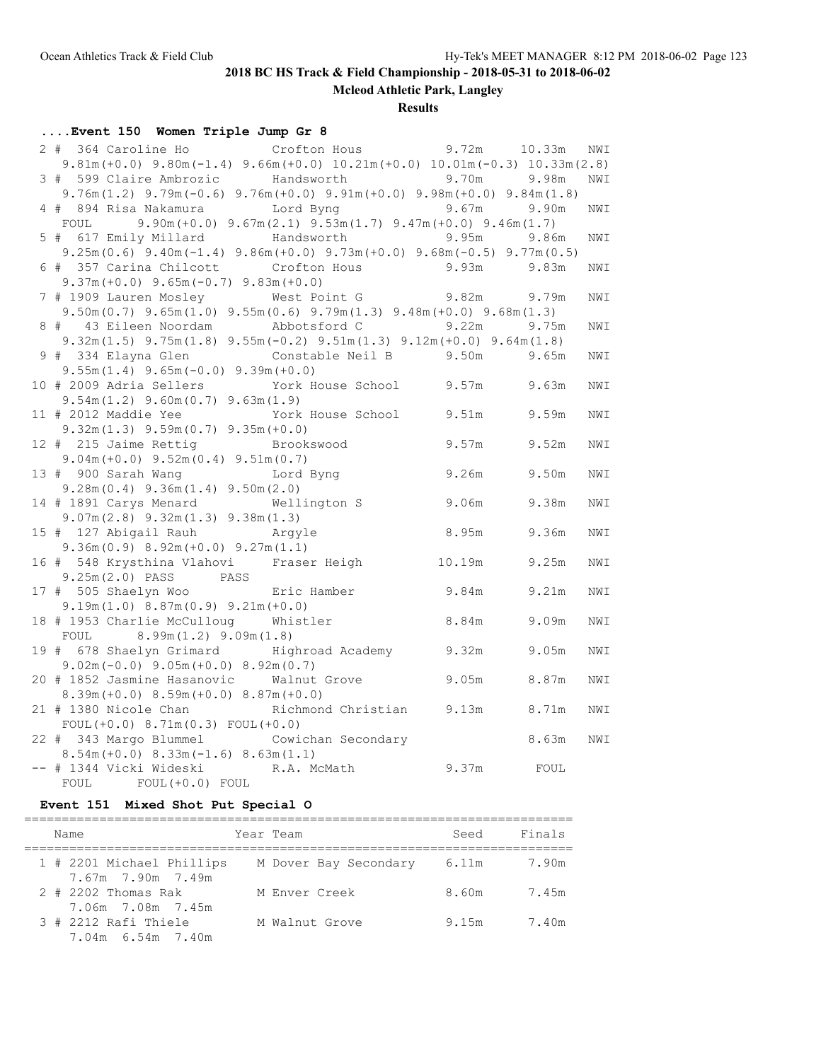**Mcleod Athletic Park, Langley**

### **Results**

# **....Event 150 Women Triple Jump Gr 8**

| 2 # 364 Caroline Ho Crofton Hous 9.72m 10.33m                                                                                     |                                                                                         |        |       | NWI |
|-----------------------------------------------------------------------------------------------------------------------------------|-----------------------------------------------------------------------------------------|--------|-------|-----|
| $9.81m (+0.0)$ $9.80m (-1.4)$ $9.66m (+0.0)$ $10.21m (+0.0)$ $10.01m (-0.3)$ $10.33m (2.8)$                                       |                                                                                         |        |       |     |
| 3 # 599 Claire Ambrozic Handsworth                                                                                                |                                                                                         | 9.70m  | 9.98m | NWI |
| $9.76m(1.2)$ $9.79m(-0.6)$ $9.76m(+0.0)$ $9.91m(+0.0)$ $9.98m(+0.0)$ $9.84m(1.8)$                                                 |                                                                                         |        |       |     |
| 4 # 894 Risa Nakamura     Lord Byng                                                                                               |                                                                                         | 9.67m  | 9.90m | NWI |
| FOUL<br>5 # 617 Emily Millard Handsworth                                                                                          | $9.90m (+0.0)$ $9.67m (2.1)$ $9.53m (1.7)$ $9.47m (+0.0)$ $9.46m (1.7)$<br><b>9.95m</b> |        |       |     |
|                                                                                                                                   |                                                                                         |        | 9.86m | NWI |
| $9.25m(0.6)$ $9.40m(-1.4)$ $9.86m(+0.0)$ $9.73m(+0.0)$ $9.68m(-0.5)$ $9.77m(0.5)$<br>6 # 357 Carina Chilcott Crofton Hous 9.93m   |                                                                                         |        |       |     |
| $9.37m (+0.0)$ $9.65m (-0.7)$ $9.83m (+0.0)$                                                                                      |                                                                                         |        | 9.83m | NWI |
|                                                                                                                                   |                                                                                         |        |       |     |
| 7 # 1909 Lauren Mosley Mest Point G 9.82m 9.79m<br>$9.50m(0.7)$ $9.65m(1.0)$ $9.55m(0.6)$ $9.79m(1.3)$ $9.48m(+0.0)$ $9.68m(1.3)$ |                                                                                         |        |       | NWI |
| 8 # 43 Eileen Noordam Abbotsford C                                                                                                |                                                                                         | 9.22m  | 9.75m | NWI |
| $9.32m(1.5)$ $9.75m(1.8)$ $9.55m(-0.2)$ $9.51m(1.3)$ $9.12m(+0.0)$ $9.64m(1.8)$                                                   |                                                                                         |        |       |     |
| 9 # 334 Elayna Glen Constable Neil B 9.50m                                                                                        |                                                                                         |        | 9.65m | NWI |
| $9.55m(1.4)$ $9.65m(-0.0)$ $9.39m(+0.0)$                                                                                          |                                                                                         |        |       |     |
| 10 # 2009 Adria Sellers York House School 9.57m                                                                                   |                                                                                         |        | 9.63m | NWI |
| $9.54m(1.2)$ $9.60m(0.7)$ $9.63m(1.9)$                                                                                            |                                                                                         |        |       |     |
| 11 # 2012 Maddie Yee York House School 9.51m                                                                                      |                                                                                         |        | 9.59m | NWI |
| $9.32m(1.3)$ $9.59m(0.7)$ $9.35m(+0.0)$                                                                                           |                                                                                         |        |       |     |
| 12 # 215 Jaime Rettig                                                                                                             | Brookswood                                                                              | 9.57m  | 9.52m | NWI |
| $9.04m (+0.0) 9.52m (0.4) 9.51m (0.7)$                                                                                            |                                                                                         |        |       |     |
| 13 # 900 Sarah Wang Mord Byng                                                                                                     | 9.26m                                                                                   |        | 9.50m | NWI |
| $9.28m(0.4)$ $9.36m(1.4)$ $9.50m(2.0)$                                                                                            |                                                                                         |        |       |     |
| 14 # 1891 Carys Menard Wellington S                                                                                               |                                                                                         | 9.06m  | 9.38m | NWI |
| $9.07m(2.8)$ $9.32m(1.3)$ $9.38m(1.3)$                                                                                            |                                                                                         |        |       |     |
| 15 # 127 Abigail Rauh<br>Arqyle                                                                                                   |                                                                                         | 8.95m  | 9.36m | NWI |
| $9.36m(0.9)$ 8.92m(+0.0) 9.27m(1.1)                                                                                               |                                                                                         |        |       |     |
| 16 # 548 Krysthina Vlahovi Fraser Heigh                                                                                           |                                                                                         | 10.19m | 9.25m | NWI |
| 9.25m (2.0) PASS PASS                                                                                                             |                                                                                         |        |       |     |
| 17 # 505 Shaelyn Woo Fric Hamber                                                                                                  |                                                                                         | 9.84m  | 9.21m | NWI |
| $9.19m(1.0) 8.87m(0.9) 9.21m(+0.0)$                                                                                               |                                                                                         |        |       |     |
| 18 # 1953 Charlie McCulloug Whistler                                                                                              |                                                                                         | 8.84m  | 9.09m | NWI |
| FOUL $8.99m(1.2) 9.09m(1.8)$                                                                                                      |                                                                                         |        |       |     |
| 19 # 678 Shaelyn Grimard Highroad Academy 9.32m                                                                                   |                                                                                         |        | 9.05m | NWI |
| $9.02m(-0.0)$ $9.05m(+0.0)$ $8.92m(0.7)$                                                                                          |                                                                                         |        |       |     |
| 20 # 1852 Jasmine Hasanovic Walnut Grove 9.05m                                                                                    |                                                                                         |        | 8.87m | NWI |
| $8.39m (+0.0) 8.59m (+0.0) 8.87m (+0.0)$                                                                                          |                                                                                         |        |       |     |
| 21 # 1380 Nicole Chan Nichmond Christian 9.13m 8.71m                                                                              |                                                                                         |        |       | NWI |
| FOUL $(+0.0)$ 8.71m $(0.3)$ FOUL $(+0.0)$                                                                                         |                                                                                         |        |       |     |
| 22 # 343 Margo Blummel                                                                                                            | Cowichan Secondary                                                                      |        | 8.63m | NWI |
| $8.54m (+0.0) 8.33m (-1.6) 8.63m (1.1)$                                                                                           |                                                                                         |        |       |     |
| -- # 1344 Vicki Wideski                                                                                                           | R.A. McMath                                                                             | 9.37m  | FOUL  |     |
| FOUL FOUL (+0.0) FOUL                                                                                                             |                                                                                         |        |       |     |

## **Event 151 Mixed Shot Put Special O**

| Name                                           | Year Team             | Seed  | Finals |
|------------------------------------------------|-----------------------|-------|--------|
| 1 # 2201 Michael Phillips<br>7.67m 7.90m 7.49m | M Dover Bay Secondary | 6.11m | 7.90m  |
| 2 # 2202 Thomas Rak<br>7.06m 7.08m 7.45m       | M Enver Creek         | 8.60m | 7.45m  |
| 3 # 2212 Rafi Thiele<br>7.04m 6.54m 7.40m      | M Walnut Grove        | 9.15m | 7.40m  |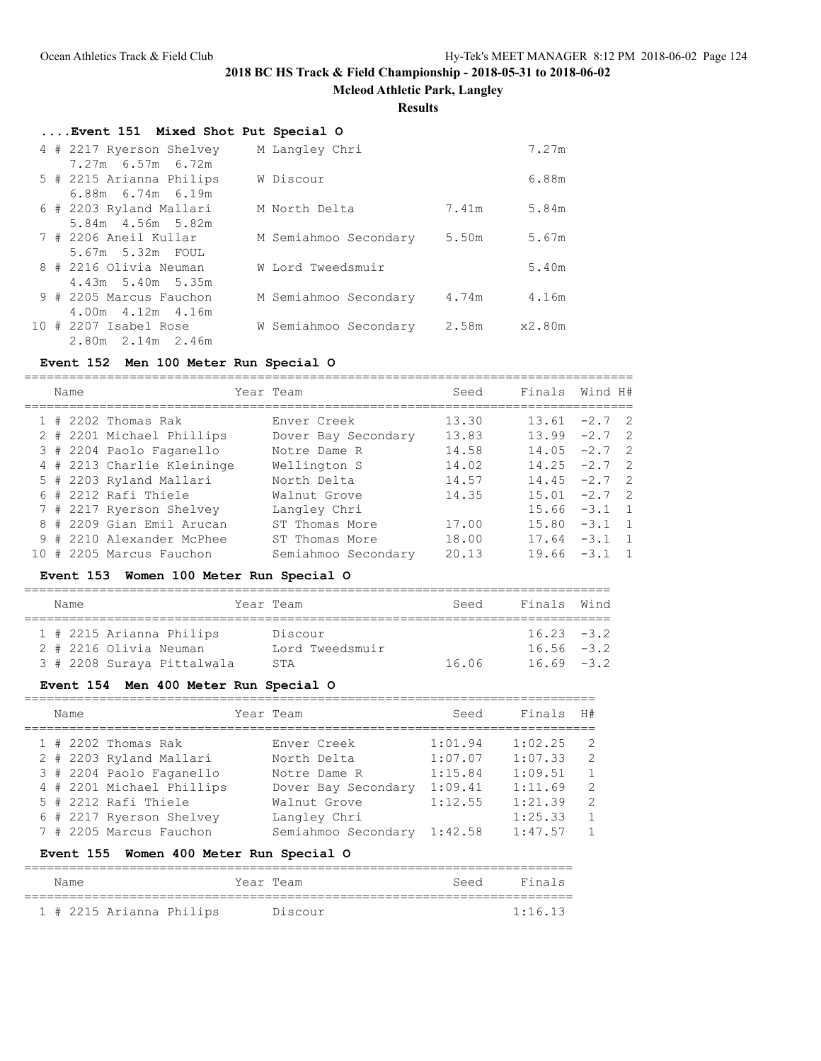**Mcleod Athletic Park, Langley**

**Results**

|  | Event 151 Mixed Shot Put Special O |                       |       |              |
|--|------------------------------------|-----------------------|-------|--------------|
|  | 4 # 2217 Ryerson Shelvey           | M Langley Chri        |       | 7.27m        |
|  | 7.27m 6.57m 6.72m                  |                       |       |              |
|  | 5 # 2215 Arianna Philips           | W Discour             |       | 6.88m        |
|  | $6.88m$ $6.74m$ $6.19m$            |                       |       |              |
|  | 6 # 2203 Ryland Mallari            | M North Delta         | 7.41m | 5.84m        |
|  | 5.84m 4.56m 5.82m                  |                       |       |              |
|  | 7 # 2206 Aneil Kullar              | M Semiahmoo Secondary | 5.50m | 5.67m        |
|  | 5.67m 5.32m FOUL                   |                       |       |              |
|  | 8 # 2216 Olivia Neuman             | W Lord Tweedsmuir     |       | 5.40m        |
|  | 4.43m 5.40m 5.35m                  |                       |       |              |
|  | 9 # 2205 Marcus Fauchon            | M Semiahmoo Secondary | 4.74m | 4.16m        |
|  | $4.00m$ $4.12m$ $4.16m$            |                       |       |              |
|  | 10 # 2207 Isabel Rose              | W Semiahmoo Secondary |       | 2.58m x2.80m |
|  | 2.80m 2.14m 2.46m                  |                       |       |              |

### **Event 152 Men 100 Meter Run Special O**

================================================================================= Name Tear Team Seed Finals Wind H# ================================================================================= 1 # 2202 Thomas Rak Enver Creek 13.30 13.61 -2.7 2 2 # 2201 Michael Phillips Dover Bay Secondary 13.83 13.99 -2.7 2 3 # 2204 Paolo Faganello Notre Dame R 14.58 14.05 -2.7 2 4 # 2213 Charlie Kleininge Wellington S 14.02 14.25 -2.7 2 5 # 2203 Ryland Mallari North Delta 14.57 14.45 -2.7 2 6 # 2212 Rafi Thiele Walnut Grove 14.35 15.01 -2.7 2 7 # 2217 Ryerson Shelvey Langley Chri 15.66 -3.1 1 8 # 2209 Gian Emil Arucan ST Thomas More 17.00 15.80 -3.1 1 9 # 2210 Alexander McPhee ST Thomas More 18.00 17.64 -3.1 1

10 # 2205 Marcus Fauchon Semiahmoo Secondary 20.13 19.66 -3.1 1

### **Event 153 Women 100 Meter Run Special O**

|  | Name |                            | Year Team       | Seed  | Finals Wind   |
|--|------|----------------------------|-----------------|-------|---------------|
|  |      | 1 # 2215 Arianna Philips   | Discour         |       | $16.23 - 3.2$ |
|  |      | 2 # 2216 Olivia Neuman     | Lord Tweedsmuir |       | $16.56 - 3.2$ |
|  |      | 3 # 2208 Suraya Pittalwala | STA             | 16.06 | $16.69 - 3.2$ |

### **Event 154 Men 400 Meter Run Special O**

| Finals<br>Year Team<br>Seed<br>Name<br>$1$ # 2202 Thomas Rak<br>1:02.25<br>1:01.94<br>Enver Creek<br>2 # 2203 Ryland Mallari<br>1:07.33<br>1:07.07<br>North Delta<br>3 # 2204 Paolo Faganello<br>1:09.51<br>1:15.84<br>Notre Dame R<br>4 # 2201 Michael Phillips<br>1:09.41<br>1:11.69<br>Dover Bay Secondary<br>5 # 2212 Rafi Thiele<br>1:21.39<br>1:12.55<br>Walnut Grove<br>1:25.33<br>6 # 2217 Ryerson Shelvey<br>Langley Chri<br>7 # 2205 Marcus Fauchon<br>1:47.57<br>Semiahmoo Secondary<br>1:42.58 |  |  |  |  |                |
|------------------------------------------------------------------------------------------------------------------------------------------------------------------------------------------------------------------------------------------------------------------------------------------------------------------------------------------------------------------------------------------------------------------------------------------------------------------------------------------------------------|--|--|--|--|----------------|
|                                                                                                                                                                                                                                                                                                                                                                                                                                                                                                            |  |  |  |  | H#             |
|                                                                                                                                                                                                                                                                                                                                                                                                                                                                                                            |  |  |  |  | $\overline{2}$ |
|                                                                                                                                                                                                                                                                                                                                                                                                                                                                                                            |  |  |  |  | - 2            |
|                                                                                                                                                                                                                                                                                                                                                                                                                                                                                                            |  |  |  |  | $\overline{1}$ |
|                                                                                                                                                                                                                                                                                                                                                                                                                                                                                                            |  |  |  |  | 2              |
|                                                                                                                                                                                                                                                                                                                                                                                                                                                                                                            |  |  |  |  | 2              |
|                                                                                                                                                                                                                                                                                                                                                                                                                                                                                                            |  |  |  |  | $\overline{1}$ |
|                                                                                                                                                                                                                                                                                                                                                                                                                                                                                                            |  |  |  |  | $\overline{1}$ |

### **Event 155 Women 400 Meter Run Special O**

|  |  | Name |                          |  |  | Year Team | Seed | Finals  |
|--|--|------|--------------------------|--|--|-----------|------|---------|
|  |  |      | 1 # 2215 Arianna Philips |  |  | Discour   |      | 1:16.13 |